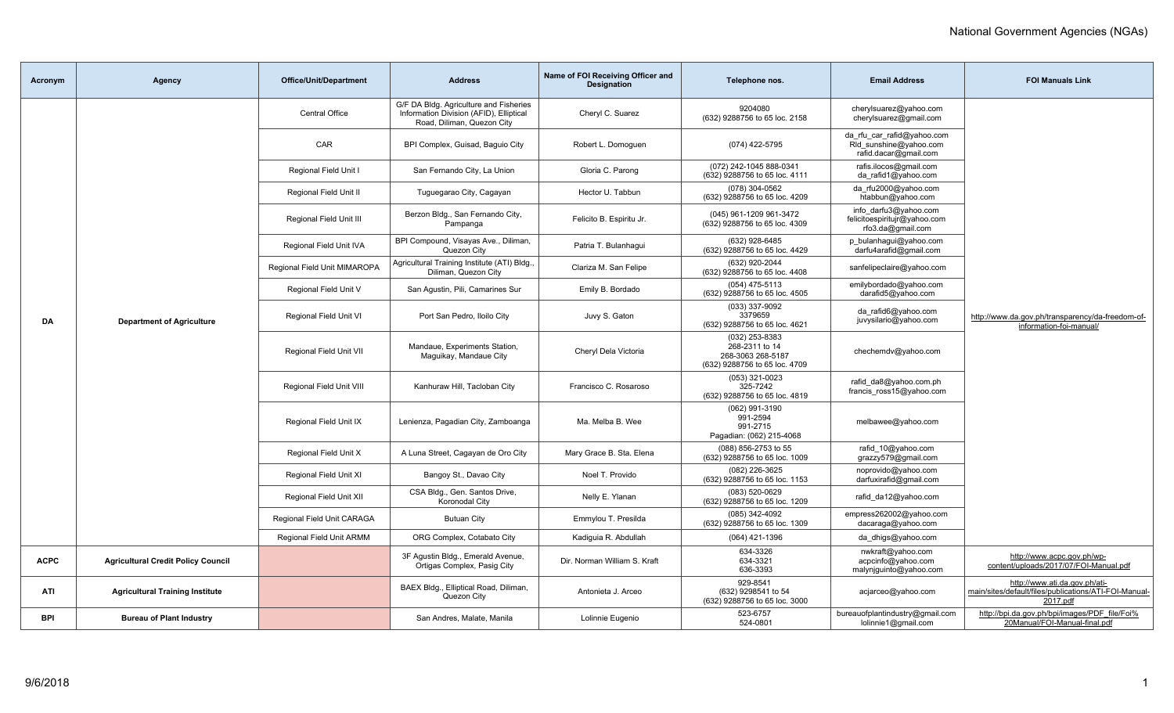| Acronym     | <b>Agency</b>                             | <b>Office/Unit/Department</b> | <b>Address</b>                                                                                                  | Name of FOI Receiving Officer and<br><b>Designation</b> | Telephone nos.                                                                         | <b>Email Address</b>                                                          | <b>FOI Manuals Link</b>                                                                            |
|-------------|-------------------------------------------|-------------------------------|-----------------------------------------------------------------------------------------------------------------|---------------------------------------------------------|----------------------------------------------------------------------------------------|-------------------------------------------------------------------------------|----------------------------------------------------------------------------------------------------|
|             |                                           | <b>Central Office</b>         | G/F DA Bldg. Agriculture and Fisheries<br>Information Division (AFID), Elliptical<br>Road, Diliman, Quezon City | Cheryl C. Suarez                                        | 9204080<br>(632) 9288756 to 65 loc. 2158                                               | cherylsuarez@yahoo.com<br>cherylsuarez@gmail.com                              |                                                                                                    |
|             |                                           | CAR                           | BPI Complex, Guisad, Baquio City                                                                                | Robert L. Domoguen                                      | (074) 422-5795                                                                         | da rfu car rafid@yahoo.com<br>Rld sunshine@yahoo.com<br>rafid.dacar@gmail.com |                                                                                                    |
|             |                                           | Regional Field Unit I         | San Fernando City, La Union                                                                                     | Gloria C. Parong                                        | (072) 242-1045 888-0341<br>(632) 9288756 to 65 loc. 4111                               | rafis.ilocos@gmail.com<br>da_rafid1@yahoo.com                                 |                                                                                                    |
|             |                                           | Regional Field Unit II        | Tuguegarao City, Cagayan                                                                                        | Hector U. Tabbun                                        | (078) 304-0562<br>(632) 9288756 to 65 loc. 4209                                        | da_rfu2000@yahoo.com<br>htabbun@yahoo.com                                     |                                                                                                    |
|             |                                           | Regional Field Unit III       | Berzon Bldg., San Fernando City,<br>Pampanga                                                                    | Felicito B. Espiritu Jr.                                | (045) 961-1209 961-3472<br>(632) 9288756 to 65 loc. 4309                               | info darfu3@yahoo.com<br>felicitoespiritujr@yahoo.com<br>rfo3.da@gmail.com    |                                                                                                    |
|             |                                           | Regional Field Unit IVA       | BPI Compound, Visayas Ave., Diliman,<br>Quezon City                                                             | Patria T. Bulanhaqui                                    | (632) 928-6485<br>(632) 9288756 to 65 loc. 4429                                        | p bulanhagui@yahoo.com<br>darfu4arafid@gmail.com                              |                                                                                                    |
|             |                                           | Regional Field Unit MIMAROPA  | Agricultural Training Institute (ATI) Bldg.,<br>Diliman, Quezon City                                            | Clariza M. San Felipe                                   | (632) 920-2044<br>(632) 9288756 to 65 loc. 4408                                        | sanfelipeclaire@yahoo.com                                                     |                                                                                                    |
|             |                                           | Regional Field Unit V         | San Aqustin, Pili, Camarines Sur                                                                                | Emily B. Bordado                                        | (054) 475-5113<br>(632) 9288756 to 65 loc. 4505                                        | emilybordado@yahoo.com<br>darafid5@yahoo.com                                  |                                                                                                    |
| DA          | <b>Department of Agriculture</b>          | Regional Field Unit VI        | Port San Pedro, Iloilo City                                                                                     | Juvy S. Gaton                                           | (033) 337-9092<br>3379659<br>(632) 9288756 to 65 loc. 4621                             | da rafid6@yahoo.com<br>juvysilario@yahoo.com                                  | http://www.da.gov.ph/transparency/da-freedom-of-<br>information-foi-manual/                        |
|             |                                           | Regional Field Unit VII       | Mandaue, Experiments Station,<br>Maguikay, Mandaue City                                                         | Cheryl Dela Victoria                                    | (032) 253-8383<br>268-2311 to 14<br>268-3063 268-5187<br>(632) 9288756 to 65 loc. 4709 | chechemdv@yahoo.com                                                           |                                                                                                    |
|             |                                           | Regional Field Unit VIII      | Kanhuraw Hill, Tacloban City                                                                                    | Francisco C. Rosaroso                                   | (053) 321-0023<br>325-7242<br>(632) 9288756 to 65 loc. 4819                            | rafid_da8@yahoo.com.ph<br>francis ross15@yahoo.com                            |                                                                                                    |
|             |                                           | Regional Field Unit IX        | Lenienza, Pagadian City, Zamboanga                                                                              | Ma. Melba B. Wee                                        | (062) 991-3190<br>991-2594<br>991-2715<br>Pagadian: (062) 215-4068                     | melbawee@yahoo.com                                                            |                                                                                                    |
|             |                                           | Regional Field Unit X         | A Luna Street, Cagayan de Oro City                                                                              | Mary Grace B. Sta. Elena                                | (088) 856-2753 to 55<br>(632) 9288756 to 65 loc. 1009                                  | rafid_10@yahoo.com<br>grazzy579@gmail.com                                     |                                                                                                    |
|             |                                           | Regional Field Unit XI        | Bangoy St., Davao City                                                                                          | Noel T. Provido                                         | (082) 226-3625<br>(632) 9288756 to 65 loc. 1153                                        | noprovido@yahoo.com<br>darfuxirafid@gmail.com                                 |                                                                                                    |
|             |                                           | Regional Field Unit XII       | CSA Bldg., Gen. Santos Drive,<br>Koronodal City                                                                 | Nelly E. Ylanan                                         | (083) 520-0629<br>(632) 9288756 to 65 loc. 1209                                        | rafid da12@yahoo.com                                                          |                                                                                                    |
|             |                                           | Regional Field Unit CARAGA    | <b>Butuan City</b>                                                                                              | Emmylou T. Presilda                                     | (085) 342-4092<br>(632) 9288756 to 65 loc. 1309                                        | empress262002@yahoo.com<br>dacaraga@yahoo.com                                 |                                                                                                    |
|             |                                           | Regional Field Unit ARMM      | ORG Complex, Cotabato City                                                                                      | Kadiquia R. Abdullah                                    | (064) 421-1396                                                                         | da dhigs@yahoo.com                                                            |                                                                                                    |
| <b>ACPC</b> | <b>Agricultural Credit Policy Council</b> |                               | 3F Agustin Bldg., Emerald Avenue,<br>Ortigas Complex, Pasig City                                                | Dir. Norman William S. Kraft                            | 634-3326<br>634-3321<br>636-3393                                                       | nwkraft@yahoo.com<br>acpcinfo@yahoo.com<br>malynjguinto@yahoo.com             | http://www.acpc.gov.ph/wp-<br>content/uploads/2017/07/FOI-Manual.pdf                               |
| ATI         | <b>Agricultural Training Institute</b>    |                               | BAEX Bldg., Elliptical Road, Diliman,<br>Quezon City                                                            | Antonieta J. Arceo                                      | 929-8541<br>(632) 9298541 to 54<br>(632) 9288756 to 65 loc. 3000                       | acjarceo@yahoo.com                                                            | http://www.ati.da.gov.ph/ati-<br>main/sites/default/files/publications/ATI-FOI-Manual-<br>2017.pdf |
| <b>BPI</b>  | <b>Bureau of Plant Industry</b>           |                               | San Andres, Malate, Manila                                                                                      | Lolinnie Eugenio                                        | 523-6757<br>524-0801                                                                   | bureauofplantindustry@gmail.com<br>lolinnie1@gmail.com                        | http://bpi.da.gov.ph/bpi/images/PDF_file/Foi%<br>20Manual/FOI-Manual-final.pdf                     |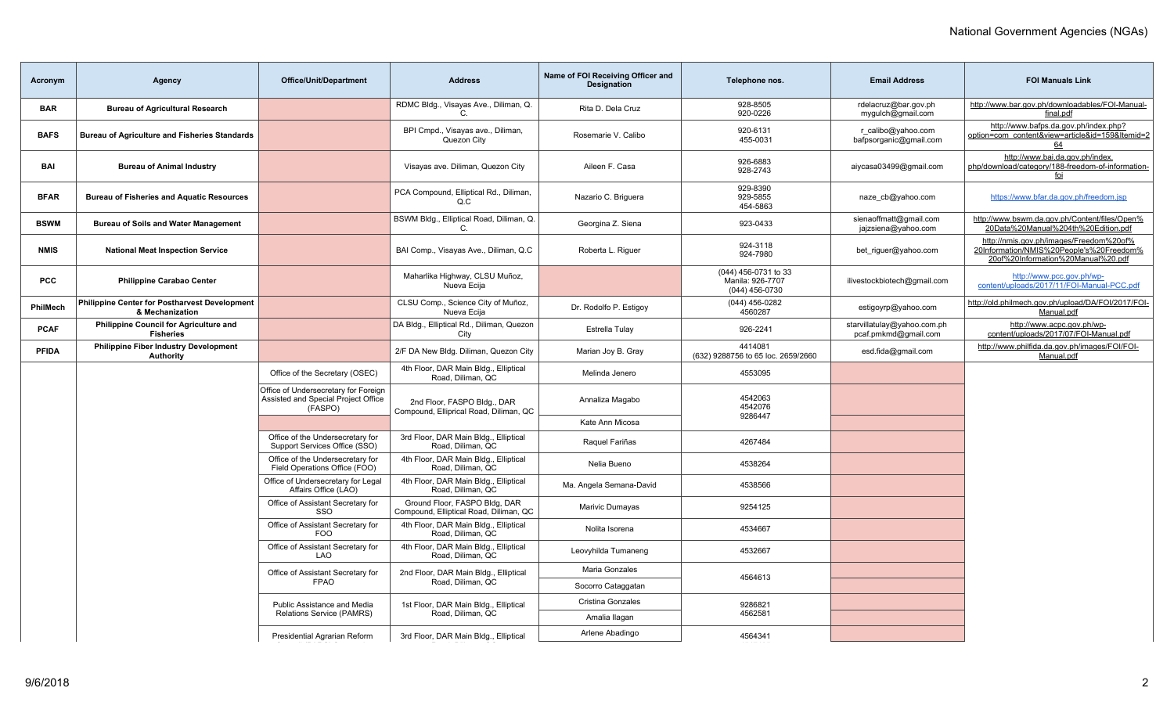| Acronym      | <b>Agency</b>                                                     | <b>Office/Unit/Department</b>                                                          | <b>Address</b>                                                          | Name of FOI Receiving Officer and<br><b>Designation</b> | Telephone nos.                                             | <b>Email Address</b>                                | <b>FOI Manuals Link</b>                                                                                                   |
|--------------|-------------------------------------------------------------------|----------------------------------------------------------------------------------------|-------------------------------------------------------------------------|---------------------------------------------------------|------------------------------------------------------------|-----------------------------------------------------|---------------------------------------------------------------------------------------------------------------------------|
| <b>BAR</b>   | <b>Bureau of Agricultural Research</b>                            |                                                                                        | RDMC Bldg., Visayas Ave., Diliman, Q.                                   | Rita D. Dela Cruz                                       | 928-8505<br>920-0226                                       | rdelacruz@bar.gov.ph<br>mygulch@gmail.com           | http://www.bar.gov.ph/downloadables/FOI-Manual-<br>final.pdf                                                              |
| <b>BAFS</b>  | <b>Bureau of Agriculture and Fisheries Standards</b>              |                                                                                        | BPI Cmpd., Visayas ave., Diliman,<br>Quezon City                        | Rosemarie V. Calibo                                     | 920-6131<br>455-0031                                       | r calibo@yahoo.com<br>bafpsorganic@gmail.com        | http://www.bafps.da.gov.ph/index.php?<br>option=com_content&view=article&id=159&Itemid=2<br>64                            |
| BAI          | <b>Bureau of Animal Industry</b>                                  |                                                                                        | Visayas ave. Diliman, Quezon City                                       | Aileen F. Casa                                          | 926-6883<br>928-2743                                       | aiycasa03499@gmail.com                              | http://www.bai.da.gov.ph/index.<br>php/download/category/188-freedom-of-information-<br>foi                               |
| <b>BFAR</b>  | <b>Bureau of Fisheries and Aquatic Resources</b>                  |                                                                                        | PCA Compound, Elliptical Rd., Diliman,<br>Q.C                           | Nazario C. Briguera                                     | 929-8390<br>929-5855<br>454-5863                           | naze cb@yahoo.com                                   | https://www.bfar.da.gov.ph/freedom.jsp                                                                                    |
| <b>BSWM</b>  | <b>Bureau of Soils and Water Management</b>                       |                                                                                        | BSWM Bldg., Elliptical Road, Diliman, Q.<br>C.                          | Georgina Z. Siena                                       | 923-0433                                                   | sienaoffmatt@gmail.com<br>jajzsiena@yahoo.com       | http://www.bswm.da.gov.ph/Content/files/Open%<br>20Data%20Manual%204th%20Edition.pdf                                      |
| <b>NMIS</b>  | <b>National Meat Inspection Service</b>                           |                                                                                        | BAI Comp., Visayas Ave., Diliman, Q.C                                   | Roberta L. Riguer                                       | 924-3118<br>924-7980                                       | bet riguer@yahoo.com                                | http://nmis.gov.ph/images/Freedom%20of%<br>20Information/NMIS%20People's%20Freedom%<br>20of%20Information%20Manual%20.pdf |
| <b>PCC</b>   | <b>Philippine Carabao Center</b>                                  |                                                                                        | Maharlika Highway, CLSU Muñoz,<br>Nueva Ecija                           |                                                         | (044) 456-0731 to 33<br>Manila: 926-7707<br>(044) 456-0730 | ilivestockbiotech@gmail.com                         | http://www.pcc.gov.ph/wp-<br>content/uploads/2017/11/FOI-Manual-PCC.pdf                                                   |
| PhilMech     | Philippine Center for Postharvest Development<br>& Mechanization  |                                                                                        | CLSU Comp., Science City of Muñoz,<br>Nueva Ecija                       | Dr. Rodolfo P. Estigoy                                  | (044) 456-0282<br>4560287                                  | estigoyrp@yahoo.com                                 | http://old.philmech.gov.ph/upload/DA/FOI/2017/FOI-<br>Manual.pdf                                                          |
| <b>PCAF</b>  | <b>Philippine Council for Agriculture and</b><br><b>Fisheries</b> |                                                                                        | DA Bldg., Elliptical Rd., Diliman, Quezon<br>City                       | Estrella Tulay                                          | 926-2241                                                   | starvillatulay@yahoo.com.ph<br>pcaf.pmkmd@gmail.com | http://www.acpc.gov.ph/wp-<br>content/uploads/2017/07/FOI-Manual.pdf                                                      |
| <b>PFIDA</b> | <b>Philippine Fiber Industry Development</b><br><b>Authority</b>  |                                                                                        | 2/F DA New Bldg. Diliman, Quezon City                                   | Marian Joy B. Gray                                      | 4414081<br>(632) 9288756 to 65 loc. 2659/2660              | esd.fida@gmail.com                                  | http://www.philfida.da.gov.ph/images/FOI/FOI-<br>Manual.pdf                                                               |
|              |                                                                   | Office of the Secretary (OSEC)                                                         | 4th Floor, DAR Main Bldg., Elliptical<br>Road, Diliman, QC              | Melinda Jenero                                          | 4553095                                                    |                                                     |                                                                                                                           |
|              |                                                                   | Office of Undersecretary for Foreign<br>Assisted and Special Project Office<br>(FASPO) | 2nd Floor, FASPO Bldg., DAR<br>Compound, Elliprical Road, Diliman, QC   | Annaliza Magabo                                         | 4542063<br>4542076<br>9286447                              |                                                     |                                                                                                                           |
|              |                                                                   |                                                                                        |                                                                         | Kate Ann Micosa                                         |                                                            |                                                     |                                                                                                                           |
|              |                                                                   | Office of the Undersecretary for<br>Support Services Office (SSO)                      | 3rd Floor, DAR Main Bldg., Elliptical<br>Road, Diliman, QC              | Raquel Fariñas                                          | 4267484                                                    |                                                     |                                                                                                                           |
|              |                                                                   | Office of the Undersecretary for<br>Field Operations Office (FOO)                      | 4th Floor, DAR Main Bldg., Elliptical<br>Road, Diliman, QC              | Nelia Bueno                                             | 4538264                                                    |                                                     |                                                                                                                           |
|              |                                                                   | Office of Undersecretary for Legal<br>Affairs Office (LAO)                             | 4th Floor, DAR Main Bldg., Elliptical<br>Road, Diliman, QC              | Ma. Angela Semana-David                                 | 4538566                                                    |                                                     |                                                                                                                           |
|              |                                                                   | Office of Assistant Secretary for<br>SSO                                               | Ground Floor, FASPO Bldg, DAR<br>Compound, Elliptical Road, Diliman, QC | Marivic Dumayas                                         | 9254125                                                    |                                                     |                                                                                                                           |
|              |                                                                   | Office of Assistant Secretary for<br><b>FOO</b>                                        | 4th Floor, DAR Main Bldg., Elliptical<br>Road, Diliman, QC              | Nolita Isorena                                          | 4534667                                                    |                                                     |                                                                                                                           |
|              |                                                                   | Office of Assistant Secretary for<br><b>LAO</b>                                        | 4th Floor, DAR Main Bldg., Elliptical<br>Road, Diliman, QC              | Leovyhilda Tumaneng                                     | 4532667                                                    |                                                     |                                                                                                                           |
|              |                                                                   | Office of Assistant Secretary for                                                      | 2nd Floor, DAR Main Bldg., Elliptical                                   | Maria Gonzales                                          | 4564613                                                    |                                                     |                                                                                                                           |
|              |                                                                   | <b>FPAO</b>                                                                            | Road, Diliman, QC                                                       | Socorro Cataggatan                                      |                                                            |                                                     |                                                                                                                           |
|              |                                                                   | Public Assistance and Media<br>Relations Service (PAMRS)                               | 1st Floor, DAR Main Bldg., Elliptical<br>Road, Diliman, QC              | <b>Cristina Gonzales</b>                                | 9286821<br>4562581                                         |                                                     |                                                                                                                           |
|              |                                                                   |                                                                                        |                                                                         | Amalia Ilagan                                           |                                                            |                                                     |                                                                                                                           |
|              |                                                                   | Presidential Agrarian Reform                                                           | 3rd Floor, DAR Main Bldg., Elliptical                                   | Arlene Abadingo                                         | 4564341                                                    |                                                     |                                                                                                                           |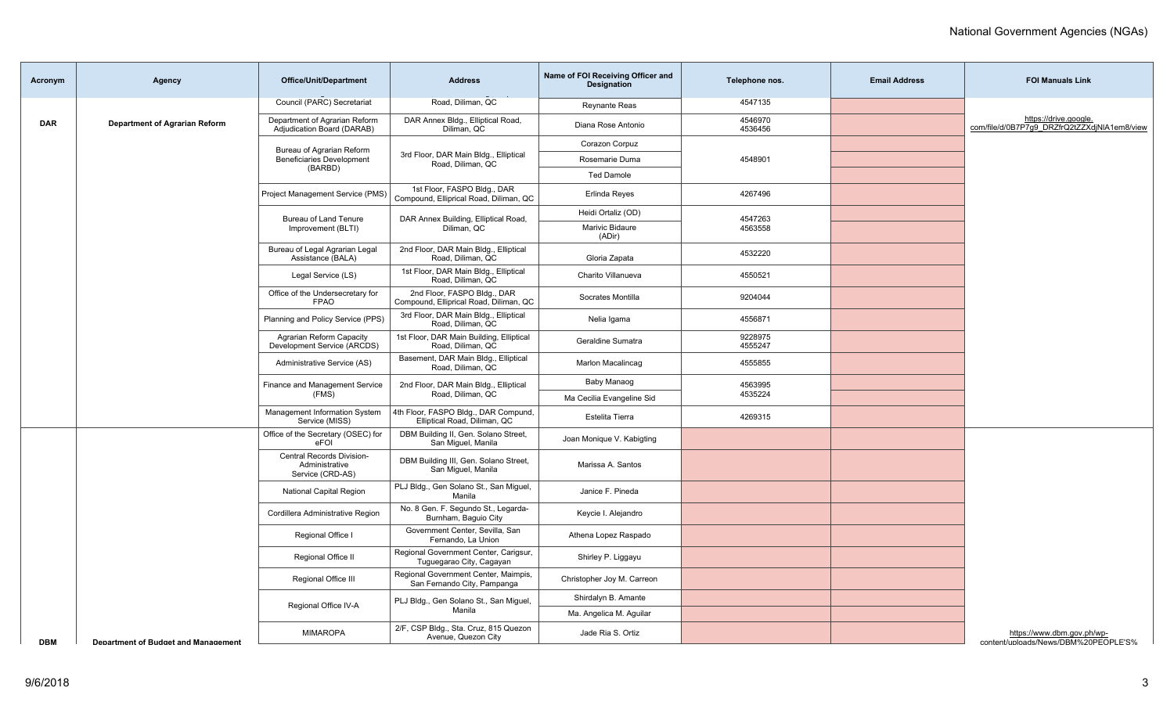| Acronym    | <b>Agency</b>                              | <b>Office/Unit/Department</b>                                   | <b>Address</b>                                                        | Name of FOI Receiving Officer and<br><b>Designation</b> | Telephone nos.     | <b>Email Address</b> | <b>FOI Manuals Link</b>                                               |
|------------|--------------------------------------------|-----------------------------------------------------------------|-----------------------------------------------------------------------|---------------------------------------------------------|--------------------|----------------------|-----------------------------------------------------------------------|
|            |                                            | Council (PARC) Secretariat                                      | Road, Diliman, QC                                                     | <b>Reynante Reas</b>                                    | 4547135            |                      |                                                                       |
| <b>DAR</b> | <b>Department of Agrarian Reform</b>       | Department of Agrarian Reform<br>Adjudication Board (DARAB)     | DAR Annex Bldg., Elliptical Road,<br>Diliman, QC                      | Diana Rose Antonio                                      | 4546970<br>4536456 |                      | https://drive.google.<br>com/file/d/0B7P7g9_DRZfrQ2tZZXdjNIA1em8/view |
|            |                                            | Bureau of Agrarian Reform                                       |                                                                       | Corazon Corpuz                                          |                    |                      |                                                                       |
|            |                                            | <b>Beneficiaries Development</b><br>(BARBD)                     | 3rd Floor, DAR Main Bldg., Elliptical<br>Road, Diliman, QC            | Rosemarie Duma                                          | 4548901            |                      |                                                                       |
|            |                                            |                                                                 |                                                                       | <b>Ted Damole</b>                                       |                    |                      |                                                                       |
|            |                                            | Project Management Service (PMS)                                | 1st Floor, FASPO Bldg., DAR<br>Compound, Elliprical Road, Diliman, QC | Erlinda Reves                                           | 4267496            |                      |                                                                       |
|            |                                            | Bureau of Land Tenure                                           | DAR Annex Building, Elliptical Road,                                  | Heidi Ortaliz (OD)                                      | 4547263            |                      |                                                                       |
|            |                                            | Improvement (BLTI)                                              | Diliman, QC                                                           | Marivic Bidaure<br>(ADir)                               | 4563558            |                      |                                                                       |
|            |                                            | Bureau of Legal Agrarian Legal<br>Assistance (BALA)             | 2nd Floor, DAR Main Bldg., Elliptical<br>Road, Diliman, QC            | Gloria Zapata                                           | 4532220            |                      |                                                                       |
|            |                                            | Legal Service (LS)                                              | 1st Floor, DAR Main Bldg., Elliptical<br>Road, Diliman, QC            | Charito Villanueva                                      | 4550521            |                      |                                                                       |
|            |                                            | Office of the Undersecretary for<br><b>FPAO</b>                 | 2nd Floor, FASPO Bldg., DAR<br>Compound, Elliprical Road, Diliman, QC | Socrates Montilla                                       | 9204044            |                      |                                                                       |
|            |                                            | Planning and Policy Service (PPS)                               | 3rd Floor, DAR Main Bldg., Elliptical<br>Road, Diliman, QC            | Nelia Igama                                             | 4556871            |                      |                                                                       |
|            |                                            | Agrarian Reform Capacity<br>Development Service (ARCDS)         | 1st Floor, DAR Main Building, Elliptical<br>Road, Diliman, QC         | Geraldine Sumatra                                       | 9228975<br>4555247 |                      |                                                                       |
|            |                                            | Administrative Service (AS)                                     | Basement, DAR Main Bldg., Elliptical<br>Road, Diliman, QC             | Marlon Macalincag                                       | 4555855            |                      |                                                                       |
|            |                                            | Finance and Management Service                                  | 2nd Floor, DAR Main Bldg., Elliptical                                 | Baby Manaog                                             | 4563995            |                      |                                                                       |
|            |                                            | (FMS)                                                           | Road, Diliman, QC                                                     | Ma Cecilia Evangeline Sid                               | 4535224            |                      |                                                                       |
|            |                                            | Management Information System<br>Service (MISS)                 | 4th Floor, FASPO Bldg., DAR Compund,<br>Elliptical Road, Diliman, QC  | Estelita Tierra                                         | 4269315            |                      |                                                                       |
|            |                                            | Office of the Secretary (OSEC) for<br>eFOI                      | DBM Building II, Gen. Solano Street,<br>San Miquel, Manila            | Joan Monique V. Kabigting                               |                    |                      |                                                                       |
|            |                                            | Central Records Division-<br>Administrative<br>Service (CRD-AS) | DBM Building III, Gen. Solano Street,<br>San Miquel, Manila           | Marissa A. Santos                                       |                    |                      |                                                                       |
|            |                                            | <b>National Capital Region</b>                                  | PLJ Bldg., Gen Solano St., San Miguel,<br>Manila                      | Janice F. Pineda                                        |                    |                      |                                                                       |
|            |                                            | Cordillera Administrative Region                                | No. 8 Gen. F. Segundo St., Legarda-<br>Burnham, Baguio City           | Keycie I. Alejandro                                     |                    |                      |                                                                       |
|            |                                            | Regional Office I                                               | Government Center, Sevilla, San<br>Fernando, La Union                 | Athena Lopez Raspado                                    |                    |                      |                                                                       |
|            |                                            | Regional Office II                                              | Regional Government Center, Carigsur,<br>Tuguegarao City, Cagayan     | Shirley P. Liggayu                                      |                    |                      |                                                                       |
|            |                                            | Regional Office III                                             | Regional Government Center, Maimpis,<br>San Fernando City, Pampanga   | Christopher Joy M. Carreon                              |                    |                      |                                                                       |
|            |                                            | Regional Office IV-A                                            | PLJ Bldg., Gen Solano St., San Miguel,                                | Shirdalyn B. Amante                                     |                    |                      |                                                                       |
|            |                                            |                                                                 | Manila                                                                | Ma. Angelica M. Aguilar                                 |                    |                      |                                                                       |
| <b>DBM</b> | <b>Department of Budget and Management</b> | <b>MIMAROPA</b>                                                 | 2/F, CSP Bldg., Sta. Cruz, 815 Quezon<br>Avenue, Quezon City          | Jade Ria S. Ortiz                                       |                    |                      | https://www.dbm.gov.ph/wp-<br>content/uploads/News/DBM%20PEOPLE'S%    |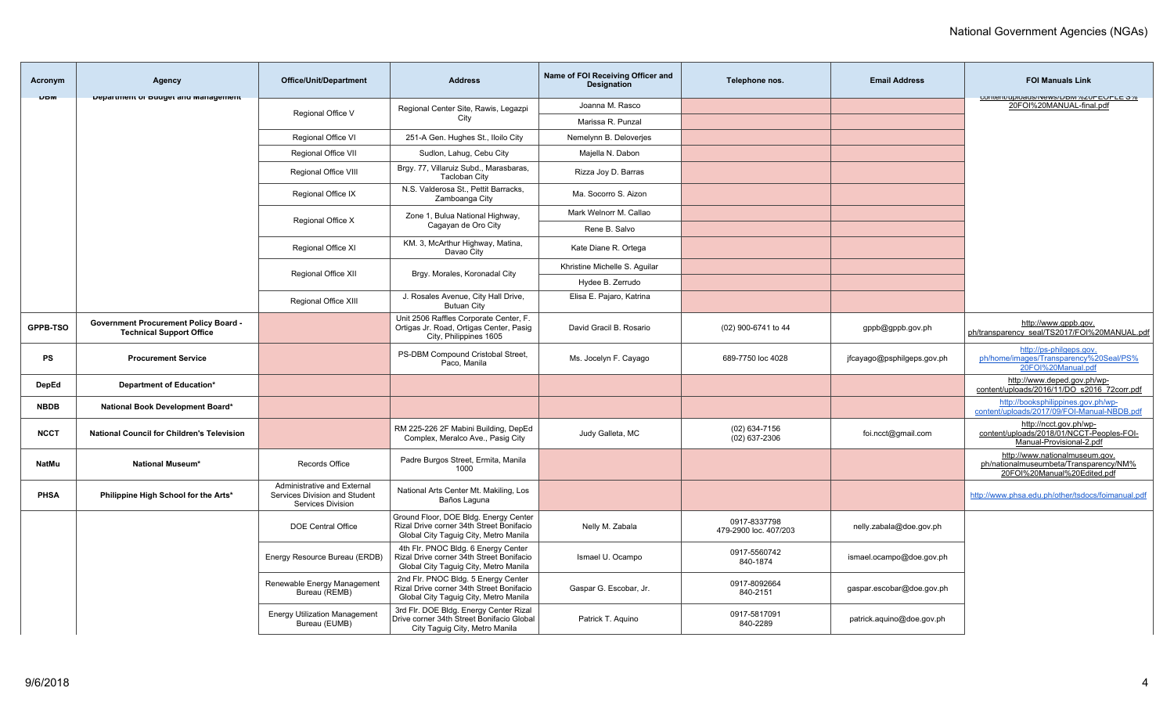| Acronym      | Agency                                                                          | <b>Office/Unit/Department</b>                                                            | <b>Address</b>                                                                                                             | Name of FOI Receiving Officer and<br>Designation | Telephone nos.                        | <b>Email Address</b>       | <b>FOI Manuals Link</b>                                                                                 |
|--------------|---------------------------------------------------------------------------------|------------------------------------------------------------------------------------------|----------------------------------------------------------------------------------------------------------------------------|--------------------------------------------------|---------------------------------------|----------------------------|---------------------------------------------------------------------------------------------------------|
| <b>UDW</b>   | Department or Dudget and management                                             |                                                                                          | Regional Center Site, Rawis, Legazpi                                                                                       | Joanna M. Rasco                                  |                                       |                            | CUTTERIN UPIDAUS/INCWS/DONT/6ZUFEUFLE 076<br>20FOI%20MANUAL-final.pdf                                   |
|              |                                                                                 | Regional Office V                                                                        | City                                                                                                                       | Marissa R. Punzal                                |                                       |                            |                                                                                                         |
|              |                                                                                 | Regional Office VI                                                                       | 251-A Gen. Hughes St., Iloilo City                                                                                         | Nemelynn B. Deloverjes                           |                                       |                            |                                                                                                         |
|              |                                                                                 | <b>Regional Office VII</b>                                                               | Sudlon, Lahug, Cebu City                                                                                                   | Majella N. Dabon                                 |                                       |                            |                                                                                                         |
|              |                                                                                 | Regional Office VIII                                                                     | Brgy. 77, Villaruiz Subd., Marasbaras,<br><b>Tacloban City</b>                                                             | Rizza Joy D. Barras                              |                                       |                            |                                                                                                         |
|              |                                                                                 | Regional Office IX                                                                       | N.S. Valderosa St., Pettit Barracks,<br>Zamboanga City                                                                     | Ma. Socorro S. Aizon                             |                                       |                            |                                                                                                         |
|              |                                                                                 | Regional Office X                                                                        | Zone 1, Bulua National Highway,                                                                                            | Mark Welnorr M. Callao                           |                                       |                            |                                                                                                         |
|              |                                                                                 |                                                                                          | Cagayan de Oro City                                                                                                        | Rene B. Salvo                                    |                                       |                            |                                                                                                         |
|              |                                                                                 | Regional Office XI                                                                       | KM. 3, McArthur Highway, Matina,<br>Davao City                                                                             | Kate Diane R. Ortega                             |                                       |                            |                                                                                                         |
|              |                                                                                 | Regional Office XII                                                                      | Brgy. Morales, Koronadal City                                                                                              | Khristine Michelle S. Aquilar                    |                                       |                            |                                                                                                         |
|              |                                                                                 |                                                                                          |                                                                                                                            | Hydee B. Zerrudo                                 |                                       |                            |                                                                                                         |
|              |                                                                                 | Regional Office XIII                                                                     | J. Rosales Avenue, City Hall Drive,<br><b>Butuan City</b>                                                                  | Elisa E. Pajaro, Katrina                         |                                       |                            |                                                                                                         |
| GPPB-TSO     | <b>Government Procurement Policy Board -</b><br><b>Technical Support Office</b> |                                                                                          | Unit 2506 Raffles Corporate Center, F.<br>Ortigas Jr. Road, Ortigas Center, Pasig<br>City, Philippines 1605                | David Gracil B. Rosario                          | (02) 900-6741 to 44                   | gppb@gppb.gov.ph           | http://www.gppb.gov.<br>ph/transparency_seal/TS2017/FOI%20MANUAL.pdf                                    |
| PS           | <b>Procurement Service</b>                                                      |                                                                                          | PS-DBM Compound Cristobal Street,<br>Paco, Manila                                                                          | Ms. Jocelyn F. Cayago                            | 689-7750 loc 4028                     | jfcayago@psphilgeps.gov.ph | http://ps-philgeps.gov.<br>ph/home/images/Transparency%20Seal/PS%<br>20FOI%20Manual.pdf                 |
| DepEd        | Department of Education*                                                        |                                                                                          |                                                                                                                            |                                                  |                                       |                            | http://www.deped.gov.ph/wp-<br>content/uploads/2016/11/DO s2016 72corr.pdf                              |
| <b>NBDB</b>  | National Book Development Board*                                                |                                                                                          |                                                                                                                            |                                                  |                                       |                            | http://booksphilippines.gov.ph/wp-<br>content/uploads/2017/09/FOI-Manual-NBDB.pdf                       |
| <b>NCCT</b>  | <b>National Council for Children's Television</b>                               |                                                                                          | RM 225-226 2F Mabini Building, DepEd<br>Complex, Meralco Ave., Pasig City                                                  | Judy Galleta, MC                                 | $(02)$ 634-7156<br>$(02)$ 637-2306    | foi.ncct@gmail.com         | http://ncct.gov.ph/wp-<br>content/uploads/2018/01/NCCT-Peoples-FOI-<br>Manual-Provisional-2.pdf         |
| <b>NatMu</b> | <b>National Museum*</b>                                                         | Records Office                                                                           | Padre Burgos Street, Ermita, Manila<br>1000                                                                                |                                                  |                                       |                            | http://www.nationalmuseum.gov.<br>ph/nationalmuseumbeta/Transparency/NM%<br>20FOI%20Manual%20Edited.pdf |
| PHSA         | Philippine High School for the Arts*                                            | Administrative and External<br>Services Division and Student<br><b>Services Division</b> | National Arts Center Mt. Makiling, Los<br>Baños Laguna                                                                     |                                                  |                                       |                            | http://www.phsa.edu.ph/other/tsdocs/foimanual.pdf                                                       |
|              |                                                                                 | <b>DOE Central Office</b>                                                                | Ground Floor, DOE Bldg. Energy Center<br>Rizal Drive corner 34th Street Bonifacio<br>Global City Taquiq City, Metro Manila | Nelly M. Zabala                                  | 0917-8337798<br>479-2900 loc. 407/203 | nelly.zabala@doe.gov.ph    |                                                                                                         |
|              |                                                                                 | Energy Resource Bureau (ERDB)                                                            | 4th Flr. PNOC Bldg. 6 Energy Center<br>Rizal Drive corner 34th Street Bonifacio<br>Global City Taguig City, Metro Manila   | Ismael U. Ocampo                                 | 0917-5560742<br>840-1874              | ismael.ocampo@doe.gov.ph   |                                                                                                         |
|              |                                                                                 | Renewable Energy Management<br>Bureau (REMB)                                             | 2nd Flr. PNOC Bldg. 5 Energy Center<br>Rizal Drive corner 34th Street Bonifacio<br>Global City Taguig City, Metro Manila   | Gaspar G. Escobar, Jr.                           | 0917-8092664<br>840-2151              | gaspar.escobar@doe.gov.ph  |                                                                                                         |
|              |                                                                                 | <b>Energy Utilization Management</b><br>Bureau (EUMB)                                    | 3rd Flr. DOE Bldg. Energy Center Rizal<br>Drive corner 34th Street Bonifacio Global<br>City Taguig City, Metro Manila      | Patrick T. Aguino                                | 0917-5817091<br>840-2289              | patrick.aquino@doe.gov.ph  |                                                                                                         |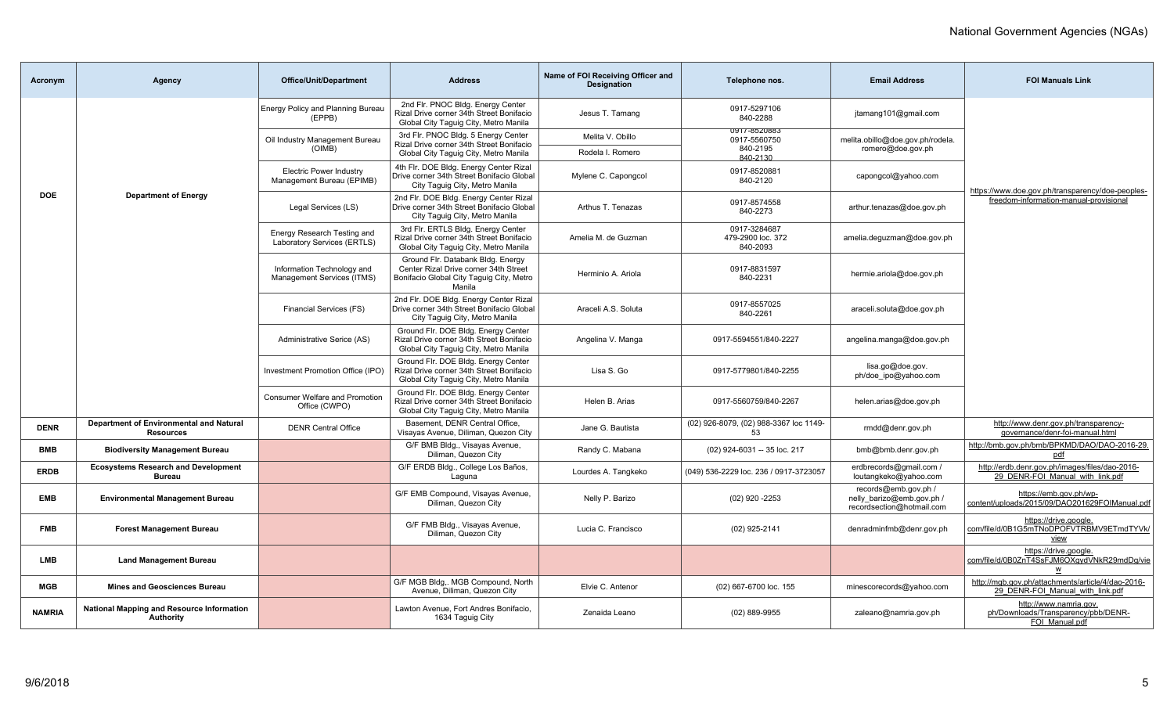| Acronym       | <b>Agency</b>                                                 | <b>Office/Unit/Department</b>                               | <b>Address</b>                                                                                                                   | Name of FOI Receiving Officer and<br><b>Designation</b> | Telephone nos.                                              | <b>Email Address</b>                                                           | <b>FOI Manuals Link</b>                                                                    |
|---------------|---------------------------------------------------------------|-------------------------------------------------------------|----------------------------------------------------------------------------------------------------------------------------------|---------------------------------------------------------|-------------------------------------------------------------|--------------------------------------------------------------------------------|--------------------------------------------------------------------------------------------|
|               |                                                               | <b>Energy Policy and Planning Bureau</b><br>(EPPB)          | 2nd Flr. PNOC Bldg. Energy Center<br>Rizal Drive corner 34th Street Bonifacio<br>Global City Taguig City, Metro Manila           | Jesus T. Tamang                                         | 0917-5297106<br>840-2288                                    | jtamang101@gmail.com                                                           |                                                                                            |
|               |                                                               | Oil Industry Management Bureau<br>(OIMB)                    | 3rd Flr. PNOC Bldg. 5 Energy Center<br>Rizal Drive corner 34th Street Bonifacio<br>Global City Taquiq City, Metro Manila         | Melita V. Obillo<br>Rodela I. Romero                    | <b>U917-8520883</b><br>0917-5560750<br>840-2195<br>840-2130 | melita.obillo@doe.gov.ph/rodela.<br>romero@doe.gov.ph                          |                                                                                            |
|               |                                                               | <b>Electric Power Industry</b><br>Management Bureau (EPIMB) | 4th Flr. DOE Bldg. Energy Center Rizal<br>Drive corner 34th Street Bonifacio Global<br>City Taguig City, Metro Manila            | Mylene C. Capongcol                                     | 0917-8520881<br>840-2120                                    | capongcol@yahoo.com                                                            |                                                                                            |
| <b>DOE</b>    | <b>Department of Energy</b>                                   | Legal Services (LS)                                         | 2nd Flr. DOE Bldg. Energy Center Rizal<br>Drive corner 34th Street Bonifacio Global<br>City Taquiq City, Metro Manila            | Arthus T. Tenazas                                       | 0917-8574558<br>840-2273                                    | arthur.tenazas@doe.gov.ph                                                      | https://www.doe.gov.ph/transparency/doe-peoples-<br>freedom-information-manual-provisional |
|               |                                                               | Energy Research Testing and<br>Laboratory Services (ERTLS)  | 3rd Flr. ERTLS Bldg. Energy Center<br>Rizal Drive corner 34th Street Bonifacio<br>Global City Taguig City, Metro Manila          | Amelia M. de Guzman                                     | 0917-3284687<br>479-2900 loc. 372<br>840-2093               | amelia.dequzman@doe.gov.ph                                                     |                                                                                            |
|               |                                                               | Information Technology and<br>Management Services (ITMS)    | Ground Flr. Databank Bldg. Energy<br>Center Rizal Drive corner 34th Street<br>Bonifacio Global City Taguig City, Metro<br>Manila | Herminio A. Ariola                                      | 0917-8831597<br>840-2231                                    | hermie.ariola@doe.gov.ph                                                       |                                                                                            |
|               |                                                               | Financial Services (FS)                                     | 2nd Flr. DOE Bldg. Energy Center Rizal<br>Drive corner 34th Street Bonifacio Global<br>City Taguig City, Metro Manila            | Araceli A.S. Soluta                                     | 0917-8557025<br>840-2261                                    | araceli.soluta@doe.gov.ph                                                      |                                                                                            |
|               |                                                               | Administrative Serice (AS)                                  | Ground Flr. DOE Bldg. Energy Center<br>Rizal Drive corner 34th Street Bonifacio<br>Global City Taguig City, Metro Manila         | Angelina V. Manga                                       | 0917-5594551/840-2227                                       | angelina.manga@doe.gov.ph                                                      |                                                                                            |
|               |                                                               | Investment Promotion Office (IPO)                           | Ground Flr. DOE Bldg. Energy Center<br>Rizal Drive corner 34th Street Bonifacio<br>Global City Taquiq City, Metro Manila         | Lisa S. Go                                              | 0917-5779801/840-2255                                       | lisa.go@doe.gov.<br>ph/doe ipo@yahoo.com                                       |                                                                                            |
|               |                                                               | <b>Consumer Welfare and Promotion</b><br>Office (CWPO)      | Ground Flr. DOE Bldg. Energy Center<br>Rizal Drive corner 34th Street Bonifacio<br>Global City Taquiq City, Metro Manila         | Helen B. Arias                                          | 0917-5560759/840-2267                                       | helen.arias@doe.gov.ph                                                         |                                                                                            |
| <b>DENR</b>   | Department of Environmental and Natural<br><b>Resources</b>   | <b>DENR Central Office</b>                                  | Basement, DENR Central Office,<br>Visayas Avenue, Diliman, Quezon City                                                           | Jane G. Bautista                                        | (02) 926-8079, (02) 988-3367 loc 1149-<br>53                | rmdd@denr.gov.ph                                                               | http://www.denr.gov.ph/transparency-<br>governance/denr-foi-manual.html                    |
| BMB           | <b>Biodiversity Management Bureau</b>                         |                                                             | G/F BMB Bldg., Visayas Avenue,<br>Diliman, Quezon City                                                                           | Randy C. Mabana                                         | (02) 924-6031 -- 35 loc. 217                                | bmb@bmb.denr.gov.ph                                                            | http://bmb.gov.ph/bmb/BPKMD/DAO/DAO-2016-29.<br>pdf                                        |
| <b>ERDB</b>   | <b>Ecosystems Research and Development</b><br><b>Bureau</b>   |                                                             | G/F ERDB Bldg., College Los Baños,<br>Laguna                                                                                     | Lourdes A. Tangkeko                                     | (049) 536-2229 loc. 236 / 0917-3723057                      | erdbrecords@gmail.com /<br>loutangkeko@yahoo.com                               | http://erdb.denr.gov.ph/images/files/dao-2016-<br>29 DENR-FOI Manual with link.pdf         |
| <b>EMB</b>    | <b>Environmental Management Bureau</b>                        |                                                             | G/F EMB Compound, Visayas Avenue,<br>Diliman, Quezon City                                                                        | Nelly P. Barizo                                         | (02) 920 -2253                                              | records@emb.gov.ph /<br>nelly barizo@emb.gov.ph /<br>recordsection@hotmail.com | https://emb.gov.ph/wp-<br>content/uploads/2015/09/DAO201629FOIManual.pdf                   |
| <b>FMB</b>    | <b>Forest Management Bureau</b>                               |                                                             | G/F FMB Bldg., Visayas Avenue,<br>Diliman, Quezon City                                                                           | Lucia C. Francisco                                      | (02) 925-2141                                               | denradminfmb@denr.gov.ph                                                       | https://drive.google.<br>com/file/d/0B1G5mTNoDPOFVTRBMV9ETmdTYVk/<br>view                  |
| <b>LMB</b>    | <b>Land Management Bureau</b>                                 |                                                             |                                                                                                                                  |                                                         |                                                             |                                                                                | https://drive.google.<br>com/file/d/0B0ZnT4SsFJM6OXgydVNkR29mdDg/vie<br>W                  |
| <b>MGB</b>    | <b>Mines and Geosciences Bureau</b>                           |                                                             | G/F MGB Bldg,. MGB Compound, North<br>Avenue, Diliman, Quezon City                                                               | Elvie C. Antenor                                        | (02) 667-6700 loc. 155                                      | minescorecords@yahoo.com                                                       | http://mgb.gov.ph/attachments/article/4/dao-2016-<br>29 DENR-FOI Manual with link.pdf      |
| <b>NAMRIA</b> | <b>National Mapping and Resource Information</b><br>Authority |                                                             | Lawton Avenue, Fort Andres Bonifacio,<br>1634 Taguig City                                                                        | Zenaida Leano                                           | $(02)$ 889-9955                                             | zaleano@namria.gov.ph                                                          | http://www.namria.gov.<br>ph/Downloads/Transparency/pbb/DENR-<br>FOI Manual.pdf            |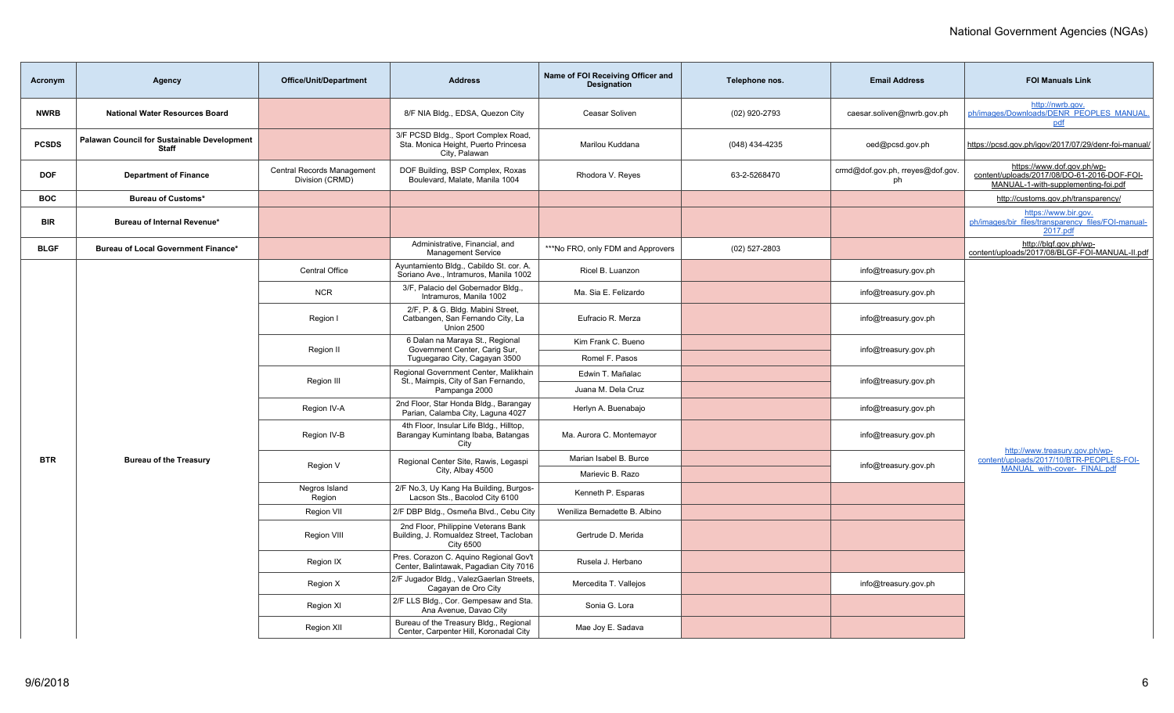| Acronym      | Agency                                                             | <b>Office/Unit/Department</b>                 | <b>Address</b>                                                                                     | Name of FOI Receiving Officer and<br>Designation | Telephone nos.  | <b>Email Address</b>                   | <b>FOI Manuals Link</b>                                                                                          |
|--------------|--------------------------------------------------------------------|-----------------------------------------------|----------------------------------------------------------------------------------------------------|--------------------------------------------------|-----------------|----------------------------------------|------------------------------------------------------------------------------------------------------------------|
| <b>NWRB</b>  | <b>National Water Resources Board</b>                              |                                               | 8/F NIA Bldg., EDSA, Quezon City                                                                   | Ceasar Soliven                                   | (02) 920-2793   | caesar.soliven@nwrb.gov.ph             | http://nwrb.gov.<br>ph/images/Downloads/DENR PEOPLES MANUAL<br>pdf                                               |
| <b>PCSDS</b> | <b>Palawan Council for Sustainable Development</b><br><b>Staff</b> |                                               | 3/F PCSD Bldg., Sport Complex Road,<br>Sta. Monica Height, Puerto Princesa<br>City, Palawan        | Marilou Kuddana                                  | (048) 434-4235  | oed@pcsd.gov.ph                        | https://pcsd.gov.ph/igov/2017/07/29/denr-foi-manual/                                                             |
| <b>DOF</b>   | <b>Department of Finance</b>                                       | Central Records Management<br>Division (CRMD) | DOF Building, BSP Complex, Roxas<br>Boulevard, Malate, Manila 1004                                 | Rhodora V. Reyes                                 | 63-2-5268470    | crmd@dof.gov.ph, rreyes@dof.gov.<br>ph | https://www.dof.gov.ph/wp-<br>content/uploads/2017/08/DO-61-2016-DOF-FOI-<br>MANUAL-1-with-supplementing-foi.pdf |
| <b>BOC</b>   | <b>Bureau of Customs*</b>                                          |                                               |                                                                                                    |                                                  |                 |                                        | http://customs.gov.ph/transparency/                                                                              |
| <b>BIR</b>   | Bureau of Internal Revenue*                                        |                                               |                                                                                                    |                                                  |                 |                                        | https://www.bir.gov.<br>ph/images/bir files/transparency files/FOI-manual-<br>2017.pdf                           |
| <b>BLGF</b>  | Bureau of Local Government Finance*                                |                                               | Administrative, Financial, and<br><b>Management Service</b>                                        | ***No FRO, only FDM and Approvers                | $(02)$ 527-2803 |                                        | http://blgf.gov.ph/wp-<br>content/uploads/2017/08/BLGF-FOI-MANUAL-II.pdf                                         |
|              |                                                                    | Central Office                                | Ayuntamiento Bldg., Cabildo St. cor. A.<br>Soriano Ave., Intramuros, Manila 1002                   | Ricel B. Luanzon                                 |                 | info@treasury.gov.ph                   |                                                                                                                  |
|              |                                                                    | <b>NCR</b>                                    | 3/F, Palacio del Gobernador Bldg.<br>Intramuros, Manila 1002                                       | Ma. Sia E. Felizardo                             |                 | info@treasury.gov.ph                   |                                                                                                                  |
|              |                                                                    | Region I                                      | 2/F, P. & G. Bldg. Mabini Street,<br>Catbangen, San Fernando City, La<br><b>Union 2500</b>         | Eufracio R. Merza                                |                 | info@treasury.gov.ph                   |                                                                                                                  |
|              |                                                                    | Region II                                     | 6 Dalan na Maraya St., Regional<br>Government Center, Carig Sur,                                   | Kim Frank C. Bueno                               |                 | info@treasury.gov.ph                   |                                                                                                                  |
|              |                                                                    |                                               | Tuguegarao City, Cagayan 3500                                                                      | Romel F. Pasos                                   |                 |                                        |                                                                                                                  |
|              |                                                                    | Region III                                    | Regional Government Center, Malikhain<br>St., Maimpis, City of San Fernando,                       | Edwin T. Mañalac                                 |                 | info@treasury.gov.ph                   |                                                                                                                  |
|              |                                                                    | Pampanga 2000                                 |                                                                                                    | Juana M. Dela Cruz                               |                 |                                        |                                                                                                                  |
|              |                                                                    | Region IV-A                                   | 2nd Floor, Star Honda Bldg., Barangay<br>Parian, Calamba City, Laguna 4027                         | Herlyn A. Buenabajo                              |                 | info@treasury.gov.ph                   |                                                                                                                  |
|              |                                                                    | Region IV-B                                   | 4th Floor, Insular Life Bldg., Hilltop,<br>Barangay Kumintang Ibaba, Batangas<br>City              | Ma. Aurora C. Montemayor                         |                 | info@treasury.gov.ph                   | http://www.treasury.gov.ph/wp-                                                                                   |
| <b>BTR</b>   | <b>Bureau of the Treasury</b>                                      | Region V                                      | Regional Center Site, Rawis, Legaspi                                                               | Marian Isabel B. Burce                           |                 | info@treasury.gov.ph                   | content/uploads/2017/10/BTR-PEOPLES-FOI-                                                                         |
|              |                                                                    |                                               | City, Albay 4500                                                                                   | Marievic B. Razo                                 |                 |                                        | MANUAL with-cover- FINAL.pdf                                                                                     |
|              |                                                                    | Negros Island<br>Region                       | 2/F No.3, Uy Kang Ha Building, Burgos-<br>Lacson Sts., Bacolod City 6100                           | Kenneth P. Esparas                               |                 |                                        |                                                                                                                  |
|              |                                                                    | Region VII                                    | 2/F DBP Bldg., Osmeña Blvd., Cebu City                                                             | Weniliza Bernadette B. Albino                    |                 |                                        |                                                                                                                  |
|              |                                                                    | Region VIII                                   | 2nd Floor, Philippine Veterans Bank<br>Building, J. Romualdez Street, Tacloban<br><b>City 6500</b> | Gertrude D. Merida                               |                 |                                        |                                                                                                                  |
|              |                                                                    | Region IX                                     | Pres. Corazon C. Aquino Regional Gov't<br>Center, Balintawak, Pagadian City 7016                   | Rusela J. Herbano                                |                 |                                        |                                                                                                                  |
|              |                                                                    | Region X                                      | 2/F Jugador Bldg., ValezGaerlan Streets,<br>Cagayan de Oro City                                    | Mercedita T. Vallejos                            |                 | info@treasury.gov.ph                   |                                                                                                                  |
|              |                                                                    | Region XI                                     | 2/F LLS Bldg., Cor. Gempesaw and Sta.<br>Ana Avenue, Davao City                                    | Sonia G. Lora                                    |                 |                                        |                                                                                                                  |
|              |                                                                    | <b>Region XII</b>                             | Bureau of the Treasury Bldg., Regional<br>Center, Carpenter Hill, Koronadal City                   | Mae Joy E. Sadava                                |                 |                                        |                                                                                                                  |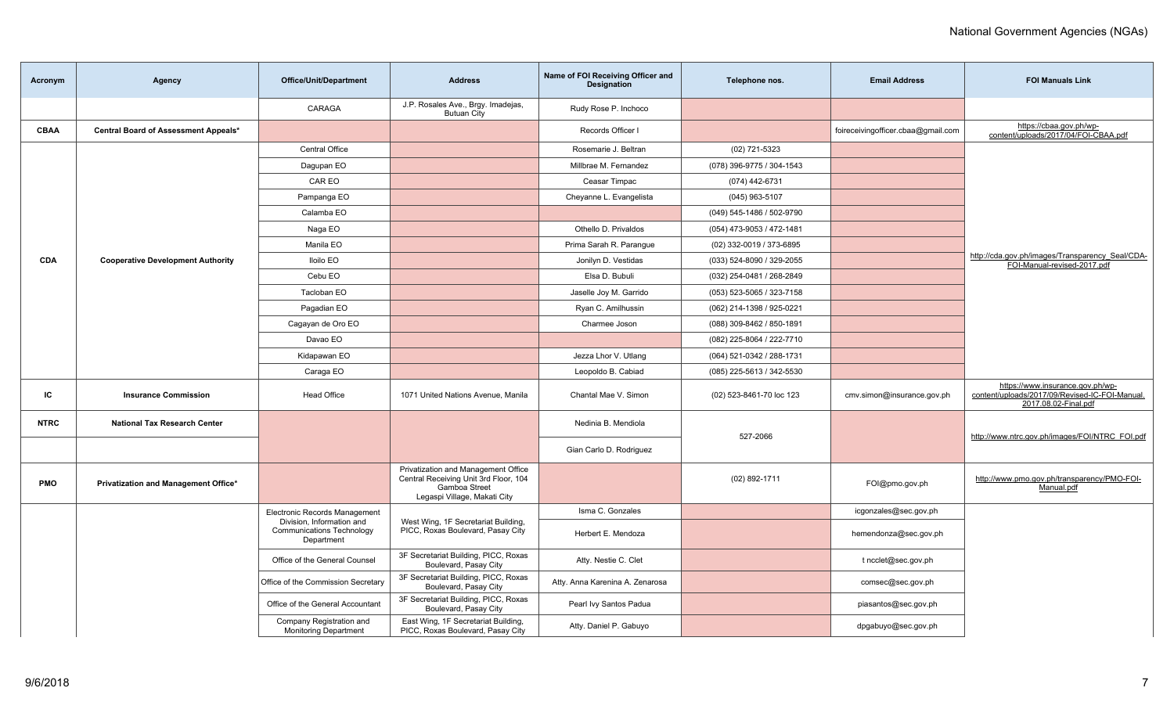| Acronym     | Agency                                   | <b>Office/Unit/Department</b>                                               | <b>Address</b>                                                                                                                | Name of FOI Receiving Officer and<br>Designation | Telephone nos.            | <b>Email Address</b>               | <b>FOI Manuals Link</b>                                                                                    |
|-------------|------------------------------------------|-----------------------------------------------------------------------------|-------------------------------------------------------------------------------------------------------------------------------|--------------------------------------------------|---------------------------|------------------------------------|------------------------------------------------------------------------------------------------------------|
|             |                                          | CARAGA                                                                      | J.P. Rosales Ave., Brgy. Imadejas,<br><b>Butuan City</b>                                                                      | Rudy Rose P. Inchoco                             |                           |                                    |                                                                                                            |
| CBAA        | Central Board of Assessment Appeals*     |                                                                             |                                                                                                                               | Records Officer I                                |                           | foireceivingofficer.cbaa@gmail.com | https://cbaa.gov.ph/wp-<br>content/uploads/2017/04/FOI-CBAA.pdf                                            |
|             |                                          | <b>Central Office</b>                                                       |                                                                                                                               | Rosemarie J. Beltran                             | (02) 721-5323             |                                    |                                                                                                            |
|             |                                          | Dagupan EO                                                                  |                                                                                                                               | Millbrae M. Fernandez                            | (078) 396-9775 / 304-1543 |                                    |                                                                                                            |
|             |                                          | CAR EO                                                                      |                                                                                                                               | Ceasar Timpac                                    | (074) 442-6731            |                                    |                                                                                                            |
|             |                                          | Pampanga EO                                                                 |                                                                                                                               | Cheyanne L. Evangelista                          | $(045)$ 963-5107          |                                    |                                                                                                            |
|             |                                          | Calamba EO                                                                  |                                                                                                                               |                                                  | (049) 545-1486 / 502-9790 |                                    |                                                                                                            |
|             |                                          | Naga EO                                                                     |                                                                                                                               | Othello D. Privaldos                             | (054) 473-9053 / 472-1481 |                                    |                                                                                                            |
|             |                                          | Manila EO                                                                   |                                                                                                                               | Prima Sarah R. Parangue                          | (02) 332-0019 / 373-6895  |                                    |                                                                                                            |
| <b>CDA</b>  | <b>Cooperative Development Authority</b> | <b>Iloilo EO</b>                                                            |                                                                                                                               | Jonilyn D. Vestidas                              | (033) 524-8090 / 329-2055 |                                    | http://cda.gov.ph/images/Transparency_Seal/CDA-<br>FOI-Manual-revised-2017.pdf                             |
|             |                                          | Cebu EO                                                                     |                                                                                                                               | Elsa D. Bubuli                                   | (032) 254-0481 / 268-2849 |                                    |                                                                                                            |
|             |                                          | Tacloban EO                                                                 |                                                                                                                               | Jaselle Joy M. Garrido                           | (053) 523-5065 / 323-7158 |                                    |                                                                                                            |
|             |                                          | Pagadian EO                                                                 |                                                                                                                               | Ryan C. Amilhussin                               | (062) 214-1398 / 925-0221 |                                    |                                                                                                            |
|             |                                          | Cagayan de Oro EO                                                           |                                                                                                                               | Charmee Joson                                    | (088) 309-8462 / 850-1891 |                                    |                                                                                                            |
|             |                                          | Davao EO                                                                    |                                                                                                                               |                                                  | (082) 225-8064 / 222-7710 |                                    |                                                                                                            |
|             |                                          | Kidapawan EO                                                                |                                                                                                                               | Jezza Lhor V. Utlang                             | (064) 521-0342 / 288-1731 |                                    |                                                                                                            |
|             |                                          | Caraga EO                                                                   |                                                                                                                               | Leopoldo B. Cabiad                               | (085) 225-5613 / 342-5530 |                                    |                                                                                                            |
| IC          | <b>Insurance Commission</b>              | <b>Head Office</b>                                                          | 1071 United Nations Avenue, Manila                                                                                            | Chantal Mae V. Simon                             | (02) 523-8461-70 loc 123  | cmv.simon@insurance.gov.ph         | https://www.insurance.gov.ph/wp-<br>content/uploads/2017/09/Revised-IC-FOI-Manual.<br>2017.08.02-Final.pdf |
| <b>NTRC</b> | National Tax Research Center             |                                                                             |                                                                                                                               | Nedinia B. Mendiola                              | 527-2066                  |                                    | http://www.ntrc.gov.ph/images/FOI/NTRC_FOI.pdf                                                             |
|             |                                          |                                                                             |                                                                                                                               | Gian Carlo D. Rodriguez                          |                           |                                    |                                                                                                            |
| <b>PMO</b>  | Privatization and Management Office*     |                                                                             | Privatization and Management Office<br>Central Receiving Unit 3rd Floor, 104<br>Gamboa Street<br>Legaspi Village, Makati City |                                                  | $(02)$ 892-1711           | FOI@pmo.gov.ph                     | http://www.pmo.gov.ph/transparency/PMO-FOI-<br>Manual.pdf                                                  |
|             |                                          | Electronic Records Management                                               |                                                                                                                               | Isma C. Gonzales                                 |                           | icgonzales@sec.gov.ph              |                                                                                                            |
|             |                                          | Division, Information and<br><b>Communications Technology</b><br>Department | West Wing, 1F Secretariat Building,<br>PICC, Roxas Boulevard, Pasay City                                                      | Herbert E. Mendoza                               |                           | hemendonza@sec.gov.ph              |                                                                                                            |
|             |                                          | Office of the General Counsel                                               | 3F Secretariat Building, PICC, Roxas<br>Boulevard, Pasay City                                                                 | Atty. Nestie C. Clet                             |                           | t ncclet@sec.gov.ph                |                                                                                                            |
|             |                                          | Office of the Commission Secretary                                          | 3F Secretariat Building, PICC, Roxas<br>Boulevard, Pasay City                                                                 | Atty. Anna Karenina A. Zenarosa                  |                           | comsec@sec.gov.ph                  |                                                                                                            |
|             |                                          | Office of the General Accountant                                            | 3F Secretariat Building, PICC, Roxas<br>Boulevard, Pasay City                                                                 | Pearl Ivy Santos Padua                           |                           | piasantos@sec.gov.ph               |                                                                                                            |
|             |                                          | Company Registration and<br><b>Monitoring Department</b>                    | East Wing, 1F Secretariat Building,<br>PICC, Roxas Boulevard, Pasay City                                                      | Atty. Daniel P. Gabuyo                           |                           | dpgabuyo@sec.gov.ph                |                                                                                                            |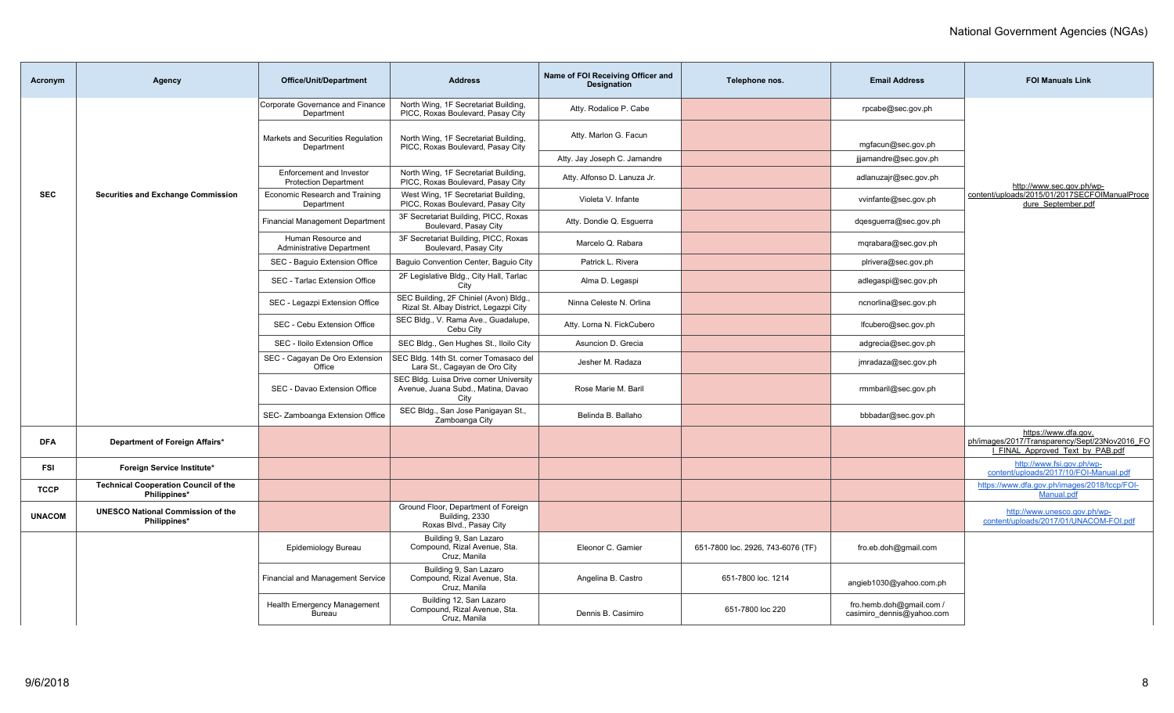| Acronym       | Agency                                                      | <b>Office/Unit/Department</b>                            | <b>Address</b>                                                                        | Name of FOI Receiving Officer and<br><b>Designation</b> | Telephone nos.                    | <b>Email Address</b>                                  | <b>FOI Manuals Link</b>                                                                                   |
|---------------|-------------------------------------------------------------|----------------------------------------------------------|---------------------------------------------------------------------------------------|---------------------------------------------------------|-----------------------------------|-------------------------------------------------------|-----------------------------------------------------------------------------------------------------------|
|               |                                                             | Corporate Governance and Finance<br>Department           | North Wing, 1F Secretariat Building,<br>PICC, Roxas Boulevard, Pasay City             | Atty. Rodalice P. Cabe                                  |                                   | rpcabe@sec.gov.ph                                     |                                                                                                           |
|               |                                                             | Markets and Securities Regulation<br>Department          | North Wing, 1F Secretariat Building,<br>PICC, Roxas Boulevard, Pasay City             | Atty. Marlon G. Facun                                   |                                   | mgfacun@sec.gov.ph                                    |                                                                                                           |
|               |                                                             |                                                          |                                                                                       | Atty. Jay Joseph C. Jamandre                            |                                   | jijamandre@sec.gov.ph                                 |                                                                                                           |
|               |                                                             | Enforcement and Investor<br><b>Protection Department</b> | North Wing, 1F Secretariat Building,<br>PICC, Roxas Boulevard, Pasay City             | Atty. Alfonso D. Lanuza Jr.                             |                                   | adlanuzajr@sec.gov.ph                                 | http://www.sec.gov.ph/wp-                                                                                 |
| <b>SEC</b>    | <b>Securities and Exchange Commission</b>                   | Economic Research and Training<br>Department             | West Wing, 1F Secretariat Building,<br>PICC, Roxas Boulevard, Pasay City              | Violeta V. Infante                                      |                                   | vvinfante@sec.gov.ph                                  | content/uploads/2015/01/2017SECFOIManualProce<br>dure September.pdf                                       |
|               |                                                             | <b>Financial Management Department</b>                   | 3F Secretariat Building, PICC, Roxas<br>Boulevard, Pasay City                         | Atty. Dondie Q. Esguerra                                |                                   | dgesguerra@sec.gov.ph                                 |                                                                                                           |
|               |                                                             | Human Resource and<br><b>Administrative Department</b>   | 3F Secretariat Building, PICC, Roxas<br>Boulevard, Pasay City                         | Marcelo Q. Rabara                                       |                                   | mqrabara@sec.gov.ph                                   |                                                                                                           |
|               |                                                             | SEC - Baguio Extension Office                            | Baguio Convention Center, Baguio City                                                 | Patrick L. Rivera                                       |                                   | plrivera@sec.gov.ph                                   |                                                                                                           |
|               |                                                             | SEC - Tarlac Extension Office                            | 2F Legislative Bldg., City Hall, Tarlac<br>City                                       | Alma D. Legaspi                                         |                                   | adlegaspi@sec.gov.ph                                  |                                                                                                           |
|               |                                                             | SEC - Legazpi Extension Office                           | SEC Building, 2F Chiniel (Avon) Bldg.,<br>Rizal St. Albay District, Legazpi City      | Ninna Celeste N. Orlina                                 |                                   | ncnorlina@sec.gov.ph                                  |                                                                                                           |
|               |                                                             | SEC - Cebu Extension Office                              | SEC Bldg., V. Rama Ave., Guadalupe,<br>Cebu City                                      | Atty. Lorna N. FickCubero                               |                                   | lfcubero@sec.gov.ph                                   |                                                                                                           |
|               |                                                             | SEC - Iloilo Extension Office                            | SEC Bldg., Gen Hughes St., Iloilo City                                                | Asuncion D. Grecia                                      |                                   | adgrecia@sec.gov.ph                                   |                                                                                                           |
|               |                                                             | SEC - Cagayan De Oro Extension<br>Office                 | SEC Bldg. 14th St. corner Tomasaco del<br>Lara St., Cagayan de Oro City               | Jesher M. Radaza                                        |                                   | jmradaza@sec.gov.ph                                   |                                                                                                           |
|               |                                                             | SEC - Davao Extension Office                             | SEC Bldg. Luisa Drive corner University<br>Avenue, Juana Subd., Matina, Davao<br>City | Rose Marie M. Baril                                     |                                   | rmmbaril@sec.gov.ph                                   |                                                                                                           |
|               |                                                             | SEC- Zamboanga Extension Office                          | SEC Bldg., San Jose Panigayan St.,<br>Zamboanga City                                  | Belinda B. Ballaho                                      |                                   | bbbadar@sec.gov.ph                                    |                                                                                                           |
| <b>DFA</b>    | Department of Foreign Affairs*                              |                                                          |                                                                                       |                                                         |                                   |                                                       | https://www.dfa.gov.<br>ph/images/2017/Transparency/Sept/23Nov2016_FO<br>I FINAL Approved Text by PAB.pdf |
| <b>FSI</b>    | Foreign Service Institute*                                  |                                                          |                                                                                       |                                                         |                                   |                                                       | http://www.fsi.gov.ph/wp-<br>content/uploads/2017/10/FOI-Manual.pdf                                       |
| <b>TCCP</b>   | <b>Technical Cooperation Council of the</b><br>Philippines* |                                                          |                                                                                       |                                                         |                                   |                                                       | https://www.dfa.gov.ph/images/2018/tccp/FOI-<br>Manual.pdf                                                |
| <b>UNACOM</b> | <b>UNESCO National Commission of the</b><br>Philippines*    |                                                          | Ground Floor, Department of Foreign<br>Building, 2330<br>Roxas Blvd., Pasay City      |                                                         |                                   |                                                       | http://www.unesco.gov.ph/wp-<br>content/uploads/2017/01/UNACOM-FOI.pdf                                    |
|               |                                                             | Epidemiology Bureau                                      | Building 9, San Lazaro<br>Compound, Rizal Avenue, Sta.<br>Cruz, Manila                | Eleonor C. Gamier                                       | 651-7800 loc. 2926, 743-6076 (TF) | fro.eb.doh@gmail.com                                  |                                                                                                           |
|               |                                                             | <b>Financial and Management Service</b>                  | Building 9, San Lazaro<br>Compound, Rizal Avenue, Sta.<br>Cruz, Manila                | Angelina B. Castro                                      | 651-7800 loc. 1214                | angieb1030@yahoo.com.ph                               |                                                                                                           |
|               |                                                             | <b>Health Emergency Management</b><br>Bureau             | Building 12, San Lazaro<br>Compound, Rizal Avenue, Sta.<br>Cruz, Manila               | Dennis B. Casimiro                                      | 651-7800 loc 220                  | fro.hemb.doh@gmail.com /<br>casimiro dennis@yahoo.com |                                                                                                           |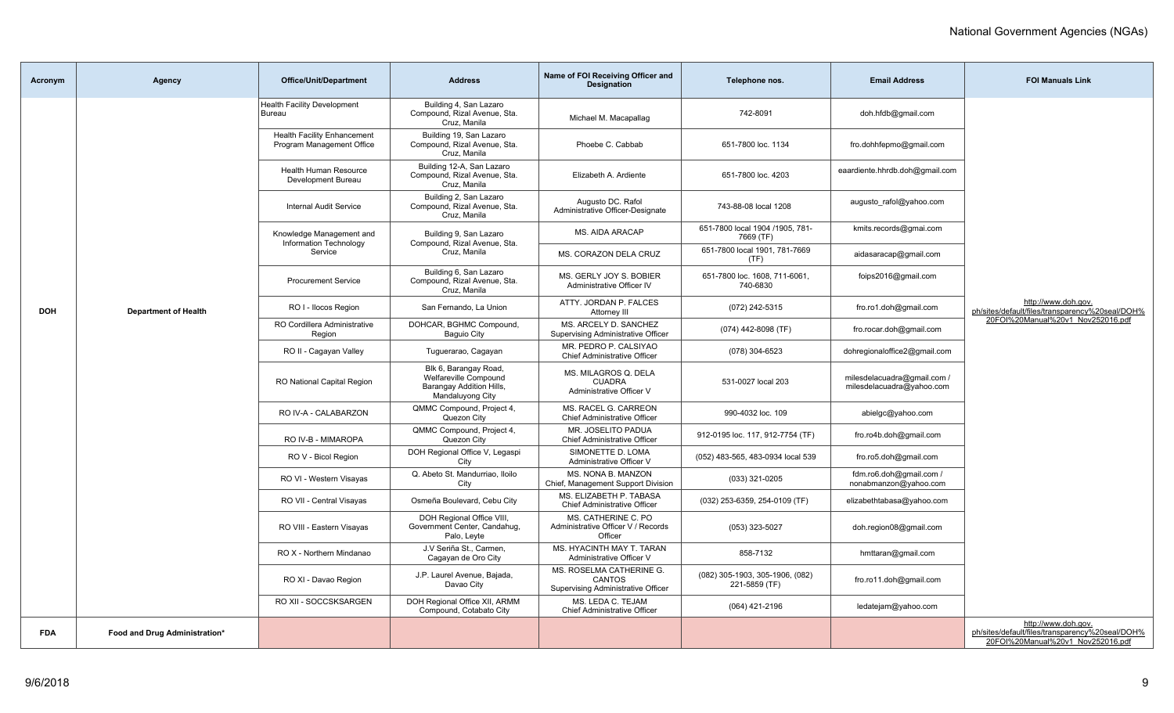| Acronym    | <b>Agency</b>                 | <b>Office/Unit/Department</b>                                   | <b>Address</b>                                                                                 | Name of FOI Receiving Officer and<br><b>Designation</b>                  | Telephone nos.                                   | <b>Email Address</b>                                     | <b>FOI Manuals Link</b>                                                                                     |
|------------|-------------------------------|-----------------------------------------------------------------|------------------------------------------------------------------------------------------------|--------------------------------------------------------------------------|--------------------------------------------------|----------------------------------------------------------|-------------------------------------------------------------------------------------------------------------|
|            |                               | <b>Health Facility Development</b><br>Bureau                    | Building 4, San Lazaro<br>Compound, Rizal Avenue, Sta.<br>Cruz, Manila                         | Michael M. Macapallag                                                    | 742-8091                                         | doh.hfdb@gmail.com                                       |                                                                                                             |
|            |                               | <b>Health Facility Enhancement</b><br>Program Management Office | Building 19, San Lazaro<br>Compound, Rizal Avenue, Sta.<br>Cruz, Manila                        | Phoebe C. Cabbab                                                         | 651-7800 loc. 1134                               | fro.dohhfepmo@gmail.com                                  |                                                                                                             |
|            |                               | <b>Health Human Resource</b><br>Development Bureau              | Building 12-A, San Lazaro<br>Compound, Rizal Avenue, Sta.<br>Cruz, Manila                      | Elizabeth A. Ardiente                                                    | 651-7800 loc. 4203                               | eaardiente.hhrdb.doh@gmail.com                           |                                                                                                             |
|            |                               | <b>Internal Audit Service</b>                                   | Building 2, San Lazaro<br>Compound, Rizal Avenue, Sta.<br>Cruz, Manila                         | Augusto DC. Rafol<br>Administrative Officer-Designate                    | 743-88-08 local 1208                             | augusto rafol@yahoo.com                                  |                                                                                                             |
|            |                               | Knowledge Management and<br>Information Technology              | Building 9, San Lazaro<br>Compound, Rizal Avenue, Sta.                                         | MS. AIDA ARACAP                                                          | 651-7800 local 1904 /1905, 781-<br>7669 (TF)     | kmits.records@gmai.com                                   |                                                                                                             |
|            |                               | Service                                                         | Cruz. Manila                                                                                   | MS. CORAZON DELA CRUZ                                                    | 651-7800 local 1901, 781-7669<br>(TF)            | aidasaracap@gmail.com                                    |                                                                                                             |
|            |                               | <b>Procurement Service</b>                                      | Building 6, San Lazaro<br>Compound, Rizal Avenue, Sta.<br>Cruz. Manila                         | MS. GERLY JOY S. BOBIER<br>Administrative Officer IV                     | 651-7800 loc. 1608, 711-6061,<br>740-6830        | foips2016@gmail.com                                      |                                                                                                             |
| <b>DOH</b> | <b>Department of Health</b>   | RO I - Ilocos Region                                            | San Fernando, La Union                                                                         | ATTY, JORDAN P. FALCES<br>Attorney III                                   | (072) 242-5315                                   | fro.ro1.doh@gmail.com                                    | http://www.doh.gov.<br>ph/sites/default/files/transparency%20seal/DOH%                                      |
|            |                               | RO Cordillera Administrative<br>Region                          | DOHCAR, BGHMC Compound,<br><b>Baguio City</b>                                                  | MS. ARCELY D. SANCHEZ<br>Supervising Administrative Officer              | (074) 442-8098 (TF)                              | fro.rocar.doh@gmail.com                                  | 20FOI%20Manual%20v1_Nov252016.pdf                                                                           |
|            |                               | RO II - Cagayan Valley                                          | Tuguerarao, Cagayan                                                                            | MR. PEDRO P. CALSIYAO<br>Chief Administrative Officer                    | (078) 304-6523                                   | dohregionaloffice2@gmail.com                             |                                                                                                             |
|            |                               | <b>RO National Capital Region</b>                               | Blk 6, Barangay Road,<br>Welfareville Compound<br>Barangay Addition Hills,<br>Mandaluyong City | MS. MILAGROS Q. DELA<br><b>CUADRA</b><br>Administrative Officer V        | 531-0027 local 203                               | milesdelacuadra@gmail.com /<br>milesdelacuadra@yahoo.com |                                                                                                             |
|            |                               | RO IV-A - CALABARZON                                            | QMMC Compound, Project 4,<br>Quezon City                                                       | MS. RACEL G. CARREON<br>Chief Administrative Officer                     | 990-4032 loc. 109                                | abielgc@yahoo.com                                        |                                                                                                             |
|            |                               | RO IV-B - MIMAROPA                                              | QMMC Compound, Project 4,<br>Quezon City                                                       | MR. JOSELITO PADUA<br>Chief Administrative Officer                       | 912-0195 loc. 117, 912-7754 (TF)                 | fro.ro4b.doh@gmail.com                                   |                                                                                                             |
|            |                               | RO V - Bicol Region                                             | DOH Regional Office V, Legaspi<br>City                                                         | SIMONETTE D. LOMA<br>Administrative Officer V                            | (052) 483-565, 483-0934 local 539                | fro.ro5.doh@gmail.com                                    |                                                                                                             |
|            |                               | RO VI - Western Visayas                                         | Q. Abeto St. Mandurriao, Iloilo<br>City                                                        | MS. NONA B. MANZON<br>Chief, Management Support Division                 | (033) 321-0205                                   | fdm.ro6.doh@gmail.com /<br>nonabmanzon@yahoo.com         |                                                                                                             |
|            |                               | RO VII - Central Visayas                                        | Osmeña Boulevard, Cebu City                                                                    | MS. ELIZABETH P. TABASA<br><b>Chief Administrative Officer</b>           | (032) 253-6359, 254-0109 (TF)                    | elizabethtabasa@yahoo.com                                |                                                                                                             |
|            |                               | RO VIII - Eastern Visayas                                       | DOH Regional Office VIII,<br>Government Center, Candahug,<br>Palo, Leyte                       | MS. CATHERINE C. PO<br>Administrative Officer V / Records<br>Officer     | (053) 323-5027                                   | doh.region08@gmail.com                                   |                                                                                                             |
|            |                               | RO X - Northern Mindanao                                        | J.V Seriña St., Carmen,<br>Cagayan de Oro City                                                 | MS. HYACINTH MAY T. TARAN<br>Administrative Officer V                    | 858-7132                                         | hmttaran@gmail.com                                       |                                                                                                             |
|            |                               | RO XI - Davao Region                                            | J.P. Laurel Avenue, Bajada,<br>Davao City                                                      | MS. ROSELMA CATHERINE G.<br>CANTOS<br>Supervising Administrative Officer | (082) 305-1903, 305-1906, (082)<br>221-5859 (TF) | fro.ro11.doh@gmail.com                                   |                                                                                                             |
|            |                               | RO XII - SOCCSKSARGEN                                           | DOH Regional Office XII, ARMM<br>Compound, Cotabato City                                       | MS. LEDA C. TEJAM<br>Chief Administrative Officer                        | (064) 421-2196                                   | ledatejam@yahoo.com                                      |                                                                                                             |
| <b>FDA</b> | Food and Drug Administration* |                                                                 |                                                                                                |                                                                          |                                                  |                                                          | http://www.doh.gov.<br>ph/sites/default/files/transparency%20seal/DOH%<br>20FOI%20Manual%20v1_Nov252016.pdf |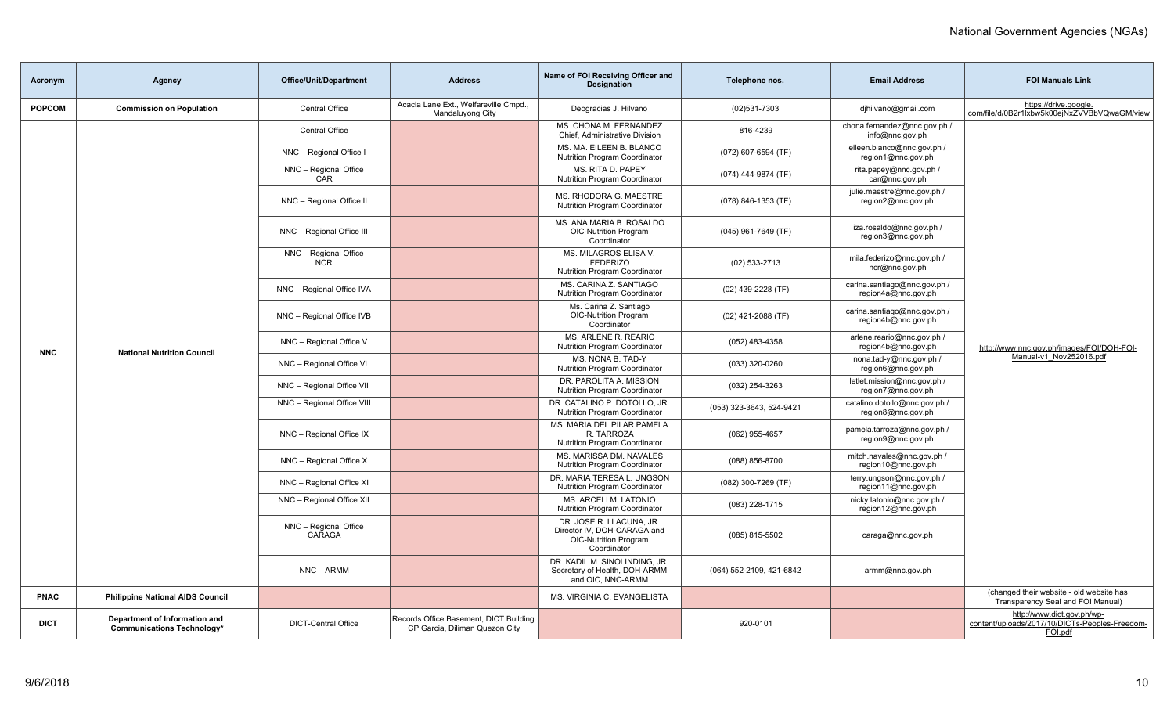| Acronym       | Agency                                                             | <b>Office/Unit/Department</b>       | <b>Address</b>                                                           | Name of FOI Receiving Officer and<br><b>Designation</b>                                                | Telephone nos.           | <b>Email Address</b>                                | <b>FOI Manuals Link</b>                                                                 |
|---------------|--------------------------------------------------------------------|-------------------------------------|--------------------------------------------------------------------------|--------------------------------------------------------------------------------------------------------|--------------------------|-----------------------------------------------------|-----------------------------------------------------------------------------------------|
| <b>POPCOM</b> | <b>Commission on Population</b>                                    | Central Office                      | Acacia Lane Ext., Welfareville Cmpd.,<br>Mandaluyong City                | Deogracias J. Hilvano                                                                                  | $(02)531 - 7303$         | djhilvano@gmail.com                                 | https://drive.google.<br>com/file/d/0B2r1Ixbw5k00ejNxZVVBbVQwaGM/view                   |
|               |                                                                    | <b>Central Office</b>               |                                                                          | MS. CHONA M. FERNANDEZ<br>Chief, Administrative Division                                               | 816-4239                 | chona.fernandez@nnc.gov.ph /<br>info@nnc.gov.ph     |                                                                                         |
|               |                                                                    | NNC - Regional Office I             |                                                                          | MS. MA. EILEEN B. BLANCO<br><b>Nutrition Program Coordinator</b>                                       | (072) 607-6594 (TF)      | eileen.blanco@nnc.gov.ph /<br>region1@nnc.gov.ph    |                                                                                         |
|               |                                                                    | NNC - Regional Office<br>CAR        |                                                                          | MS. RITA D. PAPEY<br><b>Nutrition Program Coordinator</b>                                              | (074) 444-9874 (TF)      | rita.papey@nnc.gov.ph /<br>car@nnc.gov.ph           |                                                                                         |
|               |                                                                    | NNC - Regional Office II            |                                                                          | MS. RHODORA G. MAESTRE<br><b>Nutrition Program Coordinator</b>                                         | (078) 846-1353 (TF)      | julie.maestre@nnc.gov.ph /<br>region2@nnc.gov.ph    |                                                                                         |
|               |                                                                    | NNC - Regional Office III           |                                                                          | MS. ANA MARIA B. ROSALDO<br><b>OIC-Nutrition Program</b><br>Coordinator                                | $(045)$ 961-7649 (TF)    | iza.rosaldo@nnc.gov.ph /<br>region3@nnc.gov.ph      |                                                                                         |
|               |                                                                    | NNC - Regional Office<br><b>NCR</b> |                                                                          | MS. MILAGROS ELISA V.<br><b>FEDERIZO</b><br><b>Nutrition Program Coordinator</b>                       | (02) 533-2713            | mila.federizo@nnc.gov.ph /<br>ncr@nnc.gov.ph        |                                                                                         |
|               |                                                                    | NNC - Regional Office IVA           |                                                                          | MS. CARINA Z. SANTIAGO<br><b>Nutrition Program Coordinator</b>                                         | (02) 439-2228 (TF)       | carina.santiago@nnc.gov.ph /<br>region4a@nnc.gov.ph |                                                                                         |
|               | <b>National Nutrition Council</b>                                  | NNC - Regional Office IVB           |                                                                          | Ms. Carina Z. Santiago<br>OIC-Nutrition Program<br>Coordinator                                         | $(02)$ 421-2088 (TF)     | carina.santiago@nnc.gov.ph /<br>region4b@nnc.gov.ph |                                                                                         |
| <b>NNC</b>    |                                                                    | NNC - Regional Office V             |                                                                          | MS. ARLENE R. REARIO<br><b>Nutrition Program Coordinator</b>                                           | (052) 483-4358           | arlene.reario@nnc.gov.ph /<br>region4b@nnc.gov.ph   | http://www.nnc.gov.ph/images/FOI/DOH-FOI-                                               |
|               |                                                                    | NNC - Regional Office VI            |                                                                          | MS. NONA B. TAD-Y<br><b>Nutrition Program Coordinator</b>                                              | (033) 320-0260           | nona.tad-y@nnc.gov.ph /<br>region6@nnc.gov.ph       | Manual-v1 Nov252016.pdf                                                                 |
|               |                                                                    | NNC - Regional Office VII           |                                                                          | DR. PAROLITA A. MISSION<br><b>Nutrition Program Coordinator</b>                                        | (032) 254-3263           | letlet.mission@nnc.gov.ph /<br>region7@nnc.gov.ph   |                                                                                         |
|               |                                                                    | NNC - Regional Office VIII          |                                                                          | DR. CATALINO P. DOTOLLO, JR.<br>Nutrition Program Coordinator                                          | (053) 323-3643, 524-9421 | catalino.dotollo@nnc.gov.ph /<br>region8@nnc.gov.ph |                                                                                         |
|               |                                                                    | NNC - Regional Office IX            |                                                                          | MS. MARIA DEL PILAR PAMELA<br>R. TARROZA<br><b>Nutrition Program Coordinator</b>                       | (062) 955-4657           | pamela.tarroza@nnc.gov.ph /<br>region9@nnc.gov.ph   |                                                                                         |
|               |                                                                    | NNC - Regional Office X             |                                                                          | MS. MARISSA DM. NAVALES<br>Nutrition Program Coordinator                                               | (088) 856-8700           | mitch.navales@nnc.gov.ph /<br>region10@nnc.gov.ph   |                                                                                         |
|               |                                                                    | NNC - Regional Office XI            |                                                                          | DR. MARIA TERESA L. UNGSON<br><b>Nutrition Program Coordinator</b>                                     | (082) 300-7269 (TF)      | terry.ungson@nnc.gov.ph /<br>region11@nnc.gov.ph    |                                                                                         |
|               |                                                                    | NNC - Regional Office XII           |                                                                          | MS. ARCELI M. LATONIO<br>Nutrition Program Coordinator                                                 | (083) 228-1715           | nicky.latonio@nnc.gov.ph /<br>region12@nnc.gov.ph   |                                                                                         |
|               |                                                                    | NNC - Regional Office<br>CARAGA     |                                                                          | DR. JOSE R. LLACUNA. JR.<br>Director IV, DOH-CARAGA and<br><b>OIC-Nutrition Program</b><br>Coordinator | (085) 815-5502           | caraga@nnc.gov.ph                                   |                                                                                         |
|               |                                                                    | NNC - ARMM                          |                                                                          | DR. KADIL M. SINOLINDING, JR.<br>Secretary of Health, DOH-ARMM<br>and OIC, NNC-ARMM                    | (064) 552-2109, 421-6842 | armm@nnc.gov.ph                                     |                                                                                         |
| <b>PNAC</b>   | <b>Philippine National AIDS Council</b>                            |                                     |                                                                          | MS. VIRGINIA C. EVANGELISTA                                                                            |                          |                                                     | (changed their website - old website has<br>Transparency Seal and FOI Manual)           |
| <b>DICT</b>   | Department of Information and<br><b>Communications Technology*</b> | <b>DICT-Central Office</b>          | Records Office Basement, DICT Building<br>CP Garcia, Diliman Quezon City |                                                                                                        | 920-0101                 |                                                     | http://www.dict.gov.ph/wp-<br>content/uploads/2017/10/DICTs-Peoples-Freedom-<br>FOI.pdf |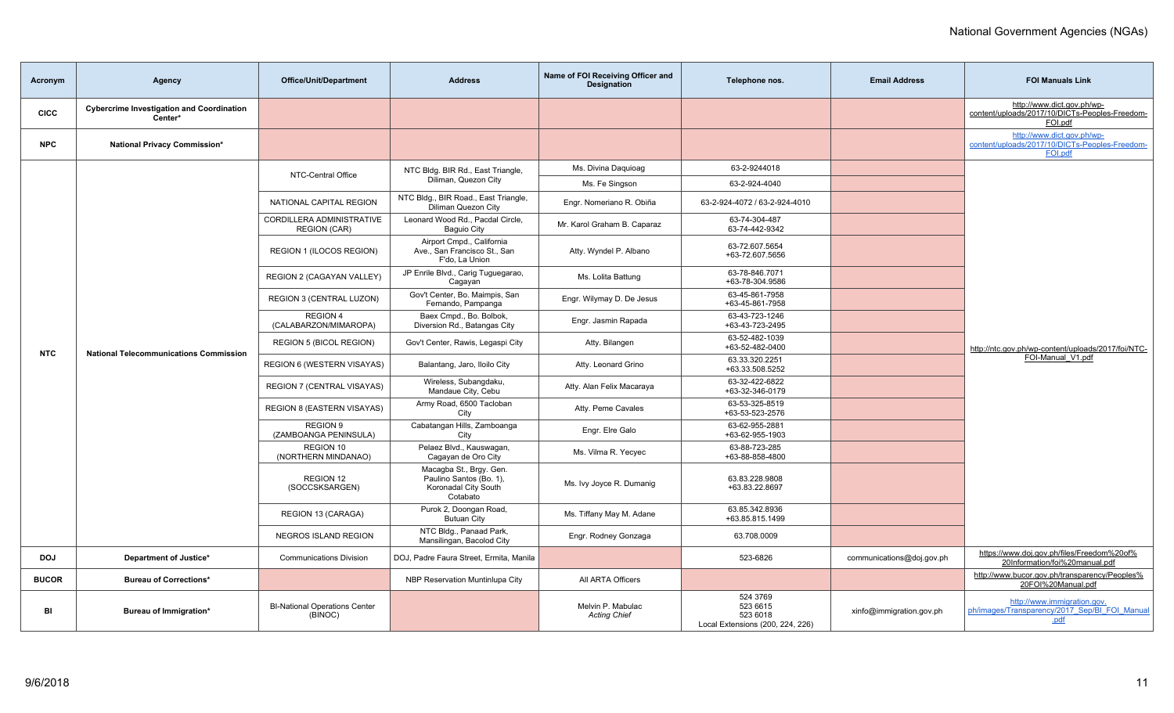| Acronym      | Agency                                                      | Office/Unit/Department                           | <b>Address</b>                                                                         | Name of FOI Receiving Officer and<br><b>Designation</b> | Telephone nos.                                                       | <b>Email Address</b>      | <b>FOI Manuals Link</b>                                                                 |
|--------------|-------------------------------------------------------------|--------------------------------------------------|----------------------------------------------------------------------------------------|---------------------------------------------------------|----------------------------------------------------------------------|---------------------------|-----------------------------------------------------------------------------------------|
| <b>CICC</b>  | <b>Cybercrime Investigation and Coordination</b><br>Center* |                                                  |                                                                                        |                                                         |                                                                      |                           | http://www.dict.gov.ph/wp-<br>content/uploads/2017/10/DICTs-Peoples-Freedom-<br>FOI.pdf |
| <b>NPC</b>   | National Privacy Commission*                                |                                                  |                                                                                        |                                                         |                                                                      |                           | http://www.dict.gov.ph/wp-<br>content/uploads/2017/10/DICTs-Peoples-Freedom-<br>FOI.pdf |
|              |                                                             | NTC-Central Office                               | NTC Bldg. BIR Rd., East Triangle,                                                      | Ms. Divina Daguioag                                     | 63-2-9244018                                                         |                           |                                                                                         |
|              |                                                             |                                                  | Diliman, Quezon City                                                                   | Ms. Fe Singson                                          | 63-2-924-4040                                                        |                           |                                                                                         |
|              |                                                             | NATIONAL CAPITAL REGION                          | NTC Bldg., BIR Road., East Triangle,<br>Diliman Quezon City                            | Engr. Nomeriano R. Obiña                                | 63-2-924-4072 / 63-2-924-4010                                        |                           |                                                                                         |
|              |                                                             | CORDILLERA ADMINISTRATIVE<br><b>REGION (CAR)</b> | Leonard Wood Rd., Pacdal Circle,<br><b>Baguio City</b>                                 | Mr. Karol Graham B. Caparaz                             | 63-74-304-487<br>63-74-442-9342                                      |                           |                                                                                         |
|              |                                                             | REGION 1 (ILOCOS REGION)                         | Airport Cmpd., California<br>Ave., San Francisco St., San<br>F'do. La Union            | Atty. Wyndel P. Albano                                  | 63-72.607.5654<br>+63-72.607.5656                                    |                           |                                                                                         |
|              |                                                             | REGION 2 (CAGAYAN VALLEY)                        | JP Enrile Blvd., Carig Tuguegarao,<br>Cagayan                                          | Ms. Lolita Battung                                      | 63-78-846.7071<br>+63-78-304.9586                                    |                           |                                                                                         |
|              | <b>National Telecommunications Commission</b>               | REGION 3 (CENTRAL LUZON)                         | Gov't Center, Bo. Maimpis, San<br>Fernando, Pampanga                                   | Engr. Wilymay D. De Jesus                               | 63-45-861-7958<br>+63-45-861-7958                                    |                           |                                                                                         |
|              |                                                             | REGION 4<br>(CALABARZON/MIMAROPA)                | Baex Cmpd., Bo. Bolbok,<br>Diversion Rd., Batangas City                                | Engr. Jasmin Rapada                                     | 63-43-723-1246<br>+63-43-723-2495                                    |                           |                                                                                         |
| <b>NTC</b>   |                                                             | <b>REGION 5 (BICOL REGION)</b>                   | Gov't Center, Rawis, Legaspi City                                                      | Atty. Bilangen                                          | 63-52-482-1039<br>+63-52-482-0400                                    |                           | http://ntc.gov.ph/wp-content/uploads/2017/foi/NTC-                                      |
|              |                                                             | REGION 6 (WESTERN VISAYAS)                       | Balantang, Jaro, Iloilo City                                                           | Atty. Leonard Grino                                     | 63.33.320.2251<br>+63.33.508.5252                                    |                           | FOI-Manual V1.pdf                                                                       |
|              |                                                             | <b>REGION 7 (CENTRAL VISAYAS)</b>                | Wireless, Subangdaku,<br>Mandaue City, Cebu                                            | Atty. Alan Felix Macaraya                               | 63-32-422-6822<br>+63-32-346-0179                                    |                           |                                                                                         |
|              |                                                             | <b>REGION 8 (EASTERN VISAYAS)</b>                | Army Road, 6500 Tacloban<br>City                                                       | Atty. Peme Cavales                                      | 63-53-325-8519<br>+63-53-523-2576                                    |                           |                                                                                         |
|              |                                                             | <b>REGION 9</b><br>(ZAMBOANGA PENINSULA)         | Cabatangan Hills, Zamboanga<br>City                                                    | Engr. Elre Galo                                         | 63-62-955-2881<br>+63-62-955-1903                                    |                           |                                                                                         |
|              |                                                             | REGION 10<br>(NORTHERN MINDANAO)                 | Pelaez Blvd., Kauswagan,<br>Cagayan de Oro City                                        | Ms. Vilma R. Yecyec                                     | 63-88-723-285<br>+63-88-858-4800                                     |                           |                                                                                         |
|              |                                                             | REGION 12<br>(SOCCSKSARGEN)                      | Macagba St., Brgy. Gen.<br>Paulino Santos (Bo. 1),<br>Koronadal City South<br>Cotabato | Ms. Ivy Joyce R. Dumanig                                | 63.83.228.9808<br>+63.83.22.8697                                     |                           |                                                                                         |
|              |                                                             | REGION 13 (CARAGA)                               | Purok 2, Doongan Road,<br><b>Butuan City</b>                                           | Ms. Tiffany May M. Adane                                | 63.85.342.8936<br>+63.85.815.1499                                    |                           |                                                                                         |
|              |                                                             | <b>NEGROS ISLAND REGION</b>                      | NTC Bldg., Panaad Park,<br>Mansilingan, Bacolod City                                   | Engr. Rodney Gonzaga                                    | 63.708.0009                                                          |                           |                                                                                         |
| <b>DOJ</b>   | Department of Justice*                                      | <b>Communications Division</b>                   | DOJ, Padre Faura Street, Ermita, Manila                                                |                                                         | 523-6826                                                             | communications@doj.gov.ph | https://www.doj.gov.ph/files/Freedom%20of%<br>20Information/foi%20manual.pdf            |
| <b>BUCOR</b> | <b>Bureau of Corrections*</b>                               |                                                  | NBP Reservation Muntinlupa City                                                        | All ARTA Officers                                       |                                                                      |                           | http://www.bucor.gov.ph/transparency/Peoples%<br>20FOI%20Manual.pdf                     |
| BI           | Bureau of Immigration*                                      | <b>BI-National Operations Center</b><br>(BINOC)  |                                                                                        | Melvin P. Mabulac<br><b>Acting Chief</b>                | 524 3769<br>523 6615<br>523 6018<br>Local Extensions (200, 224, 226) | xinfo@immigration.gov.ph  | http://www.immigration.gov.<br>ph/images/Transparency/2017_Sep/BI_FOI_Manual<br>.pdf    |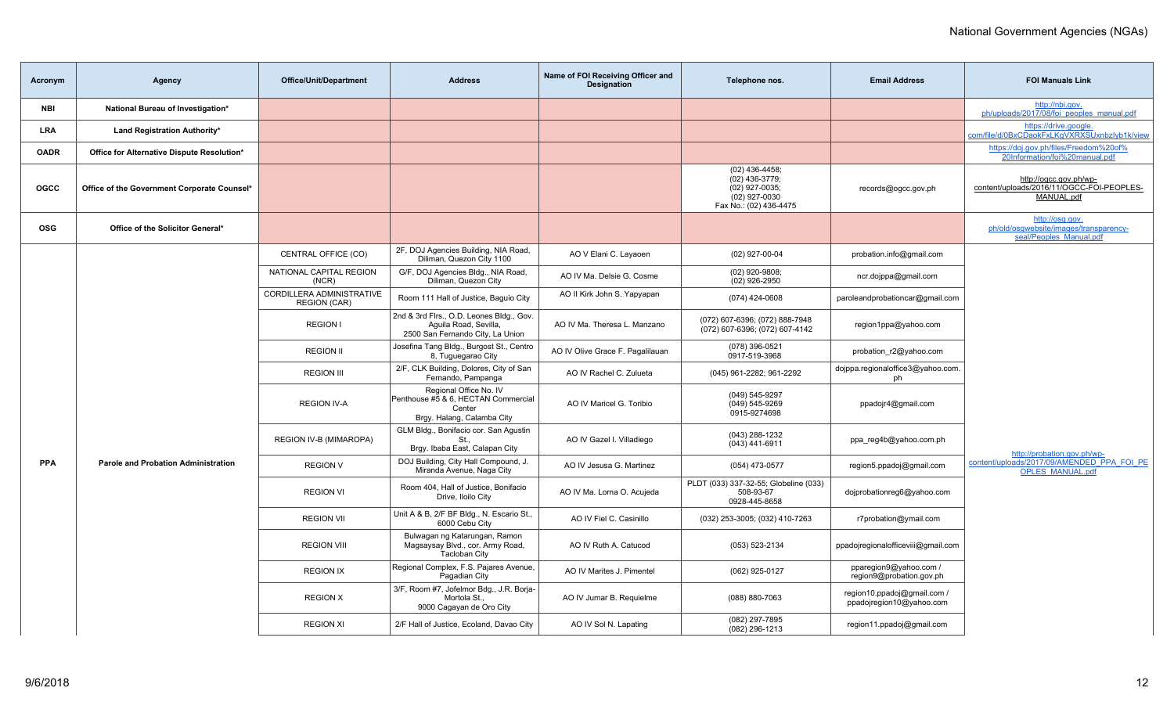| Acronym     | Agency                                      | <b>Office/Unit/Department</b>                    | <b>Address</b>                                                                                        | Name of FOI Receiving Officer and<br><b>Designation</b> | Telephone nos.                                                                                  | <b>Email Address</b>                                    | <b>FOI Manuals Link</b>                                                              |
|-------------|---------------------------------------------|--------------------------------------------------|-------------------------------------------------------------------------------------------------------|---------------------------------------------------------|-------------------------------------------------------------------------------------------------|---------------------------------------------------------|--------------------------------------------------------------------------------------|
| NBI         | National Bureau of Investigation*           |                                                  |                                                                                                       |                                                         |                                                                                                 |                                                         | http://nbi.gov.<br>ph/uploads/2017/08/foi peoples manual.pdf                         |
| <b>LRA</b>  | Land Registration Authority*                |                                                  |                                                                                                       |                                                         |                                                                                                 |                                                         | https://drive.google.<br>com/file/d/0BxCDaokFxLKgVXRXSUxnbzlyb1k/view                |
| <b>OADR</b> | Office for Alternative Dispute Resolution*  |                                                  |                                                                                                       |                                                         |                                                                                                 |                                                         | https://doj.gov.ph/files/Freedom%20of%<br>20Information/foi%20manual.pdf             |
| <b>OGCC</b> | Office of the Government Corporate Counsel* |                                                  |                                                                                                       |                                                         | $(02)$ 436-4458;<br>(02) 436-3779;<br>(02) 927-0035;<br>(02) 927-0030<br>Fax No.: (02) 436-4475 | records@ogcc.gov.ph                                     | http://ogcc.gov.ph/wp-<br>content/uploads/2016/11/OGCC-FOI-PEOPLES-<br>MANUAL.pdf    |
| <b>OSG</b>  | Office of the Solicitor General*            |                                                  |                                                                                                       |                                                         |                                                                                                 |                                                         | http://osg.gov.<br>ph/old/osqwebsite/images/transparency-<br>seal/Peoples Manual.pdf |
|             |                                             | CENTRAL OFFICE (CO)                              | 2F, DOJ Agencies Building, NIA Road,<br>Diliman, Quezon City 1100                                     | AO V Elani C. Layaoen                                   | (02) 927-00-04                                                                                  | probation.info@gmail.com                                |                                                                                      |
|             |                                             | NATIONAL CAPITAL REGION<br>(NCR)                 | G/F, DOJ Agencies Bldg., NIA Road,<br>Diliman, Quezon City                                            | AO IV Ma. Delsie G. Cosme                               | $(02)$ 920-9808;<br>(02) 926-2950                                                               | ncr.dojppa@gmail.com                                    |                                                                                      |
|             |                                             | CORDILLERA ADMINISTRATIVE<br><b>REGION (CAR)</b> | Room 111 Hall of Justice, Baquio City                                                                 | AO II Kirk John S. Yapyapan                             | (074) 424-0608                                                                                  | paroleandprobationcar@gmail.com                         |                                                                                      |
|             |                                             | <b>REGION I</b>                                  | 2nd & 3rd Flrs., O.D. Leones Bldg., Gov.<br>Aquila Road, Sevilla,<br>2500 San Fernando City, La Union | AO IV Ma. Theresa L. Manzano                            | (072) 607-6396; (072) 888-7948<br>(072) 607-6396; (072) 607-4142                                | region1ppa@yahoo.com                                    |                                                                                      |
|             |                                             | <b>REGION II</b>                                 | Josefina Tang Bldg., Burgost St., Centro<br>8, Tuguegarao City                                        | AO IV Olive Grace F. Pagalilauan                        | (078) 396-0521<br>0917-519-3968                                                                 | probation_r2@yahoo.com                                  |                                                                                      |
|             |                                             | <b>REGION III</b>                                | 2/F, CLK Building, Dolores, City of San<br>Fernando, Pampanga                                         | AO IV Rachel C. Zulueta                                 | (045) 961-2282; 961-2292                                                                        | dojppa.regionaloffice3@yahoo.com.<br>ph                 |                                                                                      |
|             |                                             | <b>REGION IV-A</b>                               | Regional Office No. IV<br>Penthouse #5 & 6, HECTAN Commercial<br>Center<br>Brgy. Halang, Calamba City | AO IV Maricel G. Toribio                                | (049) 545-9297<br>$(049) 545 - 9269$<br>0915-9274698                                            | ppadojr4@gmail.com                                      |                                                                                      |
|             |                                             | REGION IV-B (MIMAROPA)                           | GLM Bldg., Bonifacio cor. San Agustin<br>St<br>Brgy. Ibaba East, Calapan City                         | AO IV Gazel I. Villadiego                               | (043) 288-1232<br>(043) 441-6911                                                                | ppa_reg4b@yahoo.com.ph                                  | http://probation.gov.ph/wp-                                                          |
| <b>PPA</b>  | <b>Parole and Probation Administration</b>  | <b>REGION V</b>                                  | DOJ Building, City Hall Compound, J.<br>Miranda Avenue, Naga City                                     | AO IV Jesusa G. Martinez                                | (054) 473-0577                                                                                  | region5.ppadoj@gmail.com                                | content/uploads/2017/09/AMENDED PPA FOI PE<br><b>OPLES MANUAL.pdf</b>                |
|             |                                             | <b>REGION VI</b>                                 | Room 404, Hall of Justice, Bonifacio<br>Drive, Iloilo City                                            | AO IV Ma. Lorna O. Acujeda                              | PLDT (033) 337-32-55; Globeline (033)<br>508-93-67<br>0928-445-8658                             | doiprobationreg6@yahoo.com                              |                                                                                      |
|             |                                             | <b>REGION VII</b>                                | Unit A & B, 2/F BF Bldg., N. Escario St.,<br>6000 Cebu City                                           | AO IV Fiel C. Casinillo                                 | (032) 253-3005; (032) 410-7263                                                                  | r7probation@ymail.com                                   |                                                                                      |
|             |                                             | <b>REGION VIII</b>                               | Bulwagan ng Katarungan, Ramon<br>Magsaysay Blvd., cor. Army Road,<br><b>Tacloban City</b>             | AO IV Ruth A. Catucod                                   | (053) 523-2134                                                                                  | ppadojregionalofficeviii@gmail.com                      |                                                                                      |
|             |                                             | <b>REGION IX</b>                                 | Regional Complex, F.S. Pajares Avenue,<br>Pagadian City                                               | AO IV Marites J. Pimentel                               | (062) 925-0127                                                                                  | pparegion9@yahoo.com /<br>region9@probation.gov.ph      |                                                                                      |
|             |                                             | <b>REGION X</b>                                  | 3/F, Room #7, Jofelmor Bdg., J.R. Borja-<br>Mortola St<br>9000 Cagayan de Oro City                    | AO IV Jumar B. Requielme                                | (088) 880-7063                                                                                  | region10.ppadoj@gmail.com /<br>ppadojregion10@yahoo.com |                                                                                      |
|             |                                             | <b>REGION XI</b>                                 | 2/F Hall of Justice, Ecoland, Davao City                                                              | AO IV Sol N. Lapating                                   | (082) 297-7895<br>(082) 296-1213                                                                | region11.ppadoj@gmail.com                               |                                                                                      |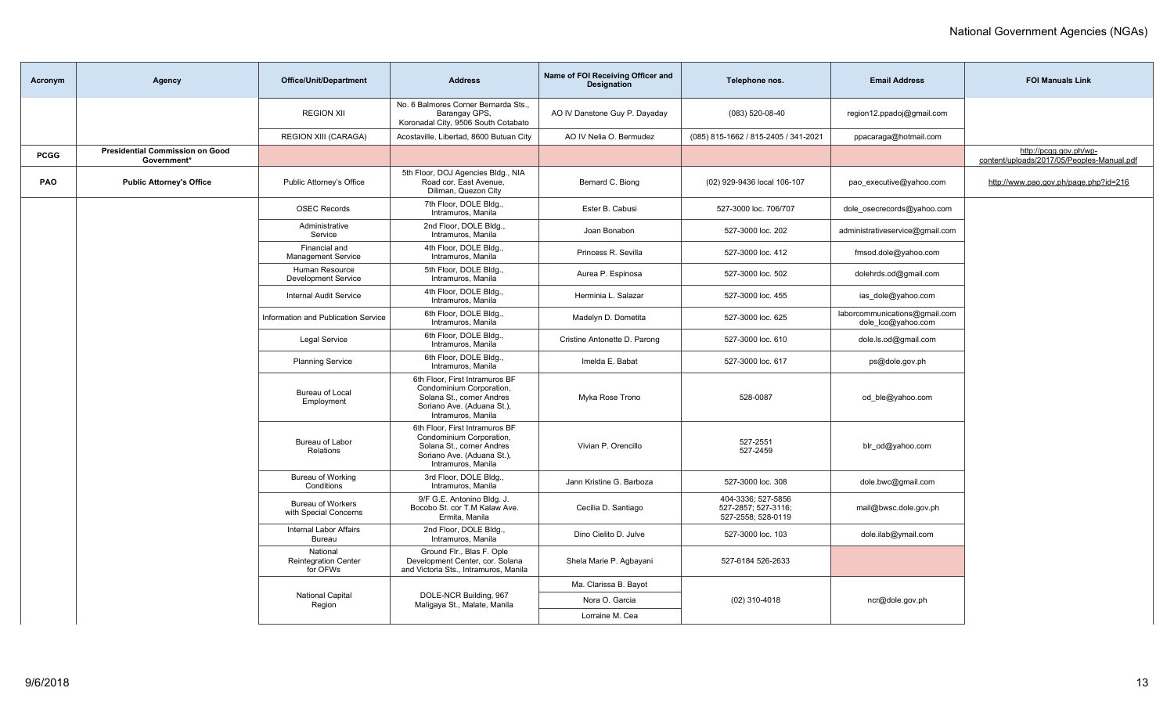| Acronym     | Agency                                                | Office/Unit/Department                              | <b>Address</b>                                                                                                                              | Name of FOI Receiving Officer and<br><b>Designation</b> | Telephone nos.                                                  | <b>Email Address</b>                                | <b>FOI Manuals Link</b>                                              |
|-------------|-------------------------------------------------------|-----------------------------------------------------|---------------------------------------------------------------------------------------------------------------------------------------------|---------------------------------------------------------|-----------------------------------------------------------------|-----------------------------------------------------|----------------------------------------------------------------------|
|             |                                                       | <b>REGION XII</b>                                   | No. 6 Balmores Corner Bernarda Sts.,<br>Barangay GPS,<br>Koronadal City, 9506 South Cotabato                                                | AO IV Danstone Guy P. Dayaday                           | (083) 520-08-40                                                 | region12.ppadoj@gmail.com                           |                                                                      |
|             |                                                       | <b>REGION XIII (CARAGA)</b>                         | Acostaville, Libertad, 8600 Butuan City                                                                                                     | AO IV Nelia O. Bermudez                                 | (085) 815-1662 / 815-2405 / 341-2021                            | ppacaraga@hotmail.com                               |                                                                      |
| <b>PCGG</b> | <b>Presidential Commission on Good</b><br>Government* |                                                     |                                                                                                                                             |                                                         |                                                                 |                                                     | http://pcgg.gov.ph/wp-<br>content/uploads/2017/05/Peoples-Manual.pdf |
| <b>PAO</b>  | <b>Public Attorney's Office</b>                       | Public Attorney's Office                            | 5th Floor, DOJ Agencies Bldg., NIA<br>Road cor. East Avenue,<br>Diliman, Quezon City                                                        | Bernard C. Biong                                        | (02) 929-9436 local 106-107                                     | pao executive@yahoo.com                             | http://www.pao.gov.ph/page.php?id=216                                |
|             |                                                       | <b>OSEC Records</b>                                 | 7th Floor, DOLE Bldg<br>Intramuros, Manila                                                                                                  | Ester B. Cabusi                                         | 527-3000 loc. 706/707                                           | dole osecrecords@yahoo.com                          |                                                                      |
|             |                                                       | Administrative<br>Service                           | 2nd Floor, DOLE Bldg.,<br>Intramuros, Manila                                                                                                | Joan Bonabon                                            | 527-3000 loc. 202                                               | administrativeservice@gmail.com                     |                                                                      |
|             |                                                       | Financial and<br><b>Management Service</b>          | 4th Floor, DOLE Bldg<br>Intramuros, Manila                                                                                                  | Princess R. Sevilla                                     | 527-3000 loc. 412                                               | fmsod.dole@yahoo.com                                |                                                                      |
|             |                                                       | Human Resource<br><b>Development Service</b>        | 5th Floor, DOLE Bldg.,<br>Intramuros, Manila                                                                                                | Aurea P. Espinosa                                       | 527-3000 loc. 502                                               | dolehrds.od@gmail.com                               |                                                                      |
|             |                                                       | <b>Internal Audit Service</b>                       | 4th Floor, DOLE Bldg<br>Intramuros, Manila                                                                                                  | Herminia L. Salazar                                     | 527-3000 loc. 455                                               | ias_dole@yahoo.com                                  |                                                                      |
|             |                                                       | Information and Publication Service                 | 6th Floor, DOLE Bldg.,<br>Intramuros, Manila                                                                                                | Madelyn D. Dometita                                     | 527-3000 loc. 625                                               | laborcommunications@gmail.com<br>dole lco@yahoo.com |                                                                      |
|             |                                                       | <b>Legal Service</b>                                | 6th Floor, DOLE Bldg<br>Intramuros, Manila                                                                                                  | Cristine Antonette D. Parong                            | 527-3000 loc. 610                                               | dole.ls.od@gmail.com                                |                                                                      |
|             |                                                       | <b>Planning Service</b>                             | 6th Floor, DOLE Bldg.,<br>Intramuros, Manila                                                                                                | Imelda E. Babat                                         | 527-3000 loc. 617                                               | ps@dole.gov.ph                                      |                                                                      |
|             |                                                       | Bureau of Local<br>Employment                       | 6th Floor, First Intramuros BF<br>Condominium Corporation,<br>Solana St., corner Andres<br>Soriano Ave. (Aduana St.),<br>Intramuros, Manila | Myka Rose Trono                                         | 528-0087                                                        | od_ble@yahoo.com                                    |                                                                      |
|             |                                                       | Bureau of Labor<br>Relations                        | 6th Floor, First Intramuros BF<br>Condominium Corporation,<br>Solana St., corner Andres<br>Soriano Ave. (Aduana St.),<br>Intramuros, Manila | Vivian P. Orencillo                                     | 527-2551<br>527-2459                                            | blr_od@yahoo.com                                    |                                                                      |
|             |                                                       | Bureau of Working<br>Conditions                     | 3rd Floor, DOLE Bldg.,<br>Intramuros, Manila                                                                                                | Jann Kristine G. Barboza                                | 527-3000 loc. 308                                               | dole.bwc@gmail.com                                  |                                                                      |
|             |                                                       | <b>Bureau of Workers</b><br>with Special Concerns   | 9/F G.E. Antonino Bldg. J.<br>Bocobo St. cor T.M Kalaw Ave.<br>Ermita, Manila                                                               | Cecilia D. Santiago                                     | 404-3336; 527-5856<br>527-2857: 527-3116:<br>527-2558; 528-0119 | mail@bwsc.dole.gov.ph                               |                                                                      |
|             |                                                       | <b>Internal Labor Affairs</b><br>Bureau             | 2nd Floor, DOLE Bldg.,<br>Intramuros, Manila                                                                                                | Dino Cielito D. Julve                                   | 527-3000 loc. 103                                               | dole.ilab@ymail.com                                 |                                                                      |
|             |                                                       | National<br><b>Reintegration Center</b><br>for OFWs | Ground Flr., Blas F. Ople<br>Development Center, cor. Solana<br>and Victoria Sts., Intramuros, Manila                                       | Shela Marie P. Agbayani                                 | 527-6184 526-2633                                               |                                                     |                                                                      |
|             |                                                       |                                                     |                                                                                                                                             | Ma. Clarissa B. Bayot                                   |                                                                 |                                                     |                                                                      |
|             |                                                       | National Capital<br>Region                          | DOLE-NCR Building, 967<br>Maligaya St., Malate, Manila                                                                                      | Nora O. Garcia                                          | $(02)$ 310-4018                                                 | ncr@dole.gov.ph                                     |                                                                      |
|             |                                                       |                                                     |                                                                                                                                             | Lorraine M. Cea                                         |                                                                 |                                                     |                                                                      |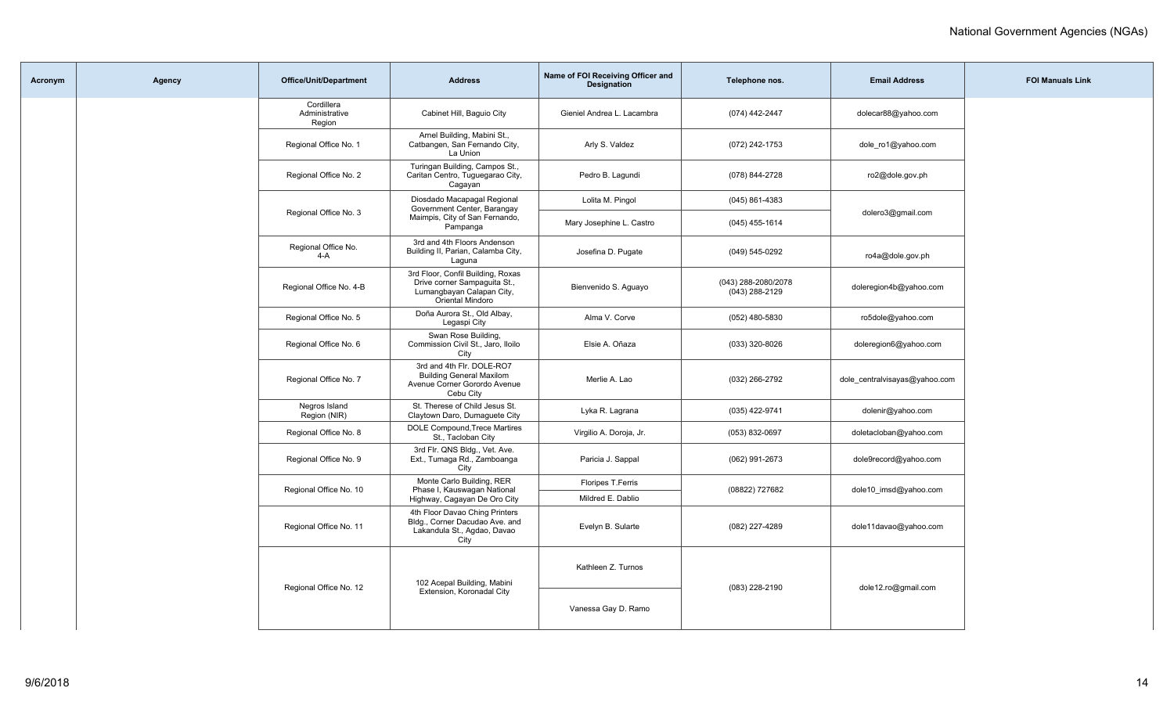| Acronym | Agency | <b>Office/Unit/Department</b>          | <b>Address</b>                                                                                                     | Name of FOI Receiving Officer and<br><b>Designation</b> | Telephone nos.                        | <b>Email Address</b>          | <b>FOI Manuals Link</b> |
|---------|--------|----------------------------------------|--------------------------------------------------------------------------------------------------------------------|---------------------------------------------------------|---------------------------------------|-------------------------------|-------------------------|
|         |        | Cordillera<br>Administrative<br>Region | Cabinet Hill, Baguio City                                                                                          | Gieniel Andrea L. Lacambra                              | (074) 442-2447                        | dolecar88@yahoo.com           |                         |
|         |        | Regional Office No. 1                  | Arnel Building, Mabini St.,<br>Catbangen, San Fernando City,<br>La Union                                           | Arly S. Valdez                                          | (072) 242-1753                        | dole_ro1@yahoo.com            |                         |
|         |        | Regional Office No. 2                  | Turingan Building, Campos St.,<br>Caritan Centro, Tuguegarao City,<br>Cagayan                                      | Pedro B. Lagundi                                        | (078) 844-2728                        | ro2@dole.gov.ph               |                         |
|         |        |                                        | Diosdado Macapagal Regional<br>Government Center, Barangay                                                         | Lolita M. Pingol                                        | $(045)$ 861-4383                      |                               |                         |
|         |        | Regional Office No. 3                  | Maimpis, City of San Fernando,<br>Pampanga                                                                         | Mary Josephine L. Castro                                | $(045)$ 455-1614                      | dolero3@gmail.com             |                         |
|         |        | Regional Office No.<br>$4-A$           | 3rd and 4th Floors Andenson<br>Building II, Parian, Calamba City,<br>Laguna                                        | Josefina D. Pugate                                      | (049) 545-0292                        | ro4a@dole.gov.ph              |                         |
|         |        | Regional Office No. 4-B                | 3rd Floor, Confil Building, Roxas<br>Drive corner Sampaguita St.,<br>Lumangbayan Calapan City,<br>Oriental Mindoro | Bienvenido S. Aguayo                                    | (043) 288-2080/2078<br>(043) 288-2129 | doleregion4b@yahoo.com        |                         |
|         |        | Regional Office No. 5                  | Doña Aurora St., Old Albay,<br>Legaspi City                                                                        | Alma V. Corve                                           | $(052)$ 480-5830                      | ro5dole@yahoo.com             |                         |
|         |        | Regional Office No. 6                  | Swan Rose Building,<br>Commission Civil St., Jaro, Iloilo<br>City                                                  | Elsie A. Oñaza                                          | (033) 320-8026                        | doleregion6@yahoo.com         |                         |
|         |        | Regional Office No. 7                  | 3rd and 4th Flr. DOLE-RO7<br><b>Building General Maxilom</b><br>Avenue Corner Gorordo Avenue<br>Cebu City          | Merlie A. Lao                                           | (032) 266-2792                        | dole_centralvisayas@yahoo.com |                         |
|         |        | Negros Island<br>Region (NIR)          | St. Therese of Child Jesus St.<br>Claytown Daro, Dumaguete City                                                    | Lyka R. Lagrana                                         | (035) 422-9741                        | dolenir@yahoo.com             |                         |
|         |        | Regional Office No. 8                  | DOLE Compound, Trece Martires<br>St., Tacloban City                                                                | Virgilio A. Doroja, Jr.                                 | (053) 832-0697                        | doletacloban@yahoo.com        |                         |
|         |        | Regional Office No. 9                  | 3rd Flr. QNS Bldg., Vet. Ave.<br>Ext., Tumaga Rd., Zamboanga<br>City                                               | Paricia J. Sappal                                       | (062) 991-2673                        | dole9record@yahoo.com         |                         |
|         |        | Regional Office No. 10                 | Monte Carlo Building, RER<br>Phase I, Kauswagan National                                                           | Floripes T.Ferris                                       | (08822) 727682                        | dole10 imsd@yahoo.com         |                         |
|         |        |                                        | Highway, Cagayan De Oro City                                                                                       | Mildred E. Dablio                                       |                                       |                               |                         |
|         |        | Regional Office No. 11                 | 4th Floor Davao Ching Printers<br>Bldg., Corner Dacudao Ave. and<br>Lakandula St., Agdao, Davao<br>City            | Evelyn B. Sularte                                       | (082) 227-4289                        | dole11davao@yahoo.com         |                         |
|         |        | Regional Office No. 12                 | 102 Acepal Building, Mabini                                                                                        | Kathleen Z. Turnos                                      | (083) 228-2190                        | dole12.ro@gmail.com           |                         |
|         |        |                                        | Extension, Koronadal City                                                                                          | Vanessa Gay D. Ramo                                     |                                       |                               |                         |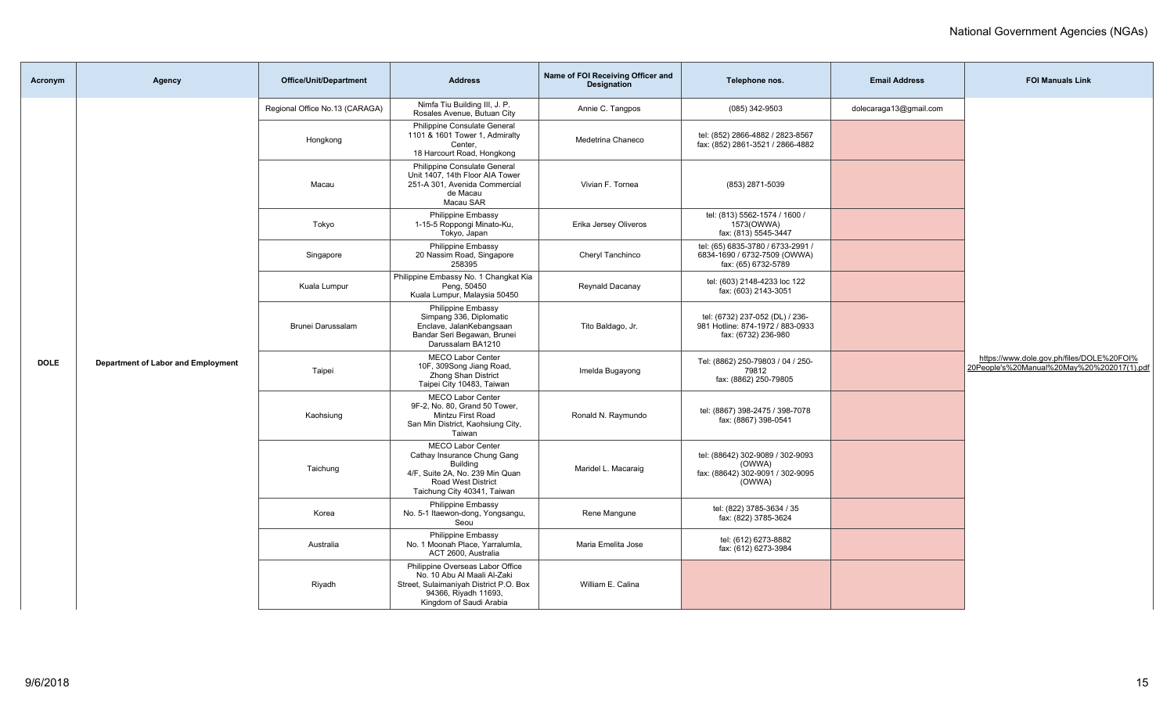| Acronym     | Agency                             | <b>Office/Unit/Department</b>  | <b>Address</b>                                                                                                                                               | Name of FOI Receiving Officer and<br><b>Designation</b> | Telephone nos.                                                                             | <b>Email Address</b>   | <b>FOI Manuals Link</b>                                                                 |
|-------------|------------------------------------|--------------------------------|--------------------------------------------------------------------------------------------------------------------------------------------------------------|---------------------------------------------------------|--------------------------------------------------------------------------------------------|------------------------|-----------------------------------------------------------------------------------------|
|             |                                    | Regional Office No.13 (CARAGA) | Nimfa Tiu Building III, J. P.<br>Rosales Avenue, Butuan City                                                                                                 | Annie C. Tangpos                                        | (085) 342-9503                                                                             | dolecaraga13@gmail.com |                                                                                         |
|             |                                    | Hongkong                       | Philippine Consulate General<br>1101 & 1601 Tower 1, Admiralty<br>Center.<br>18 Harcourt Road, Hongkong                                                      | Medetrina Chaneco                                       | tel: (852) 2866-4882 / 2823-8567<br>fax: (852) 2861-3521 / 2866-4882                       |                        |                                                                                         |
|             |                                    | Macau                          | Philippine Consulate General<br>Unit 1407, 14th Floor AIA Tower<br>251-A 301, Avenida Commercial<br>de Macau<br>Macau SAR                                    | Vivian F. Tornea                                        | (853) 2871-5039                                                                            |                        |                                                                                         |
|             |                                    | Tokyo                          | Philippine Embassy<br>1-15-5 Roppongi Minato-Ku,<br>Tokyo, Japan                                                                                             | Erika Jersey Oliveros                                   | tel: (813) 5562-1574 / 1600 /<br>1573(OWWA)<br>fax: (813) 5545-3447                        |                        |                                                                                         |
|             |                                    | Singapore                      | Philippine Embassy<br>20 Nassim Road, Singapore<br>258395                                                                                                    | Cheryl Tanchinco                                        | tel: (65) 6835-3780 / 6733-2991 /<br>6834-1690 / 6732-7509 (OWWA)<br>fax: (65) 6732-5789   |                        |                                                                                         |
|             |                                    | Kuala Lumpur                   | Philippine Embassy No. 1 Changkat Kia<br>Peng, 50450<br>Kuala Lumpur, Malaysia 50450                                                                         | Reynald Dacanay                                         | tel: (603) 2148-4233 loc 122<br>fax: (603) 2143-3051                                       |                        |                                                                                         |
|             |                                    | Brunei Darussalam              | <b>Philippine Embassy</b><br>Simpang 336, Diplomatic<br>Enclave, JalanKebangsaan<br>Bandar Seri Begawan, Brunei<br>Darussalam BA1210                         | Tito Baldago, Jr.                                       | tel: (6732) 237-052 (DL) / 236-<br>981 Hotline: 874-1972 / 883-0933<br>fax: (6732) 236-980 |                        |                                                                                         |
| <b>DOLE</b> | Department of Labor and Employment | Taipei                         | <b>MECO Labor Center</b><br>10F, 309Song Jiang Road,<br>Zhong Shan District<br>Taipei City 10483, Taiwan                                                     | Imelda Bugayong                                         | Tel: (8862) 250-79803 / 04 / 250-<br>79812<br>fax: (8862) 250-79805                        |                        | https://www.dole.gov.ph/files/DOLE%20FOI%<br>20People's%20Manual%20May%20%202017(1).pdf |
|             |                                    | Kaohsiung                      | <b>MECO Labor Center</b><br>9F-2, No. 80, Grand 50 Tower,<br>Mintzu First Road<br>San Min District, Kaohsiung City,<br>Taiwan                                | Ronald N. Raymundo                                      | tel: (8867) 398-2475 / 398-7078<br>fax: (8867) 398-0541                                    |                        |                                                                                         |
|             |                                    | Taichung                       | MECO Labor Center<br>Cathay Insurance Chung Gang<br><b>Building</b><br>4/F, Suite 2A, No. 239 Min Quan<br>Road West District<br>Taichung City 40341, Taiwan  | Maridel L. Macaraig                                     | tel: (88642) 302-9089 / 302-9093<br>(OWWA)<br>fax: (88642) 302-9091 / 302-9095<br>(OWWA)   |                        |                                                                                         |
|             |                                    | Korea                          | Philippine Embassy<br>No. 5-1 Itaewon-dong, Yongsangu,<br>Seou                                                                                               | Rene Manqune                                            | tel: (822) 3785-3634 / 35<br>fax: (822) 3785-3624                                          |                        |                                                                                         |
|             |                                    | Australia                      | Philippine Embassy<br>No. 1 Moonah Place, Yarralumla.<br>ACT 2600, Australia                                                                                 | Maria Emelita Jose                                      | tel: (612) 6273-8882<br>fax: (612) 6273-3984                                               |                        |                                                                                         |
|             |                                    | Riyadh                         | Philippine Overseas Labor Office<br>No. 10 Abu Al Maali Al-Zaki<br>Street, Sulaimaniyah District P.O. Box<br>94366, Riyadh 11693,<br>Kingdom of Saudi Arabia | William E. Calina                                       |                                                                                            |                        |                                                                                         |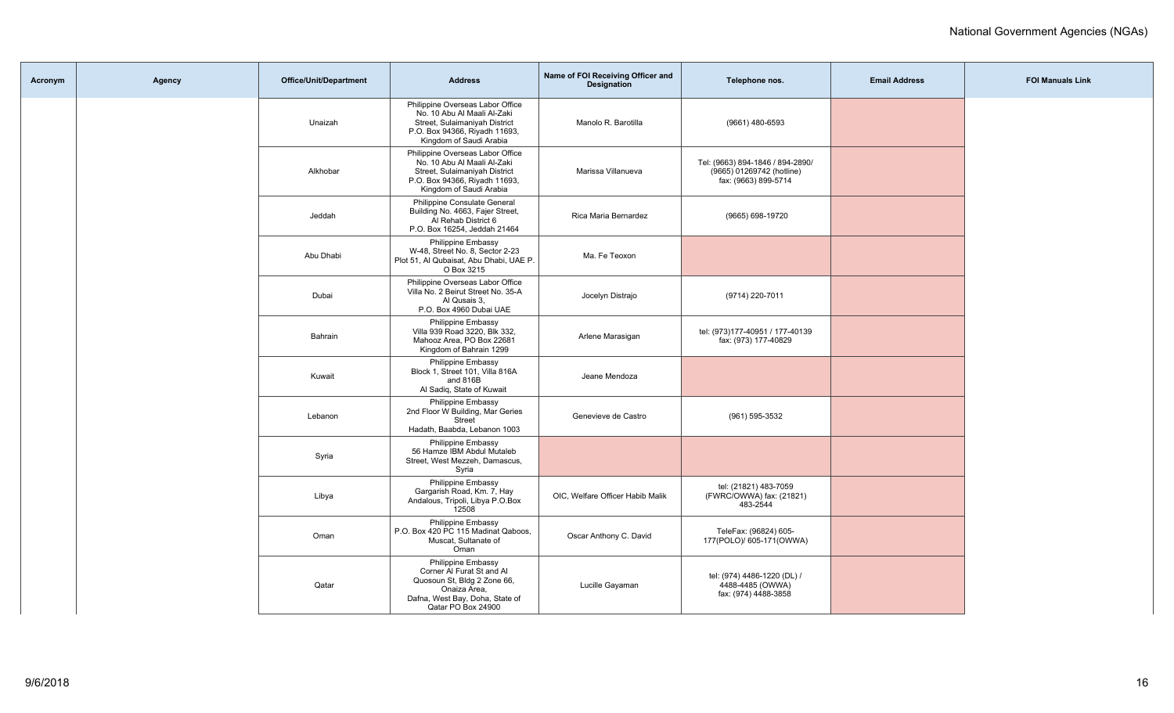| Acronym | <b>Agency</b> | <b>Office/Unit/Department</b> | <b>Address</b>                                                                                                                                               | Name of FOI Receiving Officer and<br><b>Designation</b> | Telephone nos.                                                                        | <b>Email Address</b> | <b>FOI Manuals Link</b> |
|---------|---------------|-------------------------------|--------------------------------------------------------------------------------------------------------------------------------------------------------------|---------------------------------------------------------|---------------------------------------------------------------------------------------|----------------------|-------------------------|
|         |               | Unaizah                       | Philippine Overseas Labor Office<br>No. 10 Abu Al Maali Al-Zaki<br>Street, Sulaimaniyah District<br>P.O. Box 94366, Riyadh 11693,<br>Kingdom of Saudi Arabia | Manolo R. Barotilla                                     | (9661) 480-6593                                                                       |                      |                         |
|         |               | Alkhobar                      | Philippine Overseas Labor Office<br>No. 10 Abu Al Maali Al-Zaki<br>Street, Sulaimaniyah District<br>P.O. Box 94366, Riyadh 11693,<br>Kingdom of Saudi Arabia | Marissa Villanueva                                      | Tel: (9663) 894-1846 / 894-2890/<br>(9665) 01269742 (hotline)<br>fax: (9663) 899-5714 |                      |                         |
|         |               | Jeddah                        | Philippine Consulate General<br>Building No. 4663, Fajer Street,<br>Al Rehab District 6<br>P.O. Box 16254, Jeddah 21464                                      | Rica Maria Bernardez                                    | (9665) 698-19720                                                                      |                      |                         |
|         |               | Abu Dhabi                     | <b>Philippine Embassy</b><br>W-48, Street No. 8, Sector 2-23<br>Plot 51. Al Qubaisat. Abu Dhabi. UAE P.<br>O Box 3215                                        | Ma. Fe Teoxon                                           |                                                                                       |                      |                         |
|         |               | Dubai                         | Philippine Overseas Labor Office<br>Villa No. 2 Beirut Street No. 35-A<br>Al Qusais 3,<br>P.O. Box 4960 Dubai UAE                                            | Jocelyn Distrajo                                        | (9714) 220-7011                                                                       |                      |                         |
|         |               | Bahrain                       | Philippine Embassy<br>Villa 939 Road 3220, Blk 332,<br>Mahooz Area, PO Box 22681<br>Kingdom of Bahrain 1299                                                  | Arlene Marasigan                                        | tel: (973)177-40951 / 177-40139<br>fax: (973) 177-40829                               |                      |                         |
|         |               | Kuwait                        | <b>Philippine Embassy</b><br>Block 1, Street 101, Villa 816A<br>and 816B<br>Al Sadiq, State of Kuwait                                                        | Jeane Mendoza                                           |                                                                                       |                      |                         |
|         |               | Lebanon                       | Philippine Embassy<br>2nd Floor W Building, Mar Geries<br>Street<br>Hadath, Baabda, Lebanon 1003                                                             | Genevieve de Castro                                     | (961) 595-3532                                                                        |                      |                         |
|         |               | Syria                         | Philippine Embassy<br>56 Hamze IBM Abdul Mutaleb<br>Street, West Mezzeh, Damascus,<br>Syria                                                                  |                                                         |                                                                                       |                      |                         |
|         |               | Libya                         | Philippine Embassy<br>Gargarish Road, Km. 7, Hay<br>Andalous, Tripoli, Libya P.O.Box<br>12508                                                                | OIC, Welfare Officer Habib Malik                        | tel: (21821) 483-7059<br>(FWRC/OWWA) fax: (21821)<br>483-2544                         |                      |                         |
|         |               | Oman                          | Philippine Embassy<br>P.O. Box 420 PC 115 Madinat Qaboos,<br>Muscat, Sultanate of<br>Oman                                                                    | Oscar Anthony C. David                                  | TeleFax: (96824) 605-<br>177(POLO)/ 605-171(OWWA)                                     |                      |                         |
|         |               | Qatar                         | Philippine Embassy<br>Corner Al Furat St and Al<br>Quosoun St, Bldg 2 Zone 66,<br>Onaiza Area,<br>Dafna, West Bay, Doha, State of<br>Qatar PO Box 24900      | Lucille Gayaman                                         | tel: (974) 4486-1220 (DL) /<br>4488-4485 (OWWA)<br>fax: (974) 4488-3858               |                      |                         |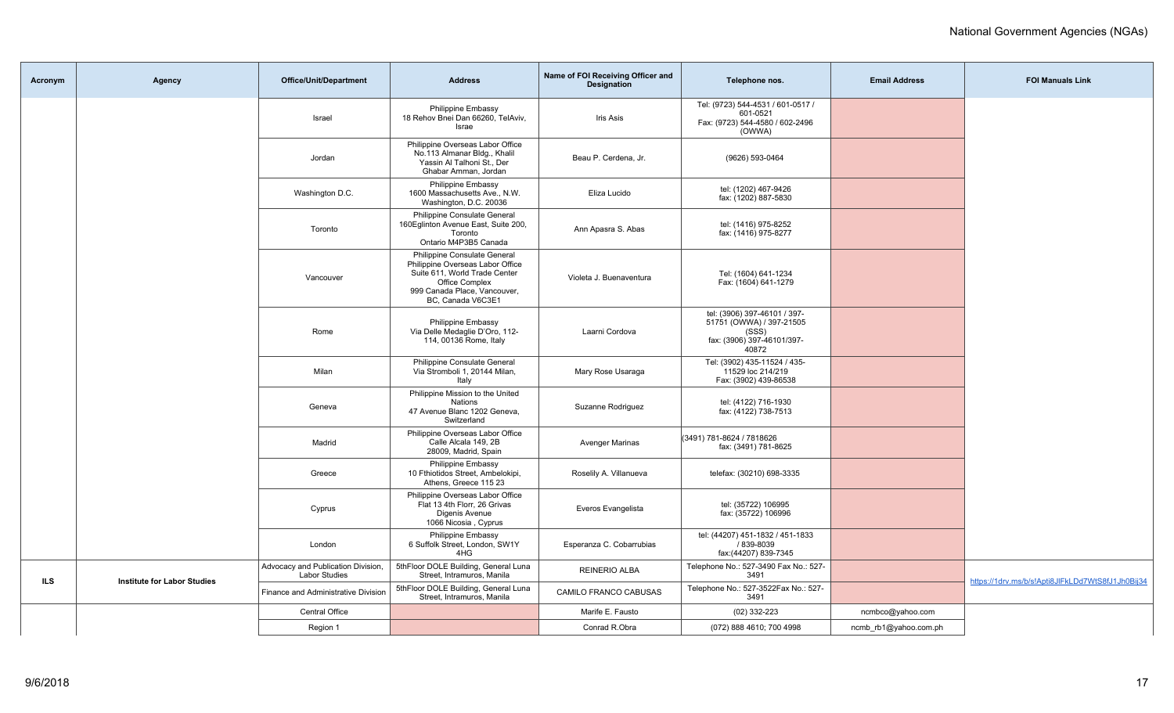| Acronym | <b>Agency</b>                      | <b>Office/Unit/Department</b>                              | <b>Address</b>                                                                                                                                                           | Name of FOI Receiving Officer and<br><b>Designation</b> | Telephone nos.                                                                                           | <b>Email Address</b>  | <b>FOI Manuals Link</b>                          |
|---------|------------------------------------|------------------------------------------------------------|--------------------------------------------------------------------------------------------------------------------------------------------------------------------------|---------------------------------------------------------|----------------------------------------------------------------------------------------------------------|-----------------------|--------------------------------------------------|
|         |                                    | Israel                                                     | Philippine Embassy<br>18 Rehov Bnei Dan 66260, TelAviv,<br>Israe                                                                                                         | <b>Iris Asis</b>                                        | Tel: (9723) 544-4531 / 601-0517 /<br>601-0521<br>Fax: (9723) 544-4580 / 602-2496<br>(OWWA)               |                       |                                                  |
|         |                                    | Jordan                                                     | Philippine Overseas Labor Office<br>No.113 Almanar Bldg., Khalil<br>Yassin Al Talhoni St., Der<br>Ghabar Amman, Jordan                                                   | Beau P. Cerdena, Jr.                                    | (9626) 593-0464                                                                                          |                       |                                                  |
|         |                                    | Washington D.C.                                            | <b>Philippine Embassy</b><br>1600 Massachusetts Ave., N.W.<br>Washington, D.C. 20036                                                                                     | Eliza Lucido                                            | tel: (1202) 467-9426<br>fax: (1202) 887-5830                                                             |                       |                                                  |
|         |                                    | Toronto                                                    | Philippine Consulate General<br>160 Eglinton Avenue East, Suite 200,<br>Toronto<br>Ontario M4P3B5 Canada                                                                 | Ann Apasra S. Abas                                      | tel: (1416) 975-8252<br>fax: (1416) 975-8277                                                             |                       |                                                  |
|         |                                    | Vancouver                                                  | Philippine Consulate General<br>Philippine Overseas Labor Office<br>Suite 611, World Trade Center<br>Office Complex<br>999 Canada Place, Vancouver,<br>BC, Canada V6C3E1 | Violeta J. Buenaventura                                 | Tel: (1604) 641-1234<br>Fax: (1604) 641-1279                                                             |                       |                                                  |
|         |                                    | Rome                                                       | Philippine Embassy<br>Via Delle Medaglie D'Oro, 112-<br>114, 00136 Rome, Italy                                                                                           | Laarni Cordova                                          | tel: (3906) 397-46101 / 397-<br>51751 (OWWA) / 397-21505<br>(SSS)<br>fax: (3906) 397-46101/397-<br>40872 |                       |                                                  |
|         |                                    | Milan                                                      | Philippine Consulate General<br>Via Stromboli 1, 20144 Milan,<br>Italy                                                                                                   | Mary Rose Usaraga                                       | Tel: (3902) 435-11524 / 435-<br>11529 loc 214/219<br>Fax: (3902) 439-86538                               |                       |                                                  |
|         |                                    | Geneva                                                     | Philippine Mission to the United<br>Nations<br>47 Avenue Blanc 1202 Geneva,<br>Switzerland                                                                               | Suzanne Rodriguez                                       | tel: (4122) 716-1930<br>fax: (4122) 738-7513                                                             |                       |                                                  |
|         |                                    | Madrid                                                     | Philippine Overseas Labor Office<br>Calle Alcala 149, 2B<br>28009, Madrid, Spain                                                                                         | <b>Avenger Marinas</b>                                  | (3491) 781-8624 / 7818626<br>fax: (3491) 781-8625                                                        |                       |                                                  |
|         |                                    | Greece                                                     | <b>Philippine Embassy</b><br>10 Fthiotidos Street, Ambelokipi,<br>Athens, Greece 115 23                                                                                  | Roselily A. Villanueva                                  | telefax: (30210) 698-3335                                                                                |                       |                                                  |
|         |                                    | Cyprus                                                     | Philippine Overseas Labor Office<br>Flat 13 4th Florr, 26 Grivas<br>Digenis Avenue<br>1066 Nicosia, Cyprus                                                               | Everos Evangelista                                      | tel: (35722) 106995<br>fax: (35722) 106996                                                               |                       |                                                  |
|         |                                    | London                                                     | Philippine Embassy<br>6 Suffolk Street, London, SW1Y<br>4HG                                                                                                              | Esperanza C. Cobarrubias                                | tel: (44207) 451-1832 / 451-1833<br>/ 839-8039<br>fax:(44207) 839-7345                                   |                       |                                                  |
| ILS     |                                    | Advocacy and Publication Division,<br><b>Labor Studies</b> | 5thFloor DOLE Building, General Luna<br>Street, Intramuros, Manila                                                                                                       | <b>REINERIO ALBA</b>                                    | Telephone No.: 527-3490 Fax No.: 527-<br>3491                                                            |                       | https://1drv.ms/b/s!Apti8JlFkLDd7WtS8fJ1Jh0Bij34 |
|         | <b>Institute for Labor Studies</b> | Finance and Administrative Division                        | 5thFloor DOLE Building, General Luna<br>Street, Intramuros, Manila                                                                                                       | CAMILO FRANCO CABUSAS                                   | Telephone No.: 527-3522Fax No.: 527-<br>3491                                                             |                       |                                                  |
|         |                                    | Central Office                                             |                                                                                                                                                                          | Marife E. Fausto                                        | $(02)$ 332-223                                                                                           | ncmbco@yahoo.com      |                                                  |
|         |                                    | Region 1                                                   |                                                                                                                                                                          | Conrad R.Obra                                           | (072) 888 4610; 700 4998                                                                                 | ncmb_rb1@yahoo.com.ph |                                                  |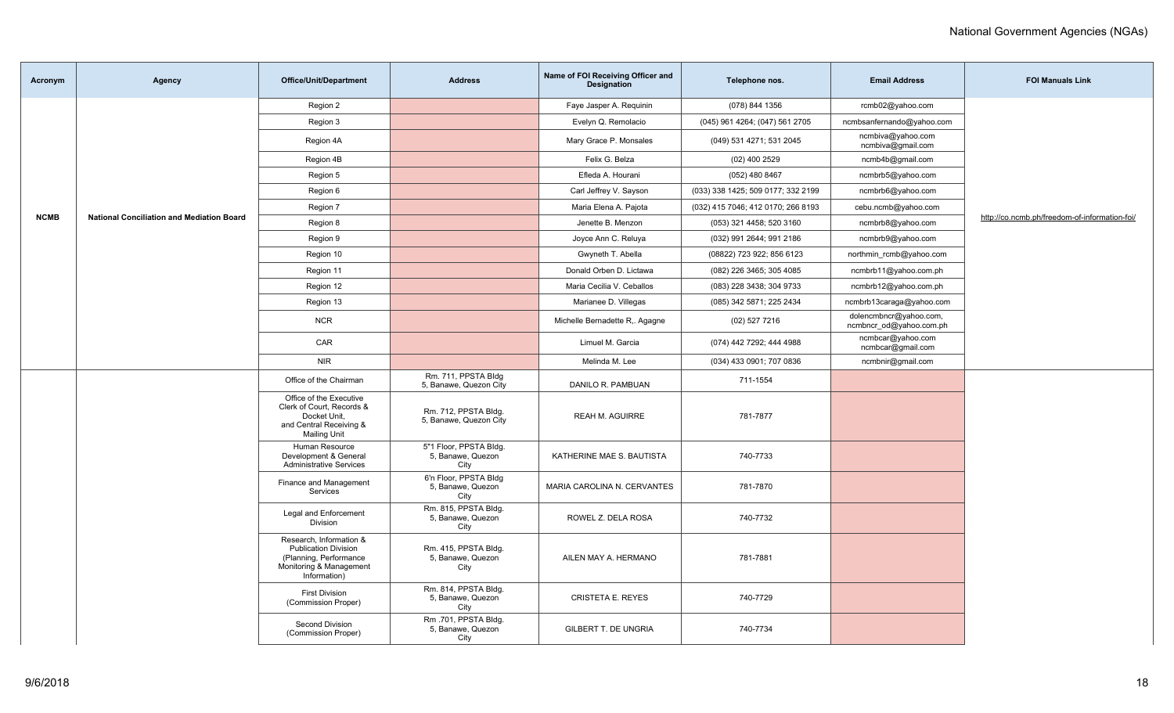| Acronym     | Agency                                           | <b>Office/Unit/Department</b>                                                                                               | <b>Address</b>                                      | Name of FOI Receiving Officer and<br><b>Designation</b> | Telephone nos.                     | <b>Email Address</b>                              | <b>FOI Manuals Link</b>                       |
|-------------|--------------------------------------------------|-----------------------------------------------------------------------------------------------------------------------------|-----------------------------------------------------|---------------------------------------------------------|------------------------------------|---------------------------------------------------|-----------------------------------------------|
|             |                                                  | Region 2                                                                                                                    |                                                     | Faye Jasper A. Requinin                                 | (078) 844 1356                     | rcmb02@yahoo.com                                  |                                               |
|             |                                                  | Region 3                                                                                                                    |                                                     | Evelyn Q. Remolacio                                     | (045) 961 4264; (047) 561 2705     | ncmbsanfernando@yahoo.com                         |                                               |
|             |                                                  | Region 4A                                                                                                                   |                                                     | Mary Grace P. Monsales                                  | (049) 531 4271; 531 2045           | ncmbiva@yahoo.com<br>ncmbiva@gmail.com            |                                               |
|             |                                                  | Region 4B                                                                                                                   |                                                     | Felix G. Belza                                          | $(02)$ 400 2529                    | ncmb4b@gmail.com                                  |                                               |
|             |                                                  | Region 5                                                                                                                    |                                                     | Efleda A. Hourani                                       | (052) 480 8467                     | ncmbrb5@yahoo.com                                 |                                               |
|             |                                                  | Region 6                                                                                                                    |                                                     | Carl Jeffrey V. Sayson                                  | (033) 338 1425; 509 0177; 332 2199 | ncmbrb6@yahoo.com                                 |                                               |
|             |                                                  | Region 7                                                                                                                    |                                                     | Maria Elena A. Pajota                                   | (032) 415 7046; 412 0170; 266 8193 | cebu.ncmb@yahoo.com                               |                                               |
| <b>NCMB</b> | <b>National Conciliation and Mediation Board</b> | Region 8                                                                                                                    |                                                     | Jenette B. Menzon                                       | (053) 321 4458; 520 3160           | ncmbrb8@yahoo.com                                 | http://co.ncmb.ph/freedom-of-information-foi/ |
|             |                                                  | Region 9                                                                                                                    |                                                     | Joyce Ann C. Reluya                                     | (032) 991 2644; 991 2186           | ncmbrb9@yahoo.com                                 |                                               |
|             |                                                  | Region 10                                                                                                                   |                                                     | Gwyneth T. Abella                                       | (08822) 723 922; 856 6123          | northmin_rcmb@yahoo.com                           |                                               |
|             |                                                  | Region 11                                                                                                                   |                                                     | Donald Orben D. Lictawa                                 | (082) 226 3465; 305 4085           | ncmbrb11@yahoo.com.ph                             |                                               |
|             |                                                  | Region 12                                                                                                                   |                                                     | Maria Cecilia V. Ceballos                               | (083) 228 3438; 304 9733           | ncmbrb12@yahoo.com.ph                             |                                               |
|             |                                                  | Region 13                                                                                                                   |                                                     | Marianee D. Villegas                                    | (085) 342 5871; 225 2434           | ncmbrb13caraga@yahoo.com                          |                                               |
|             |                                                  | <b>NCR</b>                                                                                                                  |                                                     | Michelle Bernadette R,. Agagne                          | (02) 527 7216                      | dolencmbncr@yahoo.com,<br>ncmbncr od@yahoo.com.ph |                                               |
|             |                                                  | CAR                                                                                                                         |                                                     | Limuel M. Garcia                                        | (074) 442 7292; 444 4988           | ncmbcar@yahoo.com<br>ncmbcar@gmail.com            |                                               |
|             |                                                  | <b>NIR</b>                                                                                                                  |                                                     | Melinda M. Lee                                          | (034) 433 0901; 707 0836           | ncmbnir@gmail.com                                 |                                               |
|             |                                                  | Office of the Chairman                                                                                                      | Rm. 711, PPSTA Bldg<br>5, Banawe, Quezon City       | DANILO R. PAMBUAN                                       | 711-1554                           |                                                   |                                               |
|             |                                                  | Office of the Executive<br>Clerk of Court, Records &<br>Docket Unit,<br>and Central Receiving &<br><b>Mailing Unit</b>      | Rm. 712, PPSTA Bldg.<br>5, Banawe, Quezon City      | REAH M. AGUIRRE                                         | 781-7877                           |                                                   |                                               |
|             |                                                  | Human Resource<br>Development & General<br><b>Administrative Services</b>                                                   | 5"1 Floor, PPSTA Bldg.<br>5, Banawe, Quezon<br>City | KATHERINE MAE S. BAUTISTA                               | 740-7733                           |                                                   |                                               |
|             |                                                  | Finance and Management<br>Services                                                                                          | 6'n Floor, PPSTA Bldg<br>5, Banawe, Quezon<br>City  | MARIA CAROLINA N. CERVANTES                             | 781-7870                           |                                                   |                                               |
|             |                                                  | Legal and Enforcement<br>Division                                                                                           | Rm. 815, PPSTA Bldg.<br>5, Banawe, Quezon<br>City   | ROWEL Z. DELA ROSA                                      | 740-7732                           |                                                   |                                               |
|             |                                                  | Research, Information &<br><b>Publication Division</b><br>(Planning, Performance<br>Monitoring & Management<br>Information) | Rm. 415, PPSTA Bldg.<br>5, Banawe, Quezon<br>City   | AILEN MAY A. HERMANO                                    | 781-7881                           |                                                   |                                               |
|             |                                                  | <b>First Division</b><br>(Commission Proper)                                                                                | Rm. 814, PPSTA Bldg.<br>5, Banawe, Quezon<br>City   | <b>CRISTETA E. REYES</b>                                | 740-7729                           |                                                   |                                               |
|             |                                                  | Second Division<br>(Commission Proper)                                                                                      | Rm.701, PPSTA Bldg.<br>5, Banawe, Quezon<br>City    | GILBERT T. DE UNGRIA                                    | 740-7734                           |                                                   |                                               |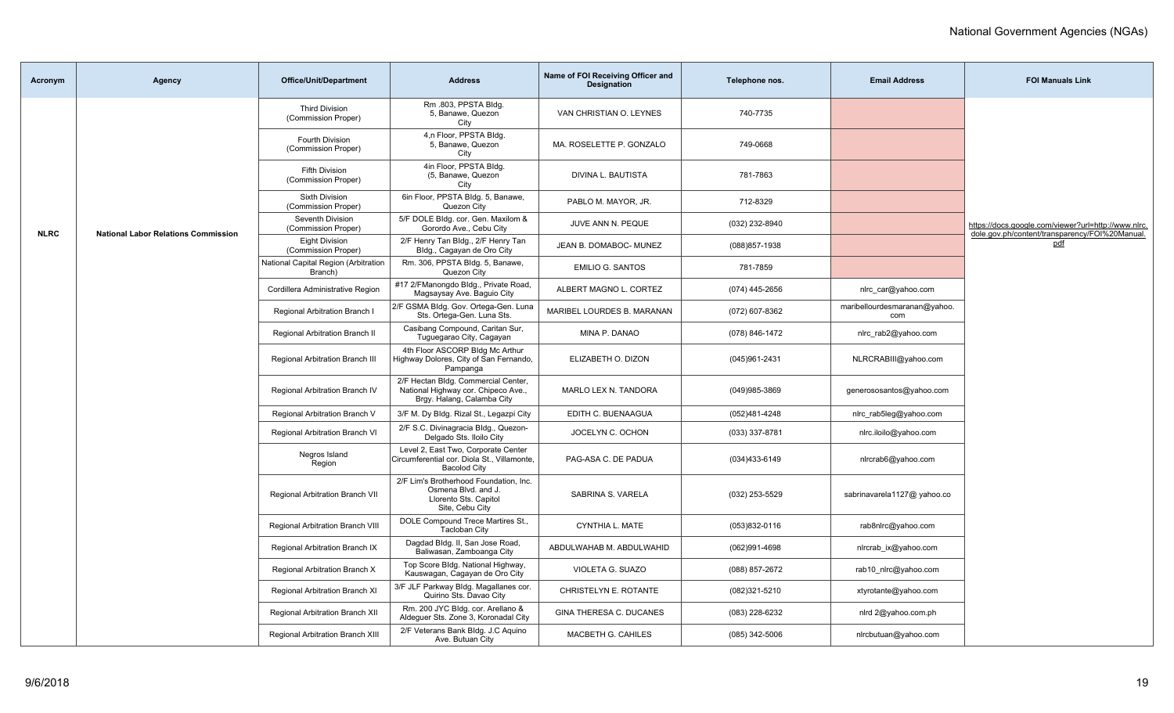| Acronym     | Agency                                     | <b>Office/Unit/Department</b>                   | <b>Address</b>                                                                                            | Name of FOI Receiving Officer and<br><b>Designation</b> | Telephone nos.    | <b>Email Address</b>                | <b>FOI Manuals Link</b>                                      |
|-------------|--------------------------------------------|-------------------------------------------------|-----------------------------------------------------------------------------------------------------------|---------------------------------------------------------|-------------------|-------------------------------------|--------------------------------------------------------------|
|             |                                            | <b>Third Division</b><br>(Commission Proper)    | Rm .803, PPSTA Bldg.<br>5, Banawe, Quezon<br>City                                                         | VAN CHRISTIAN O. LEYNES                                 | 740-7735          |                                     |                                                              |
|             |                                            | Fourth Division<br>(Commission Proper)          | 4,n Floor, PPSTA Bldg.<br>5, Banawe, Quezon<br>City                                                       | MA. ROSELETTE P. GONZALO                                | 749-0668          |                                     |                                                              |
|             |                                            | <b>Fifth Division</b><br>(Commission Proper)    | 4in Floor, PPSTA Bldg.<br>(5, Banawe, Quezon<br>City                                                      | DIVINA L. BAUTISTA                                      | 781-7863          |                                     |                                                              |
|             |                                            | <b>Sixth Division</b><br>(Commission Proper)    | 6in Floor, PPSTA Bldg. 5, Banawe,<br>Quezon City                                                          | PABLO M. MAYOR, JR.                                     | 712-8329          |                                     |                                                              |
| <b>NLRC</b> | <b>National Labor Relations Commission</b> | Seventh Division<br>(Commission Proper)         | 5/F DOLE Bldg. cor. Gen. Maxilom &<br>Gorordo Ave., Cebu City                                             | JUVE ANN N. PEQUE                                       | (032) 232-8940    |                                     | https://docs.google.com/viewer?url=http://www.nlrc.          |
|             |                                            | Eight Division<br>(Commission Proper)           | 2/F Henry Tan Bldg., 2/F Henry Tan<br>Bldg., Cagayan de Oro City                                          | JEAN B. DOMABOC- MUNEZ                                  | (088) 857-1938    |                                     | dole.gov.ph/content/transparency/FOI%20Manual.<br><u>pdf</u> |
|             |                                            | National Capital Region (Arbitration<br>Branch) | Rm. 306, PPSTA Bldg. 5, Banawe,<br>Quezon City                                                            | <b>EMILIO G. SANTOS</b>                                 | 781-7859          |                                     |                                                              |
|             |                                            | Cordillera Administrative Region                | #17 2/FManongdo Bldg., Private Road,<br>Magsaysay Ave. Baguio City                                        | ALBERT MAGNO L. CORTEZ                                  | (074) 445-2656    | nlrc_car@yahoo.com                  |                                                              |
|             |                                            | Regional Arbitration Branch I                   | 2/F GSMA Bldg. Gov. Ortega-Gen. Luna<br>Sts. Ortega-Gen. Luna Sts.                                        | MARIBEL LOURDES B. MARANAN                              | (072) 607-8362    | maribellourdesmaranan@yahoo.<br>com |                                                              |
|             |                                            | Regional Arbitration Branch II                  | Casibang Compound, Caritan Sur,<br>Tuguegarao City, Cagayan                                               | MINA P. DANAO                                           | (078) 846-1472    | nlrc_rab2@yahoo.com                 |                                                              |
|             |                                            | Regional Arbitration Branch III                 | 4th Floor ASCORP Bldg Mc Arthur<br>Highway Dolores, City of San Fernando,<br>Pampanga                     | ELIZABETH O. DIZON                                      | (045)961-2431     | NLRCRABIII@yahoo.com                |                                                              |
|             |                                            | Regional Arbitration Branch IV                  | 2/F Hectan Bldg. Commercial Center,<br>National Highway cor. Chipeco Ave.,<br>Brgy. Halang, Calamba City  | MARLO LEX N. TANDORA                                    | (049)985-3869     | generososantos@yahoo.com            |                                                              |
|             |                                            | Regional Arbitration Branch V                   | 3/F M. Dy Bldg. Rizal St., Legazpi City                                                                   | EDITH C. BUENAAGUA                                      | (052)481-4248     | nlrc rab5leg@yahoo.com              |                                                              |
|             |                                            | Regional Arbitration Branch VI                  | 2/F S.C. Divinagracia Bldg., Quezon-<br>Delgado Sts. Iloilo City                                          | JOCELYN C. OCHON                                        | $(033)$ 337-8781  | nlrc.iloilo@yahoo.com               |                                                              |
|             |                                            | Negros Island<br>Region                         | Level 2, East Two, Corporate Center<br>Circumferential cor. Diola St., Villamonte,<br><b>Bacolod City</b> | PAG-ASA C. DE PADUA                                     | (034)433-6149     | nlrcrab6@yahoo.com                  |                                                              |
|             |                                            | Regional Arbitration Branch VII                 | 2/F Lim's Brotherhood Foundation, Inc.<br>Osmena Blvd. and J.<br>Llorento Sts. Capitol<br>Site, Cebu City | SABRINA S. VARELA                                       | (032) 253-5529    | sabrinavarela1127@ yahoo.co         |                                                              |
|             |                                            | <b>Regional Arbitration Branch VIII</b>         | DOLE Compound Trece Martires St.,<br>Tacloban City                                                        | CYNTHIA L. MATE                                         | $(053)832 - 0116$ | rab8nlrc@yahoo.com                  |                                                              |
|             |                                            | Regional Arbitration Branch IX                  | Dagdad Bldg. II, San Jose Road,<br>Baliwasan, Zamboanga City                                              | ABDULWAHAB M. ABDULWAHID                                | (062)991-4698     | nlrcrab_ix@yahoo.com                |                                                              |
|             |                                            | Regional Arbitration Branch X                   | Top Score Bldg. National Highway,<br>Kauswagan, Cagayan de Oro City                                       | VIOLETA G. SUAZO                                        | (088) 857-2672    | rab10_nlrc@yahoo.com                |                                                              |
|             |                                            | Regional Arbitration Branch XI                  | 3/F JLF Parkway Bldg. Magallanes cor.<br>Quirino Sts. Davao City                                          | CHRISTELYN E. ROTANTE                                   | (082)321-5210     | xtyrotante@yahoo.com                |                                                              |
|             |                                            | Regional Arbitration Branch XII                 | Rm. 200 JYC Bldg. cor. Arellano &<br>Aldeguer Sts. Zone 3, Koronadal City                                 | GINA THERESA C. DUCANES                                 | (083) 228-6232    | nlrd 2@yahoo.com.ph                 |                                                              |
|             |                                            | Regional Arbitration Branch XIII                | 2/F Veterans Bank Bldg. J.C Aquino<br>Ave. Butuan City                                                    | MACBETH G. CAHILES                                      | $(085)$ 342-5006  | nlrcbutuan@yahoo.com                |                                                              |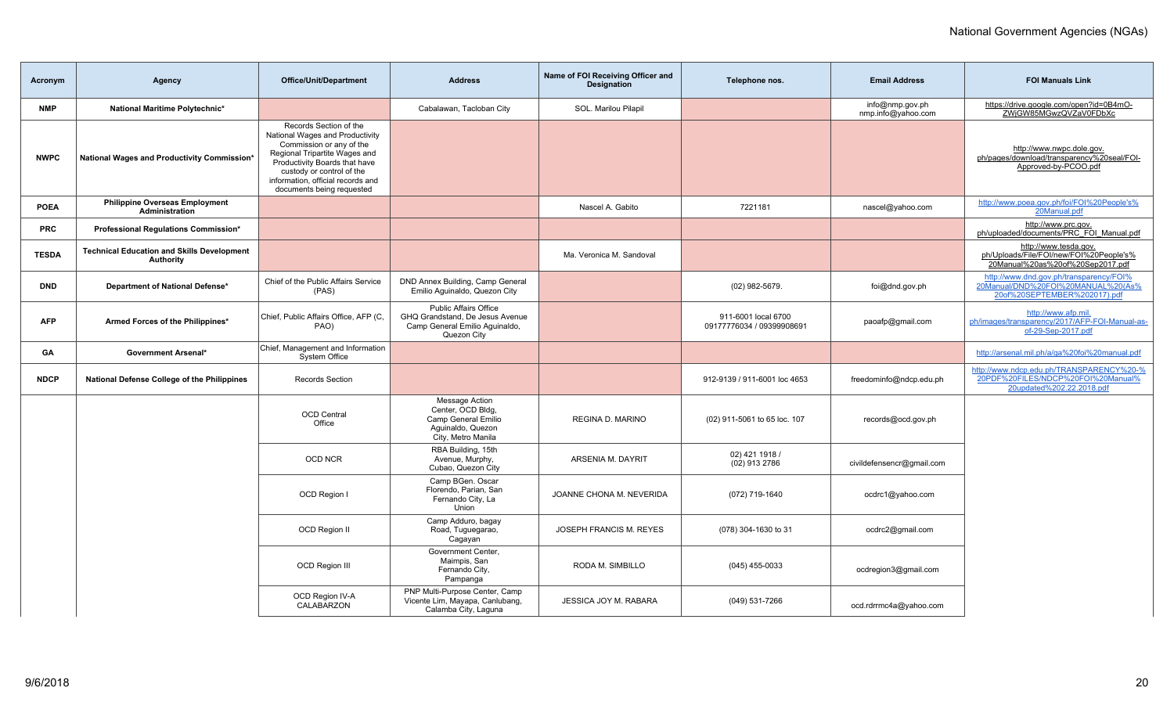| Acronym      | Agency                                                                | <b>Office/Unit/Department</b>                                                                                                                                                                                                                          | <b>Address</b>                                                                                                   | Name of FOI Receiving Officer and<br><b>Designation</b> | Telephone nos.                                   | <b>Email Address</b>                  | <b>FOI Manuals Link</b>                                                                                       |
|--------------|-----------------------------------------------------------------------|--------------------------------------------------------------------------------------------------------------------------------------------------------------------------------------------------------------------------------------------------------|------------------------------------------------------------------------------------------------------------------|---------------------------------------------------------|--------------------------------------------------|---------------------------------------|---------------------------------------------------------------------------------------------------------------|
| <b>NMP</b>   | National Maritime Polytechnic*                                        |                                                                                                                                                                                                                                                        | Cabalawan, Tacloban City                                                                                         | SOL. Marilou Pilapil                                    |                                                  | info@nmp.gov.ph<br>nmp.info@yahoo.com | https://drive.google.com/open?id=0B4mO-<br>ZWjGW85MGwzQVZaV0FDbXc                                             |
| <b>NWPC</b>  | National Wages and Productivity Commission*                           | Records Section of the<br>National Wages and Productivity<br>Commission or any of the<br>Regional Tripartite Wages and<br>Productivity Boards that have<br>custody or control of the<br>information, official records and<br>documents being requested |                                                                                                                  |                                                         |                                                  |                                       | http://www.nwpc.dole.gov.<br>ph/pages/download/transparency%20seal/FOI-<br>Approved-by-PCOO.pdf               |
| <b>POEA</b>  | <b>Philippine Overseas Employment</b><br><b>Administration</b>        |                                                                                                                                                                                                                                                        |                                                                                                                  | Nascel A. Gabito                                        | 7221181                                          | nascel@yahoo.com                      | http://www.poea.gov.ph/foi/FOI%20People's%<br>20Manual.pdf                                                    |
| <b>PRC</b>   | Professional Regulations Commission*                                  |                                                                                                                                                                                                                                                        |                                                                                                                  |                                                         |                                                  |                                       | http://www.prc.gov.<br>ph/uploaded/documents/PRC_FOI_Manual.pdf                                               |
| <b>TESDA</b> | <b>Technical Education and Skills Development</b><br><b>Authority</b> |                                                                                                                                                                                                                                                        |                                                                                                                  | Ma. Veronica M. Sandoval                                |                                                  |                                       | http://www.tesda.gov.<br>ph/Uploads/File/FOI/new/FOI%20People's%<br>20Manual%20as%20of%20Sep2017.pdf          |
| <b>DND</b>   | Department of National Defense*                                       | Chief of the Public Affairs Service<br>(PAS)                                                                                                                                                                                                           | DND Annex Building, Camp General<br>Emilio Aquinaldo, Quezon City                                                |                                                         | (02) 982-5679.                                   | foi@dnd.gov.ph                        | http://www.dnd.gov.ph/transparency/FOI%<br>20Manual/DND%20FOI%20MANUAL%20(As%<br>20of%20SEPTEMBER%202017).pdf |
| <b>AFP</b>   | Armed Forces of the Philippines*                                      | Chief, Public Affairs Office, AFP (C,<br>PAO)                                                                                                                                                                                                          | <b>Public Affairs Office</b><br>GHQ Grandstand, De Jesus Avenue<br>Camp General Emilio Aquinaldo,<br>Quezon City |                                                         | 911-6001 local 6700<br>09177776034 / 09399908691 | paoafp@gmail.com                      | http://www.afp.mil.<br>ph/images/transparency/2017/AFP-FOI-Manual-as-<br>of-29-Sep-2017.pdf                   |
| GА           | <b>Government Arsenal*</b>                                            | Chief, Management and Information<br>System Office                                                                                                                                                                                                     |                                                                                                                  |                                                         |                                                  |                                       | http://arsenal.mil.ph/a/ga%20foi%20manual.pdf                                                                 |
| <b>NDCP</b>  | National Defense College of the Philippines                           | Records Section                                                                                                                                                                                                                                        |                                                                                                                  |                                                         | 912-9139 / 911-6001 loc 4653                     | freedominfo@ndcp.edu.ph               | http://www.ndcp.edu.ph/TRANSPARENCY%20-%<br>20PDF%20FILES/NDCP%20FOI%20Manual%<br>20updated%202.22.2018.pdf   |
|              |                                                                       | <b>OCD Central</b><br>Office                                                                                                                                                                                                                           | Message Action<br>Center, OCD Bldg,<br>Camp General Emilio<br>Aquinaldo, Quezon<br>City, Metro Manila            | <b>REGINA D. MARINO</b>                                 | (02) 911-5061 to 65 loc. 107                     | records@ocd.gov.ph                    |                                                                                                               |
|              |                                                                       | <b>OCD NCR</b>                                                                                                                                                                                                                                         | RBA Building, 15th<br>Avenue, Murphy,<br>Cubao, Quezon City                                                      | ARSENIA M. DAYRIT                                       | 02) 421 1918 /<br>(02) 913 2786                  | civildefensencr@gmail.com             |                                                                                                               |
|              |                                                                       | OCD Region I                                                                                                                                                                                                                                           | Camp BGen. Oscar<br>Florendo, Parian, San<br>Fernando City, La<br>Union                                          | JOANNE CHONA M. NEVERIDA                                | (072) 719-1640                                   | ocdrc1@yahoo.com                      |                                                                                                               |
|              |                                                                       | OCD Region II                                                                                                                                                                                                                                          | Camp Adduro, bagay<br>Road, Tuguegarao,<br>Cagayan                                                               | JOSEPH FRANCIS M. REYES                                 | (078) 304-1630 to 31                             | ocdrc2@gmail.com                      |                                                                                                               |
|              |                                                                       | <b>OCD Region III</b>                                                                                                                                                                                                                                  | Government Center,<br>Maimpis, San<br>Fernando City,<br>Pampanga                                                 | RODA M. SIMBILLO                                        | $(045)$ 455-0033                                 | ocdregion3@gmail.com                  |                                                                                                               |
|              |                                                                       | OCD Region IV-A<br>CALABARZON                                                                                                                                                                                                                          | PNP Multi-Purpose Center, Camp<br>Vicente Lim, Mayapa, Canlubang,<br>Calamba City, Laguna                        | JESSICA JOY M. RABARA                                   | (049) 531-7266                                   | ocd.rdrrmc4a@yahoo.com                |                                                                                                               |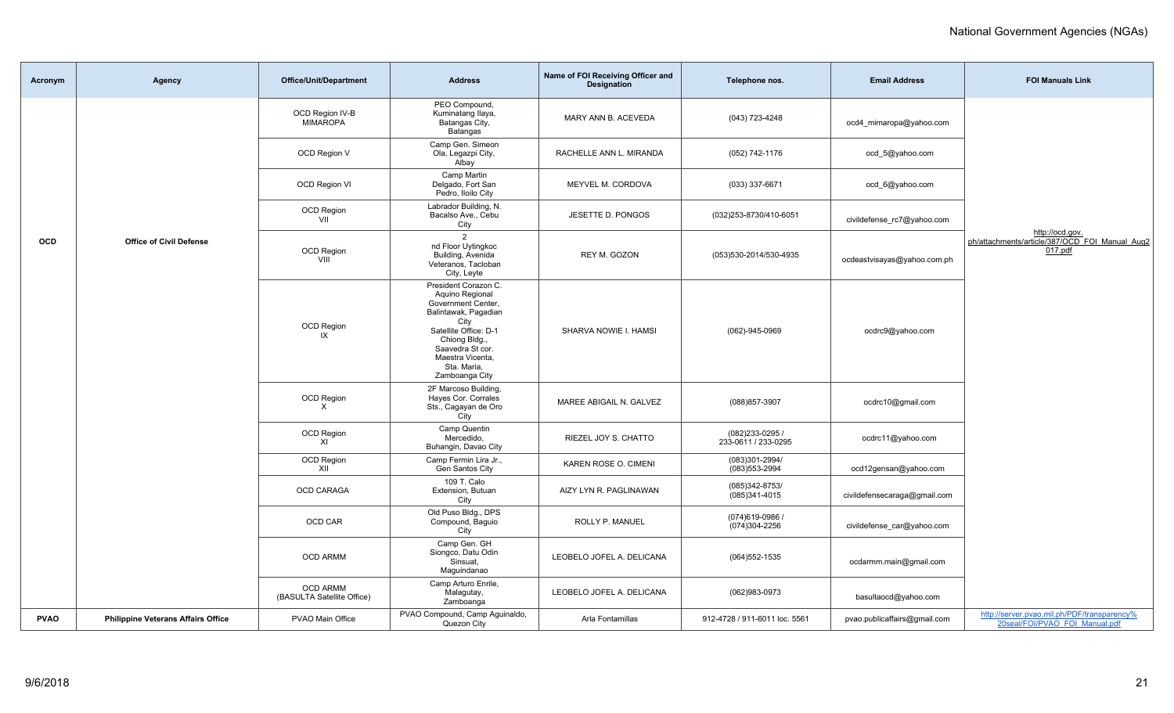| Acronym     | Agency                                    | <b>Office/Unit/Department</b>                 | <b>Address</b>                                                                                                  | Name of FOI Receiving Officer and<br><b>Designation</b> | Telephone nos.                         | <b>Email Address</b>         | <b>FOI Manuals Link</b>                                                       |
|-------------|-------------------------------------------|-----------------------------------------------|-----------------------------------------------------------------------------------------------------------------|---------------------------------------------------------|----------------------------------------|------------------------------|-------------------------------------------------------------------------------|
|             |                                           | OCD Region IV-B<br><b>MIMAROPA</b>            | PEO Compound,<br>Kuminatang Ilaya,<br>Batangas City,<br>Batangas                                                | MARY ANN B. ACEVEDA                                     | (043) 723-4248                         | ocd4 mimaropa@yahoo.com      |                                                                               |
|             |                                           | OCD Region V                                  | Camp Gen. Simeon<br>Ola, Legazpi City,<br>Albay                                                                 | RACHELLE ANN L. MIRANDA                                 | (052) 742-1176                         | ocd_5@yahoo.com              |                                                                               |
|             |                                           | OCD Region VI                                 | Camp Martin<br>Delgado, Fort San<br>Pedro, Iloilo City                                                          | MEYVEL M. CORDOVA                                       | (033) 337-6671                         | ocd_6@yahoo.com              |                                                                               |
|             |                                           | OCD Region<br>VII                             | Labrador Building, N.<br>Bacalso Ave., Cebu<br>City                                                             | JESETTE D. PONGOS                                       | (032)253-8730/410-6051                 | civildefense_rc7@yahoo.com   |                                                                               |
| OCD         | <b>Office of Civil Defense</b>            | <b>OCD Region</b><br>VIII                     | $\overline{2}$<br>nd Floor Uytingkoc<br>Building, Avenida<br>Veteranos, Tacloban<br>City, Leyte                 | REY M. GOZON                                            | (053)530-2014/530-4935                 | ocdeastvisayas@yahoo.com.ph  | http://ocd.gov.<br>ph/attachments/article/387/OCD_FOI_Manual_Aug2<br>017.pdf  |
|             |                                           |                                               | President Corazon C.<br>Aquino Regional<br>Government Center,<br>Balintawak, Pagadian<br>City                   |                                                         |                                        |                              |                                                                               |
|             |                                           | <b>OCD Region</b><br>IX                       | Satellite Office: D-1<br>Chiong Bldg.,<br>Saavedra St cor.<br>Maestra Vicenta,<br>Sta. Maria,<br>Zamboanga City | SHARVA NOWIE I. HAMSI                                   | (062)-945-0969                         | ocdrc9@yahoo.com             |                                                                               |
|             |                                           | OCD Region<br>$\times$                        | 2F Marcoso Building,<br>Hayes Cor. Corrales<br>Sts., Cagayan de Oro<br>City                                     | MAREE ABIGAIL N. GALVEZ                                 | (088) 857-3907                         | ocdrc10@gmail.com            |                                                                               |
|             |                                           | OCD Region<br>XI                              | Camp Quentin<br>Mercedido,<br>Buhangin, Davao City                                                              | RIEZEL JOY S. CHATTO                                    | (082)233-0295 /<br>233-0611 / 233-0295 | ocdrc11@yahoo.com            |                                                                               |
|             |                                           | OCD Region<br>XII                             | Camp Fermin Lira Jr.,<br>Gen Santos City                                                                        | KAREN ROSE O. CIMENI                                    | (083)301-2994/<br>(083) 553-2994       | ocd12gensan@yahoo.com        |                                                                               |
|             |                                           | OCD CARAGA                                    | 109 T. Calo<br>Extension, Butuan<br>City                                                                        | AIZY LYN R. PAGLINAWAN                                  | (085)342-8753/<br>(085)341-4015        | civildefensecaraga@gmail.com |                                                                               |
|             |                                           | OCD CAR                                       | Old Puso Bldg., DPS<br>Compound, Baguio<br>City                                                                 | ROLLY P. MANUEL                                         | (074) 619-0986<br>(074)304-2256        | civildefense car@yahoo.com   |                                                                               |
|             |                                           | <b>OCD ARMM</b>                               | Camp Gen. GH<br>Siongco, Datu Odin<br>Sinsuat,<br>Maguindanao                                                   | LEOBELO JOFEL A. DELICANA                               | $(064)552 - 1535$                      | ocdarmm.main@gmail.com       |                                                                               |
|             |                                           | <b>OCD ARMM</b><br>(BASULTA Satellite Office) | Camp Arturo Enrile,<br>Malagutay,<br>Zamboanga                                                                  | LEOBELO JOFEL A. DELICANA                               | (062)983-0973                          | basultaocd@yahoo.com         |                                                                               |
| <b>PVAO</b> | <b>Philippine Veterans Affairs Office</b> | PVAO Main Office                              | PVAO Compound, Camp Aguinaldo,<br>Quezon City                                                                   | Arla Fontamillas                                        | 912-4728 / 911-6011 loc. 5561          | pvao.publicaffairs@gmail.com | http://server.pvao.mil.ph/PDF/transparency%<br>20seal/FOI/PVAO FOI Manual.pdf |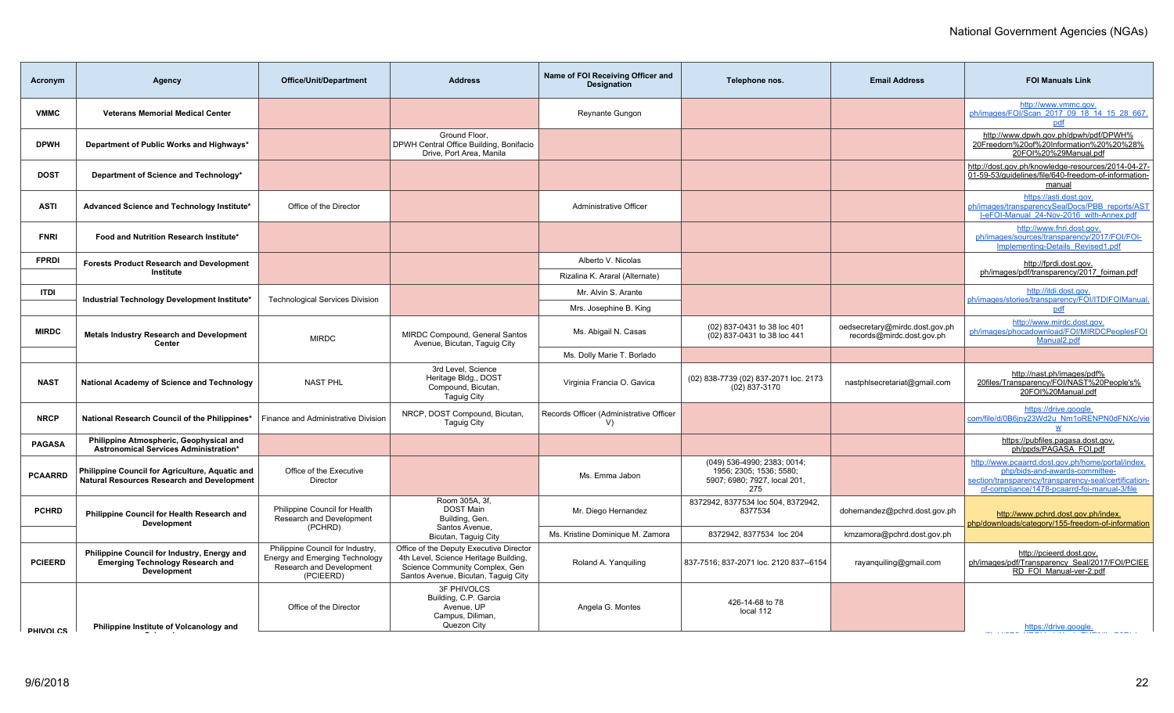| Agency                                                                                                       | <b>Office/Unit/Department</b>                                                                               | <b>Address</b>                                                                                                                                            | Name of FOI Receiving Officer and<br><b>Designation</b>                                   | Telephone nos.                                                                                | <b>Email Address</b>                                        | <b>FOI Manuals Link</b>                                                                                                                                                                      |
|--------------------------------------------------------------------------------------------------------------|-------------------------------------------------------------------------------------------------------------|-----------------------------------------------------------------------------------------------------------------------------------------------------------|-------------------------------------------------------------------------------------------|-----------------------------------------------------------------------------------------------|-------------------------------------------------------------|----------------------------------------------------------------------------------------------------------------------------------------------------------------------------------------------|
| <b>Veterans Memorial Medical Center</b>                                                                      |                                                                                                             |                                                                                                                                                           | <b>Reynante Gungon</b>                                                                    |                                                                                               |                                                             | http://www.vmmc.gov.<br>ph/images/FOI/Scan 2017 09 18 14 15 28 667<br>pdf                                                                                                                    |
| Department of Public Works and Highways*                                                                     |                                                                                                             | Ground Floor.<br>Drive, Port Area, Manila                                                                                                                 |                                                                                           |                                                                                               |                                                             | http://www.dpwh.gov.ph/dpwh/pdf/DPWH%<br>20Freedom%20of%20Information%20%20%28%<br>20FOI%20%29Manual.pdf                                                                                     |
| Department of Science and Technology*                                                                        |                                                                                                             |                                                                                                                                                           |                                                                                           |                                                                                               |                                                             | http://dost.gov.ph/knowledge-resources/2014-04-27-<br>01-59-53/quidelines/file/640-freedom-of-information-<br>manual                                                                         |
| Advanced Science and Technology Institute*                                                                   | Office of the Director                                                                                      |                                                                                                                                                           | Administrative Officer                                                                    |                                                                                               |                                                             | https://asti.dost.gov.<br>ph/images/transparencySealDocs/PBB_reports/AST<br>I-eFOI-Manual 24-Nov-2016 with-Annex.pdf                                                                         |
| Food and Nutrition Research Institute*                                                                       |                                                                                                             |                                                                                                                                                           |                                                                                           |                                                                                               |                                                             | http://www.fnri.dost.gov.<br>ph/images/sources/transparency/2017/FOI/FOI-<br>Implementing-Details Revised1.pdf                                                                               |
| <b>Forests Product Research and Development</b>                                                              |                                                                                                             |                                                                                                                                                           | Alberto V. Nicolas                                                                        |                                                                                               |                                                             | http://fprdi.dost.gov.                                                                                                                                                                       |
| Institute                                                                                                    |                                                                                                             |                                                                                                                                                           | Rizalina K. Araral (Alternate)                                                            |                                                                                               |                                                             | ph/images/pdf/transparency/2017 foiman.pdf                                                                                                                                                   |
|                                                                                                              |                                                                                                             |                                                                                                                                                           | Mr. Alvin S. Arante                                                                       |                                                                                               |                                                             | http://itdi.dost.gov.<br>ph/images/stories/transparency/FOI/ITDIFOIManual.                                                                                                                   |
|                                                                                                              |                                                                                                             |                                                                                                                                                           | Mrs. Josephine B. King                                                                    |                                                                                               |                                                             | pdf                                                                                                                                                                                          |
| <b>Metals Industry Research and Development</b><br>Center                                                    | <b>MIRDC</b>                                                                                                | MIRDC Compound, General Santos                                                                                                                            | Ms. Abigail N. Casas                                                                      | (02) 837-0431 to 38 loc 401<br>(02) 837-0431 to 38 loc 441                                    | oedsecretary@mirdc.dost.gov.ph<br>records@mirdc.dost.gov.ph | http://www.mirdc.dost.gov.<br>ph/images/phocadownload/FOI/MIRDCPeoplesFOI<br>Manual <sub>2.pdf</sub>                                                                                         |
|                                                                                                              |                                                                                                             |                                                                                                                                                           | Ms. Dolly Marie T. Borlado                                                                |                                                                                               |                                                             |                                                                                                                                                                                              |
| National Academy of Science and Technology                                                                   | <b>NAST PHL</b>                                                                                             | 3rd Level, Science<br>Heritage Bldg., DOST<br>Compound, Bicutan,<br>Taguig City                                                                           | Virginia Francia O. Gavica                                                                | (02) 838-7739 (02) 837-2071 loc. 2173<br>(02) 837-3170                                        | nastphlsecretariat@gmail.com                                | http://nast.ph/images/pdf%<br>20files/Transparency/FOI/NAST%20People's%<br>20FOI%20Manual.pdf                                                                                                |
| National Research Council of the Philippines*                                                                | Finance and Administrative Division                                                                         | NRCP, DOST Compound, Bicutan,<br><b>Taguig City</b>                                                                                                       | Records Officer (Administrative Officer<br>V                                              |                                                                                               |                                                             | https://drive.google.<br>com/file/d/0B6jny23Wd2u Nm1oRENPN0dFNXc/vie<br>$\underline{\mathsf{w}}$                                                                                             |
| Philippine Atmospheric, Geophysical and                                                                      |                                                                                                             |                                                                                                                                                           |                                                                                           |                                                                                               |                                                             | https://pubfiles.pagasa.dost.gov.<br>ph/ppds/PAGASA FOI.pdf                                                                                                                                  |
| Philippine Council for Agriculture, Aquatic and<br><b>Natural Resources Research and Development</b>         | Office of the Executive<br>Director                                                                         |                                                                                                                                                           | Ms. Emma Jabon                                                                            | (049) 536-4990; 2383; 0014;<br>1956; 2305; 1536; 5580;<br>5907; 6980; 7927, local 201,<br>275 |                                                             | http://www.pcaarrd.dost.gov.ph/home/portal/index.<br>php/bids-and-awards-committee-<br>section/transparency/transparency-seal/certification-<br>of-compliance/1478-pcaarrd-foi-manual-3/file |
| Philippine Council for Health Research and<br><b>Development</b>                                             | Philippine Council for Health<br>Research and Development                                                   | Room 305A, 3f,<br><b>DOST Main</b><br>Building, Gen.                                                                                                      | Mr. Diego Hernandez                                                                       | 8372942, 8377534 loc 504, 8372942,<br>8377534                                                 | dohernandez@pchrd.dost.gov.ph                               | http://www.pchrd.dost.gov.ph/index.<br>php/downloads/category/155-freedom-of-information                                                                                                     |
|                                                                                                              |                                                                                                             | Bicutan, Taguig City                                                                                                                                      | Ms. Kristine Dominique M. Zamora                                                          | 8372942, 8377534 loc 204                                                                      | kmzamora@pchrd.dost.gov.ph                                  |                                                                                                                                                                                              |
| Philippine Council for Industry, Energy and<br><b>Emerging Technology Research and</b><br><b>Development</b> | Philippine Council for Industry,<br>Energy and Emerging Technology<br>Research and Development<br>(PCIEERD) | Office of the Deputy Executive Director<br>4th Level, Science Heritage Building,<br>Science Community Complex, Gen<br>Santos Avenue, Bicutan, Taguig City | Roland A. Yanguiling                                                                      | 837-7516; 837-2071 loc. 2120 837--6154                                                        | rayanquiling@gmail.com                                      | http://pcieerd.dost.gov.<br>ph/images/pdf/Transparency Seal/2017/FOI/PCIEE<br>RD FOI Manual-ver-2.pdf                                                                                        |
| Philippine Institute of Volcanology and                                                                      | Office of the Director                                                                                      | <b>3F PHIVOLCS</b><br>Building, C.P. Garcia<br>Avenue, UP<br>Campus, Diliman,<br>Quezon City                                                              | Angela G. Montes                                                                          | 426-14-68 to 78<br>local 112                                                                  |                                                             | https://drive.google.                                                                                                                                                                        |
|                                                                                                              | Industrial Technology Development Institute*<br>Astronomical Services Administration*                       | <b>Technological Services Division</b><br>(PCHRD)                                                                                                         | DPWH Central Office Building, Bonifacio<br>Avenue, Bicutan, Taguig City<br>Santos Avenue, |                                                                                               |                                                             |                                                                                                                                                                                              |

**Seismology**

[com/file/d/0B8\\_KPQhbpktXenkxTHFjNlkzQ0E/view](https://drive.google.com/file/d/0B8_KPQhbpktXenkxTHFjNlkzQ0E/view)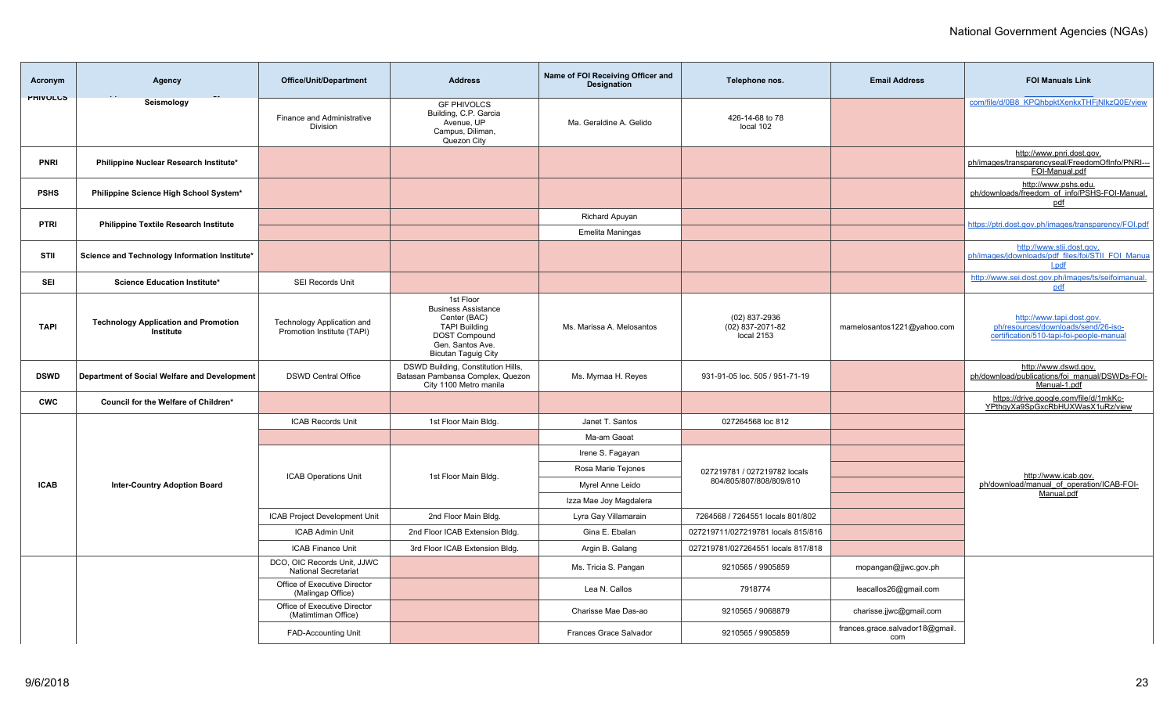| Acronym         | <b>Agency</b>                                            | Office/Unit/Department                                     | <b>Address</b>                                                                                                                                            | Name of FOI Receiving Officer and<br><b>Designation</b> | Telephone nos.                                    | <b>Email Address</b>                   | <b>FOI Manuals Link</b>                                                                                      |
|-----------------|----------------------------------------------------------|------------------------------------------------------------|-----------------------------------------------------------------------------------------------------------------------------------------------------------|---------------------------------------------------------|---------------------------------------------------|----------------------------------------|--------------------------------------------------------------------------------------------------------------|
| <b>PHIVULUS</b> | Seismology                                               | Finance and Administrative<br>Division                     | <b>GF PHIVOLCS</b><br>Building, C.P. Garcia<br>Avenue, UP<br>Campus, Diliman,<br>Quezon City                                                              | Ma. Geraldine A. Gelido                                 | 426-14-68 to 78<br>local 102                      |                                        | com/file/d/0B8_KPQhbpktXenkxTHFjNlkzQ0E/view                                                                 |
| <b>PNRI</b>     | Philippine Nuclear Research Institute*                   |                                                            |                                                                                                                                                           |                                                         |                                                   |                                        | http://www.pnri.dost.gov.<br>ph/images/transparencyseal/FreedomOfInfo/PNRI---<br>FOI-Manual.pdf              |
| <b>PSHS</b>     | Philippine Science High School System*                   |                                                            |                                                                                                                                                           |                                                         |                                                   |                                        | http://www.pshs.edu.<br>ph/downloads/freedom_of_info/PSHS-FOI-Manual.<br>pdf                                 |
| <b>PTRI</b>     | <b>Philippine Textile Research Institute</b>             |                                                            |                                                                                                                                                           | Richard Apuyan                                          |                                                   |                                        | https://ptri.dost.gov.ph/images/transparency/FOI.pdf                                                         |
|                 |                                                          |                                                            |                                                                                                                                                           | <b>Emelita Maningas</b>                                 |                                                   |                                        |                                                                                                              |
| STII            | Science and Technology Information Institute*            |                                                            |                                                                                                                                                           |                                                         |                                                   |                                        | http://www.stii.dost.gov.<br>ph/images/jdownloads/pdf files/foi/STII FOI Manua<br>l.pdf                      |
| SEI             | Science Education Institute*                             | SEI Records Unit                                           |                                                                                                                                                           |                                                         |                                                   |                                        | http://www.sei.dost.gov.ph/images/ts/seifoimanual.<br>pdf                                                    |
| <b>TAPI</b>     | <b>Technology Application and Promotion</b><br>Institute | Technology Application and<br>Promotion Institute (TAPI)   | 1st Floor<br><b>Business Assistance</b><br>Center (BAC)<br><b>TAPI Building</b><br><b>DOST Compound</b><br>Gen. Santos Ave.<br><b>Bicutan Taguig City</b> | Ms. Marissa A. Melosantos                               | $(02)$ 837-2936<br>(02) 837-2071-82<br>local 2153 | mamelosantos1221@yahoo.com             | http://www.tapi.dost.gov.<br>ph/resources/downloads/send/26-iso-<br>certification/510-tapi-foi-people-manual |
| <b>DSWD</b>     | Department of Social Welfare and Development             | <b>DSWD Central Office</b>                                 | DSWD Building, Constitution Hills,<br>Batasan Pambansa Complex, Quezon<br>City 1100 Metro manila                                                          | Ms. Myrnaa H. Reyes                                     | 931-91-05 loc. 505 / 951-71-19                    |                                        | http://www.dswd.gov.<br>ph/download/publications/foi_manual/DSWDs-FOI-<br>Manual-1.pdf                       |
| <b>CWC</b>      | Council for the Welfare of Children*                     |                                                            |                                                                                                                                                           |                                                         |                                                   |                                        | https://drive.google.com/file/d/1mkKc-<br>YPthgyXa9SpGxcRbHUXWasX1uRz/view                                   |
|                 |                                                          | <b>ICAB Records Unit</b>                                   | 1st Floor Main Bldg.                                                                                                                                      | Janet T. Santos                                         | 027264568 loc 812                                 |                                        |                                                                                                              |
|                 |                                                          |                                                            |                                                                                                                                                           | Ma-am Gaoat                                             |                                                   |                                        |                                                                                                              |
|                 |                                                          |                                                            |                                                                                                                                                           | Irene S. Fagayan                                        |                                                   |                                        |                                                                                                              |
|                 |                                                          | <b>ICAB Operations Unit</b>                                | 1st Floor Main Bldg.                                                                                                                                      | Rosa Marie Tejones                                      | 027219781 / 027219782 locals                      |                                        | http://www.icab.gov.                                                                                         |
| <b>ICAB</b>     | <b>Inter-Country Adoption Board</b>                      |                                                            |                                                                                                                                                           | Myrel Anne Leido                                        | 804/805/807/808/809/810                           |                                        | ph/download/manual of operation/ICAB-FOI-<br>Manual.pdf                                                      |
|                 |                                                          |                                                            |                                                                                                                                                           | Izza Mae Joy Magdalera                                  |                                                   |                                        |                                                                                                              |
|                 |                                                          | ICAB Project Development Unit                              | 2nd Floor Main Bldg.                                                                                                                                      | Lyra Gay Villamarain                                    | 7264568 / 7264551 locals 801/802                  |                                        |                                                                                                              |
|                 |                                                          | <b>ICAB Admin Unit</b>                                     | 2nd Floor ICAB Extension Bldg.                                                                                                                            | Gina E. Ebalan                                          | 027219711/027219781 locals 815/816                |                                        |                                                                                                              |
|                 |                                                          | <b>ICAB Finance Unit</b>                                   | 3rd Floor ICAB Extension Bldg.                                                                                                                            | Argin B. Galang                                         | 027219781/027264551 locals 817/818                |                                        |                                                                                                              |
|                 |                                                          | DCO, OIC Records Unit, JJWC<br><b>National Secretariat</b> |                                                                                                                                                           | Ms. Tricia S. Pangan                                    | 9210565 / 9905859                                 | mopangan@jjwc.gov.ph                   |                                                                                                              |
|                 |                                                          | Office of Executive Director<br>(Malingap Office)          |                                                                                                                                                           | Lea N. Callos                                           | 7918774                                           | leacallos26@gmail.com                  |                                                                                                              |
|                 |                                                          | Office of Executive Director<br>(Matimtiman Office)        |                                                                                                                                                           | Charisse Mae Das-ao                                     | 9210565 / 9068879                                 | charisse.jjwc@gmail.com                |                                                                                                              |
|                 |                                                          | <b>FAD-Accounting Unit</b>                                 |                                                                                                                                                           | Frances Grace Salvador                                  | 9210565 / 9905859                                 | frances.grace.salvador18@gmail.<br>com |                                                                                                              |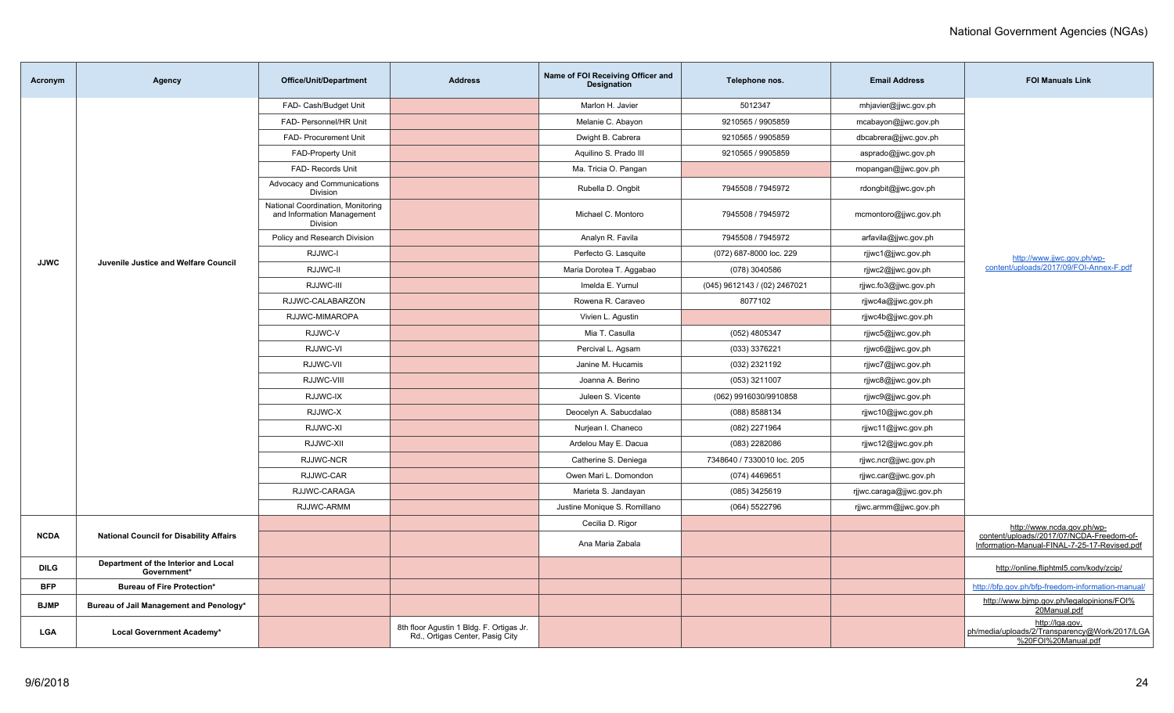| Acronym     | Agency                                              | <b>Office/Unit/Department</b>                                               | <b>Address</b>                                                              | Name of FOI Receiving Officer and<br><b>Designation</b> | Telephone nos.               | <b>Email Address</b>     | <b>FOI Manuals Link</b>                                                                   |
|-------------|-----------------------------------------------------|-----------------------------------------------------------------------------|-----------------------------------------------------------------------------|---------------------------------------------------------|------------------------------|--------------------------|-------------------------------------------------------------------------------------------|
|             |                                                     | FAD- Cash/Budget Unit                                                       |                                                                             | Marlon H. Javier                                        | 5012347                      | mhjavier@jjwc.gov.ph     |                                                                                           |
|             |                                                     | FAD- Personnel/HR Unit                                                      |                                                                             | Melanie C. Abayon                                       | 9210565 / 9905859            | mcabayon@jjwc.gov.ph     |                                                                                           |
|             |                                                     | FAD- Procurement Unit                                                       |                                                                             | Dwight B. Cabrera                                       | 9210565 / 9905859            | dbcabrera@jjwc.gov.ph    |                                                                                           |
|             |                                                     | <b>FAD-Property Unit</b>                                                    |                                                                             | Aquilino S. Prado III                                   | 9210565 / 9905859            | asprado@jjwc.gov.ph      |                                                                                           |
|             |                                                     | FAD- Records Unit                                                           |                                                                             | Ma. Tricia O. Pangan                                    |                              | mopangan@jjwc.gov.ph     |                                                                                           |
|             |                                                     | Advocacy and Communications<br>Division                                     |                                                                             | Rubella D. Ongbit                                       | 7945508 / 7945972            | rdongbit@jjwc.gov.ph     |                                                                                           |
|             |                                                     | National Coordination, Monitoring<br>and Information Management<br>Division |                                                                             | Michael C. Montoro                                      | 7945508 / 7945972            | mcmontoro@jjwc.gov.ph    |                                                                                           |
|             |                                                     | Policy and Research Division                                                |                                                                             | Analyn R. Favila                                        | 7945508 / 7945972            | arfavila@jjwc.gov.ph     |                                                                                           |
| <b>JJWC</b> | Juvenile Justice and Welfare Council                | RJJWC-I                                                                     |                                                                             | Perfecto G. Lasquite                                    | (072) 687-8000 loc. 229      | rjjwc1@jjwc.gov.ph       | http://www.jjwc.gov.ph/wp-                                                                |
|             |                                                     | RJJWC-II                                                                    |                                                                             | Maria Dorotea T. Aggabao                                | (078) 3040586                | rjjwc2@jjwc.gov.ph       | content/uploads/2017/09/FOI-Annex-F.pdf                                                   |
|             |                                                     | RJJWC-III                                                                   |                                                                             | Imelda E. Yumul                                         | (045) 9612143 / (02) 2467021 | rjjwc.fo3@jjwc.gov.ph    |                                                                                           |
|             |                                                     | RJJWC-CALABARZON                                                            |                                                                             | Rowena R. Caraveo                                       | 8077102                      | rijwc4a@jjwc.gov.ph      |                                                                                           |
|             |                                                     | RJJWC-MIMAROPA                                                              |                                                                             | Vivien L. Agustin                                       |                              | rjjwc4b@jjwc.gov.ph      |                                                                                           |
|             |                                                     | RJJWC-V                                                                     |                                                                             | Mia T. Casulla                                          | (052) 4805347                | rjjwc5@jjwc.gov.ph       |                                                                                           |
|             |                                                     | RJJWC-VI                                                                    |                                                                             | Percival L. Agsam                                       | (033) 3376221                | rjjwc6@jjwc.gov.ph       |                                                                                           |
|             |                                                     | RJJWC-VII                                                                   |                                                                             | Janine M. Hucamis                                       | (032) 2321192                | rjjwc7@jjwc.gov.ph       |                                                                                           |
|             |                                                     | RJJWC-VIII                                                                  |                                                                             | Joanna A. Berino                                        | (053) 3211007                | rjjwc8@jjwc.gov.ph       |                                                                                           |
|             |                                                     | RJJWC-IX                                                                    |                                                                             | Juleen S. Vicente                                       | (062) 9916030/9910858        | rjjwc9@jjwc.gov.ph       |                                                                                           |
|             |                                                     | RJJWC-X                                                                     |                                                                             | Deocelyn A. Sabucdalao                                  | (088) 8588134                | rjjwc10@jjwc.gov.ph      |                                                                                           |
|             |                                                     | RJJWC-XI                                                                    |                                                                             | Nurjean I. Chaneco                                      | (082) 2271964                | rjjwc11@jjwc.gov.ph      |                                                                                           |
|             |                                                     | RJJWC-XII                                                                   |                                                                             | Ardelou May E. Dacua                                    | (083) 2282086                | rjjwc12@jjwc.gov.ph      |                                                                                           |
|             |                                                     | RJJWC-NCR                                                                   |                                                                             | Catherine S. Deniega                                    | 7348640 / 7330010 loc. 205   | rjjwc.ncr@jjwc.gov.ph    |                                                                                           |
|             |                                                     | RJJWC-CAR                                                                   |                                                                             | Owen Mari L. Domondon                                   | (074) 4469651                | rjjwc.car@jjwc.gov.ph    |                                                                                           |
|             |                                                     | RJJWC-CARAGA                                                                |                                                                             | Marieta S. Jandayan                                     | (085) 3425619                | rjjwc.caraga@jjwc.gov.ph |                                                                                           |
|             |                                                     | RJJWC-ARMM                                                                  |                                                                             | Justine Monique S. Romillano                            | (064) 5522796                | rjiwc.armm@jjwc.gov.ph   |                                                                                           |
|             |                                                     |                                                                             |                                                                             | Cecilia D. Rigor                                        |                              |                          | http://www.ncda.gov.ph/wp-                                                                |
| <b>NCDA</b> | <b>National Council for Disability Affairs</b>      |                                                                             |                                                                             | Ana Maria Zabala                                        |                              |                          | content/uploads//2017/07/NCDA-Freedom-of-<br>Information-Manual-FINAL-7-25-17-Revised.pdf |
| <b>DILG</b> | Department of the Interior and Local<br>Government* |                                                                             |                                                                             |                                                         |                              |                          | http://online.fliphtml5.com/kody/zcip/                                                    |
| BFP         | <b>Bureau of Fire Protection*</b>                   |                                                                             |                                                                             |                                                         |                              |                          | http://bfp.gov.ph/bfp-freedom-information-manual/                                         |
| <b>BJMP</b> | Bureau of Jail Management and Penology*             |                                                                             |                                                                             |                                                         |                              |                          | http://www.bjmp.gov.ph/legalopinions/FOI%<br>20Manual.pdf                                 |
| <b>LGA</b>  | Local Government Academy*                           |                                                                             | 8th floor Agustin 1 Bldg. F. Ortigas Jr.<br>Rd., Ortigas Center, Pasig City |                                                         |                              |                          | http://lqa.gov.<br>ph/media/uploads/2/Transparency@Work/2017/LGA<br>%20FOI%20Manual.pdf   |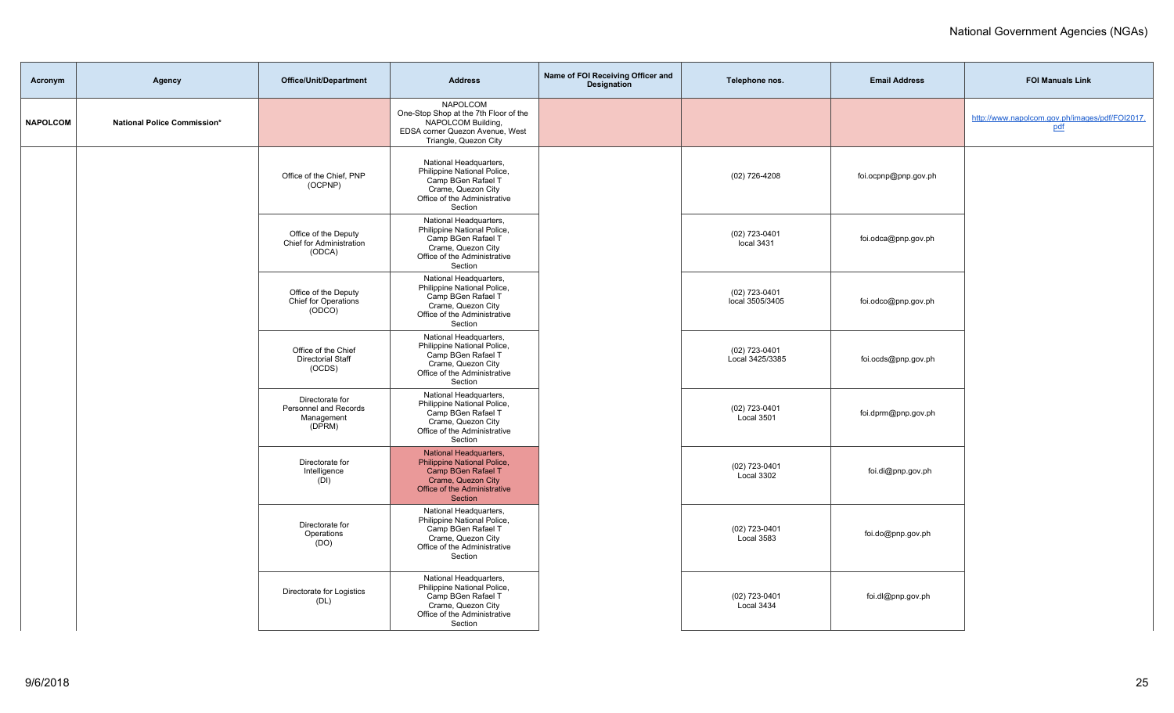| Acronym         | Agency                      | Office/Unit/Department                                           | <b>Address</b>                                                                                                                               | Name of FOI Receiving Officer and<br><b>Designation</b> | Telephone nos.                   | <b>Email Address</b> | <b>FOI Manuals Link</b>                               |
|-----------------|-----------------------------|------------------------------------------------------------------|----------------------------------------------------------------------------------------------------------------------------------------------|---------------------------------------------------------|----------------------------------|----------------------|-------------------------------------------------------|
| <b>NAPOLCOM</b> | National Police Commission* |                                                                  | <b>NAPOLCOM</b><br>One-Stop Shop at the 7th Floor of the<br>NAPOLCOM Building,<br>EDSA corner Quezon Avenue, West<br>Triangle, Quezon City   |                                                         |                                  |                      | http://www.napolcom.gov.ph/images/pdf/FOI2017.<br>pdf |
|                 |                             | Office of the Chief, PNP<br>(OCPNP)                              | National Headquarters,<br>Philippine National Police,<br>Camp BGen Rafael T<br>Crame, Quezon City<br>Office of the Administrative<br>Section |                                                         | (02) 726-4208                    | foi.ocpnp@pnp.gov.ph |                                                       |
|                 |                             | Office of the Deputy<br>Chief for Administration<br>(ODCA)       | National Headquarters,<br>Philippine National Police,<br>Camp BGen Rafael T<br>Crame, Quezon City<br>Office of the Administrative<br>Section |                                                         | $(02)$ 723-0401<br>local 3431    | foi.odca@pnp.gov.ph  |                                                       |
|                 |                             | Office of the Deputy<br>Chief for Operations<br>(ODCO)           | National Headquarters,<br>Philippine National Police,<br>Camp BGen Rafael T<br>Crame, Quezon City<br>Office of the Administrative<br>Section |                                                         | (02) 723-0401<br>local 3505/3405 | foi.odco@pnp.gov.ph  |                                                       |
|                 |                             | Office of the Chief<br><b>Directorial Staff</b><br>(OCDS)        | National Headquarters,<br>Philippine National Police,<br>Camp BGen Rafael T<br>Crame, Quezon City<br>Office of the Administrative<br>Section |                                                         | (02) 723-0401<br>Local 3425/3385 | foi.ocds@pnp.gov.ph  |                                                       |
|                 |                             | Directorate for<br>Personnel and Records<br>Management<br>(DPRM) | National Headquarters,<br>Philippine National Police,<br>Camp BGen Rafael T<br>Crame, Quezon City<br>Office of the Administrative<br>Section |                                                         | (02) 723-0401<br>Local 3501      | foi.dprm@pnp.gov.ph  |                                                       |
|                 |                             | Directorate for<br>Intelligence<br>(DI)                          | National Headquarters,<br>Philippine National Police,<br>Camp BGen Rafael T<br>Crame, Quezon City<br>Office of the Administrative<br>Section |                                                         | (02) 723-0401<br>Local 3302      | foi.di@pnp.gov.ph    |                                                       |
|                 |                             | Directorate for<br>Operations<br>(DO)                            | National Headquarters,<br>Philippine National Police,<br>Camp BGen Rafael T<br>Crame, Quezon City<br>Office of the Administrative<br>Section |                                                         | (02) 723-0401<br>Local 3583      | foi.do@pnp.gov.ph    |                                                       |
|                 |                             | Directorate for Logistics<br>(DL)                                | National Headquarters,<br>Philippine National Police,<br>Camp BGen Rafael T<br>Crame, Quezon City<br>Office of the Administrative<br>Section |                                                         | (02) 723-0401<br>Local 3434      | foi.dl@pnp.gov.ph    |                                                       |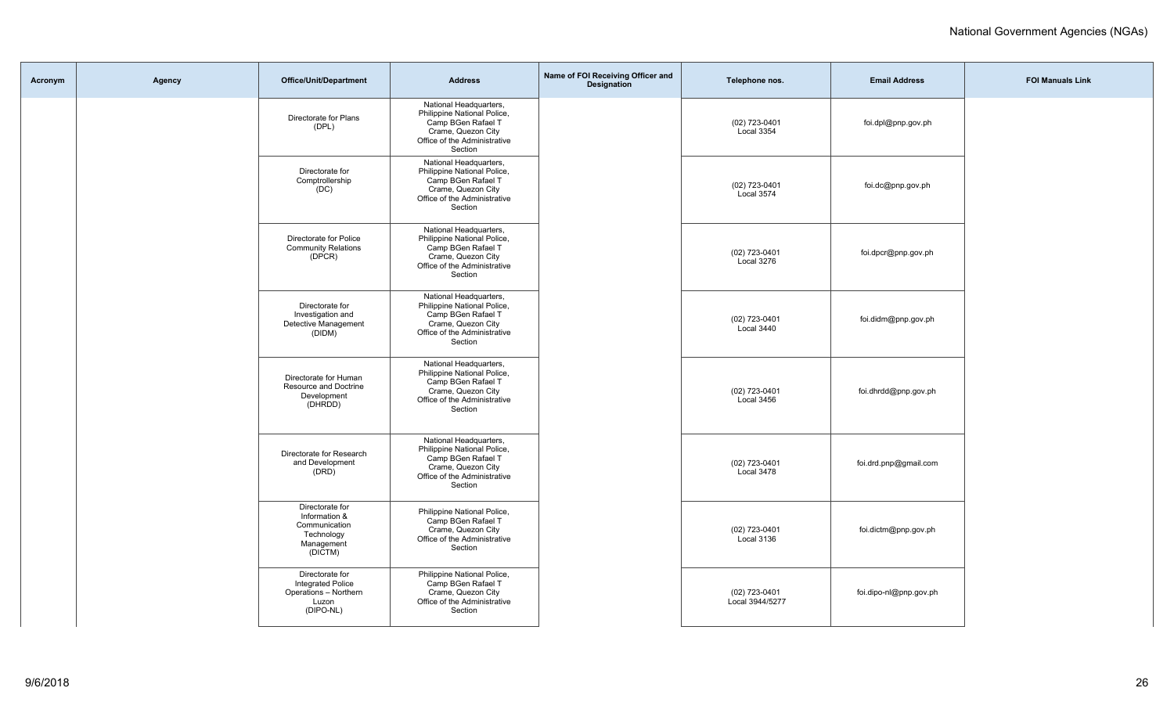| Acronym | Agency | Office/Unit/Department                                                                     | <b>Address</b>                                                                                                                               | Name of FOI Receiving Officer and<br>Designation | Telephone nos.                   | <b>Email Address</b>   | <b>FOI Manuals Link</b> |
|---------|--------|--------------------------------------------------------------------------------------------|----------------------------------------------------------------------------------------------------------------------------------------------|--------------------------------------------------|----------------------------------|------------------------|-------------------------|
|         |        | Directorate for Plans<br>(DPL)                                                             | National Headquarters,<br>Philippine National Police,<br>Camp BGen Rafael T<br>Crame, Quezon City<br>Office of the Administrative<br>Section |                                                  | (02) 723-0401<br>Local 3354      | foi.dpl@pnp.gov.ph     |                         |
|         |        | Directorate for<br>Comptrollership<br>(DC)                                                 | National Headquarters,<br>Philippine National Police,<br>Camp BGen Rafael T<br>Crame, Quezon City<br>Office of the Administrative<br>Section |                                                  | (02) 723-0401<br>Local 3574      | foi.dc@pnp.gov.ph      |                         |
|         |        | Directorate for Police<br><b>Community Relations</b><br>(DPCR)                             | National Headquarters,<br>Philippine National Police,<br>Camp BGen Rafael T<br>Crame, Quezon City<br>Office of the Administrative<br>Section |                                                  | (02) 723-0401<br>Local 3276      | foi.dpcr@pnp.gov.ph    |                         |
|         |        | Directorate for<br>Investigation and<br>Detective Management<br>(DIDM)                     | National Headquarters,<br>Philippine National Police,<br>Camp BGen Rafael T<br>Crame, Quezon City<br>Office of the Administrative<br>Section |                                                  | (02) 723-0401<br>Local 3440      | foi.didm@pnp.gov.ph    |                         |
|         |        | Directorate for Human<br>Resource and Doctrine<br>Development<br>(DHRDD)                   | National Headquarters,<br>Philippine National Police,<br>Camp BGen Rafael T<br>Crame, Quezon City<br>Office of the Administrative<br>Section |                                                  | (02) 723-0401<br>Local 3456      | foi.dhrdd@pnp.gov.ph   |                         |
|         |        | Directorate for Research<br>and Development<br>(DRD)                                       | National Headquarters,<br>Philippine National Police,<br>Camp BGen Rafael T<br>Crame, Quezon City<br>Office of the Administrative<br>Section |                                                  | (02) 723-0401<br>Local 3478      | foi.drd.pnp@gmail.com  |                         |
|         |        | Directorate for<br>Information &<br>Communication<br>Technology<br>Management<br>(DICTM)   | Philippine National Police,<br>Camp BGen Rafael T<br>Crame, Quezon City<br>Office of the Administrative<br>Section                           |                                                  | (02) 723-0401<br>Local 3136      | foi.dictm@pnp.gov.ph   |                         |
|         |        | Directorate for<br><b>Integrated Police</b><br>Operations - Northern<br>Luzon<br>(DIPO-NL) | Philippine National Police,<br>Camp BGen Rafael T<br>Crame, Quezon City<br>Office of the Administrative<br>Section                           |                                                  | (02) 723-0401<br>Local 3944/5277 | foi.dipo-nl@pnp.gov.ph |                         |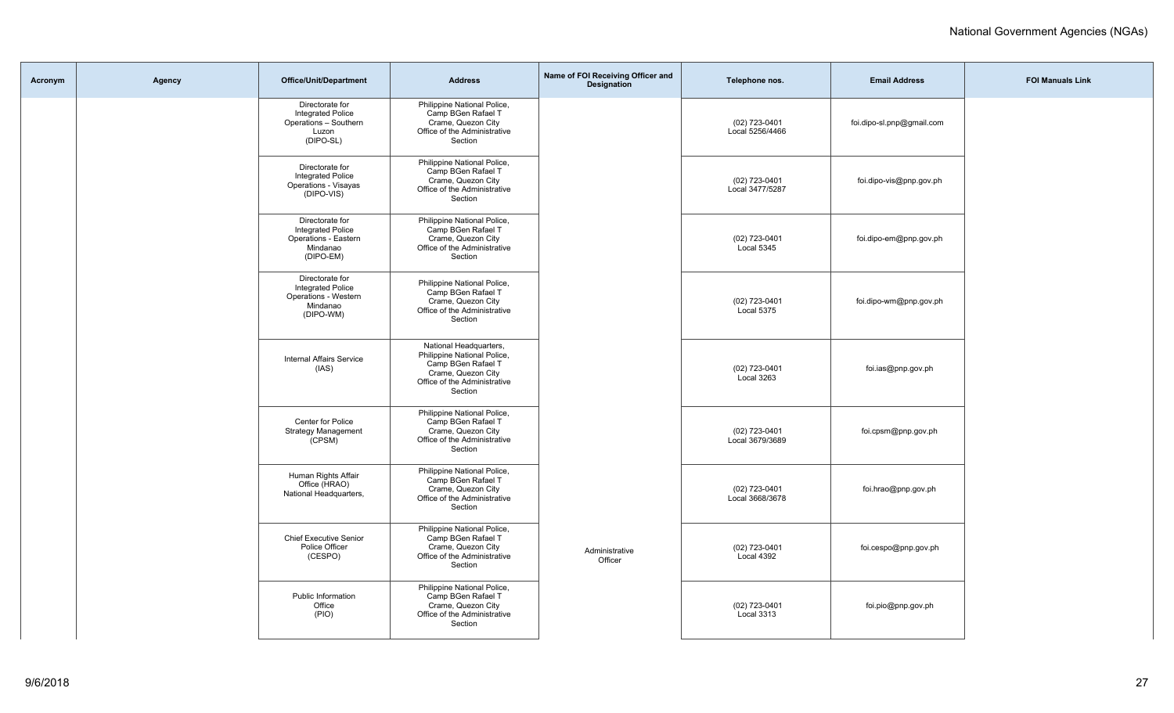| Acronym | Agency | <b>Office/Unit/Department</b>                                                                | <b>Address</b>                                                                                                                               | Name of FOI Receiving Officer and<br><b>Designation</b> | Telephone nos.                     | <b>Email Address</b>      | <b>FOI Manuals Link</b> |
|---------|--------|----------------------------------------------------------------------------------------------|----------------------------------------------------------------------------------------------------------------------------------------------|---------------------------------------------------------|------------------------------------|---------------------------|-------------------------|
|         |        | Directorate for<br><b>Integrated Police</b><br>Operations - Southern<br>Luzon<br>(DIPO-SL)   | Philippine National Police,<br>Camp BGen Rafael T<br>Crame, Quezon City<br>Office of the Administrative<br>Section                           |                                                         | (02) 723-0401<br>Local 5256/4466   | foi.dipo-sl.pnp@gmail.com |                         |
|         |        | Directorate for<br><b>Integrated Police</b><br>Operations - Visayas<br>(DIPO-VIS)            | Philippine National Police,<br>Camp BGen Rafael T<br>Crame, Quezon City<br>Office of the Administrative<br>Section                           |                                                         | (02) 723-0401<br>Local 3477/5287   | foi.dipo-vis@pnp.gov.ph   |                         |
|         |        | Directorate for<br><b>Integrated Police</b><br>Operations - Eastern<br>Mindanao<br>(DIPO-EM) | Philippine National Police,<br>Camp BGen Rafael T<br>Crame, Quezon City<br>Office of the Administrative<br>Section                           |                                                         | (02) 723-0401<br>Local 5345        | foi.dipo-em@pnp.gov.ph    |                         |
|         |        | Directorate for<br><b>Integrated Police</b><br>Operations - Western<br>Mindanao<br>(DIPO-WM) | Philippine National Police,<br>Camp BGen Rafael T<br>Crame, Quezon City<br>Office of the Administrative<br>Section                           |                                                         | (02) 723-0401<br>Local 5375        | foi.dipo-wm@pnp.gov.ph    |                         |
|         |        | <b>Internal Affairs Service</b><br>(IAS)                                                     | National Headquarters,<br>Philippine National Police,<br>Camp BGen Rafael T<br>Crame, Quezon City<br>Office of the Administrative<br>Section |                                                         | (02) 723-0401<br>Local 3263        | foi.ias@pnp.gov.ph        |                         |
|         |        | Center for Police<br><b>Strategy Management</b><br>(CPSM)                                    | Philippine National Police,<br>Camp BGen Rafael T<br>Crame, Quezon City<br>Office of the Administrative<br>Section                           |                                                         | (02) 723-0401<br>Local 3679/3689   | foi.cpsm@pnp.gov.ph       |                         |
|         |        | Human Rights Affair<br>Office (HRAO)<br>National Headquarters,                               | Philippine National Police,<br>Camp BGen Rafael T<br>Crame, Quezon City<br>Office of the Administrative<br>Section                           |                                                         | (02) 723-0401<br>Local 3668/3678   | foi.hrao@pnp.gov.ph       |                         |
|         |        | <b>Chief Executive Senior</b><br>Police Officer<br>(CESPO)                                   | Philippine National Police,<br>Camp BGen Rafael T<br>Crame, Quezon City<br>Office of the Administrative<br>Section                           | Administrative<br>Officer                               | (02) 723-0401<br>Local 4392        | foi.cespo@pnp.gov.ph      |                         |
|         |        | Public Information<br>Office<br>(PIO)                                                        | Philippine National Police,<br>Camp BGen Rafael T<br>Crame, Quezon City<br>Office of the Administrative<br>Section                           |                                                         | (02) 723-0401<br><b>Local 3313</b> | foi.pio@pnp.gov.ph        |                         |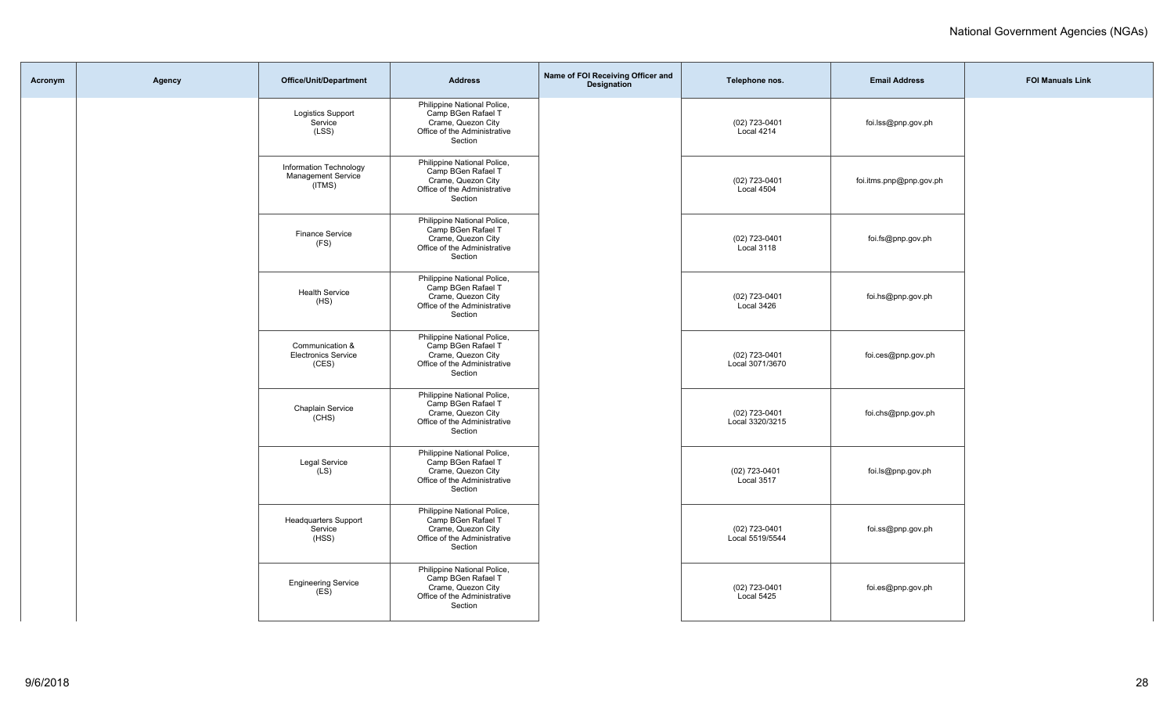| Acronym | Agency | Office/Unit/Department                                        | <b>Address</b>                                                                                                     | Name of FOI Receiving Officer and<br>Designation | Telephone nos.                   | <b>Email Address</b>    | <b>FOI Manuals Link</b> |
|---------|--------|---------------------------------------------------------------|--------------------------------------------------------------------------------------------------------------------|--------------------------------------------------|----------------------------------|-------------------------|-------------------------|
|         |        | <b>Logistics Support</b><br>Service<br>(LSS)                  | Philippine National Police,<br>Camp BGen Rafael T<br>Crame, Quezon City<br>Office of the Administrative<br>Section |                                                  | (02) 723-0401<br>Local 4214      | foi.lss@pnp.gov.ph      |                         |
|         |        | Information Technology<br><b>Management Service</b><br>(ITMS) | Philippine National Police,<br>Camp BGen Rafael T<br>Crame, Quezon City<br>Office of the Administrative<br>Section |                                                  | (02) 723-0401<br>Local 4504      | foi.itms.pnp@pnp.gov.ph |                         |
|         |        | <b>Finance Service</b><br>(FS)                                | Philippine National Police,<br>Camp BGen Rafael T<br>Crame, Quezon City<br>Office of the Administrative<br>Section |                                                  | (02) 723-0401<br>Local 3118      | foi.fs@pnp.gov.ph       |                         |
|         |        | <b>Health Service</b><br>(HS)                                 | Philippine National Police,<br>Camp BGen Rafael T<br>Crame, Quezon City<br>Office of the Administrative<br>Section |                                                  | (02) 723-0401<br>Local 3426      | foi.hs@pnp.gov.ph       |                         |
|         |        | Communication &<br><b>Electronics Service</b><br>(CES)        | Philippine National Police,<br>Camp BGen Rafael T<br>Crame, Quezon City<br>Office of the Administrative<br>Section |                                                  | (02) 723-0401<br>Local 3071/3670 | foi.ces@pnp.gov.ph      |                         |
|         |        | Chaplain Service<br>(CHS)                                     | Philippine National Police,<br>Camp BGen Rafael T<br>Crame, Quezon City<br>Office of the Administrative<br>Section |                                                  | (02) 723-0401<br>Local 3320/3215 | foi.chs@pnp.gov.ph      |                         |
|         |        | <b>Legal Service</b><br>(LS)                                  | Philippine National Police,<br>Camp BGen Rafael T<br>Crame, Quezon City<br>Office of the Administrative<br>Section |                                                  | (02) 723-0401<br>Local 3517      | foi.ls@pnp.gov.ph       |                         |
|         |        | <b>Headquarters Support</b><br>Service<br>(HSS)               | Philippine National Police,<br>Camp BGen Rafael T<br>Crame, Quezon City<br>Office of the Administrative<br>Section |                                                  | (02) 723-0401<br>Local 5519/5544 | foi.ss@pnp.gov.ph       |                         |
|         |        | <b>Engineering Service</b><br>(ES)                            | Philippine National Police,<br>Camp BGen Rafael T<br>Crame, Quezon City<br>Office of the Administrative<br>Section |                                                  | (02) 723-0401<br>Local 5425      | foi.es@pnp.gov.ph       |                         |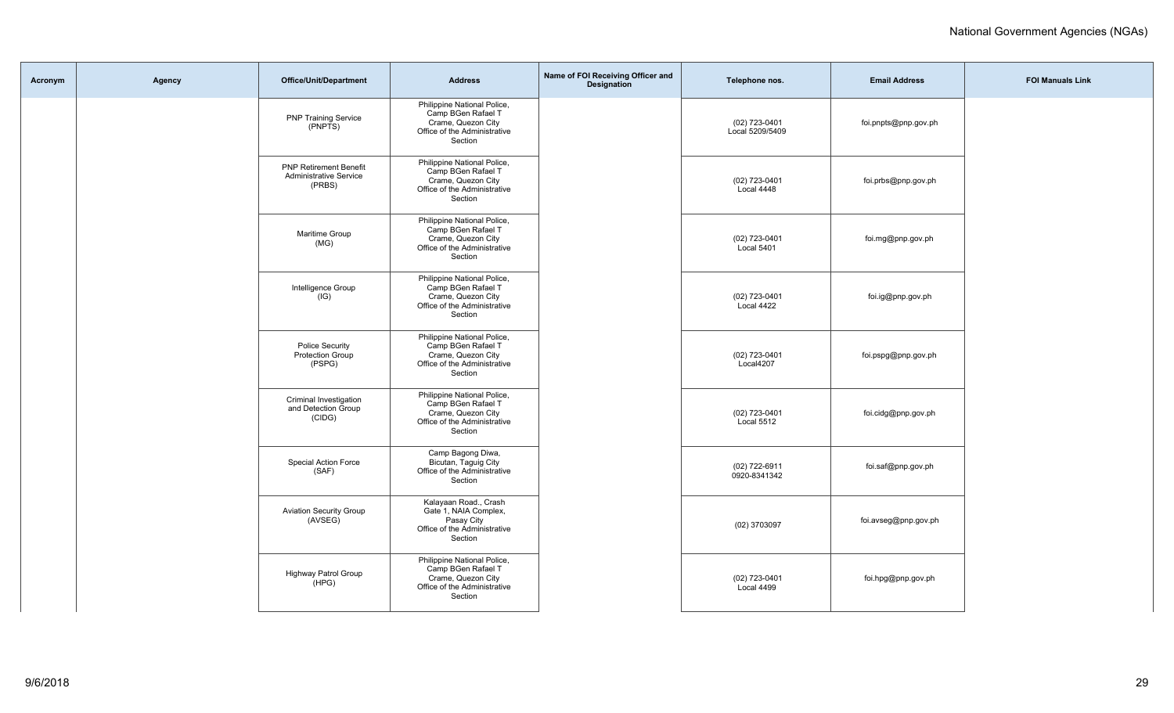| Acronym | Agency | <b>Office/Unit/Department</b>                                            | <b>Address</b>                                                                                                     | Name of FOI Receiving Officer and<br>Designation | Telephone nos.                   | <b>Email Address</b> | <b>FOI Manuals Link</b> |
|---------|--------|--------------------------------------------------------------------------|--------------------------------------------------------------------------------------------------------------------|--------------------------------------------------|----------------------------------|----------------------|-------------------------|
|         |        | <b>PNP Training Service</b><br>(PNPTS)                                   | Philippine National Police,<br>Camp BGen Rafael T<br>Crame, Quezon City<br>Office of the Administrative<br>Section |                                                  | (02) 723-0401<br>Local 5209/5409 | foi.pnpts@pnp.gov.ph |                         |
|         |        | <b>PNP Retirement Benefit</b><br><b>Administrative Service</b><br>(PRBS) | Philippine National Police,<br>Camp BGen Rafael T<br>Crame, Quezon City<br>Office of the Administrative<br>Section |                                                  | (02) 723-0401<br>Local 4448      | foi.prbs@pnp.gov.ph  |                         |
|         |        | Maritime Group<br>(MG)                                                   | Philippine National Police,<br>Camp BGen Rafael T<br>Crame, Quezon City<br>Office of the Administrative<br>Section |                                                  | (02) 723-0401<br>Local 5401      | foi.mg@pnp.gov.ph    |                         |
|         |        | Intelligence Group<br>(IG)                                               | Philippine National Police,<br>Camp BGen Rafael T<br>Crame, Quezon City<br>Office of the Administrative<br>Section |                                                  | (02) 723-0401<br>Local 4422      | foi.ig@pnp.gov.ph    |                         |
|         |        | <b>Police Security</b><br><b>Protection Group</b><br>(PSPG)              | Philippine National Police,<br>Camp BGen Rafael T<br>Crame, Quezon City<br>Office of the Administrative<br>Section |                                                  | $(02)$ 723-0401<br>Local4207     | foi.pspg@pnp.gov.ph  |                         |
|         |        | Criminal Investigation<br>and Detection Group<br>(CIDG)                  | Philippine National Police,<br>Camp BGen Rafael T<br>Crame, Quezon City<br>Office of the Administrative<br>Section |                                                  | (02) 723-0401<br>Local 5512      | foi.cidg@pnp.gov.ph  |                         |
|         |        | Special Action Force<br>(SAF)                                            | Camp Bagong Diwa,<br>Bicutan, Taguig City<br>Office of the Administrative<br>Section                               |                                                  | (02) 722-6911<br>0920-8341342    | foi.saf@pnp.gov.ph   |                         |
|         |        | <b>Aviation Security Group</b><br>(AVSEG)                                | Kalayaan Road., Crash<br>Gate 1, NAIA Complex,<br>Pasay City<br>Office of the Administrative<br>Section            |                                                  | (02) 3703097                     | foi.avseg@pnp.gov.ph |                         |
|         |        | <b>Highway Patrol Group</b><br>(HPG)                                     | Philippine National Police,<br>Camp BGen Rafael T<br>Crame, Quezon City<br>Office of the Administrative<br>Section |                                                  | (02) 723-0401<br>Local 4499      | foi.hpg@pnp.gov.ph   |                         |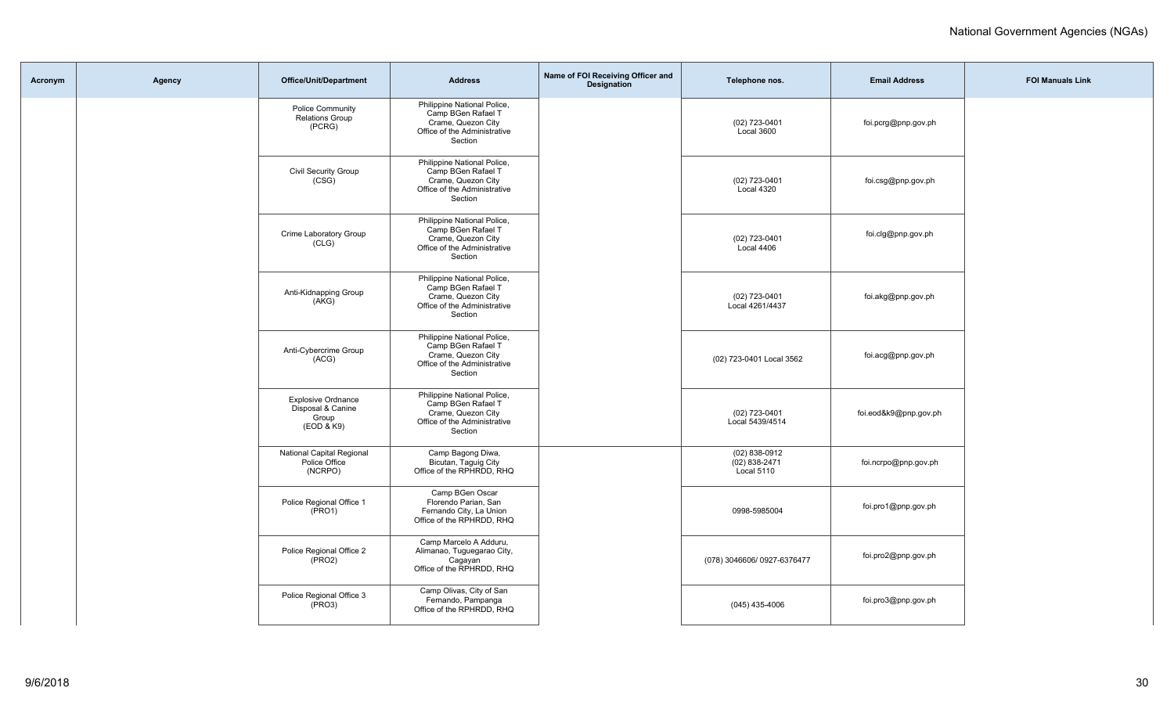| Acronym | Agency | Office/Unit/Department                                                | <b>Address</b>                                                                                                     | Name of FOI Receiving Officer and<br><b>Designation</b> | Telephone nos.                                     | <b>Email Address</b>  | <b>FOI Manuals Link</b> |
|---------|--------|-----------------------------------------------------------------------|--------------------------------------------------------------------------------------------------------------------|---------------------------------------------------------|----------------------------------------------------|-----------------------|-------------------------|
|         |        | Police Community<br><b>Relations Group</b><br>(PCRG)                  | Philippine National Police,<br>Camp BGen Rafael T<br>Crame, Quezon City<br>Office of the Administrative<br>Section |                                                         | (02) 723-0401<br>Local 3600                        | foi.pcrg@pnp.gov.ph   |                         |
|         |        | Civil Security Group<br>(CSG)                                         | Philippine National Police,<br>Camp BGen Rafael T<br>Crame, Quezon City<br>Office of the Administrative<br>Section |                                                         | (02) 723-0401<br>Local 4320                        | foi.csg@pnp.gov.ph    |                         |
|         |        | Crime Laboratory Group<br>(CLG)                                       | Philippine National Police,<br>Camp BGen Rafael T<br>Crame, Quezon City<br>Office of the Administrative<br>Section |                                                         | (02) 723-0401<br>Local 4406                        | foi.clg@pnp.gov.ph    |                         |
|         |        | Anti-Kidnapping Group<br>(AKG)                                        | Philippine National Police,<br>Camp BGen Rafael T<br>Crame, Quezon City<br>Office of the Administrative<br>Section |                                                         | (02) 723-0401<br>Local 4261/4437                   | foi.akg@pnp.gov.ph    |                         |
|         |        | Anti-Cybercrime Group<br>(ACG)                                        | Philippine National Police,<br>Camp BGen Rafael T<br>Crame, Quezon City<br>Office of the Administrative<br>Section |                                                         | (02) 723-0401 Local 3562                           | foi.acg@pnp.gov.ph    |                         |
|         |        | <b>Explosive Ordnance</b><br>Disposal & Canine<br>Group<br>(EOD & K9) | Philippine National Police,<br>Camp BGen Rafael T<br>Crame, Quezon City<br>Office of the Administrative<br>Section |                                                         | (02) 723-0401<br>Local 5439/4514                   | foi.eod&k9@pnp.gov.ph |                         |
|         |        | National Capital Regional<br>Police Office<br>(NCRPO)                 | Camp Bagong Diwa,<br>Bicutan, Taguig City<br>Office of the RPHRDD, RHQ                                             |                                                         | $(02)$ 838-0912<br>$(02) 838 - 2471$<br>Local 5110 | foi.ncrpo@pnp.gov.ph  |                         |
|         |        | Police Regional Office 1<br>(PRO1)                                    | Camp BGen Oscar<br>Florendo Parian, San<br>Fernando City, La Union<br>Office of the RPHRDD, RHQ                    |                                                         | 0998-5985004                                       | foi.pro1@pnp.gov.ph   |                         |
|         |        | Police Regional Office 2<br>(PRO2)                                    | Camp Marcelo A Adduru,<br>Alimanao, Tuguegarao City,<br>Cagayan<br>Office of the RPHRDD, RHQ                       |                                                         | (078) 3046606/ 0927-6376477                        | foi.pro2@pnp.gov.ph   |                         |
|         |        | Police Regional Office 3<br>(PRO3)                                    | Camp Olivas, City of San<br>Fernando, Pampanga<br>Office of the RPHRDD, RHQ                                        |                                                         | $(045)$ 435-4006                                   | foi.pro3@pnp.gov.ph   |                         |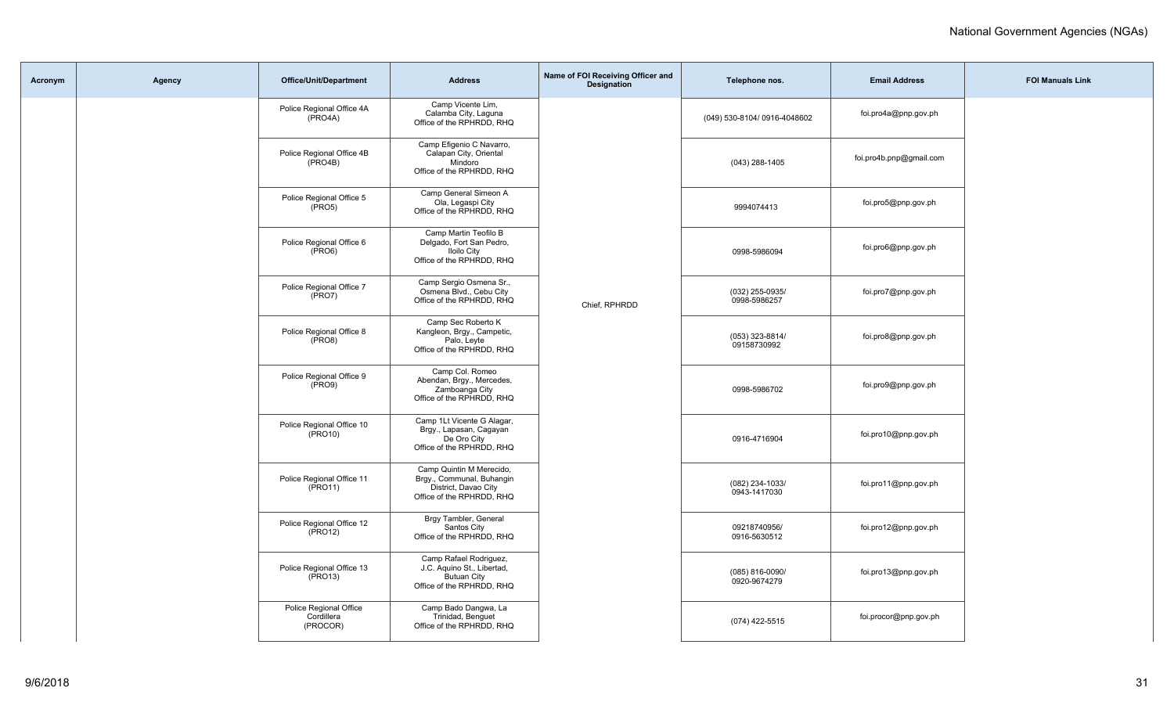| Acronym | Agency | <b>Office/Unit/Department</b>                     | <b>Address</b>                                                                                             | Name of FOI Receiving Officer and<br><b>Designation</b> | Telephone nos.                  | <b>Email Address</b>    | <b>FOI Manuals Link</b> |
|---------|--------|---------------------------------------------------|------------------------------------------------------------------------------------------------------------|---------------------------------------------------------|---------------------------------|-------------------------|-------------------------|
|         |        | Police Regional Office 4A<br>(PRO4A)              | Camp Vicente Lim,<br>Calamba City, Laguna<br>Office of the RPHRDD, RHQ                                     |                                                         | (049) 530-8104/ 0916-4048602    | foi.pro4a@pnp.gov.ph    |                         |
|         |        | Police Regional Office 4B<br>(PRO4B)              | Camp Efigenio C Navarro,<br>Calapan City, Oriental<br>Mindoro<br>Office of the RPHRDD, RHQ                 |                                                         | (043) 288-1405                  | foi.pro4b.pnp@gmail.com |                         |
|         |        | Police Regional Office 5<br>$(\overline{PRO5})$   | Camp General Simeon A<br>Ola, Legaspi City<br>Office of the RPHRDD, RHQ                                    |                                                         | 9994074413                      | foi.pro5@pnp.gov.ph     |                         |
|         |        | Police Regional Office 6<br>$(\overline{PRO6})$   | Camp Martin Teofilo B<br>Delgado, Fort San Pedro,<br><b>Iloilo City</b><br>Office of the RPHRDD, RHQ       |                                                         | 0998-5986094                    | foi.pro6@pnp.gov.ph     |                         |
|         |        | Police Regional Office 7<br>$(\overline{PRO7})$   | Camp Sergio Osmena Sr.,<br>Osmena Blvd., Cebu City<br>Office of the RPHRDD, RHQ                            | Chief, RPHRDD                                           | (032) 255-0935/<br>0998-5986257 | foi.pro7@pnp.gov.ph     |                         |
|         |        | Police Regional Office 8<br>$(\overline{PRO8})$   | Camp Sec Roberto K<br>Kangleon, Brgy., Campetic,<br>Palo, Leyte<br>Office of the RPHRDD, RHQ               |                                                         | (053) 323-8814/<br>09158730992  | foi.pro8@pnp.gov.ph     |                         |
|         |        | Police Regional Office 9<br>$(\text{PRO9})$       | Camp Col. Romeo<br>Abendan, Brgy., Mercedes,<br>Zamboanga City<br>Office of the RPHRDD, RHQ                |                                                         | 0998-5986702                    | foi.pro9@pnp.gov.ph     |                         |
|         |        | Police Regional Office 10<br>(PRO10)              | Camp 1Lt Vicente G Alagar,<br>Brgy., Lapasan, Cagayan<br>De Oro City<br>Office of the RPHRDD, RHQ          |                                                         | 0916-4716904                    | foi.pro10@pnp.gov.ph    |                         |
|         |        | Police Regional Office 11<br>$(\text{PRO11})$     | Camp Quintin M Merecido,<br>Brgy., Communal, Buhangin<br>District, Davao City<br>Office of the RPHRDD, RHQ |                                                         | (082) 234-1033/<br>0943-1417030 | foi.pro11@pnp.gov.ph    |                         |
|         |        | Police Regional Office 12<br>$(\text{PRO12})$     | Brgy Tambler, General<br>Santos City<br>Office of the RPHRDD, RHQ                                          |                                                         | 09218740956/<br>0916-5630512    | foi.pro12@pnp.gov.ph    |                         |
|         |        | Police Regional Office 13<br>$(\overline{PRO13})$ | Camp Rafael Rodriguez,<br>J.C. Aquino St., Libertad,<br><b>Butuan City</b><br>Office of the RPHRDD, RHQ    |                                                         | (085) 816-0090/<br>0920-9674279 | foi.pro13@pnp.gov.ph    |                         |
|         |        | Police Regional Office<br>Cordillera<br>(PROCOR)  | Camp Bado Dangwa, La<br>Trinidad, Benguet<br>Office of the RPHRDD, RHQ                                     |                                                         | (074) 422-5515                  | foi.procor@pnp.gov.ph   |                         |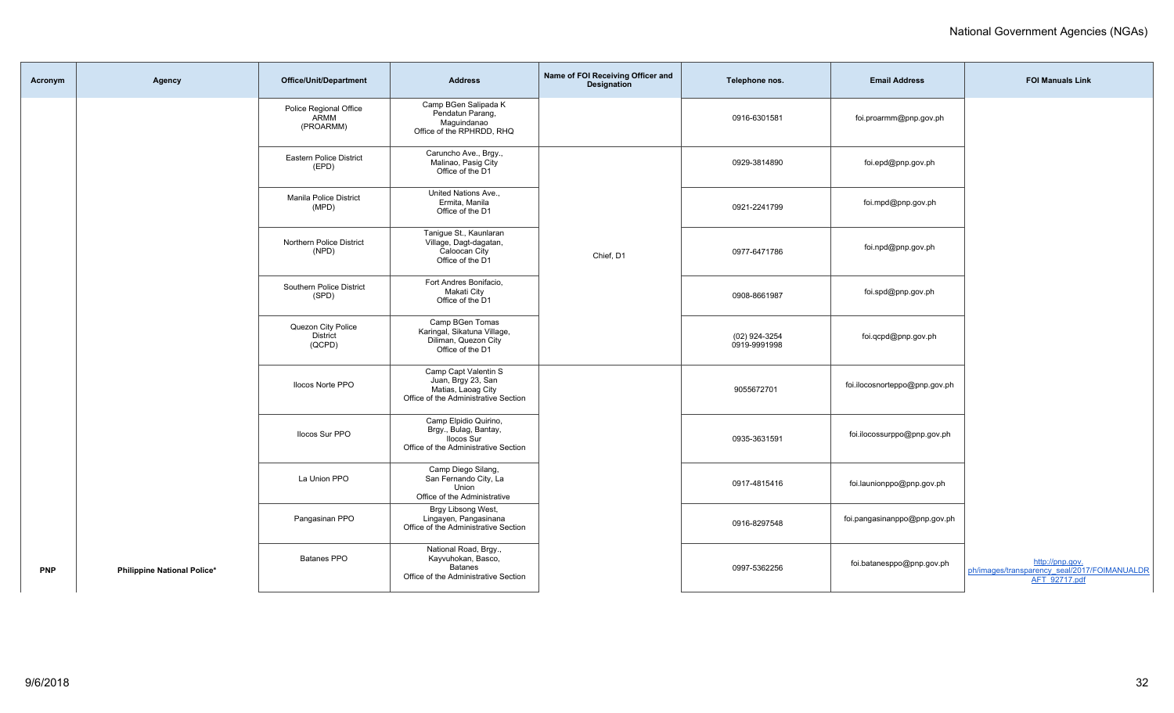| Acronym    | Agency                      | <b>Office/Unit/Department</b>                   | <b>Address</b>                                                                                              | Name of FOI Receiving Officer and<br>Designation | Telephone nos.                | <b>Email Address</b>          | <b>FOI Manuals Link</b>                                                          |
|------------|-----------------------------|-------------------------------------------------|-------------------------------------------------------------------------------------------------------------|--------------------------------------------------|-------------------------------|-------------------------------|----------------------------------------------------------------------------------|
|            |                             | Police Regional Office<br>ARMM<br>(PROARMM)     | Camp BGen Salipada K<br>Pendatun Parang,<br>Maguindanao<br>Office of the RPHRDD, RHQ                        |                                                  | 0916-6301581                  | foi.proarmm@pnp.gov.ph        |                                                                                  |
|            |                             | <b>Eastern Police District</b><br>(EPD)         | Caruncho Ave., Brgy.,<br>Malinao, Pasig City<br>Office of the D1                                            |                                                  | 0929-3814890                  | foi.epd@pnp.gov.ph            |                                                                                  |
|            |                             | Manila Police District<br>(MPD)                 | United Nations Ave<br>Ermita, Manila<br>Office of the D1                                                    |                                                  | 0921-2241799                  | foi.mpd@pnp.gov.ph            |                                                                                  |
|            |                             | Northern Police District<br>(NPD)               | Tanigue St., Kaunlaran<br>Village, Dagt-dagatan,<br>Caloocan City<br>Office of the D1                       | Chief, D1                                        | 0977-6471786                  | foi.npd@pnp.gov.ph            |                                                                                  |
|            |                             | Southern Police District<br>(SPD)               | Fort Andres Bonifacio.<br>Makati City<br>Office of the D1                                                   |                                                  | 0908-8661987                  | foi.spd@pnp.gov.ph            |                                                                                  |
|            |                             | Quezon City Police<br><b>District</b><br>(QCPD) | Camp BGen Tomas<br>Karingal, Sikatuna Village,<br>Diliman, Quezon City<br>Office of the D1                  |                                                  | (02) 924-3254<br>0919-9991998 | foi.qcpd@pnp.gov.ph           |                                                                                  |
|            |                             | <b>Ilocos Norte PPO</b>                         | Camp Capt Valentin S<br>Juan, Brgy 23, San<br>Matias, Laoag City<br>Office of the Administrative Section    |                                                  | 9055672701                    | foi.ilocosnorteppo@pnp.gov.ph |                                                                                  |
|            |                             | Ilocos Sur PPO                                  | Camp Elpidio Quirino,<br>Brgy., Bulag, Bantay,<br><b>Ilocos Sur</b><br>Office of the Administrative Section |                                                  | 0935-3631591                  | foi.ilocossurppo@pnp.gov.ph   |                                                                                  |
|            |                             | La Union PPO                                    | Camp Diego Silang,<br>San Fernando City, La<br>Union<br>Office of the Administrative                        |                                                  | 0917-4815416                  | foi.launionppo@pnp.gov.ph     |                                                                                  |
|            |                             | Pangasinan PPO                                  | Brgy Libsong West,<br>Lingayen, Pangasinana<br>Office of the Administrative Section                         |                                                  | 0916-8297548                  | foi.pangasinanppo@pnp.gov.ph  |                                                                                  |
| <b>PNP</b> | Philippine National Police* | Batanes PPO                                     | National Road, Brgy.,<br>Kayvuhokan, Basco,<br><b>Batanes</b><br>Office of the Administrative Section       |                                                  | 0997-5362256                  | foi.batanesppo@pnp.gov.ph     | http://pnp.gov.<br>ph/images/transparency_seal/2017/FOIMANUALDR<br>AFT 92717.pdf |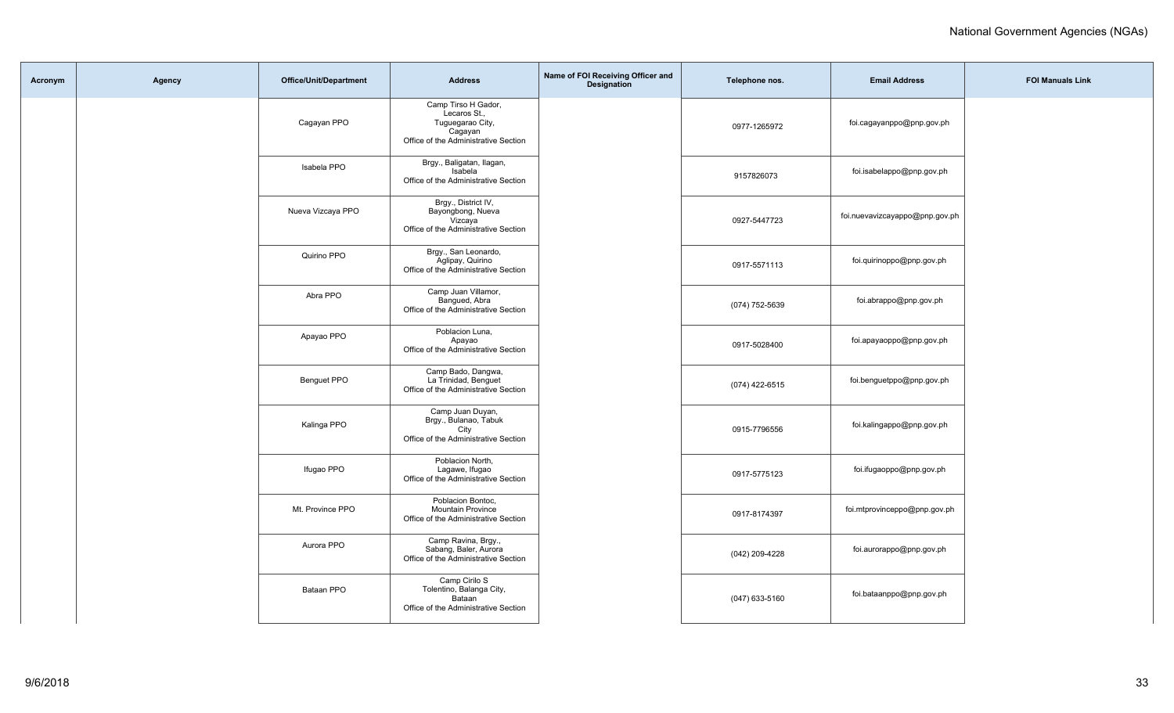| Acronym | Agency | Office/Unit/Department | <b>Address</b>                                                                                             | Name of FOI Receiving Officer and<br>Designation | Telephone nos. | <b>Email Address</b>           | <b>FOI Manuals Link</b> |
|---------|--------|------------------------|------------------------------------------------------------------------------------------------------------|--------------------------------------------------|----------------|--------------------------------|-------------------------|
|         |        | Cagayan PPO            | Camp Tirso H Gador,<br>Lecaros St.,<br>Tuguegarao City,<br>Cagayan<br>Office of the Administrative Section |                                                  | 0977-1265972   | foi.cagayanppo@pnp.gov.ph      |                         |
|         |        | Isabela PPO            | Brgy., Baligatan, Ilagan,<br>Isabela<br>Office of the Administrative Section                               |                                                  | 9157826073     | foi.isabelappo@pnp.gov.ph      |                         |
|         |        | Nueva Vizcaya PPO      | Brgy., District IV,<br>Bayongbong, Nueva<br>Vizcaya<br>Office of the Administrative Section                |                                                  | 0927-5447723   | foi.nuevavizcayappo@pnp.gov.ph |                         |
|         |        | Quirino PPO            | Brgy., San Leonardo,<br>Aglipay, Quirino<br>Office of the Administrative Section                           |                                                  | 0917-5571113   | foi.quirinoppo@pnp.gov.ph      |                         |
|         |        | Abra PPO               | Camp Juan Villamor,<br>Bangued, Abra<br>Office of the Administrative Section                               |                                                  | (074) 752-5639 | foi.abrappo@pnp.gov.ph         |                         |
|         |        | Apayao PPO             | Poblacion Luna,<br>Apayao<br>Office of the Administrative Section                                          |                                                  | 0917-5028400   | foi.apayaoppo@pnp.gov.ph       |                         |
|         |        | Benguet PPO            | Camp Bado, Dangwa,<br>La Trinidad, Benguet<br>Office of the Administrative Section                         |                                                  | (074) 422-6515 | foi.benguetppo@pnp.gov.ph      |                         |
|         |        | Kalinga PPO            | Camp Juan Duyan,<br>Brgy., Bulanao, Tabuk<br>City<br>Office of the Administrative Section                  |                                                  | 0915-7796556   | foi.kalingappo@pnp.gov.ph      |                         |
|         |        | Ifugao PPO             | Poblacion North,<br>Lagawe, Ifugao<br>Office of the Administrative Section                                 |                                                  | 0917-5775123   | foi.ifugaoppo@pnp.gov.ph       |                         |
|         |        | Mt. Province PPO       | Poblacion Bontoc,<br><b>Mountain Province</b><br>Office of the Administrative Section                      |                                                  | 0917-8174397   | foi.mtprovinceppo@pnp.gov.ph   |                         |
|         |        | Aurora PPO             | Camp Ravina, Brgy.,<br>Sabang, Baler, Aurora<br>Office of the Administrative Section                       |                                                  | (042) 209-4228 | foi.aurorappo@pnp.gov.ph       |                         |
|         |        | Bataan PPO             | Camp Cirilo S<br>Tolentino, Balanga City,<br>Bataan<br>Office of the Administrative Section                |                                                  | (047) 633-5160 | foi.bataanppo@pnp.gov.ph       |                         |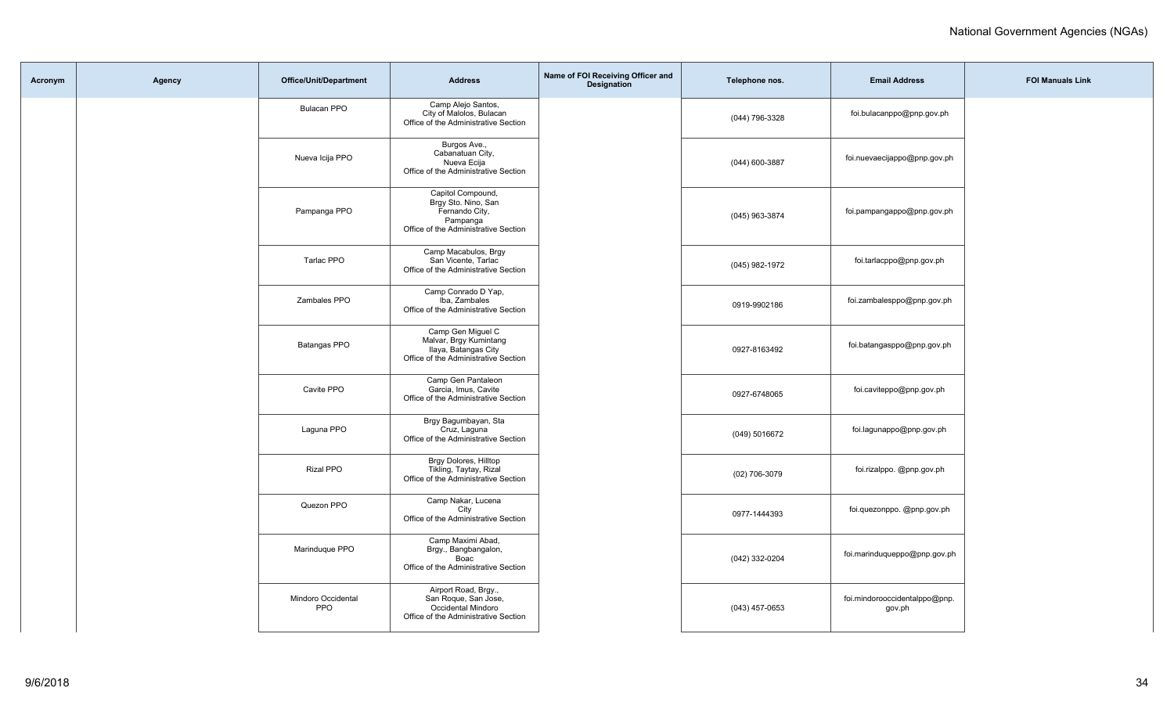| Acronym | Agency | <b>Office/Unit/Department</b>    | <b>Address</b>                                                                                                 | Name of FOI Receiving Officer and<br><b>Designation</b> | Telephone nos.   | <b>Email Address</b>                    | <b>FOI Manuals Link</b> |
|---------|--------|----------------------------------|----------------------------------------------------------------------------------------------------------------|---------------------------------------------------------|------------------|-----------------------------------------|-------------------------|
|         |        | <b>Bulacan PPO</b>               | Camp Alejo Santos,<br>City of Malolos, Bulacan<br>Office of the Administrative Section                         |                                                         | (044) 796-3328   | foi.bulacanppo@pnp.gov.ph               |                         |
|         |        | Nueva Icija PPO                  | Burgos Ave.,<br>Cabanatuan City,<br>Nueva Ecija<br>Office of the Administrative Section                        |                                                         | (044) 600-3887   | foi.nuevaecijappo@pnp.gov.ph            |                         |
|         |        | Pampanga PPO                     | Capitol Compound,<br>Brgy Sto. Nino, San<br>Fernando City,<br>Pampanga<br>Office of the Administrative Section |                                                         | (045) 963-3874   | foi.pampangappo@pnp.gov.ph              |                         |
|         |        | Tarlac PPO                       | Camp Macabulos, Brgy<br>San Vicente, Tarlac<br>Office of the Administrative Section                            |                                                         | (045) 982-1972   | foi.tarlacppo@pnp.gov.ph                |                         |
|         |        | Zambales PPO                     | Camp Conrado D Yap,<br>Iba. Zambales<br>Office of the Administrative Section                                   |                                                         | 0919-9902186     | foi.zambalesppo@pnp.gov.ph              |                         |
|         |        | Batangas PPO                     | Camp Gen Miguel C<br>Malvar, Brgy Kumintang<br>Ilaya, Batangas City<br>Office of the Administrative Section    |                                                         | 0927-8163492     | foi.batangasppo@pnp.gov.ph              |                         |
|         |        | Cavite PPO                       | Camp Gen Pantaleon<br>Garcia, Imus, Cavite<br>Office of the Administrative Section                             |                                                         | 0927-6748065     | foi.caviteppo@pnp.gov.ph                |                         |
|         |        | Laguna PPO                       | Brgy Bagumbayan, Sta<br>Cruz, Laguna<br>Office of the Administrative Section                                   |                                                         | (049) 5016672    | foi.lagunappo@pnp.gov.ph                |                         |
|         |        | Rizal PPO                        | Brgy Dolores, Hilltop<br>Tikling, Taytay, Rizal<br>Office of the Administrative Section                        |                                                         | (02) 706-3079    | foi.rizalppo. @pnp.gov.ph               |                         |
|         |        | Quezon PPO                       | Camp Nakar, Lucena<br>City<br>Office of the Administrative Section                                             |                                                         | 0977-1444393     | foi.quezonppo. @pnp.gov.ph              |                         |
|         |        | Marinduque PPO                   | Camp Maximi Abad,<br>Brgy., Bangbangalon,<br>Boac<br>Office of the Administrative Section                      |                                                         | (042) 332-0204   | foi.marinduqueppo@pnp.gov.ph            |                         |
|         |        | Mindoro Occidental<br><b>PPO</b> | Airport Road, Brgy.,<br>San Roque, San Jose,<br>Occidental Mindoro<br>Office of the Administrative Section     |                                                         | $(043)$ 457-0653 | foi.mindorooccidentalppo@pnp.<br>gov.ph |                         |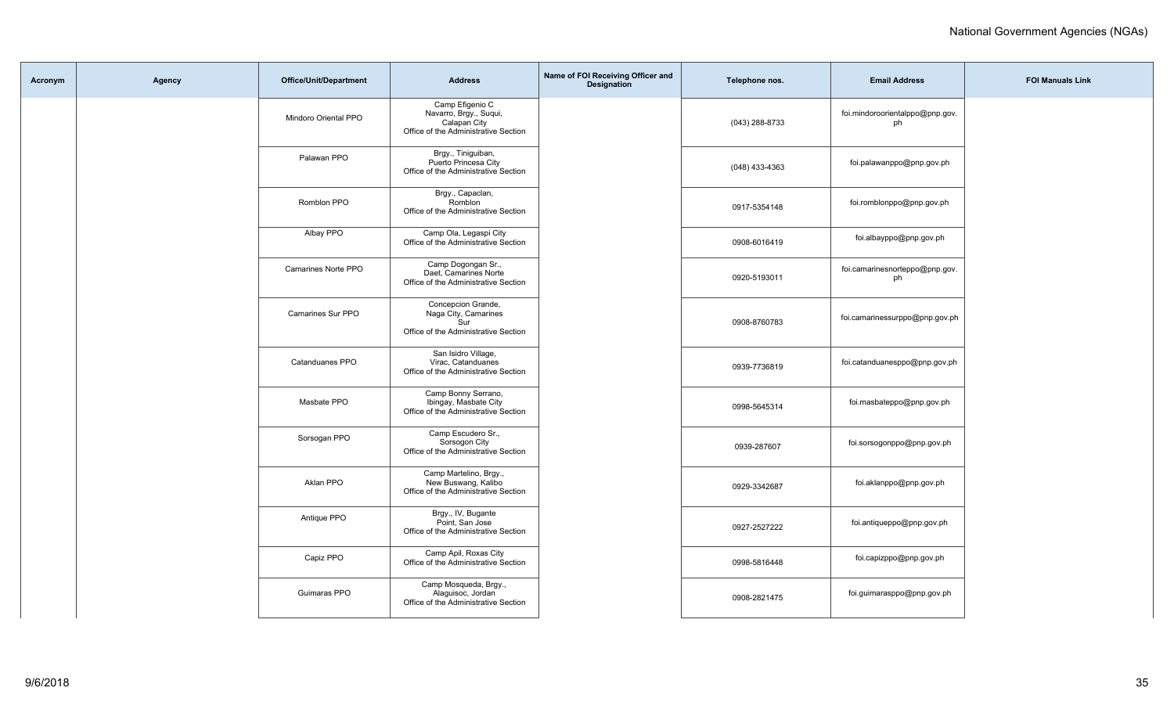| Acronym | Agency | Office/Unit/Department   | <b>Address</b>                                                                                    | Name of FOI Receiving Officer and<br>Designation | Telephone nos.   | <b>Email Address</b>                  | <b>FOI Manuals Link</b> |
|---------|--------|--------------------------|---------------------------------------------------------------------------------------------------|--------------------------------------------------|------------------|---------------------------------------|-------------------------|
|         |        | Mindoro Oriental PPO     | Camp Efigenio C<br>Navarro, Brgy., Suqui,<br>Calapan City<br>Office of the Administrative Section |                                                  | (043) 288-8733   | foi.mindoroorientalppo@pnp.gov.<br>ph |                         |
|         |        | Palawan PPO              | Brgy., Tiniguiban,<br>Puerto Princesa City<br>Office of the Administrative Section                |                                                  | $(048)$ 433-4363 | foi.palawanppo@pnp.gov.ph             |                         |
|         |        | Romblon PPO              | Brgy., Capaclan,<br>Romblon<br>Office of the Administrative Section                               |                                                  | 0917-5354148     | foi.romblonppo@pnp.gov.ph             |                         |
|         |        | Albay PPO                | Camp Ola, Legaspi City<br>Office of the Administrative Section                                    |                                                  | 0908-6016419     | foi.albayppo@pnp.gov.ph               |                         |
|         |        | Camarines Norte PPO      | Camp Dogongan Sr.,<br>Daet, Camarines Norte<br>Office of the Administrative Section               |                                                  | 0920-5193011     | foi.camarinesnorteppo@pnp.gov.<br>ph  |                         |
|         |        | <b>Camarines Sur PPO</b> | Concepcion Grande,<br>Naga City, Camarines<br>Sur<br>Office of the Administrative Section         |                                                  | 0908-8760783     | foi.camarinessurppo@pnp.gov.ph        |                         |
|         |        | Catanduanes PPO          | San Isidro Village,<br>Virac, Catanduanes<br>Office of the Administrative Section                 |                                                  | 0939-7736819     | foi.catanduanesppo@pnp.gov.ph         |                         |
|         |        | Masbate PPO              | Camp Bonny Serrano,<br>Ibingay, Masbate City<br>Office of the Administrative Section              |                                                  | 0998-5645314     | foi.masbateppo@pnp.gov.ph             |                         |
|         |        | Sorsogan PPO             | Camp Escudero Sr.,<br>Sorsogon City<br>Office of the Administrative Section                       |                                                  | 0939-287607      | foi.sorsogonppo@pnp.gov.ph            |                         |
|         |        | Aklan PPO                | Camp Martelino, Brgy.,<br>New Buswang, Kalibo<br>Office of the Administrative Section             |                                                  | 0929-3342687     | foi.aklanppo@pnp.gov.ph               |                         |
|         |        | Antique PPO              | Brgy., IV, Bugante<br>Point, San Jose<br>Office of the Administrative Section                     |                                                  | 0927-2527222     | foi.antiqueppo@pnp.gov.ph             |                         |
|         |        | Capiz PPO                | Camp Apil, Roxas City<br>Office of the Administrative Section                                     |                                                  | 0998-5816448     | foi.capizppo@pnp.gov.ph               |                         |
|         |        | Guimaras PPO             | Camp Mosqueda, Brgy.,<br>Alaguisoc, Jordan<br>Office of the Administrative Section                |                                                  | 0908-2821475     | foi.guimarasppo@pnp.gov.ph            |                         |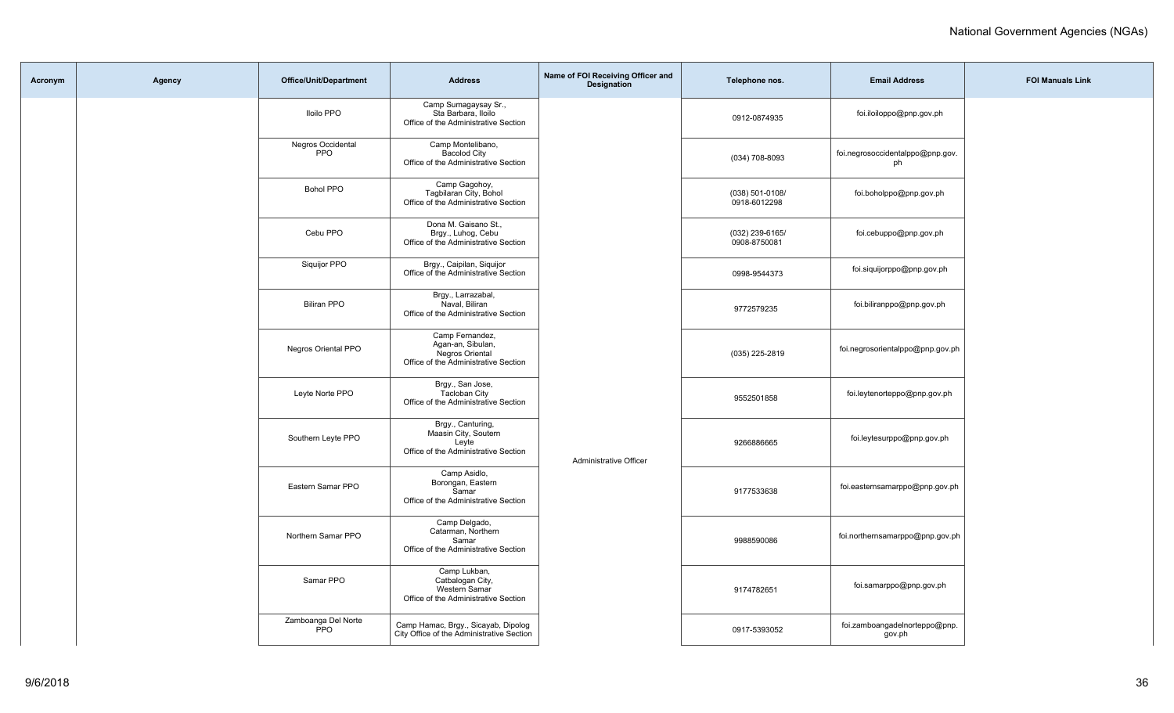| Acronym | Agency | Office/Unit/Department            | <b>Address</b>                                                                                  | Name of FOI Receiving Officer and<br><b>Designation</b> | Telephone nos.                  | <b>Email Address</b>                    | <b>FOI Manuals Link</b> |
|---------|--------|-----------------------------------|-------------------------------------------------------------------------------------------------|---------------------------------------------------------|---------------------------------|-----------------------------------------|-------------------------|
|         |        | <b>Iloilo PPO</b>                 | Camp Sumagaysay Sr.,<br>Sta Barbara, Iloilo<br>Office of the Administrative Section             |                                                         | 0912-0874935                    | foi.iloiloppo@pnp.gov.ph                |                         |
|         |        | Negros Occidental<br><b>PPO</b>   | Camp Montelibano,<br><b>Bacolod City</b><br>Office of the Administrative Section                |                                                         | $(034) 708 - 8093$              | foi.negrosoccidentalppo@pnp.gov.<br>ph  |                         |
|         |        | <b>Bohol PPO</b>                  | Camp Gagohoy,<br>Tagbilaran City, Bohol<br>Office of the Administrative Section                 |                                                         | (038) 501-0108/<br>0918-6012298 | foi.boholppo@pnp.gov.ph                 |                         |
|         |        | Cebu PPO                          | Dona M. Gaisano St.,<br>Brgy., Luhog, Cebu<br>Office of the Administrative Section              |                                                         | (032) 239-6165/<br>0908-8750081 | foi.cebuppo@pnp.gov.ph                  |                         |
|         |        | Siquijor PPO                      | Brgy., Caipilan, Siquijor<br>Office of the Administrative Section                               |                                                         | 0998-9544373                    | foi.siquijorppo@pnp.gov.ph              |                         |
|         |        | <b>Biliran PPO</b>                | Brgy., Larrazabal,<br>Naval, Biliran<br>Office of the Administrative Section                    |                                                         | 9772579235                      | foi.biliranppo@pnp.gov.ph               |                         |
|         |        | <b>Negros Oriental PPO</b>        | Camp Fernandez,<br>Agan-an, Sibulan,<br>Negros Oriental<br>Office of the Administrative Section |                                                         | (035) 225-2819                  | foi.negrosorientalppo@pnp.gov.ph        |                         |
|         |        | Leyte Norte PPO                   | Brgy., San Jose,<br><b>Tacloban City</b><br>Office of the Administrative Section                |                                                         | 9552501858                      | foi.leytenorteppo@pnp.gov.ph            |                         |
|         |        | Southern Leyte PPO                | Brgy., Canturing,<br>Maasin City, Soutern<br>Leyte<br>Office of the Administrative Section      | Administrative Officer                                  | 9266886665                      | foi.leytesurppo@pnp.gov.ph              |                         |
|         |        | Eastern Samar PPO                 | Camp Asidlo,<br>Borongan, Eastern<br>Samar<br>Office of the Administrative Section              |                                                         | 9177533638                      | foi.easternsamarppo@pnp.gov.ph          |                         |
|         |        | Northern Samar PPO                | Camp Delgado,<br>Catarman, Northern<br>Samar<br>Office of the Administrative Section            |                                                         | 9988590086                      | foi.northernsamarppo@pnp.gov.ph         |                         |
|         |        | Samar PPO                         | Camp Lukban,<br>Catbalogan City,<br>Western Samar<br>Office of the Administrative Section       |                                                         | 9174782651                      | foi.samarppo@pnp.gov.ph                 |                         |
|         |        | Zamboanga Del Norte<br><b>PPO</b> | Camp Hamac, Brgy., Sicayab, Dipolog<br>City Office of the Administrative Section                |                                                         | 0917-5393052                    | foi.zamboangadelnorteppo@pnp.<br>gov.ph |                         |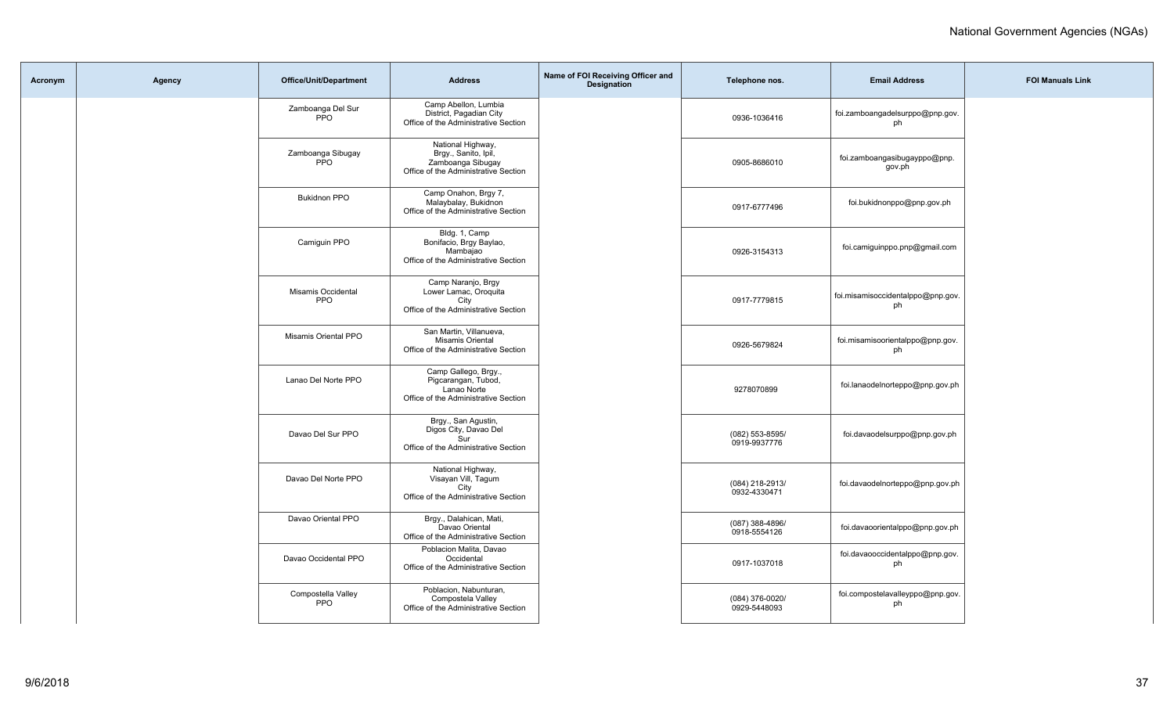| Acronym | Agency | <b>Office/Unit/Department</b>   | <b>Address</b>                                                                                         | Name of FOI Receiving Officer and<br><b>Designation</b> | Telephone nos.                  | <b>Email Address</b>                    | <b>FOI Manuals Link</b> |
|---------|--------|---------------------------------|--------------------------------------------------------------------------------------------------------|---------------------------------------------------------|---------------------------------|-----------------------------------------|-------------------------|
|         |        | Zamboanga Del Sur<br><b>PPO</b> | Camp Abellon, Lumbia<br>District, Pagadian City<br>Office of the Administrative Section                |                                                         | 0936-1036416                    | foi.zamboangadelsurppo@pnp.gov.<br>ph   |                         |
|         |        | Zamboanga Sibugay<br><b>PPO</b> | National Highway,<br>Brgy., Sanito, Ipil,<br>Zamboanga Sibugay<br>Office of the Administrative Section |                                                         | 0905-8686010                    | foi.zamboangasibugayppo@pnp.<br>gov.ph  |                         |
|         |        | <b>Bukidnon PPO</b>             | Camp Onahon, Brgy 7,<br>Malaybalay, Bukidnon<br>Office of the Administrative Section                   |                                                         | 0917-6777496                    | foi.bukidnonppo@pnp.gov.ph              |                         |
|         |        | Camiguin PPO                    | Bldg. 1, Camp<br>Bonifacio, Brgy Baylao,<br>Mambaiao<br>Office of the Administrative Section           |                                                         | 0926-3154313                    | foi.camiguinppo.pnp@gmail.com           |                         |
|         |        | Misamis Occidental<br>PPO       | Camp Naranjo, Brgy<br>Lower Lamac, Oroquita<br>City<br>Office of the Administrative Section            |                                                         | 0917-7779815                    | foi.misamisoccidentalppo@pnp.gov.<br>ph |                         |
|         |        | Misamis Oriental PPO            | San Martin, Villanueva,<br>Misamis Oriental<br>Office of the Administrative Section                    |                                                         | 0926-5679824                    | foi.misamisoorientalppo@pnp.gov.<br>ph  |                         |
|         |        | Lanao Del Norte PPO             | Camp Gallego, Brgy.,<br>Pigcarangan, Tubod,<br>Lanao Norte<br>Office of the Administrative Section     |                                                         | 9278070899                      | foi.lanaodelnorteppo@pnp.gov.ph         |                         |
|         |        | Davao Del Sur PPO               | Brgy., San Agustin,<br>Digos City, Davao Del<br>Sur<br>Office of the Administrative Section            |                                                         | (082) 553-8595/<br>0919-9937776 | foi.davaodelsurppo@pnp.gov.ph           |                         |
|         |        | Davao Del Norte PPO             | National Highway,<br>Visayan Vill, Tagum<br>City<br>Office of the Administrative Section               |                                                         | (084) 218-2913/<br>0932-4330471 | foi.davaodelnorteppo@pnp.gov.ph         |                         |
|         |        | Davao Oriental PPO              | Brgy., Dalahican, Mati,<br>Davao Oriental<br>Office of the Administrative Section                      |                                                         | (087) 388-4896/<br>0918-5554126 | foi.davaoorientalppo@pnp.gov.ph         |                         |
|         |        | Davao Occidental PPO            | Poblacion Malita, Davao<br>Occidental<br>Office of the Administrative Section                          |                                                         | 0917-1037018                    | foi.davaooccidentalppo@pnp.gov.<br>ph   |                         |
|         |        | Compostella Valley<br>PPO       | Poblacion, Nabunturan,<br>Compostela Valley<br>Office of the Administrative Section                    |                                                         | (084) 376-0020/<br>0929-5448093 | foi.compostelavalleyppo@pnp.gov.<br>ph  |                         |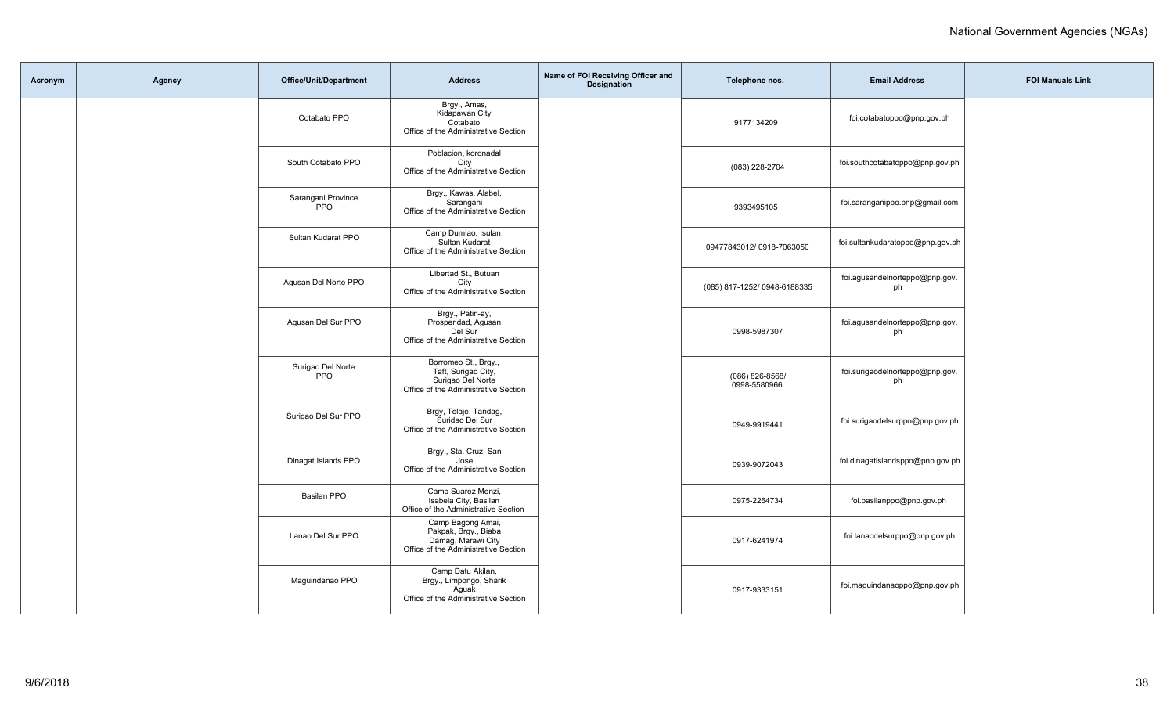| Acronym | Agency | Office/Unit/Department           | <b>Address</b>                                                                                           | Name of FOI Receiving Officer and<br>Designation | Telephone nos.                  | <b>Email Address</b>                  | <b>FOI Manuals Link</b> |
|---------|--------|----------------------------------|----------------------------------------------------------------------------------------------------------|--------------------------------------------------|---------------------------------|---------------------------------------|-------------------------|
|         |        | Cotabato PPO                     | Brgy., Amas,<br>Kidapawan City<br>Cotabato<br>Office of the Administrative Section                       |                                                  | 9177134209                      | foi.cotabatoppo@pnp.gov.ph            |                         |
|         |        | South Cotabato PPO               | Poblacion, koronadal<br>City<br>Office of the Administrative Section                                     |                                                  | (083) 228-2704                  | foi.southcotabatoppo@pnp.gov.ph       |                         |
|         |        | Sarangani Province<br><b>PPO</b> | Brgy., Kawas, Alabel,<br>Sarangani<br>Office of the Administrative Section                               |                                                  | 9393495105                      | foi.saranganippo.pnp@gmail.com        |                         |
|         |        | Sultan Kudarat PPO               | Camp Dumlao, Isulan,<br>Sultan Kudarat<br>Office of the Administrative Section                           |                                                  | 09477843012/0918-7063050        | foi.sultankudaratoppo@pnp.gov.ph      |                         |
|         |        | Agusan Del Norte PPO             | Libertad St., Butuan<br>City<br>Office of the Administrative Section                                     |                                                  | (085) 817-1252/ 0948-6188335    | foi.agusandelnorteppo@pnp.gov.<br>ph  |                         |
|         |        | Agusan Del Sur PPO               | Brgy., Patin-ay,<br>Prosperidad, Agusan<br>Del Sur<br>Office of the Administrative Section               |                                                  | 0998-5987307                    | foi.agusandelnorteppo@pnp.gov.<br>ph  |                         |
|         |        | Surigao Del Norte<br>PPO         | Borromeo St., Brgy.,<br>Taft, Surigao City,<br>Surigao Del Norte<br>Office of the Administrative Section |                                                  | (086) 826-8568/<br>0998-5580966 | foi.surigaodelnorteppo@pnp.gov.<br>ph |                         |
|         |        | Surigao Del Sur PPO              | Brgy, Telaje, Tandag,<br>Suridao Del Sur<br>Office of the Administrative Section                         |                                                  | 0949-9919441                    | foi.surigaodelsurppo@pnp.gov.ph       |                         |
|         |        | Dinagat Islands PPO              | Brgy., Sta. Cruz, San<br>Jose<br>Office of the Administrative Section                                    |                                                  | 0939-9072043                    | foi.dinagatislandsppo@pnp.gov.ph      |                         |
|         |        | <b>Basilan PPO</b>               | Camp Suarez Menzi,<br>Isabela City, Basilan<br>Office of the Administrative Section                      |                                                  | 0975-2264734                    | foi.basilanppo@pnp.gov.ph             |                         |
|         |        | Lanao Del Sur PPO                | Camp Bagong Amai,<br>Pakpak, Brgy., Biaba<br>Damag, Marawi City<br>Office of the Administrative Section  |                                                  | 0917-6241974                    | foi.lanaodelsurppo@pnp.gov.ph         |                         |
|         |        | Maguindanao PPO                  | Camp Datu Akilan,<br>Brgy., Limpongo, Sharik<br>Aquak<br>Office of the Administrative Section            |                                                  | 0917-9333151                    | foi.maguindanaoppo@pnp.gov.ph         |                         |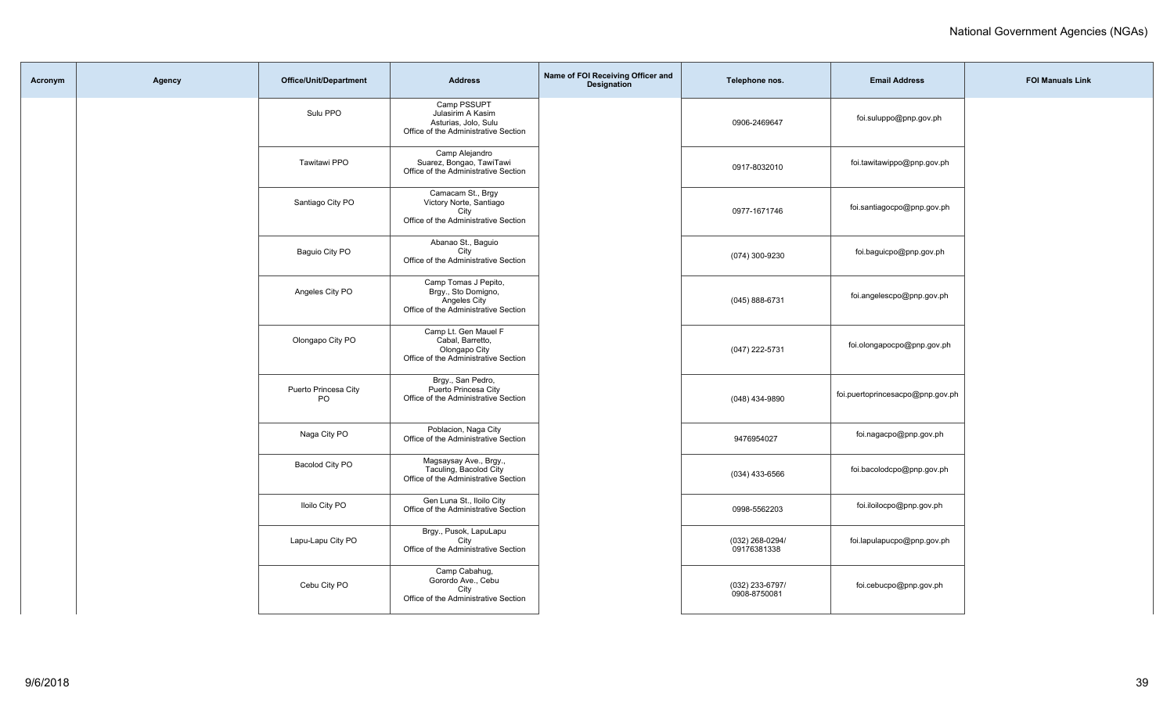| Acronym | Agency | <b>Office/Unit/Department</b> | <b>Address</b>                                                                                      | Name of FOI Receiving Officer and<br>Designation | Telephone nos.                  | <b>Email Address</b>             | <b>FOI Manuals Link</b> |
|---------|--------|-------------------------------|-----------------------------------------------------------------------------------------------------|--------------------------------------------------|---------------------------------|----------------------------------|-------------------------|
|         |        | Sulu PPO                      | Camp PSSUPT<br>Julasirim A Kasim<br>Asturias, Jolo, Sulu<br>Office of the Administrative Section    |                                                  | 0906-2469647                    | foi.suluppo@pnp.gov.ph           |                         |
|         |        | Tawitawi PPO                  | Camp Alejandro<br>Suarez, Bongao, TawiTawi<br>Office of the Administrative Section                  |                                                  | 0917-8032010                    | foi.tawitawippo@pnp.gov.ph       |                         |
|         |        | Santiago City PO              | Camacam St., Brgy<br>Victory Norte, Santiago<br>City<br>Office of the Administrative Section        |                                                  | 0977-1671746                    | foi.santiagocpo@pnp.gov.ph       |                         |
|         |        | Baguio City PO                | Abanao St., Baguio<br>City<br>Office of the Administrative Section                                  |                                                  | (074) 300-9230                  | foi.baguicpo@pnp.gov.ph          |                         |
|         |        | Angeles City PO               | Camp Tomas J Pepito,<br>Brgy., Sto Domigno,<br>Angeles City<br>Office of the Administrative Section |                                                  | (045) 888-6731                  | foi.angelescpo@pnp.gov.ph        |                         |
|         |        | Olongapo City PO              | Camp Lt. Gen Mauel F<br>Cabal, Barretto,<br>Olongapo City<br>Office of the Administrative Section   |                                                  | (047) 222-5731                  | foi.olongapocpo@pnp.gov.ph       |                         |
|         |        | Puerto Princesa City<br>PO    | Brgy., San Pedro,<br>Puerto Princesa City<br>Office of the Administrative Section                   |                                                  | (048) 434-9890                  | foi.puertoprincesacpo@pnp.gov.ph |                         |
|         |        | Naga City PO                  | Poblacion, Naga City<br>Office of the Administrative Section                                        |                                                  | 9476954027                      | foi.nagacpo@pnp.gov.ph           |                         |
|         |        | Bacolod City PO               | Magsaysay Ave., Brgy.,<br>Taculing, Bacolod City<br>Office of the Administrative Section            |                                                  | (034) 433-6566                  | foi.bacolodcpo@pnp.gov.ph        |                         |
|         |        | <b>Iloilo City PO</b>         | Gen Luna St., Iloilo City<br>Office of the Administrative Section                                   |                                                  | 0998-5562203                    | foi.iloilocpo@pnp.gov.ph         |                         |
|         |        | Lapu-Lapu City PO             | Brgy., Pusok, LapuLapu<br>City<br>Office of the Administrative Section                              |                                                  | (032) 268-0294/<br>09176381338  | foi.lapulapucpo@pnp.gov.ph       |                         |
|         |        | Cebu City PO                  | Camp Cabahug,<br>Gorordo Ave., Cebu<br>City<br>Office of the Administrative Section                 |                                                  | (032) 233-6797/<br>0908-8750081 | foi.cebucpo@pnp.gov.ph           |                         |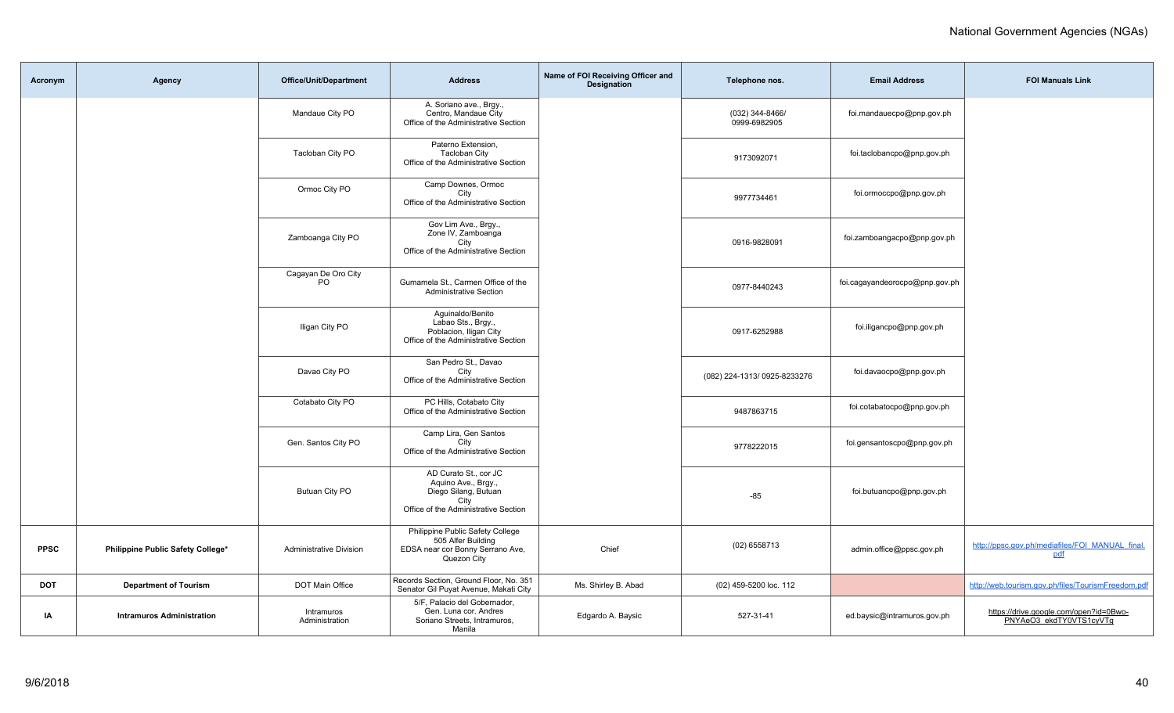| Acronym     | Agency                            | <b>Office/Unit/Department</b>  | <b>Address</b>                                                                                                       | Name of FOI Receiving Officer and<br><b>Designation</b> | Telephone nos.                  | <b>Email Address</b>           | <b>FOI Manuals Link</b>                                           |
|-------------|-----------------------------------|--------------------------------|----------------------------------------------------------------------------------------------------------------------|---------------------------------------------------------|---------------------------------|--------------------------------|-------------------------------------------------------------------|
|             |                                   | Mandaue City PO                | A. Soriano ave., Brgy.,<br>Centro, Mandaue City<br>Office of the Administrative Section                              |                                                         | (032) 344-8466/<br>0999-6982905 | foi.mandauecpo@pnp.gov.ph      |                                                                   |
|             |                                   | Tacloban City PO               | Paterno Extension,<br><b>Tacloban City</b><br>Office of the Administrative Section                                   |                                                         | 9173092071                      | foi.taclobancpo@pnp.gov.ph     |                                                                   |
|             |                                   | Ormoc City PO                  | Camp Downes, Ormoc<br>City<br>Office of the Administrative Section                                                   |                                                         | 9977734461                      | foi.ormoccpo@pnp.gov.ph        |                                                                   |
|             |                                   | Zamboanga City PO              | Gov Lim Ave., Brgy.,<br>Zone IV, Zamboanga<br>City<br>Office of the Administrative Section                           |                                                         | 0916-9828091                    | foi.zamboangacpo@pnp.gov.ph    |                                                                   |
|             |                                   | Cagayan De Oro City<br>PO.     | Gumamela St., Carmen Office of the<br><b>Administrative Section</b>                                                  |                                                         | 0977-8440243                    | foi.cagayandeorocpo@pnp.gov.ph |                                                                   |
|             |                                   | Iligan City PO                 | Aquinaldo/Benito<br>Labao Sts., Brgy.,<br>Poblacion, Iligan City<br>Office of the Administrative Section             |                                                         | 0917-6252988                    | foi.iligancpo@pnp.gov.ph       |                                                                   |
|             |                                   | Davao City PO                  | San Pedro St., Davao<br>City<br>Office of the Administrative Section                                                 |                                                         | (082) 224-1313/0925-8233276     | foi.davaocpo@pnp.gov.ph        |                                                                   |
|             |                                   | Cotabato City PO               | PC Hills, Cotabato City<br>Office of the Administrative Section                                                      |                                                         | 9487863715                      | foi.cotabatocpo@pnp.gov.ph     |                                                                   |
|             |                                   | Gen. Santos City PO            | Camp Lira, Gen Santos<br>City<br>Office of the Administrative Section                                                |                                                         | 9778222015                      | foi.gensantoscpo@pnp.gov.ph    |                                                                   |
|             |                                   | <b>Butuan City PO</b>          | AD Curato St., cor JC<br>Aquino Ave., Brgy.,<br>Diego Silang, Butuan<br>City<br>Office of the Administrative Section |                                                         | $-85$                           | foi.butuancpo@pnp.gov.ph       |                                                                   |
| <b>PPSC</b> | Philippine Public Safety College* | <b>Administrative Division</b> | Philippine Public Safety College<br>505 Alfer Building<br>EDSA near cor Bonny Serrano Ave,<br>Quezon City            | Chief                                                   | $(02)$ 6558713                  | admin.office@ppsc.gov.ph       | http://ppsc.gov.ph/mediafiles/FOI_MANUAL_final.<br>pdf            |
| <b>DOT</b>  | <b>Department of Tourism</b>      | DOT Main Office                | Records Section, Ground Floor, No. 351<br>Senator Gil Puyat Avenue, Makati City                                      | Ms. Shirley B. Abad                                     | (02) 459-5200 loc. 112          |                                | http://web.tourism.gov.ph/files/TourismFreedom.pdf                |
| ΙA          | <b>Intramuros Administration</b>  | Intramuros<br>Administration   | 5/F, Palacio del Gobernador,<br>Gen. Luna cor. Andres<br>Soriano Streets, Intramuros,<br>Manila                      | Edgardo A. Baysic                                       | 527-31-41                       | ed.baysic@intramuros.gov.ph    | https://drive.google.com/open?id=0Bwo-<br>PNYAeO3 ekdTY0VTS1cyVTg |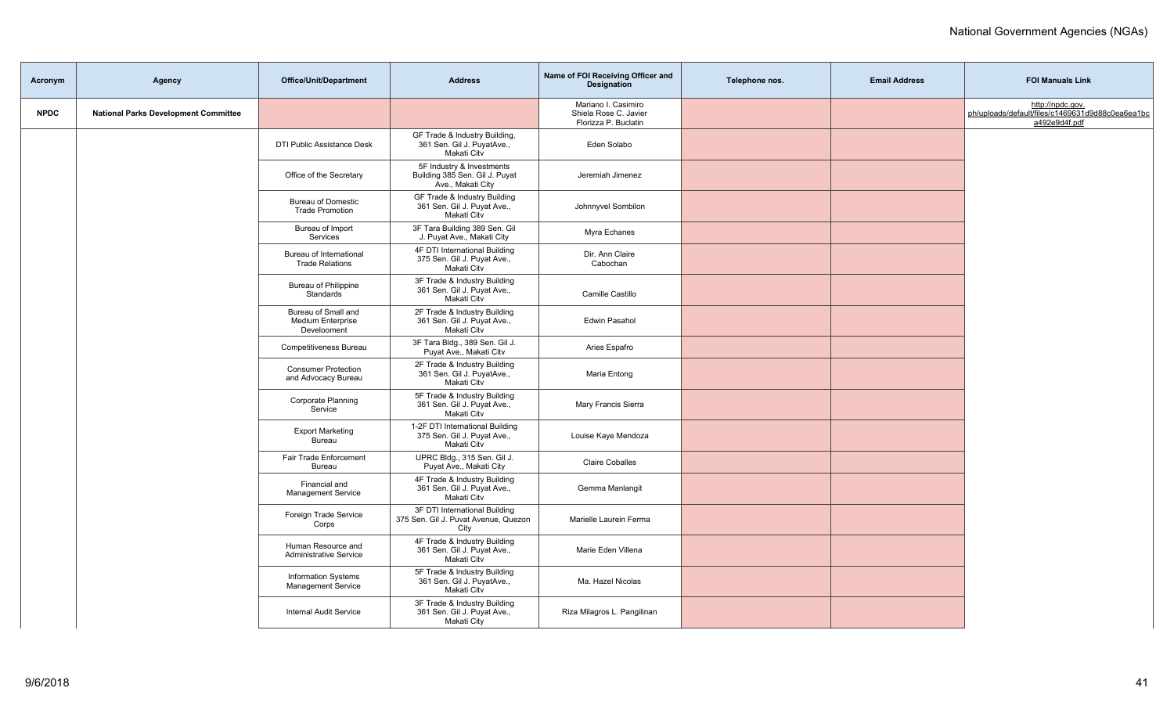| Acronym     | Agency                                      | <b>Office/Unit/Department</b>                                  | <b>Address</b>                                                                   | Name of FOI Receiving Officer and<br>Designation                     | Telephone nos. | <b>Email Address</b> | <b>FOI Manuals Link</b>                                                               |
|-------------|---------------------------------------------|----------------------------------------------------------------|----------------------------------------------------------------------------------|----------------------------------------------------------------------|----------------|----------------------|---------------------------------------------------------------------------------------|
| <b>NPDC</b> | <b>National Parks Development Committee</b> |                                                                |                                                                                  | Mariano I. Casimiro<br>Shiela Rose C. Javier<br>Florizza P. Buclatin |                |                      | http://npdc.gov.<br>ph/uploads/default/files/c1469631d9d88c0ea6ea1bc<br>a492e9d4f.pdf |
|             |                                             | DTI Public Assistance Desk                                     | GF Trade & Industry Building,<br>361 Sen. Gil J. PuyatAve.,<br>Makati Citv       | Eden Solabo                                                          |                |                      |                                                                                       |
|             |                                             | Office of the Secretary                                        | 5F Industry & Investments<br>Building 385 Sen. Gil J. Puyat<br>Ave., Makati City | Jeremiah Jimenez                                                     |                |                      |                                                                                       |
|             |                                             | <b>Bureau of Domestic</b><br><b>Trade Promotion</b>            | GF Trade & Industry Building<br>361 Sen. Gil J. Puyat Ave.,<br>Makati Citv       | Johnnyvel Sombilon                                                   |                |                      |                                                                                       |
|             |                                             | Bureau of Import<br>Services                                   | 3F Tara Building 389 Sen. Gil<br>J. Puyat Ave., Makati City                      | Myra Echanes                                                         |                |                      |                                                                                       |
|             |                                             | Bureau of International<br><b>Trade Relations</b>              | 4F DTI International Building<br>375 Sen. Gil J. Puyat Ave.,<br>Makati Citv      | Dir. Ann Claire<br>Cabochan                                          |                |                      |                                                                                       |
|             |                                             | <b>Bureau of Philippine</b><br>Standards                       | 3F Trade & Industry Building<br>361 Sen. Gil J. Puyat Ave.,<br>Makati Citv       | Camille Castillo                                                     |                |                      |                                                                                       |
|             |                                             | Bureau of Small and<br><b>Medium Enterprise</b><br>Develooment | 2F Trade & Industry Building<br>361 Sen. Gil J. Puyat Ave.,<br>Makati Citv       | Edwin Pasahol                                                        |                |                      |                                                                                       |
|             |                                             | Competitiveness Bureau                                         | 3F Tara Bldg., 389 Sen. Gil J.<br>Puyat Ave., Makati Citv                        | Aries Espafro                                                        |                |                      |                                                                                       |
|             |                                             | <b>Consumer Protection</b><br>and Advocacy Bureau              | 2F Trade & Industry Building<br>361 Sen. Gil J. PuyatAve.,<br>Makati Citv        | Maria Entong                                                         |                |                      |                                                                                       |
|             |                                             | Corporate Planning<br>Service                                  | 5F Trade & Industry Building<br>361 Sen. Gil J. Puyat Ave.,<br>Makati Citv       | Mary Francis Sierra                                                  |                |                      |                                                                                       |
|             |                                             | <b>Export Marketing</b><br>Bureau                              | 1-2F DTI International Building<br>375 Sen. Gil J. Puyat Ave.,<br>Makati Citv    | Louise Kaye Mendoza                                                  |                |                      |                                                                                       |
|             |                                             | Fair Trade Enforcement<br>Bureau                               | UPRC Bldg., 315 Sen. Gil J.<br>Puyat Ave., Makati City                           | <b>Claire Coballes</b>                                               |                |                      |                                                                                       |
|             |                                             | Financial and<br><b>Management Service</b>                     | 4F Trade & Industry Building<br>361 Sen. Gil J. Puyat Ave.,<br>Makati Citv       | Gemma Manlangit                                                      |                |                      |                                                                                       |
|             |                                             | Foreign Trade Service<br>Corps                                 | 3F DTI International Building<br>375 Sen. Gil J. Puvat Avenue, Quezon<br>City    | Marielle Laurein Ferma                                               |                |                      |                                                                                       |
|             |                                             | Human Resource and<br><b>Administrative Service</b>            | 4F Trade & Industry Building<br>361 Sen. Gil J. Puyat Ave.,<br>Makati City       | Marie Eden Villena                                                   |                |                      |                                                                                       |
|             |                                             | <b>Information Systems</b><br><b>Management Service</b>        | 5F Trade & Industry Building<br>361 Sen. Gil J. PuyatAve.,<br>Makati Citv        | Ma. Hazel Nicolas                                                    |                |                      |                                                                                       |
|             |                                             | <b>Internal Audit Service</b>                                  | 3F Trade & Industry Building<br>361 Sen. Gil J. Puyat Ave.,<br>Makati City       | Riza Milagros L. Pangilinan                                          |                |                      |                                                                                       |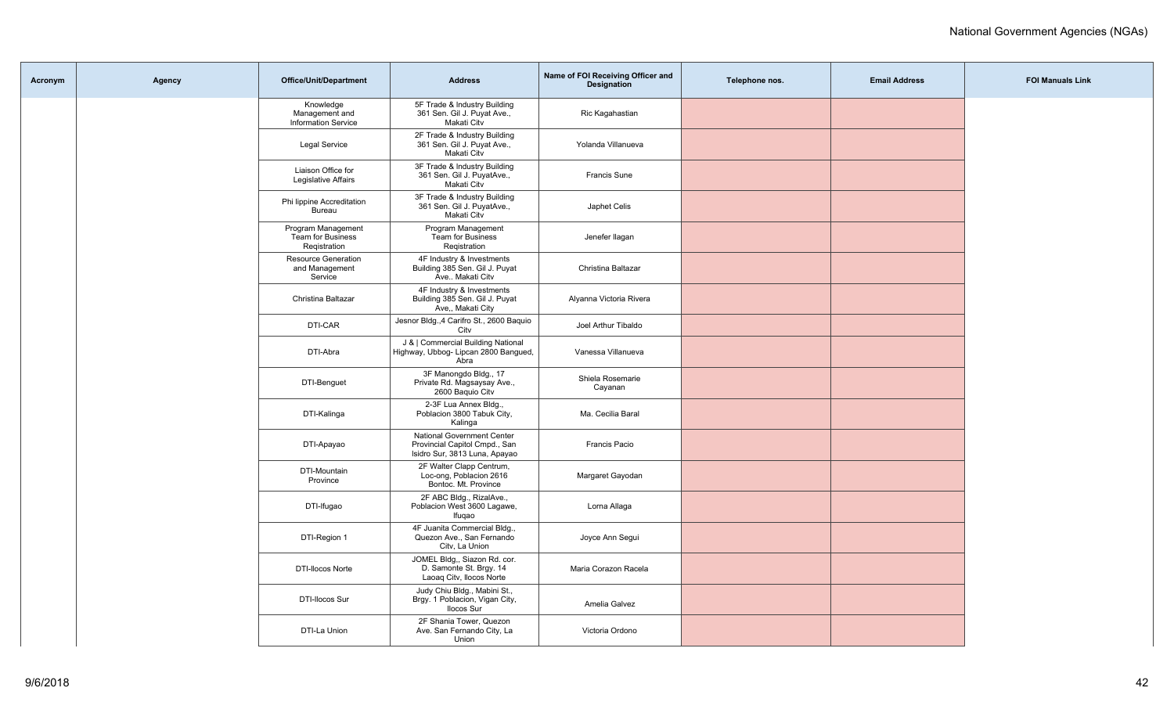| Acronym | Agency | <b>Office/Unit/Department</b>                             | <b>Address</b>                                                                                      | Name of FOI Receiving Officer and<br><b>Designation</b> | Telephone nos. | <b>Email Address</b> | <b>FOI Manuals Link</b> |
|---------|--------|-----------------------------------------------------------|-----------------------------------------------------------------------------------------------------|---------------------------------------------------------|----------------|----------------------|-------------------------|
|         |        | Knowledge<br>Management and<br><b>Information Service</b> | 5F Trade & Industry Building<br>361 Sen. Gil J. Puyat Ave.,<br>Makati Citv                          | Ric Kagahastian                                         |                |                      |                         |
|         |        | <b>Legal Service</b>                                      | 2F Trade & Industry Building<br>361 Sen. Gil J. Puyat Ave.,<br>Makati Citv                          | Yolanda Villanueva                                      |                |                      |                         |
|         |        | Liaison Office for<br>Legislative Affairs                 | 3F Trade & Industry Building<br>361 Sen. Gil J. PuyatAve.,<br>Makati Citv                           | <b>Francis Sune</b>                                     |                |                      |                         |
|         |        | Phi lippine Accreditation<br>Bureau                       | 3F Trade & Industry Building<br>361 Sen. Gil J. PuyatAve.,<br>Makati Citv                           | Japhet Celis                                            |                |                      |                         |
|         |        | Program Management<br>Team for Business<br>Registration   | Program Management<br>Team for Business<br>Registration                                             | Jenefer llagan                                          |                |                      |                         |
|         |        | Resource Generation<br>and Management<br>Service          | 4F Industry & Investments<br>Building 385 Sen. Gil J. Puyat<br>Ave Makati Citv                      | Christina Baltazar                                      |                |                      |                         |
|         |        | Christina Baltazar                                        | 4F Industry & Investments<br>Building 385 Sen. Gil J. Puyat<br>Ave,, Makati City                    | Alyanna Victoria Rivera                                 |                |                      |                         |
|         |        | DTI-CAR                                                   | Jesnor Bldg., 4 Carifro St., 2600 Baquio<br>City                                                    | Joel Arthur Tibaldo                                     |                |                      |                         |
|         |        | DTI-Abra                                                  | J &   Commercial Building National<br>Highway, Ubbog- Lipcan 2800 Bangued,<br>Abra                  | Vanessa Villanueva                                      |                |                      |                         |
|         |        | DTI-Benguet                                               | 3F Manongdo Bldg., 17<br>Private Rd. Magsaysay Ave.,<br>2600 Baquio Citv                            | Shiela Rosemarie<br>Cayanan                             |                |                      |                         |
|         |        | DTI-Kalinga                                               | 2-3F Lua Annex Bldg.,<br>Poblacion 3800 Tabuk City,<br>Kalinga                                      | Ma. Cecilia Baral                                       |                |                      |                         |
|         |        | DTI-Apayao                                                | <b>National Government Center</b><br>Provincial Capitol Cmpd., San<br>Isidro Sur, 3813 Luna, Apayao | Francis Pacio                                           |                |                      |                         |
|         |        | DTI-Mountain<br>Province                                  | 2F Walter Clapp Centrum,<br>Loc-ong, Poblacion 2616<br>Bontoc. Mt. Province                         | Margaret Gayodan                                        |                |                      |                         |
|         |        | DTI-Ifugao                                                | 2F ABC Bldg., RizalAve.,<br>Poblacion West 3600 Lagawe,<br>Ifugao                                   | Lorna Allaga                                            |                |                      |                         |
|         |        | DTI-Region 1                                              | 4F Juanita Commercial Bldg.,<br>Quezon Ave., San Fernando<br>Citv, La Union                         | Joyce Ann Segui                                         |                |                      |                         |
|         |        | <b>DTI-Ilocos Norte</b>                                   | JOMEL Bldg., Siazon Rd. cor.<br>D. Samonte St. Brgy. 14<br>Laoaq Citv, Ilocos Norte                 | Maria Corazon Racela                                    |                |                      |                         |
|         |        | DTI-Ilocos Sur                                            | Judy Chiu Bldg., Mabini St.,<br>Brgy. 1 Poblacion, Vigan City,<br><b>Ilocos Sur</b>                 | Amelia Galvez                                           |                |                      |                         |
|         |        | DTI-La Union                                              | 2F Shania Tower, Quezon<br>Ave. San Fernando City, La<br>Union                                      | Victoria Ordono                                         |                |                      |                         |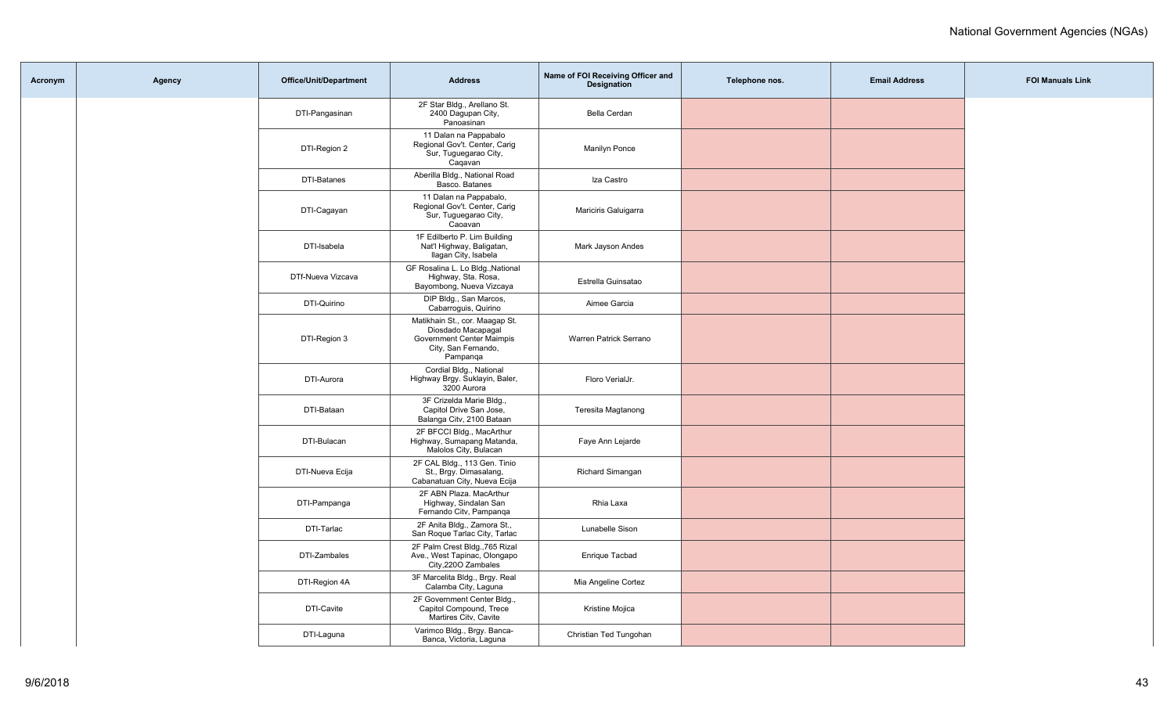| Acronym | Agency | <b>Office/Unit/Department</b> | <b>Address</b>                                                                                                       | Name of FOI Receiving Officer and<br><b>Designation</b> | Telephone nos. | <b>Email Address</b> | <b>FOI Manuals Link</b> |
|---------|--------|-------------------------------|----------------------------------------------------------------------------------------------------------------------|---------------------------------------------------------|----------------|----------------------|-------------------------|
|         |        | DTI-Pangasinan                | 2F Star Bldg., Arellano St.<br>2400 Dagupan City,<br>Panoasinan                                                      | Bella Cerdan                                            |                |                      |                         |
|         |        | DTI-Region 2                  | 11 Dalan na Pappabalo<br>Regional Gov't. Center, Carig<br>Sur, Tuguegarao City,<br>Cagavan                           | Manilyn Ponce                                           |                |                      |                         |
|         |        | DTI-Batanes                   | Aberilla Bldg., National Road<br>Basco. Batanes                                                                      | Iza Castro                                              |                |                      |                         |
|         |        | DTI-Cagayan                   | 11 Dalan na Pappabalo,<br>Regional Gov't. Center, Carig<br>Sur, Tuguegarao City,<br>Caoavan                          | Mariciris Galuigarra                                    |                |                      |                         |
|         |        | DTI-Isabela                   | 1F Edilberto P. Lim Building<br>Nat'l Highway, Baligatan,<br>Ilagan City, Isabela                                    | Mark Jayson Andes                                       |                |                      |                         |
|         |        | DTf-Nueva Vizcava             | GF Rosalina L. Lo Bldg., National<br>Highway, Sta. Rosa,<br>Bayombong, Nueva Vizcaya                                 | Estrella Guinsatao                                      |                |                      |                         |
|         |        | DTI-Quirino                   | DIP Bldg., San Marcos,<br>Cabarroquis, Quirino                                                                       | Aimee Garcia                                            |                |                      |                         |
|         |        | DTI-Region 3                  | Matikhain St., cor. Maagap St.<br>Diosdado Macapagal<br>Government Center Maimpis<br>City, San Fernando,<br>Pampanga | Warren Patrick Serrano                                  |                |                      |                         |
|         |        | DTI-Aurora                    | Cordial Bldg., National<br>Highway Brgy. Suklayin, Baler,<br>3200 Aurora                                             | Floro VerialJr.                                         |                |                      |                         |
|         |        | DTI-Bataan                    | 3F Crizelda Marie Bldg.,<br>Capitol Drive San Jose,<br>Balanga Citv, 2100 Bataan                                     | Teresita Magtanong                                      |                |                      |                         |
|         |        | DTI-Bulacan                   | 2F BFCCI Bldg., MacArthur<br>Highway, Sumapang Matanda,<br>Malolos City, Bulacan                                     | Faye Ann Lejarde                                        |                |                      |                         |
|         |        | DTI-Nueva Ecija               | 2F CAL Bldg., 113 Gen. Tinio<br>St., Brgy. Dimasalang,<br>Cabanatuan City, Nueva Ecija                               | Richard Simangan                                        |                |                      |                         |
|         |        | DTI-Pampanga                  | 2F ABN Plaza. MacArthur<br>Highway, Sindalan San<br>Fernando Citv, Pampanga                                          | Rhia Laxa                                               |                |                      |                         |
|         |        | DTI-Tarlac                    | 2F Anita Bldg., Zamora St.,<br>San Roque Tarlac City, Tarlac                                                         | Lunabelle Sison                                         |                |                      |                         |
|         |        | DTI-Zambales                  | 2F Palm Crest Bldg., 765 Rizal<br>Ave., West Tapinac, Olongapo<br>City, 2200 Zambales                                | Enrique Tacbad                                          |                |                      |                         |
|         |        | DTI-Region 4A                 | 3F Marcelita Bldg., Brgy. Real<br>Calamba City, Laguna                                                               | Mia Angeline Cortez                                     |                |                      |                         |
|         |        | DTI-Cavite                    | 2F Government Center Bldg.,<br>Capitol Compound, Trece<br>Martires City, Cavite                                      | Kristine Mojica                                         |                |                      |                         |
|         |        | DTI-Laguna                    | Varimco Bldg., Brgy. Banca-<br>Banca, Victoria, Laguna                                                               | Christian Ted Tungohan                                  |                |                      |                         |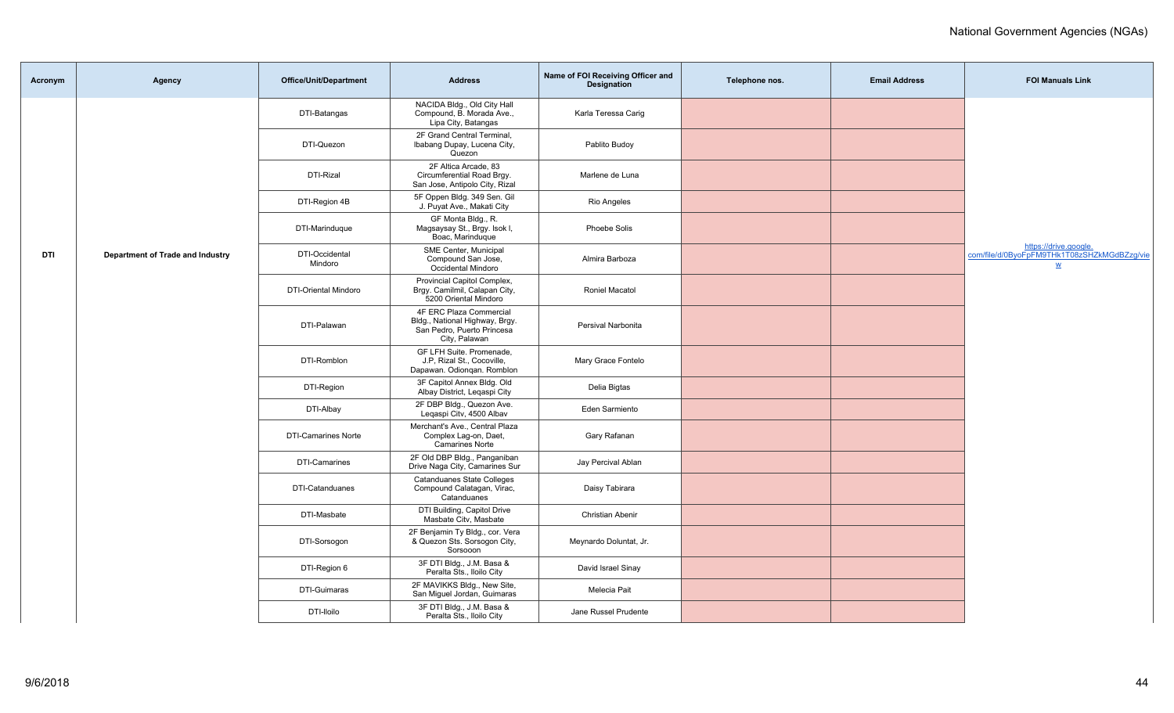| Acronym    | Agency                           | <b>Office/Unit/Department</b> | <b>Address</b>                                                                                           | Name of FOI Receiving Officer and<br><b>Designation</b> | Telephone nos. | <b>Email Address</b> | <b>FOI Manuals Link</b>                                                                          |
|------------|----------------------------------|-------------------------------|----------------------------------------------------------------------------------------------------------|---------------------------------------------------------|----------------|----------------------|--------------------------------------------------------------------------------------------------|
|            |                                  | DTI-Batangas                  | NACIDA Bldg., Old City Hall<br>Compound, B. Morada Ave.,<br>Lipa City, Batangas                          | Karla Teressa Carig                                     |                |                      |                                                                                                  |
|            |                                  | DTI-Quezon                    | 2F Grand Central Terminal,<br>Ibabang Dupay, Lucena City,<br>Quezon                                      | Pablito Budoy                                           |                |                      |                                                                                                  |
|            |                                  | DTI-Rizal                     | 2F Altica Arcade, 83<br>Circumferential Road Brgy.<br>San Jose, Antipolo City, Rizal                     | Marlene de Luna                                         |                |                      |                                                                                                  |
|            |                                  | DTI-Region 4B                 | 5F Oppen Bldg. 349 Sen. Gil<br>J. Puyat Ave., Makati City                                                | Rio Angeles                                             |                |                      |                                                                                                  |
|            |                                  | DTI-Marinduque                | GF Monta Bldg., R.<br>Magsaysay St., Brgy. Isok I,<br>Boac, Marinduque                                   | Phoebe Solis                                            |                |                      |                                                                                                  |
| <b>DTI</b> | Department of Trade and Industry | DTI-Occidental<br>Mindoro     | SME Center, Municipal<br>Compound San Jose,<br>Occidental Mindoro                                        | Almira Barboza                                          |                |                      | https://drive.google.<br>com/file/d/0ByoFpFM9THk1T08zSHZkMGdBZzg/vie<br>$\underline{\mathsf{w}}$ |
|            |                                  | <b>DTI-Oriental Mindoro</b>   | Provincial Capitol Complex,<br>Brgy. Camilmil, Calapan City,<br>5200 Oriental Mindoro                    | <b>Roniel Macatol</b>                                   |                |                      |                                                                                                  |
|            |                                  | DTI-Palawan                   | 4F ERC Plaza Commercial<br>Bldg., National Highway, Brgy.<br>San Pedro, Puerto Princesa<br>City, Palawan | Persival Narbonita                                      |                |                      |                                                                                                  |
|            |                                  | DTI-Romblon                   | GF LFH Suite. Promenade,<br>J.P, Rizal St., Cocoville,<br>Dapawan. Odiongan. Romblon                     | Mary Grace Fontelo                                      |                |                      |                                                                                                  |
|            |                                  | DTI-Region                    | 3F Capitol Annex Bldg. Old<br>Albay District, Legaspi City                                               | Delia Bigtas                                            |                |                      |                                                                                                  |
|            |                                  | DTI-Albay                     | 2F DBP Bldg., Quezon Ave.<br>Legaspi Citv, 4500 Albav                                                    | Eden Sarmiento                                          |                |                      |                                                                                                  |
|            |                                  | <b>DTI-Camarines Norte</b>    | Merchant's Ave., Central Plaza<br>Complex Lag-on, Daet,<br><b>Camarines Norte</b>                        | Gary Rafanan                                            |                |                      |                                                                                                  |
|            |                                  | DTI-Camarines                 | 2F Old DBP Bldg., Panganiban<br>Drive Naga City, Camarines Sur                                           | Jay Percival Ablan                                      |                |                      |                                                                                                  |
|            |                                  | DTI-Catanduanes               | <b>Catanduanes State Colleges</b><br>Compound Calatagan, Virac,<br>Catanduanes                           | Daisy Tabirara                                          |                |                      |                                                                                                  |
|            |                                  | DTI-Masbate                   | DTI Building, Capitol Drive<br>Masbate Citv, Masbate                                                     | Christian Abenir                                        |                |                      |                                                                                                  |
|            |                                  | DTI-Sorsogon                  | 2F Benjamin Ty Bldg., cor. Vera<br>& Quezon Sts. Sorsogon City,<br>Sorsooon                              | Meynardo Doluntat, Jr.                                  |                |                      |                                                                                                  |
|            |                                  | DTI-Region 6                  | 3F DTI Bldg., J.M. Basa &<br>Peralta Sts., Iloilo City                                                   | David Israel Sinay                                      |                |                      |                                                                                                  |
|            |                                  | <b>DTI-Guimaras</b>           | 2F MAVIKKS Bldg., New Site,<br>San Miguel Jordan, Guimaras                                               | Melecia Pait                                            |                |                      |                                                                                                  |
|            |                                  | DTI-lloilo                    | 3F DTI Bldg., J.M. Basa &<br>Peralta Sts., Iloilo City                                                   | Jane Russel Prudente                                    |                |                      |                                                                                                  |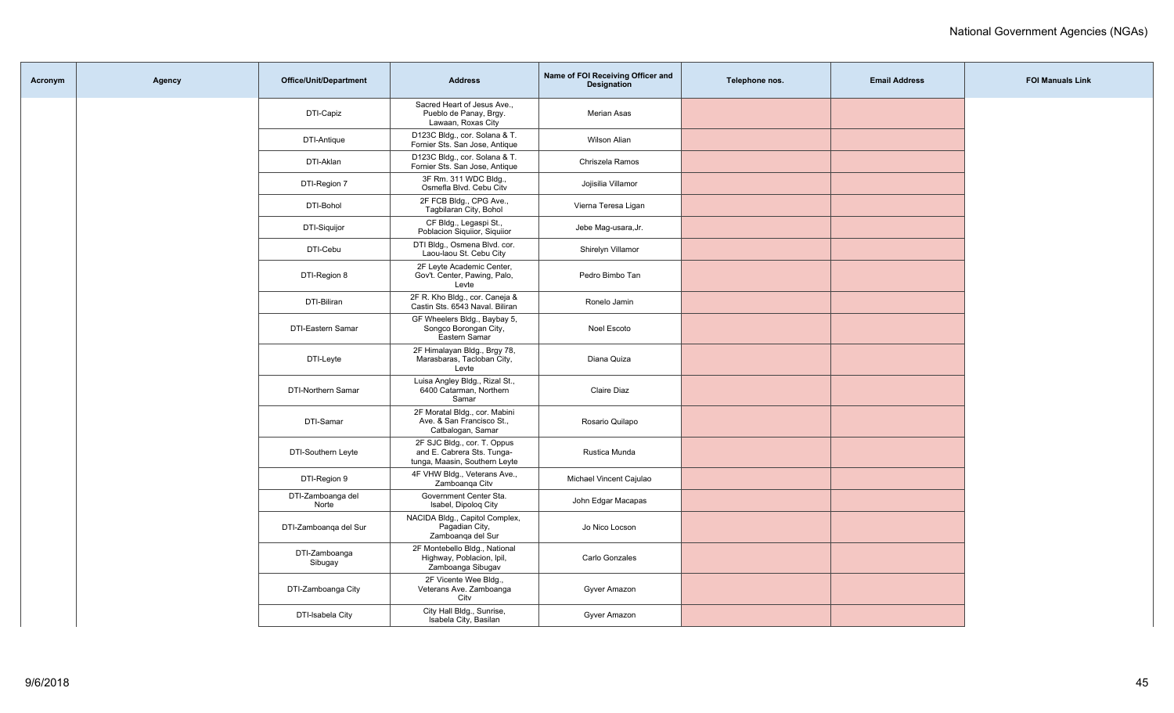| Acronym | Agency | <b>Office/Unit/Department</b> | <b>Address</b>                                                                             | Name of FOI Receiving Officer and<br>Designation | Telephone nos. | <b>Email Address</b> | <b>FOI Manuals Link</b> |
|---------|--------|-------------------------------|--------------------------------------------------------------------------------------------|--------------------------------------------------|----------------|----------------------|-------------------------|
|         |        | DTI-Capiz                     | Sacred Heart of Jesus Ave.,<br>Pueblo de Panay, Brgy.<br>Lawaan, Roxas City                | <b>Merian Asas</b>                               |                |                      |                         |
|         |        | DTI-Antique                   | D123C Bldg., cor. Solana & T.<br>Fornier Sts. San Jose, Antique                            | Wilson Alian                                     |                |                      |                         |
|         |        | DTI-Aklan                     | D123C Bldg., cor. Solana & T.<br>Fornier Sts. San Jose, Antique                            | Chriszela Ramos                                  |                |                      |                         |
|         |        | DTI-Region 7                  | 3F Rm. 311 WDC Bldg.,<br>Osmefla Blvd. Cebu Citv                                           | Jojisilia Villamor                               |                |                      |                         |
|         |        | DTI-Bohol                     | 2F FCB Bldg., CPG Ave.,<br>Tagbilaran City, Bohol                                          | Vierna Teresa Ligan                              |                |                      |                         |
|         |        | DTI-Siquijor                  | CF Bldg., Legaspi St.,<br>Poblacion Siguiior, Siguiior                                     | Jebe Mag-usara, Jr.                              |                |                      |                         |
|         |        | DTI-Cebu                      | DTI Bldg., Osmena Blvd. cor.<br>Laou-laou St. Cebu City                                    | Shirelyn Villamor                                |                |                      |                         |
|         |        | DTI-Region 8                  | 2F Leyte Academic Center,<br>Gov't. Center, Pawing, Palo,<br>Levte                         | Pedro Bimbo Tan                                  |                |                      |                         |
|         |        | DTI-Biliran                   | 2F R. Kho Bldg., cor. Caneja &<br>Castin Sts. 6543 Naval. Biliran                          | Ronelo Jamin                                     |                |                      |                         |
|         |        | DTI-Eastern Samar             | GF Wheelers Bldg., Baybay 5,<br>Songco Borongan City,<br>Eastern Samar                     | Noel Escoto                                      |                |                      |                         |
|         |        | DTI-Leyte                     | 2F Himalayan Bldg., Brgy 78,<br>Marasbaras, Tacloban City,<br>Levte                        | Diana Quiza                                      |                |                      |                         |
|         |        | DTI-Northern Samar            | Luisa Angley Bldg., Rizal St.,<br>6400 Catarman, Northern<br>Samar                         | Claire Diaz                                      |                |                      |                         |
|         |        | DTI-Samar                     | 2F Moratal Bldg., cor. Mabini<br>Ave. & San Francisco St.,<br>Catbalogan, Samar            | Rosario Quilapo                                  |                |                      |                         |
|         |        | DTI-Southern Leyte            | 2F SJC Bldg., cor. T. Oppus<br>and E. Cabrera Sts. Tunga-<br>tunga, Maasin, Southern Leyte | Rustica Munda                                    |                |                      |                         |
|         |        | DTI-Region 9                  | 4F VHW Bldg., Veterans Ave.,<br>Zamboanga Citv                                             | Michael Vincent Cajulao                          |                |                      |                         |
|         |        | DTI-Zamboanga del<br>Norte    | Government Center Sta.<br>Isabel, Dipolog City                                             | John Edgar Macapas                               |                |                      |                         |
|         |        | DTI-Zamboanga del Sur         | NACIDA Bldg., Capitol Complex,<br>Pagadian City,<br>Zamboanga del Sur                      | Jo Nico Locson                                   |                |                      |                         |
|         |        | DTI-Zamboanga<br>Sibugay      | 2F Montebello Bldg., National<br>Highway, Poblacion, Ipil,<br>Zamboanga Sibugav            | Carlo Gonzales                                   |                |                      |                         |
|         |        | DTI-Zamboanga City            | 2F Vicente Wee Bldg.,<br>Veterans Ave. Zamboanga<br>City                                   | Gyver Amazon                                     |                |                      |                         |
|         |        | DTI-Isabela City              | City Hall Bldg., Sunrise,<br>Isabela City, Basilan                                         | Gyver Amazon                                     |                |                      |                         |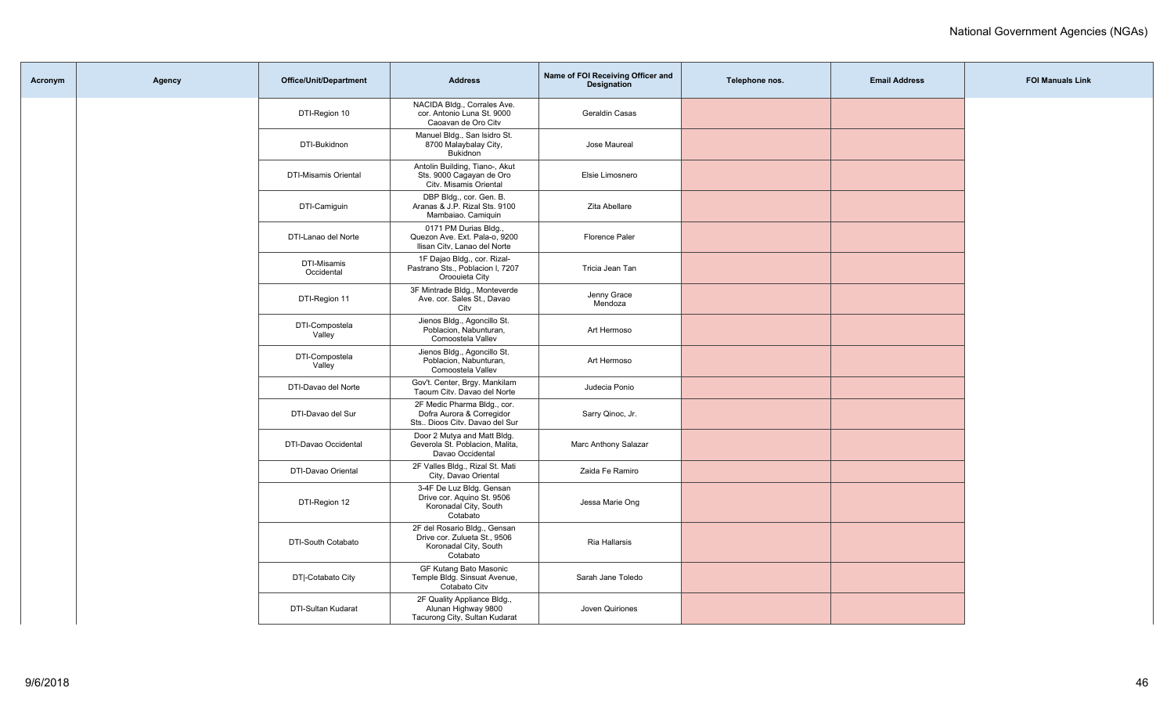| Acronym | Agency | Office/Unit/Department    | <b>Address</b>                                                                                    | Name of FOI Receiving Officer and<br><b>Designation</b> | Telephone nos. | <b>Email Address</b> | <b>FOI Manuals Link</b> |
|---------|--------|---------------------------|---------------------------------------------------------------------------------------------------|---------------------------------------------------------|----------------|----------------------|-------------------------|
|         |        | DTI-Region 10             | NACIDA Bldg., Corrales Ave.<br>cor. Antonio Luna St. 9000<br>Caoavan de Oro Citv                  | Geraldin Casas                                          |                |                      |                         |
|         |        | DTI-Bukidnon              | Manuel Bldg., San Isidro St.<br>8700 Malaybalay City,<br>Bukidnon                                 | Jose Maureal                                            |                |                      |                         |
|         |        | DTI-Misamis Oriental      | Antolin Building, Tiano-, Akut<br>Sts. 9000 Cagayan de Oro<br>Citv. Misamis Oriental              | Elsie Limosnero                                         |                |                      |                         |
|         |        | DTI-Camiguin              | DBP Bldg., cor. Gen. B.<br>Aranas & J.P. Rizal Sts. 9100<br>Mambaiao. Camiquin                    | Zita Abellare                                           |                |                      |                         |
|         |        | DTI-Lanao del Norte       | 0171 PM Durias Bldg.,<br>Quezon Ave. Ext. Pala-o, 9200<br>Ilisan Citv, Lanao del Norte            | Florence Paler                                          |                |                      |                         |
|         |        | DTI-Misamis<br>Occidental | 1F Dajao Bldg., cor. Rizal-<br>Pastrano Sts., Poblacion I, 7207<br>Oroouieta City                 | Tricia Jean Tan                                         |                |                      |                         |
|         |        | DTI-Region 11             | 3F Mintrade Bldg., Monteverde<br>Ave. cor. Sales St., Davao<br>Citv                               | Jenny Grace<br>Mendoza                                  |                |                      |                         |
|         |        | DTI-Compostela<br>Valley  | Jienos Bldg., Agoncillo St.<br>Poblacion, Nabunturan,<br>Comoostela Vallev                        | Art Hermoso                                             |                |                      |                         |
|         |        | DTI-Compostela<br>Valley  | Jienos Bldg., Agoncillo St.<br>Poblacion, Nabunturan,<br>Comoostela Vallev                        | Art Hermoso                                             |                |                      |                         |
|         |        | DTI-Davao del Norte       | Gov't. Center, Brgy. Mankilam<br>Taoum Citv. Davao del Norte                                      | Judecia Ponio                                           |                |                      |                         |
|         |        | DTI-Davao del Sur         | 2F Medic Pharma Bldg., cor.<br>Dofra Aurora & Corregidor<br>Sts Dioos Citv. Davao del Sur         | Sarry Qinoc, Jr.                                        |                |                      |                         |
|         |        | DTI-Davao Occidental      | Door 2 Mutya and Matt Bldg.<br>Geverola St. Poblacion, Malita,<br>Davao Occidental                | Marc Anthony Salazar                                    |                |                      |                         |
|         |        | DTI-Davao Oriental        | 2F Valles Bldg., Rizal St. Mati<br>City, Davao Oriental                                           | Zaida Fe Ramiro                                         |                |                      |                         |
|         |        | DTI-Region 12             | 3-4F De Luz Bldg. Gensan<br>Drive cor. Aquino St. 9506<br>Koronadal City, South<br>Cotabato       | Jessa Marie Ong                                         |                |                      |                         |
|         |        | DTI-South Cotabato        | 2F del Rosario Bldg., Gensan<br>Drive cor. Zulueta St., 9506<br>Koronadal City, South<br>Cotabato | Ria Hallarsis                                           |                |                      |                         |
|         |        | DT -Cotabato City         | GF Kutang Bato Masonic<br>Temple Bldg. Sinsuat Avenue,<br>Cotabato Citv                           | Sarah Jane Toledo                                       |                |                      |                         |
|         |        | DTI-Sultan Kudarat        | 2F Quality Appliance Bldg.,<br>Alunan Highway 9800<br>Tacurong City, Sultan Kudarat               | Joven Quiriones                                         |                |                      |                         |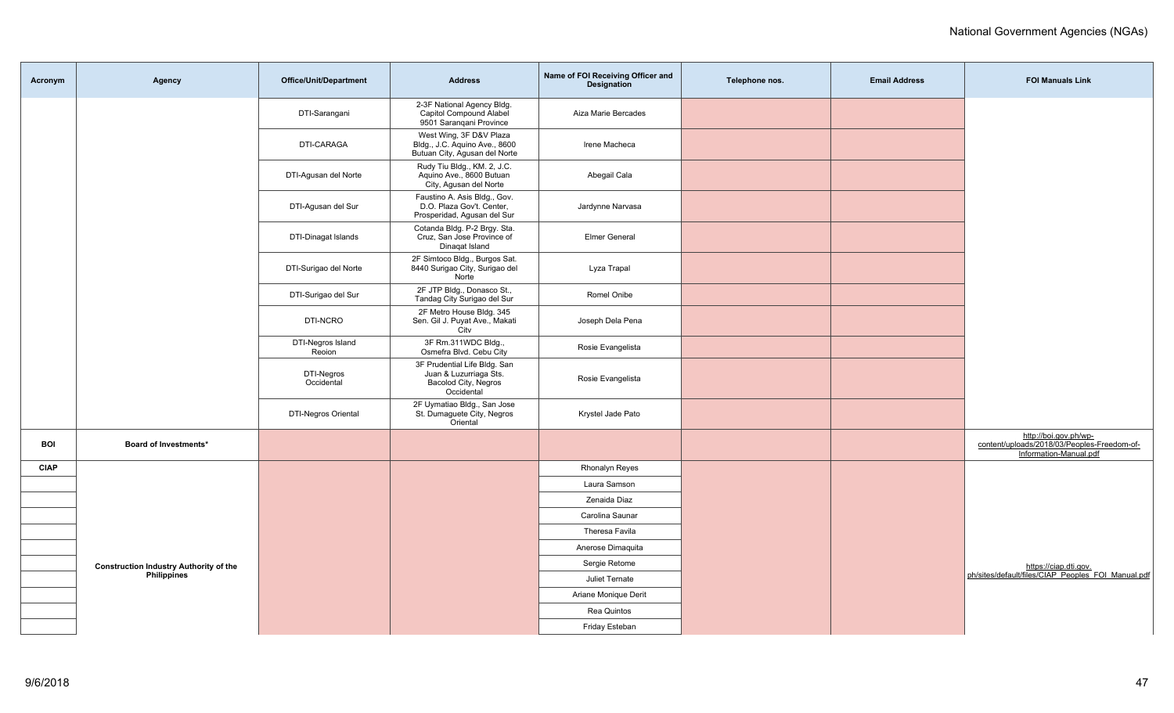| Acronym     | Agency                                                              | <b>Office/Unit/Department</b> | <b>Address</b>                                                                               | Name of FOI Receiving Officer and<br><b>Designation</b> | Telephone nos. | <b>Email Address</b> | <b>FOI Manuals Link</b>                                                                        |
|-------------|---------------------------------------------------------------------|-------------------------------|----------------------------------------------------------------------------------------------|---------------------------------------------------------|----------------|----------------------|------------------------------------------------------------------------------------------------|
|             |                                                                     | DTI-Sarangani                 | 2-3F National Agency Bldg.<br>Capitol Compound Alabel<br>9501 Sarangani Province             | Aiza Marie Bercades                                     |                |                      |                                                                                                |
|             |                                                                     | DTI-CARAGA                    | West Wing, 3F D&V Plaza<br>Bldg., J.C. Aquino Ave., 8600<br>Butuan City, Agusan del Norte    | Irene Macheca                                           |                |                      |                                                                                                |
|             |                                                                     | DTI-Agusan del Norte          | Rudy Tiu Bldg., KM. 2, J.C.<br>Aquino Ave., 8600 Butuan<br>City, Agusan del Norte            | Abegail Cala                                            |                |                      |                                                                                                |
|             |                                                                     | DTI-Agusan del Sur            | Faustino A. Asis Bldg., Gov.<br>D.O. Plaza Gov't. Center,<br>Prosperidad, Agusan del Sur     | Jardynne Narvasa                                        |                |                      |                                                                                                |
|             |                                                                     | DTI-Dinagat Islands           | Cotanda Bldg. P-2 Brgy. Sta.<br>Cruz, San Jose Province of<br>Dinagat Island                 | <b>Elmer General</b>                                    |                |                      |                                                                                                |
|             |                                                                     | DTI-Surigao del Norte         | 2F Simtoco Bldg., Burgos Sat.<br>8440 Surigao City, Surigao del<br>Norte                     | Lyza Trapal                                             |                |                      |                                                                                                |
|             |                                                                     | DTI-Surigao del Sur           | 2F JTP Bldg., Donasco St.,<br>Tandag City Surigao del Sur                                    | Romel Onibe                                             |                |                      |                                                                                                |
|             |                                                                     | DTI-NCRO                      | 2F Metro House Bldg. 345<br>Sen. Gil J. Puyat Ave., Makati<br>City                           | Joseph Dela Pena                                        |                |                      |                                                                                                |
|             |                                                                     | DTI-Negros Island<br>Reoion   | 3F Rm.311WDC Bldg.,<br>Osmefra Blvd. Cebu City                                               | Rosie Evangelista                                       |                |                      |                                                                                                |
|             |                                                                     | DTI-Negros<br>Occidental      | 3F Prudential Life Bldg. San<br>Juan & Luzurriaga Sts.<br>Bacolod City, Negros<br>Occidental | Rosie Evangelista                                       |                |                      |                                                                                                |
|             |                                                                     | <b>DTI-Negros Oriental</b>    | 2F Uymatiao Bldg., San Jose<br>St. Dumaguete City, Negros<br>Oriental                        | Krystel Jade Pato                                       |                |                      |                                                                                                |
| <b>BOI</b>  | Board of Investments*                                               |                               |                                                                                              |                                                         |                |                      | http://boi.gov.ph/wp-<br>content/uploads/2018/03/Peoples-Freedom-of-<br>Information-Manual.pdf |
| <b>CIAP</b> |                                                                     |                               |                                                                                              | <b>Rhonalyn Reyes</b>                                   |                |                      |                                                                                                |
|             |                                                                     |                               |                                                                                              | Laura Samson                                            |                |                      |                                                                                                |
|             |                                                                     |                               |                                                                                              | Zenaida Diaz                                            |                |                      |                                                                                                |
|             |                                                                     |                               |                                                                                              | Carolina Saunar                                         |                |                      |                                                                                                |
|             | <b>Construction Industry Authority of the</b><br><b>Philippines</b> |                               |                                                                                              | Theresa Favila                                          |                |                      |                                                                                                |
|             |                                                                     |                               |                                                                                              | Anerose Dimaguita                                       |                |                      |                                                                                                |
|             |                                                                     |                               |                                                                                              | Sergie Retome                                           |                |                      | https://ciap.dti.gov.<br>ph/sites/default/files/CIAP_Peoples_FOI_Manual.pdf                    |
|             |                                                                     |                               |                                                                                              | Juliet Ternate                                          |                |                      |                                                                                                |
|             |                                                                     |                               |                                                                                              | Ariane Monique Derit                                    |                |                      |                                                                                                |
|             |                                                                     |                               |                                                                                              | Rea Quintos                                             |                |                      |                                                                                                |
|             |                                                                     |                               |                                                                                              | Friday Esteban                                          |                |                      |                                                                                                |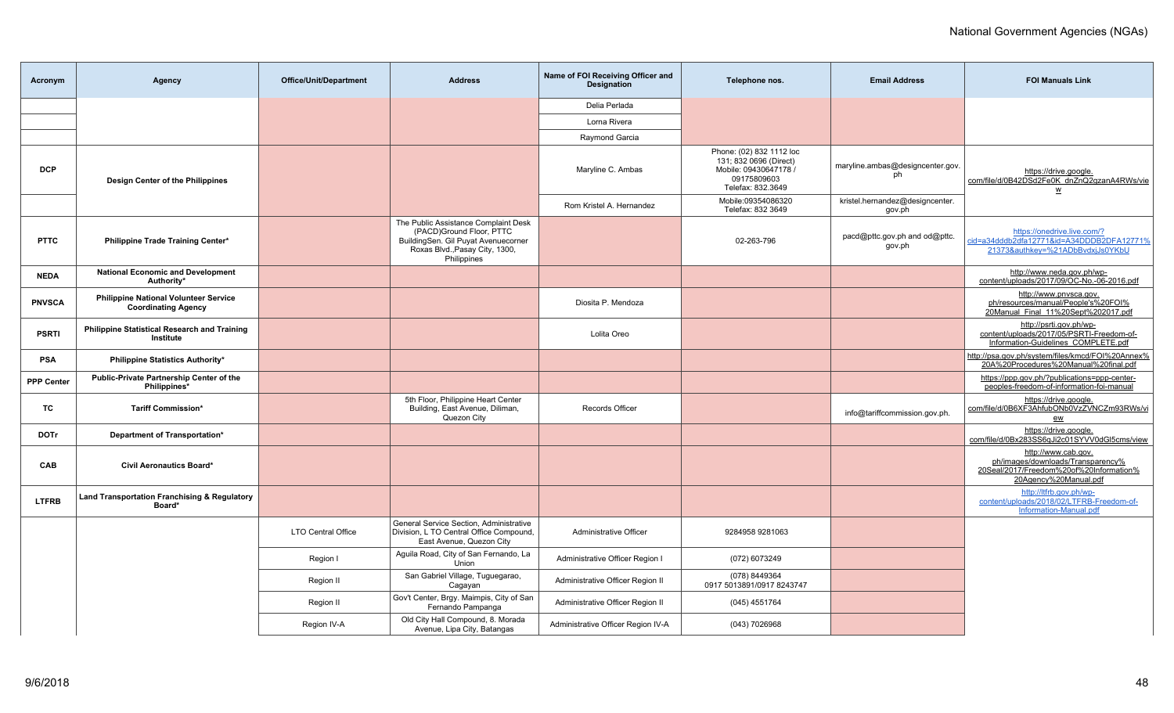| Acronym           | <b>Agency</b>                                                              | <b>Office/Unit/Department</b> | <b>Address</b>                                                                                                                                           | Name of FOI Receiving Officer and<br><b>Designation</b> | Telephone nos.                                                                                                | <b>Email Address</b>                      | <b>FOI Manuals Link</b>                                                                                                      |
|-------------------|----------------------------------------------------------------------------|-------------------------------|----------------------------------------------------------------------------------------------------------------------------------------------------------|---------------------------------------------------------|---------------------------------------------------------------------------------------------------------------|-------------------------------------------|------------------------------------------------------------------------------------------------------------------------------|
|                   |                                                                            |                               |                                                                                                                                                          | Delia Perlada                                           |                                                                                                               |                                           |                                                                                                                              |
|                   |                                                                            |                               |                                                                                                                                                          | Lorna Rivera                                            |                                                                                                               |                                           |                                                                                                                              |
|                   |                                                                            |                               |                                                                                                                                                          | Raymond Garcia                                          |                                                                                                               |                                           |                                                                                                                              |
| <b>DCP</b>        | Design Center of the Philippines                                           |                               |                                                                                                                                                          | Maryline C. Ambas                                       | Phone: (02) 832 1112 loc<br>131; 832 0696 (Direct)<br>Mobile: 09430647178<br>09175809603<br>Telefax: 832.3649 | maryline.ambas@designcenter.gov.<br>ph    | https://drive.google.<br>com/file/d/0B42DSd2Fe0K dnZnQ2gzanA4RWs/vie<br>W                                                    |
|                   |                                                                            |                               |                                                                                                                                                          | Rom Kristel A. Hernandez                                | Mobile:09354086320<br>Telefax: 832 3649                                                                       | kristel.hernandez@designcenter.<br>gov.ph |                                                                                                                              |
| <b>PTTC</b>       | Philippine Trade Training Center*                                          |                               | The Public Assistance Complaint Desk<br>(PACD)Ground Floor, PTTC<br>BuildingSen. Gil Puyat Avenuecorner<br>Roxas Blvd., Pasay City, 1300,<br>Philippines |                                                         | 02-263-796                                                                                                    | pacd@pttc.gov.ph and od@pttc.<br>gov.ph   | https://onedrive.live.com/?<br>id=a34dddb2dfa12771&id=A34DDDB2DFA12771%<br>21373&authkey=%21ADbBvdxjJs0YKbU                  |
| <b>NEDA</b>       | <b>National Economic and Development</b><br>Authority*                     |                               |                                                                                                                                                          |                                                         |                                                                                                               |                                           | http://www.neda.gov.ph/wp-<br>content/uploads/2017/09/OC-No.-06-2016.pdf                                                     |
| <b>PNVSCA</b>     | <b>Philippine National Volunteer Service</b><br><b>Coordinating Agency</b> |                               |                                                                                                                                                          | Diosita P. Mendoza                                      |                                                                                                               |                                           | http://www.pnvsca.gov.<br>ph/resources/manual/People's%20FOI%<br>20Manual Final 11%20Sept%202017.pdf                         |
| <b>PSRTI</b>      | Philippine Statistical Research and Training<br>Institute                  |                               |                                                                                                                                                          | Lolita Oreo                                             |                                                                                                               |                                           | http://psrti.gov.ph/wp-<br>content/uploads/2017/05/PSRTI-Freedom-of-<br>Information-Guidelines COMPLETE.pdf                  |
| <b>PSA</b>        | Philippine Statistics Authority*                                           |                               |                                                                                                                                                          |                                                         |                                                                                                               |                                           | http://psa.gov.ph/system/files/kmcd/FOI%20Annex%<br>20A%20Procedures%20Manual%20final.pdf                                    |
| <b>PPP Center</b> | Public-Private Partnership Center of the<br>Philippines*                   |                               |                                                                                                                                                          |                                                         |                                                                                                               |                                           | https://ppp.gov.ph/?publications=ppp-center-<br>peoples-freedom-of-information-foi-manual                                    |
| TC                | <b>Tariff Commission*</b>                                                  |                               | 5th Floor, Philippine Heart Center<br>Building, East Avenue, Diliman,<br>Quezon City                                                                     | <b>Records Officer</b>                                  |                                                                                                               | info@tariffcommission.gov.ph.             | https://drive.google.<br>com/file/d/0B6XF3AhfubONb0VzZVNCZm93RWs/vi<br>ew                                                    |
| <b>DOTr</b>       | Department of Transportation*                                              |                               |                                                                                                                                                          |                                                         |                                                                                                               |                                           | https://drive.google.<br>com/file/d/0Bx283SS6qJi2c01SYVV0dGl5cms/view                                                        |
| CAB               | <b>Civil Aeronautics Board*</b>                                            |                               |                                                                                                                                                          |                                                         |                                                                                                               |                                           | http://www.cab.gov.<br>ph/images/downloads/Transparency%<br>20Seal/2017/Freedom%20of%20Information%<br>20Agency%20Manual.pdf |
| <b>LTFRB</b>      | Land Transportation Franchising & Regulatory<br>Board*                     |                               |                                                                                                                                                          |                                                         |                                                                                                               |                                           | http://ltfrb.gov.ph/wp-<br>content/uploads/2018/02/LTFRB-Freedom-of-<br>Information-Manual.pdf                               |
|                   |                                                                            | <b>LTO Central Office</b>     | General Service Section, Administrative<br>Division, L TO Central Office Compound,<br>East Avenue, Quezon City                                           | Administrative Officer                                  | 9284958 9281063                                                                                               |                                           |                                                                                                                              |
|                   |                                                                            | Region I                      | Aguila Road, City of San Fernando, La<br>Union                                                                                                           | Administrative Officer Region I                         | (072) 6073249                                                                                                 |                                           |                                                                                                                              |
|                   |                                                                            | Region II                     | San Gabriel Village, Tuguegarao,<br>Cagayan                                                                                                              | Administrative Officer Region II                        | (078) 8449364<br>0917 5013891/0917 8243747                                                                    |                                           |                                                                                                                              |
|                   |                                                                            | Region II                     | Gov't Center, Brgy. Maimpis, City of San<br>Fernando Pampanga                                                                                            | Administrative Officer Region II                        | (045) 4551764                                                                                                 |                                           |                                                                                                                              |
|                   |                                                                            | Region IV-A                   | Old City Hall Compound, 8. Morada<br>Avenue, Lipa City, Batangas                                                                                         | Administrative Officer Region IV-A                      | (043) 7026968                                                                                                 |                                           |                                                                                                                              |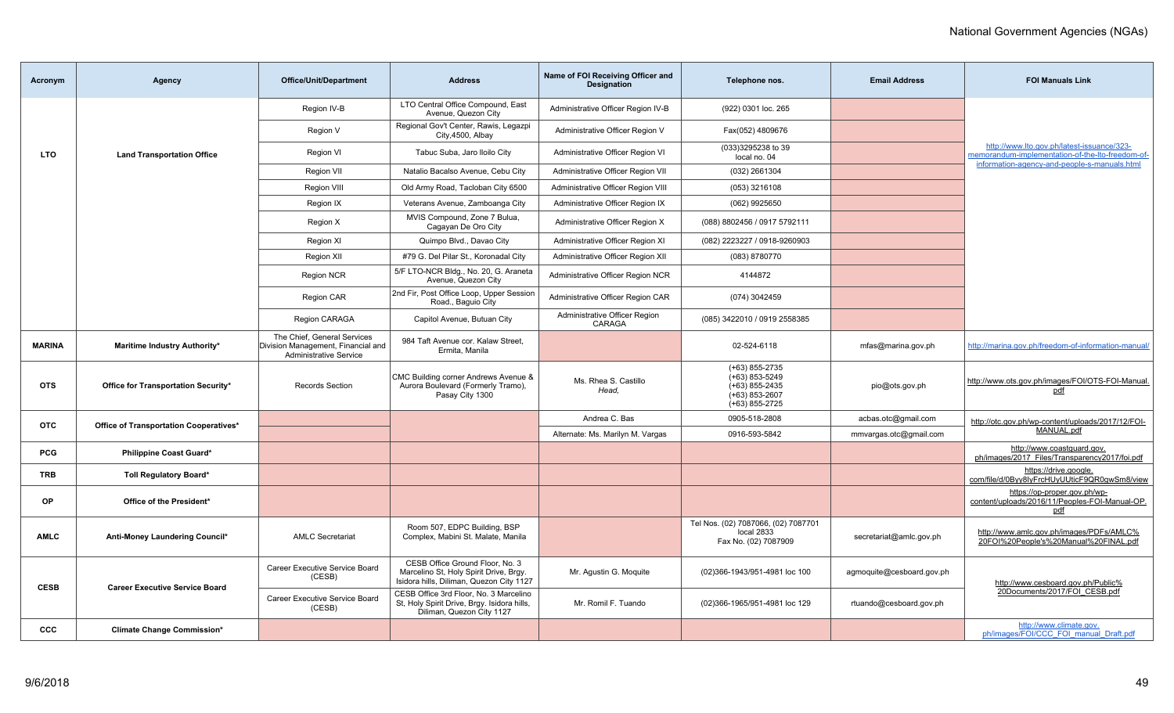| Acronym       | <b>Agency</b>                          | <b>Office/Unit/Department</b>                                                                      | <b>Address</b>                                                                                                        | Name of FOI Receiving Officer and<br><b>Designation</b> | Telephone nos.                                                                                   | <b>Email Address</b>      | <b>FOI Manuals Link</b>                                                                        |
|---------------|----------------------------------------|----------------------------------------------------------------------------------------------------|-----------------------------------------------------------------------------------------------------------------------|---------------------------------------------------------|--------------------------------------------------------------------------------------------------|---------------------------|------------------------------------------------------------------------------------------------|
|               |                                        | Region IV-B                                                                                        | LTO Central Office Compound, East<br>Avenue. Quezon City                                                              | Administrative Officer Region IV-B                      | (922) 0301 loc. 265                                                                              |                           |                                                                                                |
|               |                                        | Region V                                                                                           | Regional Gov't Center, Rawis, Legazpi<br>City, 4500, Albay                                                            | Administrative Officer Region V                         | Fax(052) 4809676                                                                                 |                           |                                                                                                |
| LTO           | <b>Land Transportation Office</b>      | Region VI                                                                                          | Tabuc Suba, Jaro Iloilo City                                                                                          | Administrative Officer Region VI                        | (033)3295238 to 39<br>local no. 04                                                               |                           | http://www.lto.gov.ph/latest-issuance/323-<br>memorandum-implementation-of-the-lto-freedom-of- |
|               |                                        | <b>Region VII</b>                                                                                  | Natalio Bacalso Avenue, Cebu City                                                                                     | Administrative Officer Region VII                       | (032) 2661304                                                                                    |                           | information-agency-and-people-s-manuals.html                                                   |
|               |                                        | Region VIII                                                                                        | Old Army Road, Tacloban City 6500                                                                                     | Administrative Officer Region VIII                      | (053) 3216108                                                                                    |                           |                                                                                                |
|               |                                        | Region IX                                                                                          | Veterans Avenue, Zamboanga City                                                                                       | Administrative Officer Region IX                        | (062) 9925650                                                                                    |                           |                                                                                                |
|               |                                        | Region X                                                                                           | MVIS Compound, Zone 7 Bulua,<br>Cagayan De Oro City                                                                   | Administrative Officer Region X                         | (088) 8802456 / 0917 5792111                                                                     |                           |                                                                                                |
|               |                                        | Region XI                                                                                          | Quimpo Blvd., Davao City                                                                                              | Administrative Officer Region XI                        | (082) 2223227 / 0918-9260903                                                                     |                           |                                                                                                |
|               |                                        | Region XII                                                                                         | #79 G. Del Pilar St., Koronadal City                                                                                  | Administrative Officer Region XII                       | (083) 8780770                                                                                    |                           |                                                                                                |
|               |                                        | Region NCR                                                                                         | 5/F LTO-NCR Bldg., No. 20, G. Araneta<br>Avenue, Quezon City                                                          | Administrative Officer Region NCR                       | 4144872                                                                                          |                           |                                                                                                |
|               |                                        | <b>Region CAR</b>                                                                                  | 2nd Fir, Post Office Loop, Upper Session<br>Road., Baguio City                                                        | Administrative Officer Region CAR                       | (074) 3042459                                                                                    |                           |                                                                                                |
|               |                                        | Region CARAGA                                                                                      | Capitol Avenue, Butuan City                                                                                           | Administrative Officer Region<br>CARAGA                 | (085) 3422010 / 0919 2558385                                                                     |                           |                                                                                                |
| <b>MARINA</b> | <b>Maritime Industry Authority*</b>    | The Chief, General Services<br>Division Management, Financial and<br><b>Administrative Service</b> | 984 Taft Avenue cor. Kalaw Street,<br>Ermita, Manila                                                                  |                                                         | 02-524-6118                                                                                      | mfas@marina.gov.ph        | http://marina.gov.ph/freedom-of-information-manual/                                            |
| <b>OTS</b>    | Office for Transportation Security*    | <b>Records Section</b>                                                                             | CMC Building corner Andrews Avenue &<br>Aurora Boulevard (Formerly Tramo),<br>Pasay City 1300                         | Ms. Rhea S. Castillo<br>Head.                           | $(+63)$ 855-2735<br>$(+63)$ 853-5249<br>$(+63)$ 855-2435<br>$(+63)$ 853-2607<br>$(+63)$ 855-2725 | pio@ots.gov.ph            | http://www.ots.gov.ph/images/FOI/OTS-FOI-Manual.<br>pdf                                        |
| <b>OTC</b>    | Office of Transportation Cooperatives* |                                                                                                    |                                                                                                                       | Andrea C. Bas                                           | 0905-518-2808                                                                                    | acbas.otc@gmail.com       | http://otc.gov.ph/wp-content/uploads/2017/12/FOI-                                              |
|               |                                        |                                                                                                    |                                                                                                                       | Alternate: Ms. Marilyn M. Vargas                        | 0916-593-5842                                                                                    | mmvargas.otc@gmail.com    | MANUAL.pdf                                                                                     |
| <b>PCG</b>    | <b>Philippine Coast Guard*</b>         |                                                                                                    |                                                                                                                       |                                                         |                                                                                                  |                           | http://www.coastguard.gov.<br>ph/images/2017_Files/Transparency2017/foi.pdf                    |
| <b>TRB</b>    | <b>Toll Regulatory Board*</b>          |                                                                                                    |                                                                                                                       |                                                         |                                                                                                  |                           | https://drive.google.<br>com/file/d/0Byy8IyFrcHUyUUticF9QR0gwSm8/view                          |
| OP            | Office of the President*               |                                                                                                    |                                                                                                                       |                                                         |                                                                                                  |                           | https://op-proper.gov.ph/wp-<br>content/uploads/2016/11/Peoples-FOI-Manual-OP.<br>pdf          |
| <b>AMLC</b>   | Anti-Money Laundering Council*         | <b>AMLC Secretariat</b>                                                                            | Room 507, EDPC Building, BSP<br>Complex, Mabini St. Malate, Manila                                                    |                                                         | Tel Nos. (02) 7087066, (02) 7087701<br>local 2833<br>Fax No. (02) 7087909                        | secretariat@amlc.gov.ph   | http://www.amlc.gov.ph/images/PDFs/AMLC%<br>20FOI%20People's%20Manual%20FINAL.pdf              |
|               | <b>Career Executive Service Board</b>  | Career Executive Service Board<br>(CESB)                                                           | CESB Office Ground Floor, No. 3<br>Marcelino St, Holy Spirit Drive, Brgy.<br>Isidora hills, Diliman, Quezon City 1127 | Mr. Agustin G. Moquite                                  | (02)366-1943/951-4981 loc 100                                                                    | agmoquite@cesboard.gov.ph | http://www.cesboard.gov.ph/Public%                                                             |
| <b>CESB</b>   |                                        | Career Executive Service Board<br>(CESB)                                                           | CESB Office 3rd Floor, No. 3 Marcelino<br>St, Holy Spirit Drive, Brgy. Isidora hills,<br>Diliman, Quezon City 1127    | Mr. Romil F. Tuando                                     | (02)366-1965/951-4981 loc 129                                                                    | rtuando@cesboard.gov.ph   | 20Documents/2017/FOI CESB.pdf                                                                  |
| <b>CCC</b>    | <b>Climate Change Commission*</b>      |                                                                                                    |                                                                                                                       |                                                         |                                                                                                  |                           | http://www.climate.gov.<br>ph/images/FOI/CCC FOI manual Draft.pdf                              |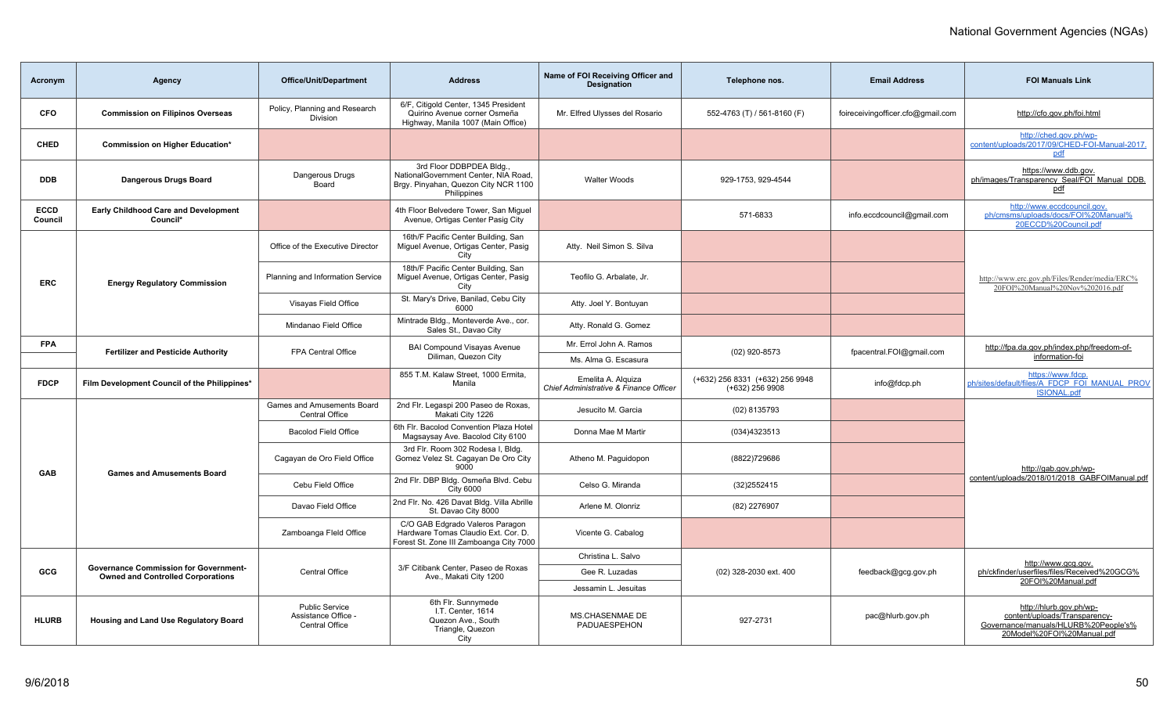| Acronym                                           | Agency                                                                                   | Office/Unit/Department                                         | <b>Address</b>                                                                                                          | Name of FOI Receiving Officer and<br><b>Designation</b>      | Telephone nos.                                     | <b>Email Address</b>              | <b>FOI Manuals Link</b>                                                                                                        |  |
|---------------------------------------------------|------------------------------------------------------------------------------------------|----------------------------------------------------------------|-------------------------------------------------------------------------------------------------------------------------|--------------------------------------------------------------|----------------------------------------------------|-----------------------------------|--------------------------------------------------------------------------------------------------------------------------------|--|
| <b>CFO</b>                                        | <b>Commission on Filipinos Overseas</b>                                                  | Policy, Planning and Research<br>Division                      | 6/F. Citigold Center, 1345 President<br>Quirino Avenue corner Osmeña<br>Highway, Manila 1007 (Main Office)              | Mr. Elfred Ulysses del Rosario                               | 552-4763 (T) / 561-8160 (F)                        | foireceivingofficer.cfo@gmail.com | http://cfo.gov.ph/foi.html                                                                                                     |  |
| <b>CHED</b>                                       | Commission on Higher Education*                                                          |                                                                |                                                                                                                         |                                                              |                                                    |                                   | http://ched.gov.ph/wp-<br>content/uploads/2017/09/CHED-FOI-Manual-2017.<br>pdf                                                 |  |
| <b>DDB</b>                                        | <b>Dangerous Drugs Board</b>                                                             | Dangerous Drugs<br>Board                                       | 3rd Floor DDBPDEA Bldg.,<br>NationalGovernment Center, NIA Road,<br>Brgy. Pinyahan, Quezon City NCR 1100<br>Philippines | <b>Walter Woods</b>                                          | 929-1753, 929-4544                                 |                                   | https://www.ddb.gov.<br>ph/images/Transparency Seal/FOI Manual DDB.<br>pdf                                                     |  |
| ECCD<br>Council                                   | <b>Early Childhood Care and Development</b><br>Council*                                  |                                                                | 4th Floor Belvedere Tower, San Miguel<br>Avenue, Ortigas Center Pasig City                                              |                                                              | 571-6833                                           | info.eccdcouncil@gmail.com        | http://www.eccdcouncil.gov.<br>ph/cmsms/uploads/docs/FOI%20Manual%<br>20ECCD%20Council.pdf                                     |  |
|                                                   |                                                                                          | Office of the Executive Director                               | 16th/F Pacific Center Building, San<br>Miguel Avenue, Ortigas Center, Pasig<br>City                                     | Atty. Neil Simon S. Silva                                    |                                                    |                                   |                                                                                                                                |  |
| <b>ERC</b><br><b>Energy Regulatory Commission</b> |                                                                                          | Planning and Information Service                               | 18th/F Pacific Center Building, San<br>Miguel Avenue, Ortigas Center, Pasig<br>City                                     | Teofilo G. Arbalate, Jr.                                     |                                                    |                                   | http://www.erc.gov.ph/Files/Render/media/ERC%<br>20FOI%20Manual%20Nov%202016.pdf                                               |  |
|                                                   |                                                                                          | Visayas Field Office                                           | St. Mary's Drive, Banilad, Cebu City<br>6000                                                                            | Atty. Joel Y. Bontuyan                                       |                                                    |                                   |                                                                                                                                |  |
|                                                   |                                                                                          | Mindanao Field Office                                          | Mintrade Bldg., Monteverde Ave., cor.<br>Sales St., Davao City                                                          | Atty. Ronald G. Gomez                                        |                                                    |                                   |                                                                                                                                |  |
| <b>FPA</b>                                        | <b>Fertilizer and Pesticide Authority</b>                                                | FPA Central Office                                             | <b>BAI Compound Visayas Avenue</b><br>Diliman, Quezon City                                                              | Mr. Errol John A. Ramos<br>Ms. Alma G. Escasura              | (02) 920-8573                                      | fpacentral.FOI@gmail.com          | http://fpa.da.gov.ph/index.php/freedom-of-<br>information-foi                                                                  |  |
| <b>FDCP</b>                                       | Film Development Council of the Philippines*                                             |                                                                | 855 T.M. Kalaw Street, 1000 Ermita,<br>Manila                                                                           | Emelita A. Alguiza<br>Chief Administrative & Finance Officer | (+632) 256 8331 (+632) 256 9948<br>(+632) 256 9908 | info@fdcp.ph                      | https://www.fdcp.<br>ph/sites/default/files/A FDCP FOI MANUAL PROV<br><b>ISIONAL.pdf</b>                                       |  |
|                                                   |                                                                                          | Games and Amusements Board<br><b>Central Office</b>            | 2nd Flr. Legaspi 200 Paseo de Roxas,<br>Makati City 1226                                                                | Jesucito M. Garcia                                           | (02) 8135793                                       |                                   |                                                                                                                                |  |
|                                                   |                                                                                          | <b>Bacolod Field Office</b>                                    | 6th Flr. Bacolod Convention Plaza Hotel<br>Magsaysay Ave. Bacolod City 6100                                             | Donna Mae M Martir                                           | (034)4323513                                       |                                   |                                                                                                                                |  |
| <b>GAB</b>                                        | <b>Games and Amusements Board</b>                                                        | Cagayan de Oro Field Office                                    | 3rd Flr. Room 302 Rodesa I. Bldg.<br>Gomez Velez St. Cagayan De Oro City<br>9000                                        | Atheno M. Paguidopon                                         | (8822)729686                                       |                                   | http://gab.gov.ph/wp-                                                                                                          |  |
|                                                   |                                                                                          | Cebu Field Office                                              | 2nd Flr. DBP Bldg. Osmeña Blvd. Cebu<br><b>City 6000</b>                                                                | Celso G. Miranda                                             | (32) 2552415                                       |                                   | content/uploads/2018/01/2018 GABFOIManual.pdf                                                                                  |  |
|                                                   |                                                                                          | Davao Field Office                                             | 2nd Flr. No. 426 Davat Bldg. Villa Abrille<br>St. Davao City 8000                                                       | Arlene M. Olonriz                                            | (82) 2276907                                       |                                   |                                                                                                                                |  |
|                                                   |                                                                                          | Zamboanga Fleld Office                                         | C/O GAB Edgrado Valeros Paragon<br>Hardware Tomas Claudio Ext. Cor. D.<br>Forest St. Zone III Zamboanga City 7000       | Vicente G. Cabalog                                           |                                                    |                                   |                                                                                                                                |  |
|                                                   |                                                                                          |                                                                |                                                                                                                         | Christina L. Salvo                                           |                                                    |                                   | http://www.gcg.gov.                                                                                                            |  |
| GCG                                               | <b>Governance Commission for Government-</b><br><b>Owned and Controlled Corporations</b> | Central Office                                                 | 3/F Citibank Center, Paseo de Roxas<br>Ave., Makati City 1200                                                           | Gee R. Luzadas                                               | (02) 328-2030 ext. 400                             | feedback@gcg.gov.ph               | ph/ckfinder/userfiles/files/Received%20GCG%<br>20FOI%20Manual.pdf                                                              |  |
|                                                   |                                                                                          |                                                                |                                                                                                                         | Jessamin L. Jesuitas                                         |                                                    |                                   |                                                                                                                                |  |
| <b>HLURB</b>                                      | Housing and Land Use Regulatory Board                                                    | <b>Public Service</b><br>Assistance Office -<br>Central Office | 6th Flr. Sunnymede<br>I.T. Center, 1614<br>Quezon Ave., South<br>Triangle, Quezon<br>City                               | <b>MS.CHASENMAE DE</b><br>PADUAESPEHON                       | 927-2731                                           | pac@hlurb.gov.ph                  | http://hlurb.gov.ph/wp-<br>content/uploads/Transparency-<br>Governance/manuals/HLURB%20People's%<br>20Model%20FOI%20Manual.pdf |  |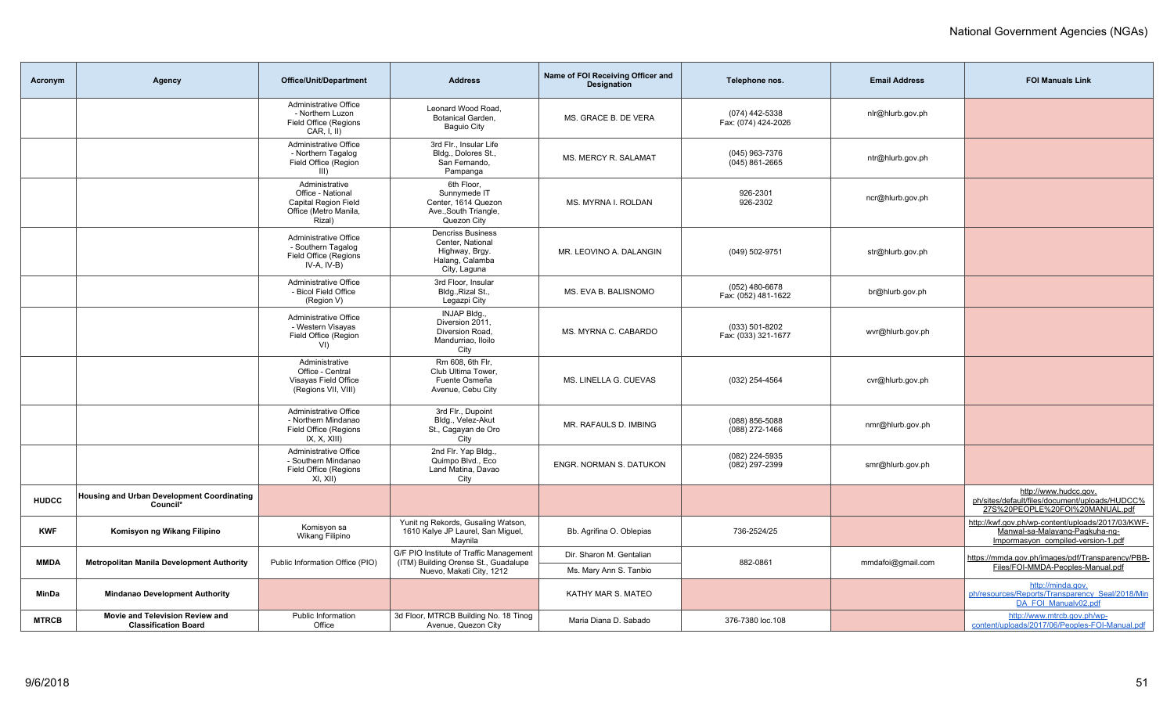| Acronym      | Agency                                                         | <b>Office/Unit/Department</b>                                                                         | <b>Address</b>                                                                                              | Name of FOI Receiving Officer and<br><b>Designation</b> | Telephone nos.                        | <b>Email Address</b> | <b>FOI Manuals Link</b>                                                                                                   |
|--------------|----------------------------------------------------------------|-------------------------------------------------------------------------------------------------------|-------------------------------------------------------------------------------------------------------------|---------------------------------------------------------|---------------------------------------|----------------------|---------------------------------------------------------------------------------------------------------------------------|
|              |                                                                | Administrative Office<br>- Northern Luzon<br>Field Office (Regions<br>CAR, I, II)                     | Leonard Wood Road.<br>Botanical Garden,<br><b>Baguio City</b>                                               | MS. GRACE B. DE VERA                                    | (074) 442-5338<br>Fax: (074) 424-2026 | nlr@hlurb.gov.ph     |                                                                                                                           |
|              |                                                                | Administrative Office<br>- Northern Tagalog<br>Field Office (Region<br>$III$ )                        | 3rd Flr., Insular Life<br>Bldg., Dolores St.,<br>San Fernando,<br>Pampanga                                  | MS. MERCY R. SALAMAT                                    | (045) 963-7376<br>$(045)$ 861-2665    | ntr@hlurb.gov.ph     |                                                                                                                           |
|              |                                                                | Administrative<br>Office - National<br><b>Capital Region Field</b><br>Office (Metro Manila,<br>Rizal) | 6th Floor,<br>Sunnymede IT<br>Center, 1614 Quezon<br>Ave., South Triangle,<br>Quezon City                   | MS. MYRNA I. ROLDAN                                     | 926-2301<br>926-2302                  | ncr@hlurb.gov.ph     |                                                                                                                           |
|              |                                                                | Administrative Office<br>- Southern Tagalog<br>Field Office (Regions<br>$IV-A, IV-B)$                 | <b>Dencriss Business</b><br>Center, National<br>Highway, Brgy.<br>Halang, Calamba<br>City, Laguna           | MR. LEOVINO A. DALANGIN                                 | (049) 502-9751                        | str@hlurb.gov.ph     |                                                                                                                           |
|              |                                                                | Administrative Office<br>- Bicol Field Office<br>(Region V)                                           | 3rd Floor, Insular<br>Bldg., Rizal St.,<br>Legazpi City                                                     | MS. EVA B. BALISNOMO                                    | (052) 480-6678<br>Fax: (052) 481-1622 | br@hlurb.gov.ph      |                                                                                                                           |
|              |                                                                | Administrative Office<br>- Western Visayas<br>Field Office (Region<br>V <sub>1</sub>                  | INJAP Bldg.,<br>Diversion 2011,<br>Diversion Road.<br>Mandurriao, Iloilo<br>City                            | MS. MYRNA C. CABARDO                                    | (033) 501-8202<br>Fax: (033) 321-1677 | wvr@hlurb.gov.ph     |                                                                                                                           |
|              |                                                                | Administrative<br>Office - Central<br>Visayas Field Office<br>(Regions VII, VIII)                     | Rm 608, 6th Flr,<br>Club Ultima Tower.<br>Fuente Osmeña<br>Avenue, Cebu City                                | MS. LINELLA G. CUEVAS                                   | (032) 254-4564                        | cvr@hlurb.gov.ph     |                                                                                                                           |
|              |                                                                | Administrative Office<br>- Northern Mindanao<br>Field Office (Regions<br>IX, X, XIII)                 | 3rd Flr., Dupoint<br>Bldg., Velez-Akut<br>St., Cagayan de Oro<br>City                                       | MR. RAFAULS D. IMBING                                   | (088) 856-5088<br>$(088)$ 272-1466    | nmr@hlurb.gov.ph     |                                                                                                                           |
|              |                                                                | Administrative Office<br>- Southern Mindanao<br>Field Office (Regions<br>XI, XII)                     | 2nd Flr. Yap Bldg.,<br>Quimpo Blvd., Eco<br>Land Matina, Davao<br>City                                      | ENGR. NORMAN S. DATUKON                                 | (082) 224-5935<br>(082) 297-2399      | smr@hlurb.gov.ph     |                                                                                                                           |
| <b>HUDCC</b> | <b>Housing and Urban Development Coordinating</b><br>Council*  |                                                                                                       |                                                                                                             |                                                         |                                       |                      | http://www.hudcc.gov.<br>ph/sites/default/files/document/uploads/HUDCC%<br>27S%20PEOPLE%20FOI%20MANUAL.pdf                |
| <b>KWF</b>   | Komisyon ng Wikang Filipino                                    | Komisyon sa<br>Wikang Filipino                                                                        | Yunit ng Rekords, Gusaling Watson,<br>1610 Kalye JP Laurel, San Miguel,<br>Maynila                          | Bb. Agrifina O. Oblepias                                | 736-2524/25                           |                      | http://kwf.gov.ph/wp-content/uploads/2017/03/KWF-<br>Manwal-sa-Malayang-Pagkuha-ng-<br>Impormasyon_compiled-version-1.pdf |
| <b>MMDA</b>  | <b>Metropolitan Manila Development Authority</b>               | Public Information Office (PIO)                                                                       | G/F PIO Institute of Traffic Management<br>(ITM) Building Orense St., Guadalupe<br>Nuevo, Makati City, 1212 | Dir. Sharon M. Gentalian<br>Ms. Mary Ann S. Tanbio      | 882-0861                              | mmdafoi@gmail.com    | https://mmda.gov.ph/images/pdf/Transparency/PBB-<br>Files/FOI-MMDA-Peoples-Manual.pdf                                     |
| MinDa        | <b>Mindanao Development Authority</b>                          |                                                                                                       |                                                                                                             | KATHY MAR S. MATEO                                      |                                       |                      | http://minda.gov.<br>ph/resources/Reports/Transparency Seal/2018/Min<br>DA FOI Manualv02.pdf                              |
| <b>MTRCB</b> | Movie and Television Review and<br><b>Classification Board</b> | <b>Public Information</b><br>Office                                                                   | 3d Floor, MTRCB Building No. 18 Tinog<br>Avenue, Quezon City                                                | Maria Diana D. Sabado                                   | 376-7380 loc.108                      |                      | http://www.mtrcb.gov.ph/wp-<br>content/uploads/2017/06/Peoples-FOI-Manual.pdf                                             |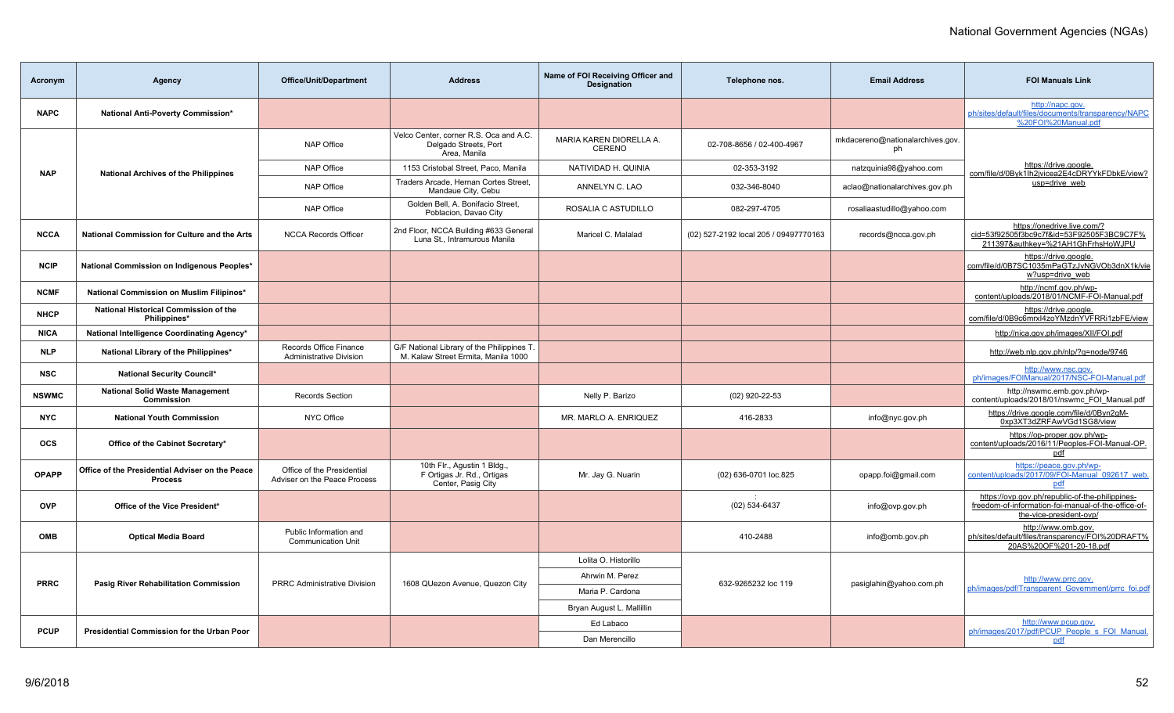| Acronym      | Agency                                                            | <b>Office/Unit/Department</b>                              | <b>Address</b>                                                                    | Name of FOI Receiving Officer and<br><b>Designation</b> | Telephone nos.                        | <b>Email Address</b>                   | <b>FOI Manuals Link</b>                                                                                                           |
|--------------|-------------------------------------------------------------------|------------------------------------------------------------|-----------------------------------------------------------------------------------|---------------------------------------------------------|---------------------------------------|----------------------------------------|-----------------------------------------------------------------------------------------------------------------------------------|
| <b>NAPC</b>  | National Anti-Poverty Commission*                                 |                                                            |                                                                                   |                                                         |                                       |                                        | http://napc.gov.<br>ph/sites/default/files/documents/transparency/NAPC<br>%20FOI%20Manual.pdf                                     |
|              |                                                                   | <b>NAP Office</b>                                          | Velco Center, corner R.S. Oca and A.C.<br>Delgado Streets, Port<br>Area, Manila   | MARIA KAREN DIORELLA A.<br>CERENO                       | 02-708-8656 / 02-400-4967             | mkdacereno@nationalarchives.gov.<br>ph |                                                                                                                                   |
| <b>NAP</b>   | <b>National Archives of the Philippines</b>                       | <b>NAP Office</b>                                          | 1153 Cristobal Street, Paco, Manila                                               | NATIVIDAD H. QUINIA                                     | 02-353-3192                           | natzquinia98@yahoo.com                 | https://drive.google.<br>com/file/d/0Byk1lh2jvicea2E4cDRYYkFDbkE/view?                                                            |
|              |                                                                   | <b>NAP Office</b>                                          | Traders Arcade, Hernan Cortes Street,<br>Mandaue City, Cebu                       | ANNELYN C. LAO                                          | 032-346-8040                          | aclao@nationalarchives.gov.ph          | usp=drive web                                                                                                                     |
|              |                                                                   | <b>NAP Office</b>                                          | Golden Bell, A. Bonifacio Street,<br>Poblacion, Davao City                        | ROSALIA C ASTUDILLO                                     | 082-297-4705                          | rosaliaastudillo@yahoo.com             |                                                                                                                                   |
| <b>NCCA</b>  | National Commission for Culture and the Arts                      | <b>NCCA Records Officer</b>                                | 2nd Floor, NCCA Building #633 General<br>Luna St., Intramurous Manila             | Maricel C. Malalad                                      | (02) 527-2192 local 205 / 09497770163 | records@ncca.gov.ph                    | https://onedrive.live.com/?<br>cid=53f92505f3bc9c7f&id=53F92505F3BC9C7F%<br>211397&authkey=%21AH1GhFrhsHoWJPU                     |
| <b>NCIP</b>  | National Commission on Indigenous Peoples*                        |                                                            |                                                                                   |                                                         |                                       |                                        | https://drive.google.<br>com/file/d/0B7SC1035mPaGTzJvNGVOb3dnX1k/vie<br>w?usp=drive_web                                           |
| <b>NCMF</b>  | National Commission on Muslim Filipinos*                          |                                                            |                                                                                   |                                                         |                                       |                                        | http://ncmf.gov.ph/wp-<br>content/uploads/2018/01/NCMF-FOI-Manual.pdf                                                             |
| <b>NHCP</b>  | National Historical Commission of the<br>Philippines*             |                                                            |                                                                                   |                                                         |                                       |                                        | https://drive.google.<br>com/file/d/0B9c6mrxl4zoYMzdnYVFRRi1zbFE/view                                                             |
| <b>NICA</b>  | National Intelligence Coordinating Agency*                        |                                                            |                                                                                   |                                                         |                                       |                                        | http://nica.gov.ph/images/XII/FOI.pdf                                                                                             |
| <b>NLP</b>   | National Library of the Philippines*                              | Records Office Finance<br><b>Administrative Division</b>   | G/F National Library of the Philippines T.<br>M. Kalaw Street Ermita, Manila 1000 |                                                         |                                       |                                        | http://web.nlp.gov.ph/nlp/?g=node/9746                                                                                            |
| <b>NSC</b>   | <b>National Security Council*</b>                                 |                                                            |                                                                                   |                                                         |                                       |                                        | http://www.nsc.gov.<br>ph/images/FOIManual/2017/NSC-FOI-Manual.pdf                                                                |
| <b>NSWMC</b> | <b>National Solid Waste Management</b><br><b>Commission</b>       | Records Section                                            |                                                                                   | Nelly P. Barizo                                         | (02) 920-22-53                        |                                        | http://nswmc.emb.gov.ph/wp-<br>content/uploads/2018/01/nswmc FOI Manual.pdf                                                       |
| <b>NYC</b>   | <b>National Youth Commission</b>                                  | NYC Office                                                 |                                                                                   | MR. MARLO A. ENRIQUEZ                                   | 416-2833                              | info@nyc.gov.ph                        | https://drive.google.com/file/d/0Byn2gM-<br>0xp3XT3dZRFAwVGd1SG8/view                                                             |
| <b>OCS</b>   | Office of the Cabinet Secretary*                                  |                                                            |                                                                                   |                                                         |                                       |                                        | https://op-proper.gov.ph/wp-<br>content/uploads/2016/11/Peoples-FOI-Manual-OP.<br>pdf                                             |
| <b>OPAPP</b> | Office of the Presidential Adviser on the Peace<br><b>Process</b> | Office of the Presidential<br>Adviser on the Peace Process | 10th Flr., Agustin 1 Bldg.,<br>F Ortigas Jr. Rd., Ortigas<br>Center, Pasig City   | Mr. Jay G. Nuarin                                       | (02) 636-0701 loc.825                 | opapp.foi@gmail.com                    | https://peace.gov.ph/wp-<br>content/uploads/2017/09/FOI-Manual 092617 web<br>pdf                                                  |
| <b>OVP</b>   | Office of the Vice President*                                     |                                                            |                                                                                   |                                                         | (02) 534-6437                         | info@ovp.gov.ph                        | https://ovp.gov.ph/republic-of-the-philippines-<br>freedom-of-information-foi-manual-of-the-office-of-<br>the-vice-president-ovp/ |
| <b>OMB</b>   | <b>Optical Media Board</b>                                        | Public Information and<br><b>Communication Unit</b>        |                                                                                   |                                                         | 410-2488                              | info@omb.gov.ph                        | http://www.omb.gov.<br>ph/sites/default/files/transparency/FOI%20DRAFT%<br>20AS%20OF%201-20-18.pdf                                |
|              |                                                                   |                                                            |                                                                                   | Lolita O. Historillo                                    |                                       |                                        |                                                                                                                                   |
| <b>PRRC</b>  |                                                                   | <b>PRRC Administrative Division</b>                        |                                                                                   | Ahrwin M. Perez                                         | 632-9265232 loc 119                   |                                        | http://www.prrc.gov.                                                                                                              |
|              | <b>Pasig River Rehabilitation Commission</b>                      |                                                            | 1608 QUezon Avenue, Quezon City                                                   | Maria P. Cardona                                        |                                       | pasiglahin@yahoo.com.ph                | ph/images/pdf/Transparent Government/prrc foi.pdf                                                                                 |
|              |                                                                   |                                                            |                                                                                   | Bryan August L. Mallillin                               |                                       |                                        |                                                                                                                                   |
| <b>PCUP</b>  | <b>Presidential Commission for the Urban Poor</b>                 |                                                            |                                                                                   | Ed Labaco                                               |                                       |                                        | http://www.pcup.gov.<br>ph/images/2017/pdf/PCUP People s FOI Manual.                                                              |
|              |                                                                   |                                                            |                                                                                   | Dan Merencillo                                          |                                       |                                        | pdf                                                                                                                               |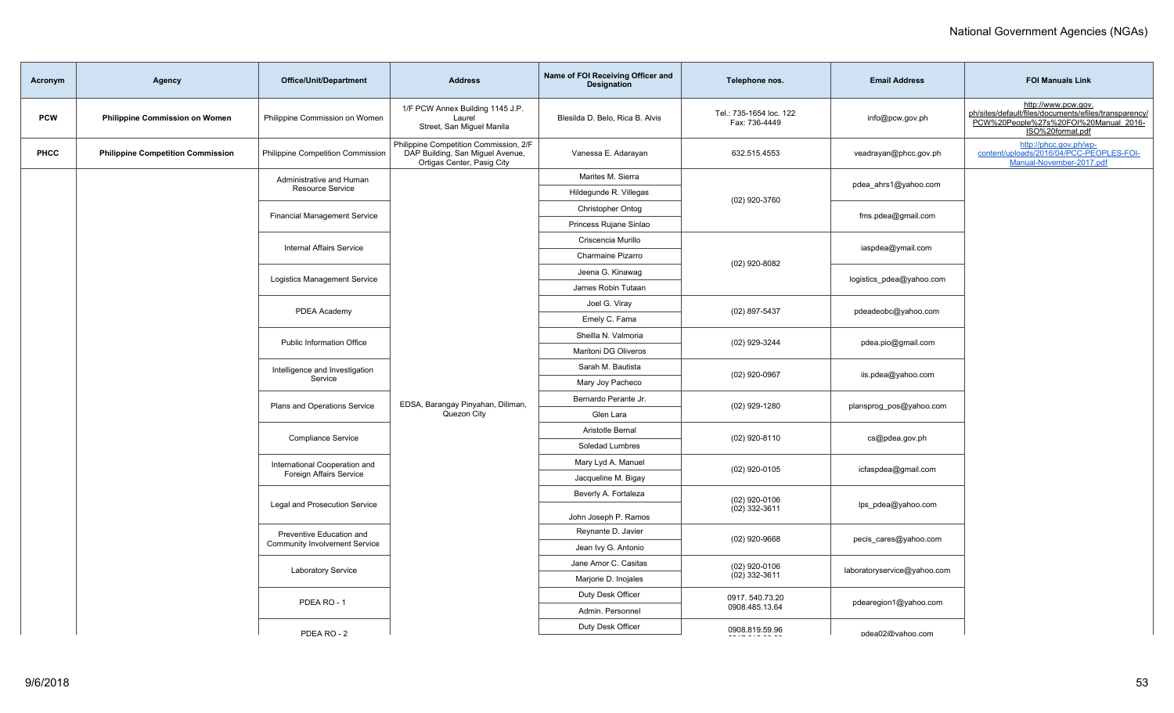| Acronym    | Agency                                   | <b>Office/Unit/Department</b>                                   | <b>Address</b>                                                                                           | Name of FOI Receiving Officer and<br><b>Designation</b> | Telephone nos.                           | <b>Email Address</b>        | <b>FOI Manuals Link</b>                                                                                                                   |
|------------|------------------------------------------|-----------------------------------------------------------------|----------------------------------------------------------------------------------------------------------|---------------------------------------------------------|------------------------------------------|-----------------------------|-------------------------------------------------------------------------------------------------------------------------------------------|
| <b>PCW</b> | <b>Philippine Commission on Women</b>    | Philippine Commission on Women                                  | 1/F PCW Annex Building 1145 J.P.<br>Laurel<br>Street, San Miguel Manila                                  | Blesilda D. Belo, Rica B. Alvis                         | Tel.: 735-1654 loc. 122<br>Fax: 736-4449 | info@pcw.gov.ph             | http://www.pcw.gov.<br>ph/sites/default/files/documents/efiles/transparency/<br>PCW%20People%27s%20FOI%20Manual_2016-<br>ISO%20format.pdf |
| PHCC       | <b>Philippine Competition Commission</b> | Philippine Competition Commission                               | Philippine Competition Commission, 2/F<br>DAP Building, San Miguel Avenue,<br>Ortigas Center, Pasig City | Vanessa E. Adarayan                                     | 632.515.4553                             | veadrayan@phcc.gov.ph       | http://phcc.gov.ph/wp-<br>content/uploads/2016/04/PCC-PEOPLES-FOI-<br>Manual-November-2017.pdf                                            |
|            |                                          | Administrative and Human                                        |                                                                                                          | Marites M. Sierra                                       |                                          | pdea_ahrs1@yahoo.com        |                                                                                                                                           |
|            |                                          | Resource Service                                                |                                                                                                          | Hildegunde R. Villegas                                  | (02) 920-3760                            |                             |                                                                                                                                           |
|            |                                          | <b>Financial Management Service</b>                             |                                                                                                          | Christopher Ontog                                       |                                          | fms.pdea@gmail.com          |                                                                                                                                           |
|            |                                          |                                                                 |                                                                                                          | Princess Rujane Sinlao                                  |                                          |                             |                                                                                                                                           |
|            |                                          | <b>Internal Affairs Service</b>                                 |                                                                                                          | Criscencia Murillo                                      | $(02)$ 920-8082                          | iaspdea@ymail.com           |                                                                                                                                           |
|            |                                          |                                                                 |                                                                                                          | Charmaine Pizarro                                       |                                          |                             |                                                                                                                                           |
|            |                                          | <b>Logistics Management Service</b>                             |                                                                                                          | Jeena G. Kinawag                                        |                                          | logistics pdea@yahoo.com    |                                                                                                                                           |
|            |                                          |                                                                 |                                                                                                          | James Robin Tutaan                                      | (02) 897-5437                            |                             |                                                                                                                                           |
|            |                                          | PDEA Academy                                                    |                                                                                                          | Joel G. Viray                                           |                                          | pdeadeobc@yahoo.com         |                                                                                                                                           |
|            |                                          |                                                                 |                                                                                                          | Emely C. Fama                                           |                                          |                             |                                                                                                                                           |
|            |                                          | <b>Public Information Office</b>                                |                                                                                                          | Sheilla N. Valmoria                                     | (02) 929-3244                            | pdea.pio@gmail.com          |                                                                                                                                           |
|            |                                          |                                                                 |                                                                                                          | Maritoni DG Oliveros                                    | $(02)$ 920-0967<br>$(02)$ 929-1280       |                             |                                                                                                                                           |
|            |                                          | Intelligence and Investigation<br>Service                       |                                                                                                          | Sarah M. Bautista                                       |                                          | iis.pdea@yahoo.com          |                                                                                                                                           |
|            |                                          |                                                                 |                                                                                                          | Mary Joy Pacheco                                        |                                          |                             |                                                                                                                                           |
|            |                                          | Plans and Operations Service                                    | EDSA, Barangay Pinyahan, Diliman,<br>Quezon City                                                         | Bernardo Perante Jr.                                    |                                          | plansprog_pos@yahoo.com     |                                                                                                                                           |
|            |                                          |                                                                 |                                                                                                          | Glen Lara<br>Aristotle Bernal                           |                                          |                             |                                                                                                                                           |
|            |                                          | Compliance Service                                              |                                                                                                          | Soledad Lumbres                                         | $(02)$ 920-8110                          | cs@pdea.gov.ph              |                                                                                                                                           |
|            |                                          |                                                                 |                                                                                                          | Mary Lyd A. Manuel                                      |                                          |                             |                                                                                                                                           |
|            |                                          | International Cooperation and<br><b>Foreign Affairs Service</b> |                                                                                                          | Jacqueline M. Bigay                                     | $(02)$ 920-0105                          | icfaspdea@gmail.com         |                                                                                                                                           |
|            |                                          |                                                                 |                                                                                                          | Beverly A. Fortaleza                                    |                                          |                             |                                                                                                                                           |
|            |                                          | Legal and Prosecution Service                                   |                                                                                                          | John Joseph P. Ramos                                    | $(02)$ 920-0106<br>$(02)$ 332-3611       | lps_pdea@yahoo.com          |                                                                                                                                           |
|            |                                          |                                                                 |                                                                                                          | Reynante D. Javier                                      |                                          |                             |                                                                                                                                           |
|            |                                          | Community Involvement Service                                   | Preventive Education and<br><b>Laboratory Service</b><br>PDEA RO-1<br>PDFA RO - $2$                      | Jean Ivy G. Antonio                                     | $(02)$ 920-9668                          | pecis_cares@yahoo.com       |                                                                                                                                           |
|            |                                          |                                                                 |                                                                                                          | Jane Amor C. Casitas                                    | $(02)$ 920-0106                          |                             |                                                                                                                                           |
|            |                                          |                                                                 |                                                                                                          | Marjorie D. Inojales                                    | $(02)$ 332-3611                          | laboratoryservice@yahoo.com |                                                                                                                                           |
|            |                                          |                                                                 |                                                                                                          | Duty Desk Officer                                       | 0917.540.73.20                           |                             |                                                                                                                                           |
|            |                                          |                                                                 |                                                                                                          | Admin. Personnel                                        | 0908.485.13.64                           | pdearegion1@yahoo.com       |                                                                                                                                           |
|            |                                          |                                                                 |                                                                                                          | Duty Desk Officer                                       | 0908.819.59.96                           |                             |                                                                                                                                           |
|            |                                          |                                                                 |                                                                                                          |                                                         |                                          | ndea02@vahoo.com            |                                                                                                                                           |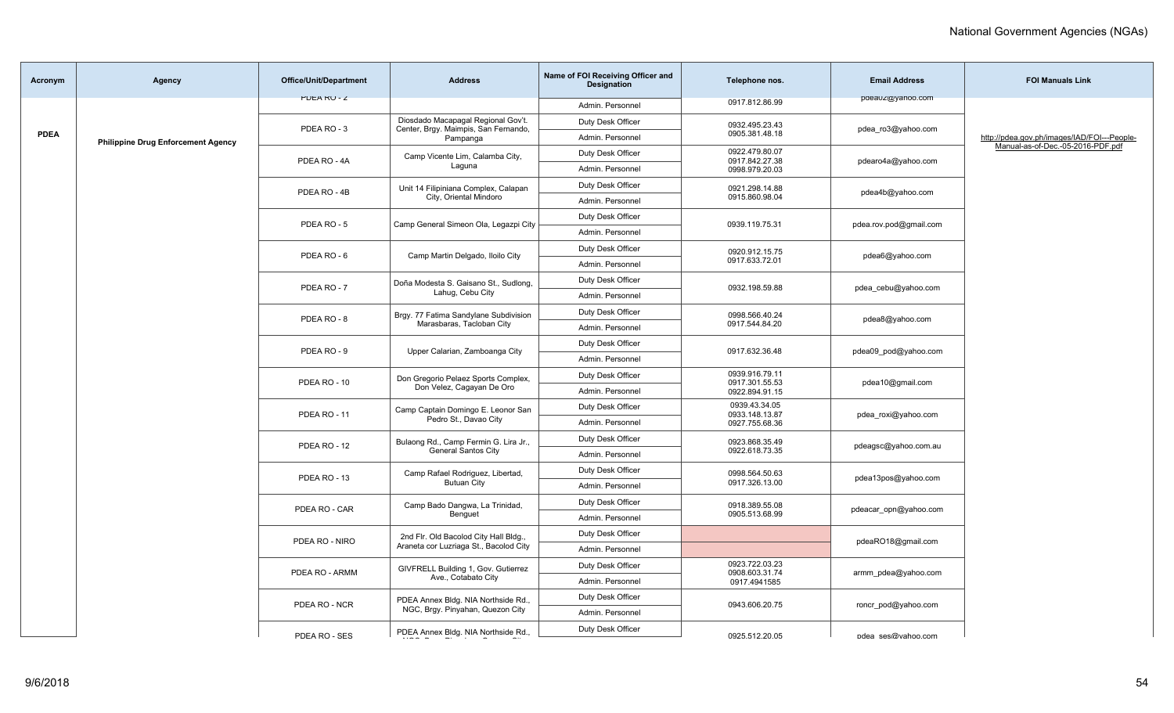| Acronym     | <b>Agency</b>                             | <b>Office/Unit/Department</b>    | <b>Address</b>                                                                  | Name of FOI Receiving Officer and<br>Designation | Telephone nos.                                     | <b>Email Address</b>   | <b>FOI Manuals Link</b>                     |
|-------------|-------------------------------------------|----------------------------------|---------------------------------------------------------------------------------|--------------------------------------------------|----------------------------------------------------|------------------------|---------------------------------------------|
|             |                                           | <b>PULARU-Z</b>                  |                                                                                 | Admin. Personnel                                 | 0917.812.86.99                                     | paeauz@yanoo.com       |                                             |
|             |                                           |                                  | Diosdado Macapagal Regional Gov't.                                              | Duty Desk Officer                                | 0932.495.23.43                                     |                        |                                             |
| <b>PDEA</b> | <b>Philippine Drug Enforcement Agency</b> | PDEA RO-3                        | Center, Brgy. Maimpis, San Fernando,<br>Pampanga                                | Admin. Personnel                                 | 0905.381.48.18                                     | pdea_ro3@yahoo.com     | http://pdea.gov.ph/images/IAD/FOI---People- |
|             |                                           | PDEA RO - 4A                     | Camp Vicente Lim, Calamba City,                                                 | Duty Desk Officer                                | 0922.479.80.07<br>0917.842.27.38                   |                        | Manual-as-of-Dec.-05-2016-PDF.pdf           |
|             |                                           |                                  | Laguna                                                                          | Admin. Personnel                                 | 0998.979.20.03                                     | pdearo4a@yahoo.com     |                                             |
|             |                                           | PDEA RO - 4B                     | Unit 14 Filipiniana Complex, Calapan                                            | Duty Desk Officer                                | 0921.298.14.88                                     | pdea4b@yahoo.com       |                                             |
|             |                                           |                                  | City, Oriental Mindoro                                                          | Admin. Personnel                                 | 0915.860.98.04                                     |                        |                                             |
|             |                                           | PDEA RO - 5                      | Camp General Simeon Ola, Legazpi City                                           | Duty Desk Officer                                | 0939.119.75.31                                     | pdea.rov.pod@gmail.com |                                             |
|             |                                           |                                  |                                                                                 | Admin. Personnel                                 |                                                    |                        |                                             |
|             |                                           | PDEA RO-6                        | Camp Martin Delgado, Iloilo City                                                | Duty Desk Officer                                | 0920.912.15.75                                     | pdea6@yahoo.com        |                                             |
|             |                                           |                                  |                                                                                 | Admin. Personnel                                 | 0917.633.72.01                                     |                        |                                             |
|             |                                           | PDEA RO-7                        | Doña Modesta S. Gaisano St., Sudlong,                                           | Duty Desk Officer                                | 0932.198.59.88                                     | pdea cebu@yahoo.com    |                                             |
|             |                                           |                                  | Lahug, Cebu City                                                                | Admin. Personnel                                 |                                                    |                        |                                             |
|             |                                           | PDEA RO-8                        | Brgy. 77 Fatima Sandylane Subdivision                                           | Duty Desk Officer                                | 0998.566.40.24                                     | pdea8@yahoo.com        |                                             |
|             |                                           |                                  | Marasbaras, Tacloban City                                                       | Admin. Personnel                                 | 0917.544.84.20                                     |                        |                                             |
|             |                                           | PDEA RO - 9                      | Upper Calarian, Zamboanga City                                                  | Duty Desk Officer                                | 0917.632.36.48                                     | pdea09_pod@yahoo.com   |                                             |
|             |                                           |                                  |                                                                                 | Admin. Personnel                                 |                                                    |                        |                                             |
|             |                                           | PDEA RO - 10                     | Don Gregorio Pelaez Sports Complex,<br>Don Velez, Cagayan De Oro                | Duty Desk Officer                                | 0939.916.79.11<br>0917.301.55.53<br>0922.894.91.15 | pdea10@gmail.com       |                                             |
|             |                                           |                                  |                                                                                 | Admin. Personnel                                 |                                                    |                        |                                             |
|             |                                           | PDEA RO-11                       | Camp Captain Domingo E. Leonor San<br>Pedro St., Davao City                     | Duty Desk Officer                                | 0939.43.34.05<br>0933.148.13.87<br>0927.755.68.36  | pdea_roxi@yahoo.com    |                                             |
|             |                                           |                                  |                                                                                 | Admin, Personnel                                 |                                                    |                        |                                             |
|             |                                           | PDEA RO - 12                     | Bulaong Rd., Camp Fermin G. Lira Jr.,                                           | Duty Desk Officer                                | 0923.868.35.49                                     | pdeagsc@yahoo.com.au   |                                             |
|             |                                           |                                  | <b>General Santos City</b>                                                      | Admin, Personnel                                 | 0922.618.73.35                                     |                        |                                             |
|             |                                           | PDEA RO - 13                     | Camp Rafael Rodriguez, Libertad,                                                | Duty Desk Officer                                | 0998.564.50.63                                     | pdea13pos@yahoo.com    |                                             |
|             |                                           |                                  | <b>Butuan City</b>                                                              | Admin. Personnel                                 | 0917.326.13.00                                     |                        |                                             |
|             |                                           | PDEA RO - CAR                    | Camp Bado Dangwa, La Trinidad,                                                  | Duty Desk Officer                                | 0918.389.55.08                                     | pdeacar_opn@yahoo.com  |                                             |
|             |                                           |                                  | Benguet                                                                         | Admin. Personnel                                 | 0905.513.68.99                                     |                        |                                             |
|             |                                           | PDEA RO - NIRO                   | 2nd Flr. Old Bacolod City Hall Bldg.,<br>Araneta cor Luzriaga St., Bacolod City | Duty Desk Officer                                |                                                    | pdeaRO18@gmail.com     |                                             |
|             |                                           |                                  |                                                                                 | Admin. Personnel                                 |                                                    |                        |                                             |
|             |                                           | PDEA RO - ARMM                   | GIVFRELL Building 1, Gov. Gutierrez<br>Ave., Cotabato City                      | Duty Desk Officer                                | 0923.722.03.23<br>0908.603.31.74                   | armm pdea@yahoo.com    |                                             |
|             |                                           |                                  |                                                                                 | Admin. Personnel                                 | 0917.4941585                                       |                        |                                             |
|             |                                           | PDEA RO - NCR                    | PDEA Annex Bldg. NIA Northside Rd.,                                             | Duty Desk Officer                                | 0943.606.20.75                                     | roncr pod@yahoo.com    |                                             |
|             |                                           | NGC, Brgy. Pinyahan, Quezon City |                                                                                 | Admin. Personnel                                 |                                                    |                        |                                             |
|             |                                           | PDFA RO - SES                    | PDEA Annex Bldg. NIA Northside Rd.,                                             | Duty Desk Officer                                | 0925 512 20 05                                     | ndea sesmuahoo com     |                                             |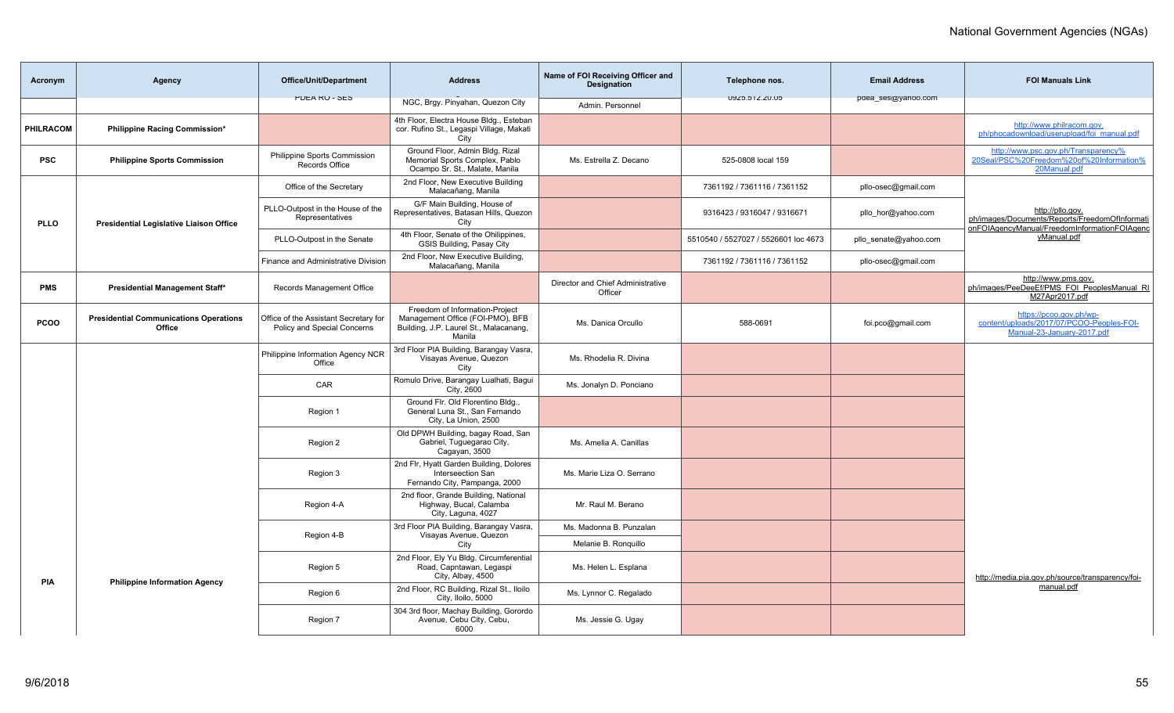| Acronym     | Agency                                                  | <b>Office/Unit/Department</b>                                        | <b>Address</b>                                                                                                         | Name of FOI Receiving Officer and<br><b>Designation</b> | Telephone nos.                       | <b>Email Address</b>  | <b>FOI Manuals Link</b>                                                                                            |
|-------------|---------------------------------------------------------|----------------------------------------------------------------------|------------------------------------------------------------------------------------------------------------------------|---------------------------------------------------------|--------------------------------------|-----------------------|--------------------------------------------------------------------------------------------------------------------|
|             |                                                         | <b>PULA RU - SES</b>                                                 | NGC, Brgy. Pinyahan, Quezon City                                                                                       | Admin, Personnel                                        | UYZ0.01Z.ZU.UD                       | paea_ses@yanoo.com    |                                                                                                                    |
| PHILRACOM   | Philippine Racing Commission*                           |                                                                      | 4th Floor, Electra House Bldg., Esteban<br>cor. Rufino St., Legaspi Village, Makati<br>City                            |                                                         |                                      |                       | http://www.philracom.gov.<br>ph/phocadownload/userupload/foi manual.pdf                                            |
| <b>PSC</b>  | <b>Philippine Sports Commission</b>                     | Philippine Sports Commission<br>Records Office                       | Ground Floor, Admin Bldg. Rizal<br>Memorial Sports Complex, Pablo<br>Ocampo Sr. St., Malate, Manila                    | Ms. Estrella Z. Decano                                  | 525-0808 local 159                   |                       | http://www.psc.gov.ph/Transparency%<br>20Seal/PSC%20Freedom%20of%20Information%<br>20Manual.pdf                    |
|             |                                                         | Office of the Secretary                                              | 2nd Floor, New Executive Building<br>Malacañang, Manila                                                                |                                                         | 7361192 / 7361116 / 7361152          | pllo-osec@gmail.com   |                                                                                                                    |
| <b>PLLO</b> | <b>Presidential Legislative Liaison Office</b>          | PLLO-Outpost in the House of the<br>Representatives                  | G/F Main Building, House of<br>Representatives, Batasan Hills, Quezon<br>City                                          |                                                         | 9316423 / 9316047 / 9316671          | pllo hor@yahoo.com    | http://pllo.gov.<br>ph/images/Documents/Reports/FreedomOfInformati<br>onFOIAgencyManual/FreedomInformationFOIAgenc |
|             |                                                         | PLLO-Outpost in the Senate                                           | 4th Floor, Senate of the Ohilippines,<br>GSIS Building, Pasay City                                                     |                                                         | 5510540 / 5527027 / 5526601 loc 4673 | pllo senate@yahoo.com | yManual.pdf                                                                                                        |
|             |                                                         | Finance and Administrative Division                                  | 2nd Floor, New Executive Building,<br>Malacañang, Manila                                                               |                                                         | 7361192 / 7361116 / 7361152          | pllo-osec@gmail.com   |                                                                                                                    |
| <b>PMS</b>  | Presidential Management Staff*                          | Records Management Office                                            |                                                                                                                        | Director and Chief Administrative<br>Officer            |                                      |                       | http://www.pms.gov.<br>ph/images/PeeDeeEf/PMS FOI PeoplesManual RI<br>M27Apr2017.pdf                               |
| <b>PCOO</b> | <b>Presidential Communications Operations</b><br>Office | Office of the Assistant Secretary for<br>Policy and Special Concerns | Freedom of Information-Project<br>Management Office (FOI-PMO), BFB<br>Building, J.P. Laurel St., Malacanang,<br>Manila | Ms. Danica Orcullo                                      | 588-0691                             | foi.pco@gmail.com     | https://pcoo.gov.ph/wp-<br>content/uploads/2017/07/PCOO-Peoples-FOI-<br>Manual-23-January-2017.pdf                 |
|             |                                                         | Philippine Information Agency NCR<br>Office                          | 3rd Floor PIA Building, Barangay Vasra,<br>Visayas Avenue, Quezon<br>City                                              | Ms. Rhodelia R. Divina                                  |                                      |                       |                                                                                                                    |
|             |                                                         | CAR                                                                  | Romulo Drive, Barangay Lualhati, Bagui<br>City, 2600                                                                   | Ms. Jonalyn D. Ponciano                                 |                                      |                       |                                                                                                                    |
|             |                                                         | Region 1                                                             | Ground Flr. Old Florentino Bldg.,<br>General Luna St., San Fernando<br>City, La Union, 2500                            |                                                         |                                      |                       |                                                                                                                    |
|             |                                                         | Region 2                                                             | Old DPWH Building, bagay Road, San<br>Gabriel, Tuguegarao City,<br>Cagayan, 3500                                       | Ms. Amelia A. Canillas                                  |                                      |                       |                                                                                                                    |
|             |                                                         | Region 3                                                             | 2nd Flr, Hyatt Garden Building, Dolores<br>Interseection San<br>Fernando City, Pampanga, 2000                          | Ms. Marie Liza O. Serrano                               |                                      |                       |                                                                                                                    |
|             |                                                         | Region 4-A                                                           | 2nd floor, Grande Building, National<br>Highway, Bucal, Calamba<br>City, Laguna, 4027                                  | Mr. Raul M. Berano                                      |                                      |                       |                                                                                                                    |
|             |                                                         | Region 4-B                                                           | 3rd Floor PIA Building, Barangay Vasra,<br>Visayas Avenue, Quezon                                                      | Ms. Madonna B. Punzalan                                 |                                      |                       |                                                                                                                    |
|             |                                                         |                                                                      | City                                                                                                                   | Melanie B. Ronguillo                                    |                                      |                       |                                                                                                                    |
| PIA         | <b>Philippine Information Agency</b>                    | Region 5                                                             | 2nd Floor, Ely Yu Bldg. Circumferential<br>Road, Capntawan, Legaspi<br>City, Albay, 4500                               | Ms. Helen L. Esplana                                    |                                      |                       | http://media.pia.gov.ph/source/transparency/foi-                                                                   |
|             |                                                         | Region 6                                                             | 2nd Floor, RC Building, Rizal St., Iloilo<br>City, Iloilo, 5000                                                        | Ms. Lynnor C. Regalado                                  |                                      |                       | manual.pdf                                                                                                         |
|             |                                                         | Region 7                                                             | 304 3rd floor, Machay Building, Gorordo<br>Avenue, Cebu City, Cebu,<br>6000                                            | Ms. Jessie G. Ugay                                      |                                      |                       |                                                                                                                    |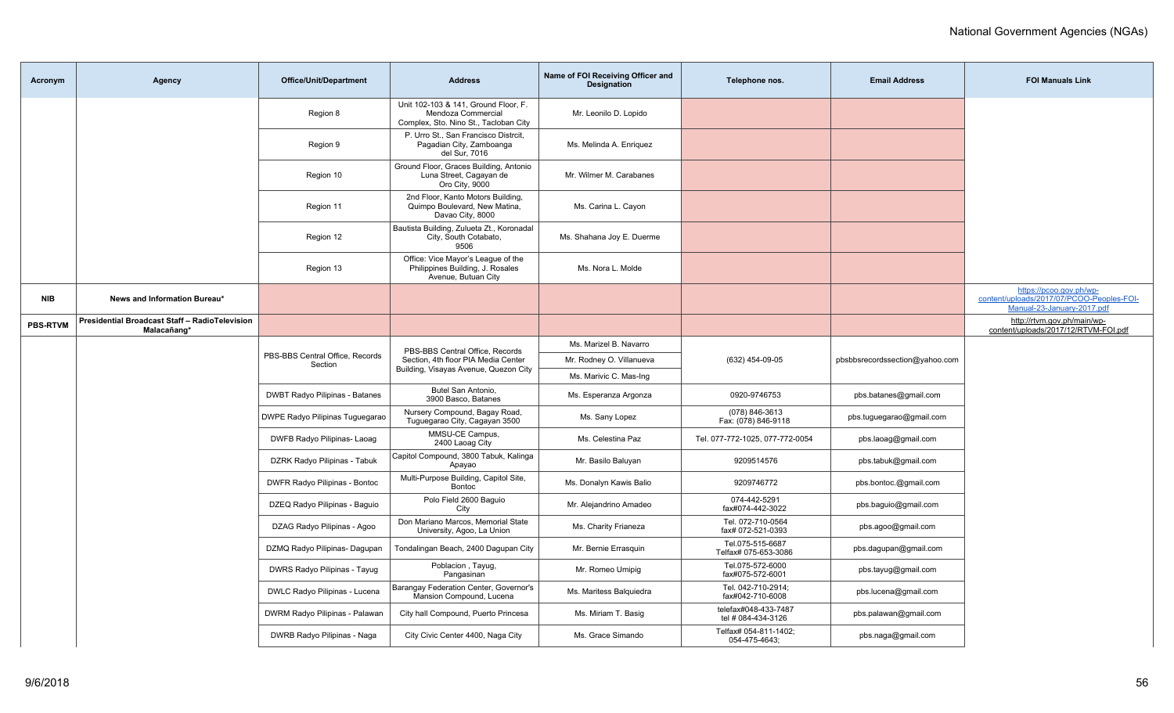| Acronym         | Agency                                                        | Office/Unit/Department                | <b>Address</b>                                                                                      | Name of FOI Receiving Officer and<br><b>Designation</b> | Telephone nos.                             | <b>Email Address</b>     | <b>FOI Manuals Link</b>                                                                            |
|-----------------|---------------------------------------------------------------|---------------------------------------|-----------------------------------------------------------------------------------------------------|---------------------------------------------------------|--------------------------------------------|--------------------------|----------------------------------------------------------------------------------------------------|
|                 |                                                               | Region 8                              | Unit 102-103 & 141, Ground Floor, F.<br>Mendoza Commercial<br>Complex, Sto. Nino St., Tacloban City | Mr. Leonilo D. Lopido                                   |                                            |                          |                                                                                                    |
|                 |                                                               | Region 9                              | P. Urro St., San Francisco Distrcit,<br>Pagadian City, Zamboanga<br>del Sur, 7016                   | Ms. Melinda A. Enriquez                                 |                                            |                          |                                                                                                    |
|                 |                                                               | Region 10                             | Ground Floor, Graces Building, Antonio<br>Luna Street, Cagayan de<br>Oro City, 9000                 | Mr. Wilmer M. Carabanes                                 |                                            |                          |                                                                                                    |
|                 |                                                               | Region 11                             | 2nd Floor, Kanto Motors Building,<br>Quimpo Boulevard, New Matina,<br>Davao City, 8000              | Ms. Carina L. Cayon                                     |                                            |                          |                                                                                                    |
|                 |                                                               | Region 12                             | Bautista Building, Zulueta Zt., Koronadal<br>City, South Cotabato,<br>9506                          | Ms. Shahana Joy E. Duerme                               |                                            |                          |                                                                                                    |
|                 |                                                               | Region 13                             | Office: Vice Mayor's League of the<br>Philippines Building, J. Rosales<br>Avenue, Butuan City       | Ms. Nora L. Molde                                       |                                            |                          |                                                                                                    |
| NIB             | News and Information Bureau*                                  |                                       |                                                                                                     |                                                         |                                            |                          | https://pcoo.gov.ph/wp-<br>content/uploads/2017/07/PCOO-Peoples-FOI-<br>Manual-23-January-2017.pdf |
| <b>PBS-RTVM</b> | Presidential Broadcast Staff - RadioTelevision<br>Malacañang* |                                       |                                                                                                     |                                                         |                                            |                          | http://rtvm.gov.ph/main/wp-<br>content/uploads/2017/12/RTVM-FOI.pdf                                |
|                 |                                                               |                                       | PBS-BBS Central Office, Records                                                                     | Ms. Marizel B. Navarro                                  |                                            |                          |                                                                                                    |
|                 | PBS-BBS Central Office, Records<br>Section                    | Section, 4th floor PIA Media Center   | Mr. Rodney O. Villanueva                                                                            | (632) 454-09-05                                         | pbsbbsrecordssection@yahoo.com             |                          |                                                                                                    |
|                 |                                                               |                                       | Building, Visayas Avenue, Quezon City                                                               | Ms. Marivic C. Mas-Ing                                  |                                            |                          |                                                                                                    |
|                 |                                                               | <b>DWBT Radyo Pilipinas - Batanes</b> | Butel San Antonio,<br>3900 Basco, Batanes                                                           | Ms. Esperanza Argonza                                   | 0920-9746753                               | pbs.batanes@gmail.com    |                                                                                                    |
|                 |                                                               | DWPE Radyo Pilipinas Tuguegarao       | Nursery Compound, Bagay Road,<br>Tuguegarao City, Cagayan 3500                                      | Ms. Sany Lopez                                          | (078) 846-3613<br>Fax: (078) 846-9118      | pbs.tuguegarao@gmail.com |                                                                                                    |
|                 |                                                               | DWFB Radyo Pilipinas- Laoag           | MMSU-CE Campus,<br>2400 Laoag City                                                                  | Ms. Celestina Paz                                       | Tel. 077-772-1025, 077-772-0054            | pbs.laoag@gmail.com      |                                                                                                    |
|                 |                                                               | DZRK Radyo Pilipinas - Tabuk          | Capitol Compound, 3800 Tabuk, Kalinga<br>Apayao                                                     | Mr. Basilo Baluyan                                      | 9209514576                                 | pbs.tabuk@gmail.com      |                                                                                                    |
|                 |                                                               | DWFR Radyo Pilipinas - Bontoc         | Multi-Purpose Building, Capitol Site,<br><b>Bontoc</b>                                              | Ms. Donalyn Kawis Balio                                 | 9209746772                                 | pbs.bontoc.@gmail.com    |                                                                                                    |
|                 |                                                               | DZEQ Radyo Pilipinas - Baguio         | Polo Field 2600 Baquio<br>City                                                                      | Mr. Alejandrino Amadeo                                  | 074-442-5291<br>fax#074-442-3022           | pbs.baguio@gmail.com     |                                                                                                    |
|                 |                                                               | DZAG Radyo Pilipinas - Agoo           | Don Mariano Marcos, Memorial State<br>University, Agoo, La Union                                    | Ms. Charity Frianeza                                    | Tel. 072-710-0564<br>fax# 072-521-0393     | pbs.agoo@gmail.com       |                                                                                                    |
|                 |                                                               | DZMQ Radyo Pilipinas- Dagupan         | Tondalingan Beach, 2400 Dagupan City                                                                | Mr. Bernie Errasquin                                    | Tel.075-515-6687<br>Telfax# 075-653-3086   | pbs.dagupan@gmail.com    |                                                                                                    |
|                 |                                                               | DWRS Radyo Pilipinas - Tayug          | Poblacion, Tayug,<br>Pangasinan                                                                     | Mr. Romeo Umipig                                        | Tel.075-572-6000<br>fax#075-572-6001       | pbs.tayug@gmail.com      |                                                                                                    |
|                 |                                                               | DWLC Radyo Pilipinas - Lucena         | Barangay Federation Center, Governor's<br>Mansion Compound, Lucena                                  | Ms. Maritess Balquiedra                                 | Tel. 042-710-2914;<br>fax#042-710-6008     | pbs.lucena@gmail.com     |                                                                                                    |
|                 |                                                               | DWRM Radyo Pilipinas - Palawan        | City hall Compound, Puerto Princesa                                                                 | Ms. Miriam T. Basig                                     | telefax#048-433-7487<br>tel # 084-434-3126 | pbs.palawan@gmail.com    |                                                                                                    |
|                 |                                                               | DWRB Radyo Pilipinas - Naga           | City Civic Center 4400, Naga City                                                                   | Ms. Grace Simando                                       | Telfax# 054-811-1402;<br>054-475-4643;     | pbs.naga@gmail.com       |                                                                                                    |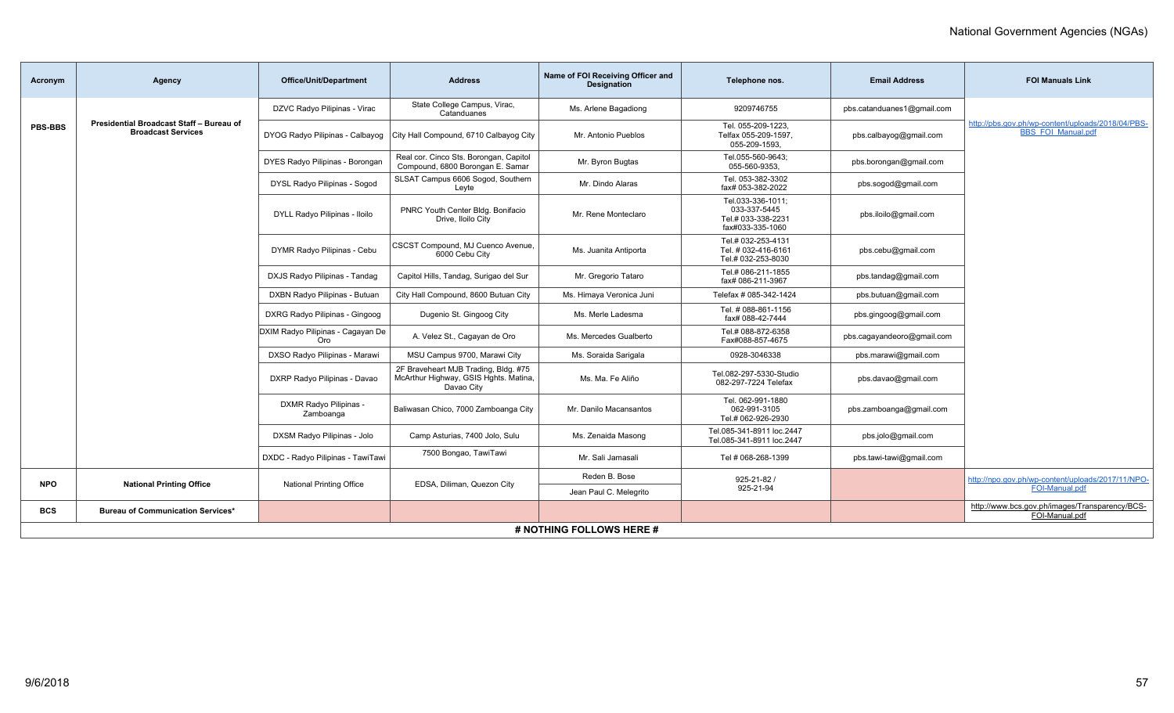| Acronym        | Agency                                                                | <b>Office/Unit/Department</b>            | <b>Address</b>                                                                              | Name of FOI Receiving Officer and<br><b>Designation</b> | Telephone nos.                                                              | <b>Email Address</b>       | <b>FOI Manuals Link</b>                                                        |  |  |  |  |
|----------------|-----------------------------------------------------------------------|------------------------------------------|---------------------------------------------------------------------------------------------|---------------------------------------------------------|-----------------------------------------------------------------------------|----------------------------|--------------------------------------------------------------------------------|--|--|--|--|
|                |                                                                       | DZVC Radyo Pilipinas - Virac             | State College Campus, Virac,<br>Catanduanes                                                 | Ms. Arlene Bagadiong                                    | 9209746755                                                                  | pbs.catanduanes1@gmail.com |                                                                                |  |  |  |  |
| <b>PBS-BBS</b> | Presidential Broadcast Staff - Bureau of<br><b>Broadcast Services</b> | DYOG Radyo Pilipinas - Calbayog          | City Hall Compound, 6710 Calbayog City                                                      | Mr. Antonio Pueblos                                     | Tel. 055-209-1223,<br>Telfax 055-209-1597,<br>055-209-1593.                 | pbs.calbayog@gmail.com     | http://pbs.gov.ph/wp-content/uploads/2018/04/PBS-<br><b>BBS FOI Manual.pdf</b> |  |  |  |  |
|                |                                                                       | DYES Radyo Pilipinas - Borongan          | Real cor. Cinco Sts. Borongan, Capitol<br>Compound, 6800 Borongan E. Samar                  | Mr. Byron Bugtas                                        | Tel.055-560-9643:<br>055-560-9353,                                          | pbs.borongan@gmail.com     |                                                                                |  |  |  |  |
|                |                                                                       | DYSL Radyo Pilipinas - Sogod             | SLSAT Campus 6606 Sogod, Southern<br>Leyte                                                  | Mr. Dindo Alaras                                        | Tel. 053-382-3302<br>fax# 053-382-2022                                      | pbs.sogod@gmail.com        |                                                                                |  |  |  |  |
|                |                                                                       | DYLL Radyo Pilipinas - Iloilo            | PNRC Youth Center Bldg. Bonifacio<br>Drive, Iloilo City                                     | Mr. Rene Monteclaro                                     | Tel.033-336-1011;<br>033-337-5445<br>Tel.# 033-338-2231<br>fax#033-335-1060 | pbs.iloilo@gmail.com       |                                                                                |  |  |  |  |
|                |                                                                       | DYMR Radyo Pilipinas - Cebu              | CSCST Compound, MJ Cuenco Avenue,<br>6000 Cebu City                                         | Ms. Juanita Antiporta                                   | Tel.# 032-253-4131<br>Tel. # 032-416-6161<br>Tel.# 032-253-8030             | pbs.cebu@gmail.com         |                                                                                |  |  |  |  |
|                |                                                                       | DXJS Radyo Pilipinas - Tandag            | Capitol Hills, Tandag, Surigao del Sur                                                      | Mr. Gregorio Tataro                                     | Tel.# 086-211-1855<br>fax# 086-211-3967                                     | pbs.tandag@gmail.com       |                                                                                |  |  |  |  |
|                |                                                                       | DXBN Radyo Pilipinas - Butuan            | City Hall Compound, 8600 Butuan City                                                        | Ms. Himaya Veronica Juni                                | Telefax # 085-342-1424                                                      | pbs.butuan@gmail.com       |                                                                                |  |  |  |  |
|                |                                                                       | DXRG Radyo Pilipinas - Gingoog           | Dugenio St. Gingoog City                                                                    | Ms. Merle Ladesma                                       | Tel. # 088-861-1156<br>fax# 088-42-7444                                     | pbs.gingoog@gmail.com      |                                                                                |  |  |  |  |
|                |                                                                       | DXIM Radyo Pilipinas - Cagayan De<br>Oro | A. Velez St., Cagayan de Oro                                                                | Ms. Mercedes Gualberto                                  | Tel.# 088-872-6358<br>Fax#088-857-4675                                      | pbs.cagayandeoro@gmail.com |                                                                                |  |  |  |  |
|                |                                                                       | DXSO Radyo Pilipinas - Marawi            | MSU Campus 9700, Marawi City                                                                | Ms. Soraida Sarigala                                    | 0928-3046338                                                                | pbs.marawi@gmail.com       |                                                                                |  |  |  |  |
|                |                                                                       | DXRP Radyo Pilipinas - Davao             | 2F Braveheart MJB Trading, Bldg. #75<br>McArthur Highway, GSIS Hghts. Matina,<br>Davao City | Ms. Ma. Fe Aliño                                        | Tel.082-297-5330-Studio<br>082-297-7224 Telefax                             | pbs.davao@gmail.com        |                                                                                |  |  |  |  |
|                |                                                                       | DXMR Radyo Pilipinas -<br>Zamboanga      | Baliwasan Chico, 7000 Zamboanga City                                                        | Mr. Danilo Macansantos                                  | Tel. 062-991-1880<br>062-991-3105<br>Tel.# 062-926-2930                     | pbs.zamboanga@gmail.com    |                                                                                |  |  |  |  |
|                |                                                                       | DXSM Radyo Pilipinas - Jolo              | Camp Asturias, 7400 Jolo, Sulu                                                              | Ms. Zenaida Masong                                      | Tel.085-341-8911 loc.2447<br>Tel.085-341-8911 loc.2447                      | pbs.jolo@gmail.com         |                                                                                |  |  |  |  |
|                |                                                                       | DXDC - Radyo Pilipinas - TawiTawi        | 7500 Bongao, TawiTawi                                                                       | Mr. Sali Jamasali                                       | Tel # 068-268-1399                                                          | pbs.tawi-tawi@gmail.com    |                                                                                |  |  |  |  |
| <b>NPO</b>     | <b>National Printing Office</b>                                       | <b>National Printing Office</b>          |                                                                                             | Reden B. Bose                                           | $925 - 21 - 82/$                                                            |                            | http://npo.gov.ph/wp-content/uploads/2017/11/NPO-                              |  |  |  |  |
|                |                                                                       |                                          | EDSA, Diliman, Quezon City                                                                  | Jean Paul C. Melegrito                                  | 925-21-94                                                                   |                            | FOI-Manual.pdf                                                                 |  |  |  |  |
| <b>BCS</b>     | <b>Bureau of Communication Services*</b>                              |                                          |                                                                                             |                                                         |                                                                             |                            | http://www.bcs.gov.ph/images/Transparency/BCS-<br>FOI-Manual.pdf               |  |  |  |  |
|                | # NOTHING FOLLOWS HERE #                                              |                                          |                                                                                             |                                                         |                                                                             |                            |                                                                                |  |  |  |  |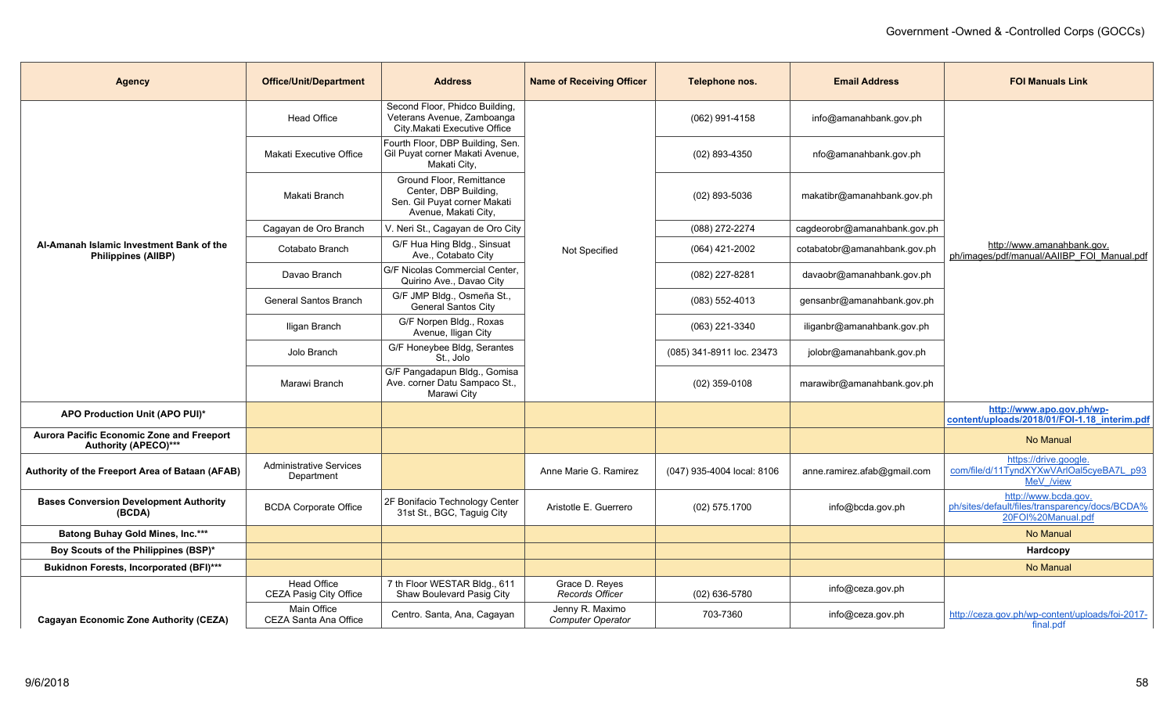| <b>Agency</b>                                                            | <b>Office/Unit/Department</b>                | <b>Address</b>                                                                                            | <b>Name of Receiving Officer</b>            | Telephone nos.             | <b>Email Address</b>         | <b>FOI Manuals Link</b>                                                                      |
|--------------------------------------------------------------------------|----------------------------------------------|-----------------------------------------------------------------------------------------------------------|---------------------------------------------|----------------------------|------------------------------|----------------------------------------------------------------------------------------------|
|                                                                          | <b>Head Office</b>                           | Second Floor, Phidco Building,<br>Veterans Avenue, Zamboanga<br>City.Makati Executive Office              |                                             | $(062)$ 991-4158           | info@amanahbank.gov.ph       |                                                                                              |
| Al-Amanah Islamic Investment Bank of the<br><b>Philippines (AIIBP)</b>   | Makati Executive Office                      | Fourth Floor, DBP Building, Sen.<br>Gil Puyat corner Makati Avenue,<br>Makati City,                       |                                             | $(02)$ 893-4350            | nfo@amanahbank.gov.ph        |                                                                                              |
|                                                                          | Makati Branch                                | Ground Floor, Remittance<br>Center, DBP Building,<br>Sen. Gil Puyat corner Makati<br>Avenue, Makati City, |                                             | $(02)$ 893-5036            | makatibr@amanahbank.gov.ph   |                                                                                              |
|                                                                          | Cagayan de Oro Branch                        | V. Neri St., Cagayan de Oro City                                                                          |                                             | (088) 272-2274             | cagdeorobr@amanahbank.gov.ph |                                                                                              |
|                                                                          | Cotabato Branch                              | G/F Hua Hing Bldg., Sinsuat<br>Ave., Cotabato City                                                        | Not Specified                               | $(064)$ 421-2002           | cotabatobr@amanahbank.gov.ph | http://www.amanahbank.gov.<br>ph/images/pdf/manual/AAIIBP FOI Manual.pdf                     |
|                                                                          | Davao Branch                                 | G/F Nicolas Commercial Center.<br>Quirino Ave., Davao City                                                |                                             | (082) 227-8281             | davaobr@amanahbank.gov.ph    |                                                                                              |
|                                                                          | General Santos Branch                        | G/F JMP Bldg., Osmeña St.,<br><b>General Santos City</b>                                                  |                                             | $(083) 552 - 4013$         | gensanbr@amanahbank.gov.ph   |                                                                                              |
|                                                                          | Iligan Branch                                | G/F Norpen Bldg., Roxas<br>Avenue, Iligan City                                                            |                                             | (063) 221-3340             | iliganbr@amanahbank.gov.ph   |                                                                                              |
|                                                                          | Jolo Branch                                  | G/F Honeybee Bldg, Serantes<br>St., Jolo                                                                  |                                             | (085) 341-8911 loc. 23473  | jolobr@amanahbank.gov.ph     |                                                                                              |
|                                                                          | Marawi Branch                                | G/F Pangadapun Bldg., Gomisa<br>Ave. corner Datu Sampaco St.,<br>Marawi City                              |                                             | $(02)$ 359-0108            | marawibr@amanahbank.gov.ph   |                                                                                              |
| APO Production Unit (APO PUI)*                                           |                                              |                                                                                                           |                                             |                            |                              | http://www.apo.gov.ph/wp-<br>content/uploads/2018/01/FOI-1.18 interim.pdf                    |
| <b>Aurora Pacific Economic Zone and Freeport</b><br>Authority (APECO)*** |                                              |                                                                                                           |                                             |                            |                              | No Manual                                                                                    |
| Authority of the Freeport Area of Bataan (AFAB)                          | <b>Administrative Services</b><br>Department |                                                                                                           | Anne Marie G. Ramirez                       | (047) 935-4004 local: 8106 | anne.ramirez.afab@gmail.com  | https://drive.google.<br>com/file/d/11TyndXYXwVArIOal5cyeBA7L p93<br>MeV /view               |
| <b>Bases Conversion Development Authority</b><br>(BCDA)                  | <b>BCDA Corporate Office</b>                 | 2F Bonifacio Technology Center<br>31st St., BGC, Taguig City                                              | Aristotle E. Guerrero                       | $(02)$ 575.1700            | info@bcda.gov.ph             | http://www.bcda.gov.<br>ph/sites/default/files/transparency/docs/BCDA%<br>20FOI%20Manual.pdf |
| Batong Buhay Gold Mines, Inc.***                                         |                                              |                                                                                                           |                                             |                            |                              | No Manual                                                                                    |
| Boy Scouts of the Philippines (BSP)*                                     |                                              |                                                                                                           |                                             |                            |                              | Hardcopy                                                                                     |
| Bukidnon Forests, Incorporated (BFI)***                                  |                                              |                                                                                                           |                                             |                            |                              | No Manual                                                                                    |
|                                                                          | Head Office<br>CEZA Pasig City Office        | 7 th Floor WESTAR Bldg., 611<br>Shaw Boulevard Pasig City                                                 | Grace D. Reyes<br>Records Officer           | $(02)$ 636-5780            | info@ceza.gov.ph             |                                                                                              |
| Cagayan Economic Zone Authority (CEZA)                                   | Main Office<br>CEZA Santa Ana Office         | Centro. Santa, Ana, Cagayan                                                                               | Jenny R. Maximo<br><b>Computer Operator</b> | 703-7360                   | info@ceza.gov.ph             | http://ceza.gov.ph/wp-content/uploads/foi-2017-<br>final.pdf                                 |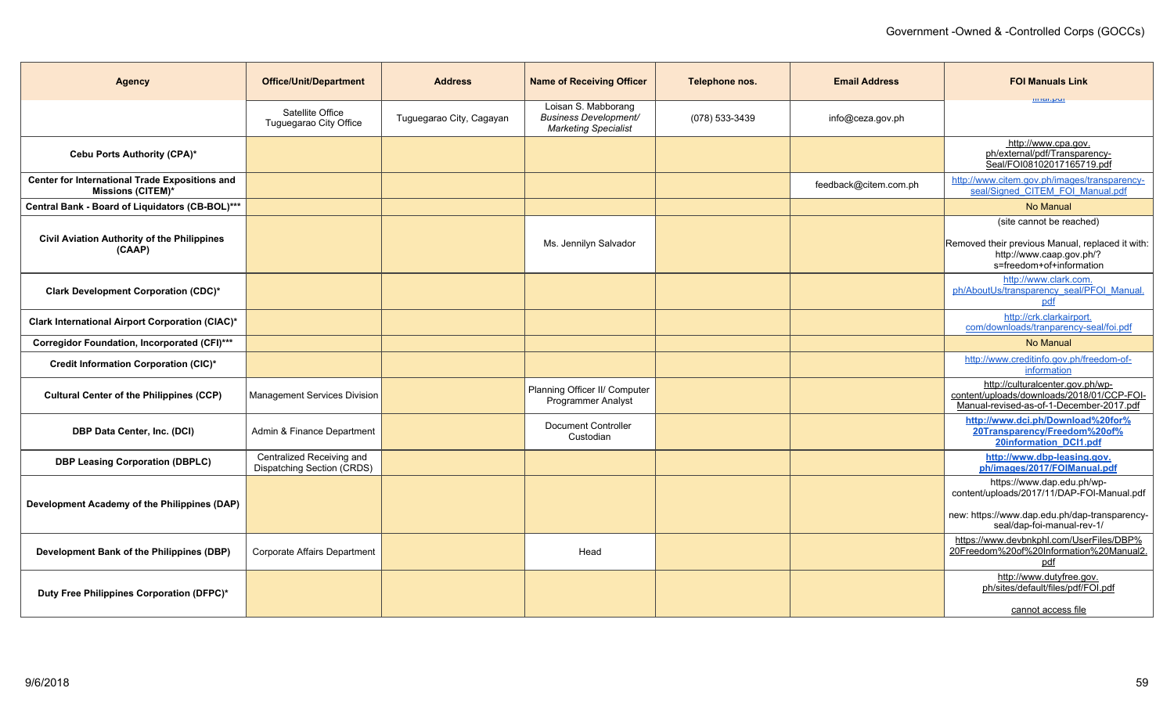| <b>Agency</b>                                                              | <b>Office/Unit/Department</b>                           | <b>Address</b>           | <b>Name of Receiving Officer</b>                                                   | Telephone nos. | <b>Email Address</b>  | <b>FOI Manuals Link</b>                                                                                                                                 |
|----------------------------------------------------------------------------|---------------------------------------------------------|--------------------------|------------------------------------------------------------------------------------|----------------|-----------------------|---------------------------------------------------------------------------------------------------------------------------------------------------------|
|                                                                            | Satellite Office<br>Tuguegarao City Office              | Tuguegarao City, Cagayan | Loisan S. Mabborang<br><b>Business Development/</b><br><b>Marketing Specialist</b> | (078) 533-3439 | info@ceza.gov.ph      | <b>ШКИ.МИ</b>                                                                                                                                           |
| Cebu Ports Authority (CPA)*                                                |                                                         |                          |                                                                                    |                |                       | http://www.cpa.gov.<br>ph/external/pdf/Transparency-<br>Seal/FOI08102017165719.pdf                                                                      |
| Center for International Trade Expositions and<br><b>Missions (CITEM)*</b> |                                                         |                          |                                                                                    |                | feedback@citem.com.ph | http://www.citem.gov.ph/images/transparency-<br>seal/Signed CITEM FOI Manual.pdf                                                                        |
| Central Bank - Board of Liquidators (CB-BOL)***                            |                                                         |                          |                                                                                    |                |                       | <b>No Manual</b>                                                                                                                                        |
| <b>Civil Aviation Authority of the Philippines</b><br>(CAAP)               |                                                         |                          | Ms. Jennilyn Salvador                                                              |                |                       | (site cannot be reached)<br>Removed their previous Manual, replaced it with:<br>http://www.caap.gov.ph/?<br>s=freedom+of+information                    |
| Clark Development Corporation (CDC)*                                       |                                                         |                          |                                                                                    |                |                       | http://www.clark.com.<br>ph/AboutUs/transparency seal/PFOI Manual<br>pdf                                                                                |
| Clark International Airport Corporation (CIAC)*                            |                                                         |                          |                                                                                    |                |                       | http://crk.clarkairport.<br>com/downloads/tranparency-seal/foi.pdf                                                                                      |
| Corregidor Foundation, Incorporated (CFI)***                               |                                                         |                          |                                                                                    |                |                       | No Manual                                                                                                                                               |
| Credit Information Corporation (CIC)*                                      |                                                         |                          |                                                                                    |                |                       | http://www.creditinfo.gov.ph/freedom-of-<br>information                                                                                                 |
| <b>Cultural Center of the Philippines (CCP)</b>                            | Management Services Division                            |                          | Planning Officer II/ Computer<br><b>Programmer Analyst</b>                         |                |                       | http://culturalcenter.gov.ph/wp-<br>content/uploads/downloads/2018/01/CCP-FOI-<br>Manual-revised-as-of-1-December-2017.pdf                              |
| <b>DBP Data Center, Inc. (DCI)</b>                                         | Admin & Finance Department                              |                          | <b>Document Controller</b><br>Custodian                                            |                |                       | http://www.dci.ph/Download%20for%<br>20Transparency/Freedom%20of%<br>20information DCI1.pdf                                                             |
| <b>DBP Leasing Corporation (DBPLC)</b>                                     | Centralized Receiving and<br>Dispatching Section (CRDS) |                          |                                                                                    |                |                       | http://www.dbp-leasing.gov.<br>ph/images/2017/FOIManual.pdf                                                                                             |
| Development Academy of the Philippines (DAP)                               |                                                         |                          |                                                                                    |                |                       | https://www.dap.edu.ph/wp-<br>content/uploads/2017/11/DAP-FOI-Manual.pdf<br>new: https://www.dap.edu.ph/dap-transparency-<br>seal/dap-foi-manual-rev-1/ |
| Development Bank of the Philippines (DBP)                                  | Corporate Affairs Department                            |                          | Head                                                                               |                |                       | https://www.devbnkphl.com/UserFiles/DBP%<br>20Freedom%20of%20Information%20Manual2.<br>pdf                                                              |
| Duty Free Philippines Corporation (DFPC)*                                  |                                                         |                          |                                                                                    |                |                       | http://www.dutyfree.gov.<br>ph/sites/default/files/pdf/FOI.pdf<br>cannot access file                                                                    |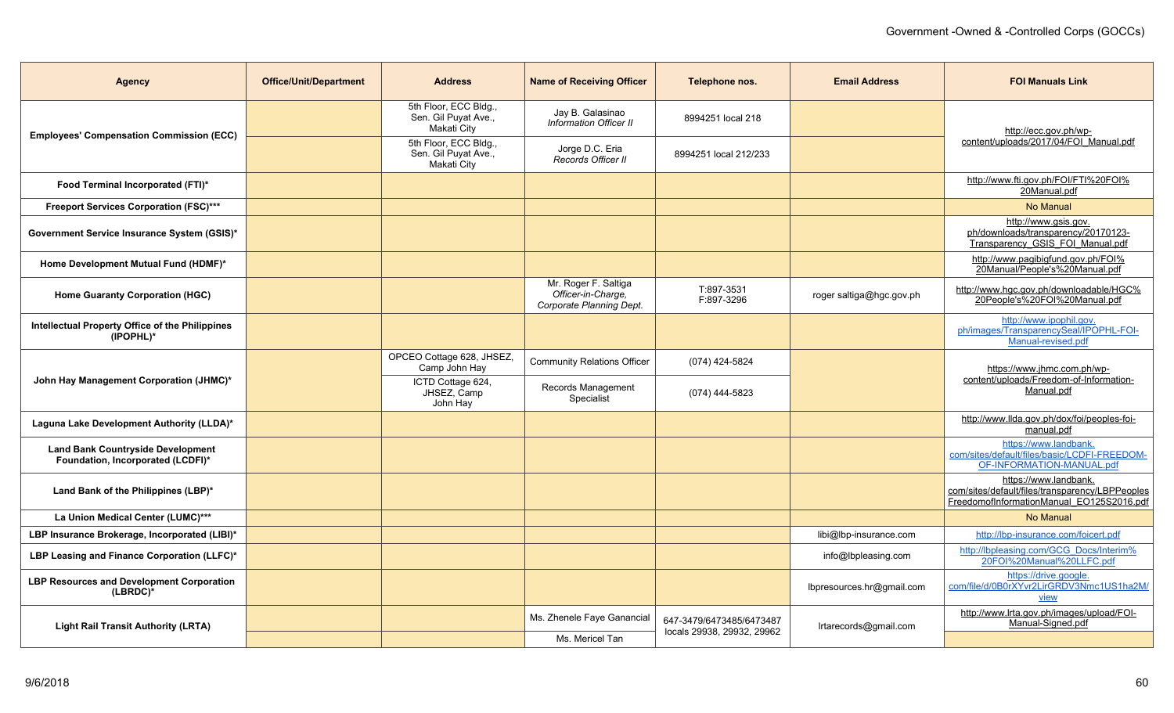| <b>Agency</b>                                                                 | <b>Office/Unit/Department</b> | <b>Address</b>                                               | <b>Name of Receiving Officer</b>                                       | Telephone nos.                                         | <b>Email Address</b>      | <b>FOI Manuals Link</b>                                                                                               |
|-------------------------------------------------------------------------------|-------------------------------|--------------------------------------------------------------|------------------------------------------------------------------------|--------------------------------------------------------|---------------------------|-----------------------------------------------------------------------------------------------------------------------|
| <b>Employees' Compensation Commission (ECC)</b>                               |                               | 5th Floor, ECC Bldg.,<br>Sen. Gil Puyat Ave.,<br>Makati City | Jay B. Galasinao<br>Information Officer II                             | 8994251 local 218                                      |                           | http://ecc.gov.ph/wp-                                                                                                 |
|                                                                               |                               | 5th Floor, ECC Bldg.,<br>Sen. Gil Puyat Ave.,<br>Makati City | Jorge D.C. Eria<br>Records Officer II                                  | 8994251 local 212/233                                  |                           | content/uploads/2017/04/FOI_Manual.pdf                                                                                |
| Food Terminal Incorporated (FTI)*                                             |                               |                                                              |                                                                        |                                                        |                           | http://www.fti.gov.ph/FOI/FTI%20FOI%<br>20Manual.pdf                                                                  |
| Freeport Services Corporation (FSC)***                                        |                               |                                                              |                                                                        |                                                        |                           | No Manual                                                                                                             |
| Government Service Insurance System (GSIS)*                                   |                               |                                                              |                                                                        |                                                        |                           | http://www.gsis.gov.<br>ph/downloads/transparency/20170123-<br>Transparency GSIS FOI Manual.pdf                       |
| Home Development Mutual Fund (HDMF)*                                          |                               |                                                              |                                                                        |                                                        |                           | http://www.pagibigfund.gov.ph/FOI%<br>20Manual/People's%20Manual.pdf                                                  |
| <b>Home Guaranty Corporation (HGC)</b>                                        |                               |                                                              | Mr. Roger F. Saltiga<br>Officer-in-Charge.<br>Corporate Planning Dept. | T:897-3531<br>F:897-3296                               | roger saltiga@hgc.gov.ph  | http://www.hgc.gov.ph/downloadable/HGC%<br>20People's%20FOI%20Manual.pdf                                              |
| Intellectual Property Office of the Philippines<br>(IPOPHL)*                  |                               |                                                              |                                                                        |                                                        |                           | http://www.ipophil.gov.<br>ph/images/TransparencySeal/IPOPHL-FOI-<br>Manual-revised.pdf                               |
|                                                                               |                               | OPCEO Cottage 628, JHSEZ,<br>Camp John Hay                   | <b>Community Relations Officer</b>                                     | (074) 424-5824                                         |                           | https://www.jhmc.com.ph/wp-                                                                                           |
| John Hay Management Corporation (JHMC)*                                       |                               | ICTD Cottage 624,<br>JHSEZ, Camp<br>John Hay                 | Records Management<br>Specialist                                       | (074) 444-5823                                         |                           | content/uploads/Freedom-of-Information-<br>Manual.pdf                                                                 |
| Laguna Lake Development Authority (LLDA)*                                     |                               |                                                              |                                                                        |                                                        |                           | http://www.llda.gov.ph/dox/foi/peoples-foi-<br>manual.pdf                                                             |
| <b>Land Bank Countryside Development</b><br>Foundation, Incorporated (LCDFI)* |                               |                                                              |                                                                        |                                                        |                           | https://www.landbank.<br>com/sites/default/files/basic/LCDFI-FREEDOM-<br>OF-INFORMATION-MANUAL.pdf                    |
| Land Bank of the Philippines (LBP)*                                           |                               |                                                              |                                                                        |                                                        |                           | https://www.landbank.<br>com/sites/default/files/transparency/LBPPeoples<br>FreedomofInformationManual EO125S2016.pdf |
| La Union Medical Center (LUMC)***                                             |                               |                                                              |                                                                        |                                                        |                           | No Manual                                                                                                             |
| LBP Insurance Brokerage, Incorporated (LIBI)*                                 |                               |                                                              |                                                                        |                                                        | libi@lbp-insurance.com    | http://lbp-insurance.com/foicert.pdf                                                                                  |
| LBP Leasing and Finance Corporation (LLFC)*                                   |                               |                                                              |                                                                        |                                                        | info@lbpleasing.com       | http://lbpleasing.com/GCG_Docs/Interim%<br>20FOI%20Manual%20LLFC.pdf                                                  |
| <b>LBP Resources and Development Corporation</b><br>(LBRDC)*                  |                               |                                                              |                                                                        |                                                        | lbpresources.hr@gmail.com | https://drive.google.<br>com/file/d/0B0rXYvr2LirGRDV3Nmc1US1ha2M/<br>view                                             |
| <b>Light Rail Transit Authority (LRTA)</b>                                    |                               |                                                              | Ms. Zhenele Faye Ganancial                                             | 647-3479/6473485/6473487<br>locals 29938, 29932, 29962 | Irtarecords@gmail.com     | http://www.lrta.gov.ph/images/upload/FOI-<br>Manual-Signed.pdf                                                        |
|                                                                               |                               |                                                              | Ms. Mericel Tan                                                        |                                                        |                           |                                                                                                                       |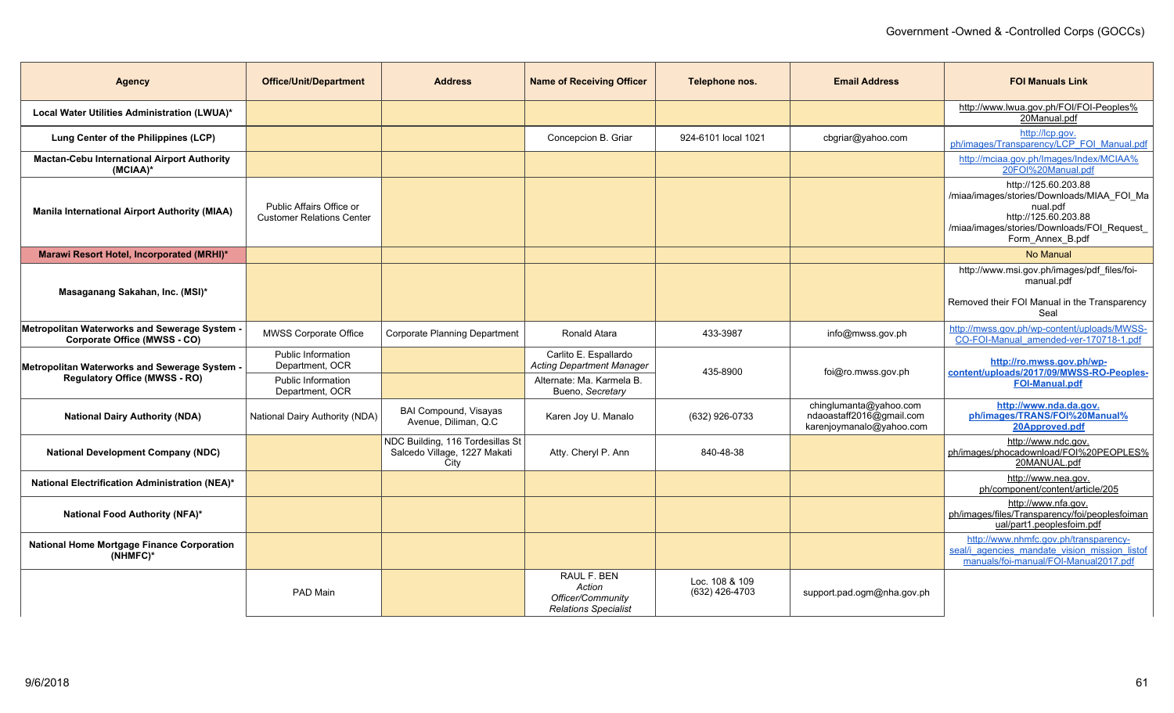| <b>Agency</b>                                                                         | <b>Office/Unit/Department</b>                                | <b>Address</b>                                                           | <b>Name of Receiving Officer</b>                                                       | Telephone nos.                   | <b>Email Address</b>                                                           | <b>FOI Manuals Link</b>                                                                                                                                                  |
|---------------------------------------------------------------------------------------|--------------------------------------------------------------|--------------------------------------------------------------------------|----------------------------------------------------------------------------------------|----------------------------------|--------------------------------------------------------------------------------|--------------------------------------------------------------------------------------------------------------------------------------------------------------------------|
| Local Water Utilities Administration (LWUA)*                                          |                                                              |                                                                          |                                                                                        |                                  |                                                                                | http://www.lwua.gov.ph/FOI/FOI-Peoples%<br>20Manual.pdf                                                                                                                  |
| Lung Center of the Philippines (LCP)                                                  |                                                              |                                                                          | Concepcion B. Griar                                                                    | 924-6101 local 1021              | cbgriar@yahoo.com                                                              | http://lcp.gov.<br>ph/images/Transparency/LCP_FOI_Manual.pdf                                                                                                             |
| <b>Mactan-Cebu International Airport Authority</b><br>(MCIAA)*                        |                                                              |                                                                          |                                                                                        |                                  |                                                                                | http://mciaa.gov.ph/Images/Index/MCIAA%<br>20FOI%20Manual.pdf                                                                                                            |
| <b>Manila International Airport Authority (MIAA)</b>                                  | Public Affairs Office or<br><b>Customer Relations Center</b> |                                                                          |                                                                                        |                                  |                                                                                | http://125.60.203.88<br>/miaa/images/stories/Downloads/MIAA FOI Ma<br>nual.pdf<br>http://125.60.203.88<br>/miaa/images/stories/Downloads/FOI Request<br>Form_Annex_B.pdf |
| Marawi Resort Hotel, Incorporated (MRHI)*                                             |                                                              |                                                                          |                                                                                        |                                  |                                                                                | <b>No Manual</b>                                                                                                                                                         |
| Masaganang Sakahan, Inc. (MSI)*                                                       |                                                              |                                                                          |                                                                                        |                                  |                                                                                | http://www.msi.gov.ph/images/pdf_files/foi-<br>manual.pdf<br>Removed their FOI Manual in the Transparency<br>Seal                                                        |
| Metropolitan Waterworks and Sewerage System -<br>Corporate Office (MWSS - CO)         | <b>MWSS Corporate Office</b>                                 | <b>Corporate Planning Department</b>                                     | Ronald Atara                                                                           | 433-3987                         | info@mwss.gov.ph                                                               | http://mwss.gov.ph/wp-content/uploads/MWSS-<br>CO-FOI-Manual amended-ver-170718-1.pdf                                                                                    |
| Metropolitan Waterworks and Sewerage System -<br><b>Regulatory Office (MWSS - RO)</b> | Public Information<br>Department, OCR<br>Public Information  |                                                                          | Carlito E. Espallardo<br><b>Acting Department Manager</b><br>Alternate: Ma. Karmela B. | 435-8900                         | foi@ro.mwss.gov.ph                                                             | http://ro.mwss.gov.ph/wp-<br>content/uploads/2017/09/MWSS-RO-Peoples-<br><b>FOI-Manual.pdf</b>                                                                           |
| <b>National Dairy Authority (NDA)</b>                                                 | Department, OCR<br>National Dairy Authority (NDA)            | BAI Compound, Visayas<br>Avenue, Diliman, Q.C.                           | Bueno, Secretary<br>Karen Joy U. Manalo                                                | (632) 926-0733                   | chinglumanta@yahoo.com<br>ndaoastaff2016@gmail.com<br>karenjoymanalo@yahoo.com | http://www.nda.da.gov.<br>ph/images/TRANS/FOI%20Manual%<br>20Approved.pdf                                                                                                |
| <b>National Development Company (NDC)</b>                                             |                                                              | NDC Building, 116 Tordesillas St<br>Salcedo Village, 1227 Makati<br>City | Atty. Cheryl P. Ann                                                                    | 840-48-38                        |                                                                                | http://www.ndc.gov.<br>ph/images/phocadownload/FOI%20PEOPLES%<br>20MANUAL.pdf                                                                                            |
| National Electrification Administration (NEA)*                                        |                                                              |                                                                          |                                                                                        |                                  |                                                                                | http://www.nea.gov.<br>ph/component/content/article/205                                                                                                                  |
| National Food Authority (NFA)*                                                        |                                                              |                                                                          |                                                                                        |                                  |                                                                                | http://www.nfa.gov.<br>ph/images/files/Transparency/foi/peoplesfoiman<br>ual/part1.peoplesfoim.pdf                                                                       |
| <b>National Home Mortgage Finance Corporation</b><br>(NHMFC)*                         |                                                              |                                                                          |                                                                                        |                                  |                                                                                | http://www.nhmfc.gov.ph/transparency-<br>seal/i agencies mandate vision mission listo<br>manuals/foi-manual/FOI-Manual2017.pdf                                           |
|                                                                                       | PAD Main                                                     |                                                                          | RAUL F. BEN<br>Action<br>Officer/Community<br><b>Relations Specialist</b>              | Loc. 108 & 109<br>(632) 426-4703 | support.pad.ogm@nha.gov.ph                                                     |                                                                                                                                                                          |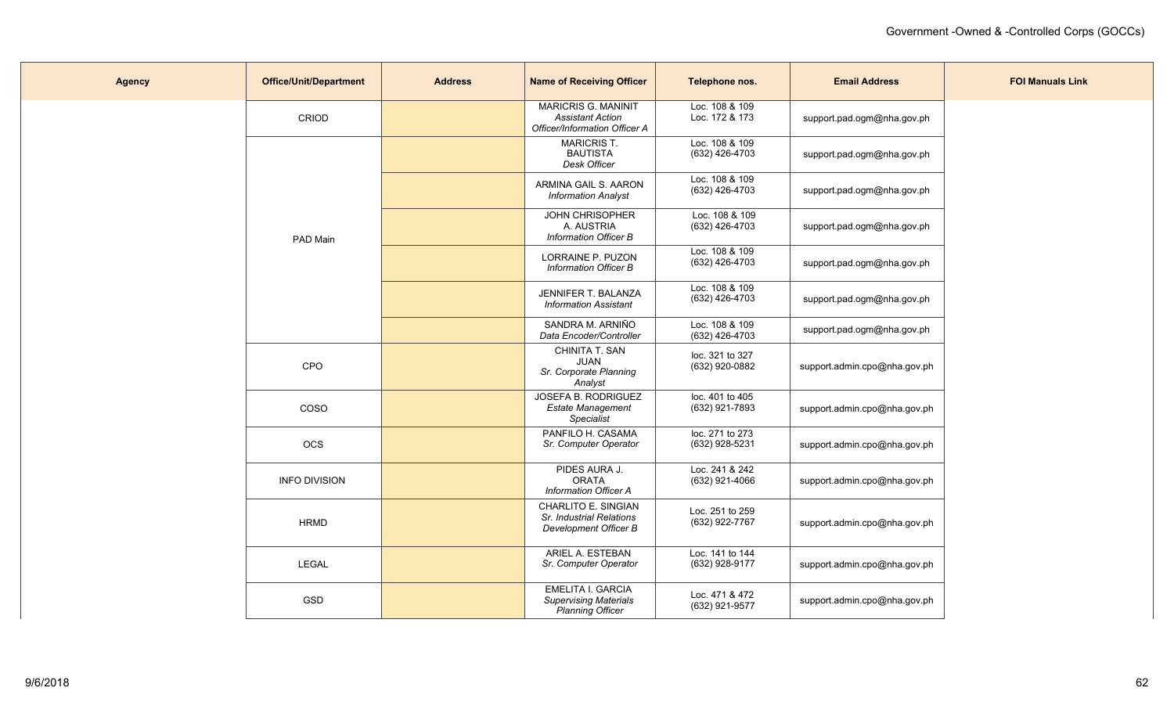| <b>Agency</b> | <b>Office/Unit/Department</b> | <b>Address</b> | <b>Name of Receiving Officer</b>                                                       | Telephone nos.                    | <b>Email Address</b>         | <b>FOI Manuals Link</b> |
|---------------|-------------------------------|----------------|----------------------------------------------------------------------------------------|-----------------------------------|------------------------------|-------------------------|
|               | CRIOD                         |                | <b>MARICRIS G. MANINIT</b><br><b>Assistant Action</b><br>Officer/Information Officer A | Loc. 108 & 109<br>Loc. 172 & 173  | support.pad.ogm@nha.gov.ph   |                         |
|               |                               |                | <b>MARICRIST.</b><br><b>BAUTISTA</b><br>Desk Officer                                   | Loc. 108 & 109<br>(632) 426-4703  | support.pad.ogm@nha.gov.ph   |                         |
|               |                               |                | ARMINA GAIL S. AARON<br><b>Information Analyst</b>                                     | Loc. 108 & 109<br>(632) 426-4703  | support.pad.ogm@nha.gov.ph   |                         |
|               | PAD Main                      |                | JOHN CHRISOPHER<br>A. AUSTRIA<br>Information Officer B                                 | Loc. 108 & 109<br>(632) 426-4703  | support.pad.ogm@nha.gov.ph   |                         |
|               |                               |                | LORRAINE P. PUZON<br><b>Information Officer B</b>                                      | Loc. 108 & 109<br>(632) 426-4703  | support.pad.ogm@nha.gov.ph   |                         |
|               |                               |                | JENNIFER T. BALANZA<br><b>Information Assistant</b>                                    | Loc. 108 & 109<br>(632) 426-4703  | support.pad.ogm@nha.gov.ph   |                         |
|               |                               |                | SANDRA M. ARNIÑO<br>Data Encoder/Controller                                            | Loc. 108 & 109<br>(632) 426-4703  | support.pad.ogm@nha.gov.ph   |                         |
|               | CPO                           |                | CHINITA T. SAN<br><b>JUAN</b><br>Sr. Corporate Planning<br>Analyst                     | loc. 321 to 327<br>(632) 920-0882 | support.admin.cpo@nha.gov.ph |                         |
|               | COSO                          |                | <b>JOSEFA B. RODRIGUEZ</b><br><b>Estate Management</b><br>Specialist                   | loc. 401 to 405<br>(632) 921-7893 | support.admin.cpo@nha.gov.ph |                         |
|               | OCS                           |                | PANFILO H. CASAMA<br>Sr. Computer Operator                                             | loc. 271 to 273<br>(632) 928-5231 | support.admin.cpo@nha.gov.ph |                         |
|               | <b>INFO DIVISION</b>          |                | PIDES AURA J.<br><b>ORATA</b><br><b>Information Officer A</b>                          | Loc. 241 & 242<br>(632) 921-4066  | support.admin.cpo@nha.gov.ph |                         |
|               | <b>HRMD</b>                   |                | CHARLITO E. SINGIAN<br>Sr. Industrial Relations<br>Development Officer B               | Loc. 251 to 259<br>(632) 922-7767 | support.admin.cpo@nha.gov.ph |                         |
|               | LEGAL                         |                | ARIEL A. ESTEBAN<br>Sr. Computer Operator                                              | Loc. 141 to 144<br>(632) 928-9177 | support.admin.cpo@nha.gov.ph |                         |
|               | GSD                           |                | <b>EMELITA I. GARCIA</b><br><b>Supervising Materials</b><br><b>Planning Officer</b>    | Loc. 471 & 472<br>(632) 921-9577  | support.admin.cpo@nha.gov.ph |                         |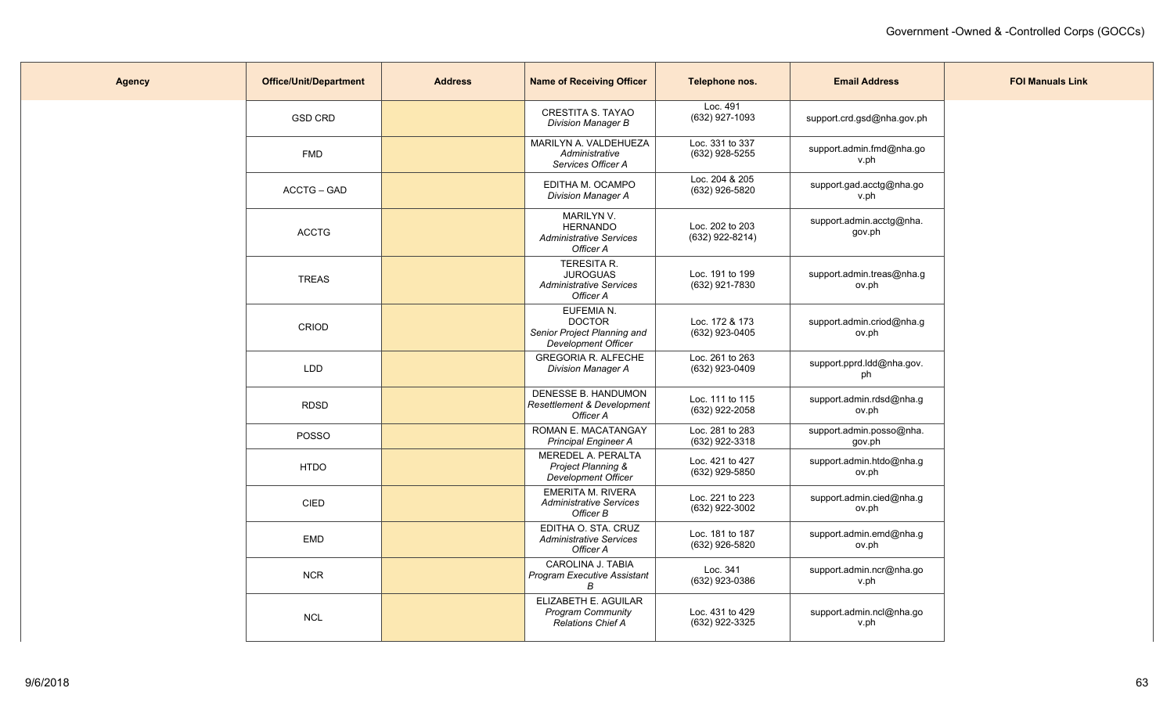| <b>Agency</b> | <b>Office/Unit/Department</b> | <b>Address</b> | <b>Name of Receiving Officer</b>                                                  | Telephone nos.                       | <b>Email Address</b>               | <b>FOI Manuals Link</b> |
|---------------|-------------------------------|----------------|-----------------------------------------------------------------------------------|--------------------------------------|------------------------------------|-------------------------|
|               | <b>GSD CRD</b>                |                | CRESTITA S. TAYAO<br><b>Division Manager B</b>                                    | Loc. 491<br>(632) 927-1093           | support.crd.gsd@nha.gov.ph         |                         |
|               | <b>FMD</b>                    |                | MARILYN A. VALDEHUEZA<br>Administrative<br>Services Officer A                     | Loc. 331 to 337<br>(632) 928-5255    | support.admin.fmd@nha.go<br>v.ph   |                         |
|               | <b>ACCTG - GAD</b>            |                | EDITHA M. OCAMPO<br><b>Division Manager A</b>                                     | Loc. 204 & 205<br>(632) 926-5820     | support.gad.acctg@nha.go<br>v.ph   |                         |
|               | <b>ACCTG</b>                  |                | MARILYN V.<br><b>HERNANDO</b><br><b>Administrative Services</b><br>Officer A      | Loc. 202 to 203<br>$(632)$ 922-8214) | support.admin.acctg@nha.<br>gov.ph |                         |
|               | <b>TREAS</b>                  |                | TERESITA R.<br><b>JUROGUAS</b><br><b>Administrative Services</b><br>Officer A     | Loc. 191 to 199<br>(632) 921-7830    | support admin treas@nha.g<br>ov.ph |                         |
|               | CRIOD                         |                | EUFEMIA N.<br><b>DOCTOR</b><br>Senior Project Planning and<br>Development Officer | Loc. 172 & 173<br>(632) 923-0405     | support.admin.criod@nha.g<br>ov.ph |                         |
|               | <b>LDD</b>                    |                | <b>GREGORIA R. ALFECHE</b><br><b>Division Manager A</b>                           | Loc. 261 to 263<br>(632) 923-0409    | support.pprd.ldd@nha.gov.<br>ph    |                         |
|               | <b>RDSD</b>                   |                | DENESSE B. HANDUMON<br>Resettlement & Development<br>Officer A                    | Loc. 111 to 115<br>(632) 922-2058    | support.admin.rdsd@nha.g<br>ov.ph  |                         |
|               | POSSO                         |                | ROMAN E. MACATANGAY<br><b>Principal Engineer A</b>                                | Loc. 281 to 283<br>(632) 922-3318    | support.admin.posso@nha.<br>gov.ph |                         |
|               | <b>HTDO</b>                   |                | MEREDEL A. PERALTA<br>Project Planning &<br>Development Officer                   | Loc. 421 to 427<br>(632) 929-5850    | support.admin.htdo@nha.g<br>ov.ph  |                         |
|               | <b>CIED</b>                   |                | <b>EMERITA M. RIVERA</b><br><b>Administrative Services</b><br>Officer B           | Loc. 221 to 223<br>(632) 922-3002    | support.admin.cied@nha.g<br>ov.ph  |                         |
|               | <b>EMD</b>                    |                | EDITHA O. STA, CRUZ<br><b>Administrative Services</b><br>Officer A                | Loc. 181 to 187<br>(632) 926-5820    | support.admin.emd@nha.g<br>ov.ph   |                         |
|               | <b>NCR</b>                    |                | CAROLINA J. TABIA<br>Program Executive Assistant<br>В                             | Loc. 341<br>(632) 923-0386           | support.admin.ncr@nha.go<br>v.ph   |                         |
|               | <b>NCL</b>                    |                | ELIZABETH E. AGUILAR<br>Program Community<br><b>Relations Chief A</b>             | Loc. 431 to 429<br>(632) 922-3325    | support.admin.ncl@nha.go<br>v.ph   |                         |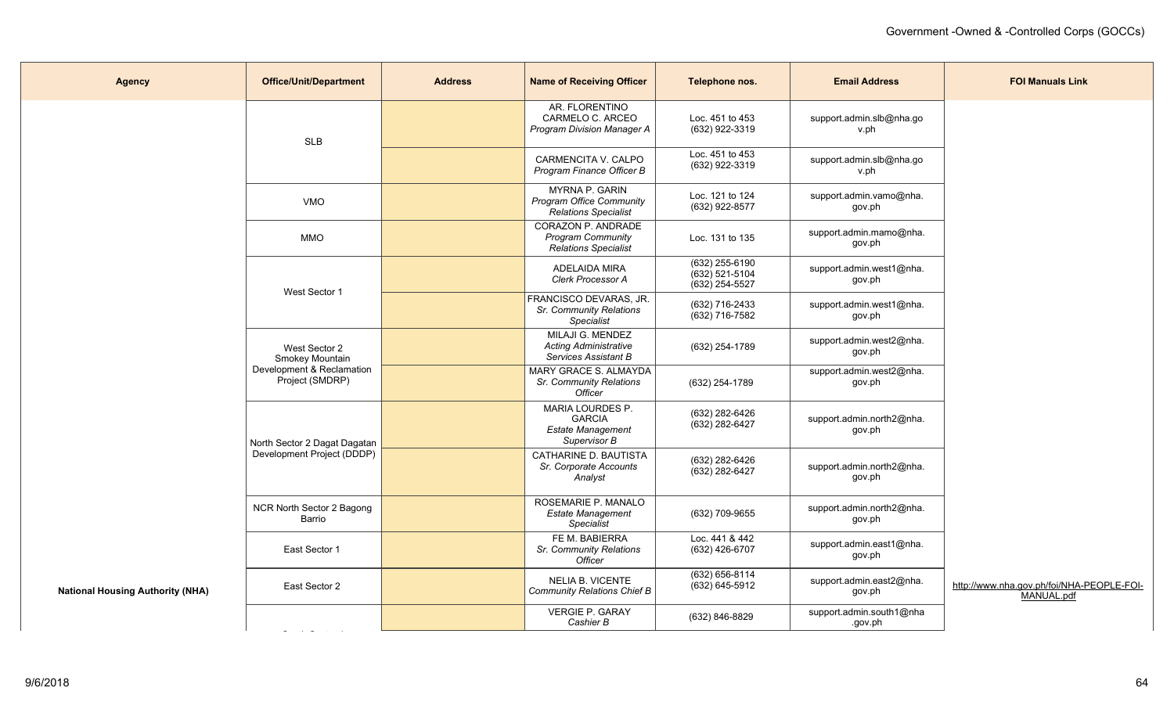| <b>Agency</b>                           | <b>Office/Unit/Department</b>                | <b>Address</b> | <b>Name of Receiving Officer</b>                                              | Telephone nos.                                         | <b>Email Address</b>                | <b>FOI Manuals Link</b>                                 |
|-----------------------------------------|----------------------------------------------|----------------|-------------------------------------------------------------------------------|--------------------------------------------------------|-------------------------------------|---------------------------------------------------------|
|                                         | <b>SLB</b>                                   |                | AR. FLORENTINO<br>CARMELO C. ARCEO<br>Program Division Manager A              | Loc. 451 to 453<br>(632) 922-3319                      | support.admin.slb@nha.go<br>v.ph    |                                                         |
|                                         |                                              |                | CARMENCITA V. CALPO<br>Program Finance Officer B                              | Loc. 451 to 453<br>(632) 922-3319                      | support.admin.slb@nha.go<br>v.ph    |                                                         |
|                                         | <b>VMO</b>                                   |                | MYRNA P. GARIN<br><b>Program Office Community</b><br>Relations Specialist     | Loc. 121 to 124<br>(632) 922-8577                      | support.admin.vamo@nha.<br>gov.ph   |                                                         |
|                                         | <b>MMO</b>                                   |                | CORAZON P. ANDRADE<br><b>Program Community</b><br>Relations Specialist        | Loc. 131 to 135                                        | support.admin.mamo@nha.<br>gov.ph   |                                                         |
|                                         | West Sector 1                                |                | ADELAIDA MIRA<br>Clerk Processor A                                            | (632) 255-6190<br>$(632)$ 521-5104<br>$(632)$ 254-5527 | support.admin.west1@nha.<br>gov.ph  |                                                         |
|                                         |                                              |                | FRANCISCO DEVARAS, JR.<br>Sr. Community Relations<br>Specialist               | (632) 716-2433<br>(632) 716-7582                       | support.admin.west1@nha.<br>gov.ph  |                                                         |
|                                         | West Sector 2<br>Smokey Mountain             |                | MILAJI G. MENDEZ<br><b>Acting Administrative</b><br>Services Assistant B      | (632) 254-1789                                         | support.admin.west2@nha.<br>gov.ph  |                                                         |
|                                         | Development & Reclamation<br>Project (SMDRP) |                | <b>MARY GRACE S. ALMAYDA</b><br>Sr. Community Relations<br>Officer            | (632) 254-1789                                         | support.admin.west2@nha.<br>gov.ph  |                                                         |
|                                         | North Sector 2 Dagat Dagatan                 |                | MARIA LOURDES P.<br><b>GARCIA</b><br><b>Estate Management</b><br>Supervisor B | (632) 282-6426<br>(632) 282-6427                       | support.admin.north2@nha.<br>gov.ph |                                                         |
|                                         | Development Project (DDDP)                   |                | CATHARINE D. BAUTISTA<br>Sr. Corporate Accounts<br>Analyst                    | (632) 282-6426<br>$(632)$ 282-6427                     | support.admin.north2@nha.<br>gov.ph |                                                         |
|                                         | NCR North Sector 2 Bagong<br>Barrio          |                | ROSEMARIE P. MANALO<br><b>Estate Management</b><br><b>Specialist</b>          | (632) 709-9655                                         | support.admin.north2@nha.<br>gov.ph |                                                         |
|                                         | East Sector 1                                |                | FE M. BABIERRA<br>Sr. Community Relations<br>Officer                          | Loc. 441 & 442<br>(632) 426-6707                       | support.admin.east1@nha.<br>gov.ph  |                                                         |
| <b>National Housing Authority (NHA)</b> | East Sector 2                                |                | NELIA B. VICENTE<br><b>Community Relations Chief B</b>                        | (632) 656-8114<br>$(632)$ 645-5912                     | support.admin.east2@nha.<br>gov.ph  | http://www.nha.gov.ph/foi/NHA-PEOPLE-FOI-<br>MANUAL.pdf |
|                                         |                                              |                | <b>VERGIE P. GARAY</b><br>Cashier B                                           | (632) 846-8829                                         | support.admin.south1@nha<br>.gov.ph |                                                         |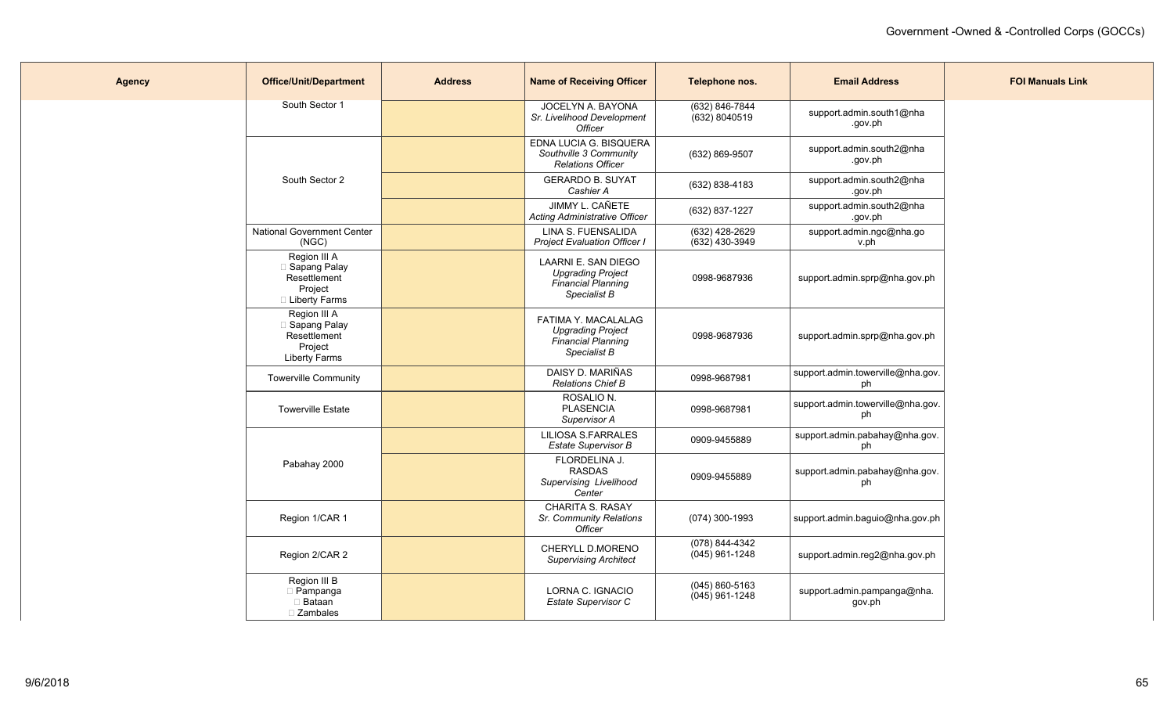| <b>Agency</b> | <b>Office/Unit/Department</b>                                                     | <b>Address</b> | <b>Name of Receiving Officer</b>                                                             | Telephone nos.                         | <b>Email Address</b>                    | <b>FOI Manuals Link</b> |
|---------------|-----------------------------------------------------------------------------------|----------------|----------------------------------------------------------------------------------------------|----------------------------------------|-----------------------------------------|-------------------------|
|               | South Sector 1                                                                    |                | JOCELYN A. BAYONA<br>Sr. Livelihood Development<br>Officer                                   | (632) 846-7844<br>(632) 8040519        | support.admin.south1@nha<br>.gov.ph     |                         |
|               |                                                                                   |                | EDNA LUCIA G. BISQUERA<br>Southville 3 Community<br><b>Relations Officer</b>                 | (632) 869-9507                         | support.admin.south2@nha<br>.gov.ph     |                         |
|               | South Sector 2                                                                    |                | <b>GERARDO B. SUYAT</b><br>Cashier A                                                         | (632) 838-4183                         | support.admin.south2@nha<br>.gov.ph     |                         |
|               |                                                                                   |                | JIMMY L. CAÑETE<br><b>Acting Administrative Officer</b>                                      | (632) 837-1227                         | support.admin.south2@nha<br>.gov.ph     |                         |
|               | <b>National Government Center</b><br>(NGC)                                        |                | LINA S. FUENSALIDA<br><b>Project Evaluation Officer I</b>                                    | (632) 428-2629<br>$(632)$ 430-3949     | support.admin.ngc@nha.go<br>v.ph        |                         |
|               | Region III A<br>□ Sapang Palay<br>Resettlement<br>Project<br>□ Liberty Farms      |                | LAARNI E. SAN DIEGO<br><b>Upgrading Project</b><br>Financial Planning<br>Specialist B        | 0998-9687936                           | support.admin.sprp@nha.gov.ph           |                         |
|               | Region III A<br>□ Sapang Palay<br>Resettlement<br>Project<br><b>Liberty Farms</b> |                | FATIMA Y. MACALALAG<br><b>Upgrading Project</b><br><b>Financial Planning</b><br>Specialist B | 0998-9687936                           | support.admin.sprp@nha.gov.ph           |                         |
|               | <b>Towerville Community</b>                                                       |                | DAISY D. MARIÑAS<br><b>Relations Chief B</b>                                                 | 0998-9687981                           | support.admin.towerville@nha.gov.<br>ph |                         |
|               | <b>Towerville Estate</b>                                                          |                | ROSALIO N.<br><b>PLASENCIA</b><br>Supervisor A                                               | 0998-9687981                           | support.admin.towerville@nha.gov.<br>ph |                         |
|               |                                                                                   |                | <b>LILIOSA S.FARRALES</b><br><b>Estate Supervisor B</b>                                      | 0909-9455889                           | support.admin.pabahay@nha.gov.<br>ph    |                         |
|               | Pabahay 2000                                                                      |                | FLORDELINA J.<br><b>RASDAS</b><br>Supervising Livelihood<br>Center                           | 0909-9455889                           | support.admin.pabahay@nha.gov.<br>ph    |                         |
|               | Region 1/CAR 1                                                                    |                | <b>CHARITA S. RASAY</b><br>Sr. Community Relations<br><b>Officer</b>                         | (074) 300-1993                         | support.admin.baguio@nha.gov.ph         |                         |
|               | Region 2/CAR 2                                                                    |                | CHERYLL D.MORENO<br><b>Supervising Architect</b>                                             | (078) 844-4342<br>(045) 961-1248       | support.admin.reg2@nha.gov.ph           |                         |
|               | Region III B<br>D Pampanga<br>$\Box$ Bataan<br>□ Zambales                         |                | LORNA C. IGNACIO<br>Estate Supervisor C                                                      | $(045) 860 - 5163$<br>$(045)$ 961-1248 | support.admin.pampanga@nha.<br>gov.ph   |                         |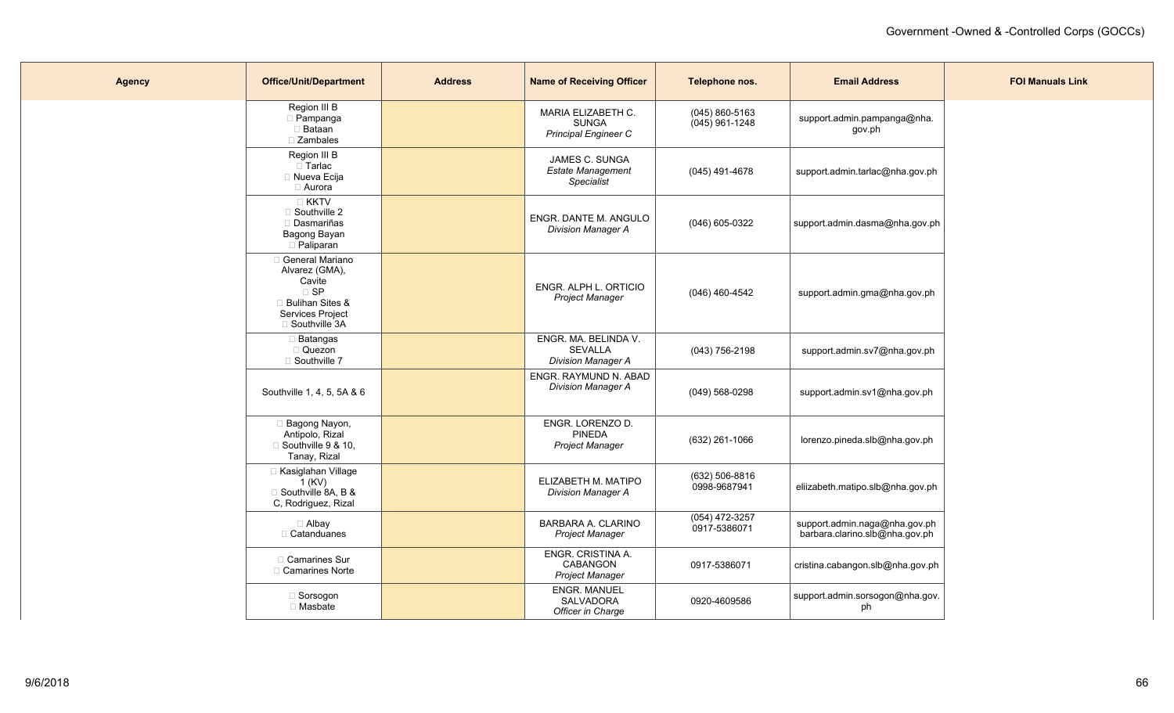| <b>Agency</b> | <b>Office/Unit/Department</b>                                                                                                    | <b>Address</b> | <b>Name of Receiving Officer</b>                                         | Telephone nos.                         | <b>Email Address</b>                                            | <b>FOI Manuals Link</b> |
|---------------|----------------------------------------------------------------------------------------------------------------------------------|----------------|--------------------------------------------------------------------------|----------------------------------------|-----------------------------------------------------------------|-------------------------|
|               | Region III B<br>$\Box$ Pampanga<br>□ Bataan<br>$\Box$ Zambales                                                                   |                | <b>MARIA ELIZABETH C.</b><br><b>SUNGA</b><br><b>Principal Engineer C</b> | $(045) 860 - 5163$<br>$(045)$ 961-1248 | support.admin.pampanga@nha.<br>gov.ph                           |                         |
|               | Region III B<br>□ Tarlac<br>$\Box$ Nueva Ecija<br>□ Aurora                                                                       |                | JAMES C. SUNGA<br><b>Estate Management</b><br>Specialist                 | (045) 491-4678                         | support.admin.tarlac@nha.gov.ph                                 |                         |
|               | <b>EXKTV</b><br>□ Southville 2<br>Dasmariñas<br>Bagong Bayan<br>Paliparan                                                        |                | ENGR. DANTE M. ANGULO<br><b>Division Manager A</b>                       | (046) 605-0322                         | support.admin.dasma@nha.gov.ph                                  |                         |
|               | General Mariano<br>Alvarez (GMA),<br>Cavite<br>$\square$ SP<br><b>Bulihan Sites &amp;</b><br>Services Project<br>□ Southville 3A |                | ENGR. ALPH L. ORTICIO<br><b>Project Manager</b>                          | (046) 460-4542                         | support.admin.gma@nha.gov.ph                                    |                         |
|               | □ Batangas<br>Quezon<br>□ Southville 7                                                                                           |                | ENGR. MA. BELINDA V.<br><b>SEVALLA</b><br><b>Division Manager A</b>      | (043) 756-2198                         | support.admin.sv7@nha.gov.ph                                    |                         |
|               | Southville 1, 4, 5, 5A & 6                                                                                                       |                | ENGR. RAYMUND N. ABAD<br><b>Division Manager A</b>                       | $(049)$ 568-0298                       | support.admin.sv1@nha.gov.ph                                    |                         |
|               | <b>Bagong Nayon,</b><br>Antipolo, Rizal<br>$\Box$ Southville 9 & 10,<br>Tanay, Rizal                                             |                | ENGR. LORENZO D.<br><b>PINEDA</b><br><b>Project Manager</b>              | (632) 261-1066                         | lorenzo.pineda.slb@nha.gov.ph                                   |                         |
|               | □ Kasiglahan Village<br>$1$ (KV)<br>□ Southville 8A, B &<br>C, Rodriguez, Rizal                                                  |                | ELIZABETH M. MATIPO<br><b>Division Manager A</b>                         | (632) 506-8816<br>0998-9687941         | eliizabeth.matipo.slb@nha.gov.ph                                |                         |
|               | □ Albay<br>□ Catanduanes                                                                                                         |                | BARBARA A. CLARINO<br><b>Project Manager</b>                             | (054) 472-3257<br>0917-5386071         | support.admin.naga@nha.gov.ph<br>barbara.clarino.slb@nha.gov.ph |                         |
|               | □ Camarines Sur<br>□ Camarines Norte                                                                                             |                | ENGR. CRISTINA A.<br><b>CABANGON</b><br><b>Project Manager</b>           | 0917-5386071                           | cristina.cabangon.slb@nha.gov.ph                                |                         |
|               | □ Sorsogon<br>□ Masbate                                                                                                          |                | <b>ENGR. MANUEL</b><br>SALVADORA<br>Officer in Charge                    | 0920-4609586                           | support.admin.sorsogon@nha.gov.<br>ph                           |                         |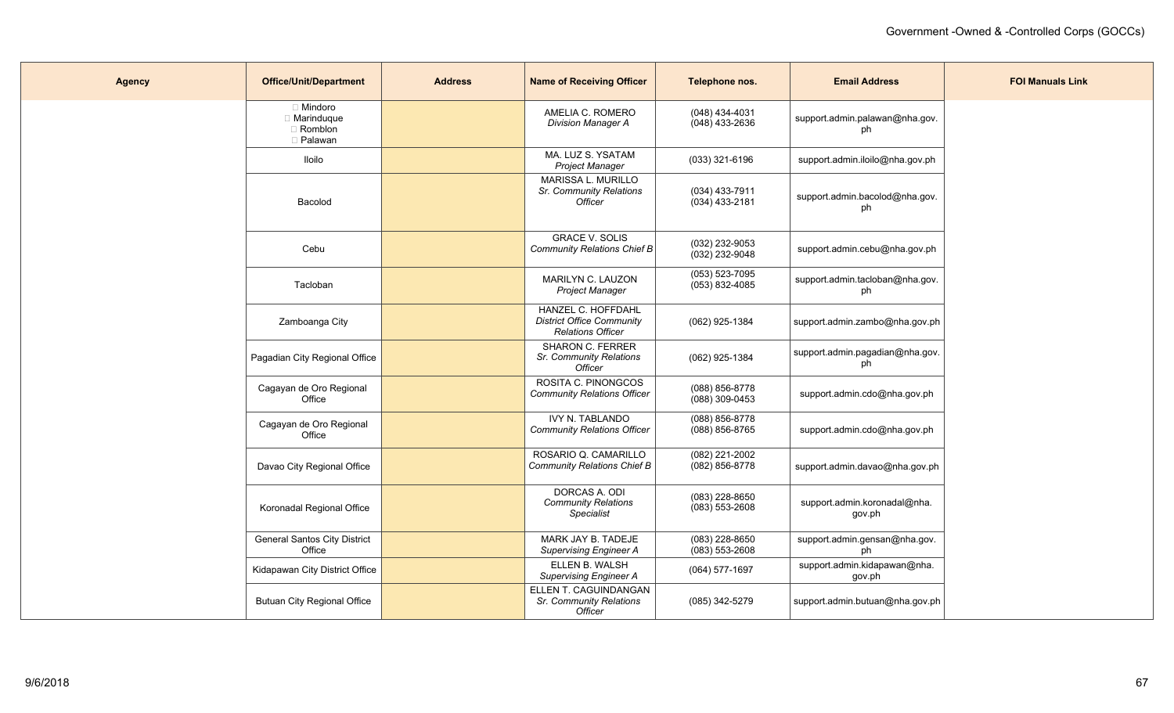| <b>Agency</b> | <b>Office/Unit/Department</b>                            | <b>Address</b> | <b>Name of Receiving Officer</b>                                                   | Telephone nos.                         | <b>Email Address</b>                   | <b>FOI Manuals Link</b> |
|---------------|----------------------------------------------------------|----------------|------------------------------------------------------------------------------------|----------------------------------------|----------------------------------------|-------------------------|
|               | $\Box$ Mindoro<br>□ Marinduque<br>□ Romblon<br>□ Palawan |                | AMELIA C. ROMERO<br><b>Division Manager A</b>                                      | $(048)$ 434-4031<br>$(048)$ 433-2636   | support.admin.palawan@nha.gov.<br>ph   |                         |
|               | lloilo                                                   |                | MA. LUZ S. YSATAM<br><b>Project Manager</b>                                        | $(033)$ 321-6196                       | support.admin.iloilo@nha.gov.ph        |                         |
|               | Bacolod                                                  |                | <b>MARISSA L. MURILLO</b><br>Sr. Community Relations<br><b>Officer</b>             | $(034)$ 433-7911<br>$(034)$ 433-2181   | support.admin.bacolod@nha.gov.<br>ph   |                         |
|               | Cebu                                                     |                | <b>GRACE V. SOLIS</b><br>Community Relations Chief B                               | (032) 232-9053<br>(032) 232-9048       | support.admin.cebu@nha.gov.ph          |                         |
|               | Tacloban                                                 |                | MARILYN C. LAUZON<br>Project Manager                                               | $(053) 523 - 7095$<br>$(053)$ 832-4085 | support.admin.tacloban@nha.gov.<br>ph  |                         |
|               | Zamboanga City                                           |                | HANZEL C. HOFFDAHL<br><b>District Office Community</b><br><b>Relations Officer</b> | (062) 925-1384                         | support.admin.zambo@nha.gov.ph         |                         |
|               | Pagadian City Regional Office                            |                | <b>SHARON C. FERRER</b><br>Sr. Community Relations<br><b>Officer</b>               | (062) 925-1384                         | support.admin.pagadian@nha.gov.<br>ph  |                         |
|               | Cagayan de Oro Regional<br>Office                        |                | ROSITA C. PINONGCOS<br><b>Community Relations Officer</b>                          | (088) 856-8778<br>$(088)$ 309-0453     | support.admin.cdo@nha.gov.ph           |                         |
|               | Cagayan de Oro Regional<br>Office                        |                | <b>IVY N. TABLANDO</b><br><b>Community Relations Officer</b>                       | (088) 856-8778<br>$(088)$ 856-8765     | support.admin.cdo@nha.gov.ph           |                         |
|               | Davao City Regional Office                               |                | ROSARIO Q. CAMARILLO<br>Community Relations Chief B                                | (082) 221-2002<br>$(082)$ 856-8778     | support.admin.davao@nha.gov.ph         |                         |
|               | Koronadal Regional Office                                |                | DORCAS A. ODI<br><b>Community Relations</b><br>Specialist                          | (083) 228-8650<br>$(083)$ 553-2608     | support.admin.koronadal@nha.<br>gov.ph |                         |
|               | <b>General Santos City District</b><br>Office            |                | MARK JAY B. TADEJE<br><b>Supervising Engineer A</b>                                | $(083)$ 228-8650<br>$(083)$ 553-2608   | support.admin.gensan@nha.gov.<br>ph    |                         |
|               | Kidapawan City District Office                           |                | ELLEN B. WALSH<br><b>Supervising Engineer A</b>                                    | (064) 577-1697                         | support.admin.kidapawan@nha.<br>gov.ph |                         |
|               | <b>Butuan City Regional Office</b>                       |                | ELLEN T. CAGUINDANGAN<br>Sr. Community Relations<br>Officer                        | (085) 342-5279                         | support.admin.butuan@nha.gov.ph        |                         |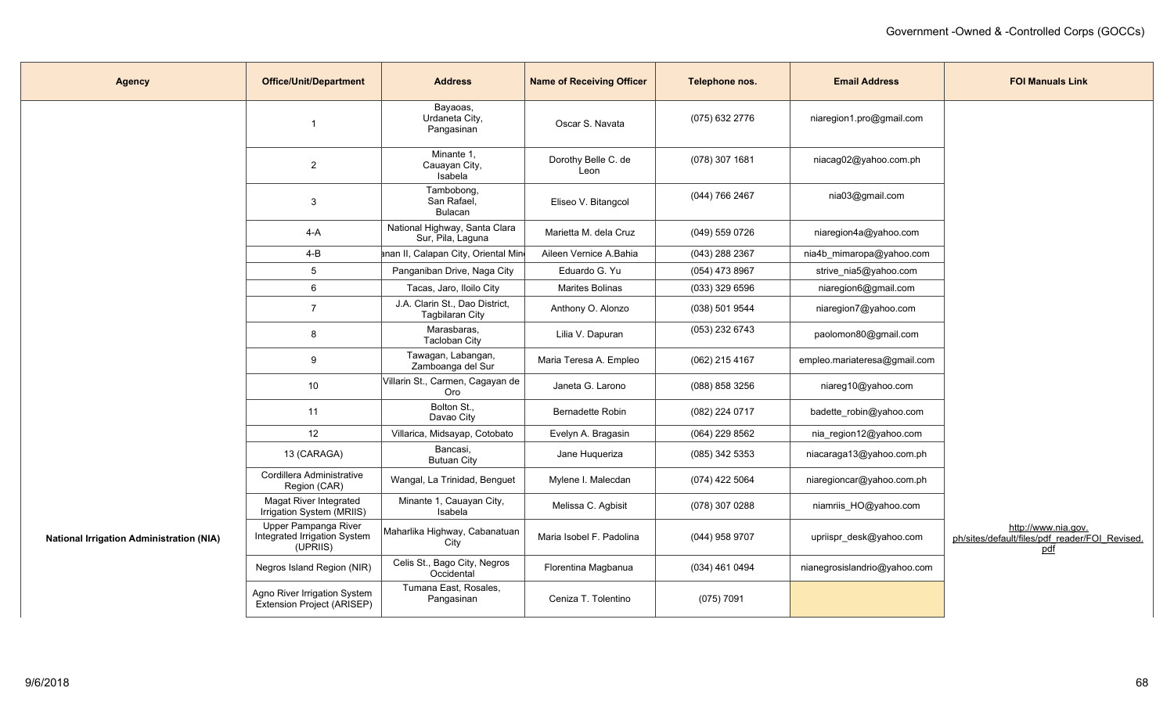| <b>Agency</b>                                   | <b>Office/Unit/Department</b>                                    | <b>Address</b>                                           | <b>Name of Receiving Officer</b> | Telephone nos.   | <b>Email Address</b>         | <b>FOI Manuals Link</b>                                                      |
|-------------------------------------------------|------------------------------------------------------------------|----------------------------------------------------------|----------------------------------|------------------|------------------------------|------------------------------------------------------------------------------|
|                                                 |                                                                  | Bayaoas,<br>Urdaneta City,<br>Pangasinan                 | Oscar S. Navata                  | (075) 632 2776   | niaregion1.pro@gmail.com     |                                                                              |
|                                                 | $\overline{2}$                                                   | Minante 1,<br>Cauayan City,<br>Isabela                   | Dorothy Belle C. de<br>Leon      | (078) 307 1681   | niacag02@yahoo.com.ph        |                                                                              |
|                                                 | 3                                                                | Tambobong,<br>San Rafael,<br>Bulacan                     | Eliseo V. Bitangcol              | (044) 766 2467   | nia03@gmail.com              |                                                                              |
|                                                 | 4-A                                                              | National Highway, Santa Clara<br>Sur, Pila, Laguna       | Marietta M. dela Cruz            | (049) 559 0726   | niaregion4a@yahoo.com        |                                                                              |
|                                                 | $4 - B$                                                          | anan II, Calapan City, Oriental Min                      | Aileen Vernice A.Bahia           | (043) 288 2367   | nia4b_mimaropa@yahoo.com     |                                                                              |
|                                                 | $5\phantom{.0}$                                                  | Panganiban Drive, Naga City                              | Eduardo G. Yu                    | (054) 473 8967   | strive_nia5@yahoo.com        |                                                                              |
|                                                 | 6                                                                | Tacas, Jaro, Iloilo City                                 | Marites Bolinas                  | (033) 329 6596   | niaregion6@gmail.com         |                                                                              |
|                                                 | $\overline{7}$                                                   | J.A. Clarin St., Dao District,<br><b>Tagbilaran City</b> | Anthony O. Alonzo                | $(038)$ 501 9544 | niaregion7@yahoo.com         |                                                                              |
|                                                 | 8                                                                | Marasbaras,<br>Tacloban City                             | Lilia V. Dapuran                 | (053) 232 6743   | paolomon80@gmail.com         |                                                                              |
|                                                 | 9                                                                | Tawagan, Labangan,<br>Zamboanga del Sur                  | Maria Teresa A. Empleo           | (062) 215 4167   | empleo.mariateresa@gmail.com |                                                                              |
|                                                 | 10 <sup>°</sup>                                                  | Villarin St., Carmen, Cagayan de<br>Oro                  | Janeta G. Larono                 | (088) 858 3256   | niareg10@yahoo.com           |                                                                              |
|                                                 | 11                                                               | Bolton St.,<br>Davao City                                | <b>Bernadette Robin</b>          | (082) 224 0717   | badette_robin@yahoo.com      |                                                                              |
|                                                 | 12                                                               | Villarica, Midsayap, Cotobato                            | Evelyn A. Bragasin               | (064) 229 8562   | nia_region12@yahoo.com       |                                                                              |
|                                                 | 13 (CARAGA)                                                      | Bancasi,<br><b>Butuan City</b>                           | Jane Huqueriza                   | (085) 342 5353   | niacaraga13@yahoo.com.ph     |                                                                              |
|                                                 | Cordillera Administrative<br>Region (CAR)                        | Wangal, La Trinidad, Benguet                             | Mylene I. Malecdan               | (074) 422 5064   | niaregioncar@yahoo.com.ph    |                                                                              |
|                                                 | Magat River Integrated<br>Irrigation System (MRIIS)              | Minante 1, Cauayan City,<br>Isabela                      | Melissa C. Agbisit               | (078) 307 0288   | niamriis_HO@yahoo.com        |                                                                              |
| <b>National Irrigation Administration (NIA)</b> | Upper Pampanga River<br>Integrated Irrigation System<br>(UPRIIS) | Maharlika Highway, Cabanatuan<br>City                    | Maria Isobel F. Padolina         | (044) 958 9707   | upriispr_desk@yahoo.com      | http://www.nia.gov.<br>ph/sites/default/files/pdf reader/FOI Revised.<br>pdf |
|                                                 | Negros Island Region (NIR)                                       | Celis St., Bago City, Negros<br>Occidental               | Florentina Magbanua              | (034) 461 0494   | nianegrosislandrio@yahoo.com |                                                                              |
|                                                 | Agno River Irrigation System<br>Extension Project (ARISEP)       | Tumana East, Rosales,<br>Pangasinan                      | Ceniza T. Tolentino              | (075) 7091       |                              |                                                                              |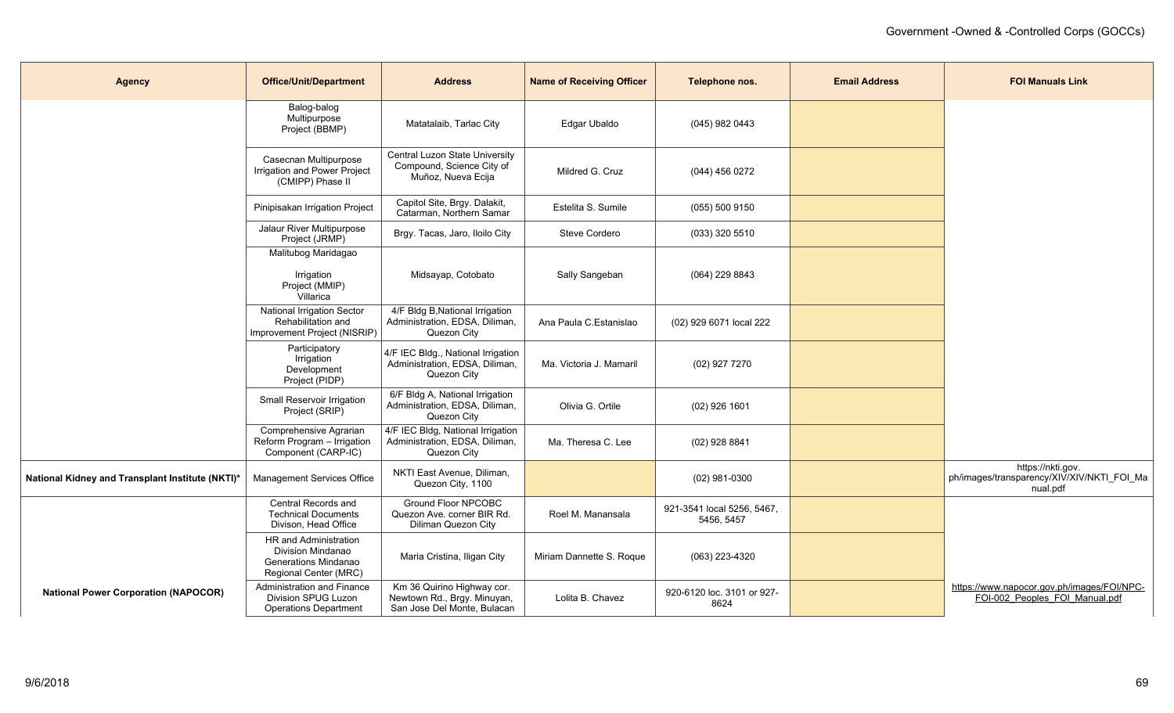| <b>Agency</b>                                    | <b>Office/Unit/Department</b>                                                                      | <b>Address</b>                                                                           | <b>Name of Receiving Officer</b> | Telephone nos.                           | <b>Email Address</b> | <b>FOI Manuals Link</b>                                                      |
|--------------------------------------------------|----------------------------------------------------------------------------------------------------|------------------------------------------------------------------------------------------|----------------------------------|------------------------------------------|----------------------|------------------------------------------------------------------------------|
|                                                  | Balog-balog<br>Multipurpose<br>Project (BBMP)                                                      | Matatalaib, Tarlac City                                                                  | Edgar Ubaldo                     | (045) 982 0443                           |                      |                                                                              |
|                                                  | Casecnan Multipurpose<br>Irrigation and Power Project<br>(CMIPP) Phase II                          | Central Luzon State University<br>Compound, Science City of<br>Muñoz, Nueva Ecija        | Mildred G. Cruz                  | (044) 456 0272                           |                      |                                                                              |
|                                                  | Pinipisakan Irrigation Project                                                                     | Capitol Site, Brgy. Dalakit,<br>Catarman, Northern Samar                                 | Estelita S. Sumile               | (055) 500 9150                           |                      |                                                                              |
|                                                  | Jalaur River Multipurpose<br>Project (JRMP)                                                        | Brgy. Tacas, Jaro, Iloilo City                                                           | <b>Steve Cordero</b>             | (033) 320 5510                           |                      |                                                                              |
|                                                  | Malitubog Maridagao<br>Irrigation<br>Project (MMIP)<br>Villarica                                   | Midsayap, Cotobato                                                                       | Sally Sangeban                   | (064) 229 8843                           |                      |                                                                              |
|                                                  | <b>National Irrigation Sector</b><br>Rehabilitation and<br>Improvement Project (NISRIP)            | 4/F Bldg B, National Irrigation<br>Administration, EDSA, Diliman,<br>Quezon City         | Ana Paula C.Estanislao           | (02) 929 6071 local 222                  |                      |                                                                              |
|                                                  | Participatory<br>Irrigation<br>Development<br>Project (PIDP)                                       | 4/F IEC Bldg., National Irrigation<br>Administration, EDSA, Diliman,<br>Quezon City      | Ma. Victoria J. Mamaril          | (02) 927 7270                            |                      |                                                                              |
|                                                  | Small Reservoir Irrigation<br>Project (SRIP)                                                       | 6/F Bldg A, National Irrigation<br>Administration, EDSA, Diliman,<br>Quezon City         | Olivia G. Ortile                 | $(02)$ 926 1601                          |                      |                                                                              |
|                                                  | Comprehensive Agrarian<br>Reform Program - Irrigation<br>Component (CARP-IC)                       | 4/F IEC Bldg, National Irrigation<br>Administration, EDSA, Diliman,<br>Quezon City       | Ma. Theresa C. Lee               | $(02)$ 928 8841                          |                      |                                                                              |
| National Kidney and Transplant Institute (NKTI)* | Management Services Office                                                                         | NKTI East Avenue, Diliman,<br>Quezon City, 1100                                          |                                  | $(02)$ 981-0300                          |                      | https://nkti.gov.<br>ph/images/transparency/XIV/XIV/NKTI_FOI_Ma<br>nual.pdf  |
|                                                  | Central Records and<br><b>Technical Documents</b><br>Divison, Head Office                          | <b>Ground Floor NPCOBC</b><br>Quezon Ave. corner BIR Rd.<br>Diliman Quezon City          | Roel M. Manansala                | 921-3541 local 5256, 5467,<br>5456, 5457 |                      |                                                                              |
|                                                  | HR and Administration<br>Division Mindanao<br><b>Generations Mindanao</b><br>Regional Center (MRC) | Maria Cristina, Iligan City                                                              | Miriam Dannette S. Roque         | (063) 223-4320                           |                      |                                                                              |
| <b>National Power Corporation (NAPOCOR)</b>      | <b>Administration and Finance</b><br>Division SPUG Luzon<br><b>Operations Department</b>           | Km 36 Quirino Highway cor.<br>Newtown Rd., Brgy. Minuyan,<br>San Jose Del Monte, Bulacan | Lolita B. Chavez                 | 920-6120 loc. 3101 or 927-<br>8624       |                      | https://www.napocor.gov.ph/images/FOI/NPC-<br>FOI-002 Peoples FOI Manual.pdf |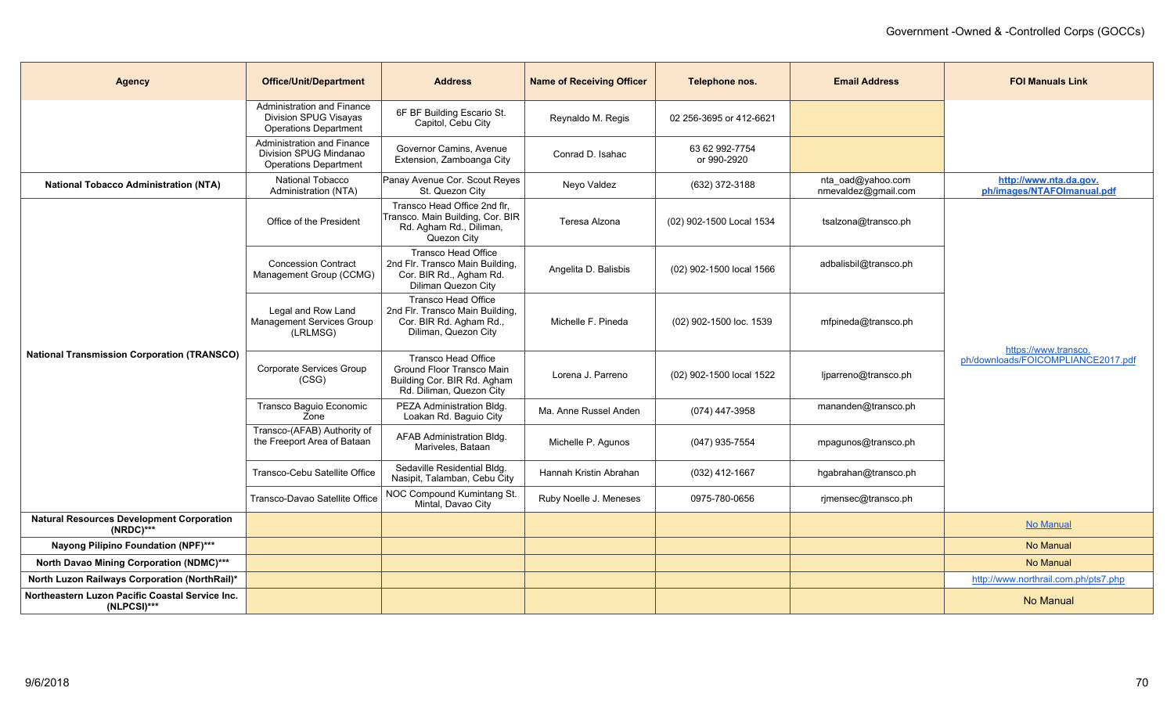| <b>Agency</b>                                                    | <b>Office/Unit/Department</b>                                                              | <b>Address</b>                                                                                                   | <b>Name of Receiving Officer</b> | Telephone nos.                | <b>Email Address</b>                     | <b>FOI Manuals Link</b>                                    |
|------------------------------------------------------------------|--------------------------------------------------------------------------------------------|------------------------------------------------------------------------------------------------------------------|----------------------------------|-------------------------------|------------------------------------------|------------------------------------------------------------|
|                                                                  | Administration and Finance<br><b>Division SPUG Visayas</b><br><b>Operations Department</b> | 6F BF Building Escario St.<br>Capitol, Cebu City                                                                 | Reynaldo M. Regis                | 02 256-3695 or 412-6621       |                                          |                                                            |
|                                                                  | Administration and Finance<br>Division SPUG Mindanao<br><b>Operations Department</b>       | Governor Camins, Avenue<br>Extension, Zamboanga City                                                             | Conrad D. Isahac                 | 63 62 992-7754<br>or 990-2920 |                                          |                                                            |
| <b>National Tobacco Administration (NTA)</b>                     | National Tobacco<br>Administration (NTA)                                                   | Panay Avenue Cor. Scout Reyes<br>St. Quezon City                                                                 | Neyo Valdez                      | (632) 372-3188                | nta_oad@yahoo.com<br>nmevaldez@gmail.com | http://www.nta.da.gov.<br>ph/images/NTAFOImanual.pdf       |
|                                                                  | Office of the President                                                                    | Transco Head Office 2nd flr,<br>Transco. Main Building, Cor. BIR<br>Rd. Agham Rd., Diliman,<br>Quezon City       | Teresa Alzona                    | (02) 902-1500 Local 1534      | tsalzona@transco.ph                      |                                                            |
|                                                                  | <b>Concession Contract</b><br>Management Group (CCMG)                                      | <b>Transco Head Office</b><br>2nd Flr. Transco Main Building,<br>Cor. BIR Rd., Agham Rd.<br>Diliman Quezon City  | Angelita D. Balisbis             | (02) 902-1500 local 1566      | adbalisbil@transco.ph                    | https://www.transco.<br>ph/downloads/FOICOMPLIANCE2017.pdf |
|                                                                  | Legal and Row Land<br>Management Services Group<br>(LRLMSG)                                | <b>Transco Head Office</b><br>2nd Flr. Transco Main Building,<br>Cor. BIR Rd. Agham Rd.,<br>Diliman, Quezon City | Michelle F. Pineda               | (02) 902-1500 loc. 1539       | mfpineda@transco.ph                      |                                                            |
| <b>National Transmission Corporation (TRANSCO)</b>               | Corporate Services Group<br>(CSG)                                                          | Transco Head Office<br>Ground Floor Transco Main<br>Building Cor. BIR Rd. Agham<br>Rd. Diliman, Quezon City      | Lorena J. Parreno                | (02) 902-1500 local 1522      | ljparreno@transco.ph                     |                                                            |
|                                                                  | Transco Baguio Economic<br>Zone                                                            | PEZA Administration Bldg.<br>Loakan Rd. Baguio City                                                              | Ma. Anne Russel Anden            | (074) 447-3958                | mananden@transco.ph                      |                                                            |
|                                                                  | Transco-(AFAB) Authority of<br>the Freeport Area of Bataan                                 | AFAB Administration Bldg.<br>Mariveles, Bataan                                                                   | Michelle P. Agunos               | (047) 935-7554                | mpagunos@transco.ph                      |                                                            |
|                                                                  | Transco-Cebu Satellite Office                                                              | Sedaville Residential Bldg.<br>Nasipit, Talamban, Cebu City                                                      | Hannah Kristin Abrahan           | $(032)$ 412-1667              | hgabrahan@transco.ph                     |                                                            |
|                                                                  | Transco-Davao Satellite Office                                                             | NOC Compound Kumintang St.<br>Mintal, Davao City                                                                 | Ruby Noelle J. Meneses           | 0975-780-0656                 | rjmensec@transco.ph                      |                                                            |
| <b>Natural Resources Development Corporation</b><br>$(NRDC)$ *** |                                                                                            |                                                                                                                  |                                  |                               |                                          | No Manual                                                  |
| Nayong Pilipino Foundation (NPF)***                              |                                                                                            |                                                                                                                  |                                  |                               |                                          | <b>No Manual</b>                                           |
| <b>North Davao Mining Corporation (NDMC)***</b>                  |                                                                                            |                                                                                                                  |                                  |                               |                                          | No Manual                                                  |
| North Luzon Railways Corporation (NorthRail)*                    |                                                                                            |                                                                                                                  |                                  |                               |                                          | http://www.northrail.com.ph/pts7.php                       |
| Northeastern Luzon Pacific Coastal Service Inc.<br>$(NLPCSI)***$ |                                                                                            |                                                                                                                  |                                  |                               |                                          | No Manual                                                  |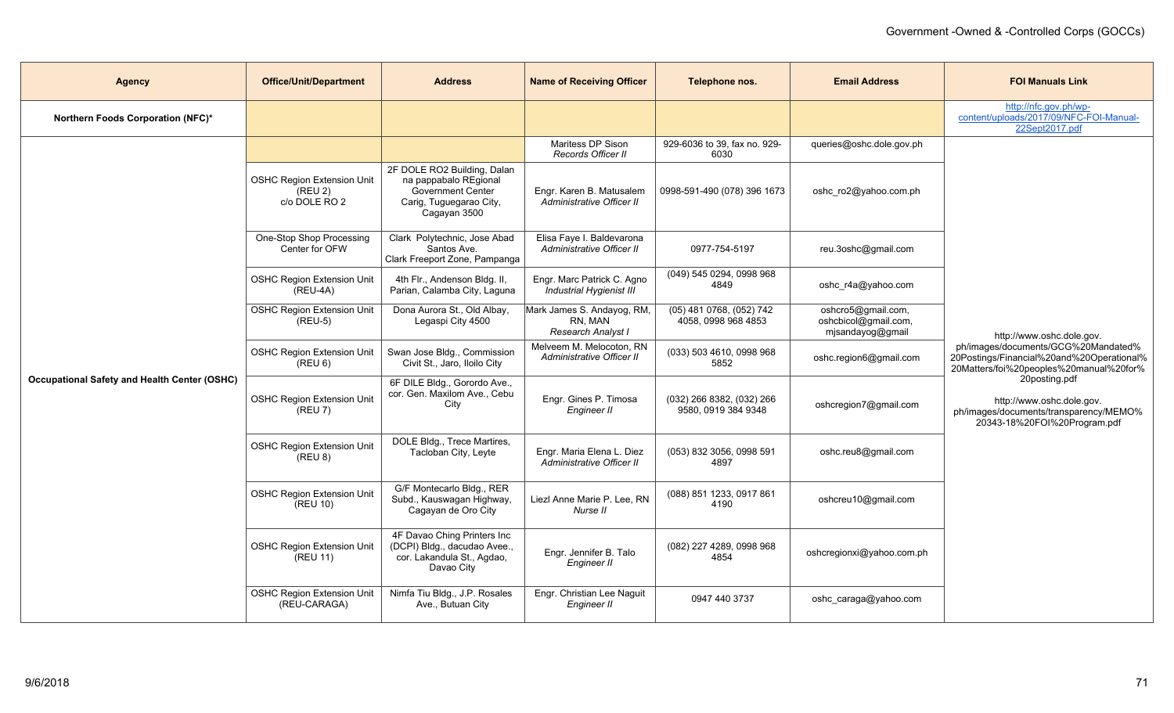| <b>Agency</b>                                       | <b>Office/Unit/Department</b>                                 | <b>Address</b>                                                                                                       | <b>Name of Receiving Officer</b>                            | Telephone nos.                                   | <b>Email Address</b>                                           | <b>FOI Manuals Link</b>                                                                                                                                                                                                                                                          |
|-----------------------------------------------------|---------------------------------------------------------------|----------------------------------------------------------------------------------------------------------------------|-------------------------------------------------------------|--------------------------------------------------|----------------------------------------------------------------|----------------------------------------------------------------------------------------------------------------------------------------------------------------------------------------------------------------------------------------------------------------------------------|
| Northern Foods Corporation (NFC)*                   |                                                               |                                                                                                                      |                                                             |                                                  |                                                                | http://nfc.gov.ph/wp-<br>content/uploads/2017/09/NFC-FOI-Manual-<br>22Sept2017.pdf                                                                                                                                                                                               |
|                                                     |                                                               |                                                                                                                      | Maritess DP Sison<br>Records Officer II                     | 929-6036 to 39, fax no. 929-<br>6030             | queries@oshc.dole.gov.ph                                       |                                                                                                                                                                                                                                                                                  |
|                                                     | <b>OSHC Region Extension Unit</b><br>(REU 2)<br>c/o DOLE RO 2 | 2F DOLE RO2 Building, Dalan<br>na pappabalo REgional<br>Government Center<br>Carig, Tuguegarao City,<br>Cagayan 3500 | Engr. Karen B. Matusalem<br>Administrative Officer II       | 0998-591-490 (078) 396 1673                      | oshc_ro2@yahoo.com.ph                                          |                                                                                                                                                                                                                                                                                  |
|                                                     | One-Stop Shop Processing<br>Center for OFW                    | Clark Polytechnic, Jose Abad<br>Santos Ave.<br>Clark Freeport Zone, Pampanga                                         | Elisa Faye I. Baldevarona<br>Administrative Officer II      | 0977-754-5197                                    | reu.3oshc@gmail.com                                            |                                                                                                                                                                                                                                                                                  |
|                                                     | <b>OSHC Region Extension Unit</b><br>$(REU-4A)$               | 4th Flr., Andenson Bldg. II,<br>Parian, Calamba City, Laguna                                                         | Engr. Marc Patrick C. Agno<br>Industrial Hygienist III      | (049) 545 0294, 0998 968<br>4849                 | oshc_r4a@yahoo.com                                             | http://www.oshc.dole.gov.<br>ph/images/documents/GCG%20Mandated%<br>20Postings/Financial%20and%20Operational%<br>20Matters/foi%20peoples%20manual%20for%<br>20posting.pdf<br>http://www.oshc.dole.gov.<br>ph/images/documents/transparency/MEMO%<br>20343-18%20FOI%20Program.pdf |
|                                                     | <b>OSHC Region Extension Unit</b><br>$(REU-5)$                | Dona Aurora St., Old Albay,<br>Legaspi City 4500                                                                     | Mark James S. Andayog, RM,<br>RN, MAN<br>Research Analyst I | (05) 481 0768, (052) 742<br>4058, 0998 968 4853  | oshcro5@gmail.com,<br>oshcbicol@gmail.com,<br>mjsandayog@gmail |                                                                                                                                                                                                                                                                                  |
|                                                     | <b>OSHC Region Extension Unit</b><br>(REU 6)                  | Swan Jose Bldg., Commission<br>Civit St., Jaro, Iloilo City                                                          | Melveem M. Melocoton, RN<br>Administrative Officer II       | (033) 503 4610, 0998 968<br>5852                 | oshc.region6@gmail.com                                         |                                                                                                                                                                                                                                                                                  |
| <b>Occupational Safety and Health Center (OSHC)</b> | <b>OSHC Region Extension Unit</b><br>$K$ (REU 7)              | 6F DILE Bldg., Gorordo Ave.,<br>cor. Gen. Maxilom Ave., Cebu<br>City                                                 | Engr. Gines P. Timosa<br>Engineer II                        | (032) 266 8382, (032) 266<br>9580, 0919 384 9348 | oshcregion7@gmail.com                                          |                                                                                                                                                                                                                                                                                  |
|                                                     | <b>OSHC Region Extension Unit</b><br>(REU 8)                  | DOLE Bldg., Trece Martires,<br>Tacloban City, Leyte                                                                  | Engr. Maria Elena L. Diez<br>Administrative Officer II      | (053) 832 3056, 0998 591<br>4897                 | oshc.reu8@gmail.com                                            |                                                                                                                                                                                                                                                                                  |
|                                                     | <b>OSHC Region Extension Unit</b><br>(REU 10)                 | G/F Montecarlo Bldg., RER<br>Subd., Kauswagan Highway,<br>Cagayan de Oro City                                        | Liezl Anne Marie P. Lee, RN<br>Nurse II                     | (088) 851 1233, 0917 861<br>4190                 | oshcreu10@gmail.com                                            |                                                                                                                                                                                                                                                                                  |
|                                                     | <b>OSHC Region Extension Unit</b><br>(REU 11)                 | 4F Davao Ching Printers Inc<br>(DCPI) Bldg., dacudao Avee.,<br>cor. Lakandula St., Agdao,<br>Davao City              | Engr. Jennifer B. Talo<br>Engineer II                       | (082) 227 4289, 0998 968<br>4854                 | oshcregionxi@yahoo.com.ph                                      |                                                                                                                                                                                                                                                                                  |
|                                                     | <b>OSHC Region Extension Unit</b><br>(REU-CARAGA)             | Nimfa Tiu Bldg., J.P. Rosales<br>Ave., Butuan City                                                                   | Engr. Christian Lee Naguit<br>Engineer II                   | 0947 440 3737                                    | oshc_caraga@yahoo.com                                          |                                                                                                                                                                                                                                                                                  |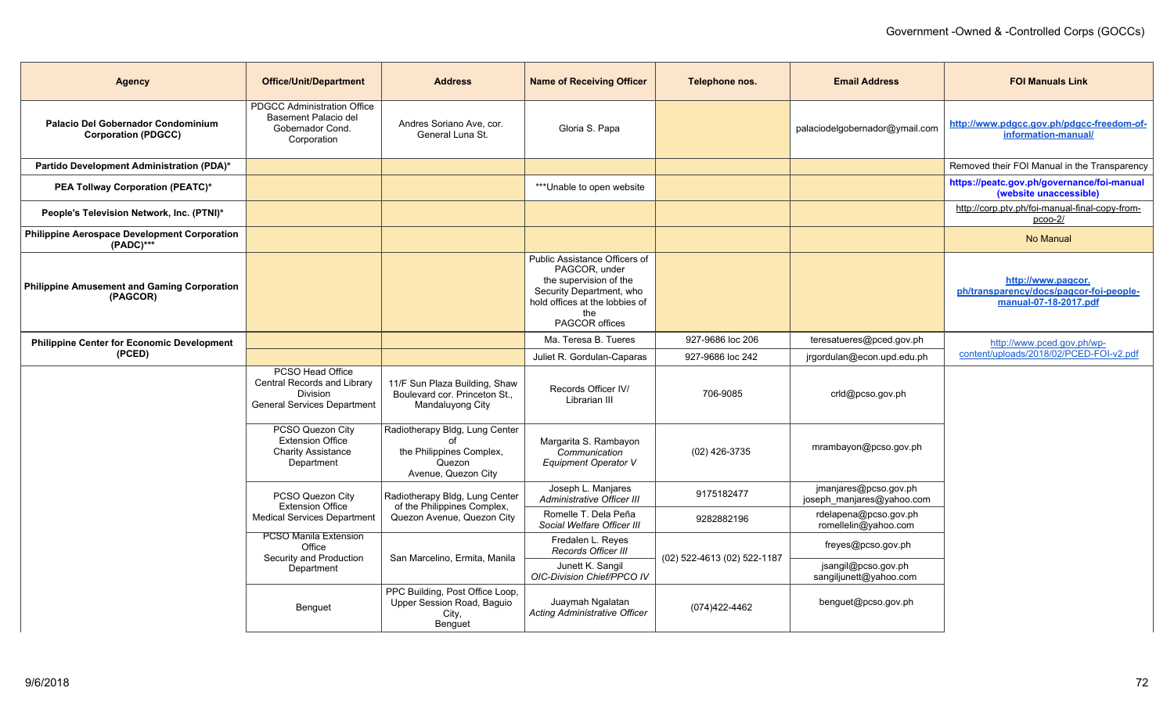| <b>Agency</b>                                                           | <b>Office/Unit/Department</b>                                                                            | <b>Address</b>                                                                              | <b>Name of Receiving Officer</b>                                                                                                                                | Telephone nos.              | <b>Email Address</b>                               | <b>FOI Manuals Link</b>                                                                |
|-------------------------------------------------------------------------|----------------------------------------------------------------------------------------------------------|---------------------------------------------------------------------------------------------|-----------------------------------------------------------------------------------------------------------------------------------------------------------------|-----------------------------|----------------------------------------------------|----------------------------------------------------------------------------------------|
| <b>Palacio Del Gobernador Condominium</b><br><b>Corporation (PDGCC)</b> | <b>PDGCC Administration Office</b><br>Basement Palacio del<br>Gobernador Cond.<br>Corporation            | Andres Soriano Ave. cor.<br>General Luna St.                                                | Gloria S. Papa                                                                                                                                                  |                             | palaciodelgobernador@ymail.com                     | http://www.pdgcc.gov.ph/pdgcc-freedom-of-<br>information-manual/                       |
| Partido Development Administration (PDA)*                               |                                                                                                          |                                                                                             |                                                                                                                                                                 |                             |                                                    | Removed their FOI Manual in the Transparency                                           |
| <b>PEA Tollway Corporation (PEATC)*</b>                                 |                                                                                                          |                                                                                             | ***Unable to open website                                                                                                                                       |                             |                                                    | https://peatc.gov.ph/governance/foi-manual<br>(website unaccessible)                   |
| People's Television Network, Inc. (PTNI)*                               |                                                                                                          |                                                                                             |                                                                                                                                                                 |                             |                                                    | http://corp.ptv.ph/foi-manual-final-copy-from-<br>$p$ coo- $2/$                        |
| <b>Philippine Aerospace Development Corporation</b><br>$(PADC)$ ***     |                                                                                                          |                                                                                             |                                                                                                                                                                 |                             |                                                    | No Manual                                                                              |
| <b>Philippine Amusement and Gaming Corporation</b><br>(PAGCOR)          |                                                                                                          |                                                                                             | Public Assistance Officers of<br>PAGCOR, under<br>the supervision of the<br>Security Department, who<br>hold offices at the lobbies of<br>the<br>PAGCOR offices |                             |                                                    | http://www.pagcor.<br>ph/transparency/docs/pagcor-foi-people-<br>manual-07-18-2017.pdf |
| <b>Philippine Center for Economic Development</b>                       |                                                                                                          |                                                                                             | Ma. Teresa B. Tueres                                                                                                                                            | 927-9686 loc 206            | teresatueres@pced.gov.ph                           | http://www.pced.gov.ph/wp-                                                             |
| (PCED)                                                                  |                                                                                                          |                                                                                             | Juliet R. Gordulan-Caparas                                                                                                                                      | 927-9686 loc 242            | jrgordulan@econ.upd.edu.ph                         | content/uploads/2018/02/PCED-FOI-v2.pdf                                                |
|                                                                         | PCSO Head Office<br>Central Records and Library<br><b>Division</b><br><b>General Services Department</b> | 11/F Sun Plaza Building, Shaw<br>Boulevard cor. Princeton St.,<br>Mandaluyong City          | Records Officer IV/<br>Librarian III                                                                                                                            | 706-9085                    | crld@pcso.gov.ph                                   |                                                                                        |
|                                                                         | PCSO Quezon City<br><b>Extension Office</b><br><b>Charity Assistance</b><br>Department                   | Radiotherapy Bldg, Lung Center<br>the Philippines Complex,<br>Quezon<br>Avenue, Quezon City | Margarita S. Rambayon<br>Communication<br>Equipment Operator V                                                                                                  | (02) 426-3735               | mrambayon@pcso.gov.ph                              |                                                                                        |
|                                                                         | PCSO Quezon City<br><b>Extension Office</b>                                                              | Radiotherapy Bldg, Lung Center<br>of the Philippines Complex,                               | Joseph L. Manjares<br><b>Administrative Officer III</b>                                                                                                         | 9175182477                  | jmanjares@pcso.gov.ph<br>joseph_manjares@yahoo.com |                                                                                        |
|                                                                         | <b>Medical Services Department</b>                                                                       | Quezon Avenue, Quezon City                                                                  | Romelle T. Dela Peña<br>Social Welfare Officer III                                                                                                              | 9282882196                  | rdelapena@pcso.gov.ph<br>romellelin@yahoo.com      |                                                                                        |
|                                                                         | <b>PCSO Manila Extension</b><br>Office<br>Security and Production                                        | San Marcelino, Ermita, Manila                                                               | Fredalen L. Reyes<br>Records Officer III                                                                                                                        | (02) 522-4613 (02) 522-1187 | freyes@pcso.gov.ph                                 |                                                                                        |
|                                                                         | Department                                                                                               |                                                                                             | Junett K. Sangil<br>OIC-Division Chief/PPCO IV                                                                                                                  |                             | jsangil@pcso.gov.ph<br>sangiljunett@yahoo.com      |                                                                                        |
|                                                                         | Benguet                                                                                                  | PPC Building, Post Office Loop,<br>Upper Session Road, Baquio<br>City,<br>Benguet           | Juaymah Ngalatan<br>Acting Administrative Officer                                                                                                               | (074)422-4462               | benguet@pcso.gov.ph                                |                                                                                        |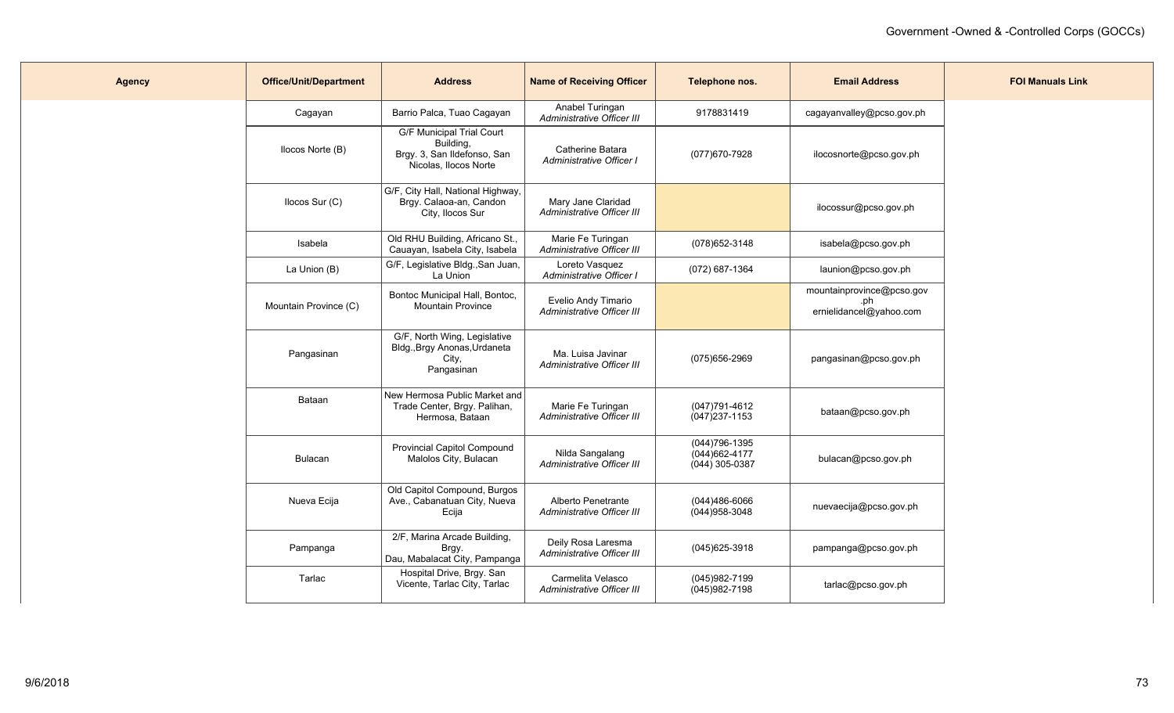| <b>Agency</b> | <b>Office/Unit/Department</b> | <b>Address</b>                                                                                        | <b>Name of Receiving Officer</b>                  | Telephone nos.                                       | <b>Email Address</b>                                        | <b>FOI Manuals Link</b> |
|---------------|-------------------------------|-------------------------------------------------------------------------------------------------------|---------------------------------------------------|------------------------------------------------------|-------------------------------------------------------------|-------------------------|
|               | Cagayan                       | Barrio Palca, Tuao Cagayan                                                                            | Anabel Turingan<br>Administrative Officer III     | 9178831419                                           | cagayanvalley@pcso.gov.ph                                   |                         |
|               | Ilocos Norte (B)              | <b>G/F Municipal Trial Court</b><br>Building,<br>Brgy. 3, San Ildefonso, San<br>Nicolas, Ilocos Norte | Catherine Batara<br>Administrative Officer I      | (077) 670-7928                                       | ilocosnorte@pcso.gov.ph                                     |                         |
|               | Ilocos Sur (C)                | G/F, City Hall, National Highway,<br>Brgy. Calaoa-an, Candon<br>City, Ilocos Sur                      | Mary Jane Claridad<br>Administrative Officer III  |                                                      | ilocossur@pcso.gov.ph                                       |                         |
|               | Isabela                       | Old RHU Building, Africano St.,<br>Cauayan, Isabela City, Isabela                                     | Marie Fe Turingan<br>Administrative Officer III   | (078) 652-3148                                       | isabela@pcso.gov.ph                                         |                         |
|               | La Union (B)                  | G/F, Legislative Bldg., San Juan,<br>La Union                                                         | Loreto Vasquez<br>Administrative Officer I        | (072) 687-1364                                       | launion@pcso.gov.ph                                         |                         |
|               | Mountain Province (C)         | Bontoc Municipal Hall, Bontoc,<br><b>Mountain Province</b>                                            | Evelio Andy Timario<br>Administrative Officer III |                                                      | mountainprovince@pcso.gov<br>.ph<br>ernielidancel@yahoo.com |                         |
|               | Pangasinan                    | G/F, North Wing, Legislative<br>Bldg., Brgy Anonas, Urdaneta<br>City,<br>Pangasinan                   | Ma. Luisa Javinar<br>Administrative Officer III   | (075)656-2969                                        | pangasinan@pcso.gov.ph                                      |                         |
|               | Bataan                        | New Hermosa Public Market and<br>Trade Center, Brgy. Palihan,<br>Hermosa, Bataan                      | Marie Fe Turingan<br>Administrative Officer III   | (047)791-4612<br>$(047)$ 237-1153                    | bataan@pcso.gov.ph                                          |                         |
|               | Bulacan                       | <b>Provincial Capitol Compound</b><br>Malolos City, Bulacan                                           | Nilda Sangalang<br>Administrative Officer III     | (044) 796-1395<br>(044) 662-4177<br>$(044)$ 305-0387 | bulacan@pcso.gov.ph                                         |                         |
|               | Nueva Ecija                   | Old Capitol Compound, Burgos<br>Ave., Cabanatuan City, Nueva<br>Ecija                                 | Alberto Penetrante<br>Administrative Officer III  | (044)486-6066<br>(044) 958-3048                      | nuevaecija@pcso.gov.ph                                      |                         |
|               | Pampanga                      | 2/F, Marina Arcade Building,<br>Brgy.<br>Dau, Mabalacat City, Pampanga                                | Deily Rosa Laresma<br>Administrative Officer III  | (045) 625-3918                                       | pampanga@pcso.gov.ph                                        |                         |
|               | Tarlac                        | Hospital Drive, Brgy. San<br>Vicente, Tarlac City, Tarlac                                             | Carmelita Velasco<br>Administrative Officer III   | (045)982-7199<br>$(045)982 - 7198$                   | tarlac@pcso.gov.ph                                          |                         |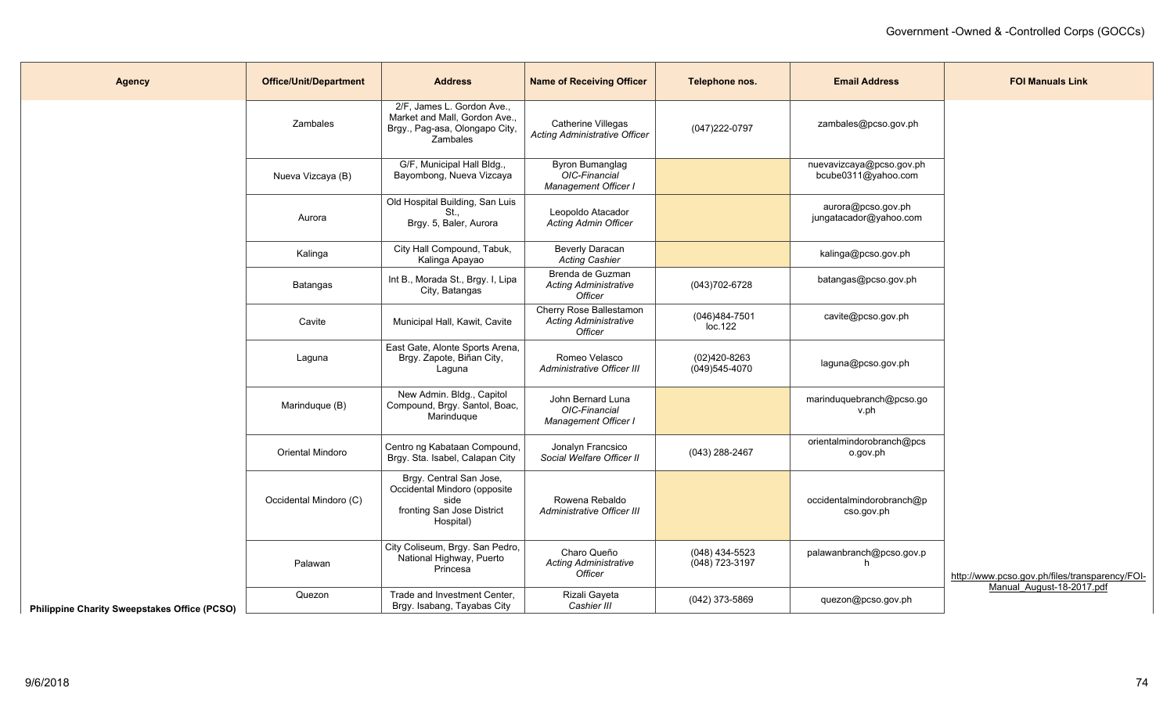| <b>Agency</b>                                       | <b>Office/Unit/Department</b> | <b>Address</b>                                                                                             | <b>Name of Receiving Officer</b>                                   | Telephone nos.                   | <b>Email Address</b>                            | <b>FOI Manuals Link</b>                        |
|-----------------------------------------------------|-------------------------------|------------------------------------------------------------------------------------------------------------|--------------------------------------------------------------------|----------------------------------|-------------------------------------------------|------------------------------------------------|
|                                                     | <b>Zambales</b>               | 2/F, James L. Gordon Ave.,<br>Market and Mall, Gordon Ave.,<br>Brgy., Pag-asa, Olongapo City,<br>Zambales  | Catherine Villegas<br><b>Acting Administrative Officer</b>         | (047) 222-0797                   | zambales@pcso.gov.ph                            |                                                |
|                                                     | Nueva Vizcaya (B)             | G/F, Municipal Hall Bldg.,<br>Bayombong, Nueva Vizcaya                                                     | Byron Bumanglag<br>OIC-Financial<br>Management Officer I           |                                  | nuevavizcaya@pcso.gov.ph<br>bcube0311@yahoo.com |                                                |
|                                                     | Aurora                        | Old Hospital Building, San Luis<br>St.,<br>Brgy. 5, Baler, Aurora                                          | Leopoldo Atacador<br>Acting Admin Officer                          |                                  | aurora@pcso.gov.ph<br>jungatacador@yahoo.com    |                                                |
|                                                     | Kalinga                       | City Hall Compound, Tabuk,<br>Kalinga Apayao                                                               | <b>Beverly Daracan</b><br>Acting Cashier                           |                                  | kalinga@pcso.gov.ph                             |                                                |
|                                                     | Batangas                      | Int B., Morada St., Brgy. I, Lipa<br>City, Batangas                                                        | Brenda de Guzman<br><b>Acting Administrative</b><br>Officer        | (043) 702-6728                   | batangas@pcso.gov.ph                            |                                                |
|                                                     | Cavite                        | Municipal Hall, Kawit, Cavite                                                                              | Cherry Rose Ballestamon<br><b>Acting Administrative</b><br>Officer | (046)484-7501<br>loc.122         | cavite@pcso.gov.ph                              |                                                |
|                                                     | Laguna                        | East Gate, Alonte Sports Arena,<br>Brgy. Zapote, Biñan City,<br>Laguna                                     | Romeo Velasco<br><b>Administrative Officer III</b>                 | (02)420-8263<br>$(049)545-4070$  | laguna@pcso.gov.ph                              |                                                |
|                                                     | Marinduque (B)                | New Admin. Bldg., Capitol<br>Compound, Brgy. Santol, Boac,<br>Marinduque                                   | John Bernard Luna<br>OIC-Financial<br>Management Officer I         |                                  | marinduquebranch@pcso.go<br>v.ph                |                                                |
|                                                     | <b>Oriental Mindoro</b>       | Centro ng Kabataan Compound,<br>Brgy. Sta. Isabel, Calapan City                                            | Jonalyn Francsico<br>Social Welfare Officer II                     | (043) 288-2467                   | orientalmindorobranch@pcs<br>o.gov.ph           |                                                |
|                                                     | Occidental Mindoro (C)        | Brgy. Central San Jose,<br>Occidental Mindoro (opposite<br>side<br>fronting San Jose District<br>Hospital) | Rowena Rebaldo<br><b>Administrative Officer III</b>                |                                  | occidentalmindorobranch@p<br>cso.gov.ph         |                                                |
|                                                     | Palawan                       | City Coliseum, Brgy. San Pedro,<br>National Highway, Puerto<br>Princesa                                    | Charo Queño<br><b>Acting Administrative</b><br>Officer             | (048) 434-5523<br>(048) 723-3197 | palawanbranch@pcso.gov.p<br>h                   | http://www.pcso.gov.ph/files/transparency/FOI- |
| <b>Philippine Charity Sweepstakes Office (PCSO)</b> | Quezon                        | Trade and Investment Center,<br>Brgy. Isabang, Tayabas City                                                | Rizali Gayeta<br>Cashier III                                       | (042) 373-5869                   | quezon@pcso.gov.ph                              | Manual August-18-2017.pdf                      |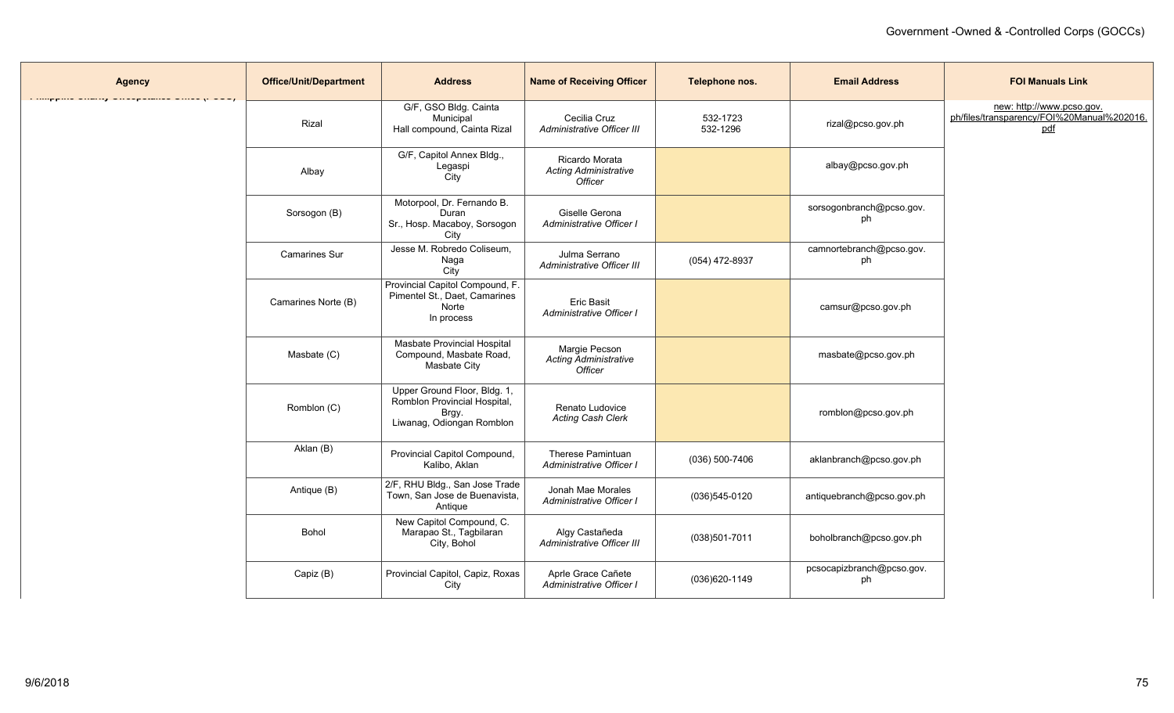| <b>Agency</b> | <b>Office/Unit/Department</b> | <b>Address</b>                                                                                     | <b>Name of Receiving Officer</b>                          | Telephone nos.       | <b>Email Address</b>            | <b>FOI Manuals Link</b>                                                        |
|---------------|-------------------------------|----------------------------------------------------------------------------------------------------|-----------------------------------------------------------|----------------------|---------------------------------|--------------------------------------------------------------------------------|
|               | Rizal                         | G/F, GSO Bldg. Cainta<br>Municipal<br>Hall compound, Cainta Rizal                                  | Cecilia Cruz<br>Administrative Officer III                | 532-1723<br>532-1296 | rizal@pcso.gov.ph               | new: http://www.pcso.gov.<br>ph/files/transparency/FOI%20Manual%202016.<br>pdf |
|               | Albay                         | G/F, Capitol Annex Bldg.,<br>Legaspi<br><b>City</b>                                                | Ricardo Morata<br><b>Acting Administrative</b><br>Officer |                      | albay@pcso.gov.ph               |                                                                                |
|               | Sorsogon (B)                  | Motorpool, Dr. Fernando B.<br>Duran<br>Sr., Hosp. Macaboy, Sorsogon<br>City                        | Giselle Gerona<br>Administrative Officer I                |                      | sorsogonbranch@pcso.gov.<br>ph  |                                                                                |
|               | <b>Camarines Sur</b>          | Jesse M. Robredo Coliseum,<br>Naga<br>City                                                         | Julma Serrano<br>Administrative Officer III               | (054) 472-8937       | camnortebranch@pcso.gov.<br>ph  |                                                                                |
|               | Camarines Norte (B)           | Provincial Capitol Compound, F.<br>Pimentel St., Daet, Camarines<br>Norte<br>In process            | <b>Eric Basit</b><br>Administrative Officer I             |                      | camsur@pcso.gov.ph              |                                                                                |
|               | Masbate (C)                   | Masbate Provincial Hospital<br>Compound, Masbate Road,<br>Masbate City                             | Margie Pecson<br>Acting Administrative<br>Officer         |                      | masbate@pcso.gov.ph             |                                                                                |
|               | Romblon (C)                   | Upper Ground Floor, Bldg. 1,<br>Romblon Provincial Hospital,<br>Brgy.<br>Liwanag, Odiongan Romblon | Renato Ludovice<br><b>Acting Cash Clerk</b>               |                      | romblon@pcso.gov.ph             |                                                                                |
|               | Aklan (B)                     | Provincial Capitol Compound,<br>Kalibo, Aklan                                                      | Therese Pamintuan<br>Administrative Officer I             | $(036)$ 500-7406     | aklanbranch@pcso.gov.ph         |                                                                                |
|               | Antique (B)                   | 2/F, RHU Bldg., San Jose Trade<br>Town, San Jose de Buenavista,<br>Antique                         | Jonah Mae Morales<br>Administrative Officer I             | $(036)545-0120$      | antiquebranch@pcso.gov.ph       |                                                                                |
|               | Bohol                         | New Capitol Compound, C.<br>Marapao St., Tagbilaran<br>City, Bohol                                 | Algy Castañeda<br>Administrative Officer III              | (038)501-7011        | boholbranch@pcso.gov.ph         |                                                                                |
|               | Capiz (B)                     | Provincial Capitol, Capiz, Roxas<br>City                                                           | Aprle Grace Cañete<br>Administrative Officer I            | (036)620-1149        | pcsocapizbranch@pcso.gov.<br>ph |                                                                                |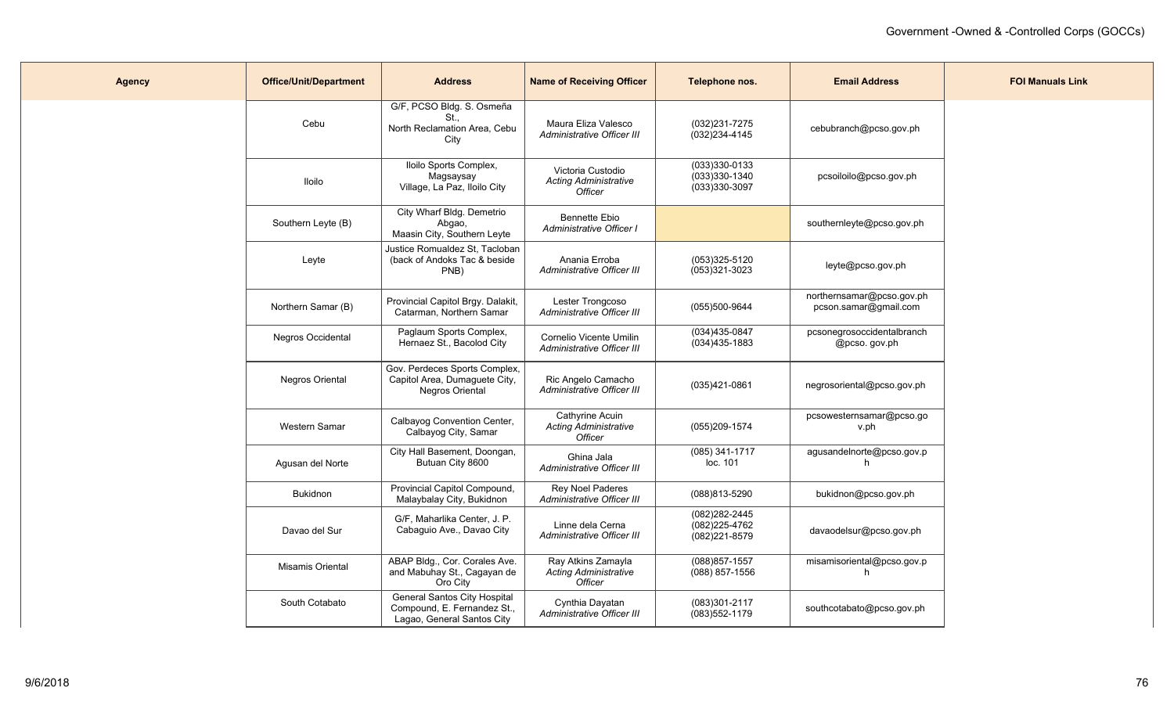| <b>Agency</b> | <b>Office/Unit/Department</b> | <b>Address</b>                                                                            | <b>Name of Receiving Officer</b>                                     | Telephone nos.                                          | <b>Email Address</b>                               | <b>FOI Manuals Link</b> |
|---------------|-------------------------------|-------------------------------------------------------------------------------------------|----------------------------------------------------------------------|---------------------------------------------------------|----------------------------------------------------|-------------------------|
|               | Cebu                          | G/F, PCSO Bldg. S. Osmeña<br>St.<br>North Reclamation Area, Cebu<br>City                  | Maura Eliza Valesco<br>Administrative Officer III                    | (032)231-7275<br>$(032)$ 234-4145                       | cebubranch@pcso.gov.ph                             |                         |
|               | <b>Iloilo</b>                 | Iloilo Sports Complex,<br>Magsaysay<br>Village, La Paz, Iloilo City                       | Victoria Custodio<br><b>Acting Administrative</b><br><b>Officer</b>  | (033)330-0133<br>$(033)330-1340$<br>(033)330-3097       | pcsoiloilo@pcso.gov.ph                             |                         |
|               | Southern Leyte (B)            | City Wharf Bldg. Demetrio<br>Abgao,<br>Maasin City, Southern Leyte                        | Bennette Ebio<br>Administrative Officer I                            |                                                         | southernleyte@pcso.gov.ph                          |                         |
|               | Leyte                         | Justice Romualdez St, Tacloban<br>(back of Andoks Tac & beside<br>PNB)                    | Anania Erroba<br>Administrative Officer III                          | (053)325-5120<br>(053)321-3023                          | leyte@pcso.gov.ph                                  |                         |
|               | Northern Samar (B)            | Provincial Capitol Brgy. Dalakit,<br>Catarman, Northern Samar                             | Lester Trongcoso<br>Administrative Officer III                       | (055)500-9644                                           | northernsamar@pcso.gov.ph<br>pcson.samar@gmail.com |                         |
|               | <b>Negros Occidental</b>      | Paglaum Sports Complex,<br>Hernaez St., Bacolod City                                      | Cornelio Vicente Umilin<br>Administrative Officer III                | (034)435-0847<br>(034)435-1883                          | pcsonegrosoccidentalbranch<br>@pcso.gov.ph         |                         |
|               | Negros Oriental               | Gov. Perdeces Sports Complex,<br>Capitol Area, Dumaguete City,<br>Negros Oriental         | Ric Angelo Camacho<br>Administrative Officer III                     | (035)421-0861                                           | negrosoriental@pcso.gov.ph                         |                         |
|               | Western Samar                 | Calbayog Convention Center,<br>Calbayog City, Samar                                       | Cathyrine Acuin<br><b>Acting Administrative</b><br>Officer           | (055)209-1574                                           | pcsowesternsamar@pcso.go<br>v.ph                   |                         |
|               | Agusan del Norte              | City Hall Basement, Doongan,<br>Butuan City 8600                                          | Ghina Jala<br>Administrative Officer III                             | (085) 341-1717<br>loc. 101                              | agusandelnorte@pcso.gov.p<br>h                     |                         |
|               | <b>Bukidnon</b>               | Provincial Capitol Compound,<br>Malaybalay City, Bukidnon                                 | <b>Rey Noel Paderes</b><br>Administrative Officer III                | (088)813-5290                                           | bukidnon@pcso.gov.ph                               |                         |
|               | Davao del Sur                 | G/F, Maharlika Center, J. P.<br>Cabaguio Ave., Davao City                                 | Linne dela Cerna<br>Administrative Officer III                       | (082)282-2445<br>$(082)225 - 4762$<br>$(082)221 - 8579$ | davaodelsur@pcso.gov.ph                            |                         |
|               | Misamis Oriental              | ABAP Bldg., Cor. Corales Ave.<br>and Mabuhay St., Cagayan de<br>Oro City                  | Ray Atkins Zamayla<br><b>Acting Administrative</b><br><b>Officer</b> | (088) 857-1557<br>(088) 857-1556                        | misamisoriental@pcso.gov.p<br>h.                   |                         |
|               | South Cotabato                | General Santos City Hospital<br>Compound, E. Fernandez St.,<br>Lagao, General Santos City | Cynthia Dayatan<br>Administrative Officer III                        | (083)301-2117<br>$(083)552-1179$                        | southcotabato@pcso.gov.ph                          |                         |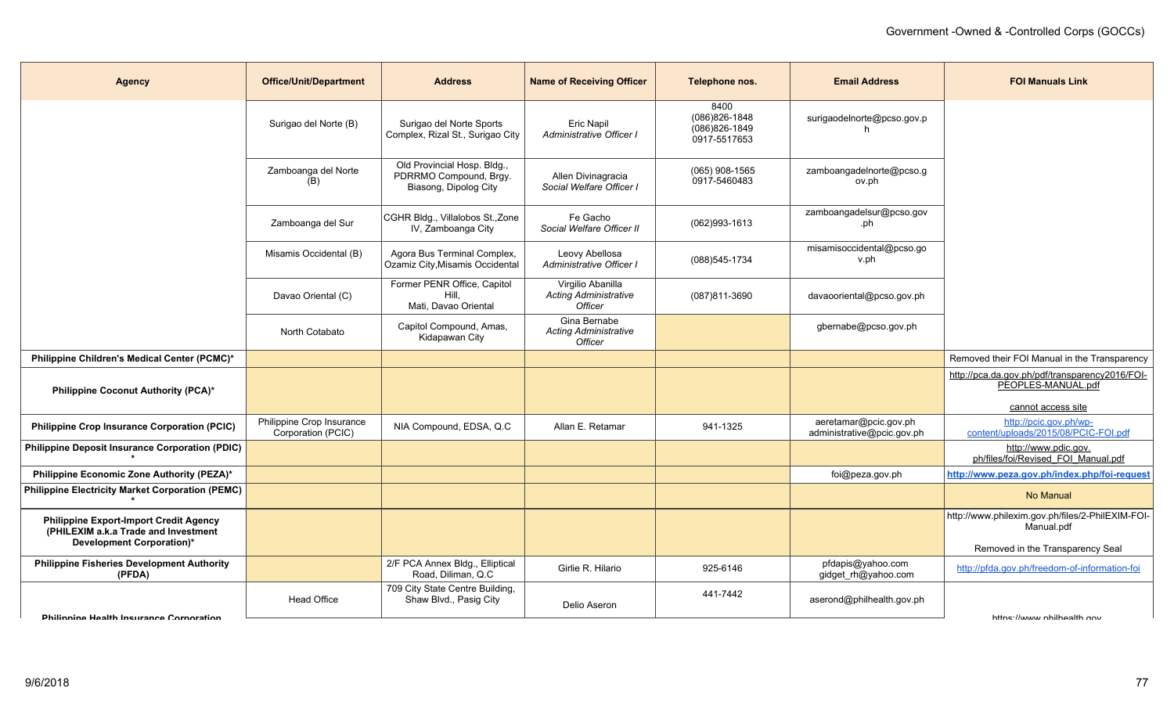| <b>Agency</b>                                                                                                      | <b>Office/Unit/Department</b>                   | <b>Address</b>                                                                 | <b>Name of Receiving Officer</b>                               | Telephone nos.                                              | <b>Email Address</b>                                | <b>FOI Manuals Link</b>                                                                    |
|--------------------------------------------------------------------------------------------------------------------|-------------------------------------------------|--------------------------------------------------------------------------------|----------------------------------------------------------------|-------------------------------------------------------------|-----------------------------------------------------|--------------------------------------------------------------------------------------------|
|                                                                                                                    | Surigao del Norte (B)                           | Surigao del Norte Sports<br>Complex, Rizal St., Surigao City                   | Eric Napil<br>Administrative Officer I                         | 8400<br>(086) 826-1848<br>$(086)826 - 1849$<br>0917-5517653 | surigaodelnorte@pcso.gov.p                          |                                                                                            |
|                                                                                                                    | Zamboanga del Norte<br>(B)                      | Old Provincial Hosp. Bldg.,<br>PDRRMO Compound, Brgy.<br>Biasong, Dipolog City | Allen Divinagracia<br>Social Welfare Officer I                 | $(065)$ 908-1565<br>0917-5460483                            | zamboangadelnorte@pcso.g<br>ov.ph                   |                                                                                            |
|                                                                                                                    | Zamboanga del Sur                               | CGHR Bldg., Villalobos St., Zone<br>IV, Zamboanga City                         | Fe Gacho<br>Social Welfare Officer II                          | (062)993-1613                                               | zamboangadelsur@pcso.gov<br>.ph                     |                                                                                            |
|                                                                                                                    | Misamis Occidental (B)                          | Agora Bus Terminal Complex,<br>Ozamiz City, Misamis Occidental                 | Leovy Abellosa<br>Administrative Officer I                     | (088) 545-1734                                              | misamisoccidental@pcso.go<br>v.ph                   |                                                                                            |
|                                                                                                                    | Davao Oriental (C)                              | Former PENR Office, Capitol<br>Hill.<br>Mati, Davao Oriental                   | Virgilio Abanilla<br><b>Acting Administrative</b><br>Officer   | (087)811-3690                                               | davaooriental@pcso.gov.ph                           |                                                                                            |
|                                                                                                                    | North Cotabato                                  | Capitol Compound, Amas,<br>Kidapawan City                                      | Gina Bernabe<br><b>Acting Administrative</b><br><b>Officer</b> |                                                             | gbernabe@pcso.gov.ph                                |                                                                                            |
| Philippine Children's Medical Center (PCMC)*                                                                       |                                                 |                                                                                |                                                                |                                                             |                                                     | Removed their FOI Manual in the Transparency                                               |
| Philippine Coconut Authority (PCA)*                                                                                |                                                 |                                                                                |                                                                |                                                             |                                                     | http://pca.da.gov.ph/pdf/transparency2016/FOI-<br>PEOPLES-MANUAL.pdf<br>cannot access site |
| <b>Philippine Crop Insurance Corporation (PCIC)</b>                                                                | Philippine Crop Insurance<br>Corporation (PCIC) | NIA Compound, EDSA, Q.C.                                                       | Allan E. Retamar                                               | 941-1325                                                    | aeretamar@pcic.gov.ph<br>administrative@pcic.gov.ph | http://pcic.gov.ph/wp-<br>content/uploads/2015/08/PCIC-FOI.pdf                             |
| <b>Philippine Deposit Insurance Corporation (PDIC)</b>                                                             |                                                 |                                                                                |                                                                |                                                             |                                                     | http://www.pdic.gov.<br>ph/files/foi/Revised FOI Manual.pdf                                |
| Philippine Economic Zone Authority (PEZA)*                                                                         |                                                 |                                                                                |                                                                |                                                             | foi@peza.gov.ph                                     | http://www.peza.gov.ph/index.php/foi-request                                               |
| <b>Philippine Electricity Market Corporation (PEMC)</b>                                                            |                                                 |                                                                                |                                                                |                                                             |                                                     | No Manual                                                                                  |
| <b>Philippine Export-Import Credit Agency</b><br>(PHILEXIM a.k.a Trade and Investment<br>Development Corporation)* |                                                 |                                                                                |                                                                |                                                             |                                                     | http://www.philexim.gov.ph/files/2-PhilEXIM-FOI-<br>Manual.pdf                             |
|                                                                                                                    |                                                 |                                                                                |                                                                |                                                             |                                                     | Removed in the Transparency Seal                                                           |
| <b>Philippine Fisheries Development Authority</b><br>(PFDA)                                                        |                                                 | 2/F PCA Annex Bldg., Elliptical<br>Road, Diliman, Q.C.                         | Girlie R. Hilario                                              | 925-6146                                                    | pfdapis@yahoo.com<br>gidget_rh@yahoo.com            | http://pfda.gov.ph/freedom-of-information-foi                                              |
| <b>Dhilinning Haalth Incurance Cornoration</b>                                                                     | <b>Head Office</b>                              | 709 City State Centre Building,<br>Shaw Blvd., Pasig City                      | Delio Aseron                                                   | 441-7442                                                    | aserond@philhealth.gov.ph                           | httne://www.nhilhoalth.nov                                                                 |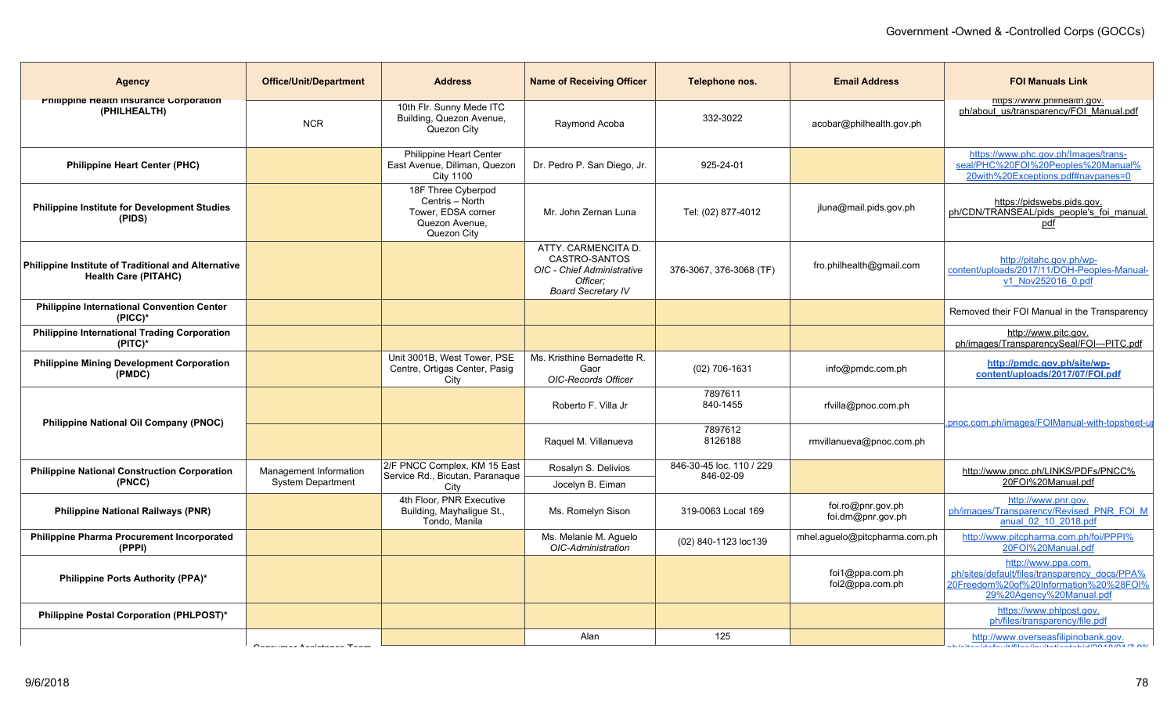| <b>Agency</b>                                                                      | <b>Office/Unit/Department</b> | <b>Address</b>                                                                               | <b>Name of Receiving Officer</b>                                                                            | Telephone nos.                        | <b>Email Address</b>                   | <b>FOI Manuals Link</b>                                                                                                                    |
|------------------------------------------------------------------------------------|-------------------------------|----------------------------------------------------------------------------------------------|-------------------------------------------------------------------------------------------------------------|---------------------------------------|----------------------------------------|--------------------------------------------------------------------------------------------------------------------------------------------|
| Philippine Health Insurance Corporation<br>(PHILHEALTH)                            | <b>NCR</b>                    | 10th Flr. Sunny Mede ITC<br>Building, Quezon Avenue,<br>Quezon City                          | Raymond Acoba                                                                                               | 332-3022                              | acobar@philhealth.gov.ph               | nttps://www.philnealth.gov.<br>ph/about us/transparency/FOI Manual.pdf                                                                     |
| <b>Philippine Heart Center (PHC)</b>                                               |                               | Philippine Heart Center<br>East Avenue, Diliman, Quezon<br><b>City 1100</b>                  | Dr. Pedro P. San Diego, Jr.                                                                                 | 925-24-01                             |                                        | https://www.phc.gov.ph/Images/trans-<br>seal/PHC%20FOI%20Peoples%20Manual%<br>20with%20Exceptions.pdf#navpanes=0                           |
| <b>Philippine Institute for Development Studies</b><br>(PIDS)                      |                               | 18F Three Cyberpod<br>Centris - North<br>Tower. EDSA corner<br>Quezon Avenue.<br>Quezon City | Mr. John Zernan Luna                                                                                        | Tel: (02) 877-4012                    | jluna@mail.pids.gov.ph                 | https://pidswebs.pids.gov.<br>ph/CDN/TRANSEAL/pids_people's_foi_manual.<br>pdf                                                             |
| Philippine Institute of Traditional and Alternative<br><b>Health Care (PITAHC)</b> |                               |                                                                                              | ATTY. CARMENCITA D.<br>CASTRO-SANTOS<br>OIC - Chief Administrative<br>Officer:<br><b>Board Secretary IV</b> | 376-3067, 376-3068 (TF)               | fro.philhealth@gmail.com               | http://pitahc.gov.ph/wp-<br>content/uploads/2017/11/DOH-Peoples-Manual-<br>v1 Nov252016 0.pdf                                              |
| <b>Philippine International Convention Center</b><br>$(PICC)^*$                    |                               |                                                                                              |                                                                                                             |                                       |                                        | Removed their FOI Manual in the Transparency                                                                                               |
| <b>Philippine International Trading Corporation</b><br>$(PITC)^*$                  |                               |                                                                                              |                                                                                                             |                                       |                                        | http://www.pitc.gov.<br>ph/images/TransparencySeal/FOI---PITC.pdf                                                                          |
| <b>Philippine Mining Development Corporation</b><br>(PMDC)                         |                               | Unit 3001B, West Tower, PSE<br>Centre, Ortigas Center, Pasig<br>City                         | Ms. Kristhine Bernadette R.<br>Gaor<br><b>OIC-Records Officer</b>                                           | (02) 706-1631                         | info@pmdc.com.ph                       | http://pmdc.gov.ph/site/wp-<br>content/uploads/2017/07/FOI.pdf                                                                             |
|                                                                                    |                               |                                                                                              | Roberto F. Villa Jr                                                                                         | 7897611<br>840-1455                   | rfvilla@pnoc.com.ph                    | pnoc.com.ph/images/FOIManual-with-topsheet-up                                                                                              |
| Philippine National Oil Company (PNOC)                                             |                               |                                                                                              | Raquel M. Villanueva                                                                                        | 7897612<br>8126188                    | rmvillanueva@pnoc.com.ph               |                                                                                                                                            |
| <b>Philippine National Construction Corporation</b>                                | Management Information        | 2/F PNCC Complex. KM 15 East<br>Service Rd., Bicutan, Paranaque                              | Rosalyn S. Delivios                                                                                         | 846-30-45 loc. 110 / 229<br>846-02-09 |                                        | http://www.pncc.ph/LINKS/PDFs/PNCC%                                                                                                        |
| (PNCC)                                                                             | <b>System Department</b>      | City                                                                                         | Jocelyn B. Eiman                                                                                            |                                       |                                        | 20FOI%20Manual.pdf                                                                                                                         |
| <b>Philippine National Railways (PNR)</b>                                          |                               | 4th Floor, PNR Executive<br>Building, Mayhaligue St.,<br>Tondo, Manila                       | Ms. Romelyn Sison                                                                                           | 319-0063 Local 169                    | foi.ro@pnr.gov.ph<br>foi.dm@pnr.gov.ph | http://www.pnr.gov.<br>ph/images/Transparency/Revised PNR FOI M<br>anual 02 10 2018.pdf                                                    |
| <b>Philippine Pharma Procurement Incorporated</b><br>(PPPI)                        |                               |                                                                                              | Ms. Melanie M. Aguelo<br>OIC-Administration                                                                 | (02) 840-1123 loc139                  | mhel.aguelo@pitcpharma.com.ph          | http://www.pitcpharma.com.ph/foi/PPPI%<br>20FOI%20Manual.pdf                                                                               |
| <b>Philippine Ports Authority (PPA)*</b>                                           |                               |                                                                                              |                                                                                                             |                                       | foi1@ppa.com.ph<br>foi2@ppa.com.ph     | http://www.ppa.com.<br>ph/sites/default/files/transparency_docs/PPA%<br>20Freedom%20of%20Information%20%28FOI%<br>29%20Agency%20Manual.pdf |
| Philippine Postal Corporation (PHLPOST)*                                           |                               |                                                                                              |                                                                                                             |                                       |                                        | https://www.phlpost.gov.<br>ph/files/transparency/file.pdf                                                                                 |
|                                                                                    | Occasional Analatanan Tanga   |                                                                                              | Alan                                                                                                        | 125                                   |                                        | http://www.overseasfilipinobank.gov.<br><b>CONTRACTO DE CONTRACTO DE LA CALIFICATIVA DE NO</b>                                             |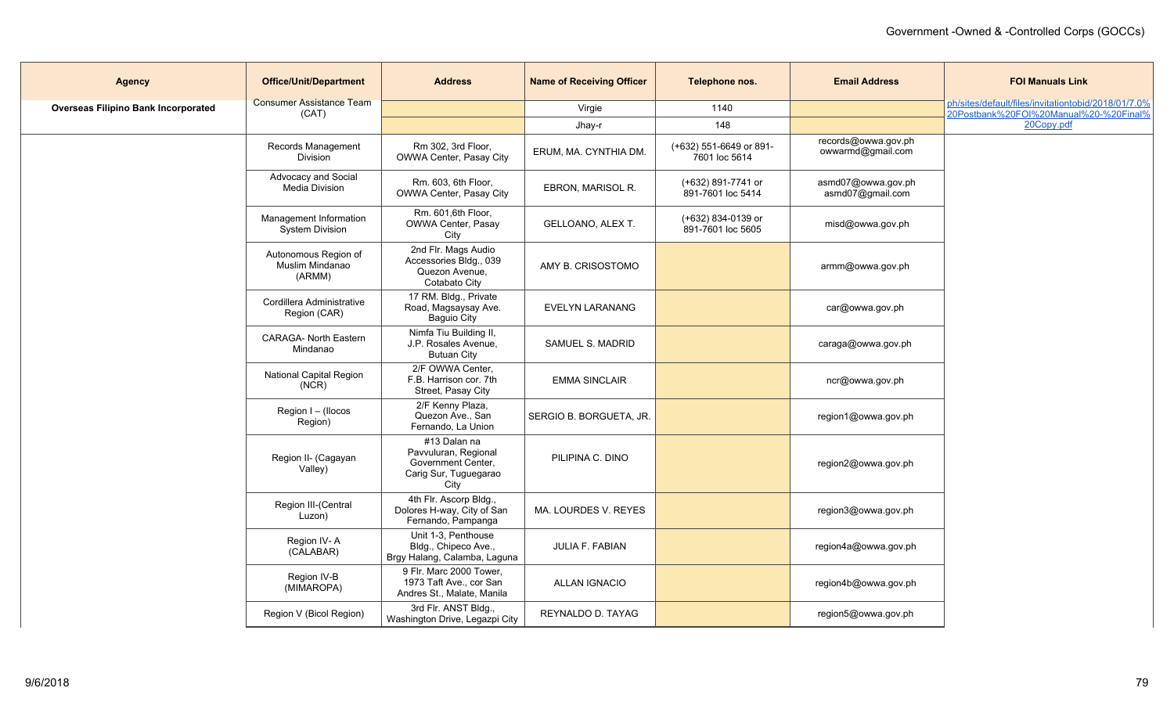| <b>Agency</b>                              | <b>Office/Unit/Department</b>                     | <b>Address</b>                                                                                | <b>Name of Receiving Officer</b> | Telephone nos.                           | <b>Email Address</b>                     | <b>FOI Manuals Link</b>                                                                       |
|--------------------------------------------|---------------------------------------------------|-----------------------------------------------------------------------------------------------|----------------------------------|------------------------------------------|------------------------------------------|-----------------------------------------------------------------------------------------------|
| <b>Overseas Filipino Bank Incorporated</b> | <b>Consumer Assistance Team</b><br>(CAT)          |                                                                                               | Virgie                           | 1140                                     |                                          | ph/sites/default/files/invitationtobid/2018/01/7.0%<br>20Postbank%20FOI%20Manual%20-%20Final% |
|                                            |                                                   |                                                                                               | Jhay-r                           | 148                                      |                                          | 20Copy.pdf                                                                                    |
|                                            | Records Management<br>Division                    | Rm 302, 3rd Floor,<br>OWWA Center, Pasay City                                                 | ERUM, MA. CYNTHIA DM.            | (+632) 551-6649 or 891-<br>7601 loc 5614 | records@owwa.gov.ph<br>owwarmd@gmail.com |                                                                                               |
|                                            | Advocacy and Social<br>Media Division             | Rm. 603, 6th Floor,<br>OWWA Center, Pasay City                                                | EBRON, MARISOL R.                | (+632) 891-7741 or<br>891-7601 loc 5414  | asmd07@owwa.gov.ph<br>asmd07@gmail.com   |                                                                                               |
|                                            | Management Information<br><b>System Division</b>  | Rm. 601,6th Floor,<br>OWWA Center, Pasay<br>City                                              | GELLOANO, ALEX T.                | (+632) 834-0139 or<br>891-7601 loc 5605  | misd@owwa.gov.ph                         |                                                                                               |
|                                            | Autonomous Region of<br>Muslim Mindanao<br>(ARMM) | 2nd Flr. Mags Audio<br>Accessories Bldg., 039<br>Quezon Avenue,<br>Cotabato City              | AMY B. CRISOSTOMO                |                                          | armm@owwa.gov.ph                         |                                                                                               |
|                                            | Cordillera Administrative<br>Region (CAR)         | 17 RM. Bldg., Private<br>Road, Magsaysay Ave.<br>Baguio City                                  | <b>EVELYN LARANANG</b>           |                                          | car@owwa.gov.ph                          |                                                                                               |
|                                            | CARAGA- North Eastern<br>Mindanao                 | Nimfa Tiu Building II,<br>J.P. Rosales Avenue,<br><b>Butuan City</b>                          | SAMUEL S. MADRID                 |                                          | caraga@owwa.gov.ph                       |                                                                                               |
|                                            | National Capital Region<br>(NCR)                  | 2/F OWWA Center,<br>F.B. Harrison cor. 7th<br>Street, Pasay City                              | <b>EMMA SINCLAIR</b>             |                                          | ncr@owwa.gov.ph                          |                                                                                               |
|                                            | Region I - (Ilocos<br>Region)                     | 2/F Kenny Plaza,<br>Quezon Ave., San<br>Fernando, La Union                                    | SERGIO B. BORGUETA, JR.          |                                          | region1@owwa.gov.ph                      |                                                                                               |
|                                            | Region II- (Cagayan<br>Valley)                    | $#13$ Dalan na<br>Pavvuluran, Regional<br>Government Center,<br>Carig Sur, Tuguegarao<br>City | PILIPINA C. DINO                 |                                          | region2@owwa.gov.ph                      |                                                                                               |
|                                            | Region III-(Central<br>Luzon)                     | 4th Flr. Ascorp Bldg.,<br>Dolores H-way, City of San<br>Fernando, Pampanga                    | MA. LOURDES V. REYES             |                                          | region3@owwa.gov.ph                      |                                                                                               |
|                                            | Region IV-A<br>(CALABAR)                          | Unit 1-3. Penthouse<br>Bldg., Chipeco Ave.,<br>Brgy Halang, Calamba, Laguna                   | JULIA F. FABIAN                  |                                          | region4a@owwa.gov.ph                     |                                                                                               |
|                                            | Region IV-B<br>(MIMAROPA)                         | 9 Flr. Marc 2000 Tower,<br>1973 Taft Ave., cor San<br>Andres St., Malate, Manila              | <b>ALLAN IGNACIO</b>             |                                          | region4b@owwa.gov.ph                     |                                                                                               |
|                                            | Region V (Bicol Region)                           | 3rd Flr. ANST Bldg.,<br>Washington Drive, Legazpi City                                        | REYNALDO D. TAYAG                |                                          | region5@owwa.gov.ph                      |                                                                                               |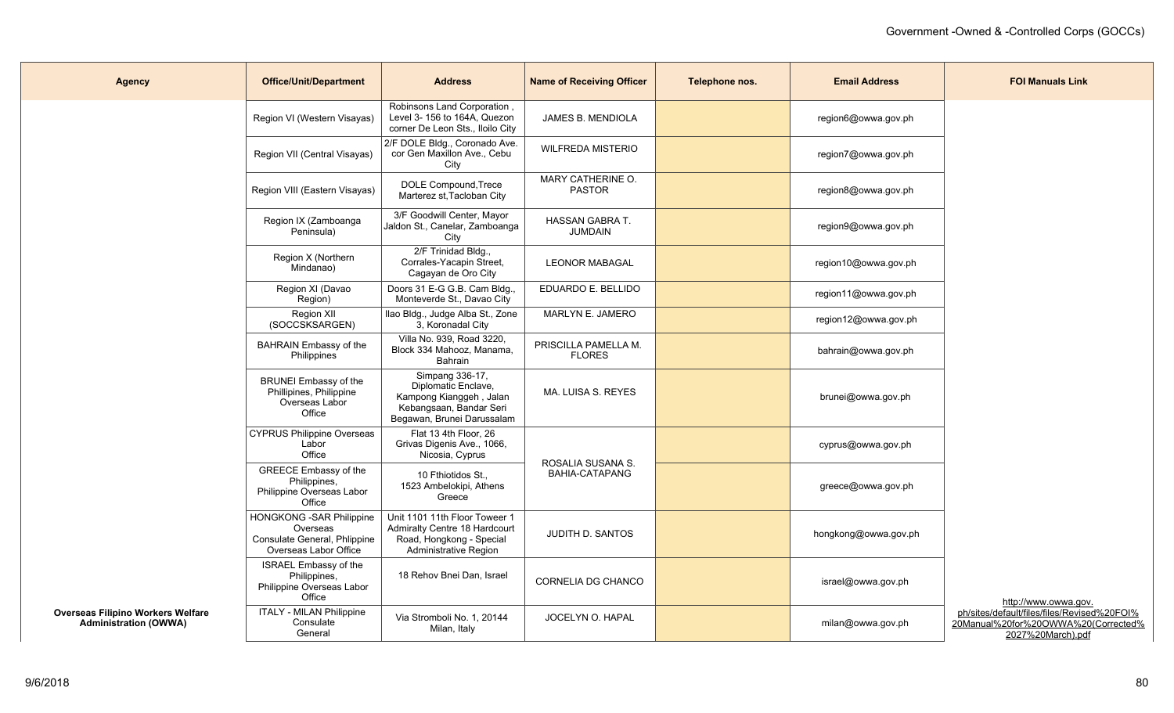| <b>Agency</b>                                                            | <b>Office/Unit/Department</b>                                                                         | <b>Address</b>                                                                                                             | <b>Name of Receiving Officer</b>           | Telephone nos. | <b>Email Address</b> | <b>FOI Manuals Link</b>                                                                                 |
|--------------------------------------------------------------------------|-------------------------------------------------------------------------------------------------------|----------------------------------------------------------------------------------------------------------------------------|--------------------------------------------|----------------|----------------------|---------------------------------------------------------------------------------------------------------|
|                                                                          | Region VI (Western Visayas)                                                                           | Robinsons Land Corporation,<br>Level 3- 156 to 164A, Quezon<br>corner De Leon Sts., Iloilo City                            | JAMES B. MENDIOLA                          |                | region6@owwa.gov.ph  |                                                                                                         |
|                                                                          | Region VII (Central Visayas)                                                                          | 2/F DOLE Bldg., Coronado Ave.<br>cor Gen Maxillon Ave., Cebu<br>City                                                       | <b>WILFREDA MISTERIO</b>                   |                | region7@owwa.gov.ph  |                                                                                                         |
|                                                                          | Region VIII (Eastern Visayas)                                                                         | DOLE Compound, Trece<br>Marterez st, Tacloban City                                                                         | MARY CATHERINE O.<br><b>PASTOR</b>         |                | region8@owwa.gov.ph  |                                                                                                         |
|                                                                          | Region IX (Zamboanga<br>Peninsula)                                                                    | 3/F Goodwill Center, Mayor<br>Jaldon St., Canelar, Zamboanga<br>City                                                       | HASSAN GABRA T.<br>JUMDAIN                 |                | region9@owwa.gov.ph  |                                                                                                         |
|                                                                          | Region X (Northern<br>Mindanao)                                                                       | 2/F Trinidad Bldg.,<br>Corrales-Yacapin Street,<br>Cagayan de Oro City                                                     | <b>LEONOR MABAGAL</b>                      |                | region10@owwa.gov.ph |                                                                                                         |
|                                                                          | Region XI (Davao<br>Region)                                                                           | Doors 31 E-G G.B. Cam Bldg.,<br>Monteverde St., Davao City                                                                 | EDUARDO E. BELLIDO                         |                | region11@owwa.gov.ph |                                                                                                         |
|                                                                          | Region XII<br>(SOCCSKSARGEN)                                                                          | Ilao Bldg., Judge Alba St., Zone<br>3. Koronadal City                                                                      | MARLYN E. JAMERO                           |                | region12@owwa.gov.ph |                                                                                                         |
|                                                                          | <b>BAHRAIN Embassy of the</b><br>Philippines                                                          | Villa No. 939, Road 3220,<br>Block 334 Mahooz, Manama,<br>Bahrain                                                          | PRISCILLA PAMELLA M.<br><b>FLORES</b>      |                | bahrain@owwa.gov.ph  |                                                                                                         |
|                                                                          | <b>BRUNEI Embassy of the</b><br>Phillipines, Philippine<br>Overseas Labor<br>Office                   | Simpang 336-17,<br>Diplomatic Enclave,<br>Kampong Kianggeh, Jalan<br>Kebangsaan, Bandar Seri<br>Begawan, Brunei Darussalam | MA. LUISA S. REYES                         |                | brunei@owwa.gov.ph   |                                                                                                         |
|                                                                          | <b>CYPRUS Philippine Overseas</b><br>Labor<br>Office                                                  | Flat 13 4th Floor, 26<br>Grivas Digenis Ave., 1066,<br>Nicosia, Cyprus                                                     |                                            |                | cyprus@owwa.gov.ph   |                                                                                                         |
|                                                                          | GREECE Embassy of the<br>Philippines,<br>Philippine Overseas Labor<br>Office                          | 10 Fthiotidos St.,<br>1523 Ambelokipi, Athens<br>Greece                                                                    | ROSALIA SUSANA S.<br><b>BAHIA-CATAPANG</b> |                | greece@owwa.gov.ph   |                                                                                                         |
|                                                                          | <b>HONGKONG - SAR Philippine</b><br>Overseas<br>Consulate General, Phlippine<br>Overseas Labor Office | Unit 1101 11th Floor Toweer 1<br>Admiralty Centre 18 Hardcourt<br>Road, Hongkong - Special<br>Administrative Region        | <b>JUDITH D. SANTOS</b>                    |                | hongkong@owwa.gov.ph |                                                                                                         |
|                                                                          | ISRAEL Embassy of the<br>Philippines,<br>Philippine Overseas Labor<br>Office                          | 18 Rehov Bnei Dan, Israel                                                                                                  | <b>CORNELIA DG CHANCO</b>                  |                | israel@owwa.gov.ph   | http://www.owwa.gov.                                                                                    |
| <b>Overseas Filipino Workers Welfare</b><br><b>Administration (OWWA)</b> | <b>ITALY - MILAN Philippine</b><br>Consulate<br>General                                               | Via Stromboli No. 1, 20144<br>Milan, Italy                                                                                 | JOCELYN O. HAPAL                           |                | milan@owwa.gov.ph    | ph/sites/default/files/files/Revised%20FOI%<br>20Manual%20for%20OWWA%20(Corrected%<br>2027%20March).pdf |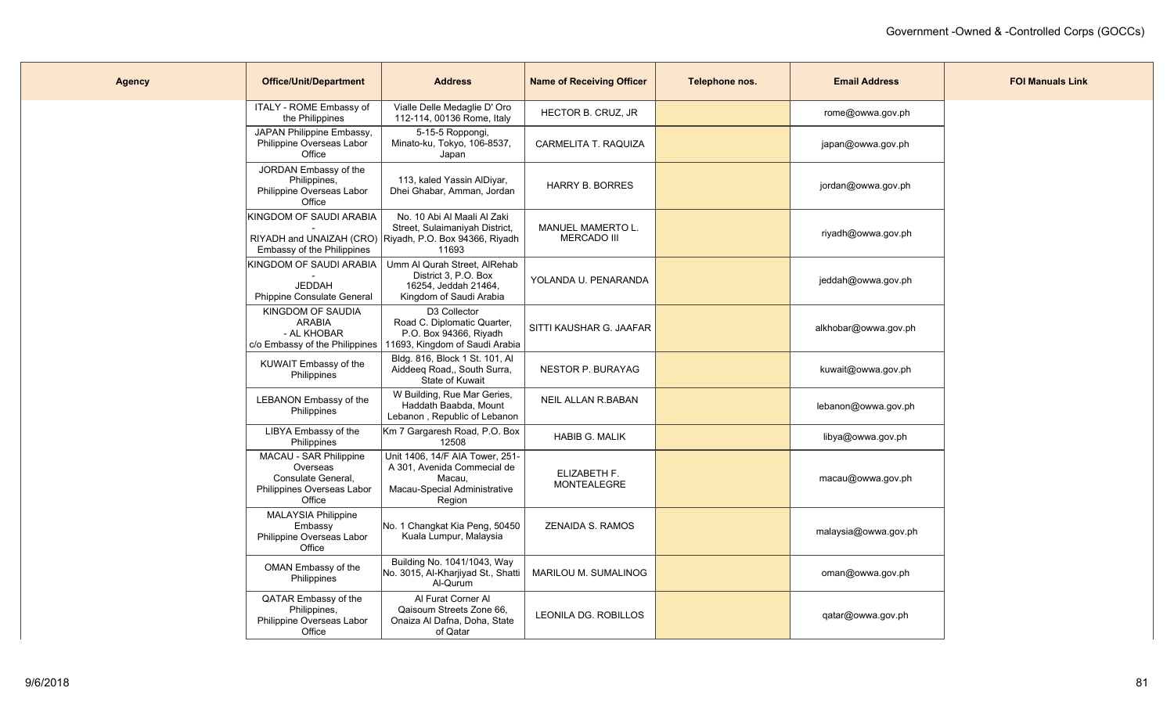| <b>Agency</b> | <b>Office/Unit/Department</b>                                                                    | <b>Address</b>                                                                                                                    | <b>Name of Receiving Officer</b>               | Telephone nos. | <b>Email Address</b> | <b>FOI Manuals Link</b> |
|---------------|--------------------------------------------------------------------------------------------------|-----------------------------------------------------------------------------------------------------------------------------------|------------------------------------------------|----------------|----------------------|-------------------------|
|               | ITALY - ROME Embassy of<br>the Philippines                                                       | Vialle Delle Medaglie D' Oro<br>112-114, 00136 Rome, Italy                                                                        | HECTOR B. CRUZ, JR                             |                | rome@owwa.gov.ph     |                         |
|               | JAPAN Philippine Embassy,<br>Philippine Overseas Labor<br>Office                                 | 5-15-5 Roppongi,<br>Minato-ku, Tokyo, 106-8537,<br>Japan                                                                          | CARMELITA T. RAQUIZA                           |                | japan@owwa.gov.ph    |                         |
|               | JORDAN Embassy of the<br>Philippines,<br>Philippine Overseas Labor<br>Office                     | 113, kaled Yassin AlDiyar,<br>Dhei Ghabar, Amman, Jordan                                                                          | <b>HARRY B. BORRES</b>                         |                | jordan@owwa.gov.ph   |                         |
|               | KINGDOM OF SAUDI ARABIA<br>Embassy of the Philippines                                            | No. 10 Abi Al Maali Al Zaki<br>Street, Sulaimaniyah District,<br>RIYADH and UNAIZAH (CRO) Riyadh, P.O. Box 94366, Riyadh<br>11693 | <b>MANUEL MAMERTO L.</b><br><b>MERCADO III</b> |                | riyadh@owwa.gov.ph   |                         |
|               | KINGDOM OF SAUDI ARABIA  <br><b>JEDDAH</b><br>Phippine Consulate General                         | Umm Al Qurah Street, AlRehab<br>District 3, P.O. Box<br>16254, Jeddah 21464,<br>Kingdom of Saudi Arabia                           | YOLANDA U. PENARANDA                           |                | jeddah@owwa.gov.ph   |                         |
|               | KINGDOM OF SAUDIA<br><b>ARABIA</b><br>- AL KHOBAR<br>c/o Embassy of the Philippines              | D3 Collector<br>Road C. Diplomatic Quarter,<br>P.O. Box 94366, Riyadh<br>11693, Kingdom of Saudi Arabia                           | SITTI KAUSHAR G. JAAFAR                        |                | alkhobar@owwa.gov.ph |                         |
|               | KUWAIT Embassy of the<br>Philippines                                                             | Bldg. 816, Block 1 St. 101, Al<br>Aiddeeq Road,, South Surra,<br>State of Kuwait                                                  | <b>NESTOR P. BURAYAG</b>                       |                | kuwait@owwa.gov.ph   |                         |
|               | LEBANON Embassy of the<br>Philippines                                                            | W Building, Rue Mar Geries,<br>Haddath Baabda, Mount<br>Lebanon, Republic of Lebanon                                              | <b>NEIL ALLAN R.BABAN</b>                      |                | lebanon@owwa.gov.ph  |                         |
|               | LIBYA Embassy of the<br>Philippines                                                              | Km 7 Gargaresh Road, P.O. Box<br>12508                                                                                            | <b>HABIB G. MALIK</b>                          |                | libya@owwa.gov.ph    |                         |
|               | MACAU - SAR Philippine<br>Overseas<br>Consulate General,<br>Philippines Overseas Labor<br>Office | Unit 1406, 14/F AIA Tower, 251-<br>A 301, Avenida Commecial de<br>Macau,<br>Macau-Special Administrative<br>Region                | ELIZABETH F.<br><b>MONTEALEGRE</b>             |                | macau@owwa.gov.ph    |                         |
|               | <b>MALAYSIA Philippine</b><br>Embassy<br>Philippine Overseas Labor<br>Office                     | No. 1 Changkat Kia Peng, 50450<br>Kuala Lumpur, Malaysia                                                                          | ZENAIDA S. RAMOS                               |                | malaysia@owwa.gov.ph |                         |
|               | OMAN Embassy of the<br>Philippines                                                               | Building No. 1041/1043, Way<br>No. 3015, Al-Kharjiyad St., Shatti<br>Al-Qurum                                                     | MARILOU M. SUMALINOG                           |                | oman@owwa.gov.ph     |                         |
|               | QATAR Embassy of the<br>Philippines,<br>Philippine Overseas Labor<br>Office                      | Al Furat Corner Al<br>Qaisoum Streets Zone 66,<br>Onaiza Al Dafna, Doha, State<br>of Qatar                                        | LEONILA DG. ROBILLOS                           |                | qatar@owwa.gov.ph    |                         |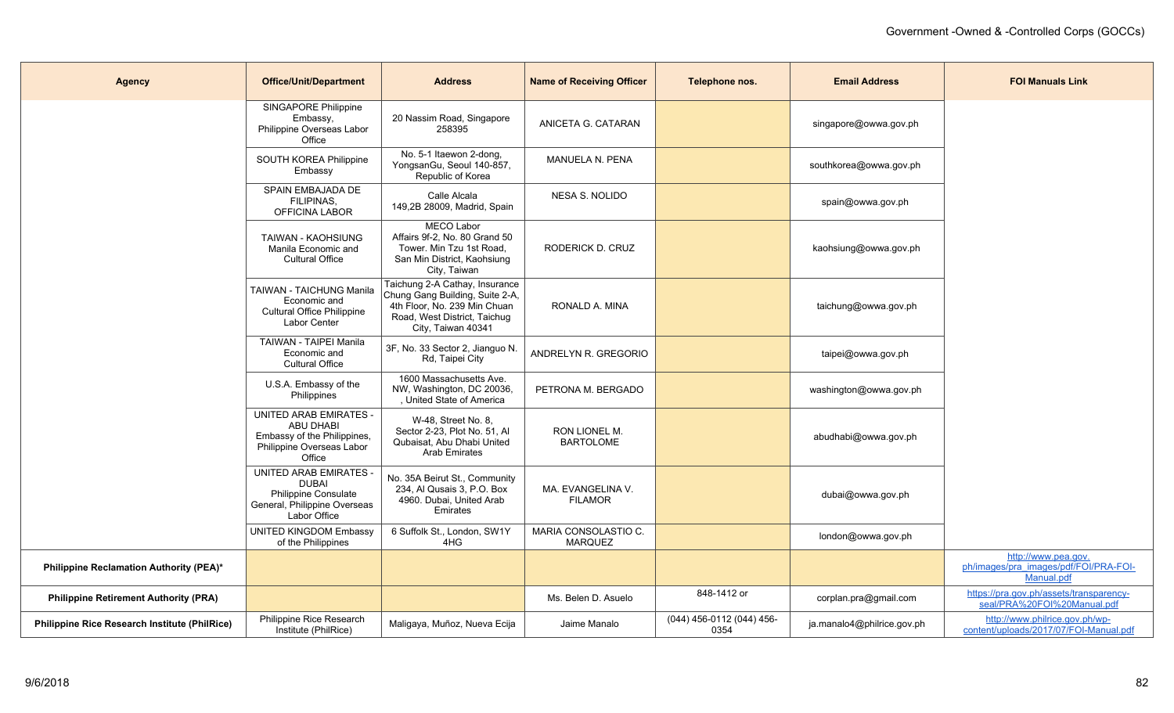| <b>Agency</b>                                        | <b>Office/Unit/Department</b>                                                                                           | <b>Address</b>                                                                                                                                          | <b>Name of Receiving Officer</b>       | Telephone nos.                    | <b>Email Address</b>       | <b>FOI Manuals Link</b>                                                    |
|------------------------------------------------------|-------------------------------------------------------------------------------------------------------------------------|---------------------------------------------------------------------------------------------------------------------------------------------------------|----------------------------------------|-----------------------------------|----------------------------|----------------------------------------------------------------------------|
|                                                      | SINGAPORE Philippine<br>Embassy,<br>Philippine Overseas Labor<br>Office                                                 | 20 Nassim Road, Singapore<br>258395                                                                                                                     | ANICETA G. CATARAN                     |                                   | singapore@owwa.gov.ph      |                                                                            |
|                                                      | SOUTH KOREA Philippine<br>Embassy                                                                                       | No. 5-1 Itaewon 2-dong,<br>YongsanGu, Seoul 140-857,<br>Republic of Korea                                                                               | <b>MANUELA N. PENA</b>                 |                                   | southkorea@owwa.gov.ph     |                                                                            |
|                                                      | SPAIN EMBAJADA DE<br>FILIPINAS,<br>OFFICINA LABOR                                                                       | Calle Alcala<br>149,2B 28009, Madrid, Spain                                                                                                             | <b>NESA S. NOLIDO</b>                  |                                   | spain@owwa.gov.ph          |                                                                            |
|                                                      | <b>TAIWAN - KAOHSIUNG</b><br>Manila Economic and<br><b>Cultural Office</b>                                              | <b>MECO Labor</b><br>Affairs 9f-2, No. 80 Grand 50<br>Tower. Min Tzu 1st Road,<br>San Min District, Kaohsiung<br>City, Taiwan                           | RODERICK D. CRUZ                       |                                   | kaohsiung@owwa.gov.ph      |                                                                            |
|                                                      | TAIWAN - TAICHUNG Manila<br>Economic and<br><b>Cultural Office Philippine</b><br>Labor Center                           | Taichung 2-A Cathay, Insurance<br>Chung Gang Building, Suite 2-A,<br>4th Floor, No. 239 Min Chuan<br>Road, West District, Taichug<br>City, Taiwan 40341 | RONALD A. MINA                         |                                   | taichung@owwa.gov.ph       |                                                                            |
|                                                      | <b>TAIWAN - TAIPEI Manila</b><br>Economic and<br><b>Cultural Office</b>                                                 | 3F, No. 33 Sector 2, Jianguo N.<br>Rd, Taipei City                                                                                                      | ANDRELYN R. GREGORIO                   |                                   | taipei@owwa.gov.ph         |                                                                            |
|                                                      | U.S.A. Embassy of the<br>Philippines                                                                                    | 1600 Massachusetts Ave.<br>NW, Washington, DC 20036,<br>, United State of America                                                                       | PETRONA M. BERGADO                     |                                   | washington@owwa.gov.ph     |                                                                            |
|                                                      | <b>UNITED ARAB EMIRATES -</b><br><b>ABU DHABI</b><br>Embassy of the Philippines,<br>Philippine Overseas Labor<br>Office | W-48, Street No. 8,<br>Sector 2-23, Plot No. 51, Al<br>Qubaisat, Abu Dhabi United<br><b>Arab Emirates</b>                                               | RON LIONEL M.<br><b>BARTOLOME</b>      |                                   | abudhabi@owwa.gov.ph       |                                                                            |
|                                                      | UNITED ARAB EMIRATES<br><b>DUBAI</b><br>Philippine Consulate<br>General, Philippine Overseas<br>Labor Office            | No. 35A Beirut St., Community<br>234, Al Qusais 3, P.O. Box<br>4960. Dubai, United Arab<br>Emirates                                                     | MA. EVANGELINA V.<br><b>FILAMOR</b>    |                                   | dubai@owwa.gov.ph          |                                                                            |
|                                                      | <b>UNITED KINGDOM Embassy</b><br>of the Philippines                                                                     | 6 Suffolk St., London, SW1Y<br>4HG                                                                                                                      | MARIA CONSOLASTIO C.<br><b>MARQUEZ</b> |                                   | london@owwa.gov.ph         |                                                                            |
| Philippine Reclamation Authority (PEA)*              |                                                                                                                         |                                                                                                                                                         |                                        |                                   |                            | http://www.pea.gov.<br>ph/images/pra_images/pdf/FOI/PRA-FOI-<br>Manual.pdf |
| <b>Philippine Retirement Authority (PRA)</b>         |                                                                                                                         |                                                                                                                                                         | Ms. Belen D. Asuelo                    | 848-1412 or                       | corplan.pra@gmail.com      | https://pra.gov.ph/assets/transparency-<br>seal/PRA%20FOI%20Manual.pdf     |
| <b>Philippine Rice Research Institute (PhilRice)</b> | Philippine Rice Research<br>Institute (PhilRice)                                                                        | Maligaya, Muñoz, Nueva Ecija                                                                                                                            | Jaime Manalo                           | (044) 456-0112 (044) 456-<br>0354 | ja.manalo4@philrice.gov.ph | http://www.philrice.gov.ph/wp-<br>content/uploads/2017/07/FOI-Manual.pdf   |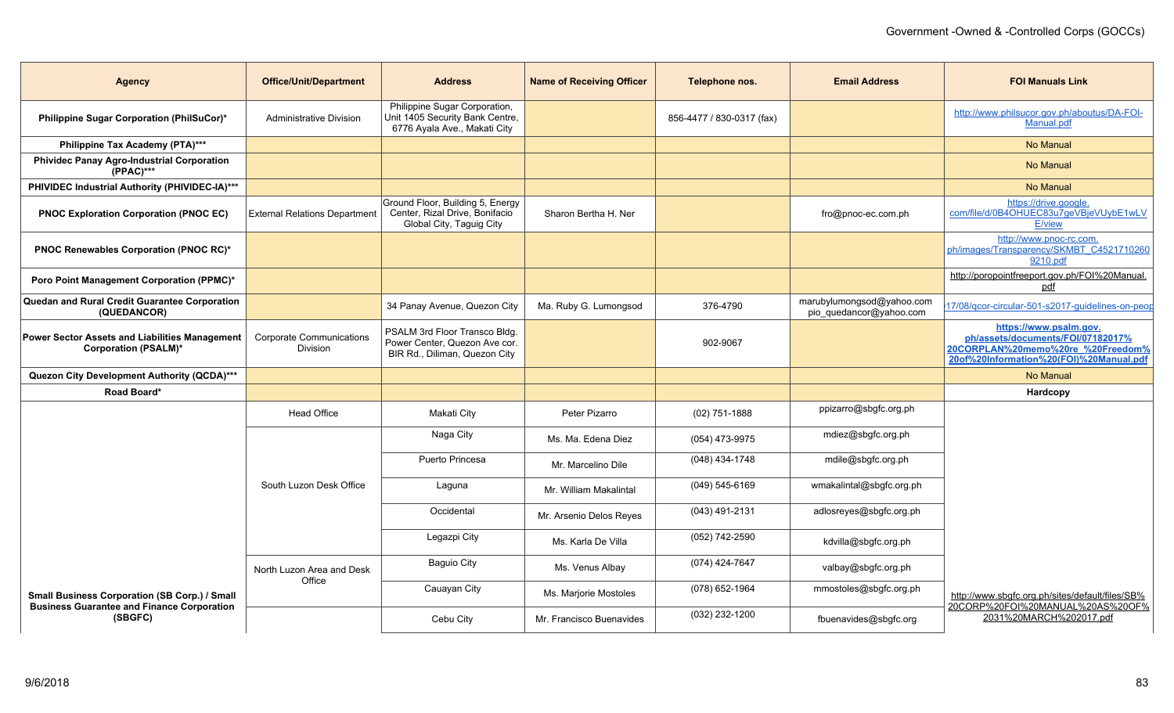| <b>Agency</b>                                                                                             | <b>Office/Unit/Department</b>               | <b>Address</b>                                                                                   | <b>Name of Receiving Officer</b> | Telephone nos.            | <b>Email Address</b>                                 | <b>FOI Manuals Link</b>                                                                                                                     |
|-----------------------------------------------------------------------------------------------------------|---------------------------------------------|--------------------------------------------------------------------------------------------------|----------------------------------|---------------------------|------------------------------------------------------|---------------------------------------------------------------------------------------------------------------------------------------------|
| <b>Philippine Sugar Corporation (PhilSuCor)*</b>                                                          | Administrative Division                     | Philippine Sugar Corporation,<br>Unit 1405 Security Bank Centre,<br>6776 Ayala Ave., Makati City |                                  | 856-4477 / 830-0317 (fax) |                                                      | http://www.philsucor.gov.ph/aboutus/DA-FOI-<br>Manual.pdf                                                                                   |
| Philippine Tax Academy (PTA)***                                                                           |                                             |                                                                                                  |                                  |                           |                                                      | No Manual                                                                                                                                   |
| <b>Phividec Panay Agro-Industrial Corporation</b><br>(PPAC)***                                            |                                             |                                                                                                  |                                  |                           |                                                      | No Manual                                                                                                                                   |
| PHIVIDEC Industrial Authority (PHIVIDEC-IA)***                                                            |                                             |                                                                                                  |                                  |                           |                                                      | No Manual                                                                                                                                   |
| <b>PNOC Exploration Corporation (PNOC EC)</b>                                                             | <b>External Relations Department</b>        | Ground Floor, Building 5, Energy<br>Center, Rizal Drive, Bonifacio<br>Global City, Taguig City   | Sharon Bertha H. Ner             |                           | fro@pnoc-ec.com.ph                                   | https://drive.google.<br>com/file/d/0B4OHUEC83u7geVBjeVUybE1wLV<br><b>E/view</b>                                                            |
| PNOC Renewables Corporation (PNOC RC)*                                                                    |                                             |                                                                                                  |                                  |                           |                                                      | http://www.pnoc-rc.com.<br>ph/images/Transparency/SKMBT_C4521710260<br>9210.pdf                                                             |
| Poro Point Management Corporation (PPMC)*                                                                 |                                             |                                                                                                  |                                  |                           |                                                      | http://poropointfreeport.gov.ph/FOI%20Manual.<br>pdf                                                                                        |
| Quedan and Rural Credit Guarantee Corporation<br>(QUEDANCOR)                                              |                                             | 34 Panay Avenue, Quezon City                                                                     | Ma. Ruby G. Lumongsod            | 376-4790                  | marubylumongsod@yahoo.com<br>pio_quedancor@yahoo.com | 17/08/gcor-circular-501-s2017-guidelines-on-peop                                                                                            |
| Power Sector Assets and Liabilities Management<br><b>Corporation (PSALM)*</b>                             | <b>Corporate Communications</b><br>Division | PSALM 3rd Floor Transco Bldg.<br>Power Center, Quezon Ave cor.<br>BIR Rd., Diliman, Quezon City  |                                  | 902-9067                  |                                                      | https://www.psalm.gov.<br>ph/assets/documents/FOI/07182017%<br>20CORPLAN%20memo%20re %20Freedom%<br>20of%20Information%20(FOI)%20Manual.pdf |
| Quezon City Development Authority (QCDA)***                                                               |                                             |                                                                                                  |                                  |                           |                                                      | No Manual                                                                                                                                   |
| Road Board*                                                                                               |                                             |                                                                                                  |                                  |                           |                                                      | Hardcopy                                                                                                                                    |
|                                                                                                           | <b>Head Office</b>                          | Makati City                                                                                      | Peter Pizarro                    | $(02)$ 751-1888           | ppizarro@sbgfc.org.ph                                |                                                                                                                                             |
|                                                                                                           |                                             | Naga City                                                                                        | Ms. Ma. Edena Diez               | (054) 473-9975            | mdiez@sbgfc.org.ph                                   |                                                                                                                                             |
|                                                                                                           |                                             | Puerto Princesa                                                                                  | Mr. Marcelino Dile               | (048) 434-1748            | mdile@sbgfc.org.ph                                   |                                                                                                                                             |
|                                                                                                           | South Luzon Desk Office                     | Laguna                                                                                           | Mr. William Makalintal           | $(049) 545 - 6169$        | wmakalintal@sbgfc.org.ph                             |                                                                                                                                             |
|                                                                                                           |                                             | Occidental                                                                                       | Mr. Arsenio Delos Reyes          | (043) 491-2131            | adlosreyes@sbgfc.org.ph                              |                                                                                                                                             |
|                                                                                                           |                                             | Legazpi City                                                                                     | Ms. Karla De Villa               | (052) 742-2590            | kdvilla@sbgfc.org.ph                                 |                                                                                                                                             |
|                                                                                                           | North Luzon Area and Desk                   | <b>Baguio City</b>                                                                               | Ms. Venus Albay                  | (074) 424-7647            | valbay@sbgfc.org.ph                                  |                                                                                                                                             |
| <b>Small Business Corporation (SB Corp.) / Small</b><br><b>Business Guarantee and Finance Corporation</b> | Office                                      | Cauayan City                                                                                     | Ms. Marjorie Mostoles            | (078) 652-1964            | mmostoles@sbgfc.org.ph                               | http://www.sbgfc.org.ph/sites/default/files/SB%<br>20CORP%20FOI%20MANUAL%20AS%20OF%                                                         |
| (SBGFC)                                                                                                   |                                             | Cebu City                                                                                        | Mr. Francisco Buenavides         | (032) 232-1200            | fbuenavides@sbgfc.org                                | 2031%20MARCH%202017.pdf                                                                                                                     |
|                                                                                                           |                                             |                                                                                                  |                                  |                           |                                                      |                                                                                                                                             |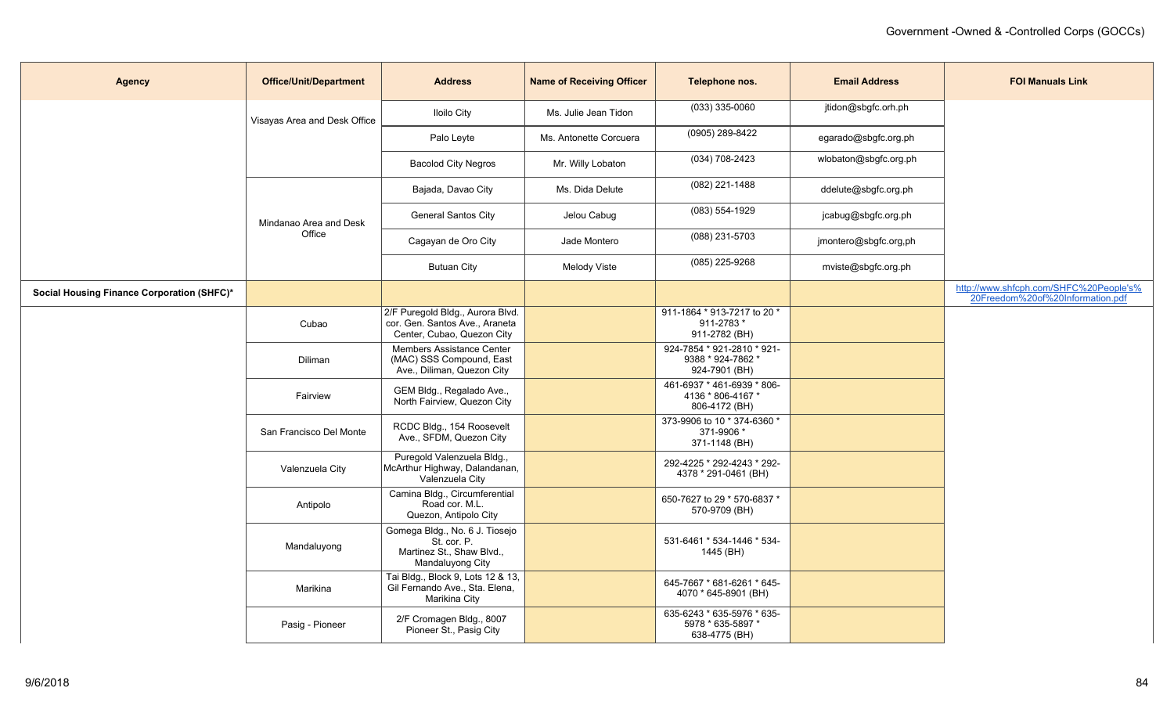| <b>Agency</b>                              | <b>Office/Unit/Department</b>    | <b>Address</b>                                                                                   | <b>Name of Receiving Officer</b> | Telephone nos.                                                   | <b>Email Address</b>  | <b>FOI Manuals Link</b>                                                    |
|--------------------------------------------|----------------------------------|--------------------------------------------------------------------------------------------------|----------------------------------|------------------------------------------------------------------|-----------------------|----------------------------------------------------------------------------|
|                                            | Visayas Area and Desk Office     | <b>Iloilo City</b>                                                                               | Ms. Julie Jean Tidon             | $(033)$ 335-0060                                                 | jtidon@sbgfc.orh.ph   |                                                                            |
|                                            |                                  | Palo Leyte                                                                                       | Ms. Antonette Corcuera           | (0905) 289-8422                                                  | egarado@sbgfc.org.ph  |                                                                            |
|                                            |                                  | <b>Bacolod City Negros</b>                                                                       | Mr. Willy Lobaton                | (034) 708-2423                                                   | wlobaton@sbgfc.org.ph |                                                                            |
|                                            |                                  | Bajada, Davao City                                                                               | Ms. Dida Delute                  | (082) 221-1488                                                   | ddelute@sbgfc.org.ph  |                                                                            |
|                                            | Mindanao Area and Desk<br>Office | General Santos City                                                                              | Jelou Cabug                      | $(083) 554 - 1929$                                               | jcabug@sbgfc.org.ph   |                                                                            |
|                                            |                                  | Cagayan de Oro City                                                                              | Jade Montero                     | (088) 231-5703                                                   | jmontero@sbgfc.org,ph |                                                                            |
|                                            |                                  | <b>Butuan City</b>                                                                               | <b>Melody Viste</b>              | (085) 225-9268                                                   | mviste@sbgfc.org.ph   |                                                                            |
| Social Housing Finance Corporation (SHFC)* |                                  |                                                                                                  |                                  |                                                                  |                       | http://www.shfcph.com/SHFC%20People's%<br>20Freedom%20of%20Information.pdf |
|                                            | Cubao                            | 2/F Puregold Bldg., Aurora Blvd.<br>cor. Gen. Santos Ave., Araneta<br>Center, Cubao, Quezon City |                                  | 911-1864 * 913-7217 to 20 *<br>911-2783*<br>911-2782 (BH)        |                       |                                                                            |
|                                            | Diliman                          | Members Assistance Center<br>(MAC) SSS Compound, East<br>Ave., Diliman, Quezon City              |                                  | 924-7854 * 921-2810 * 921-<br>9388 * 924-7862 *<br>924-7901 (BH) |                       |                                                                            |
|                                            | Fairview                         | GEM Bldg., Regalado Ave.,<br>North Fairview, Quezon City                                         |                                  | 461-6937 * 461-6939 * 806-<br>4136 * 806-4167 *<br>806-4172 (BH) |                       |                                                                            |
|                                            | San Francisco Del Monte          | RCDC Bldg., 154 Roosevelt<br>Ave., SFDM, Quezon City                                             |                                  | 373-9906 to 10 * 374-6360 *<br>371-9906 *<br>371-1148 (BH)       |                       |                                                                            |
|                                            | Valenzuela City                  | Puregold Valenzuela Bldg.,<br>McArthur Highway, Dalandanan,<br>Valenzuela City                   |                                  | 292-4225 * 292-4243 * 292-<br>4378 * 291-0461 (BH)               |                       |                                                                            |
|                                            | Antipolo                         | Camina Bldg., Circumferential<br>Road cor. M.L.<br>Quezon, Antipolo City                         |                                  | 650-7627 to 29 * 570-6837 *<br>570-9709 (BH)                     |                       |                                                                            |
|                                            | Mandaluyong                      | Gomega Bldg., No. 6 J. Tiosejo<br>St. cor. P.<br>Martinez St., Shaw Blvd.,<br>Mandaluyong City   |                                  | 531-6461 * 534-1446 * 534-<br>1445 (BH)                          |                       |                                                                            |
|                                            | Marikina                         | Tai Bldg., Block 9, Lots 12 & 13,<br>Gil Fernando Ave., Sta. Elena,<br>Marikina City             |                                  | 645-7667 * 681-6261 * 645-<br>4070 * 645-8901 (BH)               |                       |                                                                            |
|                                            | Pasig - Pioneer                  | 2/F Cromagen Bldg., 8007<br>Pioneer St., Pasig City                                              |                                  | 635-6243 * 635-5976 * 635-<br>5978 * 635-5897 *<br>638-4775 (BH) |                       |                                                                            |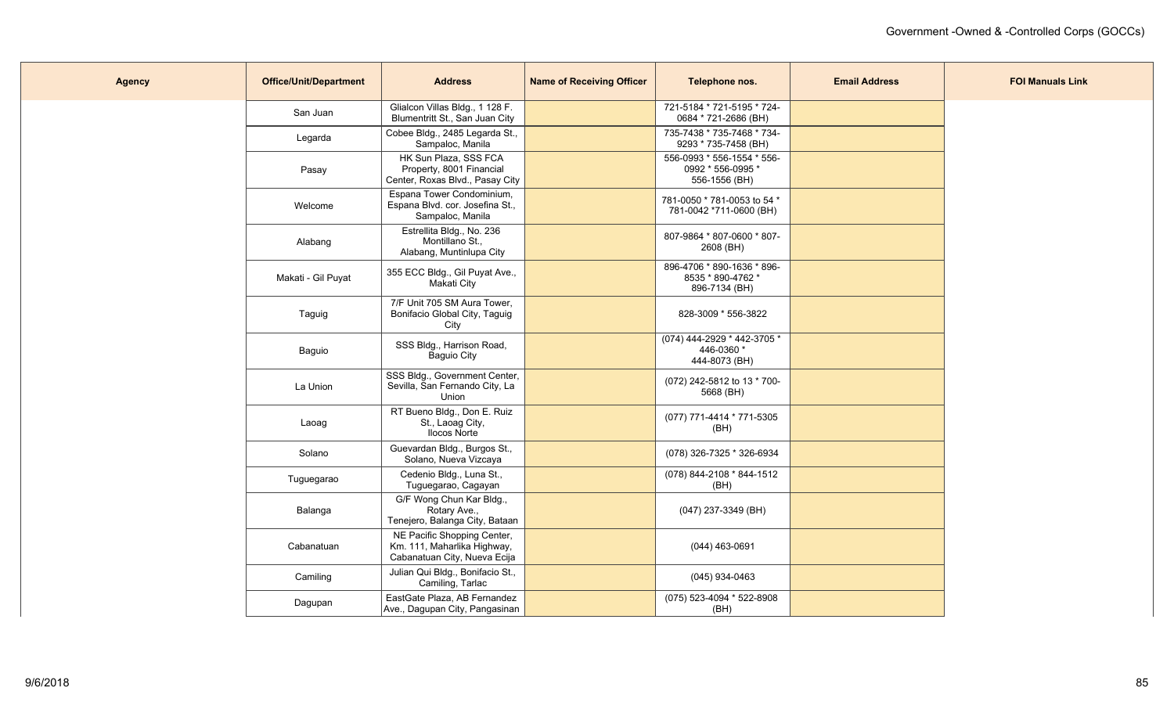| <b>Agency</b> | <b>Office/Unit/Department</b> | <b>Address</b>                                                                             | <b>Name of Receiving Officer</b> | Telephone nos.                                                   | <b>Email Address</b> | <b>FOI Manuals Link</b> |
|---------------|-------------------------------|--------------------------------------------------------------------------------------------|----------------------------------|------------------------------------------------------------------|----------------------|-------------------------|
|               | San Juan                      | Glialcon Villas Bldg., 1 128 F.<br>Blumentritt St., San Juan City                          |                                  | 721-5184 * 721-5195 * 724-<br>0684 * 721-2686 (BH)               |                      |                         |
|               | Legarda                       | Cobee Bldg., 2485 Legarda St.,<br>Sampaloc, Manila                                         |                                  | 735-7438 * 735-7468 * 734-<br>9293 * 735-7458 (BH)               |                      |                         |
|               | Pasay                         | HK Sun Plaza, SSS FCA<br>Property, 8001 Financial<br>Center, Roxas Blvd., Pasay City       |                                  | 556-0993 * 556-1554 * 556-<br>0992 * 556-0995 *<br>556-1556 (BH) |                      |                         |
|               | Welcome                       | Espana Tower Condominium,<br>Espana Blvd. cor. Josefina St.,<br>Sampaloc, Manila           |                                  | 781-0050 * 781-0053 to 54 *<br>781-0042 *711-0600 (BH)           |                      |                         |
|               | Alabang                       | Estrellita Bldg., No. 236<br>Montillano St.,<br>Alabang, Muntinlupa City                   |                                  | 807-9864 * 807-0600 * 807-<br>2608 (BH)                          |                      |                         |
|               | Makati - Gil Puyat            | 355 ECC Bldg., Gil Puyat Ave.,<br>Makati City                                              |                                  | 896-4706 * 890-1636 * 896-<br>8535 * 890-4762 *<br>896-7134 (BH) |                      |                         |
|               | Taguig                        | 7/F Unit 705 SM Aura Tower,<br>Bonifacio Global City, Taguig<br>City                       |                                  | 828-3009 * 556-3822                                              |                      |                         |
|               | Baguio                        | SSS Bldg., Harrison Road,<br>Baguio City                                                   |                                  | (074) 444-2929 * 442-3705 *<br>446-0360 *<br>444-8073 (BH)       |                      |                         |
|               | La Union                      | SSS Bldg., Government Center,<br>Sevilla, San Fernando City, La<br>Union                   |                                  | (072) 242-5812 to 13 * 700-<br>5668 (BH)                         |                      |                         |
|               | Laoag                         | RT Bueno Bldg., Don E. Ruiz<br>St., Laoag City,<br>Ilocos Norte                            |                                  | (077) 771-4414 * 771-5305<br>(BH)                                |                      |                         |
|               | Solano                        | Guevardan Bldg., Burgos St.,<br>Solano, Nueva Vizcaya                                      |                                  | (078) 326-7325 * 326-6934                                        |                      |                         |
|               | Tuguegarao                    | Cedenio Bldg., Luna St.,<br>Tuguegarao, Cagayan                                            |                                  | (078) 844-2108 * 844-1512<br>(BH)                                |                      |                         |
|               | Balanga                       | G/F Wong Chun Kar Bldg.,<br>Rotary Ave.,<br>Tenejero, Balanga City, Bataan                 |                                  | (047) 237-3349 (BH)                                              |                      |                         |
|               | Cabanatuan                    | NE Pacific Shopping Center,<br>Km. 111, Maharlika Highway,<br>Cabanatuan City, Nueva Ecija |                                  | (044) 463-0691                                                   |                      |                         |
|               | Camiling                      | Julian Qui Bldg., Bonifacio St.,<br>Camiling, Tarlac                                       |                                  | (045) 934-0463                                                   |                      |                         |
|               | Dagupan                       | EastGate Plaza, AB Fernandez<br>Ave., Dagupan City, Pangasinan                             |                                  | (075) 523-4094 * 522-8908<br>(BH)                                |                      |                         |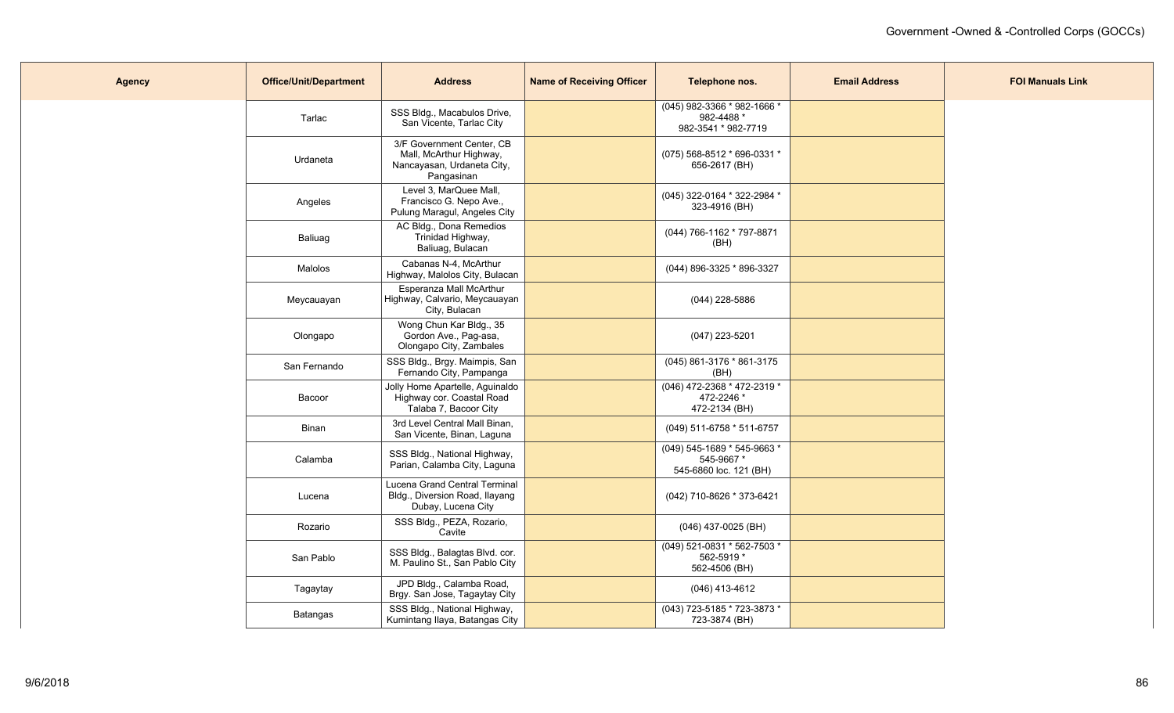| <b>Agency</b> | <b>Office/Unit/Department</b> | <b>Address</b>                                                                                   | <b>Name of Receiving Officer</b> | Telephone nos.                                                     | <b>Email Address</b> | <b>FOI Manuals Link</b> |
|---------------|-------------------------------|--------------------------------------------------------------------------------------------------|----------------------------------|--------------------------------------------------------------------|----------------------|-------------------------|
|               | Tarlac                        | SSS Bldg., Macabulos Drive,<br>San Vicente, Tarlac City                                          |                                  | (045) 982-3366 * 982-1666 *<br>982-4488 *<br>982-3541 * 982-7719   |                      |                         |
|               | Urdaneta                      | 3/F Government Center, CB<br>Mall, McArthur Highway,<br>Nancayasan, Urdaneta City,<br>Pangasinan |                                  | (075) 568-8512 * 696-0331 *<br>656-2617 (BH)                       |                      |                         |
|               | Angeles                       | Level 3, MarQuee Mall,<br>Francisco G. Nepo Ave.,<br>Pulung Maragul, Angeles City                |                                  | (045) 322-0164 * 322-2984 *<br>323-4916 (BH)                       |                      |                         |
|               | Baliuag                       | AC Bldg., Dona Remedios<br>Trinidad Highway,<br>Baliuag, Bulacan                                 |                                  | (044) 766-1162 * 797-8871<br>(BH)                                  |                      |                         |
|               | Malolos                       | Cabanas N-4, McArthur<br>Highway, Malolos City, Bulacan                                          |                                  | (044) 896-3325 * 896-3327                                          |                      |                         |
|               | Meycauayan                    | Esperanza Mall McArthur<br>Highway, Calvario, Meycauayan<br>City, Bulacan                        |                                  | (044) 228-5886                                                     |                      |                         |
|               | Olongapo                      | Wong Chun Kar Bldg., 35<br>Gordon Ave., Pag-asa,<br>Olongapo City, Zambales                      |                                  | $(047)$ 223-5201                                                   |                      |                         |
|               | San Fernando                  | SSS Bldg., Brgy. Maimpis, San<br>Fernando City, Pampanga                                         |                                  | (045) 861-3176 * 861-3175<br>(BH)                                  |                      |                         |
|               | Bacoor                        | Jolly Home Apartelle, Aguinaldo<br>Highway cor. Coastal Road<br>Talaba 7, Bacoor City            |                                  | (046) 472-2368 * 472-2319 *<br>472-2246 *<br>472-2134 (BH)         |                      |                         |
|               | Binan                         | 3rd Level Central Mall Binan,<br>San Vicente, Binan, Laguna                                      |                                  | (049) 511-6758 * 511-6757                                          |                      |                         |
|               | Calamba                       | SSS Bldg., National Highway,<br>Parian, Calamba City, Laguna                                     |                                  | (049) 545-1689 * 545-9663 *<br>545-9667*<br>545-6860 loc. 121 (BH) |                      |                         |
|               | Lucena                        | Lucena Grand Central Terminal<br>Bldg., Diversion Road, Ilayang<br>Dubay, Lucena City            |                                  | (042) 710-8626 * 373-6421                                          |                      |                         |
|               | Rozario                       | SSS Bldg., PEZA, Rozario,<br>Cavite                                                              |                                  | (046) 437-0025 (BH)                                                |                      |                         |
|               | San Pablo                     | SSS Bldg., Balagtas Blvd. cor.<br>M. Paulino St., San Pablo City                                 |                                  | (049) 521-0831 * 562-7503 *<br>562-5919 *<br>562-4506 (BH)         |                      |                         |
|               | Tagaytay                      | JPD Bldg., Calamba Road,<br>Brgy. San Jose, Tagaytay City                                        |                                  | (046) 413-4612                                                     |                      |                         |
|               | Batangas                      | SSS Bldg., National Highway,<br>Kumintang Ilaya, Batangas City                                   |                                  | (043) 723-5185 * 723-3873 *<br>723-3874 (BH)                       |                      |                         |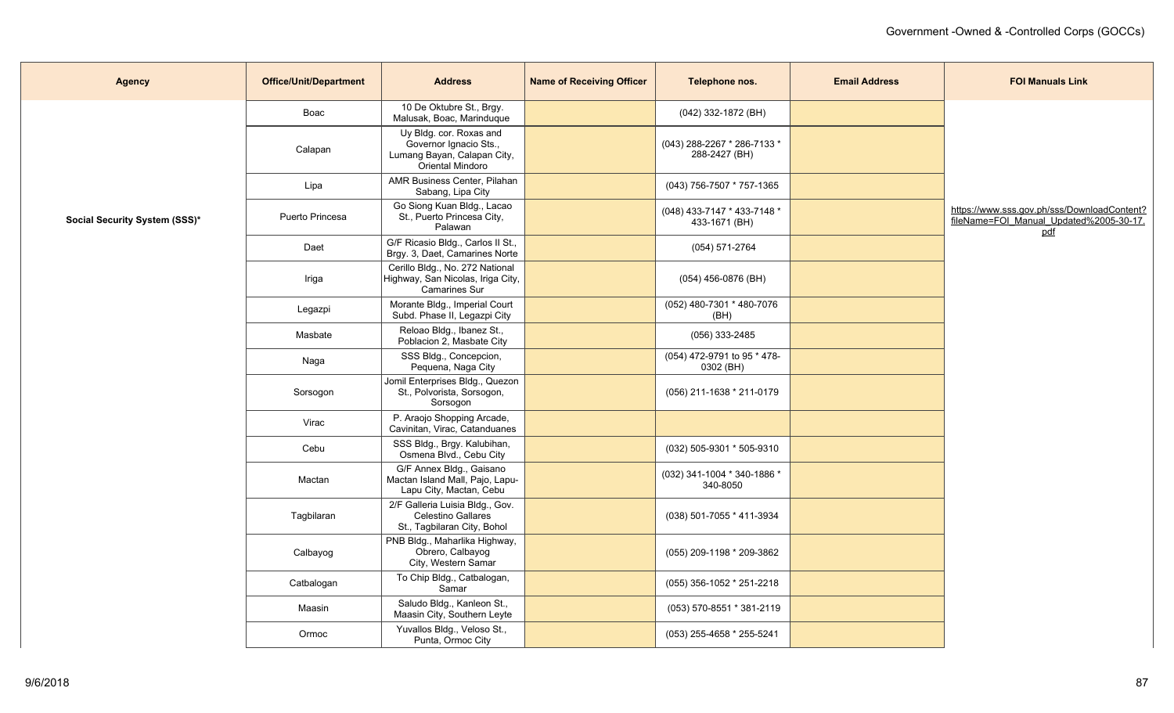| <b>Agency</b>                 | <b>Office/Unit/Department</b> | <b>Address</b>                                                                                       | <b>Name of Receiving Officer</b> | Telephone nos.                               | <b>Email Address</b> | <b>FOI Manuals Link</b>                                                                       |
|-------------------------------|-------------------------------|------------------------------------------------------------------------------------------------------|----------------------------------|----------------------------------------------|----------------------|-----------------------------------------------------------------------------------------------|
|                               | Boac                          | 10 De Oktubre St., Brgy.<br>Malusak, Boac, Marinduque                                                |                                  | (042) 332-1872 (BH)                          |                      |                                                                                               |
|                               | Calapan                       | Uy Bldg. cor. Roxas and<br>Governor Ignacio Sts.,<br>Lumang Bayan, Calapan City,<br>Oriental Mindoro |                                  | (043) 288-2267 * 286-7133 *<br>288-2427 (BH) |                      |                                                                                               |
|                               | Lipa                          | AMR Business Center, Pilahan<br>Sabang, Lipa City                                                    |                                  | (043) 756-7507 * 757-1365                    |                      |                                                                                               |
| Social Security System (SSS)* | Puerto Princesa               | Go Siong Kuan Bldg., Lacao<br>St., Puerto Princesa City,<br>Palawan                                  |                                  | (048) 433-7147 * 433-7148 *<br>433-1671 (BH) |                      | https://www.sss.gov.ph/sss/DownloadContent?<br>fileName=FOI_Manual_Updated%2005-30-17.<br>pdf |
|                               | Daet                          | G/F Ricasio Bldg., Carlos II St.,<br>Brgy. 3, Daet, Camarines Norte                                  |                                  | (054) 571-2764                               |                      |                                                                                               |
|                               | Iriga                         | Cerillo Bldg., No. 272 National<br>Highway, San Nicolas, Iriga City,<br><b>Camarines Sur</b>         |                                  | (054) 456-0876 (BH)                          |                      |                                                                                               |
|                               | Legazpi                       | Morante Bldg., Imperial Court<br>Subd. Phase II, Legazpi City                                        |                                  | (052) 480-7301 * 480-7076<br>(BH)            |                      |                                                                                               |
|                               | Masbate                       | Reloao Bldg., Ibanez St.,<br>Poblacion 2, Masbate City                                               |                                  | (056) 333-2485                               |                      |                                                                                               |
|                               | Naga                          | SSS Bldg., Concepcion,<br>Pequena, Naga City                                                         |                                  | (054) 472-9791 to 95 * 478-<br>0302 (BH)     |                      |                                                                                               |
|                               | Sorsogon                      | Jomil Enterprises Bldg., Quezon<br>St., Polvorista, Sorsogon,<br>Sorsogon                            |                                  | (056) 211-1638 * 211-0179                    |                      |                                                                                               |
|                               | Virac                         | P. Araojo Shopping Arcade,<br>Cavinitan, Virac, Catanduanes                                          |                                  |                                              |                      |                                                                                               |
|                               | Cebu                          | SSS Bldg., Brgy. Kalubihan,<br>Osmena Blvd., Cebu City                                               |                                  | (032) 505-9301 * 505-9310                    |                      |                                                                                               |
|                               | Mactan                        | G/F Annex Bldg., Gaisano<br>Mactan Island Mall, Pajo, Lapu-<br>Lapu City, Mactan, Cebu               |                                  | (032) 341-1004 * 340-1886 *<br>340-8050      |                      |                                                                                               |
|                               | Tagbilaran                    | 2/F Galleria Luisia Bldg., Gov.<br>Celestino Gallares<br>St., Tagbilaran City, Bohol                 |                                  | (038) 501-7055 * 411-3934                    |                      |                                                                                               |
|                               | Calbayog                      | PNB Bldg., Maharlika Highway,<br>Obrero, Calbayog<br>City, Western Samar                             |                                  | (055) 209-1198 * 209-3862                    |                      |                                                                                               |
|                               | Catbalogan                    | To Chip Bldg., Catbalogan,<br>Samar                                                                  |                                  | (055) 356-1052 * 251-2218                    |                      |                                                                                               |
|                               | Maasin                        | Saludo Bldg., Kanleon St.,<br>Maasin City, Southern Leyte                                            |                                  | (053) 570-8551 * 381-2119                    |                      |                                                                                               |
|                               | Ormoc                         | Yuvallos Bldg., Veloso St.,<br>Punta, Ormoc City                                                     |                                  | (053) 255-4658 * 255-5241                    |                      |                                                                                               |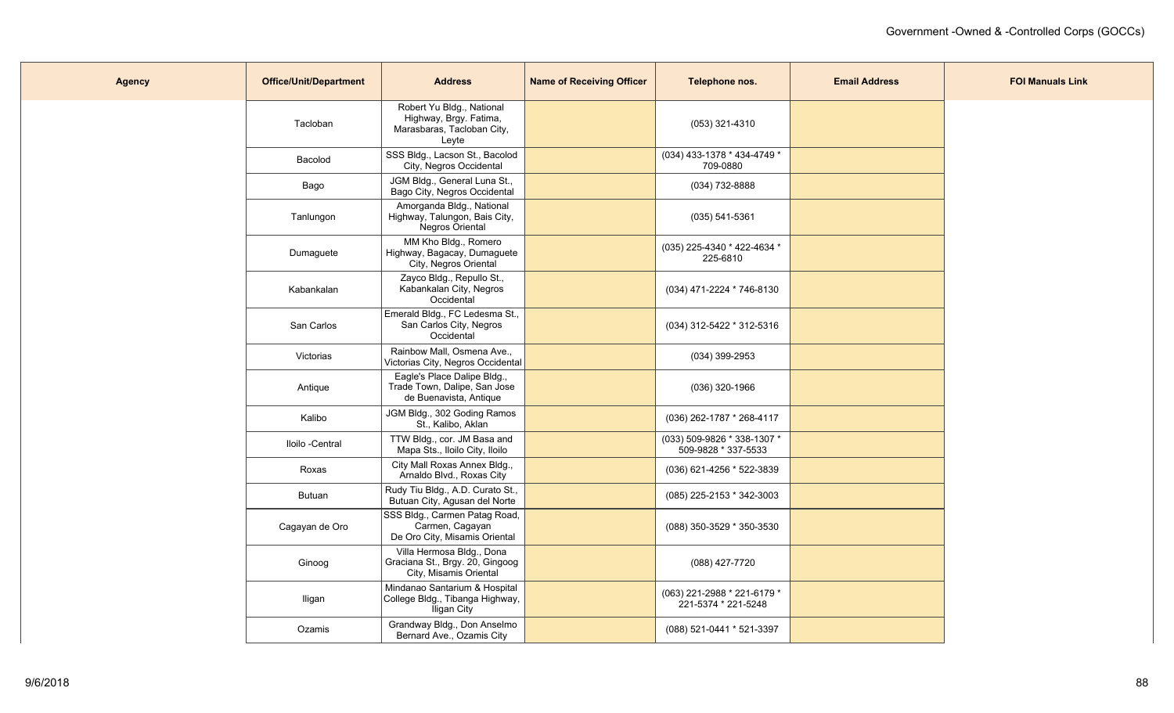| <b>Agency</b> | <b>Office/Unit/Department</b> | <b>Address</b>                                                                             | <b>Name of Receiving Officer</b> | Telephone nos.                                     | <b>Email Address</b> | <b>FOI Manuals Link</b> |
|---------------|-------------------------------|--------------------------------------------------------------------------------------------|----------------------------------|----------------------------------------------------|----------------------|-------------------------|
|               | Tacloban                      | Robert Yu Bldg., National<br>Highway, Brgy. Fatima,<br>Marasbaras, Tacloban City,<br>Leyte |                                  | (053) 321-4310                                     |                      |                         |
|               | Bacolod                       | SSS Bldg., Lacson St., Bacolod<br>City, Negros Occidental                                  |                                  | (034) 433-1378 * 434-4749 *<br>709-0880            |                      |                         |
|               | Bago                          | JGM Bldg., General Luna St.,<br>Bago City, Negros Occidental                               |                                  | (034) 732-8888                                     |                      |                         |
|               | Tanlungon                     | Amorganda Bldg., National<br>Highway, Talungon, Bais City,<br>Negros Oriental              |                                  | $(035) 541 - 5361$                                 |                      |                         |
|               | Dumaguete                     | MM Kho Bldg., Romero<br>Highway, Bagacay, Dumaguete<br>City, Negros Oriental               |                                  | (035) 225-4340 * 422-4634 *<br>225-6810            |                      |                         |
|               | Kabankalan                    | Zayco Bldg., Repullo St.,<br>Kabankalan City, Negros<br>Occidental                         |                                  | (034) 471-2224 * 746-8130                          |                      |                         |
|               | San Carlos                    | Emerald Bldg., FC Ledesma St.,<br>San Carlos City, Negros<br>Occidental                    |                                  | (034) 312-5422 * 312-5316                          |                      |                         |
|               | Victorias                     | Rainbow Mall, Osmena Ave.,<br>Victorias City, Negros Occidental                            |                                  | $(034)$ 399-2953                                   |                      |                         |
|               | Antique                       | Eagle's Place Dalipe Bldg.,<br>Trade Town, Dalipe, San Jose<br>de Buenavista, Antique      |                                  | $(036)$ 320-1966                                   |                      |                         |
|               | Kalibo                        | JGM Bldg., 302 Goding Ramos<br>St., Kalibo, Aklan                                          |                                  | (036) 262-1787 * 268-4117                          |                      |                         |
|               | Iloilo -Central               | TTW Bldg., cor. JM Basa and<br>Mapa Sts., Iloilo City, Iloilo                              |                                  | (033) 509-9826 * 338-1307 *<br>509-9828 * 337-5533 |                      |                         |
|               | Roxas                         | City Mall Roxas Annex Bldg.,<br>Arnaldo Blvd., Roxas City                                  |                                  | (036) 621-4256 * 522-3839                          |                      |                         |
|               | <b>Butuan</b>                 | Rudy Tiu Bldg., A.D. Curato St.,<br>Butuan City, Agusan del Norte                          |                                  | (085) 225-2153 * 342-3003                          |                      |                         |
|               | Cagayan de Oro                | SSS Bldg., Carmen Patag Road,<br>Carmen, Cagayan<br>De Oro City, Misamis Oriental          |                                  | (088) 350-3529 * 350-3530                          |                      |                         |
|               | Ginoog                        | Villa Hermosa Bldg., Dona<br>Graciana St., Brgy. 20, Gingoog<br>City, Misamis Oriental     |                                  | (088) 427-7720                                     |                      |                         |
|               | Iligan                        | Mindanao Santarium & Hospital<br>College Bldg., Tibanga Highway,<br>Iligan City            |                                  | (063) 221-2988 * 221-6179 *<br>221-5374 * 221-5248 |                      |                         |
|               | Ozamis                        | Grandway Bldg., Don Anselmo<br>Bernard Ave., Ozamis City                                   |                                  | (088) 521-0441 * 521-3397                          |                      |                         |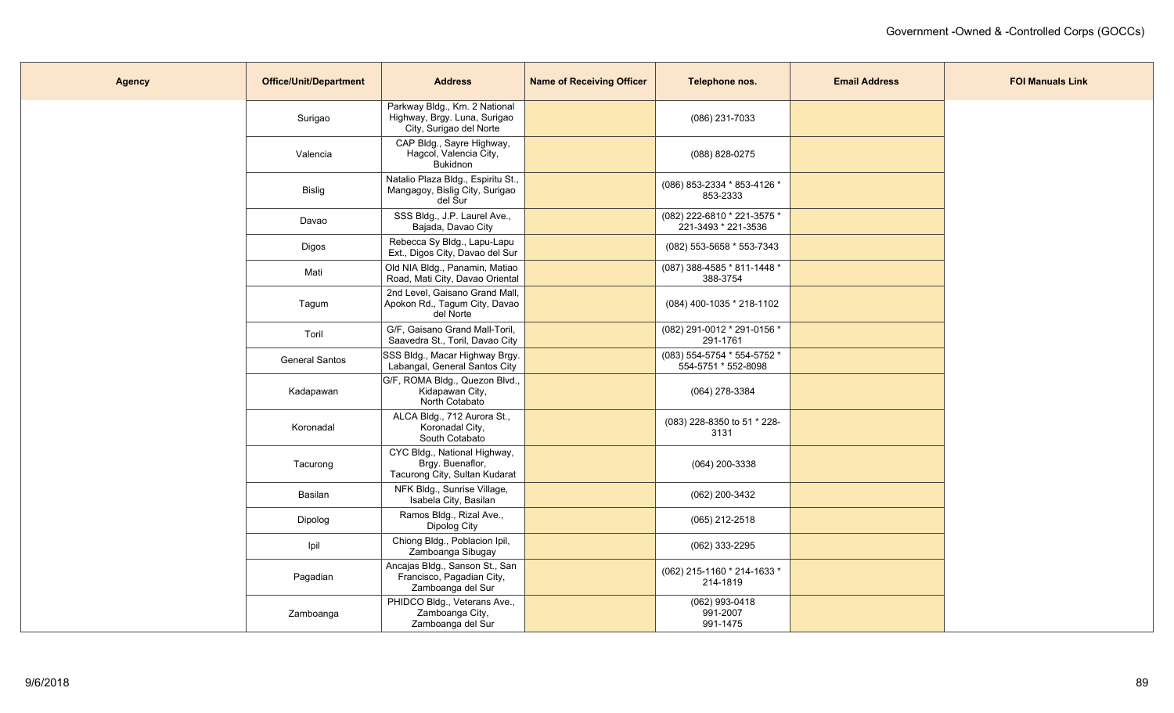| <b>Agency</b> | <b>Office/Unit/Department</b> | <b>Address</b>                                                                           | <b>Name of Receiving Officer</b> | Telephone nos.                                     | <b>Email Address</b> | <b>FOI Manuals Link</b> |
|---------------|-------------------------------|------------------------------------------------------------------------------------------|----------------------------------|----------------------------------------------------|----------------------|-------------------------|
|               | Surigao                       | Parkway Bldg., Km. 2 National<br>Highway, Brgy. Luna, Surigao<br>City, Surigao del Norte |                                  | (086) 231-7033                                     |                      |                         |
|               | Valencia                      | CAP Bldg., Sayre Highway,<br>Hagcol, Valencia City,<br><b>Bukidnon</b>                   |                                  | (088) 828-0275                                     |                      |                         |
|               | Bislig                        | Natalio Plaza Bldg., Espiritu St.,<br>Mangagoy, Bislig City, Surigao<br>del Sur          |                                  | (086) 853-2334 * 853-4126 *<br>853-2333            |                      |                         |
|               | Davao                         | SSS Bldg., J.P. Laurel Ave.,<br>Bajada, Davao City                                       |                                  | (082) 222-6810 * 221-3575 *<br>221-3493 * 221-3536 |                      |                         |
|               | Digos                         | Rebecca Sy Bldg., Lapu-Lapu<br>Ext., Digos City, Davao del Sur                           |                                  | (082) 553-5658 * 553-7343                          |                      |                         |
|               | Mati                          | Old NIA Bldg., Panamin, Matiao<br>Road, Mati City, Davao Oriental                        |                                  | (087) 388-4585 * 811-1448 *<br>388-3754            |                      |                         |
|               | Tagum                         | 2nd Level, Gaisano Grand Mall,<br>Apokon Rd., Tagum City, Davao<br>del Norte             |                                  | $(084)$ 400-1035 * 218-1102                        |                      |                         |
|               | Toril                         | G/F, Gaisano Grand Mall-Toril,<br>Saavedra St., Toril, Davao City                        |                                  | (082) 291-0012 * 291-0156 *<br>291-1761            |                      |                         |
|               | <b>General Santos</b>         | SSS Bldg., Macar Highway Brgy.<br>Labangal, General Santos City                          |                                  | (083) 554-5754 * 554-5752 *<br>554-5751 * 552-8098 |                      |                         |
|               | Kadapawan                     | G/F, ROMA Bldg., Quezon Blvd.,<br>Kidapawan City,<br>North Cotabato                      |                                  | (064) 278-3384                                     |                      |                         |
|               | Koronadal                     | ALCA Bldg., 712 Aurora St.,<br>Koronadal City,<br>South Cotabato                         |                                  | (083) 228-8350 to 51 * 228-<br>3131                |                      |                         |
|               | Tacurong                      | CYC Bldg., National Highway,<br>Brgy. Buenaflor,<br>Tacurong City, Sultan Kudarat        |                                  | (064) 200-3338                                     |                      |                         |
|               | Basilan                       | NFK Bldg., Sunrise Village,<br>Isabela City, Basilan                                     |                                  | (062) 200-3432                                     |                      |                         |
|               | Dipolog                       | Ramos Bldg., Rizal Ave.,<br>Dipolog City                                                 |                                  | (065) 212-2518                                     |                      |                         |
|               | Ipil                          | Chiong Bldg., Poblacion Ipil,<br>Zamboanga Sibugay                                       |                                  | (062) 333-2295                                     |                      |                         |
|               | Pagadian                      | Ancajas Bldg., Sanson St., San<br>Francisco, Pagadian City,<br>Zamboanga del Sur         |                                  | (062) 215-1160 * 214-1633 *<br>214-1819            |                      |                         |
|               | Zamboanga                     | PHIDCO Bldg., Veterans Ave.,<br>Zamboanga City,<br>Zamboanga del Sur                     |                                  | (062) 993-0418<br>991-2007<br>991-1475             |                      |                         |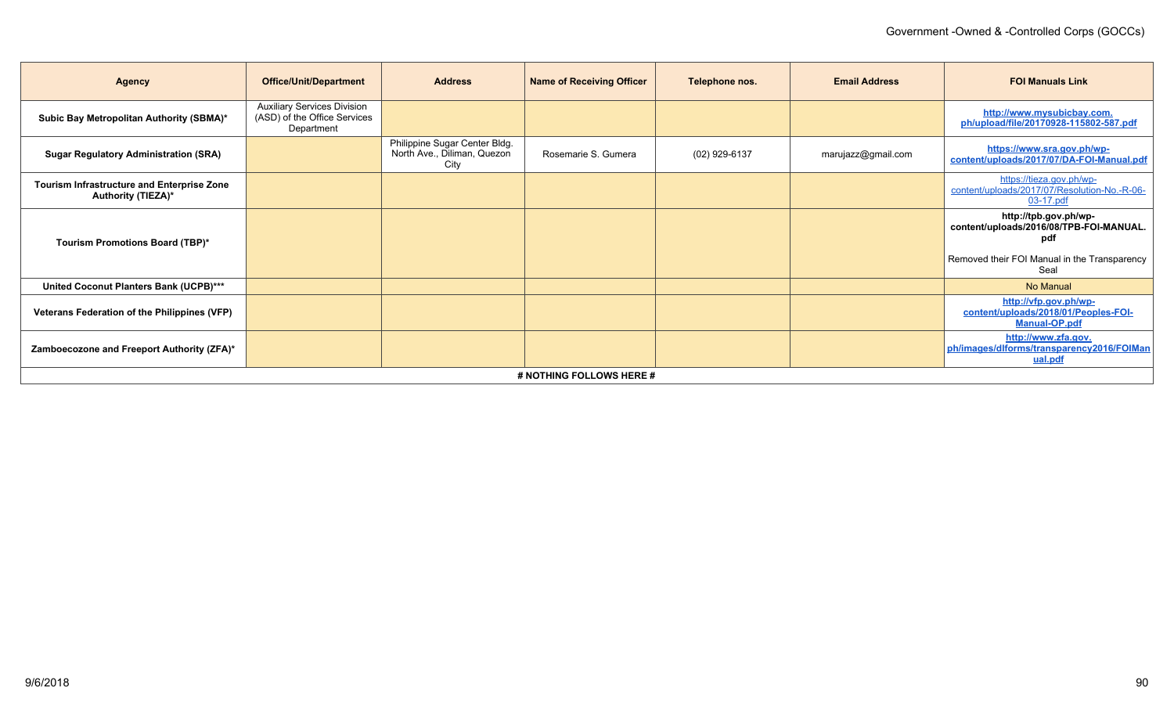| <b>Agency</b>                                                           | <b>Office/Unit/Department</b>                                                    | <b>Address</b>                                                       | <b>Name of Receiving Officer</b> | Telephone nos. | <b>Email Address</b> | <b>FOI Manuals Link</b>                                                                                                         |
|-------------------------------------------------------------------------|----------------------------------------------------------------------------------|----------------------------------------------------------------------|----------------------------------|----------------|----------------------|---------------------------------------------------------------------------------------------------------------------------------|
| Subic Bay Metropolitan Authority (SBMA)*                                | <b>Auxiliary Services Division</b><br>(ASD) of the Office Services<br>Department |                                                                      |                                  |                |                      | http://www.mysubicbay.com.<br>ph/upload/file/20170928-115802-587.pdf                                                            |
| <b>Sugar Regulatory Administration (SRA)</b>                            |                                                                                  | Philippine Sugar Center Bldg.<br>North Ave., Diliman, Quezon<br>City | Rosemarie S. Gumera              | (02) 929-6137  | marujazz@gmail.com   | https://www.sra.gov.ph/wp-<br>content/uploads/2017/07/DA-FOI-Manual.pdf                                                         |
| Tourism Infrastructure and Enterprise Zone<br><b>Authority (TIEZA)*</b> |                                                                                  |                                                                      |                                  |                |                      | https://tieza.gov.ph/wp-<br>content/uploads/2017/07/Resolution-No.-R-06-<br>03-17.pdf                                           |
| Tourism Promotions Board (TBP)*                                         |                                                                                  |                                                                      |                                  |                |                      | http://tpb.gov.ph/wp-<br>content/uploads/2016/08/TPB-FOI-MANUAL.<br>pdf<br>Removed their FOI Manual in the Transparency<br>Seal |
| United Coconut Planters Bank (UCPB)***                                  |                                                                                  |                                                                      |                                  |                |                      | No Manual                                                                                                                       |
| Veterans Federation of the Philippines (VFP)                            |                                                                                  |                                                                      |                                  |                |                      | http://vfp.gov.ph/wp-<br>content/uploads/2018/01/Peoples-FOI-<br><b>Manual-OP.pdf</b>                                           |
| Zamboecozone and Freeport Authority (ZFA)*                              |                                                                                  |                                                                      |                                  |                |                      | http://www.zfa.gov.<br>ph/images/dlforms/transparency2016/FOIMan<br>ual.pdf                                                     |
|                                                                         |                                                                                  |                                                                      | # NOTHING FOLLOWS HERE #         |                |                      |                                                                                                                                 |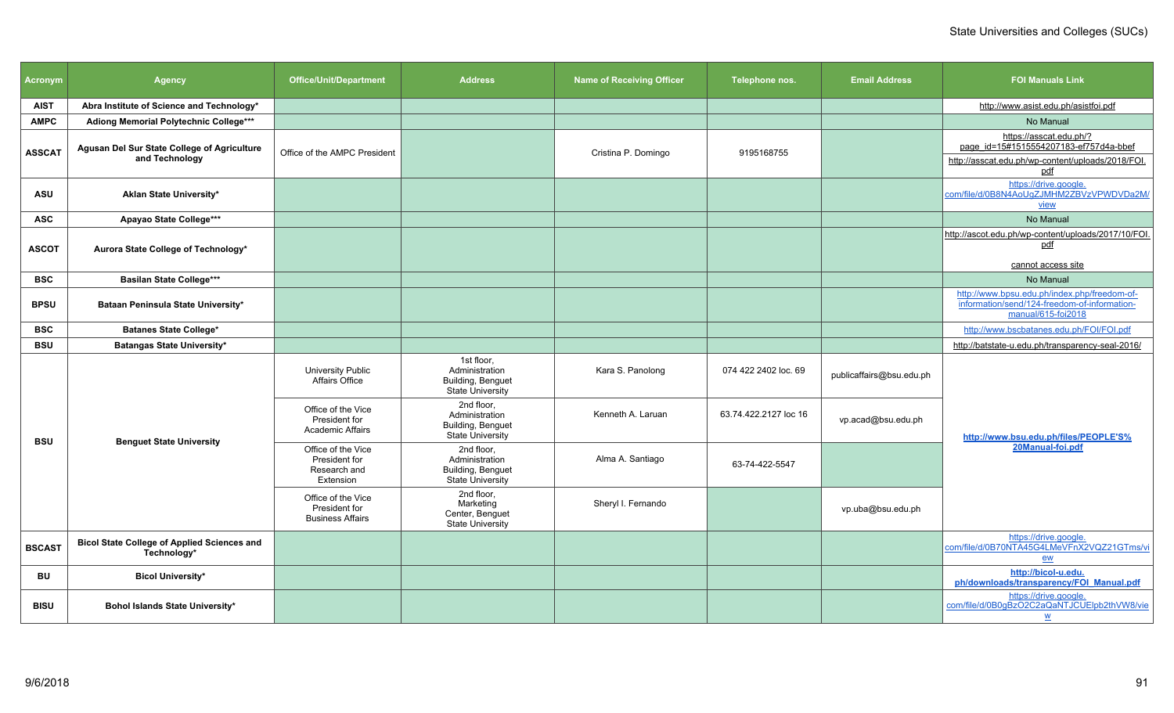| <b>Acronym</b> | <b>Agency</b>                                                        | <b>Office/Unit/Department</b>                                    | <b>Address</b>                                                               | <b>Name of Receiving Officer</b> | Telephone nos.        | <b>Email Address</b>     | <b>FOI Manuals Link</b>                                                                                                       |
|----------------|----------------------------------------------------------------------|------------------------------------------------------------------|------------------------------------------------------------------------------|----------------------------------|-----------------------|--------------------------|-------------------------------------------------------------------------------------------------------------------------------|
| <b>AIST</b>    | Abra Institute of Science and Technology*                            |                                                                  |                                                                              |                                  |                       |                          | http://www.asist.edu.ph/asistfoi.pdf                                                                                          |
| <b>AMPC</b>    | Adiong Memorial Polytechnic College***                               |                                                                  |                                                                              |                                  |                       |                          | No Manual                                                                                                                     |
| <b>ASSCAT</b>  | <b>Agusan Del Sur State College of Agriculture</b><br>and Technology | Office of the AMPC President                                     |                                                                              | Cristina P. Domingo              | 9195168755            |                          | https://asscat.edu.ph/?<br>page_id=15#1515554207183-ef757d4a-bbef<br>http://asscat.edu.ph/wp-content/uploads/2018/FOI.<br>pdf |
| <b>ASU</b>     | Aklan State University*                                              |                                                                  |                                                                              |                                  |                       |                          | https://drive.google.<br>com/file/d/0B8N4AoUqZJMHM2ZBVzVPWDVDa2M/<br><u>view</u>                                              |
| <b>ASC</b>     | Apayao State College***                                              |                                                                  |                                                                              |                                  |                       |                          | No Manual                                                                                                                     |
| <b>ASCOT</b>   | Aurora State College of Technology*                                  |                                                                  |                                                                              |                                  |                       |                          | http://ascot.edu.ph/wp-content/uploads/2017/10/FOI.<br>pdf<br>cannot access site                                              |
| <b>BSC</b>     | <b>Basilan State College***</b>                                      |                                                                  |                                                                              |                                  |                       |                          | No Manual                                                                                                                     |
| <b>BPSU</b>    | Bataan Peninsula State University*                                   |                                                                  |                                                                              |                                  |                       |                          | http://www.bpsu.edu.ph/index.php/freedom-of-<br>information/send/124-freedom-of-information-<br>manual/615-foi2018            |
| <b>BSC</b>     | <b>Batanes State College*</b>                                        |                                                                  |                                                                              |                                  |                       |                          | http://www.bscbatanes.edu.ph/FOI/FOI.pdf                                                                                      |
| <b>BSU</b>     | Batangas State University*                                           |                                                                  |                                                                              |                                  |                       |                          | http://batstate-u.edu.ph/transparency-seal-2016/                                                                              |
|                |                                                                      | University Public<br>Affairs Office                              | 1st floor.<br>Administration<br>Building, Benguet<br><b>State University</b> | Kara S. Panolong                 | 074 422 2402 loc. 69  | publicaffairs@bsu.edu.ph |                                                                                                                               |
| <b>BSU</b>     |                                                                      | Office of the Vice<br>President for<br><b>Academic Affairs</b>   | 2nd floor,<br>Administration<br>Building, Benguet<br>State University        | Kenneth A. Laruan                | 63.74.422.2127 loc 16 | vp.acad@bsu.edu.ph       | http://www.bsu.edu.ph/files/PEOPLE'S%                                                                                         |
|                | <b>Benguet State University</b>                                      | Office of the Vice<br>President for<br>Research and<br>Extension | 2nd floor.<br>Administration<br>Building, Benguet<br><b>State University</b> | Alma A. Santiago                 | 63-74-422-5547        |                          | 20Manual-foi.pdf                                                                                                              |
|                |                                                                      | Office of the Vice<br>President for<br><b>Business Affairs</b>   | 2nd floor,<br>Marketing<br>Center, Benguet<br><b>State University</b>        | Sheryl I. Fernando               |                       | vp.uba@bsu.edu.ph        |                                                                                                                               |
| <b>BSCAST</b>  | <b>Bicol State College of Applied Sciences and</b><br>Technology*    |                                                                  |                                                                              |                                  |                       |                          | https://drive.google.<br>com/file/d/0B70NTA45G4LMeVFnX2VQZ21GTms/vi<br>ew                                                     |
| BU             | <b>Bicol University*</b>                                             |                                                                  |                                                                              |                                  |                       |                          | http://bicol-u.edu.<br>ph/downloads/transparency/FOI_Manual.pdf                                                               |
| <b>BISU</b>    | Bohol Islands State University*                                      |                                                                  |                                                                              |                                  |                       |                          | https://drive.google.<br>com/file/d/0B0gBzO2C2aQaNTJCUElpb2thVW8/vie<br>$\underline{\mathsf{w}}$                              |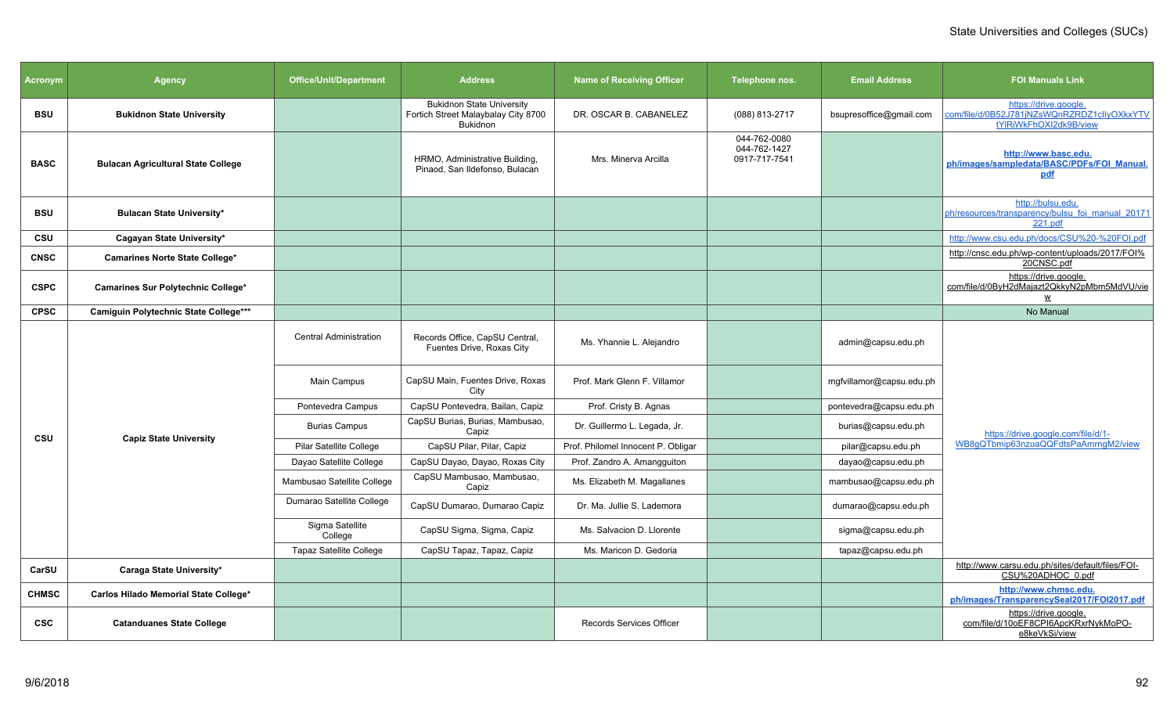| <b>Acronym</b> | <b>Agency</b>                             | <b>Office/Unit/Department</b>  | <b>Address</b>                                                                             | <b>Name of Receiving Officer</b>   | Telephone nos.                                | <b>Email Address</b>     | <b>FOI Manuals Link</b>                                                                          |
|----------------|-------------------------------------------|--------------------------------|--------------------------------------------------------------------------------------------|------------------------------------|-----------------------------------------------|--------------------------|--------------------------------------------------------------------------------------------------|
| <b>BSU</b>     | <b>Bukidnon State University</b>          |                                | <b>Bukidnon State University</b><br>Fortich Street Malaybalay City 8700<br><b>Bukidnon</b> | DR. OSCAR B. CABANELEZ             | (088) 813-2717                                | bsupresoffice@gmail.com  | https://drive.google.<br>com/file/d/0B52J781jNZsWQnRZRDZ1clIyOXkxYTV<br>tYlRiWkFhOXI2dk9B/view   |
| <b>BASC</b>    | <b>Bulacan Agricultural State College</b> |                                | HRMO, Administrative Building,<br>Pinaod, San Ildefonso, Bulacan                           | Mrs. Minerva Arcilla               | 044-762-0080<br>044-762-1427<br>0917-717-7541 |                          | http://www.basc.edu.<br>ph/images/sampledata/BASC/PDFs/FOI Manual.<br>pdf                        |
| <b>BSU</b>     | <b>Bulacan State University*</b>          |                                |                                                                                            |                                    |                                               |                          | http://bulsu.edu.<br>ph/resources/transparency/bulsu foi manual 20171<br>221.pdf                 |
| CSU            | Cagayan State University*                 |                                |                                                                                            |                                    |                                               |                          | http://www.csu.edu.ph/docs/CSU%20-%20FOI.pdf                                                     |
| <b>CNSC</b>    | Camarines Norte State College*            |                                |                                                                                            |                                    |                                               |                          | http://cnsc.edu.ph/wp-content/uploads/2017/FOI%<br>20CNSC.pdf                                    |
| <b>CSPC</b>    | Camarines Sur Polytechnic College*        |                                |                                                                                            |                                    |                                               |                          | https://drive.google.<br>com/file/d/0ByH2dMajazt2QkkyN2pMbm5MdVU/vie<br>$\underline{\mathsf{w}}$ |
| <b>CPSC</b>    | Camiguin Polytechnic State College***     |                                |                                                                                            |                                    |                                               |                          | No Manual                                                                                        |
|                |                                           | <b>Central Administration</b>  | Records Office, CapSU Central,<br>Fuentes Drive, Roxas City                                | Ms. Yhannie L. Alejandro           |                                               | admin@capsu.edu.ph       |                                                                                                  |
|                |                                           | Main Campus                    | CapSU Main, Fuentes Drive, Roxas<br>City                                                   | Prof. Mark Glenn F. Villamor       |                                               | mgfvillamor@capsu.edu.ph |                                                                                                  |
|                |                                           | Pontevedra Campus              | CapSU Pontevedra, Bailan, Capiz                                                            | Prof. Cristy B. Agnas              |                                               | pontevedra@capsu.edu.ph  |                                                                                                  |
| CSU            | <b>Capiz State University</b>             | <b>Burias Campus</b>           | CapSU Burias, Burias, Mambusao,<br>Capiz                                                   | Dr. Guillermo L. Legada, Jr.       |                                               | burias@capsu.edu.ph      | https://drive.google.com/file/d/1-                                                               |
|                |                                           | Pilar Satellite College        | CapSU Pilar, Pilar, Capiz                                                                  | Prof. Philomel Innocent P. Obligar |                                               | pilar@capsu.edu.ph       | WB8qQTbmip63nzuaQQFdtsPaAmrnqM2/view                                                             |
|                |                                           | Dayao Satellite College        | CapSU Dayao, Dayao, Roxas City                                                             | Prof. Zandro A. Amangguiton        |                                               | dayao@capsu.edu.ph       |                                                                                                  |
|                |                                           | Mambusao Satellite College     | CapSU Mambusao, Mambusao,<br>Capiz                                                         | Ms. Elizabeth M. Magallanes        |                                               | mambusao@capsu.edu.ph    |                                                                                                  |
|                |                                           | Dumarao Satellite College      | CapSU Dumarao, Dumarao Capiz                                                               | Dr. Ma. Jullie S. Lademora         |                                               | dumarao@capsu.edu.ph     |                                                                                                  |
|                |                                           | Sigma Satellite<br>College     | CapSU Sigma, Sigma, Capiz                                                                  | Ms. Salvacion D. Llorente          |                                               | sigma@capsu.edu.ph       |                                                                                                  |
|                |                                           | <b>Tapaz Satellite College</b> | CapSU Tapaz, Tapaz, Capiz                                                                  | Ms. Maricon D. Gedoria             |                                               | tapaz@capsu.edu.ph       |                                                                                                  |
| CarSU          | Caraga State University*                  |                                |                                                                                            |                                    |                                               |                          | http://www.carsu.edu.ph/sites/default/files/FOI-<br>CSU%20ADHOC 0.pdf                            |
| <b>CHMSC</b>   | Carlos Hilado Memorial State College*     |                                |                                                                                            |                                    |                                               |                          | http://www.chmsc.edu.<br>ph/images/TransparencySeal2017/FOI2017.pdf                              |
| <b>CSC</b>     | <b>Catanduanes State College</b>          |                                |                                                                                            | <b>Records Services Officer</b>    |                                               |                          | https://drive.google.<br>com/file/d/10oEF8CPI6ApcKRxrNykMoPO-<br>e8keVkSi/view                   |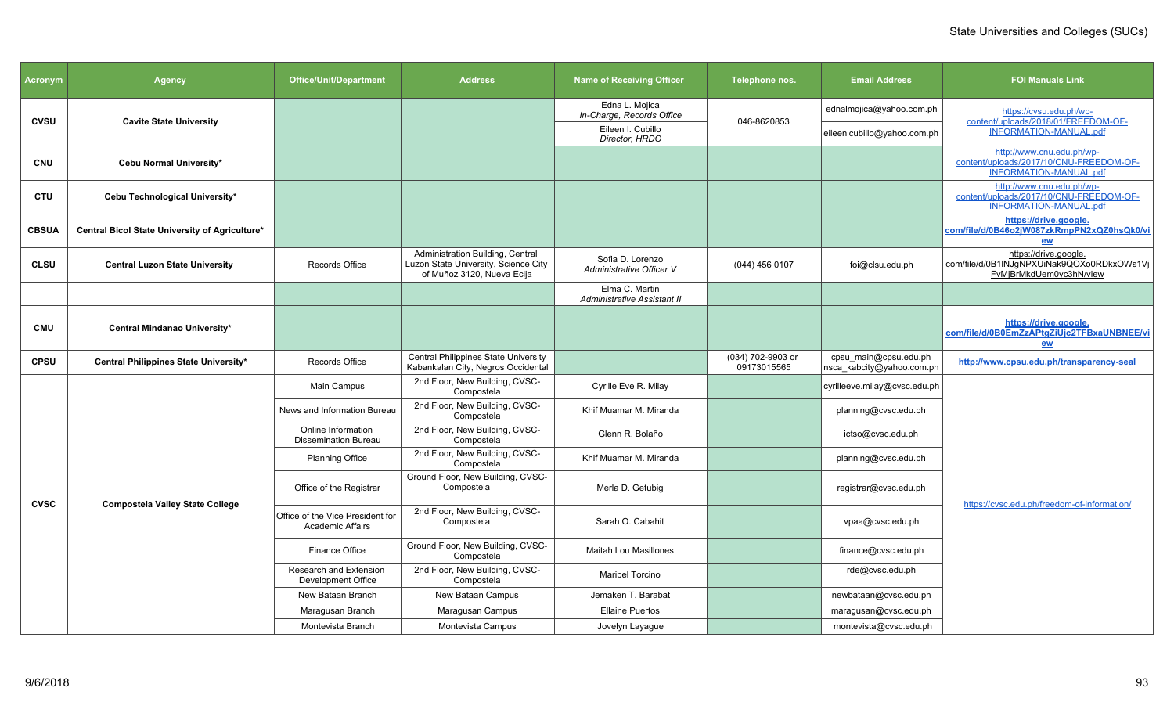| <b>Acronym</b> | Agency                                         | <b>Office/Unit/Department</b>                               | <b>Address</b>                                                                                         | <b>Name of Receiving Officer</b>              | Telephone nos.                   | <b>Email Address</b>                               | <b>FOI Manuals Link</b>                                                                               |
|----------------|------------------------------------------------|-------------------------------------------------------------|--------------------------------------------------------------------------------------------------------|-----------------------------------------------|----------------------------------|----------------------------------------------------|-------------------------------------------------------------------------------------------------------|
| <b>CVSU</b>    | <b>Cavite State University</b>                 |                                                             |                                                                                                        | Edna L. Mojica<br>In-Charge, Records Office   | 046-8620853                      | ednalmojica@yahoo.com.ph                           | https://cvsu.edu.ph/wp-<br>content/uploads/2018/01/FREEDOM-OF-                                        |
|                |                                                |                                                             |                                                                                                        | Eileen I. Cubillo<br>Director, HRDO           |                                  | eileenicubillo@yahoo.com.ph                        | <b>INFORMATION-MANUAL.pdf</b>                                                                         |
| <b>CNU</b>     | Cebu Normal University*                        |                                                             |                                                                                                        |                                               |                                  |                                                    | http://www.cnu.edu.ph/wp-<br>content/uploads/2017/10/CNU-FREEDOM-OF-<br><b>INFORMATION-MANUAL.pdf</b> |
| <b>CTU</b>     | Cebu Technological University*                 |                                                             |                                                                                                        |                                               |                                  |                                                    | http://www.cnu.edu.ph/wp-<br>content/uploads/2017/10/CNU-FREEDOM-OF-<br><b>INFORMATION-MANUAL.pdf</b> |
| <b>CBSUA</b>   | Central Bicol State University of Agriculture* |                                                             |                                                                                                        |                                               |                                  |                                                    | https://drive.google.<br>com/file/d/0B46o2jW087zkRmpPN2xQZ0hsQk0/vi<br>ew                             |
| <b>CLSU</b>    | <b>Central Luzon State University</b>          | Records Office                                              | Administration Building, Central<br>Luzon State University, Science City<br>of Muñoz 3120, Nueva Ecija | Sofia D. Lorenzo<br>Administrative Officer V  | $(044)$ 456 0107                 | foi@clsu.edu.ph                                    | https://drive.google.<br>com/file/d/0B1INJqNPXUiNak9QOXo0RDkxOWs1Vi<br>FvMjBrMkdUem0yc3hN/view        |
|                |                                                |                                                             |                                                                                                        | Elma C. Martin<br>Administrative Assistant II |                                  |                                                    |                                                                                                       |
| <b>CMU</b>     | Central Mindanao University*                   |                                                             |                                                                                                        |                                               |                                  |                                                    | https://drive.google.<br>com/file/d/0B0EmZzAPtgZiUjc2TFBxaUNBNEE/vi<br>ew                             |
| <b>CPSU</b>    | Central Philippines State University*          | Records Office                                              | <b>Central Philippines State University</b><br>Kabankalan City, Negros Occidental                      |                                               | (034) 702-9903 or<br>09173015565 | cpsu_main@cpsu.edu.ph<br>nsca_kabcity@yahoo.com.ph | http://www.cpsu.edu.ph/transparency-seal                                                              |
|                |                                                | Main Campus                                                 | 2nd Floor, New Building, CVSC-<br>Compostela                                                           | Cyrille Eve R. Milay                          |                                  | cyrilleeve.milay@cvsc.edu.ph                       |                                                                                                       |
|                |                                                | News and Information Bureau                                 | 2nd Floor, New Building, CVSC-<br>Compostela                                                           | Khif Muamar M. Miranda                        |                                  | planning@cvsc.edu.ph                               |                                                                                                       |
|                |                                                | Online Information<br><b>Dissemination Bureau</b>           | 2nd Floor, New Building, CVSC-<br>Compostela                                                           | Glenn R. Bolaño                               |                                  | ictso@cvsc.edu.ph                                  |                                                                                                       |
|                |                                                | <b>Planning Office</b>                                      | 2nd Floor, New Building, CVSC-<br>Compostela                                                           | Khif Muamar M. Miranda                        |                                  | planning@cvsc.edu.ph                               |                                                                                                       |
| <b>CVSC</b>    | <b>Compostela Valley State College</b>         | Office of the Registrar                                     | Ground Floor, New Building, CVSC-<br>Compostela                                                        | Merla D. Getubig                              |                                  | registrar@cvsc.edu.ph                              | https://cvsc.edu.ph/freedom-of-information/                                                           |
|                |                                                | Office of the Vice President for<br><b>Academic Affairs</b> | 2nd Floor, New Building, CVSC-<br>Compostela                                                           | Sarah O. Cabahit                              |                                  | vpaa@cvsc.edu.ph                                   |                                                                                                       |
|                |                                                | Finance Office                                              | Ground Floor, New Building, CVSC-<br>Compostela                                                        | <b>Maitah Lou Masillones</b>                  |                                  | finance@cvsc.edu.ph                                |                                                                                                       |
|                |                                                | <b>Research and Extension</b><br>Development Office         | 2nd Floor, New Building, CVSC-<br>Compostela                                                           | Maribel Torcino                               |                                  | rde@cvsc.edu.ph                                    |                                                                                                       |
|                |                                                | New Bataan Branch                                           | New Bataan Campus                                                                                      | Jemaken T. Barabat                            |                                  | newbataan@cvsc.edu.ph                              |                                                                                                       |
|                |                                                | Maragusan Branch                                            | Maragusan Campus                                                                                       | <b>Ellaine Puertos</b>                        |                                  | maragusan@cvsc.edu.ph                              |                                                                                                       |
|                |                                                | Montevista Branch                                           | Montevista Campus                                                                                      | Jovelyn Layague                               |                                  | montevista@cvsc.edu.ph                             |                                                                                                       |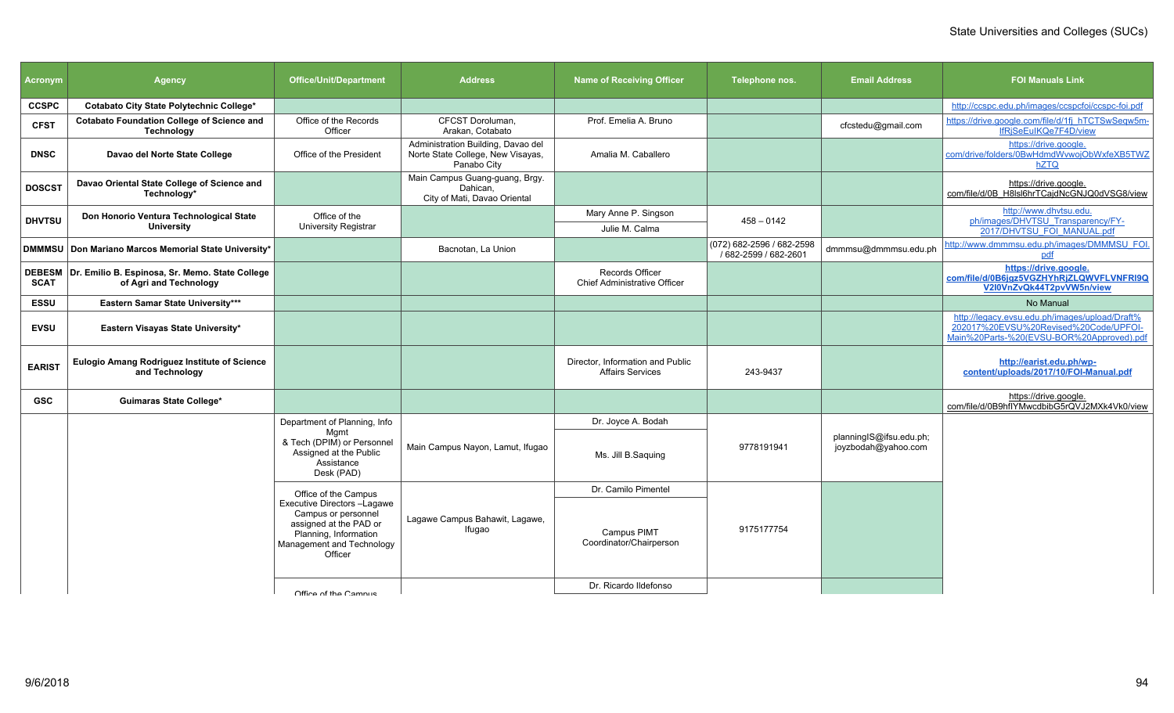| <b>Acronym</b> | <b>Agency</b>                                                                      | <b>Office/Unit/Department</b>                                                                                                                 | <b>Address</b>                                                                         | <b>Name of Receiving Officer</b>                            | Telephone nos.                                     | <b>Email Address</b>                           | <b>FOI Manuals Link</b>                                                                                                              |
|----------------|------------------------------------------------------------------------------------|-----------------------------------------------------------------------------------------------------------------------------------------------|----------------------------------------------------------------------------------------|-------------------------------------------------------------|----------------------------------------------------|------------------------------------------------|--------------------------------------------------------------------------------------------------------------------------------------|
| <b>CCSPC</b>   | Cotabato City State Polytechnic College*                                           |                                                                                                                                               |                                                                                        |                                                             |                                                    |                                                | http://ccspc.edu.ph/images/ccspcfoi/ccspc-foi.pdf                                                                                    |
| <b>CFST</b>    | <b>Cotabato Foundation College of Science and</b><br><b>Technology</b>             | Office of the Records<br>Officer                                                                                                              | CFCST Doroluman,<br>Arakan, Cotabato                                                   | Prof. Emelia A. Bruno                                       |                                                    | cfcstedu@gmail.com                             | https://drive.google.com/file/d/1fj_hTCTSwSeqw5m-<br>IfRiSeEuIKQe7F4D/view                                                           |
| <b>DNSC</b>    | Davao del Norte State College                                                      | Office of the President                                                                                                                       | Administration Building, Davao del<br>Norte State College, New Visayas,<br>Panabo City | Amalia M. Caballero                                         |                                                    |                                                | https://drive.google.<br>com/drive/folders/0BwHdmdWvwojObWxfeXB5TWZ<br>hZTQ                                                          |
| <b>DOSCST</b>  | Davao Oriental State College of Science and<br>Technology*                         |                                                                                                                                               | Main Campus Guang-guang, Brgy.<br>Dahican.<br>City of Mati, Davao Oriental             |                                                             |                                                    |                                                | https://drive.google.<br>com/file/d/0B H8IsI6hrTCajdNcGNJQ0dVSG8/view                                                                |
| <b>DHVTSU</b>  | Don Honorio Ventura Technological State                                            | Office of the                                                                                                                                 |                                                                                        | Mary Anne P. Singson                                        | $458 - 0142$                                       |                                                | http://www.dhvtsu.edu.<br>ph/images/DHVTSU Transparency/FY-                                                                          |
|                | <b>University</b>                                                                  | University Registrar                                                                                                                          |                                                                                        | Julie M. Calma                                              |                                                    |                                                | 2017/DHVTSU FOI MANUAL.pdf                                                                                                           |
|                | DMMMSU Don Mariano Marcos Memorial State University*                               |                                                                                                                                               | Bacnotan. La Union                                                                     |                                                             | (072) 682-2596 / 682-2598<br>/ 682-2599 / 682-2601 | dmmmsu@dmmmsu.edu.ph                           | http://www.dmmmsu.edu.ph/images/DMMMSU FOI.<br>pdf                                                                                   |
| <b>SCAT</b>    | DEBESM   Dr. Emilio B. Espinosa, Sr. Memo. State College<br>of Agri and Technology |                                                                                                                                               |                                                                                        | Records Officer<br><b>Chief Administrative Officer</b>      |                                                    |                                                | https://drive.google.<br>com/file/d/0B6jgz5VGZHYhRjZLQWVFLVNFRI9Q<br>V2I0VnZvQk44T2pvVW5n/view                                       |
| <b>ESSU</b>    | Eastern Samar State University***                                                  |                                                                                                                                               |                                                                                        |                                                             |                                                    |                                                | No Manual                                                                                                                            |
| <b>EVSU</b>    | Eastern Visayas State University*                                                  |                                                                                                                                               |                                                                                        |                                                             |                                                    |                                                | http://legacy.evsu.edu.ph/images/upload/Draft%<br>202017%20EVSU%20Revised%20Code/UPFOI-<br>Main%20Parts-%20(EVSU-BOR%20Approved).pdf |
| <b>EARIST</b>  | Eulogio Amang Rodriguez Institute of Science<br>and Technology                     |                                                                                                                                               |                                                                                        | Director, Information and Public<br><b>Affairs Services</b> | 243-9437                                           |                                                | http://earist.edu.ph/wp-<br>content/uploads/2017/10/FOI-Manual.pdf                                                                   |
| <b>GSC</b>     | <b>Guimaras State College*</b>                                                     |                                                                                                                                               |                                                                                        |                                                             |                                                    |                                                | https://drive.google.<br>com/file/d/0B9hflYMwcdbibG5rQVJ2MXk4Vk0/view                                                                |
|                |                                                                                    | Department of Planning, Info                                                                                                                  |                                                                                        | Dr. Joyce A. Bodah                                          |                                                    |                                                |                                                                                                                                      |
|                |                                                                                    | Mamt<br>& Tech (DPIM) or Personnel<br>Assigned at the Public<br>Assistance<br>Desk (PAD)                                                      | Main Campus Nayon, Lamut, Ifugao                                                       | Ms. Jill B.Saguing                                          | 9778191941                                         | planningIS@ifsu.edu.ph;<br>joyzbodah@yahoo.com |                                                                                                                                      |
|                |                                                                                    | Office of the Campus                                                                                                                          |                                                                                        | Dr. Camilo Pimentel                                         |                                                    |                                                |                                                                                                                                      |
|                |                                                                                    | Executive Directors -Lagawe<br>Campus or personnel<br>assigned at the PAD or<br>Planning, Information<br>Management and Technology<br>Officer | Lagawe Campus Bahawit, Lagawe,<br>Ifugao                                               | Campus PIMT<br>Coordinator/Chairperson                      | 9175177754                                         |                                                |                                                                                                                                      |
|                |                                                                                    | Office of the Campus                                                                                                                          |                                                                                        | Dr. Ricardo Ildefonso                                       |                                                    |                                                |                                                                                                                                      |
|                |                                                                                    |                                                                                                                                               |                                                                                        |                                                             |                                                    |                                                |                                                                                                                                      |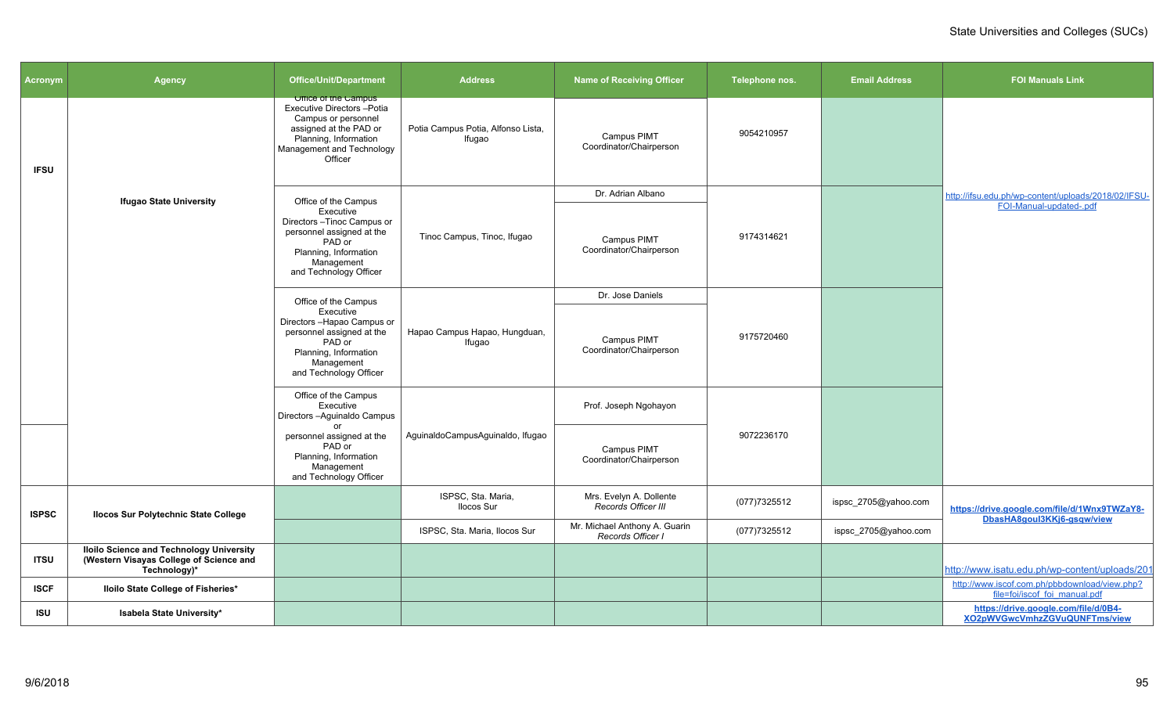| Acronym      | Agency                                                                                                     | <b>Office/Unit/Department</b>                                                                                                                                                | <b>Address</b>                               | <b>Name of Receiving Officer</b>                   | Telephone nos. | <b>Email Address</b> | <b>FOI Manuals Link</b>                                                        |
|--------------|------------------------------------------------------------------------------------------------------------|------------------------------------------------------------------------------------------------------------------------------------------------------------------------------|----------------------------------------------|----------------------------------------------------|----------------|----------------------|--------------------------------------------------------------------------------|
| <b>IFSU</b>  |                                                                                                            | <b>Uffice of the Campus</b><br>Executive Directors - Potia<br>Campus or personnel<br>assigned at the PAD or<br>Planning, Information<br>Management and Technology<br>Officer | Potia Campus Potia, Alfonso Lista,<br>Ifugao | Campus PIMT<br>Coordinator/Chairperson             | 9054210957     |                      |                                                                                |
|              | <b>Ifugao State University</b>                                                                             | Office of the Campus                                                                                                                                                         |                                              | Dr. Adrian Albano                                  |                |                      | http://ifsu.edu.ph/wp-content/uploads/2018/02/IFSU-                            |
|              |                                                                                                            | Executive<br>Directors-Tinoc Campus or<br>personnel assigned at the<br>PAD or<br>Planning, Information<br>Management<br>and Technology Officer                               | Tinoc Campus, Tinoc, Ifugao                  | Campus PIMT<br>Coordinator/Chairperson             | 9174314621     |                      | FOI-Manual-updated-.pdf                                                        |
|              |                                                                                                            | Office of the Campus                                                                                                                                                         |                                              | Dr. Jose Daniels                                   |                |                      |                                                                                |
|              |                                                                                                            | Executive<br>Directors - Hapao Campus or<br>personnel assigned at the<br>PAD or<br>Planning, Information<br>Management<br>and Technology Officer                             | Hapao Campus Hapao, Hungduan,<br>Ifugao      | Campus PIMT<br>Coordinator/Chairperson             | 9175720460     |                      |                                                                                |
|              |                                                                                                            | Office of the Campus<br>Executive<br>Directors-Aguinaldo Campus                                                                                                              |                                              | Prof. Joseph Ngohayon                              |                |                      |                                                                                |
|              |                                                                                                            | personnel assigned at the<br>PAD or<br>Planning, Information<br>Management<br>and Technology Officer                                                                         | AguinaldoCampusAguinaldo, Ifugao             | Campus PIMT<br>Coordinator/Chairperson             | 9072236170     |                      |                                                                                |
| <b>ISPSC</b> | <b>Ilocos Sur Polytechnic State College</b>                                                                |                                                                                                                                                                              | ISPSC, Sta. Maria,<br>Ilocos Sur             | Mrs. Evelyn A. Dollente<br>Records Officer III     | (077)7325512   | ispsc_2705@yahoo.com | https://drive.google.com/file/d/1Wnx9TWZaY8-<br>DbasHA8goul3KKj6-gsgw/view     |
|              |                                                                                                            |                                                                                                                                                                              | ISPSC, Sta. Maria, Ilocos Sur                | Mr. Michael Anthony A. Guarin<br>Records Officer I | (077)7325512   | ispsc_2705@yahoo.com |                                                                                |
| <b>ITSU</b>  | <b>Iloilo Science and Technology University</b><br>(Western Visayas College of Science and<br>Technology)* |                                                                                                                                                                              |                                              |                                                    |                |                      | http://www.isatu.edu.ph/wp-content/uploads/201                                 |
| <b>ISCF</b>  | Iloilo State College of Fisheries*                                                                         |                                                                                                                                                                              |                                              |                                                    |                |                      | http://www.iscof.com.ph/pbbdownload/view.php?<br>file=foi/iscof foi manual.pdf |
| <b>ISU</b>   | Isabela State University*                                                                                  |                                                                                                                                                                              |                                              |                                                    |                |                      | https://drive.google.com/file/d/0B4-<br>XO2pWVGwcVmhzZGVuQUNFTms/view          |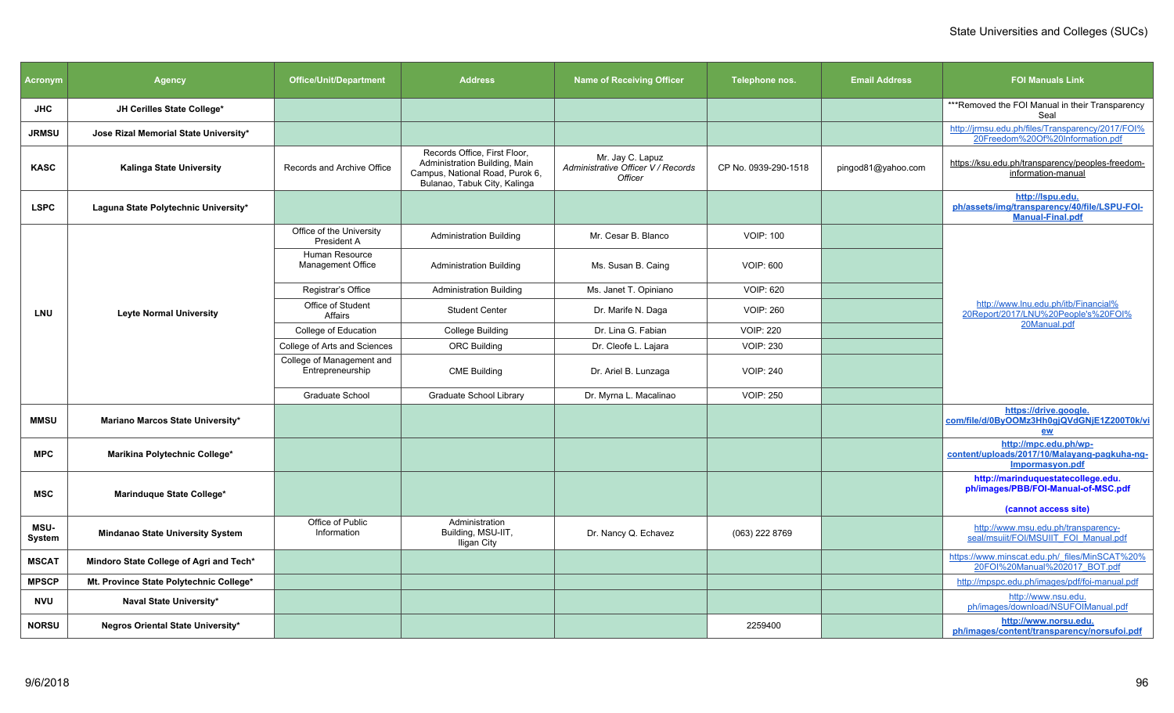| <b>Acronym</b>        | <b>Office/Unit/Department</b><br><b>Agency</b>                |                                               | <b>Address</b>                                                                                                                   | <b>Name of Receiving Officer</b>                                  | Telephone nos.       | <b>Email Address</b> | <b>FOI Manuals Link</b>                                                                     |
|-----------------------|---------------------------------------------------------------|-----------------------------------------------|----------------------------------------------------------------------------------------------------------------------------------|-------------------------------------------------------------------|----------------------|----------------------|---------------------------------------------------------------------------------------------|
| <b>JHC</b>            | JH Cerilles State College*                                    |                                               |                                                                                                                                  |                                                                   |                      |                      | ***Removed the FOI Manual in their Transparency<br>Seal                                     |
| <b>JRMSU</b>          | Jose Rizal Memorial State University*                         |                                               |                                                                                                                                  |                                                                   |                      |                      | http://jrmsu.edu.ph/files/Transparency/2017/FOI%<br>20Freedom%20Of%20Information.pdf        |
| <b>KASC</b>           | <b>Kalinga State University</b><br>Records and Archive Office |                                               | Records Office, First Floor,<br>Administration Building, Main<br>Campus, National Road, Purok 6,<br>Bulanao, Tabuk City, Kalinga | Mr. Jay C. Lapuz<br>Administrative Officer V / Records<br>Officer | CP No. 0939-290-1518 | pingod81@yahoo.com   | https://ksu.edu.ph/transparency/peoples-freedom-<br>information-manual                      |
| <b>LSPC</b>           | Laguna State Polytechnic University*                          |                                               |                                                                                                                                  |                                                                   |                      |                      | http://lspu.edu.<br>ph/assets/img/transparency/40/file/LSPU-FOI-<br><b>Manual-Final.pdf</b> |
|                       |                                                               | Office of the University<br>President A       | <b>Administration Building</b>                                                                                                   | Mr. Cesar B. Blanco                                               | <b>VOIP: 100</b>     |                      |                                                                                             |
|                       |                                                               | Human Resource<br>Management Office           | <b>Administration Building</b>                                                                                                   | Ms. Susan B. Caing                                                | <b>VOIP: 600</b>     |                      |                                                                                             |
|                       |                                                               | Registrar's Office                            | <b>Administration Building</b>                                                                                                   | Ms. Janet T. Opiniano                                             | <b>VOIP: 620</b>     |                      |                                                                                             |
| <b>LNU</b>            | <b>Leyte Normal University</b>                                | Office of Student<br>Affairs                  | <b>Student Center</b>                                                                                                            | Dr. Marife N. Daga                                                | <b>VOIP: 260</b>     |                      | http://www.lnu.edu.ph/itb/Financial%<br>20Report/2017/LNU%20People's%20FOI%                 |
|                       |                                                               | College of Education                          | <b>College Building</b>                                                                                                          | Dr. Lina G. Fabian                                                | <b>VOIP: 220</b>     |                      | 20Manual.pdf                                                                                |
|                       |                                                               | College of Arts and Sciences                  | <b>ORC Building</b>                                                                                                              | Dr. Cleofe L. Lajara                                              | <b>VOIP: 230</b>     |                      |                                                                                             |
|                       |                                                               | College of Management and<br>Entrepreneurship | <b>CME Building</b>                                                                                                              | Dr. Ariel B. Lunzaga                                              | <b>VOIP: 240</b>     |                      |                                                                                             |
|                       |                                                               | <b>Graduate School</b>                        | <b>Graduate School Library</b>                                                                                                   | Dr. Myrna L. Macalinao                                            | <b>VOIP: 250</b>     |                      |                                                                                             |
| <b>MMSU</b>           | Mariano Marcos State University*                              |                                               |                                                                                                                                  |                                                                   |                      |                      | https://drive.google.<br>com/file/d/0ByOOMz3Hh0qjQVdGNjE1Z200T0k/vi<br>ew                   |
| <b>MPC</b>            | Marikina Polytechnic College*                                 |                                               |                                                                                                                                  |                                                                   |                      |                      | http://mpc.edu.ph/wp-<br>content/uploads/2017/10/Malayang-pagkuha-ng-<br>Impormasyon.pdf    |
| <b>MSC</b>            | Marinduque State College*                                     |                                               |                                                                                                                                  |                                                                   |                      |                      | http://marinduquestatecollege.edu.<br>ph/images/PBB/FOI-Manual-of-MSC.pdf                   |
|                       |                                                               | Office of Public                              | Administration                                                                                                                   |                                                                   |                      |                      | (cannot access site)                                                                        |
| <b>MSU-</b><br>System | <b>Mindanao State University System</b>                       | Information                                   | Building, MSU-IIT,<br>Iligan City                                                                                                | Dr. Nancy Q. Echavez                                              | (063) 222 8769       |                      | http://www.msu.edu.ph/transparency-<br>seal/msuiit/FOI/MSUIIT FOI Manual.pdf                |
| <b>MSCAT</b>          | Mindoro State College of Agri and Tech*                       |                                               |                                                                                                                                  |                                                                   |                      |                      | https://www.minscat.edu.ph/_files/MinSCAT%20%<br>20FOI%20Manual%202017_BOT.pdf              |
| <b>MPSCP</b>          | Mt. Province State Polytechnic College*                       |                                               |                                                                                                                                  |                                                                   |                      |                      | http://mpspc.edu.ph/images/pdf/foi-manual.pdf                                               |
| <b>NVU</b>            | Naval State University*                                       |                                               |                                                                                                                                  |                                                                   |                      |                      | http://www.nsu.edu.<br>ph/images/download/NSUFOIManual.pdf                                  |
| <b>NORSU</b>          | Negros Oriental State University*                             |                                               |                                                                                                                                  |                                                                   | 2259400              |                      | http://www.norsu.edu.<br>ph/images/content/transparency/norsufoi.pdf                        |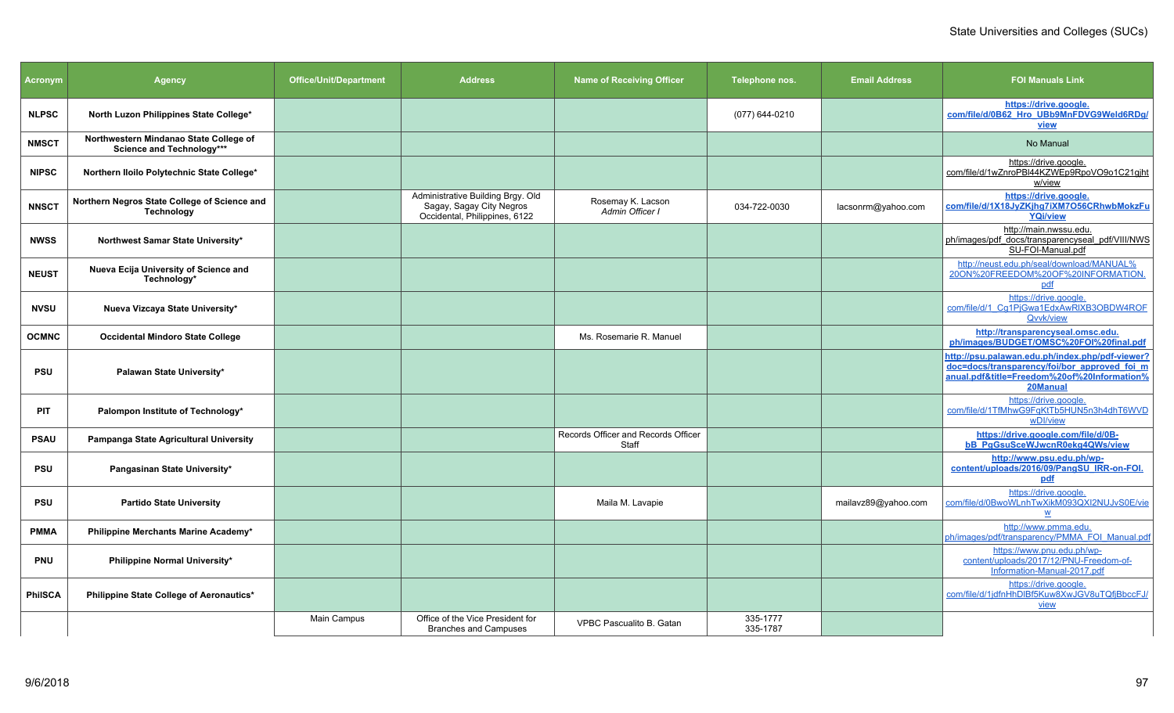| Acronym        | <b>Agency</b>                                                       | <b>Office/Unit/Department</b> | <b>Address</b>                                                                                 | <b>Name of Receiving Officer</b>             | Telephone nos.       | <b>Email Address</b> | <b>FOI Manuals Link</b>                                                                                                                                    |
|----------------|---------------------------------------------------------------------|-------------------------------|------------------------------------------------------------------------------------------------|----------------------------------------------|----------------------|----------------------|------------------------------------------------------------------------------------------------------------------------------------------------------------|
| <b>NLPSC</b>   | North Luzon Philippines State College*                              |                               |                                                                                                |                                              | (077) 644-0210       |                      | https://drive.google.<br>com/file/d/0B62 Hro UBb9MnFDVG9Weld6RDq/<br><b>view</b>                                                                           |
| <b>NMSCT</b>   | Northwestern Mindanao State College of<br>Science and Technology*** |                               |                                                                                                |                                              |                      |                      | No Manual                                                                                                                                                  |
| <b>NIPSC</b>   | Northern Iloilo Polytechnic State College*                          |                               |                                                                                                |                                              |                      |                      | https://drive.google.<br>com/file/d/1wZnroPBI44KZWEp9RpoVO9o1C21gjht<br>w/view                                                                             |
| <b>NNSCT</b>   | Northern Negros State College of Science and<br><b>Technology</b>   |                               | Administrative Building Brgy. Old<br>Sagay, Sagay City Negros<br>Occidental, Philippines, 6122 | Rosemay K. Lacson<br>Admin Officer I         | 034-722-0030         | lacsonrm@yahoo.com   | https://drive.google.<br>com/file/d/1X18JyZKjhg7iXM7O56CRhwbMokzFu<br><b>YQi/view</b>                                                                      |
| <b>NWSS</b>    | Northwest Samar State University*                                   |                               |                                                                                                |                                              |                      |                      | http://main.nwssu.edu.<br>ph/images/pdf docs/transparencyseal pdf/VIII/NWS<br>SU-FOI-Manual.pdf                                                            |
| <b>NEUST</b>   | Nueva Ecija University of Science and<br>Technology*                |                               |                                                                                                |                                              |                      |                      | http://neust.edu.ph/seal/download/MANUAL%<br>20ON%20FREEDOM%20OF%20INFORMATION<br>pdf                                                                      |
| <b>NVSU</b>    | Nueva Vizcaya State University*                                     |                               |                                                                                                |                                              |                      |                      | https://drive.google.<br>com/file/d/1 Cq1PjGwa1EdxAwRIXB3OBDW4ROF<br>Qvvk/view                                                                             |
| <b>OCMNC</b>   | <b>Occidental Mindoro State College</b>                             |                               |                                                                                                | Ms. Rosemarie R. Manuel                      |                      |                      | http://transparencyseal.omsc.edu.<br>ph/images/BUDGET/OMSC%20FOI%20final.pdf                                                                               |
| <b>PSU</b>     | Palawan State University*                                           |                               |                                                                                                |                                              |                      |                      | http://psu.palawan.edu.ph/index.php/pdf-viewer?<br>doc=docs/transparency/foi/bor approved foi m<br>anual.pdf&title=Freedom%20of%20Information%<br>20Manual |
| PIT            | Palompon Institute of Technology*                                   |                               |                                                                                                |                                              |                      |                      | https://drive.google.<br>com/file/d/1TfMhwG9FqKtTb5HUN5n3h4dhT6WVD<br>wDI/view                                                                             |
| <b>PSAU</b>    | Pampanga State Agricultural University                              |                               |                                                                                                | Records Officer and Records Officer<br>Staff |                      |                      | https://drive.google.com/file/d/0B-<br><b>bB_PgGsuSceWJwcnR0ekg4QWs/view</b>                                                                               |
| <b>PSU</b>     | Pangasinan State University*                                        |                               |                                                                                                |                                              |                      |                      | http://www.psu.edu.ph/wp-<br>content/uploads/2016/09/PangSU IRR-on-FOI.<br>pdf                                                                             |
| <b>PSU</b>     | <b>Partido State University</b>                                     |                               |                                                                                                | Maila M. Lavapie                             |                      | mailavz89@yahoo.com  | https://drive.google.<br>com/file/d/0BwoWLnhTwXikM093QXI2NUJvS0E/vie<br>$\mathbf{w}$                                                                       |
| <b>PMMA</b>    | Philippine Merchants Marine Academy*                                |                               |                                                                                                |                                              |                      |                      | http://www.pmma.edu.<br>ph/images/pdf/transparency/PMMA FOI Manual.pdf                                                                                     |
| <b>PNU</b>     | Philippine Normal University*                                       |                               |                                                                                                |                                              |                      |                      | https://www.pnu.edu.ph/wp-<br>content/uploads/2017/12/PNU-Freedom-of-<br>Information-Manual-2017.pdf                                                       |
| <b>PhilSCA</b> | Philippine State College of Aeronautics*                            |                               |                                                                                                |                                              |                      |                      | https://drive.google.<br>com/file/d/1jdfnHhDIBf5Kuw8XwJGV8uTQfjBbccFJ/<br>view                                                                             |
|                |                                                                     | Main Campus                   | Office of the Vice President for<br><b>Branches and Campuses</b>                               | VPBC Pascualito B. Gatan                     | 335-1777<br>335-1787 |                      |                                                                                                                                                            |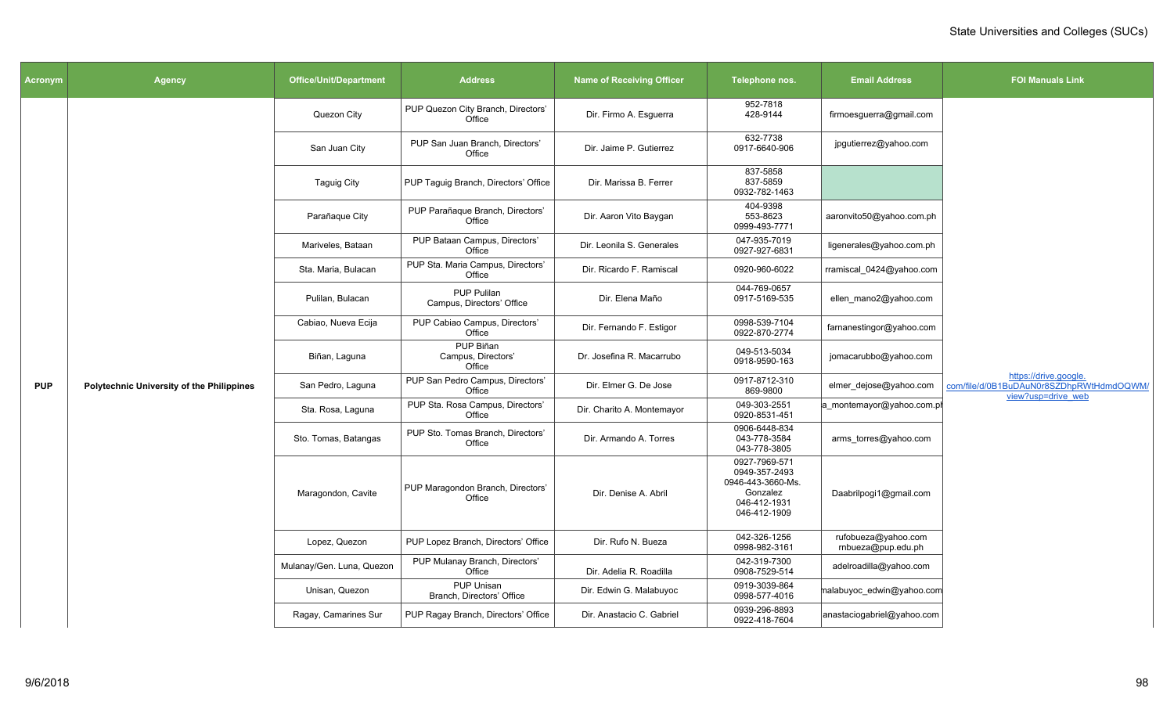| Acronym    | <b>Agency</b>                                    | <b>Office/Unit/Department</b> | <b>Address</b>                                  | <b>Name of Receiving Officer</b> | Telephone nos.                                                                                  | <b>Email Address</b>                      | <b>FOI Manuals Link</b>                                                                 |
|------------|--------------------------------------------------|-------------------------------|-------------------------------------------------|----------------------------------|-------------------------------------------------------------------------------------------------|-------------------------------------------|-----------------------------------------------------------------------------------------|
|            |                                                  | Quezon City                   | PUP Quezon City Branch, Directors'<br>Office    | Dir. Firmo A. Esguerra           | 952-7818<br>428-9144                                                                            | firmoesguerra@gmail.com                   |                                                                                         |
|            |                                                  | San Juan City                 | PUP San Juan Branch, Directors'<br>Office       | Dir. Jaime P. Gutierrez          | 632-7738<br>0917-6640-906                                                                       | jpgutierrez@yahoo.com                     |                                                                                         |
|            |                                                  | <b>Taguig City</b>            | PUP Taguig Branch, Directors' Office            | Dir. Marissa B. Ferrer           | 837-5858<br>837-5859<br>0932-782-1463                                                           |                                           |                                                                                         |
|            |                                                  | Parañaque City                | PUP Parañaque Branch, Directors'<br>Office      | Dir. Aaron Vito Baygan           | 404-9398<br>553-8623<br>0999-493-7771                                                           | aaronvito50@yahoo.com.ph                  |                                                                                         |
|            |                                                  | Mariveles, Bataan             | PUP Bataan Campus, Directors'<br>Office         | Dir. Leonila S. Generales        | 047-935-7019<br>0927-927-6831                                                                   | ligenerales@yahoo.com.ph                  |                                                                                         |
|            |                                                  | Sta. Maria, Bulacan           | PUP Sta. Maria Campus, Directors'<br>Office     | Dir. Ricardo F. Ramiscal         | 0920-960-6022                                                                                   | rramiscal 0424@yahoo.com                  |                                                                                         |
|            |                                                  | Pulilan, Bulacan              | <b>PUP Pulilan</b><br>Campus, Directors' Office | Dir. Elena Maño                  | 044-769-0657<br>0917-5169-535                                                                   | ellen_mano2@yahoo.com                     |                                                                                         |
|            | <b>Polytechnic University of the Philippines</b> | Cabiao, Nueva Ecija           | PUP Cabiao Campus, Directors'<br>Office         | Dir. Fernando F. Estigor         | 0998-539-7104<br>0922-870-2774                                                                  | farnanestingor@yahoo.com                  |                                                                                         |
|            |                                                  | Biñan, Laguna                 | PUP Biñan<br>Campus, Directors'<br>Office       | Dr. Josefina R. Macarrubo        | 049-513-5034<br>0918-9590-163                                                                   | jomacarubbo@yahoo.com                     |                                                                                         |
| <b>PUP</b> |                                                  | San Pedro, Laguna             | PUP San Pedro Campus, Directors'<br>Office      | Dir. Elmer G. De Jose            | 0917-8712-310<br>869-9800                                                                       | elmer dejose@yahoo.com                    | https://drive.google.<br>com/file/d/0B1BuDAuN0r8SZDhpRWtHdmdOQWM/<br>view?usp=drive web |
|            |                                                  | Sta. Rosa, Laguna             | PUP Sta. Rosa Campus, Directors'<br>Office      | Dir. Charito A. Montemayor       | 049-303-2551<br>0920-8531-451                                                                   | a_montemayor@yahoo.com.pl                 |                                                                                         |
|            |                                                  | Sto. Tomas, Batangas          | PUP Sto. Tomas Branch, Directors'<br>Office     | Dir. Armando A. Torres           | 0906-6448-834<br>043-778-3584<br>043-778-3805                                                   | arms_torres@yahoo.com                     |                                                                                         |
|            |                                                  | Maragondon, Cavite            | PUP Maragondon Branch, Directors'<br>Office     | Dir. Denise A. Abril             | 0927-7969-571<br>0949-357-2493<br>0946-443-3660-Ms.<br>Gonzalez<br>046-412-1931<br>046-412-1909 | Daabrilpogi1@gmail.com                    |                                                                                         |
|            |                                                  | Lopez, Quezon                 | PUP Lopez Branch, Directors' Office             | Dir. Rufo N. Bueza               | 042-326-1256<br>0998-982-3161                                                                   | rufobueza@yahoo.com<br>rnbueza@pup.edu.ph |                                                                                         |
|            |                                                  | Mulanay/Gen. Luna, Quezon     | PUP Mulanay Branch, Directors'<br>Office        | Dir. Adelia R. Roadilla          | 042-319-7300<br>0908-7529-514                                                                   | adelroadilla@yahoo.com                    |                                                                                         |
|            |                                                  | Unisan, Quezon                | PUP Unisan<br>Branch. Directors' Office         | Dir. Edwin G. Malabuyoc          | 0919-3039-864<br>0998-577-4016                                                                  | malabuyoc edwin@yahoo.com                 |                                                                                         |
|            |                                                  | Ragay, Camarines Sur          | PUP Ragay Branch, Directors' Office             | Dir. Anastacio C. Gabriel        | 0939-296-8893<br>0922-418-7604                                                                  | anastaciogabriel@yahoo.com                |                                                                                         |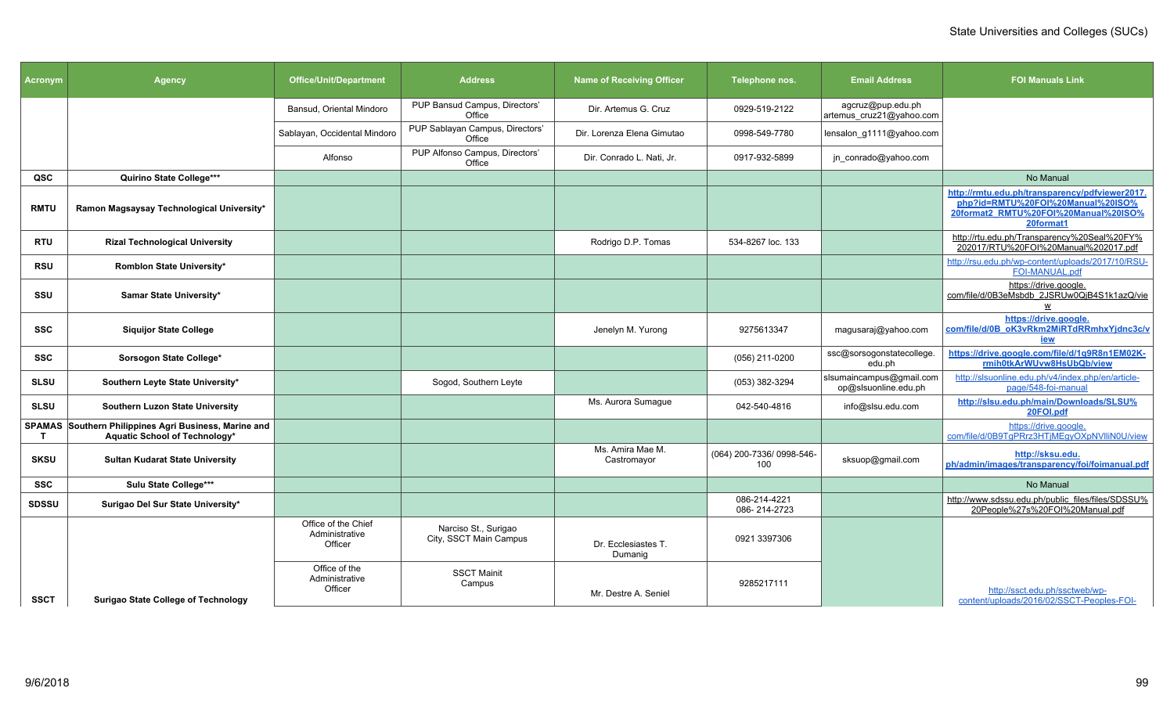| <b>Acronym</b> | <b>Agency</b>                                                                          | <b>Office/Unit/Department</b>                    | <b>Address</b>                                 | <b>Name of Receiving Officer</b> | Telephone nos.                   | <b>Email Address</b>                             | <b>FOI Manuals Link</b>                                                                                                                  |
|----------------|----------------------------------------------------------------------------------------|--------------------------------------------------|------------------------------------------------|----------------------------------|----------------------------------|--------------------------------------------------|------------------------------------------------------------------------------------------------------------------------------------------|
|                |                                                                                        | Bansud, Oriental Mindoro                         | PUP Bansud Campus, Directors'<br>Office        | Dir. Artemus G. Cruz             | 0929-519-2122                    | agcruz@pup.edu.ph<br>artemus_cruz21@yahoo.com    |                                                                                                                                          |
|                |                                                                                        | Sablayan, Occidental Mindoro                     | PUP Sablayan Campus, Directors'<br>Office      | Dir. Lorenza Elena Gimutao       | 0998-549-7780                    | lensalon g1111@yahoo.com                         |                                                                                                                                          |
|                |                                                                                        | Alfonso                                          | PUP Alfonso Campus, Directors'<br>Office       | Dir. Conrado L. Nati, Jr.        | 0917-932-5899                    | jn_conrado@yahoo.com                             |                                                                                                                                          |
| QSC            | Quirino State College***                                                               |                                                  |                                                |                                  |                                  |                                                  | No Manual                                                                                                                                |
| <b>RMTU</b>    | Ramon Magsaysay Technological University*                                              |                                                  |                                                |                                  |                                  |                                                  | http://rmtu.edu.ph/transparency/pdfviewer2017.<br>php?id=RMTU%20FOI%20Manual%20ISO%<br>20format2_RMTU%20FOI%20Manual%20ISO%<br>20format1 |
| RTU            | <b>Rizal Technological University</b>                                                  |                                                  |                                                | Rodrigo D.P. Tomas               | 534-8267 loc. 133                |                                                  | http://rtu.edu.ph/Transparency%20Seal%20FY%<br>202017/RTU%20FOI%20Manual%202017.pdf                                                      |
| <b>RSU</b>     | Romblon State University*                                                              |                                                  |                                                |                                  |                                  |                                                  | http://rsu.edu.ph/wp-content/uploads/2017/10/RSU-<br>FOI-MANUAL.pdf                                                                      |
| SSU            | Samar State University*                                                                |                                                  |                                                |                                  |                                  |                                                  | https://drive.google.<br>com/file/d/0B3eMsbdb_2JSRUw0QjB4S1k1azQ/vie                                                                     |
| <b>SSC</b>     | <b>Siquijor State College</b>                                                          |                                                  |                                                | Jenelyn M. Yurong                | 9275613347                       | magusaraj@yahoo.com                              | https://drive.google.<br>com/file/d/0B oK3vRkm2MiRTdRRmhxYjdnc3c/v<br><u>iew</u>                                                         |
| SSC            | Sorsogon State College*                                                                |                                                  |                                                |                                  | (056) 211-0200                   | ssc@sorsogonstatecollege.<br>edu.ph              | https://drive.google.com/file/d/1g9R8n1EM02K-<br>rmih0tkArWUvw8HsUbQb/view                                                               |
| <b>SLSU</b>    | Southern Leyte State University*                                                       |                                                  | Sogod, Southern Leyte                          |                                  | (053) 382-3294                   | slsumaincampus@gmail.com<br>op@slsuonline.edu.ph | http://slsuonline.edu.ph/v4/index.php/en/article-<br>page/548-foi-manual                                                                 |
| <b>SLSU</b>    | Southern Luzon State University                                                        |                                                  |                                                | Ms. Aurora Sumague               | 042-540-4816                     | info@slsu.edu.com                                | http://slsu.edu.ph/main/Downloads/SLSU%<br>20FOI.pdf                                                                                     |
| T              | SPAMAS Southern Philippines Agri Business, Marine and<br>Aquatic School of Technology* |                                                  |                                                |                                  |                                  |                                                  | https://drive.google.<br>com/file/d/0B9TgPRrz3HTjMEgyOXpNVlliN0U/view                                                                    |
| <b>SKSU</b>    | <b>Sultan Kudarat State University</b>                                                 |                                                  |                                                | Ms. Amira Mae M.<br>Castromayor  | (064) 200-7336/ 0998-546-<br>100 | sksuop@gmail.com                                 | http://sksu.edu.<br>ph/admin/images/transparency/foi/foimanual.pdf                                                                       |
| <b>SSC</b>     | Sulu State College***                                                                  |                                                  |                                                |                                  |                                  |                                                  | No Manual                                                                                                                                |
| <b>SDSSU</b>   | Surigao Del Sur State University*                                                      |                                                  |                                                |                                  | 086-214-4221<br>086-214-2723     |                                                  | http://www.sdssu.edu.ph/public_files/files/SDSSU%<br>20People%27s%20FOI%20Manual.pdf                                                     |
|                |                                                                                        | Office of the Chief<br>Administrative<br>Officer | Narciso St., Surigao<br>City, SSCT Main Campus | Dr. Ecclesiastes T.<br>Dumanig   | 0921 3397306                     |                                                  |                                                                                                                                          |
| <b>SSCT</b>    | Surigao State College of Technology                                                    | Office of the<br>Administrative<br>Officer       | <b>SSCT Mainit</b><br>Campus                   | Mr. Destre A. Seniel             | 9285217111                       |                                                  | http://ssct.edu.ph/ssctweb/wp-<br>content/uploads/2016/02/SSCT-Peoples-FOI-                                                              |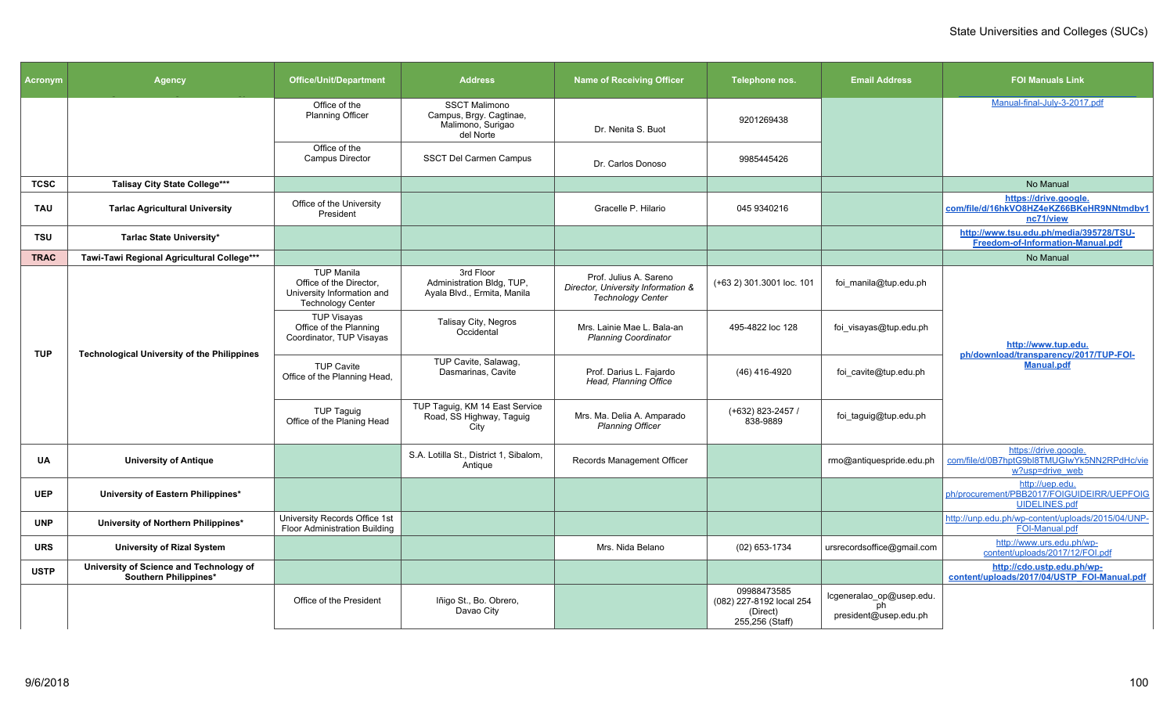| Acronym     | <b>Agency</b>                                                    | <b>Office/Unit/Department</b>                                                                          | <b>Address</b>                                                                    | <b>Name of Receiving Officer</b>                                                         | Telephone nos.                                                         | <b>Email Address</b>                                    | <b>FOI Manuals Link</b>                                                                 |
|-------------|------------------------------------------------------------------|--------------------------------------------------------------------------------------------------------|-----------------------------------------------------------------------------------|------------------------------------------------------------------------------------------|------------------------------------------------------------------------|---------------------------------------------------------|-----------------------------------------------------------------------------------------|
|             |                                                                  | Office of the<br><b>Planning Officer</b>                                                               | <b>SSCT Malimono</b><br>Campus, Brgy. Cagtinae,<br>Malimono, Surigao<br>del Norte | Dr. Nenita S. Buot                                                                       | 9201269438                                                             |                                                         | Manual-final-July-3-2017.pdf                                                            |
|             |                                                                  | Office of the<br><b>Campus Director</b>                                                                | SSCT Del Carmen Campus                                                            | Dr. Carlos Donoso                                                                        | 9985445426                                                             |                                                         |                                                                                         |
| <b>TCSC</b> | <b>Talisay City State College***</b>                             |                                                                                                        |                                                                                   |                                                                                          |                                                                        |                                                         | No Manual                                                                               |
| <b>TAU</b>  | <b>Tarlac Agricultural University</b>                            | Office of the University<br>President                                                                  |                                                                                   | Gracelle P. Hilario                                                                      | 045 9340216                                                            |                                                         | https://drive.google.<br>com/file/d/16hkVO8HZ4eKZ66BKeHR9NNtmdbv1<br>nc71/view          |
| <b>TSU</b>  | Tarlac State University*                                         |                                                                                                        |                                                                                   |                                                                                          |                                                                        |                                                         | http://www.tsu.edu.ph/media/395728/TSU-<br>Freedom-of-Information-Manual.pdf            |
| <b>TRAC</b> | Tawi-Tawi Regional Agricultural College***                       |                                                                                                        |                                                                                   |                                                                                          |                                                                        |                                                         | No Manual                                                                               |
|             |                                                                  | <b>TUP Manila</b><br>Office of the Director,<br>University Information and<br><b>Technology Center</b> | 3rd Floor<br>Administration Bldg, TUP,<br>Ayala Blvd., Ermita, Manila             | Prof. Julius A. Sareno<br>Director, University Information &<br><b>Technology Center</b> | (+63 2) 301.3001 loc. 101                                              | foi manila@tup.edu.ph                                   |                                                                                         |
|             | <b>Technological University of the Philippines</b>               | <b>TUP Visayas</b><br>Office of the Planning<br>Coordinator, TUP Visayas                               | Talisay City, Negros<br>Occidental                                                | Mrs. Lainie Mae L. Bala-an<br><b>Planning Coordinator</b>                                | 495-4822 loc 128                                                       | foi visayas@tup.edu.ph                                  | http://www.tup.edu.                                                                     |
| <b>TUP</b>  |                                                                  | <b>TUP Cavite</b><br>Office of the Planning Head,                                                      | TUP Cavite, Salawag,<br>Dasmarinas, Cavite                                        | Prof. Darius L. Fajardo<br>Head, Planning Office                                         | (46) 416-4920                                                          | foi cavite@tup.edu.ph                                   | ph/download/transparency/2017/TUP-FOI-<br><b>Manual.pdf</b>                             |
|             |                                                                  | <b>TUP Taguig</b><br>Office of the Planing Head                                                        | TUP Taguig, KM 14 East Service<br>Road, SS Highway, Taguig<br>City                | Mrs. Ma. Delia A. Amparado<br><b>Planning Officer</b>                                    | (+632) 823-2457 /<br>838-9889                                          | foi_taguig@tup.edu.ph                                   |                                                                                         |
| UA          | <b>University of Antique</b>                                     |                                                                                                        | S.A. Lotilla St., District 1, Sibalom.<br>Antique                                 | Records Management Officer                                                               |                                                                        | rmo@antiquespride.edu.ph                                | https://drive.google.<br>com/file/d/0B7hptG9bl8TMUGIwYk5NN2RPdHc/vie<br>w?usp=drive web |
| <b>UEP</b>  | University of Eastern Philippines*                               |                                                                                                        |                                                                                   |                                                                                          |                                                                        |                                                         | http://uep.edu.<br>ph/procurement/PBB2017/FOIGUIDEIRR/UEPFOIG<br><b>UIDELINES.pdf</b>   |
| <b>UNP</b>  | University of Northern Philippines*                              | University Records Office 1st<br>Floor Administration Building                                         |                                                                                   |                                                                                          |                                                                        |                                                         | http://unp.edu.ph/wp-content/uploads/2015/04/UNP-<br>FOI-Manual.pdf                     |
| <b>URS</b>  | <b>University of Rizal System</b>                                |                                                                                                        |                                                                                   | Mrs. Nida Belano                                                                         | (02) 653-1734                                                          | ursrecordsoffice@gmail.com                              | http://www.urs.edu.ph/wp-<br>content/uploads/2017/12/FOI.pdf                            |
| <b>USTP</b> | University of Science and Technology of<br>Southern Philippines* |                                                                                                        |                                                                                   |                                                                                          |                                                                        |                                                         | http://cdo.ustp.edu.ph/wp-<br>content/uploads/2017/04/USTP_FOI-Manual.pdf               |
|             |                                                                  | Office of the President                                                                                | Iñigo St., Bo. Obrero,<br>Davao City                                              |                                                                                          | 09988473585<br>(082) 227-8192 local 254<br>(Direct)<br>255,256 (Staff) | lcgeneralao_op@usep.edu.<br>ph<br>president@usep.edu.ph |                                                                                         |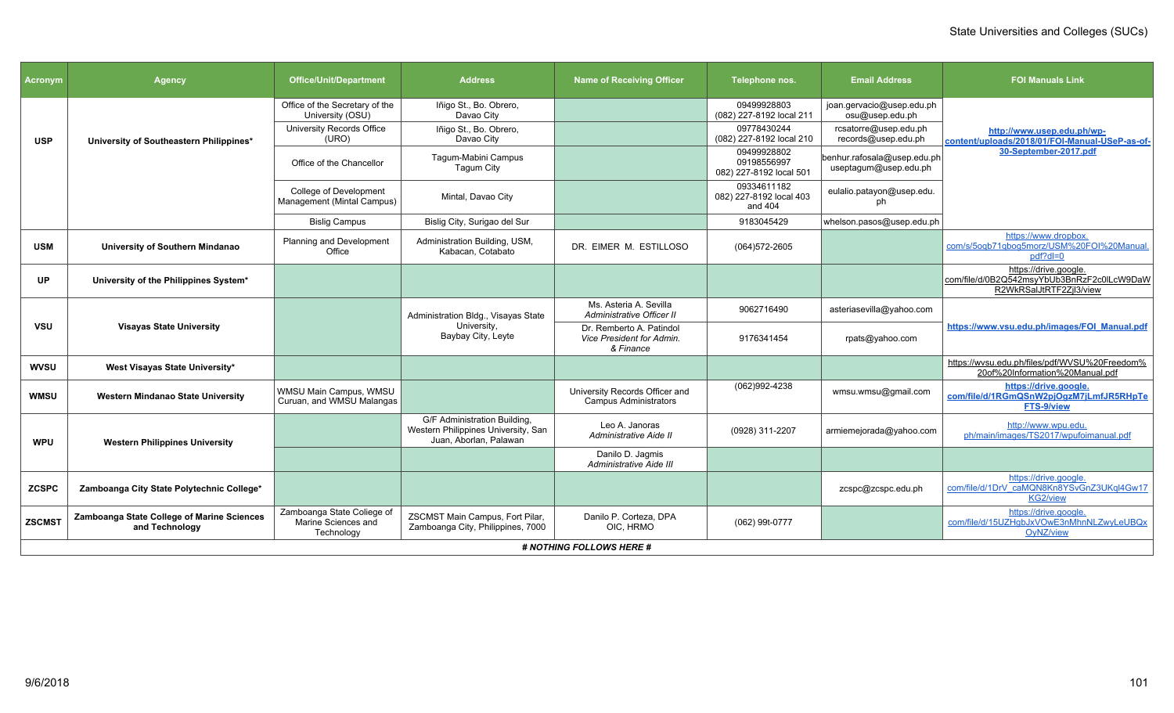| <b>Acronym</b> | <b>Agency</b>                                                | <b>Office/Unit/Department</b>                                   | <b>Address</b>                                                                                | <b>Name of Receiving Officer</b>                                   | Telephone nos.                                        | <b>Email Address</b>                                 | <b>FOI Manuals Link</b>                                                                        |
|----------------|--------------------------------------------------------------|-----------------------------------------------------------------|-----------------------------------------------------------------------------------------------|--------------------------------------------------------------------|-------------------------------------------------------|------------------------------------------------------|------------------------------------------------------------------------------------------------|
|                |                                                              | Office of the Secretary of the<br>University (OSU)              | Iñigo St., Bo. Obrero,<br>Davao City                                                          |                                                                    | 09499928803<br>(082) 227-8192 local 211               | joan.gervacio@usep.edu.ph<br>osu@usep.edu.ph         |                                                                                                |
| <b>USP</b>     | University of Southeastern Philippines*                      | University Records Office<br>(URO)                              | Iñigo St., Bo. Obrero,<br>Davao City                                                          |                                                                    | 09778430244<br>(082) 227-8192 local 210               | rcsatorre@usep.edu.ph<br>records@usep.edu.ph         | http://www.usep.edu.ph/wp-<br>content/uploads/2018/01/FOI-Manual-USeP-as-of-                   |
|                |                                                              | Office of the Chancellor                                        | Tagum-Mabini Campus<br>Taqum City                                                             |                                                                    | 09499928802<br>09198556997<br>082) 227-8192 local 501 | benhur.rafosala@usep.edu.ph<br>useptagum@usep.edu.ph | 30-September-2017.pdf                                                                          |
|                |                                                              | College of Development<br>Management (Mintal Campus)            | Mintal, Davao City                                                                            |                                                                    | 09334611182<br>082) 227-8192 local 403<br>and 404     | eulalio.patayon@usep.edu.<br>.nh                     |                                                                                                |
|                |                                                              | <b>Bislig Campus</b>                                            | Bislig City, Surigao del Sur                                                                  |                                                                    | 9183045429                                            | whelson.pasos@usep.edu.ph                            |                                                                                                |
| <b>USM</b>     | University of Southern Mindanao                              | Planning and Development<br>Office                              | Administration Building, USM,<br>Kabacan, Cotabato                                            | DR. EIMER M. ESTILLOSO                                             | (064) 572-2605                                        |                                                      | https://www.dropbox.<br>com/s/5ogb71gbog5morz/USM%20FOI%20Manual<br>pdf?dl=0                   |
| UP             | University of the Philippines System*                        |                                                                 |                                                                                               |                                                                    |                                                       |                                                      | https://drive.google.<br>com/file/d/0B2Q542msyYbUb3BnRzF2c0ILcW9DaW<br>R2WkRSalJtRTF2Zjl3/view |
|                | <b>Visayas State University</b>                              |                                                                 | Administration Bldg., Visayas State                                                           | Ms. Asteria A. Sevilla<br>Administrative Officer II                | 9062716490                                            | asteriasevilla@yahoo.com                             |                                                                                                |
| <b>VSU</b>     |                                                              |                                                                 | University,<br>Baybay City, Leyte                                                             | Dr. Remberto A. Patindol<br>Vice President for Admin.<br>& Finance | 9176341454                                            | rpats@yahoo.com                                      | https://www.vsu.edu.ph/images/FOI Manual.pdf                                                   |
| <b>WVSU</b>    | West Visayas State University*                               |                                                                 |                                                                                               |                                                                    |                                                       |                                                      | https://wvsu.edu.ph/files/pdf/WVSU%20Freedom%<br>20of%20Information%20Manual.pdf               |
| <b>WMSU</b>    | <b>Western Mindanao State University</b>                     | WMSU Main Campus, WMSU<br>Curuan, and WMSU Malangas             |                                                                                               | University Records Officer and<br><b>Campus Administrators</b>     | (062)992-4238                                         | wmsu.wmsu@gmail.com                                  | https://drive.google.<br>com/file/d/1RGmQSnW2pjOgzM7jLmfJR5RHpTe<br>FTS-9/view                 |
| <b>WPU</b>     | <b>Western Philippines University</b>                        |                                                                 | G/F Administration Building,<br>Western Philippines University, San<br>Juan, Aborlan, Palawan | Leo A. Janoras<br>Administrative Aide II                           | (0928) 311-2207                                       | armiemejorada@yahoo.com                              | http://www.wpu.edu.<br>ph/main/images/TS2017/wpufoimanual.pdf                                  |
|                |                                                              |                                                                 |                                                                                               | Danilo D. Jagmis<br>Administrative Aide III                        |                                                       |                                                      |                                                                                                |
| <b>ZCSPC</b>   | Zamboanga City State Polytechnic College*                    |                                                                 |                                                                                               |                                                                    |                                                       | zcspc@zcspc.edu.ph                                   | https://drive.google.<br>com/file/d/1DrV_caMQN8Kn8YSvGnZ3UKql4Gw17<br><b>KG2/view</b>          |
| <b>ZSCMST</b>  | Zamboanga State College of Marine Sciences<br>and Technology | Zamboanga State Coliege of<br>Marine Sciences and<br>Technology | ZSCMST Main Campus, Fort Pilar,<br>Zamboanga City, Philippines, 7000                          | Danilo P. Corteza, DPA<br>OIC, HRMO                                | (062) 99t-0777                                        |                                                      | https://drive.google.<br>com/file/d/15UZHgbJxVOwE3nMhnNLZwyLeUBQx<br>OyNZ/view                 |
|                |                                                              |                                                                 |                                                                                               | <b># NOTHING FOLLOWS HERE #</b>                                    |                                                       |                                                      |                                                                                                |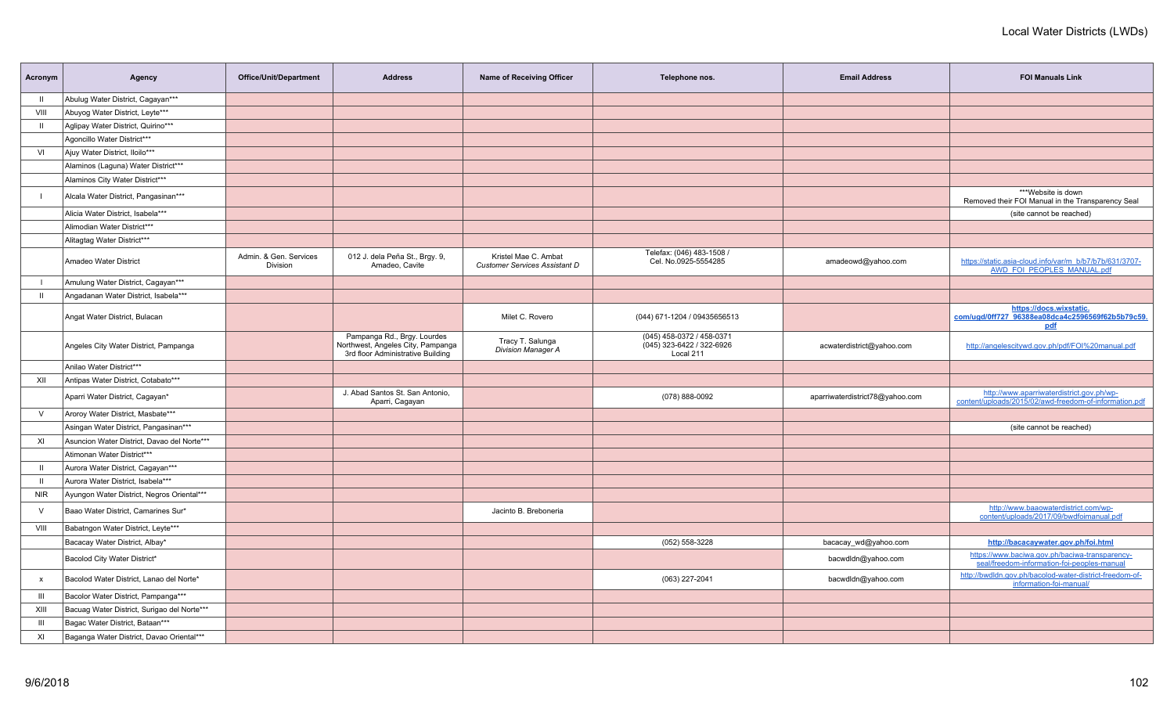| Acronym        | Agency                                      | Office/Unit/Department             | <b>Address</b>                                                                                        | Name of Receiving Officer                                    | Telephone nos.                                                      | <b>Email Address</b>            | <b>FOI Manuals Link</b>                                                                             |
|----------------|---------------------------------------------|------------------------------------|-------------------------------------------------------------------------------------------------------|--------------------------------------------------------------|---------------------------------------------------------------------|---------------------------------|-----------------------------------------------------------------------------------------------------|
| $\mathbf{H}$   | Abulug Water District, Cagayan***           |                                    |                                                                                                       |                                                              |                                                                     |                                 |                                                                                                     |
| VIII           | Abuyog Water District, Leyte***             |                                    |                                                                                                       |                                                              |                                                                     |                                 |                                                                                                     |
| - 11           | Aglipay Water District, Quirino***          |                                    |                                                                                                       |                                                              |                                                                     |                                 |                                                                                                     |
|                | Agoncillo Water District***                 |                                    |                                                                                                       |                                                              |                                                                     |                                 |                                                                                                     |
| VI             | Ajuy Water District, Iloilo***              |                                    |                                                                                                       |                                                              |                                                                     |                                 |                                                                                                     |
|                | Alaminos (Laguna) Water District***         |                                    |                                                                                                       |                                                              |                                                                     |                                 |                                                                                                     |
|                | Alaminos City Water District***             |                                    |                                                                                                       |                                                              |                                                                     |                                 |                                                                                                     |
|                | Alcala Water District, Pangasinan***        |                                    |                                                                                                       |                                                              |                                                                     |                                 | ***Website is down<br>Removed their FOI Manual in the Transparency Seal                             |
|                | Alicia Water District, Isabela***           |                                    |                                                                                                       |                                                              |                                                                     |                                 | (site cannot be reached)                                                                            |
|                | Alimodian Water District***                 |                                    |                                                                                                       |                                                              |                                                                     |                                 |                                                                                                     |
|                | Alitagtag Water District***                 |                                    |                                                                                                       |                                                              |                                                                     |                                 |                                                                                                     |
|                | Amadeo Water District                       | Admin. & Gen. Services<br>Division | 012 J. dela Peña St., Brgy. 9,<br>Amadeo, Cavite                                                      | Kristel Mae C. Ambat<br><b>Customer Services Assistant D</b> | Telefax: (046) 483-1508 /<br>Cel. No.0925-5554285                   | amadeowd@yahoo.com              | https://static.asia-cloud.info/var/m_b/b7/b7b/631/3707-<br><b>AWD FOI PEOPLES MANUAL.pdf</b>        |
| $\perp$        | Amulung Water District, Cagayan***          |                                    |                                                                                                       |                                                              |                                                                     |                                 |                                                                                                     |
| $\mathbf{II}$  | Angadanan Water District, Isabela***        |                                    |                                                                                                       |                                                              |                                                                     |                                 |                                                                                                     |
|                | Angat Water District, Bulacan               |                                    |                                                                                                       | Milet C. Rovero                                              | (044) 671-1204 / 09435656513                                        |                                 | https://docs.wixstatic.<br>com/ugd/0ff727_96388ea08dca4c2596569f62b5b79c59.<br><u>pdf</u>           |
|                | Angeles City Water District, Pampanga       |                                    | Pampanga Rd., Brgy. Lourdes<br>Northwest, Angeles City, Pampanga<br>3rd floor Administrative Building | Tracy T. Salunga<br><b>Division Manager A</b>                | (045) 458-0372 / 458-0371<br>(045) 323-6422 / 322-6926<br>Local 211 | acwaterdistrict@yahoo.com       | http://angelescitywd.gov.ph/pdf/FOI%20manual.pdf                                                    |
|                | Anilao Water District***                    |                                    |                                                                                                       |                                                              |                                                                     |                                 |                                                                                                     |
| XII            | Antipas Water District, Cotabato***         |                                    |                                                                                                       |                                                              |                                                                     |                                 |                                                                                                     |
|                | Aparri Water District, Cagayan*             |                                    | J. Abad Santos St. San Antonio,<br>Aparri, Cagayan                                                    |                                                              | (078) 888-0092                                                      | aparriwaterdistrict78@yahoo.com | http://www.aparriwaterdistrict.gov.ph/wp-<br>content/uploads/2015/02/awd-freedom-of-information.pdf |
| $\vee$         | Aroroy Water District, Masbate***           |                                    |                                                                                                       |                                                              |                                                                     |                                 |                                                                                                     |
|                | Asingan Water District, Pangasinan***       |                                    |                                                                                                       |                                                              |                                                                     |                                 | (site cannot be reached)                                                                            |
| XI             | Asuncion Water District, Davao del Norte*** |                                    |                                                                                                       |                                                              |                                                                     |                                 |                                                                                                     |
|                | Atimonan Water District***                  |                                    |                                                                                                       |                                                              |                                                                     |                                 |                                                                                                     |
| $\mathbf{II}$  | Aurora Water District, Cagayan***           |                                    |                                                                                                       |                                                              |                                                                     |                                 |                                                                                                     |
| - II           | Aurora Water District, Isabela***           |                                    |                                                                                                       |                                                              |                                                                     |                                 |                                                                                                     |
| <b>NIR</b>     | Ayungon Water District, Negros Oriental***  |                                    |                                                                                                       |                                                              |                                                                     |                                 |                                                                                                     |
| $\vee$         | Baao Water District, Camarines Sur*         |                                    |                                                                                                       | Jacinto B. Breboneria                                        |                                                                     |                                 | http://www.baaowaterdistrict.com/wp-<br>content/uploads/2017/09/bwdfoimanual.pdf                    |
| VIII           | Babatngon Water District, Leyte***          |                                    |                                                                                                       |                                                              |                                                                     |                                 |                                                                                                     |
|                | Bacacay Water District, Albay*              |                                    |                                                                                                       |                                                              | (052) 558-3228                                                      | bacacay_wd@yahoo.com            | http://bacacaywater.gov.ph/foi.html                                                                 |
|                | Bacolod City Water District*                |                                    |                                                                                                       |                                                              |                                                                     | bacwdldn@yahoo.com              | https://www.baciwa.gov.ph/baciwa-transparency-<br>seal/freedom-information-foi-peoples-manual       |
| $\mathsf{x}$   | Bacolod Water District, Lanao del Norte*    |                                    |                                                                                                       |                                                              | (063) 227-2041                                                      | bacwdldn@yahoo.com              | http://bwdldn.gov.ph/bacolod-water-district-freedom-of-<br>information-foi-manual/                  |
| $\mathbf{m}$   | Bacolor Water District, Pampanga***         |                                    |                                                                                                       |                                                              |                                                                     |                                 |                                                                                                     |
| XIII           | Bacuag Water District, Surigao del Norte*** |                                    |                                                                                                       |                                                              |                                                                     |                                 |                                                                                                     |
| $\mathbf{III}$ | Bagac Water District, Bataan***             |                                    |                                                                                                       |                                                              |                                                                     |                                 |                                                                                                     |
| XI             | Baganga Water District, Davao Oriental***   |                                    |                                                                                                       |                                                              |                                                                     |                                 |                                                                                                     |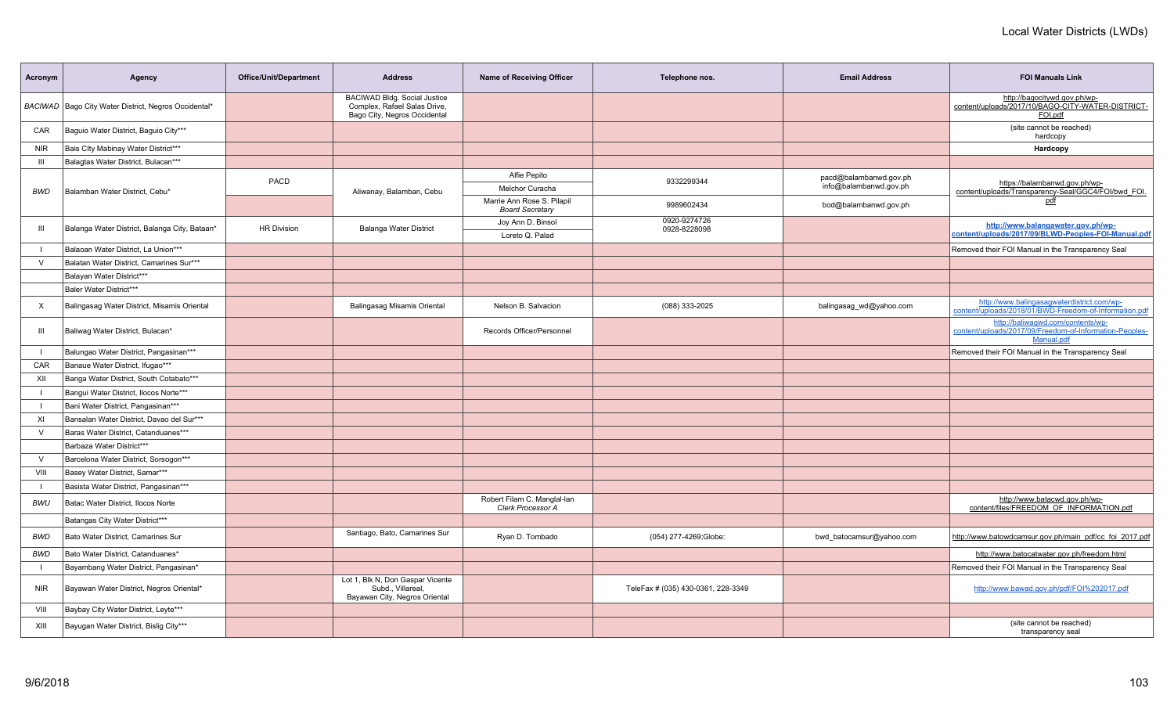| Acronym        | Agency                                                 | Office/Unit/Department | <b>Address</b>                                                                               | Name of Receiving Officer                            | Telephone nos.                     | <b>Email Address</b>     | <b>FOI Manuals Link</b>                                                                                    |
|----------------|--------------------------------------------------------|------------------------|----------------------------------------------------------------------------------------------|------------------------------------------------------|------------------------------------|--------------------------|------------------------------------------------------------------------------------------------------------|
|                | BACIWAD   Bago City Water District, Negros Occidental* |                        | BACIWAD Bldg. Social Justice<br>Complex, Rafael Salas Drive,<br>Bago City, Negros Occidental |                                                      |                                    |                          | http://bagocitywd.gov.ph/wp-<br>content/uploads/2017/10/BAGO-CITY-WATER-DISTRICT-<br>FOI.pdf               |
| CAR            | Baguio Water District, Baguio City***                  |                        |                                                                                              |                                                      |                                    |                          | (site cannot be reached)<br>hardcopy                                                                       |
| NIR            | Bais Clty Mabinay Water District***                    |                        |                                                                                              |                                                      |                                    |                          | Hardcopy                                                                                                   |
| Ш              | Balagtas Water District, Bulacan***                    |                        |                                                                                              |                                                      |                                    |                          |                                                                                                            |
|                |                                                        |                        |                                                                                              | Alfie Pepito                                         |                                    | pacd@balambanwd.gov.ph   |                                                                                                            |
| <b>BWD</b>     | Balamban Water District, Cebu*                         | PACD                   | Aliwanay, Balamban, Cebu                                                                     | Melchor Curacha                                      | 9332299344                         | info@balambanwd.gov.ph   | https://balambanwd.gov.ph/wp-<br>content/uploads/Transparency-Seal/GGC4/FOI/bwd_FOI.                       |
|                |                                                        |                        |                                                                                              | Marrie Ann Rose S. Pilapil<br><b>Board Secretary</b> | 9989602434                         | bod@balambanwd.gov.ph    | pdf                                                                                                        |
| Ш              | Balanga Water District, Balanga City, Bataan*          | <b>HR Division</b>     | Balanga Water District                                                                       | Joy Ann D. Binsol                                    | 0920-9274726<br>0928-8228098       |                          | http://www.balangawater.gov.ph/wp-                                                                         |
|                |                                                        |                        |                                                                                              | Loreto Q. Palad                                      |                                    |                          | content/uploads/2017/09/BLWD-Peoples-FOI-Manual.pdf                                                        |
|                | Balaoan Water District, La Union***                    |                        |                                                                                              |                                                      |                                    |                          | Removed their FOI Manual in the Transparency Seal                                                          |
| $\vee$         | Balatan Water District, Camarines Sur***               |                        |                                                                                              |                                                      |                                    |                          |                                                                                                            |
|                | Balayan Water District***                              |                        |                                                                                              |                                                      |                                    |                          |                                                                                                            |
|                | Baler Water District***                                |                        |                                                                                              |                                                      |                                    |                          |                                                                                                            |
| $\times$       | Balingasag Water District, Misamis Oriental            |                        | Balingasag Misamis Oriental                                                                  | Nelson B. Salvacion                                  | (088) 333-2025                     | balingasag wd@yahoo.com  | http://www.balingasaqwaterdistrict.com/wp-<br>content/uploads/2018/01/BWD-Freedom-of-Information.pdf       |
| $\mathbf{III}$ | Baliwag Water District, Bulacan*                       |                        |                                                                                              | Records Officer/Personnel                            |                                    |                          | http://baliwagwd.com/contents/wp-<br>content/uploads/2017/09/Freedom-of-Information-Peoples-<br>Manual.pdf |
| $\blacksquare$ | Balungao Water District, Pangasinan***                 |                        |                                                                                              |                                                      |                                    |                          | Removed their FOI Manual in the Transparency Seal                                                          |
| CAR            | Banaue Water District, Ifugao***                       |                        |                                                                                              |                                                      |                                    |                          |                                                                                                            |
| XII            | Banga Water District, South Cotabato***                |                        |                                                                                              |                                                      |                                    |                          |                                                                                                            |
|                | Bangui Water District, Ilocos Norte***                 |                        |                                                                                              |                                                      |                                    |                          |                                                                                                            |
| $\mathbf{I}$   | Bani Water District, Pangasinan***                     |                        |                                                                                              |                                                      |                                    |                          |                                                                                                            |
| XI             | Bansalan Water District, Davao del Sur***              |                        |                                                                                              |                                                      |                                    |                          |                                                                                                            |
| $\vee$         | Baras Water District, Catanduanes***                   |                        |                                                                                              |                                                      |                                    |                          |                                                                                                            |
|                | Barbaza Water District***                              |                        |                                                                                              |                                                      |                                    |                          |                                                                                                            |
| $\vee$         | Barcelona Water District, Sorsogon***                  |                        |                                                                                              |                                                      |                                    |                          |                                                                                                            |
| VIII           | Basey Water District, Samar***                         |                        |                                                                                              |                                                      |                                    |                          |                                                                                                            |
| $\blacksquare$ | Basista Water District, Pangasinan***                  |                        |                                                                                              |                                                      |                                    |                          |                                                                                                            |
| BWU            | Batac Water District, Ilocos Norte                     |                        |                                                                                              | Robert Filam C. Manglal-lan<br>Clerk Processor A     |                                    |                          | http://www.batacwd.gov.ph/wp-<br>content/files/FREEDOM OF INFORMATION.pdf                                  |
|                | Batangas City Water District***                        |                        |                                                                                              |                                                      |                                    |                          |                                                                                                            |
| BWD            | Bato Water District, Camarines Sur                     |                        | Santiago, Bato, Camarines Sur                                                                | Ryan D. Tombado                                      | (054) 277-4269;Globe:              | bwd batocamsur@yahoo.com | http://www.batowdcamsur.gov.ph/main_pdf/cc_foi_2017.pdf                                                    |
| <b>BWD</b>     | Bato Water District. Catanduanes*                      |                        |                                                                                              |                                                      |                                    |                          | http://www.batocatwater.gov.ph/freedom.html                                                                |
|                | Bayambang Water District, Pangasinan*                  |                        |                                                                                              |                                                      |                                    |                          | Removed their FOI Manual in the Transparency Seal                                                          |
| <b>NIR</b>     | Bayawan Water District, Negros Oriental*               |                        | Lot 1, Blk N, Don Gaspar Vicente<br>Subd., Villareal,<br>Bayawan City, Negros Oriental       |                                                      | TeleFax # (035) 430-0361, 228-3349 |                          | http://www.bawad.gov.ph/pdf/FOI%202017.pdf                                                                 |
| VIII           | Baybay City Water District, Leyte***                   |                        |                                                                                              |                                                      |                                    |                          |                                                                                                            |
| XIII           | Bayugan Water District, Bislig City***                 |                        |                                                                                              |                                                      |                                    |                          | (site cannot be reached)<br>transparency seal                                                              |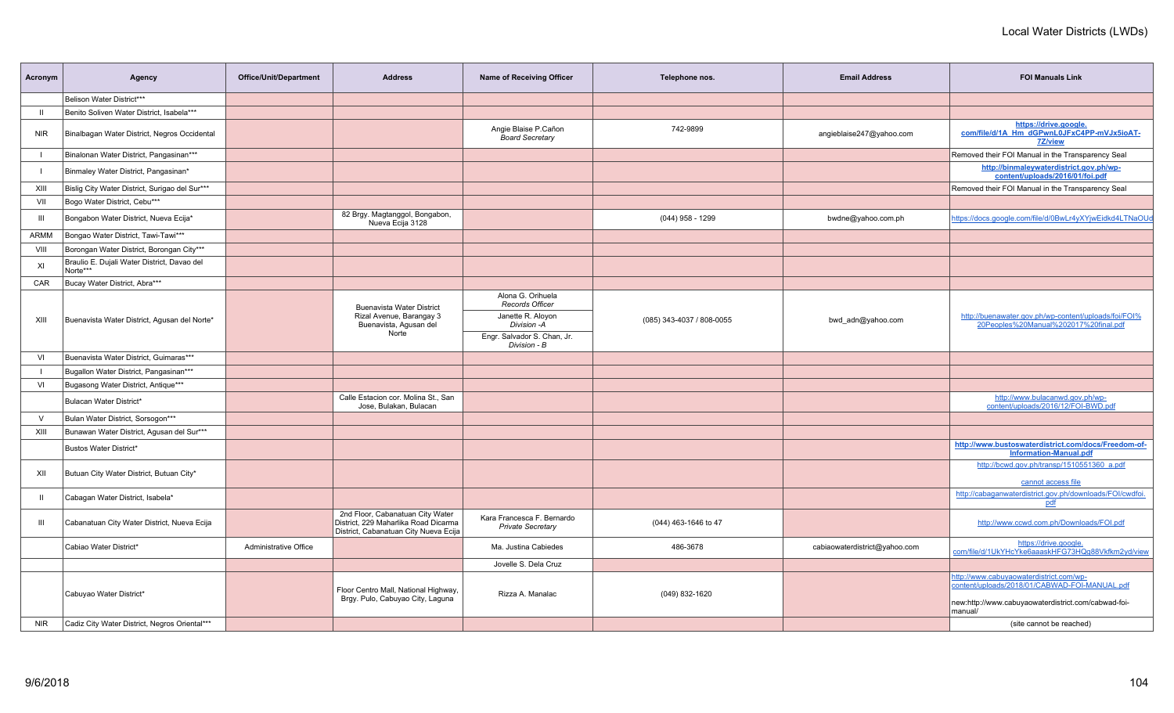| Acronym        | Agency                                                  | <b>Office/Unit/Department</b>                        | <b>Address</b>                                                                                                    | Name of Receiving Officer                              | Telephone nos.            | <b>Email Address</b>          | <b>FOI Manuals Link</b>                                                                       |
|----------------|---------------------------------------------------------|------------------------------------------------------|-------------------------------------------------------------------------------------------------------------------|--------------------------------------------------------|---------------------------|-------------------------------|-----------------------------------------------------------------------------------------------|
|                | Belison Water District***                               |                                                      |                                                                                                                   |                                                        |                           |                               |                                                                                               |
| -11            | Benito Soliven Water District, Isabela***               |                                                      |                                                                                                                   |                                                        |                           |                               |                                                                                               |
| <b>NIR</b>     | Binalbagan Water District, Negros Occidental            |                                                      |                                                                                                                   | Angie Blaise P.Cañon<br><b>Board Secretary</b>         | 742-9899                  | angieblaise247@yahoo.com      | https://drive.google.<br>com/file/d/1A Hm dGPwnL0JFxC4PP-mVJx5ioAT-<br><b>7Z/view</b>         |
|                | Binalonan Water District, Pangasinan***                 |                                                      |                                                                                                                   |                                                        |                           |                               | Removed their FOI Manual in the Transparency Seal                                             |
|                | Binmaley Water District, Pangasinan*                    |                                                      |                                                                                                                   |                                                        |                           |                               | http://binmaleywaterdistrict.gov.ph/wp-<br>content/uploads/2016/01/foi.pdf                    |
| XIII           | Bislig City Water District, Surigao del Sur***          |                                                      |                                                                                                                   |                                                        |                           |                               | Removed their FOI Manual in the Transparency Seal                                             |
| VII            | Bogo Water District, Cebu***                            |                                                      |                                                                                                                   |                                                        |                           |                               |                                                                                               |
| $\mathbf{III}$ | Bongabon Water District, Nueva Ecija*                   |                                                      | 82 Brgy. Magtanggol, Bongabon,<br>Nueva Ecija 3128                                                                |                                                        | $(044)$ 958 - 1299        | bwdne@yahoo.com.ph            | https://docs.google.com/file/d/0BwLr4yXYjwEidkd4LTNaOUd                                       |
| ARMM           | Bongao Water District, Tawi-Tawi***                     |                                                      |                                                                                                                   |                                                        |                           |                               |                                                                                               |
| VIII           | Borongan Water District, Borongan City***               |                                                      |                                                                                                                   |                                                        |                           |                               |                                                                                               |
| XI             | Braulio E. Dujali Water District, Davao del<br>Norte*** |                                                      |                                                                                                                   |                                                        |                           |                               |                                                                                               |
| CAR            | Bucay Water District, Abra***                           |                                                      |                                                                                                                   |                                                        |                           |                               |                                                                                               |
|                |                                                         |                                                      | <b>Buenavista Water District</b>                                                                                  | Alona G. Orihuela<br><b>Records Officer</b>            |                           |                               |                                                                                               |
| XIII           | Buenavista Water District, Agusan del Norte*            |                                                      | Rizal Avenue, Barangay 3<br>Buenavista, Agusan del                                                                | Janette R. Aloyon<br>Division - A                      | (085) 343-4037 / 808-0055 | bwd adn@yahoo.com             | http://buenawater.gov.ph/wp-content/uploads/foi/FOI%<br>20Peoples%20Manual%202017%20final.pdf |
|                |                                                         | Norte<br>Engr. Salvador S. Chan, Jr.<br>Division - B |                                                                                                                   |                                                        |                           |                               |                                                                                               |
| VI             | Buenavista Water District, Guimaras***                  |                                                      |                                                                                                                   |                                                        |                           |                               |                                                                                               |
| -1             | Bugallon Water District, Pangasinan***                  |                                                      |                                                                                                                   |                                                        |                           |                               |                                                                                               |
| VI             | Bugasong Water District, Antique***                     |                                                      |                                                                                                                   |                                                        |                           |                               |                                                                                               |
|                | Bulacan Water District*                                 |                                                      | Calle Estacion cor. Molina St., San<br>Jose, Bulakan, Bulacan                                                     |                                                        |                           |                               | http://www.bulacanwd.gov.ph/wp-<br>content/uploads/2016/12/FOI-BWD.pdf                        |
| $\vee$         | Bulan Water District, Sorsogon***                       |                                                      |                                                                                                                   |                                                        |                           |                               |                                                                                               |
| XIII           | Bunawan Water District, Agusan del Sur***               |                                                      |                                                                                                                   |                                                        |                           |                               |                                                                                               |
|                | Bustos Water District*                                  |                                                      |                                                                                                                   |                                                        |                           |                               | http://www.bustoswaterdistrict.com/docs/Freedom-of-<br><b>Information-Manual.pdf</b>          |
| XII            | Butuan City Water District, Butuan City*                |                                                      |                                                                                                                   |                                                        |                           |                               | http://bcwd.gov.ph/transp/1510551360 a.pdf<br>cannot access file                              |
| $\mathbf{H}$   | Cabagan Water District, Isabela*                        |                                                      |                                                                                                                   |                                                        |                           |                               | http://cabaganwaterdistrict.gov.ph/downloads/FOI/cwdfoi.<br>pdf                               |
| Ш              | Cabanatuan City Water District, Nueva Ecija             |                                                      | 2nd Floor, Cabanatuan City Water<br>District, 229 Maharlika Road Dicarma<br>District, Cabanatuan City Nueva Ecija | Kara Francesca F. Bernardo<br><b>Private Secretary</b> | (044) 463-1646 to 47      |                               | http://www.ccwd.com.ph/Downloads/FOI.pdf                                                      |
|                | Cabiao Water District*                                  | Administrative Office                                |                                                                                                                   | Ma. Justina Cabiedes                                   | 486-3678                  | cabiaowaterdistrict@yahoo.com | https://drive.google.<br>com/file/d/1UkYHcYke6aaaskHFG73HQq88Vkfkm2yd/view                    |
|                |                                                         |                                                      |                                                                                                                   | Jovelle S. Dela Cruz                                   |                           |                               |                                                                                               |
|                | Cabuyao Water District*                                 |                                                      | Floor Centro Mall, National Highway,                                                                              | Rizza A. Manalac                                       | (049) 832-1620            |                               | http://www.cabuyaowaterdistrict.com/wp-<br>content/uploads/2018/01/CABWAD-FOI-MANUAL.pdf      |
|                |                                                         |                                                      | Brgy. Pulo, Cabuyao City, Laguna                                                                                  |                                                        |                           |                               | new:http://www.cabuyaowaterdistrict.com/cabwad-foi-<br>manual/                                |
| <b>NIR</b>     | Cadiz City Water District, Negros Oriental***           |                                                      |                                                                                                                   |                                                        |                           |                               | (site cannot be reached)                                                                      |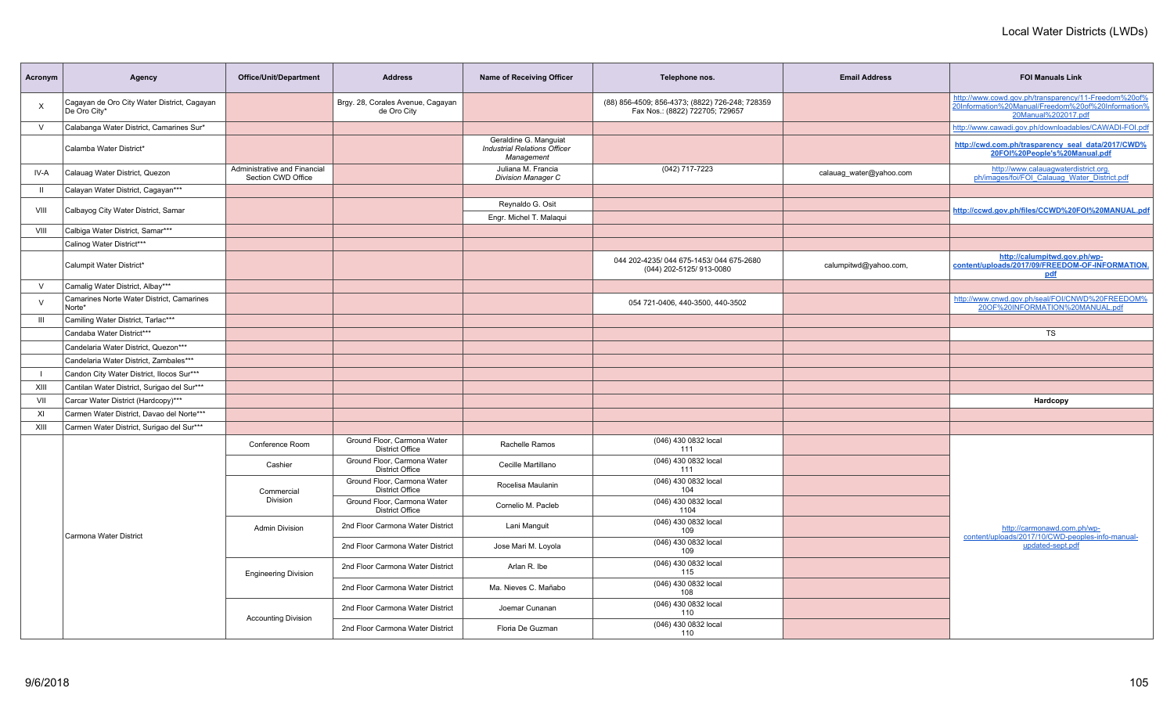| Acronym        | Agency                                                      | <b>Office/Unit/Department</b>                      | <b>Address</b>                                        | <b>Name of Receiving Officer</b>                                           | Telephone nos.                                                                     | <b>Email Address</b>    | <b>FOI Manuals Link</b>                                                                                                           |
|----------------|-------------------------------------------------------------|----------------------------------------------------|-------------------------------------------------------|----------------------------------------------------------------------------|------------------------------------------------------------------------------------|-------------------------|-----------------------------------------------------------------------------------------------------------------------------------|
| $\times$       | Cagayan de Oro City Water District, Cagayan<br>De Oro City* |                                                    | Brgy. 28, Corales Avenue, Cagayan<br>de Oro City      |                                                                            | (88) 856-4509; 856-4373; (8822) 726-248; 728359<br>Fax Nos.: (8822) 722705; 729657 |                         | http://www.cowd.gov.ph/transparency/11-Freedom%20of%<br>20Information%20Manual/Freedom%20of%20Information%<br>20Manual%202017.pdf |
| $\vee$         | Calabanga Water District, Camarines Sur*                    |                                                    |                                                       |                                                                            |                                                                                    |                         | http://www.cawadi.gov.ph/downloadables/CAWADI-FOI.pdf                                                                             |
|                | Calamba Water District*                                     |                                                    |                                                       | Geraldine G. Manquiat<br><b>Industrial Relations Officer</b><br>Management |                                                                                    |                         | http://cwd.com.ph/trasparency_seal_data/2017/CWD%<br>20FOI%20People's%20Manual.pdf                                                |
| IV-A           | Calauag Water District, Quezon                              | Administrative and Financial<br>Section CWD Office |                                                       | Juliana M. Francia<br><b>Division Manager C</b>                            | (042) 717-7223                                                                     | calauag water@yahoo.com | http://www.calauagwaterdistrict.org.<br>ph/images/foi/FOI Calauag Water District.pdf                                              |
| $\mathbf{H}$   | Calayan Water District, Cagayan***                          |                                                    |                                                       |                                                                            |                                                                                    |                         |                                                                                                                                   |
| VIII           | Calbayog City Water District, Samar                         |                                                    |                                                       | Reynaldo G. Osit                                                           |                                                                                    |                         | http://ccwd.gov.ph/files/CCWD%20FOI%20MANUAL.pdf                                                                                  |
|                |                                                             |                                                    |                                                       | Engr. Michel T. Malaqui                                                    |                                                                                    |                         |                                                                                                                                   |
| VIII           | Calbiga Water District, Samar***                            |                                                    |                                                       |                                                                            |                                                                                    |                         |                                                                                                                                   |
|                | Calinog Water District***                                   |                                                    |                                                       |                                                                            |                                                                                    |                         |                                                                                                                                   |
|                | Calumpit Water District*                                    |                                                    |                                                       |                                                                            | 044 202-4235/044 675-1453/044 675-2680<br>(044) 202-5125/ 913-0080                 | calumpitwd@yahoo.com,   | http://calumpitwd.gov.ph/wp-<br>content/uploads/2017/09/FREEDOM-OF-INFORMATION.<br>pdf                                            |
| $\vee$         | Camalig Water District, Albay***                            |                                                    |                                                       |                                                                            |                                                                                    |                         |                                                                                                                                   |
| $\vee$         | Camarines Norte Water District, Camarines<br>Norte*         |                                                    |                                                       |                                                                            | 054 721-0406, 440-3500, 440-3502                                                   |                         | http://www.cnwd.gov.ph/seal/FOI/CNWD%20FREEDOM%<br>20OF%20INFORMATION%20MANUAL.pdf                                                |
| $\mathbf{III}$ | Camiling Water District, Tarlac***                          |                                                    |                                                       |                                                                            |                                                                                    |                         |                                                                                                                                   |
|                | Candaba Water District***                                   |                                                    |                                                       |                                                                            |                                                                                    |                         | <b>TS</b>                                                                                                                         |
|                | Candelaria Water District, Quezon***                        |                                                    |                                                       |                                                                            |                                                                                    |                         |                                                                                                                                   |
|                | Candelaria Water District, Zambales***                      |                                                    |                                                       |                                                                            |                                                                                    |                         |                                                                                                                                   |
| $\blacksquare$ | Candon City Water District, Ilocos Sur***                   |                                                    |                                                       |                                                                            |                                                                                    |                         |                                                                                                                                   |
| XIII           | Cantilan Water District, Surigao del Sur***                 |                                                    |                                                       |                                                                            |                                                                                    |                         |                                                                                                                                   |
| VII            | Carcar Water District (Hardcopy)***                         |                                                    |                                                       |                                                                            |                                                                                    |                         | Hardcopy                                                                                                                          |
| XI             | Carmen Water District, Davao del Norte***                   |                                                    |                                                       |                                                                            |                                                                                    |                         |                                                                                                                                   |
| XIII           | Carmen Water District, Surigao del Sur***                   |                                                    |                                                       |                                                                            |                                                                                    |                         |                                                                                                                                   |
|                |                                                             | Conference Room                                    | Ground Floor, Carmona Water<br><b>District Office</b> | Rachelle Ramos                                                             | (046) 430 0832 local<br>111                                                        |                         |                                                                                                                                   |
|                |                                                             | Cashier                                            | Ground Floor, Carmona Water<br><b>District Office</b> | Cecille Martillano                                                         | (046) 430 0832 local<br>111                                                        |                         |                                                                                                                                   |
|                |                                                             | Commercial                                         | Ground Floor, Carmona Water<br><b>District Office</b> | Rocelisa Maulanin                                                          | (046) 430 0832 local<br>104                                                        |                         |                                                                                                                                   |
|                |                                                             | <b>Division</b>                                    | Ground Floor, Carmona Water<br><b>District Office</b> | Cornelio M. Pacleb                                                         | (046) 430 0832 local<br>1104                                                       |                         |                                                                                                                                   |
|                | Carmona Water District                                      | <b>Admin Division</b>                              | 2nd Floor Carmona Water District                      | Lani Manguit                                                               | (046) 430 0832 local<br>109                                                        |                         | http://carmonawd.com.ph/wp-<br>content/uploads/2017/10/CWD-peoples-info-manual-                                                   |
|                |                                                             |                                                    | 2nd Floor Carmona Water District                      | Jose Mari M. Loyola                                                        | (046) 430 0832 local<br>109                                                        |                         | updated-sept.pdf                                                                                                                  |
|                |                                                             | <b>Engineering Division</b>                        | 2nd Floor Carmona Water District                      | Arlan R. Ibe                                                               | (046) 430 0832 local<br>115                                                        |                         |                                                                                                                                   |
|                |                                                             |                                                    | 2nd Floor Carmona Water District                      | Ma. Nieves C. Mañabo                                                       | (046) 430 0832 local<br>108                                                        |                         |                                                                                                                                   |
|                |                                                             | <b>Accounting Division</b>                         | 2nd Floor Carmona Water District                      | Joemar Cunanan                                                             | (046) 430 0832 local<br>110                                                        |                         |                                                                                                                                   |
|                |                                                             |                                                    | 2nd Floor Carmona Water District                      | Floria De Guzman                                                           | (046) 430 0832 local<br>110                                                        |                         |                                                                                                                                   |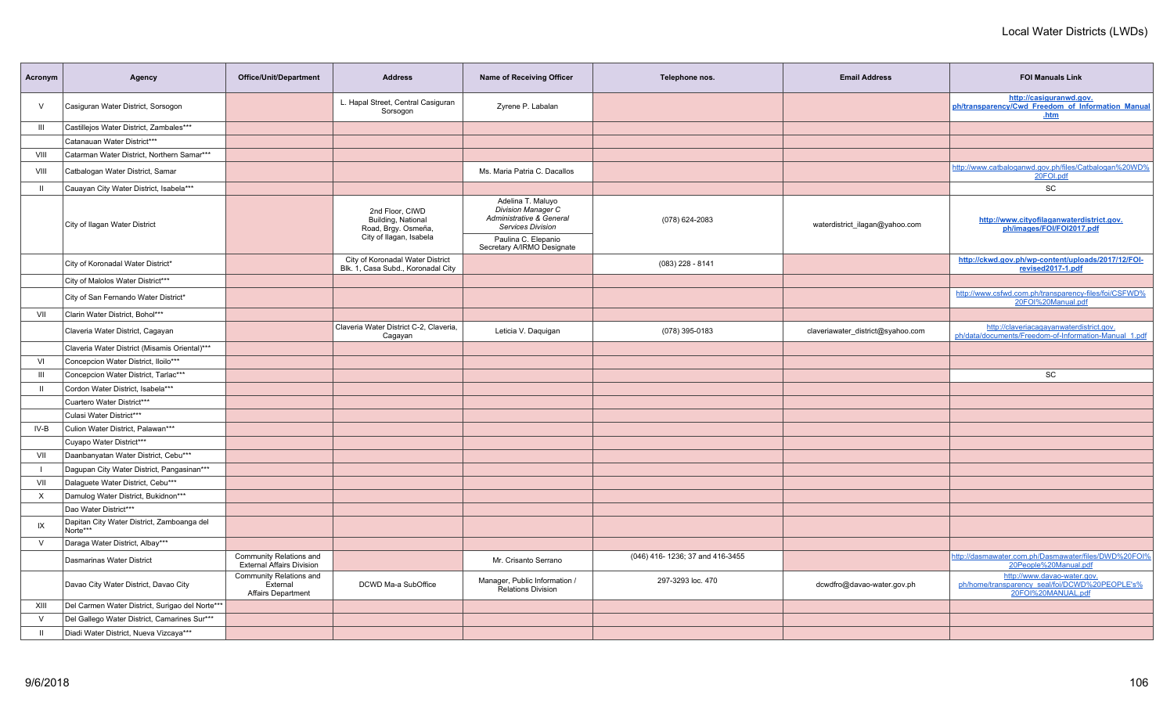| Acronym        | Agency                                                 | <b>Office/Unit/Department</b>                               | <b>Address</b>                                                                          | <b>Name of Receiving Officer</b>                                                                       | Telephone nos.                  | <b>Email Address</b>              | <b>FOI Manuals Link</b>                                                                             |
|----------------|--------------------------------------------------------|-------------------------------------------------------------|-----------------------------------------------------------------------------------------|--------------------------------------------------------------------------------------------------------|---------------------------------|-----------------------------------|-----------------------------------------------------------------------------------------------------|
| $\vee$         | Casiguran Water District, Sorsogon                     |                                                             | L. Hapal Street, Central Casiguran<br>Sorsogon                                          | Zyrene P. Labalan                                                                                      |                                 |                                   | http://casiguranwd.gov.<br>ph/transparency/Cwd Freedom of Information Manual<br>.htm                |
| $\mathbf{III}$ | Castillejos Water District, Zambales***                |                                                             |                                                                                         |                                                                                                        |                                 |                                   |                                                                                                     |
|                | Catanauan Water District***                            |                                                             |                                                                                         |                                                                                                        |                                 |                                   |                                                                                                     |
| VIII           | Catarman Water District, Northern Samar***             |                                                             |                                                                                         |                                                                                                        |                                 |                                   |                                                                                                     |
| VIII           | Catbalogan Water District, Samar                       |                                                             |                                                                                         | Ms. Maria Patria C. Dacallos                                                                           |                                 |                                   | http://www.catbaloganwd.gov.ph/files/Catbalogan%20WD%<br>20FOI.pdf                                  |
| $\mathbf{H}$   | Cauayan City Water District, Isabela***                |                                                             |                                                                                         |                                                                                                        |                                 |                                   | SC                                                                                                  |
|                | City of Ilagan Water District                          |                                                             | 2nd Floor, CIWD<br>Building, National<br>Road, Brgy. Osmeña,<br>City of Ilagan, Isabela | Adelina T. Maluyo<br><b>Division Manager C</b><br>Administrative & General<br><b>Services Division</b> | (078) 624-2083                  | waterdistrict_ilagan@yahoo.com    | http://www.cityofilaganwaterdistrict.gov.<br>ph/images/FOI/FOI2017.pdf                              |
|                |                                                        |                                                             |                                                                                         | Paulina C. Elepanio<br>Secretary A/IRMO Designate                                                      |                                 |                                   |                                                                                                     |
|                | City of Koronadal Water District*                      |                                                             | City of Koronadal Water District<br>Blk. 1, Casa Subd., Koronadal City                  |                                                                                                        | $(083)$ 228 - 8141              |                                   | http://ckwd.gov.ph/wp-content/uploads/2017/12/FOI-<br>revised2017-1.pdf                             |
|                | City of Malolos Water District***                      |                                                             |                                                                                         |                                                                                                        |                                 |                                   |                                                                                                     |
|                | City of San Fernando Water District*                   |                                                             |                                                                                         |                                                                                                        |                                 |                                   | http://www.csfwd.com.ph/transparency-files/foi/CSFWD%<br>20FOI%20Manual.pdf                         |
| VII            | Clarin Water District, Bohol***                        |                                                             |                                                                                         |                                                                                                        |                                 |                                   |                                                                                                     |
|                | Claveria Water District, Cagayan                       |                                                             | Claveria Water District C-2, Claveria,<br>Cagayan                                       | Leticia V. Daquigan                                                                                    | (078) 395-0183                  | claveriawater_district@syahoo.com | http://claveriacagayanwaterdistrict.gov.<br>ph/data/documents/Freedom-of-Information-Manual 1.pdf   |
|                | Claveria Water District (Misamis Oriental)***          |                                                             |                                                                                         |                                                                                                        |                                 |                                   |                                                                                                     |
| VI             | Concepcion Water District, Iloilo***                   |                                                             |                                                                                         |                                                                                                        |                                 |                                   |                                                                                                     |
| $\mathbf{III}$ | Concepcion Water District, Tarlac***                   |                                                             |                                                                                         |                                                                                                        |                                 |                                   | <b>SC</b>                                                                                           |
| $\mathbf{H}$   | Cordon Water District, Isabela***                      |                                                             |                                                                                         |                                                                                                        |                                 |                                   |                                                                                                     |
|                | Cuartero Water District***                             |                                                             |                                                                                         |                                                                                                        |                                 |                                   |                                                                                                     |
|                | Culasi Water District***                               |                                                             |                                                                                         |                                                                                                        |                                 |                                   |                                                                                                     |
| IV-B           | Culion Water District, Palawan***                      |                                                             |                                                                                         |                                                                                                        |                                 |                                   |                                                                                                     |
|                | Cuyapo Water District***                               |                                                             |                                                                                         |                                                                                                        |                                 |                                   |                                                                                                     |
| VII            | Daanbanyatan Water District, Cebu***                   |                                                             |                                                                                         |                                                                                                        |                                 |                                   |                                                                                                     |
|                | Dagupan City Water District, Pangasinan***             |                                                             |                                                                                         |                                                                                                        |                                 |                                   |                                                                                                     |
| VII            | Dalaguete Water District, Cebu***                      |                                                             |                                                                                         |                                                                                                        |                                 |                                   |                                                                                                     |
| $\times$       | Damulog Water District, Bukidnon***                    |                                                             |                                                                                         |                                                                                                        |                                 |                                   |                                                                                                     |
|                | Dao Water District***                                  |                                                             |                                                                                         |                                                                                                        |                                 |                                   |                                                                                                     |
| IX             | Dapitan City Water District, Zamboanga del<br>Norte*** |                                                             |                                                                                         |                                                                                                        |                                 |                                   |                                                                                                     |
| $\vee$         | Daraga Water District, Albay***                        |                                                             |                                                                                         |                                                                                                        |                                 |                                   |                                                                                                     |
|                | Dasmarinas Water District                              | Community Relations and<br><b>External Affairs Division</b> |                                                                                         | Mr. Crisanto Serrano                                                                                   | (046) 416-1236; 37 and 416-3455 |                                   | http://dasmawater.com.ph/Dasmawater/files/DWD%20FOI%<br>20People%20Manual.pdf                       |
|                | Davao City Water District, Davao City                  | Community Relations and<br>External<br>Affairs Department   | DCWD Ma-a SubOffice                                                                     | Manager, Public Information /<br><b>Relations Division</b>                                             | 297-3293 loc. 470               | dcwdfro@davao-water.gov.ph        | http://www.davao-water.gov.<br>ph/home/transparency_seal/foi/DCWD%20PEOPLE's%<br>20FOI%20MANUAL.pdf |
| XIII           | Del Carmen Water District, Surigao del Norte***        |                                                             |                                                                                         |                                                                                                        |                                 |                                   |                                                                                                     |
| $\vee$         | Del Gallego Water District, Camarines Sur***           |                                                             |                                                                                         |                                                                                                        |                                 |                                   |                                                                                                     |
| $\mathbf{H}$   | Diadi Water District, Nueva Vizcaya***                 |                                                             |                                                                                         |                                                                                                        |                                 |                                   |                                                                                                     |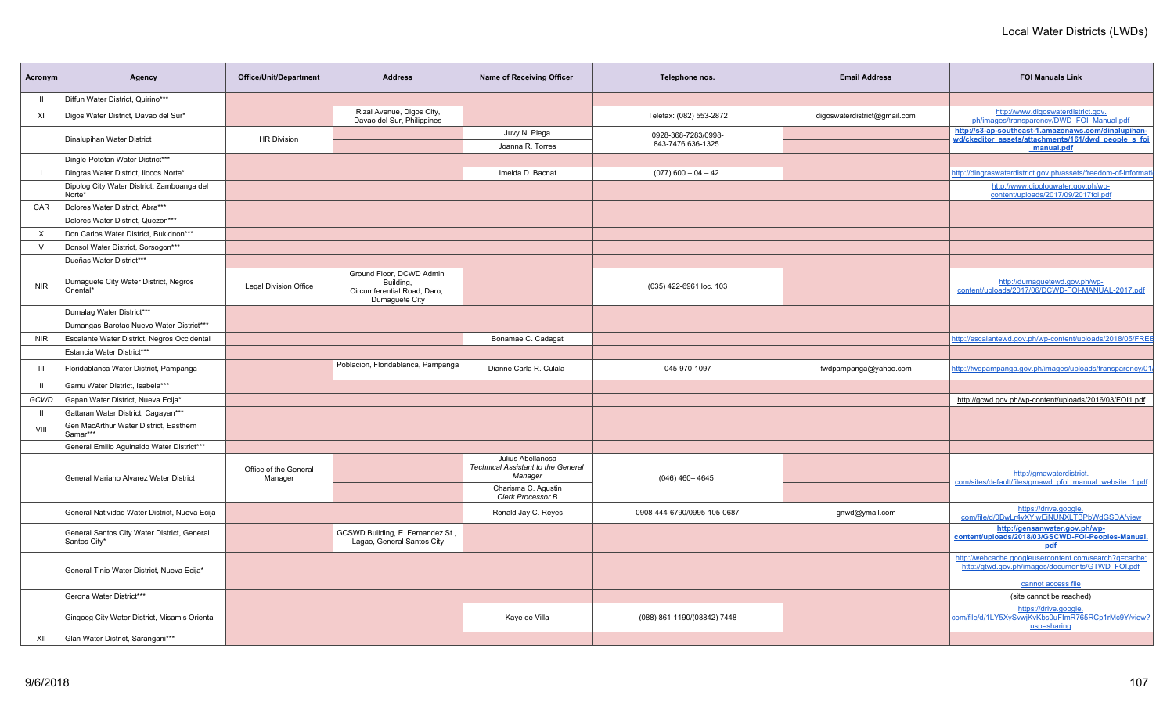| Acronym    | Agency                                                      | Office/Unit/Department           | <b>Address</b>                                                                         | Name of Receiving Officer                                                 | Telephone nos.                           | <b>Email Address</b>         | <b>FOI Manuals Link</b>                                                                                                  |
|------------|-------------------------------------------------------------|----------------------------------|----------------------------------------------------------------------------------------|---------------------------------------------------------------------------|------------------------------------------|------------------------------|--------------------------------------------------------------------------------------------------------------------------|
| ш          | Diffun Water District, Quirino***                           |                                  |                                                                                        |                                                                           |                                          |                              |                                                                                                                          |
| XI         | Digos Water District, Davao del Sur*                        |                                  | Rizal Avenue, Digos City,<br>Davao del Sur, Philippines                                |                                                                           | Telefax: (082) 553-2872                  | digoswaterdistrict@gmail.com | http://www.digoswaterdistrict.gov.<br>ph/images/transparency/DWD_FOI_Manual.pdf                                          |
|            | Dinalupihan Water District                                  | <b>HR Division</b>               |                                                                                        | Juvy N. Piega<br>Joanna R. Torres                                         | 0928-368-7283/0998-<br>843-7476 636-1325 |                              | http://s3-ap-southeast-1.amazonaws.com/dinalupihan-<br>wd/ckeditor assets/attachments/161/dwd people s foi<br>manual.pdf |
|            | Dingle-Pototan Water District***                            |                                  |                                                                                        |                                                                           |                                          |                              |                                                                                                                          |
|            | Dingras Water District, Ilocos Norte*                       |                                  |                                                                                        | Imelda D. Bacnat                                                          | $(077)$ 600 - 04 - 42                    |                              | http://dingraswaterdistrict.gov.ph/assets/freedom-of-informat                                                            |
|            | Dipolog City Water District, Zamboanga del<br>Norte*        |                                  |                                                                                        |                                                                           |                                          |                              | http://www.dipologwater.gov.ph/wp-<br>content/uploads/2017/09/2017foi.pdf                                                |
| CAR        | Dolores Water District, Abra***                             |                                  |                                                                                        |                                                                           |                                          |                              |                                                                                                                          |
|            | Dolores Water District, Quezon***                           |                                  |                                                                                        |                                                                           |                                          |                              |                                                                                                                          |
| $\times$   | Don Carlos Water District, Bukidnon***                      |                                  |                                                                                        |                                                                           |                                          |                              |                                                                                                                          |
| $\vee$     | Donsol Water District, Sorsogon***                          |                                  |                                                                                        |                                                                           |                                          |                              |                                                                                                                          |
|            | Dueñas Water District***                                    |                                  |                                                                                        |                                                                           |                                          |                              |                                                                                                                          |
| <b>NIR</b> | Dumaguete City Water District, Negros<br>Oriental*          | <b>Legal Division Office</b>     | Ground Floor, DCWD Admin<br>Building,<br>Circumferential Road, Daro,<br>Dumaguete City |                                                                           | (035) 422-6961 loc. 103                  |                              | http://dumaquetewd.gov.ph/wp-<br>content/uploads/2017/06/DCWD-FOI-MANUAL-2017.pdf                                        |
|            | Dumalag Water District***                                   |                                  |                                                                                        |                                                                           |                                          |                              |                                                                                                                          |
|            | Dumangas-Barotac Nuevo Water District***                    |                                  |                                                                                        |                                                                           |                                          |                              |                                                                                                                          |
| <b>NIR</b> | Escalante Water District, Negros Occidental                 |                                  |                                                                                        | Bonamae C. Cadagat                                                        |                                          |                              | http://escalantewd.gov.ph/wp-content/uploads/2018/05/FREE                                                                |
|            | Estancia Water District***                                  |                                  |                                                                                        |                                                                           |                                          |                              |                                                                                                                          |
| Ш          | Floridablanca Water District, Pampanga                      |                                  | Poblacion, Floridablanca, Pampanga                                                     | Dianne Carla R. Culala                                                    | 045-970-1097                             | fwdpampanga@yahoo.com        | http://fwdpampanga.gov.ph/images/uploads/transparency/01                                                                 |
| - 11       | Gamu Water District, Isabela***                             |                                  |                                                                                        |                                                                           |                                          |                              |                                                                                                                          |
| GCWD       | Gapan Water District, Nueva Ecija*                          |                                  |                                                                                        |                                                                           |                                          |                              | http://gcwd.gov.ph/wp-content/uploads/2016/03/FOI1.pdf                                                                   |
| - 11       | Gattaran Water District, Cagayan***                         |                                  |                                                                                        |                                                                           |                                          |                              |                                                                                                                          |
| VIII       | Gen MacArthur Water District, Easthern<br>Samar***          |                                  |                                                                                        |                                                                           |                                          |                              |                                                                                                                          |
|            | General Emilio Aguinaldo Water District***                  |                                  |                                                                                        |                                                                           |                                          |                              |                                                                                                                          |
|            | General Mariano Alvarez Water District                      | Office of the General<br>Manager |                                                                                        | Julius Abellanosa<br><b>Technical Assistant to the General</b><br>Manager | $(046)$ 460 - 4645                       |                              | http://gmawaterdistrict.<br>com/sites/default/files/gmawd pfoi manual website 1.pdf                                      |
|            |                                                             |                                  |                                                                                        | Charisma C. Agustin<br>Clerk Processor B                                  |                                          |                              |                                                                                                                          |
|            | General Natividad Water District, Nueva Ecija               |                                  |                                                                                        | Ronald Jay C. Reyes                                                       | 0908-444-6790/0995-105-0687              | gnwd@ymail.com               | https://drive.google.<br>com/file/d/0BwLr4yXYjwEiNUNXLTBPbWdGSDA/view                                                    |
|            | General Santos City Water District, General<br>Santos City* |                                  | GCSWD Building, E. Fernandez St.,<br>Lagao, General Santos City                        |                                                                           |                                          |                              | http://gensanwater.gov.ph/wp-<br>content/uploads/2018/03/GSCWD-FOI-Peoples-Manual.<br>pdf                                |
|            | General Tinio Water District, Nueva Ecija*                  |                                  |                                                                                        |                                                                           |                                          |                              | http://webcache.googleusercontent.com/search?q=cache:<br>http://gtwd.gov.ph/images/documents/GTWD_FOI.pdf                |
|            | Gerona Water District***                                    |                                  |                                                                                        |                                                                           |                                          |                              | cannot access file<br>(site cannot be reached)                                                                           |
|            | Gingoog City Water District, Misamis Oriental               |                                  |                                                                                        | Kaye de Villa                                                             | (088) 861-1190/(08842) 7448              |                              | https://drive.google.<br>com/file/d/1LY5XySvwjKvKbs0uFImR765RCp1rMc9Y/view?<br>usp=sharing                               |
| XII        | Glan Water District, Sarangani***                           |                                  |                                                                                        |                                                                           |                                          |                              |                                                                                                                          |
|            |                                                             |                                  |                                                                                        |                                                                           |                                          |                              |                                                                                                                          |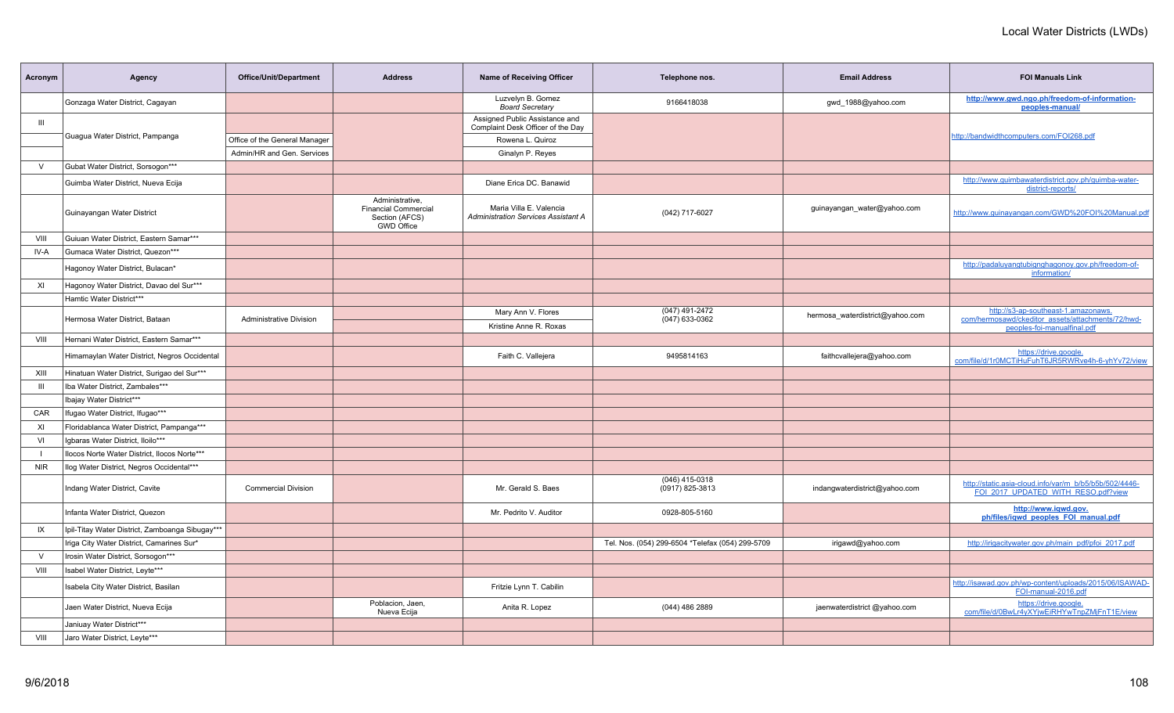| Acronym        | Agency                                          | <b>Office/Unit/Department</b>  | <b>Address</b>                                                                        | <b>Name of Receiving Officer</b>                                      | Telephone nos.                                   | <b>Email Address</b>            | <b>FOI Manuals Link</b>                                                                       |
|----------------|-------------------------------------------------|--------------------------------|---------------------------------------------------------------------------------------|-----------------------------------------------------------------------|--------------------------------------------------|---------------------------------|-----------------------------------------------------------------------------------------------|
|                | Gonzaga Water District, Cagayan                 |                                |                                                                                       | Luzvelyn B. Gomez<br><b>Board Secretary</b>                           | 9166418038                                       | gwd 1988@yahoo.com              | http://www.gwd.ngo.ph/freedom-of-information-<br>peoples-manual/                              |
| $\mathbf{III}$ |                                                 |                                |                                                                                       | Assigned Public Assistance and<br>Complaint Desk Officer of the Day   |                                                  |                                 |                                                                                               |
|                | Guagua Water District, Pampanga                 | Office of the General Manager  |                                                                                       | Rowena L. Quiroz                                                      |                                                  |                                 | http://bandwidthcomputers.com/FOI268.pdf                                                      |
|                |                                                 | Admin/HR and Gen. Services     |                                                                                       | Ginalyn P. Reyes                                                      |                                                  |                                 |                                                                                               |
| $\vee$         | Gubat Water District, Sorsogon***               |                                |                                                                                       |                                                                       |                                                  |                                 |                                                                                               |
|                | Guimba Water District, Nueva Ecija              |                                |                                                                                       | Diane Erica DC. Banawid                                               |                                                  |                                 | http://www.guimbawaterdistrict.gov.ph/guimba-water-<br>district-reports/                      |
|                | Guinayangan Water District                      |                                | Administrative,<br><b>Financial Commercial</b><br>Section (AFCS)<br><b>GWD Office</b> | Maria Villa E. Valencia<br><b>Administration Services Assistant A</b> | (042) 717-6027                                   | guinayangan_water@yahoo.com     | http://www.quinayangan.com/GWD%20FOI%20Manual.pdf                                             |
| VIII           | Guiuan Water District. Eastern Samar***         |                                |                                                                                       |                                                                       |                                                  |                                 |                                                                                               |
| IV-A           | Gumaca Water District, Quezon***                |                                |                                                                                       |                                                                       |                                                  |                                 |                                                                                               |
|                | Hagonoy Water District, Bulacan*                |                                |                                                                                       |                                                                       |                                                  |                                 | http://padaluyangtubignghagonoy.gov.ph/freedom-of-<br>information/                            |
| XI             | Hagonoy Water District, Davao del Sur***        |                                |                                                                                       |                                                                       |                                                  |                                 |                                                                                               |
|                | Hamtic Water District***                        |                                |                                                                                       |                                                                       |                                                  |                                 |                                                                                               |
|                | Hermosa Water District, Bataan                  | <b>Administrative Division</b> |                                                                                       | Mary Ann V. Flores<br>Kristine Anne R. Roxas                          | (047) 491-2472<br>$(047)$ 633-0362               | hermosa waterdistrict@yahoo.com | http://s3-ap-southeast-1.amazonaws.<br>com/hermosawd/ckeditor_assets/attachments/72/hwd-      |
| VIII           | Hernani Water District, Eastern Samar***        |                                |                                                                                       |                                                                       |                                                  |                                 | peoples-foi-manualfinal.pdf                                                                   |
|                | Himamaylan Water District, Negros Occidental    |                                |                                                                                       | Faith C. Vallejera                                                    | 9495814163                                       | faithcvallejera@yahoo.com       | https://drive.google.<br>com/file/d/1r0MCTiHuFuhT6JR5RWRve4h-6-yhYv72/view                    |
| XIII           | Hinatuan Water District, Surigao del Sur***     |                                |                                                                                       |                                                                       |                                                  |                                 |                                                                                               |
| $\mathbf{III}$ | Iba Water District, Zambales***                 |                                |                                                                                       |                                                                       |                                                  |                                 |                                                                                               |
|                | Ibajay Water District***                        |                                |                                                                                       |                                                                       |                                                  |                                 |                                                                                               |
| CAR            | Ifugao Water District, Ifugao***                |                                |                                                                                       |                                                                       |                                                  |                                 |                                                                                               |
| XI             | Floridablanca Water District, Pampanga***       |                                |                                                                                       |                                                                       |                                                  |                                 |                                                                                               |
| VI             | Igbaras Water District, Iloilo***               |                                |                                                                                       |                                                                       |                                                  |                                 |                                                                                               |
| $\blacksquare$ | Ilocos Norte Water District, Ilocos Norte***    |                                |                                                                                       |                                                                       |                                                  |                                 |                                                                                               |
| <b>NIR</b>     | Ilog Water District, Negros Occidental***       |                                |                                                                                       |                                                                       |                                                  |                                 |                                                                                               |
|                | Indang Water District, Cavite                   | <b>Commercial Division</b>     |                                                                                       | Mr. Gerald S. Baes                                                    | (046) 415-0318<br>(0917) 825-3813                | indangwaterdistrict@yahoo.com   | http://static.asia-cloud.info/var/m_b/b5/b5b/502/4446-<br>FOI 2017 UPDATED WITH RESO.pdf?view |
|                | Infanta Water District, Quezon                  |                                |                                                                                       | Mr. Pedrito V. Auditor                                                | 0928-805-5160                                    |                                 | http://www.iqwd.gov.<br>ph/files/igwd peoples FOI manual.pdf                                  |
| IX             | Ipil-Titay Water District, Zamboanga Sibugay*** |                                |                                                                                       |                                                                       |                                                  |                                 |                                                                                               |
|                | Iriga City Water District, Camarines Sur*       |                                |                                                                                       |                                                                       | Tel. Nos. (054) 299-6504 *Telefax (054) 299-5709 | irigawd@yahoo.com               | http://irigacitywater.gov.ph/main_pdf/pfoi_2017.pdf                                           |
| $\vee$         | Irosin Water District, Sorsogon***              |                                |                                                                                       |                                                                       |                                                  |                                 |                                                                                               |
| VIII           | Isabel Water District, Leyte***                 |                                |                                                                                       |                                                                       |                                                  |                                 |                                                                                               |
|                | Isabela City Water District, Basilan            |                                |                                                                                       | Fritzie Lynn T. Cabilin                                               |                                                  |                                 | http://isawad.gov.ph/wp-content/uploads/2015/06/ISAWAD-<br>FOI-manual-2016.pdf                |
|                | Jaen Water District, Nueva Ecija                |                                | Poblacion, Jaen,<br>Nueva Ecija                                                       | Anita R. Lopez                                                        | (044) 486 2889                                   | jaenwaterdistrict @yahoo.com    | https://drive.google.<br>com/file/d/0BwLr4yXYjwEiRHYwTnpZMjFnT1E/view                         |
|                | Janiuay Water District***                       |                                |                                                                                       |                                                                       |                                                  |                                 |                                                                                               |
| VIII           | Jaro Water District, Leyte***                   |                                |                                                                                       |                                                                       |                                                  |                                 |                                                                                               |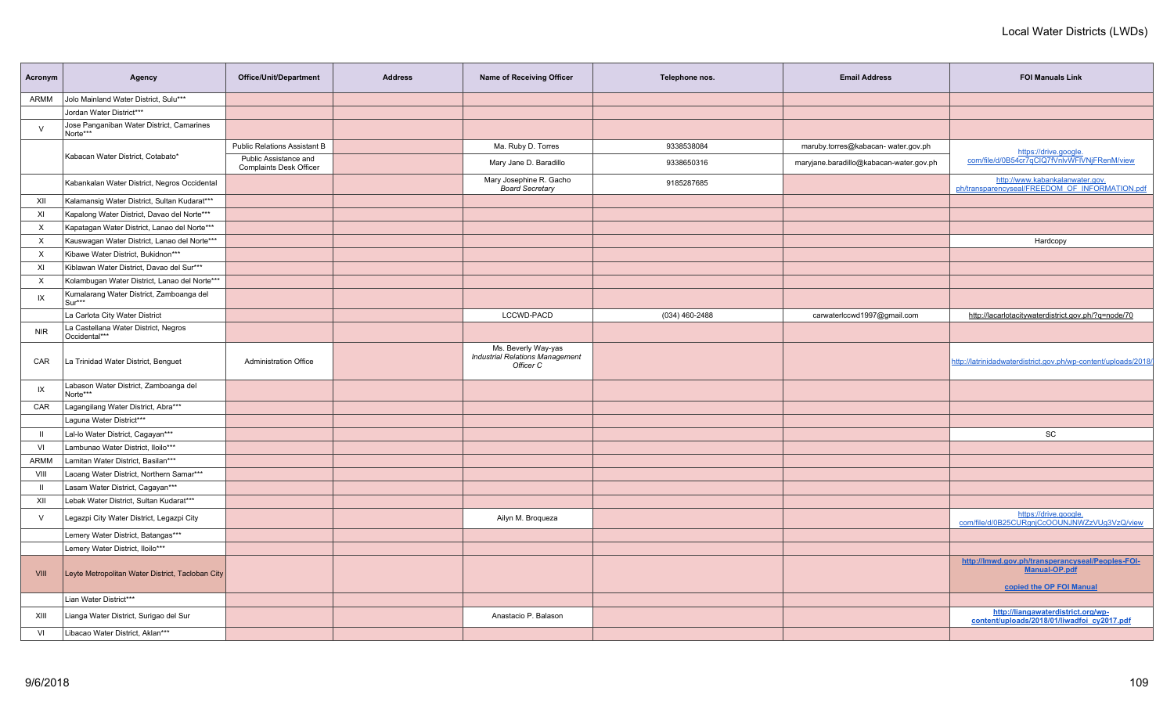| Agency                                | Office/Unit/Department                                                                                                                                                                                                                                                                                                                                                                                                                                                                                                                                                                                                                                                                                                                                                                                                                                                                                                                                                                                                                                                                                                                                                                                                               | <b>Address</b>                                   | Name of Receiving Officer                                                  | Telephone nos.          | <b>Email Address</b>                    | <b>FOI Manuals Link</b>                                                                              |
|---------------------------------------|--------------------------------------------------------------------------------------------------------------------------------------------------------------------------------------------------------------------------------------------------------------------------------------------------------------------------------------------------------------------------------------------------------------------------------------------------------------------------------------------------------------------------------------------------------------------------------------------------------------------------------------------------------------------------------------------------------------------------------------------------------------------------------------------------------------------------------------------------------------------------------------------------------------------------------------------------------------------------------------------------------------------------------------------------------------------------------------------------------------------------------------------------------------------------------------------------------------------------------------|--------------------------------------------------|----------------------------------------------------------------------------|-------------------------|-----------------------------------------|------------------------------------------------------------------------------------------------------|
|                                       |                                                                                                                                                                                                                                                                                                                                                                                                                                                                                                                                                                                                                                                                                                                                                                                                                                                                                                                                                                                                                                                                                                                                                                                                                                      |                                                  |                                                                            |                         |                                         |                                                                                                      |
|                                       |                                                                                                                                                                                                                                                                                                                                                                                                                                                                                                                                                                                                                                                                                                                                                                                                                                                                                                                                                                                                                                                                                                                                                                                                                                      |                                                  |                                                                            |                         |                                         |                                                                                                      |
|                                       |                                                                                                                                                                                                                                                                                                                                                                                                                                                                                                                                                                                                                                                                                                                                                                                                                                                                                                                                                                                                                                                                                                                                                                                                                                      |                                                  |                                                                            |                         |                                         |                                                                                                      |
|                                       | <b>Public Relations Assistant B</b>                                                                                                                                                                                                                                                                                                                                                                                                                                                                                                                                                                                                                                                                                                                                                                                                                                                                                                                                                                                                                                                                                                                                                                                                  |                                                  | Ma. Ruby D. Torres                                                         | 9338538084              | maruby.torres@kabacan- water.gov.ph     | https://drive.google.                                                                                |
|                                       | Public Assistance and<br><b>Complaints Desk Officer</b>                                                                                                                                                                                                                                                                                                                                                                                                                                                                                                                                                                                                                                                                                                                                                                                                                                                                                                                                                                                                                                                                                                                                                                              |                                                  | Mary Jane D. Baradillo                                                     | 9338650316              | maryjane.baradillo@kabacan-water.gov.ph | com/file/d/0B54cr7qCIQ7fVnlvWFIVNjFRenM/view                                                         |
|                                       |                                                                                                                                                                                                                                                                                                                                                                                                                                                                                                                                                                                                                                                                                                                                                                                                                                                                                                                                                                                                                                                                                                                                                                                                                                      |                                                  | <b>Board Secretary</b>                                                     | 9185287685              |                                         | http://www.kabankalanwater.gov.<br>ph/transparencyseal/FREEDOM OF INFORMATION.pdf                    |
|                                       |                                                                                                                                                                                                                                                                                                                                                                                                                                                                                                                                                                                                                                                                                                                                                                                                                                                                                                                                                                                                                                                                                                                                                                                                                                      |                                                  |                                                                            |                         |                                         |                                                                                                      |
|                                       |                                                                                                                                                                                                                                                                                                                                                                                                                                                                                                                                                                                                                                                                                                                                                                                                                                                                                                                                                                                                                                                                                                                                                                                                                                      |                                                  |                                                                            |                         |                                         |                                                                                                      |
|                                       |                                                                                                                                                                                                                                                                                                                                                                                                                                                                                                                                                                                                                                                                                                                                                                                                                                                                                                                                                                                                                                                                                                                                                                                                                                      |                                                  |                                                                            |                         |                                         |                                                                                                      |
|                                       |                                                                                                                                                                                                                                                                                                                                                                                                                                                                                                                                                                                                                                                                                                                                                                                                                                                                                                                                                                                                                                                                                                                                                                                                                                      |                                                  |                                                                            |                         |                                         | Hardcopy                                                                                             |
|                                       |                                                                                                                                                                                                                                                                                                                                                                                                                                                                                                                                                                                                                                                                                                                                                                                                                                                                                                                                                                                                                                                                                                                                                                                                                                      |                                                  |                                                                            |                         |                                         |                                                                                                      |
|                                       |                                                                                                                                                                                                                                                                                                                                                                                                                                                                                                                                                                                                                                                                                                                                                                                                                                                                                                                                                                                                                                                                                                                                                                                                                                      |                                                  |                                                                            |                         |                                         |                                                                                                      |
|                                       |                                                                                                                                                                                                                                                                                                                                                                                                                                                                                                                                                                                                                                                                                                                                                                                                                                                                                                                                                                                                                                                                                                                                                                                                                                      |                                                  |                                                                            |                         |                                         |                                                                                                      |
|                                       |                                                                                                                                                                                                                                                                                                                                                                                                                                                                                                                                                                                                                                                                                                                                                                                                                                                                                                                                                                                                                                                                                                                                                                                                                                      |                                                  |                                                                            |                         |                                         |                                                                                                      |
|                                       |                                                                                                                                                                                                                                                                                                                                                                                                                                                                                                                                                                                                                                                                                                                                                                                                                                                                                                                                                                                                                                                                                                                                                                                                                                      |                                                  | LCCWD-PACD                                                                 | $(034)$ 460-2488        | carwaterlccwd1997@gmail.com             | http://lacarlotacitywaterdistrict.gov.ph/?q=node/70                                                  |
|                                       |                                                                                                                                                                                                                                                                                                                                                                                                                                                                                                                                                                                                                                                                                                                                                                                                                                                                                                                                                                                                                                                                                                                                                                                                                                      |                                                  |                                                                            |                         |                                         |                                                                                                      |
|                                       | <b>Administration Office</b>                                                                                                                                                                                                                                                                                                                                                                                                                                                                                                                                                                                                                                                                                                                                                                                                                                                                                                                                                                                                                                                                                                                                                                                                         |                                                  | Ms. Beverly Way-yas<br><b>Industrial Relations Management</b><br>Officer C |                         |                                         | http://latrinidadwaterdistrict.gov.ph/wp-content/uploads/2018/                                       |
| Labason Water District, Zamboanga del |                                                                                                                                                                                                                                                                                                                                                                                                                                                                                                                                                                                                                                                                                                                                                                                                                                                                                                                                                                                                                                                                                                                                                                                                                                      |                                                  |                                                                            |                         |                                         |                                                                                                      |
|                                       |                                                                                                                                                                                                                                                                                                                                                                                                                                                                                                                                                                                                                                                                                                                                                                                                                                                                                                                                                                                                                                                                                                                                                                                                                                      |                                                  |                                                                            |                         |                                         |                                                                                                      |
| Laguna Water District***              |                                                                                                                                                                                                                                                                                                                                                                                                                                                                                                                                                                                                                                                                                                                                                                                                                                                                                                                                                                                                                                                                                                                                                                                                                                      |                                                  |                                                                            |                         |                                         |                                                                                                      |
|                                       |                                                                                                                                                                                                                                                                                                                                                                                                                                                                                                                                                                                                                                                                                                                                                                                                                                                                                                                                                                                                                                                                                                                                                                                                                                      |                                                  |                                                                            |                         |                                         | SC                                                                                                   |
|                                       |                                                                                                                                                                                                                                                                                                                                                                                                                                                                                                                                                                                                                                                                                                                                                                                                                                                                                                                                                                                                                                                                                                                                                                                                                                      |                                                  |                                                                            |                         |                                         |                                                                                                      |
|                                       |                                                                                                                                                                                                                                                                                                                                                                                                                                                                                                                                                                                                                                                                                                                                                                                                                                                                                                                                                                                                                                                                                                                                                                                                                                      |                                                  |                                                                            |                         |                                         |                                                                                                      |
|                                       |                                                                                                                                                                                                                                                                                                                                                                                                                                                                                                                                                                                                                                                                                                                                                                                                                                                                                                                                                                                                                                                                                                                                                                                                                                      |                                                  |                                                                            |                         |                                         |                                                                                                      |
|                                       |                                                                                                                                                                                                                                                                                                                                                                                                                                                                                                                                                                                                                                                                                                                                                                                                                                                                                                                                                                                                                                                                                                                                                                                                                                      |                                                  |                                                                            |                         |                                         |                                                                                                      |
|                                       |                                                                                                                                                                                                                                                                                                                                                                                                                                                                                                                                                                                                                                                                                                                                                                                                                                                                                                                                                                                                                                                                                                                                                                                                                                      |                                                  |                                                                            |                         |                                         |                                                                                                      |
|                                       |                                                                                                                                                                                                                                                                                                                                                                                                                                                                                                                                                                                                                                                                                                                                                                                                                                                                                                                                                                                                                                                                                                                                                                                                                                      |                                                  | Ailyn M. Broqueza                                                          |                         |                                         | https://drive.google.<br>com/file/d/0B25CURgnjCcOOUNJNWZzVUg3VzQ/view                                |
|                                       |                                                                                                                                                                                                                                                                                                                                                                                                                                                                                                                                                                                                                                                                                                                                                                                                                                                                                                                                                                                                                                                                                                                                                                                                                                      |                                                  |                                                                            |                         |                                         |                                                                                                      |
| Lemery Water District, Iloilo***      |                                                                                                                                                                                                                                                                                                                                                                                                                                                                                                                                                                                                                                                                                                                                                                                                                                                                                                                                                                                                                                                                                                                                                                                                                                      |                                                  |                                                                            |                         |                                         |                                                                                                      |
|                                       |                                                                                                                                                                                                                                                                                                                                                                                                                                                                                                                                                                                                                                                                                                                                                                                                                                                                                                                                                                                                                                                                                                                                                                                                                                      |                                                  |                                                                            |                         |                                         | http://lmwd.gov.ph/transperancyseal/Peoples-FOI-<br><b>Manual-OP.pdf</b><br>copied the OP FOI Manual |
|                                       |                                                                                                                                                                                                                                                                                                                                                                                                                                                                                                                                                                                                                                                                                                                                                                                                                                                                                                                                                                                                                                                                                                                                                                                                                                      |                                                  |                                                                            |                         |                                         |                                                                                                      |
|                                       |                                                                                                                                                                                                                                                                                                                                                                                                                                                                                                                                                                                                                                                                                                                                                                                                                                                                                                                                                                                                                                                                                                                                                                                                                                      |                                                  | Anastacio P. Balason                                                       |                         |                                         | http://liangawaterdistrict.org/wp-<br>content/uploads/2018/01/liwadfoi cy2017.pdf                    |
|                                       |                                                                                                                                                                                                                                                                                                                                                                                                                                                                                                                                                                                                                                                                                                                                                                                                                                                                                                                                                                                                                                                                                                                                                                                                                                      |                                                  |                                                                            |                         |                                         |                                                                                                      |
|                                       | Jolo Mainland Water District, Sulu***<br>Jordan Water District***<br>Jose Panganiban Water District, Camarines<br>Norte***<br>Kabacan Water District, Cotabato*<br>Kabankalan Water District, Negros Occidental<br>Kalamansig Water District, Sultan Kudarat***<br>Kapalong Water District, Davao del Norte***<br>Kapatagan Water District, Lanao del Norte***<br>Kauswagan Water District, Lanao del Norte***<br>Kibawe Water District, Bukidnon***<br>Kiblawan Water District, Davao del Sur***<br>Kolambugan Water District, Lanao del Norte***<br>Kumalarang Water District, Zamboanga del<br>Sur***<br>La Carlota City Water District<br>La Castellana Water District, Negros<br>Occidental***<br>La Trinidad Water District, Benguet<br>Norte***<br>Lagangilang Water District, Abra***<br>Lal-lo Water District, Cagayan***<br>Lambunao Water District, Iloilo***<br>Lamitan Water District, Basilan***<br>Laoang Water District, Northern Samar***<br>Lasam Water District, Cagayan***<br>Lebak Water District, Sultan Kudarat***<br>Legazpi City Water District, Legazpi City<br>Lemery Water District, Batangas***<br>Lian Water District***<br>Lianga Water District, Surigao del Sur<br>Libacao Water District, Aklan*** | Leyte Metropolitan Water District, Tacloban City |                                                                            | Mary Josephine R. Gacho |                                         |                                                                                                      |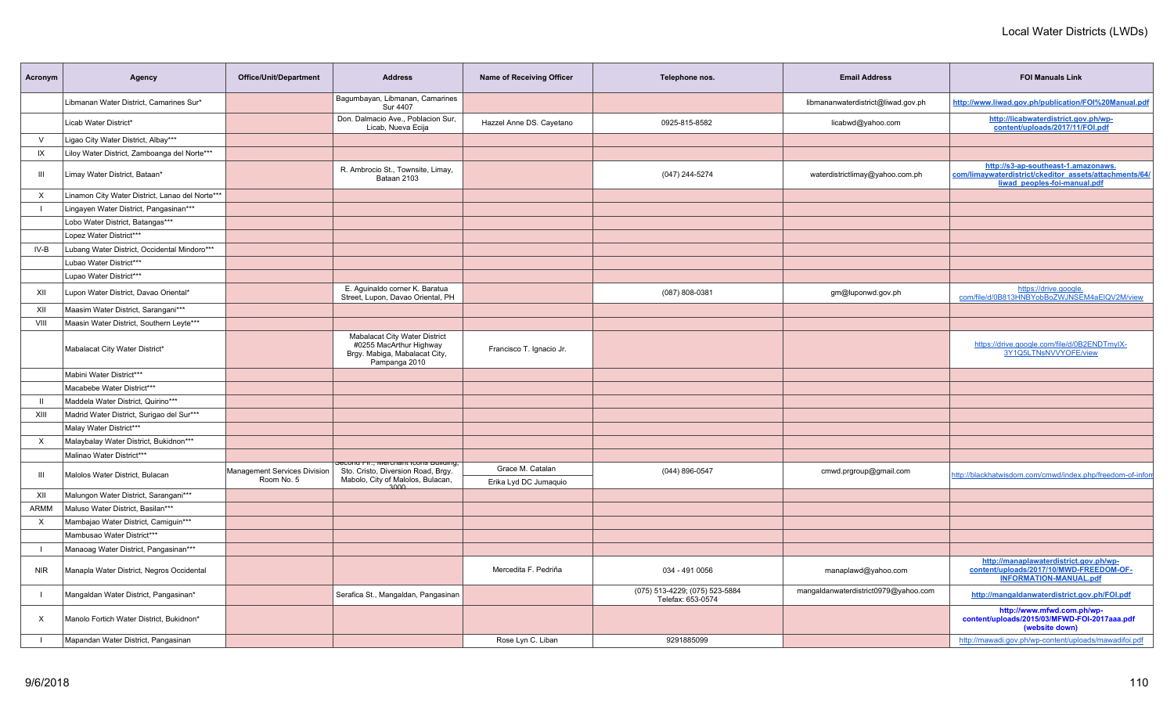| Acronym      | Agency                                          | Office/Unit/Department                     | <b>Address</b>                                                                                                    | <b>Name of Receiving Officer</b>          | Telephone nos.                                      | <b>Email Address</b>                 | <b>FOI Manuals Link</b>                                                                                                       |
|--------------|-------------------------------------------------|--------------------------------------------|-------------------------------------------------------------------------------------------------------------------|-------------------------------------------|-----------------------------------------------------|--------------------------------------|-------------------------------------------------------------------------------------------------------------------------------|
|              | Libmanan Water District, Camarines Sur*         |                                            | Bagumbayan, Libmanan, Camarines<br><b>Sur 4407</b>                                                                |                                           |                                                     | libmananwaterdistrict@liwad.gov.ph   | http://www.liwad.gov.ph/publication/FOI%20Manual.pdf                                                                          |
|              | Licab Water District*                           |                                            | Don. Dalmacio Ave., Poblacion Sur,<br>Licab, Nueva Ecija                                                          | Hazzel Anne DS. Cayetano                  | 0925-815-8582                                       | licabwd@yahoo.com                    | http://licabwaterdistrict.gov.ph/wp-<br>content/uploads/2017/11/FOI.pdf                                                       |
| $\vee$       | Ligao City Water District, Albay***             |                                            |                                                                                                                   |                                           |                                                     |                                      |                                                                                                                               |
| IX           | Liloy Water District, Zamboanga del Norte***    |                                            |                                                                                                                   |                                           |                                                     |                                      |                                                                                                                               |
| Ш            | Limay Water District, Bataan*                   |                                            | R. Ambrocio St., Townsite, Limay,<br>Bataan 2103                                                                  |                                           | (047) 244-5274                                      | waterdistrictlimay@yahoo.com.ph      | http://s3-ap-southeast-1.amazonaws.<br>com/limaywaterdistrict/ckeditor_assets/attachments/64/<br>liwad peoples-foi-manual.pdf |
| $\times$     | Linamon City Water District, Lanao del Norte*** |                                            |                                                                                                                   |                                           |                                                     |                                      |                                                                                                                               |
|              | Lingayen Water District, Pangasinan***          |                                            |                                                                                                                   |                                           |                                                     |                                      |                                                                                                                               |
|              | Lobo Water District, Batangas***                |                                            |                                                                                                                   |                                           |                                                     |                                      |                                                                                                                               |
|              | Lopez Water District***                         |                                            |                                                                                                                   |                                           |                                                     |                                      |                                                                                                                               |
| IV-B         | Lubang Water District, Occidental Mindoro***    |                                            |                                                                                                                   |                                           |                                                     |                                      |                                                                                                                               |
|              | Lubao Water District***                         |                                            |                                                                                                                   |                                           |                                                     |                                      |                                                                                                                               |
|              | Lupao Water District***                         |                                            |                                                                                                                   |                                           |                                                     |                                      |                                                                                                                               |
| XII          | Lupon Water District, Davao Oriental*           |                                            | E. Aguinaldo corner K. Baratua<br>Street, Lupon, Davao Oriental, PH                                               |                                           | (087) 808-0381                                      | gm@luponwd.gov.ph                    | https://drive.google.<br>com/file/d/0B813HNBYobBoZWJNSEM4aEIQV2M/view                                                         |
| XII          | Maasim Water District, Sarangani***             |                                            |                                                                                                                   |                                           |                                                     |                                      |                                                                                                                               |
| VIII         | Maasin Water District, Southern Leyte***        |                                            |                                                                                                                   |                                           |                                                     |                                      |                                                                                                                               |
|              | Mabalacat City Water District*                  |                                            | Mabalacat City Water District<br>#0255 MacArthur Highway<br>Brgy. Mabiga, Mabalacat City,<br>Pampanga 2010        | Francisco T. Ignacio Jr.                  |                                                     |                                      | https://drive.google.com/file/d/0B2ENDTmylX-<br>3Y1Q5LTNsNVVYOFE/view                                                         |
|              | Mabini Water District***                        |                                            |                                                                                                                   |                                           |                                                     |                                      |                                                                                                                               |
|              | Macabebe Water District***                      |                                            |                                                                                                                   |                                           |                                                     |                                      |                                                                                                                               |
| $\mathbf{I}$ | Maddela Water District, Quirino***              |                                            |                                                                                                                   |                                           |                                                     |                                      |                                                                                                                               |
| XIII         | Madrid Water District, Surigao del Sur***       |                                            |                                                                                                                   |                                           |                                                     |                                      |                                                                                                                               |
|              | Malay Water District***                         |                                            |                                                                                                                   |                                           |                                                     |                                      |                                                                                                                               |
| X            | Malaybalay Water District, Bukidnon***          |                                            |                                                                                                                   |                                           |                                                     |                                      |                                                                                                                               |
|              | Malinao Water District***                       |                                            |                                                                                                                   |                                           |                                                     |                                      |                                                                                                                               |
| -111         | Malolos Water District, Bulacan                 | Management Services Division<br>Room No. 5 | secona rm., ivierchant icons puiluing,<br>Sto. Cristo, Diversion Road, Brgy.<br>Mabolo, City of Malolos, Bulacan, | Grace M. Catalan<br>Erika Lyd DC Jumaquio | (044) 896-0547                                      | cmwd.prgroup@gmail.com               | http://blackhatwisdom.com/cmwd/index.php/freedom-of-infor                                                                     |
| XII          | Malungon Water District, Sarangani***           |                                            | <u>ാഗഗ</u>                                                                                                        |                                           |                                                     |                                      |                                                                                                                               |
| <b>ARMM</b>  | Maluso Water District, Basilan***               |                                            |                                                                                                                   |                                           |                                                     |                                      |                                                                                                                               |
| X            | Mambajao Water District, Camiguin***            |                                            |                                                                                                                   |                                           |                                                     |                                      |                                                                                                                               |
|              | Mambusao Water District***                      |                                            |                                                                                                                   |                                           |                                                     |                                      |                                                                                                                               |
|              | Manaoag Water District, Pangasinan***           |                                            |                                                                                                                   |                                           |                                                     |                                      |                                                                                                                               |
| NIR          | Manapla Water District, Negros Occidental       |                                            |                                                                                                                   | Mercedita F. Pedriña                      | 034 - 491 0056                                      | manaplawd@yahoo.com                  | http://manaplawaterdistrict.gov.ph/wp-<br>content/uploads/2017/10/MWD-FREEDOM-OF-<br><b>INFORMATION-MANUAL.pdf</b>            |
|              | Mangaldan Water District, Pangasinan*           |                                            | Serafica St., Mangaldan, Pangasinan                                                                               |                                           | (075) 513-4229; (075) 523-5884<br>Telefax: 653-0574 | mangaldanwaterdistrict0979@yahoo.com | http://mangaldanwaterdistrict.gov.ph/FOI.pdf                                                                                  |
| X            | Manolo Fortich Water District, Bukidnon*        |                                            |                                                                                                                   |                                           |                                                     |                                      | http://www.mfwd.com.ph/wp-<br>content/uploads/2015/03/MFWD-FOI-2017aaa.pdf<br>(website down)                                  |
|              | Mapandan Water District, Pangasinan             |                                            |                                                                                                                   | Rose Lyn C. Liban                         | 9291885099                                          |                                      | http://mawadi.gov.ph/wp-content/uploads/mawadifoi.pdf                                                                         |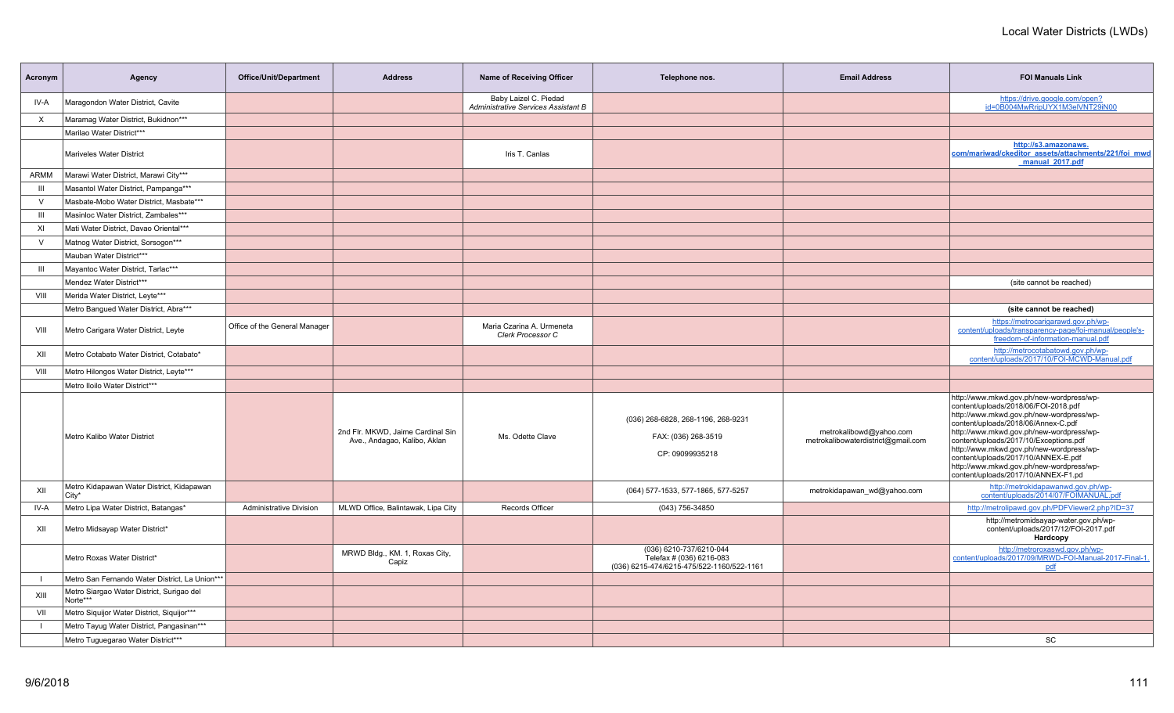| Acronym        | Agency                                                | <b>Office/Unit/Department</b>  | <b>Address</b>                                                    | Name of Receiving Officer                                    | Telephone nos.                                                                                   | <b>Email Address</b>                                          | <b>FOI Manuals Link</b>                                                                                                                                                                                                                                                                                                                                                                                                         |
|----------------|-------------------------------------------------------|--------------------------------|-------------------------------------------------------------------|--------------------------------------------------------------|--------------------------------------------------------------------------------------------------|---------------------------------------------------------------|---------------------------------------------------------------------------------------------------------------------------------------------------------------------------------------------------------------------------------------------------------------------------------------------------------------------------------------------------------------------------------------------------------------------------------|
| IV-A           | Maragondon Water District, Cavite                     |                                |                                                                   | Baby Laizel C. Piedad<br>Administrative Services Assistant B |                                                                                                  |                                                               | https://drive.google.com/open?<br>id=0B004MwRripUYX1M3elVNT29iN00                                                                                                                                                                                                                                                                                                                                                               |
| X              | Maramag Water District, Bukidnon***                   |                                |                                                                   |                                                              |                                                                                                  |                                                               |                                                                                                                                                                                                                                                                                                                                                                                                                                 |
|                | Marilao Water District***                             |                                |                                                                   |                                                              |                                                                                                  |                                                               |                                                                                                                                                                                                                                                                                                                                                                                                                                 |
|                | Mariveles Water District                              |                                |                                                                   | Iris T. Canlas                                               |                                                                                                  |                                                               | http://s3.amazonaws.<br>com/mariwad/ckeditor_assets/attachments/221/foi_mwd<br>manual 2017.pdf                                                                                                                                                                                                                                                                                                                                  |
| ARMM           | Marawi Water District, Marawi City***                 |                                |                                                                   |                                                              |                                                                                                  |                                                               |                                                                                                                                                                                                                                                                                                                                                                                                                                 |
| Ш              | Masantol Water District, Pampanga***                  |                                |                                                                   |                                                              |                                                                                                  |                                                               |                                                                                                                                                                                                                                                                                                                                                                                                                                 |
| $\vee$         | Masbate-Mobo Water District, Masbate***               |                                |                                                                   |                                                              |                                                                                                  |                                                               |                                                                                                                                                                                                                                                                                                                                                                                                                                 |
| $\mathbf{III}$ | Masinloc Water District, Zambales***                  |                                |                                                                   |                                                              |                                                                                                  |                                                               |                                                                                                                                                                                                                                                                                                                                                                                                                                 |
| XI             | Mati Water District, Davao Oriental***                |                                |                                                                   |                                                              |                                                                                                  |                                                               |                                                                                                                                                                                                                                                                                                                                                                                                                                 |
| $\vee$         | Matnog Water District, Sorsogon***                    |                                |                                                                   |                                                              |                                                                                                  |                                                               |                                                                                                                                                                                                                                                                                                                                                                                                                                 |
|                | Mauban Water District***                              |                                |                                                                   |                                                              |                                                                                                  |                                                               |                                                                                                                                                                                                                                                                                                                                                                                                                                 |
| $\mathbf{III}$ | Mayantoc Water District, Tarlac***                    |                                |                                                                   |                                                              |                                                                                                  |                                                               |                                                                                                                                                                                                                                                                                                                                                                                                                                 |
|                | Mendez Water District***                              |                                |                                                                   |                                                              |                                                                                                  |                                                               | (site cannot be reached)                                                                                                                                                                                                                                                                                                                                                                                                        |
| VIII           | Merida Water District, Leyte***                       |                                |                                                                   |                                                              |                                                                                                  |                                                               |                                                                                                                                                                                                                                                                                                                                                                                                                                 |
|                | Metro Bangued Water District, Abra***                 |                                |                                                                   |                                                              |                                                                                                  |                                                               | (site cannot be reached)                                                                                                                                                                                                                                                                                                                                                                                                        |
| VIII           | Metro Carigara Water District, Leyte                  | Office of the General Manager  |                                                                   | Maria Czarina A. Urmeneta<br>Clerk Processor C               |                                                                                                  |                                                               | https://metrocarigarawd.gov.ph/wp-<br>content/uploads/transparency-page/foi-manual/people's-<br>freedom-of-information-manual.pdf                                                                                                                                                                                                                                                                                               |
| XII            | Metro Cotabato Water District, Cotabato*              |                                |                                                                   |                                                              |                                                                                                  |                                                               | http://metrocotabatowd.gov.ph/wp-<br>content/uploads/2017/10/FOI-MCWD-Manual.pdf                                                                                                                                                                                                                                                                                                                                                |
| VIII           | Metro Hilongos Water District, Leyte***               |                                |                                                                   |                                                              |                                                                                                  |                                                               |                                                                                                                                                                                                                                                                                                                                                                                                                                 |
|                | Metro Iloilo Water District***                        |                                |                                                                   |                                                              |                                                                                                  |                                                               |                                                                                                                                                                                                                                                                                                                                                                                                                                 |
|                | Metro Kalibo Water District                           |                                | 2nd Flr. MKWD, Jaime Cardinal Sin<br>Ave., Andagao, Kalibo, Aklan | Ms. Odette Clave                                             | (036) 268-6828, 268-1196, 268-9231<br>FAX: (036) 268-3519<br>CP: 09099935218                     | metrokalibowd@yahoo.com<br>metrokalibowaterdistrict@gmail.com | http://www.mkwd.gov.ph/new-wordpress/wp-<br>content/uploads/2018/06/FOI-2018.pdf<br>http://www.mkwd.gov.ph/new-wordpress/wp-<br>content/uploads/2018/06/Annex-C.pdf<br>http://www.mkwd.gov.ph/new-wordpress/wp-<br>content/uploads/2017/10/Exceptions.pdf<br>http://www.mkwd.gov.ph/new-wordpress/wp-<br>content/uploads/2017/10/ANNEX-E.pdf<br>http://www.mkwd.gov.ph/new-wordpress/wp-<br>content/uploads/2017/10/ANNEX-F1.pd |
| XII            | Metro Kidapawan Water District, Kidapawan<br>City*    |                                |                                                                   |                                                              | (064) 577-1533, 577-1865, 577-5257                                                               | metrokidapawan_wd@yahoo.com                                   | http://metrokidapawanwd.gov.ph/wp-<br>content/uploads/2014/07/FOIMANUAL.pdf                                                                                                                                                                                                                                                                                                                                                     |
| IV-A           | Metro Lipa Water District, Batangas*                  | <b>Administrative Division</b> | MLWD Office, Balintawak, Lipa City                                | Records Officer                                              | (043) 756-34850                                                                                  |                                                               | http://metrolipawd.gov.ph/PDFViewer2.php?ID=37                                                                                                                                                                                                                                                                                                                                                                                  |
| XII            | Metro Midsayap Water District*                        |                                |                                                                   |                                                              |                                                                                                  |                                                               | http://metromidsayap-water.gov.ph/wp-<br>content/uploads/2017/12/FOI-2017.pdf<br>Hardcopy                                                                                                                                                                                                                                                                                                                                       |
|                | Metro Roxas Water District*                           |                                | MRWD Bldg., KM. 1, Roxas City,<br>Capiz                           |                                                              | (036) 6210-737/6210-044<br>Telefax # (036) 6216-083<br>(036) 6215-474/6215-475/522-1160/522-1161 |                                                               | http://metroroxaswd.gov.ph/wp-<br>content/uploads/2017/09/MRWD-FOI-Manual-2017-Final-1.<br>pdf                                                                                                                                                                                                                                                                                                                                  |
| $\blacksquare$ | Metro San Fernando Water District, La Union***        |                                |                                                                   |                                                              |                                                                                                  |                                                               |                                                                                                                                                                                                                                                                                                                                                                                                                                 |
| XIII           | Metro Siargao Water District, Surigao del<br>Norte*** |                                |                                                                   |                                                              |                                                                                                  |                                                               |                                                                                                                                                                                                                                                                                                                                                                                                                                 |
| VII            | Metro Siquijor Water District, Siquijor***            |                                |                                                                   |                                                              |                                                                                                  |                                                               |                                                                                                                                                                                                                                                                                                                                                                                                                                 |
| $\blacksquare$ | Metro Tayug Water District, Pangasinan***             |                                |                                                                   |                                                              |                                                                                                  |                                                               |                                                                                                                                                                                                                                                                                                                                                                                                                                 |
|                | Metro Tuguegarao Water District***                    |                                |                                                                   |                                                              |                                                                                                  |                                                               | SC                                                                                                                                                                                                                                                                                                                                                                                                                              |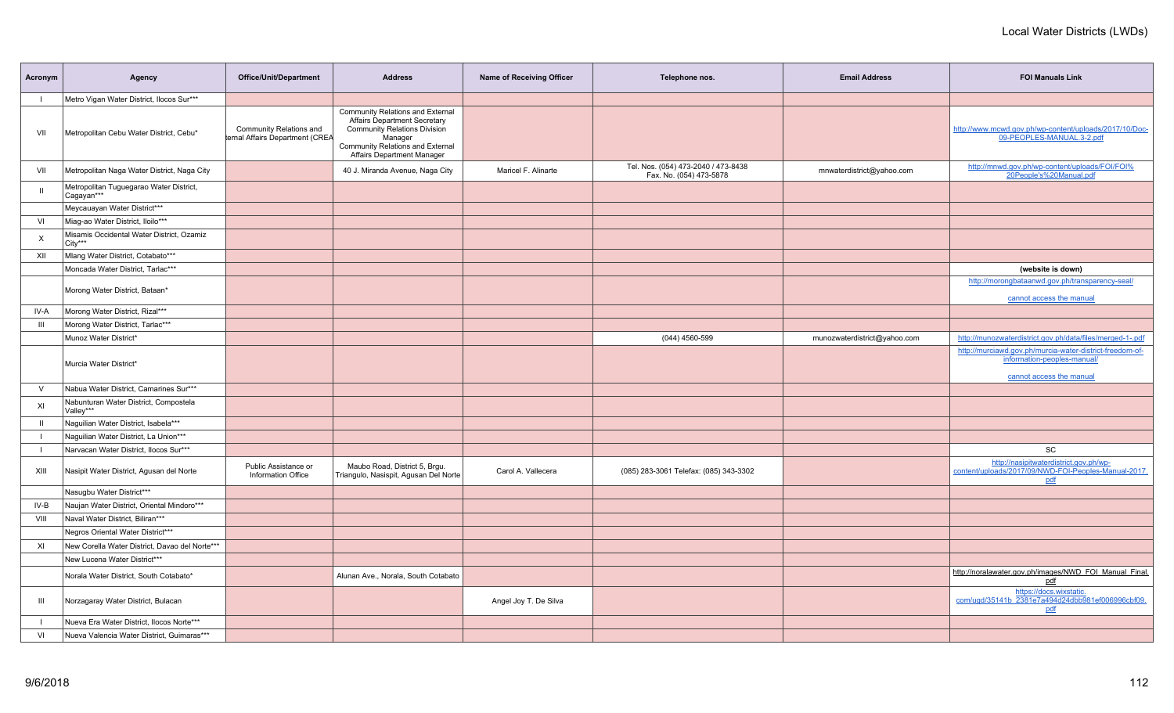| Acronym      | Agency                                                | <b>Office/Unit/Department</b>                              | <b>Address</b>                                                                                                                                                                                     | Name of Receiving Officer | Telephone nos.                                                 | <b>Email Address</b>         | <b>FOI Manuals Link</b>                                                                                               |
|--------------|-------------------------------------------------------|------------------------------------------------------------|----------------------------------------------------------------------------------------------------------------------------------------------------------------------------------------------------|---------------------------|----------------------------------------------------------------|------------------------------|-----------------------------------------------------------------------------------------------------------------------|
|              | Metro Vigan Water District, Ilocos Sur***             |                                                            |                                                                                                                                                                                                    |                           |                                                                |                              |                                                                                                                       |
| VII          | Metropolitan Cebu Water District, Cebu*               | Community Relations and<br>ternal Affairs Department (CREA | Community Relations and External<br><b>Affairs Department Secretary</b><br><b>Community Relations Division</b><br>Manager<br>Community Relations and External<br><b>Affairs Department Manager</b> |                           |                                                                |                              | http://www.mcwd.gov.ph/wp-content/uploads/2017/10/Doc-<br>09-PEOPLES-MANUAL.3-2.pdf                                   |
| VII          | Metropolitan Naga Water District, Naga City           |                                                            | 40 J. Miranda Avenue, Naga City                                                                                                                                                                    | Maricel F. Alinarte       | Tel. Nos. (054) 473-2040 / 473-8438<br>Fax. No. (054) 473-5878 | mnwaterdistrict@yahoo.com    | http://mnwd.gov.ph/wp-content/uploads/FOI/FOI%<br>20People's%20Manual.pdf                                             |
|              | Metropolitan Tuguegarao Water District,<br>Cagayan*** |                                                            |                                                                                                                                                                                                    |                           |                                                                |                              |                                                                                                                       |
|              | Meycauayan Water District***                          |                                                            |                                                                                                                                                                                                    |                           |                                                                |                              |                                                                                                                       |
| VI           | Miag-ao Water District, Iloilo***                     |                                                            |                                                                                                                                                                                                    |                           |                                                                |                              |                                                                                                                       |
| X            | Misamis Occidental Water District, Ozamiz<br>City***  |                                                            |                                                                                                                                                                                                    |                           |                                                                |                              |                                                                                                                       |
| XII          | Mlang Water District, Cotabato***                     |                                                            |                                                                                                                                                                                                    |                           |                                                                |                              |                                                                                                                       |
|              | Moncada Water District, Tarlac***                     |                                                            |                                                                                                                                                                                                    |                           |                                                                |                              | (website is down)                                                                                                     |
|              | Morong Water District, Bataan*                        |                                                            |                                                                                                                                                                                                    |                           |                                                                |                              | http://morongbataanwd.gov.ph/transparency-seal/                                                                       |
| IV-A         | Morong Water District, Rizal***                       |                                                            |                                                                                                                                                                                                    |                           |                                                                |                              | cannot access the manual                                                                                              |
| Ш            |                                                       |                                                            |                                                                                                                                                                                                    |                           |                                                                |                              |                                                                                                                       |
|              | Morong Water District, Tarlac***                      |                                                            |                                                                                                                                                                                                    |                           |                                                                |                              |                                                                                                                       |
|              | Munoz Water District*                                 |                                                            |                                                                                                                                                                                                    |                           | (044) 4560-599                                                 | munozwaterdistrict@yahoo.com | http://munozwaterdistrict.gov.ph/data/files/merged-1-.pdf<br>http://murciawd.gov.ph/murcia-water-district-freedom-of- |
|              | Murcia Water District*                                |                                                            |                                                                                                                                                                                                    |                           |                                                                |                              | information-peoples-manual/<br>cannot access the manual                                                               |
| $\vee$       | Nabua Water District, Camarines Sur***                |                                                            |                                                                                                                                                                                                    |                           |                                                                |                              |                                                                                                                       |
| XI           | Nabunturan Water District, Compostela<br>Valley***    |                                                            |                                                                                                                                                                                                    |                           |                                                                |                              |                                                                                                                       |
| $\mathbf{I}$ | Naguilian Water District, Isabela***                  |                                                            |                                                                                                                                                                                                    |                           |                                                                |                              |                                                                                                                       |
|              | Naguilian Water District, La Union***                 |                                                            |                                                                                                                                                                                                    |                           |                                                                |                              |                                                                                                                       |
|              | Narvacan Water District, Ilocos Sur***                |                                                            |                                                                                                                                                                                                    |                           |                                                                |                              | SC                                                                                                                    |
| XIII         | Nasipit Water District, Agusan del Norte              | Public Assistance or<br>Information Office                 | Maubo Road, District 5, Brgu.<br>Triangulo, Nasispit, Agusan Del Norte                                                                                                                             | Carol A. Vallecera        | (085) 283-3061 Telefax: (085) 343-3302                         |                              | http://nasipitwaterdistrict.gov.ph/wp-<br>content/uploads/2017/09/NWD-FOI-Peoples-Manual-2017.<br>pdf                 |
|              | Nasugbu Water District***                             |                                                            |                                                                                                                                                                                                    |                           |                                                                |                              |                                                                                                                       |
| IV-B         | Naujan Water District, Oriental Mindoro***            |                                                            |                                                                                                                                                                                                    |                           |                                                                |                              |                                                                                                                       |
| VIII         | Naval Water District, Biliran***                      |                                                            |                                                                                                                                                                                                    |                           |                                                                |                              |                                                                                                                       |
|              | Negros Oriental Water District***                     |                                                            |                                                                                                                                                                                                    |                           |                                                                |                              |                                                                                                                       |
| XI           | New Corella Water District, Davao del Norte***        |                                                            |                                                                                                                                                                                                    |                           |                                                                |                              |                                                                                                                       |
|              | New Lucena Water District***                          |                                                            |                                                                                                                                                                                                    |                           |                                                                |                              |                                                                                                                       |
|              | Norala Water District, South Cotabato*                |                                                            | Alunan Ave., Norala, South Cotabato                                                                                                                                                                |                           |                                                                |                              | http://noralawater.gov.ph/images/NWD_FOI_Manual_Final.<br>pdf                                                         |
| Ш            | Norzagaray Water District, Bulacan                    |                                                            |                                                                                                                                                                                                    | Angel Joy T. De Silva     |                                                                |                              | https://docs.wixstatic.<br>com/ugd/35141b_2381e7a494d24dbb981ef006996cbf09.<br>pdf                                    |
|              | Nueva Era Water District, Ilocos Norte***             |                                                            |                                                                                                                                                                                                    |                           |                                                                |                              |                                                                                                                       |
| VI           | Nueva Valencia Water District, Guimaras***            |                                                            |                                                                                                                                                                                                    |                           |                                                                |                              |                                                                                                                       |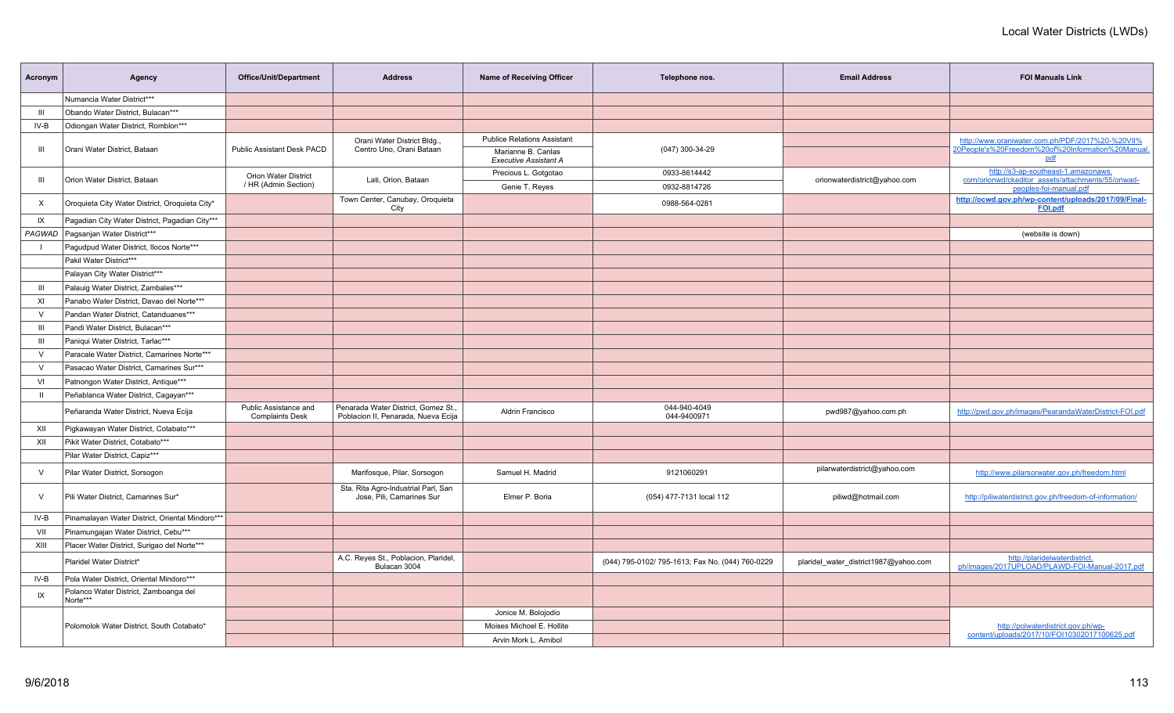| Acronym        | Agency                                            | <b>Office/Unit/Department</b>                   | <b>Address</b>                                                             | <b>Name of Receiving Officer</b>                   | Telephone nos.                                   | <b>Email Address</b>                  | <b>FOI Manuals Link</b>                                                                   |
|----------------|---------------------------------------------------|-------------------------------------------------|----------------------------------------------------------------------------|----------------------------------------------------|--------------------------------------------------|---------------------------------------|-------------------------------------------------------------------------------------------|
|                | Numancia Water District***                        |                                                 |                                                                            |                                                    |                                                  |                                       |                                                                                           |
| $\mathbf{III}$ | Obando Water District, Bulacan***                 |                                                 |                                                                            |                                                    |                                                  |                                       |                                                                                           |
| IV-B           | Odiongan Water District, Romblon***               |                                                 |                                                                            |                                                    |                                                  |                                       |                                                                                           |
|                |                                                   |                                                 | Orani Water District Bldg.,                                                | <b>Publice Relations Assistant</b>                 |                                                  |                                       | http://www.oraniwater.com.ph/PDF/2017%20-%20VII%                                          |
| Ш              | Orani Water District, Bataan                      | <b>Public Assistant Desk PACD</b>               | Centro Uno, Orani Bataan                                                   | Marianne B. Canlas<br><b>Executive Assistant A</b> | (047) 300-34-29                                  |                                       | 20People's%20Freedom%20of%20Information%20Manual<br>pdf                                   |
| Ш              | Orion Water District, Bataan                      | <b>Orion Water District</b>                     | Lati, Orion, Bataan                                                        | Precious L. Gotgotao                               | 0933-8614442                                     | orionwaterdistrict@yahoo.com          | http://s3-ap-southeast-1.amazonaws.<br>com/orionwd/ckeditor_assets/attachments/55/oriwad- |
|                |                                                   | / HR (Admin Section)                            |                                                                            | Genie T. Reyes                                     | 0932-8814726                                     |                                       | peoples-foi-manual.pdf                                                                    |
| X              | Oroquieta City Water District, Oroquieta City*    |                                                 | Town Center, Canubay, Oroquieta<br>City                                    |                                                    | 0988-564-0281                                    |                                       | http://ocwd.gov.ph/wp-content/uploads/2017/09/Final-<br><b>FOI.pdf</b>                    |
| IX             | Pagadian City Water District, Pagadian City***    |                                                 |                                                                            |                                                    |                                                  |                                       |                                                                                           |
| PAGWAD         | Pagsanjan Water District***                       |                                                 |                                                                            |                                                    |                                                  |                                       | (website is down)                                                                         |
| $\mathbf{I}$   | Pagudpud Water District, Ilocos Norte***          |                                                 |                                                                            |                                                    |                                                  |                                       |                                                                                           |
|                | Pakil Water District***                           |                                                 |                                                                            |                                                    |                                                  |                                       |                                                                                           |
|                | Palayan City Water District***                    |                                                 |                                                                            |                                                    |                                                  |                                       |                                                                                           |
| Ш              | Palauig Water District, Zambales***               |                                                 |                                                                            |                                                    |                                                  |                                       |                                                                                           |
| XI             | Panabo Water District, Davao del Norte***         |                                                 |                                                                            |                                                    |                                                  |                                       |                                                                                           |
| $\vee$         | Pandan Water District, Catanduanes***             |                                                 |                                                                            |                                                    |                                                  |                                       |                                                                                           |
| III            | Pandi Water District. Bulacan***                  |                                                 |                                                                            |                                                    |                                                  |                                       |                                                                                           |
| $\mathbf{III}$ | Paniqui Water District, Tarlac***                 |                                                 |                                                                            |                                                    |                                                  |                                       |                                                                                           |
| $\vee$         | Paracale Water District, Camarines Norte***       |                                                 |                                                                            |                                                    |                                                  |                                       |                                                                                           |
| $\vee$         | Pasacao Water District, Camarines Sur***          |                                                 |                                                                            |                                                    |                                                  |                                       |                                                                                           |
| VI             | Patnongon Water District, Antique***              |                                                 |                                                                            |                                                    |                                                  |                                       |                                                                                           |
| $\mathbf{H}$   | Peñablanca Water District, Cagayan***             |                                                 |                                                                            |                                                    |                                                  |                                       |                                                                                           |
|                | Peñaranda Water District, Nueva Ecija             | Public Assistance and<br><b>Complaints Desk</b> | Penarada Water District, Gomez St.,<br>Poblacion II, Penarada, Nueva Ecija | Aldrin Francisco                                   | 044-940-4049<br>044-9400971                      | pwd987@yahoo.com.ph                   | http://pwd.gov.ph/images/PearandaWaterDistrict-FOI.pdf                                    |
| XII            | Pigkawayan Water District, Cotabato***            |                                                 |                                                                            |                                                    |                                                  |                                       |                                                                                           |
| XII            | Pikit Water District, Cotabato***                 |                                                 |                                                                            |                                                    |                                                  |                                       |                                                                                           |
|                | Pilar Water District, Capiz***                    |                                                 |                                                                            |                                                    |                                                  |                                       |                                                                                           |
| $\vee$         | Pilar Water District, Sorsogon                    |                                                 | Marifosque, Pilar, Sorsogon                                                | Samuel H. Madrid                                   | 9121060291                                       | pilarwaterdistrict@yahoo.com          | http://www.pilarsorwater.gov.ph/freedom.html                                              |
| $\vee$         | Pili Water District, Camarines Sur*               |                                                 | Sta. Rita Agro-Industrial Parl, San<br>Jose, Pili, Camarines Sur           | Elmer P. Boria                                     | (054) 477-7131 local 112                         | piliwd@hotmail.com                    | http://piliwaterdistrict.gov.ph/freedom-of-information/                                   |
| IV-B           | Pinamalayan Water District, Oriental Mindoro***   |                                                 |                                                                            |                                                    |                                                  |                                       |                                                                                           |
| VII            | Pinamungajan Water District, Cebu***              |                                                 |                                                                            |                                                    |                                                  |                                       |                                                                                           |
| XIII           | Placer Water District, Surigao del Norte***       |                                                 |                                                                            |                                                    |                                                  |                                       |                                                                                           |
|                | Plaridel Water District*                          |                                                 | A.C. Reyes St., Poblacion, Plaridel,<br>Bulacan 3004                       |                                                    | (044) 795-0102/ 795-1613; Fax No. (044) 760-0229 | plaridel_water_district1987@yahoo.com | http://plaridelwaterdistrict.<br>ph/images/2017UPLOAD/PLAWD-FOI-Manual-2017.pdf           |
| IV-B           | Pola Water District, Oriental Mindoro***          |                                                 |                                                                            |                                                    |                                                  |                                       |                                                                                           |
| IX             | Polanco Water District, Zamboanga del<br>Norte*** |                                                 |                                                                            |                                                    |                                                  |                                       |                                                                                           |
|                |                                                   |                                                 |                                                                            | Jonice M. Bolojodio                                |                                                  |                                       |                                                                                           |
|                | Polomolok Water District, South Cotabato*         |                                                 |                                                                            | Moises Michoel E. Hollite                          |                                                  |                                       | http://polwaterdistrict.gov.ph/wp-                                                        |
|                |                                                   |                                                 |                                                                            | Arvin Mork L. Arnibol                              |                                                  |                                       | content/uploads/2017/10/FOI10302017100625.pdf                                             |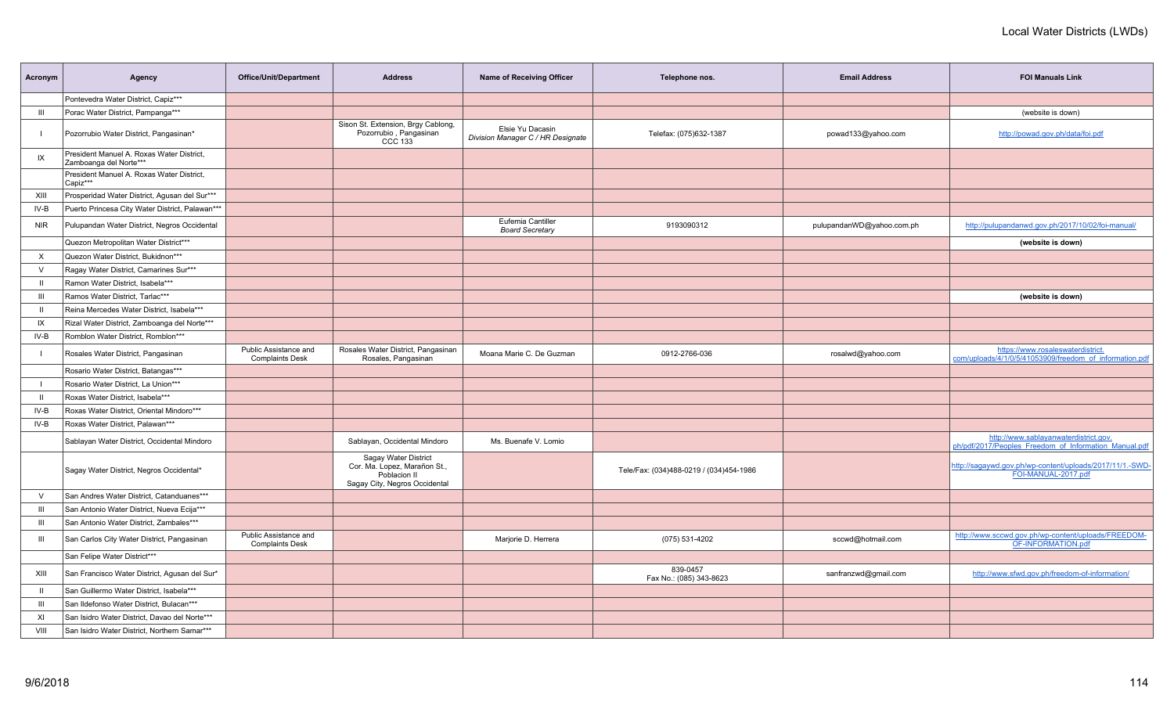| Acronym        | Agency                                                              | Office/Unit/Department                          | <b>Address</b>                                                                                        | Name of Receiving Officer                             | Telephone nos.                          | <b>Email Address</b>      | <b>FOI Manuals Link</b>                                                                        |
|----------------|---------------------------------------------------------------------|-------------------------------------------------|-------------------------------------------------------------------------------------------------------|-------------------------------------------------------|-----------------------------------------|---------------------------|------------------------------------------------------------------------------------------------|
|                | Pontevedra Water District, Capiz***                                 |                                                 |                                                                                                       |                                                       |                                         |                           |                                                                                                |
| Ш              | Porac Water District, Pampanga***                                   |                                                 |                                                                                                       |                                                       |                                         |                           | (website is down)                                                                              |
|                | Pozorrubio Water District, Pangasinan*                              |                                                 | Sison St. Extension, Brgy Cablong,<br>Pozorrubio, Pangasinan<br>CCC 133                               | Elsie Yu Dacasin<br>Division Manager C / HR Designate | Telefax: (075)632-1387                  | powad133@yahoo.com        | http://powad.gov.ph/data/foi.pdf                                                               |
| IX             | President Manuel A. Roxas Water District,<br>Zamboanga del Norte*** |                                                 |                                                                                                       |                                                       |                                         |                           |                                                                                                |
|                | President Manuel A. Roxas Water District,<br>Capiz***               |                                                 |                                                                                                       |                                                       |                                         |                           |                                                                                                |
| XIII           | Prosperidad Water District, Agusan del Sur***                       |                                                 |                                                                                                       |                                                       |                                         |                           |                                                                                                |
| IV-B           | Puerto Princesa City Water District, Palawan***                     |                                                 |                                                                                                       |                                                       |                                         |                           |                                                                                                |
| <b>NIR</b>     | Pulupandan Water District, Negros Occidental                        |                                                 |                                                                                                       | Eufemia Cantiller<br><b>Board Secretary</b>           | 9193090312                              | pulupandanWD@yahoo.com.ph | http://pulupandanwd.gov.ph/2017/10/02/foi-manual/                                              |
|                | Quezon Metropolitan Water District***                               |                                                 |                                                                                                       |                                                       |                                         |                           | (website is down)                                                                              |
| X              | Quezon Water District, Bukidnon***                                  |                                                 |                                                                                                       |                                                       |                                         |                           |                                                                                                |
| $\vee$         | Ragay Water District, Camarines Sur***                              |                                                 |                                                                                                       |                                                       |                                         |                           |                                                                                                |
| $\mathbf{H}$   | Ramon Water District, Isabela***                                    |                                                 |                                                                                                       |                                                       |                                         |                           |                                                                                                |
| Ш              | Ramos Water District, Tarlac***                                     |                                                 |                                                                                                       |                                                       |                                         |                           | (website is down)                                                                              |
| $\mathbf{H}$   | Reina Mercedes Water District, Isabela***                           |                                                 |                                                                                                       |                                                       |                                         |                           |                                                                                                |
| IX             | Rizal Water District, Zamboanga del Norte***                        |                                                 |                                                                                                       |                                                       |                                         |                           |                                                                                                |
| IV-B           | Romblon Water District, Romblon***                                  |                                                 |                                                                                                       |                                                       |                                         |                           |                                                                                                |
|                | Rosales Water District, Pangasinan                                  | Public Assistance and<br><b>Complaints Desk</b> | Rosales Water District, Pangasinan<br>Rosales, Pangasinan                                             | Moana Marie C. De Guzman                              | 0912-2766-036                           | rosalwd@yahoo.com         | https://www.rosaleswaterdistrict.<br>com/uploads/4/1/0/5/41053909/freedom of information.pdf   |
|                | Rosario Water District, Batangas***                                 |                                                 |                                                                                                       |                                                       |                                         |                           |                                                                                                |
|                | Rosario Water District, La Union***                                 |                                                 |                                                                                                       |                                                       |                                         |                           |                                                                                                |
| $\mathbf{H}$   | Roxas Water District, Isabela***                                    |                                                 |                                                                                                       |                                                       |                                         |                           |                                                                                                |
| IV-B           | Roxas Water District, Oriental Mindoro***                           |                                                 |                                                                                                       |                                                       |                                         |                           |                                                                                                |
| $IV-B$         | Roxas Water District, Palawan***                                    |                                                 |                                                                                                       |                                                       |                                         |                           |                                                                                                |
|                | Sablayan Water District, Occidental Mindoro                         |                                                 | Sablayan, Occidental Mindoro                                                                          | Ms. Buenafe V. Lomio                                  |                                         |                           | http://www.sablayanwaterdistrict.gov.<br>ph/pdf/2017/Peoples Freedom of Information Manual.pdf |
|                | Sagay Water District, Negros Occidental*                            |                                                 | Sagay Water District<br>Cor. Ma. Lopez, Marañon St.,<br>Poblacion II<br>Sagay City, Negros Occidental |                                                       | Tele/Fax: (034)488-0219 / (034)454-1986 |                           | http://sagaywd.gov.ph/wp-content/uploads/2017/11/1.-SWD-<br>FOI-MANUAL-2017.pdf                |
| $\vee$         | San Andres Water District, Catanduanes***                           |                                                 |                                                                                                       |                                                       |                                         |                           |                                                                                                |
| $\mathbf{III}$ | San Antonio Water District, Nueva Ecija***                          |                                                 |                                                                                                       |                                                       |                                         |                           |                                                                                                |
| Ш              | San Antonio Water District, Zambales***                             |                                                 |                                                                                                       |                                                       |                                         |                           |                                                                                                |
| Ш              | San Carlos City Water District, Pangasinan                          | Public Assistance and<br><b>Complaints Desk</b> |                                                                                                       | Marjorie D. Herrera                                   | (075) 531-4202                          | sccwd@hotmail.com         | http://www.sccwd.gov.ph/wp-content/uploads/FREEDOM-<br>OF-INFORMATION.pdf                      |
|                | San Felipe Water District***                                        |                                                 |                                                                                                       |                                                       |                                         |                           |                                                                                                |
| XIII           | San Francisco Water District, Agusan del Sur*                       |                                                 |                                                                                                       |                                                       | 839-0457<br>Fax No.: (085) 343-8623     | sanfranzwd@gmail.com      | http://www.sfwd.gov.ph/freedom-of-information/                                                 |
| $\mathbf{H}$   | San Guillermo Water District, Isabela***                            |                                                 |                                                                                                       |                                                       |                                         |                           |                                                                                                |
| $\mathbf{III}$ | San Ildefonso Water District, Bulacan***                            |                                                 |                                                                                                       |                                                       |                                         |                           |                                                                                                |
| XI             | San Isidro Water District, Davao del Norte***                       |                                                 |                                                                                                       |                                                       |                                         |                           |                                                                                                |
| VIII           | San Isidro Water District, Northern Samar***                        |                                                 |                                                                                                       |                                                       |                                         |                           |                                                                                                |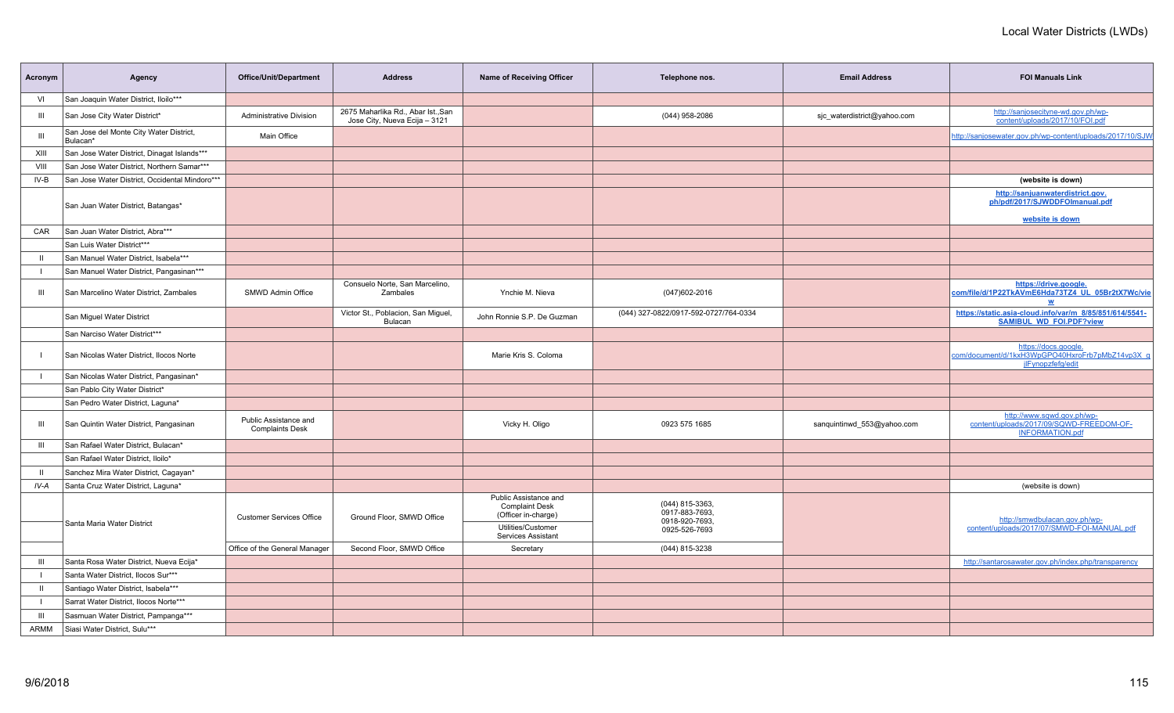| Acronym      | Agency                                              | Office/Unit/Department                          | <b>Address</b>                                                      | Name of Receiving Officer                                                                                         | Telephone nos.                                                       | <b>Email Address</b>        | <b>FOI Manuals Link</b>                                                                          |
|--------------|-----------------------------------------------------|-------------------------------------------------|---------------------------------------------------------------------|-------------------------------------------------------------------------------------------------------------------|----------------------------------------------------------------------|-----------------------------|--------------------------------------------------------------------------------------------------|
| VI           | San Joaquin Water District, Iloilo***               |                                                 |                                                                     |                                                                                                                   |                                                                      |                             |                                                                                                  |
| Ш            | San Jose City Water District*                       | Administrative Division                         | 2675 Maharlika Rd., Abar Ist., San<br>Jose City, Nueva Ecija - 3121 |                                                                                                                   | (044) 958-2086                                                       | sic waterdistrict@yahoo.com | http://sanjosecityne-wd.gov.ph/wp-<br>content/uploads/2017/10/FOI.pdf                            |
| III          | San Jose del Monte City Water District,<br>Bulacan* | Main Office                                     |                                                                     |                                                                                                                   |                                                                      |                             | http://sanjosewater.gov.ph/wp-content/uploads/2017/10/SJW                                        |
| XIII         | San Jose Water District, Dinagat Islands***         |                                                 |                                                                     |                                                                                                                   |                                                                      |                             |                                                                                                  |
| VIII         | San Jose Water District, Northern Samar***          |                                                 |                                                                     |                                                                                                                   |                                                                      |                             |                                                                                                  |
| IV-B         | San Jose Water District, Occidental Mindoro***      |                                                 |                                                                     |                                                                                                                   |                                                                      |                             | (website is down)                                                                                |
|              | San Juan Water District, Batangas*                  |                                                 |                                                                     |                                                                                                                   |                                                                      |                             | http://sanjuanwaterdistrict.gov.<br>ph/pdf/2017/SJWDDFOlmanual.pdf<br>website is down            |
| CAR          | San Juan Water District, Abra***                    |                                                 |                                                                     |                                                                                                                   |                                                                      |                             |                                                                                                  |
|              | San Luis Water District***                          |                                                 |                                                                     |                                                                                                                   |                                                                      |                             |                                                                                                  |
| $\mathbf{H}$ | San Manuel Water District, Isabela***               |                                                 |                                                                     |                                                                                                                   |                                                                      |                             |                                                                                                  |
|              | San Manuel Water District, Pangasinan***            |                                                 |                                                                     |                                                                                                                   |                                                                      |                             |                                                                                                  |
| Ш            | San Marcelino Water District, Zambales              | SMWD Admin Office                               | Consuelo Norte, San Marcelino,<br>Zambales                          | Ynchie M. Nieva                                                                                                   | $(047)602 - 2016$                                                    |                             | https://drive.google.<br>com/file/d/1P22TkAVmE6Hda73TZ4_UL_05Br2tX7Wc/vie<br>W                   |
|              | San Miguel Water District                           |                                                 | Victor St., Poblacion, San Miguel,<br>Bulacan                       | John Ronnie S.P. De Guzman                                                                                        | (044) 327-0822/0917-592-0727/764-0334                                |                             | https://static.asia-cloud.info/var/m 8/85/851/614/5541-<br><b>SAMIBUL WD FOI.PDF?view</b>        |
|              | San Narciso Water District***                       |                                                 |                                                                     |                                                                                                                   |                                                                      |                             |                                                                                                  |
|              | San Nicolas Water District, Ilocos Norte            |                                                 |                                                                     | Marie Kris S. Coloma                                                                                              |                                                                      |                             | https://docs.google.<br>com/document/d/1kxH3WpGPO40HxroFrb7pMbZ14vp3X_g<br>jlFynopzfefg/edit     |
|              | San Nicolas Water District, Pangasinan*             |                                                 |                                                                     |                                                                                                                   |                                                                      |                             |                                                                                                  |
|              | San Pablo City Water District*                      |                                                 |                                                                     |                                                                                                                   |                                                                      |                             |                                                                                                  |
|              | San Pedro Water District, Laguna*                   |                                                 |                                                                     |                                                                                                                   |                                                                      |                             |                                                                                                  |
| Ш            | San Quintin Water District, Pangasinan              | Public Assistance and<br><b>Complaints Desk</b> |                                                                     | Vicky H. Oligo                                                                                                    | 0923 575 1685                                                        | sanquintinwd_553@yahoo.com  | http://www.sqwd.gov.ph/wp-<br>content/uploads/2017/09/SQWD-FREEDOM-OF-<br><b>INFORMATION.pdf</b> |
| Ш            | San Rafael Water District, Bulacan*                 |                                                 |                                                                     |                                                                                                                   |                                                                      |                             |                                                                                                  |
|              | San Rafael Water District, Iloilo*                  |                                                 |                                                                     |                                                                                                                   |                                                                      |                             |                                                                                                  |
| $\mathbf{u}$ | Sanchez Mira Water District, Cagayan*               |                                                 |                                                                     |                                                                                                                   |                                                                      |                             |                                                                                                  |
| IV-A         | Santa Cruz Water District, Laguna*                  |                                                 |                                                                     |                                                                                                                   |                                                                      |                             | (website is down)                                                                                |
|              | Santa Maria Water District                          | <b>Customer Services Office</b>                 | Ground Floor, SMWD Office                                           | Public Assistance and<br><b>Complaint Desk</b><br>(Officer in-charge)<br>Utilities/Customer<br>Services Assistant | (044) 815-3363,<br>0917-883-7693,<br>0918-920-7693,<br>0925-526-7693 |                             | http://smwdbulacan.gov.ph/wp-<br>content/uploads/2017/07/SMWD-FOI-MANUAL.pdf                     |
|              |                                                     | Office of the General Manager                   | Second Floor, SMWD Office                                           | Secretary                                                                                                         | (044) 815-3238                                                       |                             |                                                                                                  |
| Ш            | Santa Rosa Water District, Nueva Ecija*             |                                                 |                                                                     |                                                                                                                   |                                                                      |                             | http://santarosawater.gov.ph/index.php/transparency                                              |
|              | Santa Water District, Ilocos Sur***                 |                                                 |                                                                     |                                                                                                                   |                                                                      |                             |                                                                                                  |
| $\mathbf{H}$ | Santiago Water District, Isabela***                 |                                                 |                                                                     |                                                                                                                   |                                                                      |                             |                                                                                                  |
|              | Sarrat Water District, Ilocos Norte***              |                                                 |                                                                     |                                                                                                                   |                                                                      |                             |                                                                                                  |
| Ш            | Sasmuan Water District, Pampanga***                 |                                                 |                                                                     |                                                                                                                   |                                                                      |                             |                                                                                                  |
| ARMM         | Siasi Water District, Sulu***                       |                                                 |                                                                     |                                                                                                                   |                                                                      |                             |                                                                                                  |
|              |                                                     |                                                 |                                                                     |                                                                                                                   |                                                                      |                             |                                                                                                  |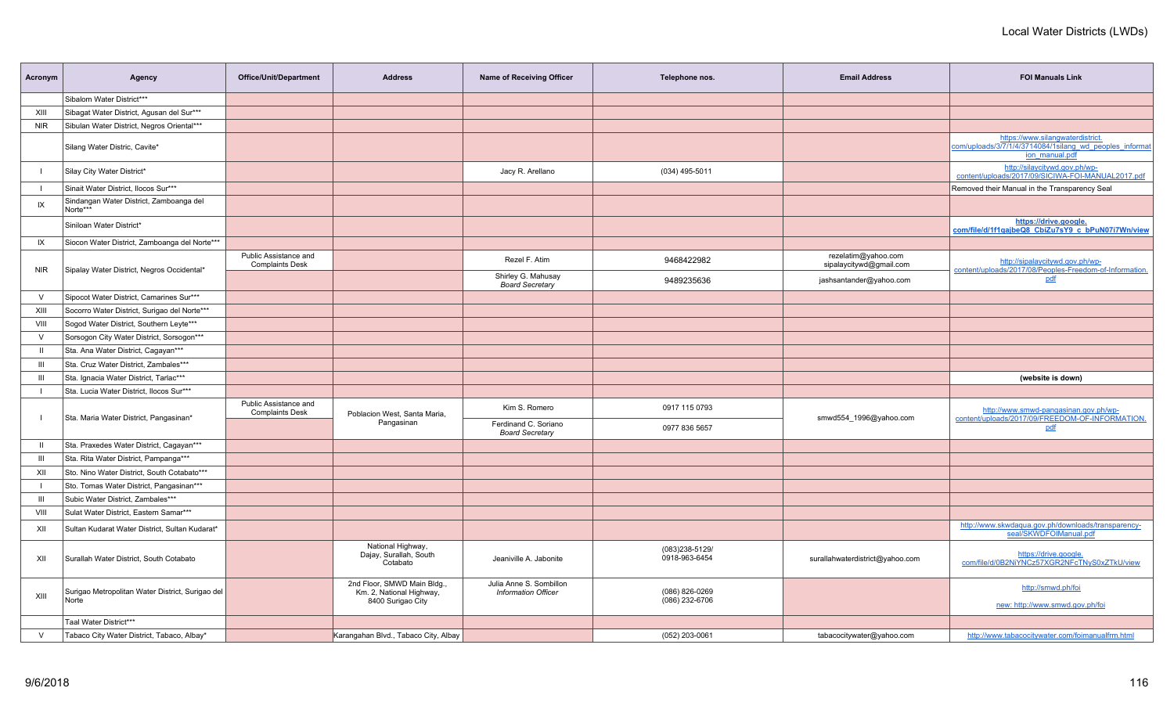| Acronym        | Agency                                                    | Office/Unit/Department                          | <b>Address</b>                                                              | <b>Name of Receiving Officer</b>                      | Telephone nos.                     | <b>Email Address</b>                           | <b>FOI Manuals Link</b>                                                                                       |
|----------------|-----------------------------------------------------------|-------------------------------------------------|-----------------------------------------------------------------------------|-------------------------------------------------------|------------------------------------|------------------------------------------------|---------------------------------------------------------------------------------------------------------------|
|                | Sibalom Water District***                                 |                                                 |                                                                             |                                                       |                                    |                                                |                                                                                                               |
| XIII           | Sibagat Water District, Agusan del Sur***                 |                                                 |                                                                             |                                                       |                                    |                                                |                                                                                                               |
| <b>NIR</b>     | Sibulan Water District, Negros Oriental***                |                                                 |                                                                             |                                                       |                                    |                                                |                                                                                                               |
|                | Silang Water Distric, Cavite*                             |                                                 |                                                                             |                                                       |                                    |                                                | https://www.silangwaterdistrict.<br>com/uploads/3/7/1/4/3714084/1silang wd peoples informat<br>jon manual.pdf |
|                | Silay City Water District*                                |                                                 |                                                                             | Jacy R. Arellano                                      | (034) 495-5011                     |                                                | http://silaycitywd.gov.ph/wp-<br>content/uploads/2017/09/SICIWA-FOI-MANUAL2017.pdf                            |
|                | Sinait Water District, Ilocos Sur***                      |                                                 |                                                                             |                                                       |                                    |                                                | Removed their Manual in the Transparency Seal                                                                 |
| IX             | Sindangan Water District, Zamboanga del<br>Norte***       |                                                 |                                                                             |                                                       |                                    |                                                |                                                                                                               |
|                | Siniloan Water District*                                  |                                                 |                                                                             |                                                       |                                    |                                                | https://drive.google.<br>com/file/d/1f1gajbeQ8 CbiZu7sY9 c bPuN07i7Wn/view                                    |
| IX             | Siocon Water District, Zamboanga del Norte***             |                                                 |                                                                             |                                                       |                                    |                                                |                                                                                                               |
| <b>NIR</b>     | Sipalay Water District, Negros Occidental*                | Public Assistance and<br><b>Complaints Desk</b> |                                                                             | Rezel F. Atim                                         | 9468422982                         | rezelatim@yahoo.com<br>sipalaycitywd@gmail.com | http://sipalaycitywd.gov.ph/wp-<br>content/uploads/2017/08/Peoples-Freedom-of-Information.                    |
|                |                                                           |                                                 |                                                                             | Shirley G. Mahusay<br><b>Board Secretary</b>          | 9489235636                         | jashsantander@yahoo.com                        | pdf                                                                                                           |
| $\vee$         | Sipocot Water District, Camarines Sur***                  |                                                 |                                                                             |                                                       |                                    |                                                |                                                                                                               |
| XIII           | Socorro Water District, Surigao del Norte***              |                                                 |                                                                             |                                                       |                                    |                                                |                                                                                                               |
| VIII           | Sogod Water District, Southern Leyte***                   |                                                 |                                                                             |                                                       |                                    |                                                |                                                                                                               |
| $\vee$         | Sorsogon City Water District, Sorsogon***                 |                                                 |                                                                             |                                                       |                                    |                                                |                                                                                                               |
| $\mathbf{H}$   | Sta. Ana Water District, Cagayan***                       |                                                 |                                                                             |                                                       |                                    |                                                |                                                                                                               |
| $\mathbf{III}$ | Sta. Cruz Water District, Zambales***                     |                                                 |                                                                             |                                                       |                                    |                                                |                                                                                                               |
| Ш              | Sta. Ignacia Water District, Tarlac***                    |                                                 |                                                                             |                                                       |                                    |                                                | (website is down)                                                                                             |
| $\blacksquare$ | Sta. Lucia Water District, Ilocos Sur***                  |                                                 |                                                                             |                                                       |                                    |                                                |                                                                                                               |
|                | Sta. Maria Water District, Pangasinan*                    | Public Assistance and<br><b>Complaints Desk</b> | Poblacion West, Santa Maria,                                                | Kim S. Romero                                         | 0917 115 0793                      | smwd554_1996@yahoo.com                         | http://www.smwd-pangasinan.gov.ph/wp-<br>content/uploads/2017/09/FREEDOM-OF-INFORMATION.                      |
|                |                                                           |                                                 | Pangasinan                                                                  | Ferdinand C. Soriano<br><b>Board Secretary</b>        | 0977 836 5657                      |                                                | pdf                                                                                                           |
| $\mathbf{H}$   | Sta. Praxedes Water District, Cagayan***                  |                                                 |                                                                             |                                                       |                                    |                                                |                                                                                                               |
| $\mathbf{III}$ | Sta. Rita Water District, Pampanga***                     |                                                 |                                                                             |                                                       |                                    |                                                |                                                                                                               |
| XII            | Sto. Nino Water District, South Cotabato***               |                                                 |                                                                             |                                                       |                                    |                                                |                                                                                                               |
|                | Sto. Tomas Water District, Pangasinan***                  |                                                 |                                                                             |                                                       |                                    |                                                |                                                                                                               |
| $\mathbf{III}$ | Subic Water District, Zambales***                         |                                                 |                                                                             |                                                       |                                    |                                                |                                                                                                               |
| VIII           | Sulat Water District. Eastern Samar***                    |                                                 |                                                                             |                                                       |                                    |                                                |                                                                                                               |
| XII            | Sultan Kudarat Water District, Sultan Kudarat*            |                                                 |                                                                             |                                                       |                                    |                                                | http://www.skwdaqua.gov.ph/downloads/transparency-<br>seal/SKWDFOIManual.pdf                                  |
| XII            | Surallah Water District, South Cotabato                   |                                                 | National Highway,<br>Dajay, Surallah, South<br>Cotabato                     | Jeaniville A. Jabonite                                | (083)238-5129/<br>0918-963-6454    | surallahwaterdistrict@yahoo.com                | https://drive.google.<br>com/file/d/0B2NiYNCz57XGR2NFcTNyS0xZTkU/view                                         |
| XIII           | Surigao Metropolitan Water District, Surigao del<br>Norte |                                                 | 2nd Floor, SMWD Main Bldg.<br>Km. 2, National Highway,<br>8400 Surigao City | Julia Anne S. Sombillon<br><b>Information Officer</b> | (086) 826-0269<br>$(086)$ 232-6706 |                                                | http://smwd.ph/foi<br>new: http://www.smwd.gov.ph/foi                                                         |
|                | Taal Water District***                                    |                                                 |                                                                             |                                                       |                                    |                                                |                                                                                                               |
| $\vee$         | Tabaco City Water District, Tabaco, Albay*                |                                                 | Karangahan Blvd., Tabaco City, Albay                                        |                                                       | (052) 203-0061                     | tabacocitywater@yahoo.com                      | http://www.tabacocitywater.com/foimanualfrm.htm                                                               |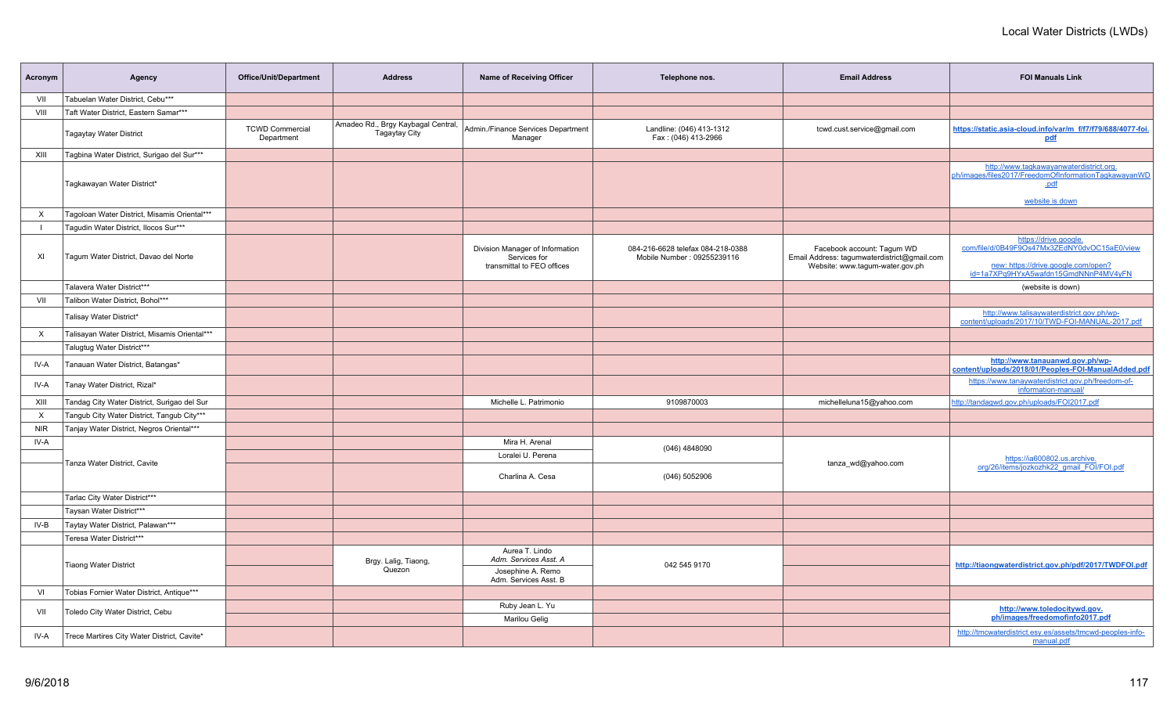| Acronym    | Agency                                        | Office/Unit/Department               | <b>Address</b>                                             | Name of Receiving Officer                                                     | Telephone nos.                                                  | <b>Email Address</b>                                                                                         | <b>FOI Manuals Link</b>                                                                                                                             |
|------------|-----------------------------------------------|--------------------------------------|------------------------------------------------------------|-------------------------------------------------------------------------------|-----------------------------------------------------------------|--------------------------------------------------------------------------------------------------------------|-----------------------------------------------------------------------------------------------------------------------------------------------------|
| VII        | Tabuelan Water District, Cebu***              |                                      |                                                            |                                                                               |                                                                 |                                                                                                              |                                                                                                                                                     |
| VIII       | Taft Water District, Eastern Samar***         |                                      |                                                            |                                                                               |                                                                 |                                                                                                              |                                                                                                                                                     |
|            | <b>Tagaytay Water District</b>                | <b>TCWD Commercial</b><br>Department | Amadeo Rd., Brgy Kaybagal Central,<br><b>Tagaytay City</b> | Admin./Finance Services Department<br>Manager                                 | Landline: (046) 413-1312<br>Fax: (046) 413-2966                 | tcwd.cust.service@gmail.com                                                                                  | https://static.asia-cloud.info/var/m_f/f7/f79/688/4077-foi.<br>pdf                                                                                  |
| XIII       | Tagbina Water District, Surigao del Sur***    |                                      |                                                            |                                                                               |                                                                 |                                                                                                              |                                                                                                                                                     |
|            | Tagkawayan Water District*                    |                                      |                                                            |                                                                               |                                                                 |                                                                                                              | http://www.tagkawayanwaterdistrict.org.<br>ph/images/files2017/FreedomOfInformationTagkawayanWD<br>.pdf<br>website is down                          |
| X          | Tagoloan Water District, Misamis Oriental***  |                                      |                                                            |                                                                               |                                                                 |                                                                                                              |                                                                                                                                                     |
|            | Taqudin Water District, Ilocos Sur***         |                                      |                                                            |                                                                               |                                                                 |                                                                                                              |                                                                                                                                                     |
| XI         | Tagum Water District, Davao del Norte         |                                      |                                                            | Division Manager of Information<br>Services for<br>transmittal to FEO offices | 084-216-6628 telefax 084-218-0388<br>Mobile Number: 09255239116 | Facebook account: Taqum WD<br>Email Address: tagumwaterdistrict@gmail.com<br>Website: www.tagum-water.gov.ph | https://drive.google<br>com/file/d/0B49F9Os47Mx3ZEdNY0dvOC15aE0/view<br>new: https://drive.google.com/open?<br>id=1a7XPq9HYxA5wafdn15GmdNNnP4MV4yFN |
|            | Talavera Water District***                    |                                      |                                                            |                                                                               |                                                                 |                                                                                                              | (website is down)                                                                                                                                   |
| VII        | Talibon Water District, Bohol***              |                                      |                                                            |                                                                               |                                                                 |                                                                                                              |                                                                                                                                                     |
|            | Talisay Water District*                       |                                      |                                                            |                                                                               |                                                                 |                                                                                                              | http://www.talisaywaterdistrict.gov.ph/wp-<br>content/uploads/2017/10/TWD-FOI-MANUAL-2017.pdf                                                       |
| X          | Talisayan Water District, Misamis Oriental*** |                                      |                                                            |                                                                               |                                                                 |                                                                                                              |                                                                                                                                                     |
|            | Talugtug Water District***                    |                                      |                                                            |                                                                               |                                                                 |                                                                                                              |                                                                                                                                                     |
| IV-A       | Tanauan Water District, Batangas*             |                                      |                                                            |                                                                               |                                                                 |                                                                                                              | http://www.tanauanwd.gov.ph/wp-<br>content/uploads/2018/01/Peoples-FOI-ManualAdded.pdf                                                              |
| IV-A       | Tanay Water District, Rizal*                  |                                      |                                                            |                                                                               |                                                                 |                                                                                                              | https://www.tanaywaterdistrict.gov.ph/freedom-of-<br>information-manual/                                                                            |
| XIII       | Tandag City Water District, Surigao del Sur   |                                      |                                                            | Michelle L. Patrimonio                                                        | 9109870003                                                      | michelleluna15@yahoo.com                                                                                     | http://tandaqwd.gov.ph/uploads/FOI2017.pdf                                                                                                          |
| $\times$   | Tangub City Water District, Tangub City***    |                                      |                                                            |                                                                               |                                                                 |                                                                                                              |                                                                                                                                                     |
| <b>NIR</b> | Tanjay Water District, Negros Oriental***     |                                      |                                                            |                                                                               |                                                                 |                                                                                                              |                                                                                                                                                     |
| IV-A       |                                               |                                      |                                                            | Mira H. Arenal                                                                | (046) 4848090                                                   |                                                                                                              |                                                                                                                                                     |
|            | Tanza Water District, Cavite                  |                                      |                                                            | Loralei U. Perena                                                             |                                                                 | tanza_wd@yahoo.com                                                                                           | https://ia600802.us.archive.                                                                                                                        |
|            |                                               |                                      |                                                            | Charlina A. Cesa                                                              | (046) 5052906                                                   |                                                                                                              | org/26/items/jozkozhk22 qmail FOI/FOI.pdf                                                                                                           |
|            | Tarlac City Water District***                 |                                      |                                                            |                                                                               |                                                                 |                                                                                                              |                                                                                                                                                     |
|            | Taysan Water District***                      |                                      |                                                            |                                                                               |                                                                 |                                                                                                              |                                                                                                                                                     |
| IV-B       | Taytay Water District, Palawan***             |                                      |                                                            |                                                                               |                                                                 |                                                                                                              |                                                                                                                                                     |
|            | Teresa Water District***                      |                                      |                                                            |                                                                               |                                                                 |                                                                                                              |                                                                                                                                                     |
|            | <b>Tiaong Water District</b>                  |                                      | Brgy. Lalig, Tiaong,                                       | Aurea T. Lindo<br>Adm. Services Asst. A                                       | 042 545 9170                                                    |                                                                                                              | http://tiaongwaterdistrict.gov.ph/pdf/2017/TWDFOI.pdf                                                                                               |
|            |                                               |                                      | Quezon                                                     | Josephine A. Remo<br>Adm. Services Asst. B                                    |                                                                 |                                                                                                              |                                                                                                                                                     |
| VI         | Tobias Fornier Water District, Antique***     |                                      |                                                            |                                                                               |                                                                 |                                                                                                              |                                                                                                                                                     |
| VII        | Toledo City Water District, Cebu              |                                      |                                                            | Ruby Jean L. Yu                                                               |                                                                 |                                                                                                              | http://www.toledocitywd.gov.<br>ph/images/freedomofinfo2017.pdf                                                                                     |
|            |                                               |                                      |                                                            | Marilou Gelig                                                                 |                                                                 |                                                                                                              |                                                                                                                                                     |
| IV-A       | Trece Martires City Water District, Cavite*   |                                      |                                                            |                                                                               |                                                                 |                                                                                                              | http://tmcwaterdistrict.esy.es/assets/tmcwd-peoples-info-<br>manual.pdf                                                                             |